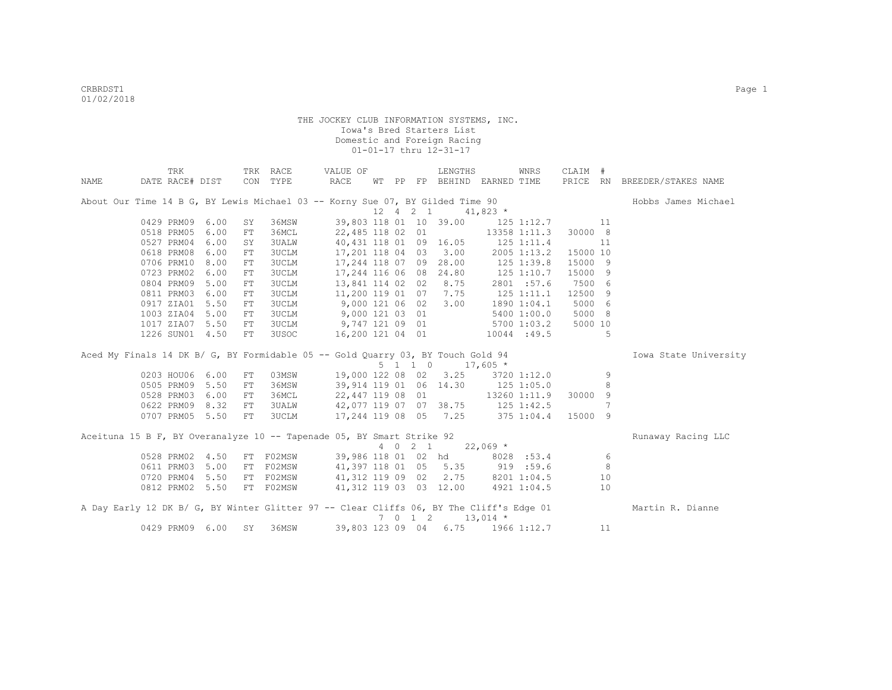|             | TRK                                                                                     |      |     | TRK RACE     | VALUE OF                          |    |    |             | LENGTHS                |                    | <b>WNRS</b>    | CLAIM #  |    |                              |
|-------------|-----------------------------------------------------------------------------------------|------|-----|--------------|-----------------------------------|----|----|-------------|------------------------|--------------------|----------------|----------|----|------------------------------|
| <b>NAME</b> | DATE RACE# DIST                                                                         |      | CON | TYPE         | RACE                              | WΤ | PP |             | FP BEHIND EARNED TIME  |                    |                |          |    | PRICE RN BREEDER/STAKES NAME |
|             | About Our Time 14 B G, BY Lewis Michael 03 -- Korny Sue 07, BY Gilded Time 90           |      |     |              |                                   |    |    |             |                        |                    |                |          |    | Hobbs James Michael          |
|             |                                                                                         |      |     |              |                                   |    |    | 12  4  2  1 |                        | $41,823$ *         |                |          |    |                              |
|             | 0429 PRM09                                                                              | 6.00 | SY  | 36MSW        |                                   |    |    |             | 39,803 118 01 10 39.00 |                    | 125 1:12.7     |          | 11 |                              |
|             | 0518 PRM05                                                                              | 6.00 | FT  | 36MCL        | 22,485 118 02 01                  |    |    |             |                        |                    | 13358 1:11.3   | 30000 8  |    |                              |
|             | 0527 PRM04                                                                              | 6.00 | SY  | <b>3UALW</b> | 40,431 118 01 09 16.05            |    |    |             |                        | $125$ $1:11.4$     |                |          | 11 |                              |
|             | 0618 PRM08                                                                              | 6.00 | FT. | <b>3UCLM</b> | 17,201 118 04 03 3.00             |    |    |             |                        |                    | 2005 1:13.2    | 15000 10 |    |                              |
|             | 0706 PRM10                                                                              | 8.00 | FT. | 3UCLM        | 17,244 118 07 09 28.00            |    |    |             |                        | $125$ $1:39.8$     |                | 15000 9  |    |                              |
|             | 0723 PRM02                                                                              | 6.00 | FT  | 3UCLM        | 17,244 116 06 08 24.80            |    |    |             |                        | 125 1:10.7         |                | 15000 9  |    |                              |
|             | 0804 PRM09                                                                              | 5.00 | FT  | 3UCLM        |                                   |    |    |             | 13,841 114 02 02 8.75  |                    | 2801 :57.6     | 7500 6   |    |                              |
|             | 0811 PRM03                                                                              | 6.00 | FT  | 3UCLM        | 11,200 119 01 07 7.75             |    |    |             |                        |                    | $125$ $1:11.1$ | 12500 9  |    |                              |
|             | 0917 ZIA01                                                                              | 5.50 | FT  | <b>3UCLM</b> | 9,000 121 06 02                   |    |    |             | 3.00                   |                    | 1890 1:04.1    | 5000 6   |    |                              |
|             | 1003 ZIA04                                                                              | 5.00 | FT  | 3UCLM        | 9,000 121 03 01                   |    |    |             |                        |                    | 5400 1:00.0    | 5000 8   |    |                              |
|             | 1017 ZIA07                                                                              | 5.50 | FT  | 3UCLM        | 9,747 121 09 01                   |    |    |             |                        |                    | 5700 1:03.2    | 5000 10  |    |                              |
|             | 1226 SUN01                                                                              | 4.50 | FT  | 3USOC        | 16,200 121 04 01                  |    |    |             |                        |                    | 10044 :49.5    |          | 5  |                              |
|             | Aced My Finals 14 DK B/ G, BY Formidable 05 -- Gold Quarry 03, BY Touch Gold 94         |      |     |              |                                   |    |    |             |                        |                    |                |          |    | Iowa State University        |
|             |                                                                                         |      |     |              |                                   |    |    | 5 1 1 0     |                        | $17,605$ *         |                |          |    |                              |
|             | 0203 HOU06                                                                              | 6.00 | FT  | 03MSW        |                                   |    |    |             | 19,000 122 08 02 3.25  |                    | 3720 1:12.0    |          | 9  |                              |
|             | 0505 PRM09                                                                              | 5.50 | FT  | 36MSW        | 39,914 119 01 06 14.30            |    |    |             |                        | 125 1:05.0         |                |          | 8  |                              |
|             | 0528 PRM03                                                                              | 6.00 | FT  | 36MCL        | 22,447 119 08 01                  |    |    |             |                        |                    | 13260 1:11.9   | 30000 9  |    |                              |
|             | 0622 PRM09                                                                              | 8.32 | FT  | 3UALW        | 42,077 119 07 07 38.75 125 1:42.5 |    |    |             |                        |                    |                |          | 7  |                              |
|             | 0707 PRM05 5.50                                                                         |      | FT  | 3UCLM        | 17,244 119 08 05 7.25             |    |    |             |                        | $375$ 1:04.4       |                | 15000 9  |    |                              |
|             | Aceituna 15 B F, BY Overanalyze 10 -- Tapenade 05, BY Smart Strike 92                   |      |     |              |                                   |    |    |             |                        |                    |                |          |    | Runaway Racing LLC           |
|             |                                                                                         |      |     |              |                                   |    |    | 4 0 2 1     |                        | $22,069$ *         |                |          |    |                              |
|             | 0528 PRM02                                                                              | 4.50 |     | FT F02MSW    | 39,986 118 01 02 hd               |    |    |             |                        |                    | 8028 :53.4     |          | 6  |                              |
|             | 0611 PRM03                                                                              | 5.00 |     | FT F02MSW    | 41,397 118 01 05 5.35             |    |    |             |                        | 919 : 59.6         |                |          | 8  |                              |
|             | 0720 PRM04                                                                              | 5.50 |     | FT F02MSW    | 41,312 119 09 02 2.75             |    |    |             |                        |                    | 8201 1:04.5    |          | 10 |                              |
|             | 0812 PRM02 5.50                                                                         |      |     | FT F02MSW    | 41,312 119 03 03 12.00            |    |    |             |                        |                    | 4921 1:04.5    |          | 10 |                              |
|             | A Day Early 12 DK B/ G, BY Winter Glitter 97 -- Clear Cliffs 06, BY The Cliff's Edge 01 |      |     |              |                                   |    |    | 7 0 1 2     |                        | $13,014$ *         |                |          |    | Martin R. Dianne             |
|             | 0429 PRM09                                                                              | 6.00 | SY  | 36MSW        | 39,803 123 09 04                  |    |    |             |                        | $6.75$ 1966 1:12.7 |                |          | 11 |                              |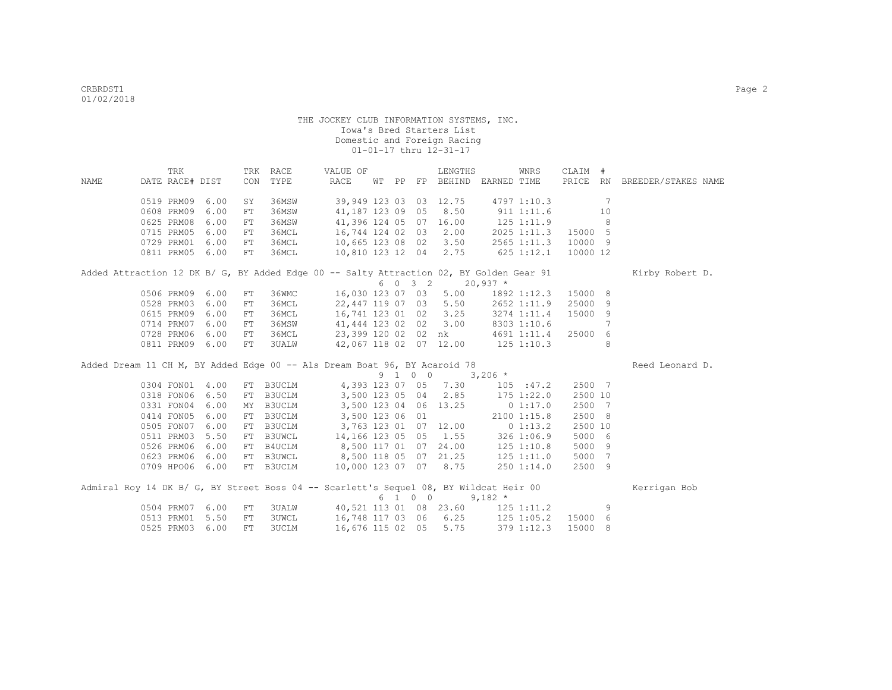|      | TRK             |      |            | TRK RACE     | VALUE OF                                                                                |       |         | LENGTHS                      |                       | WNRS                | CLAIM #  |                 |                              |  |
|------|-----------------|------|------------|--------------|-----------------------------------------------------------------------------------------|-------|---------|------------------------------|-----------------------|---------------------|----------|-----------------|------------------------------|--|
| NAME | DATE RACE# DIST |      | CON        | TYPE         | RACE                                                                                    | WT PP |         | FP BEHIND EARNED TIME        |                       |                     |          |                 | PRICE RN BREEDER/STAKES NAME |  |
|      | 0519 PRM09      | 6.00 | SY         | 36MSW        |                                                                                         |       |         | 39,949 123 03 03 12.75       |                       | 4797 1:10.3         |          | $7\phantom{.0}$ |                              |  |
|      | 0608 PRM09      | 6.00 | FT         | 36MSW        | 41,187 123 09 05                                                                        |       |         | 8.50                         | 911 1:11.6            |                     |          | 10              |                              |  |
|      | 0625 PRM08      | 6.00 | FT         | 36MSW        | 41,396 124 05 07 16.00                                                                  |       |         |                              | 125 1:11.9            |                     |          | 8               |                              |  |
|      | 0715 PRM05      | 6.00 | FT         | 36MCL        | 16,744 124 02 03                                                                        |       |         | 2.00                         |                       | 2025 1:11.3 15000 5 |          |                 |                              |  |
|      | 0729 PRM01      | 6.00 | FT         | 36MCL        | 10,665 123 08 02                                                                        |       |         | 3.50                         |                       | 2565 1:11.3 10000 9 |          |                 |                              |  |
|      | 0811 PRM05 6.00 |      | FT         | 36MCL        | 10,810 123 12 04 2.75                                                                   |       |         |                              | $625$ 1:12.1          |                     | 10000 12 |                 |                              |  |
|      |                 |      |            |              | Added Attraction 12 DK B/ G, BY Added Edge 00 -- Salty Attraction 02, BY Golden Gear 91 |       |         |                              |                       |                     |          |                 | Kirby Robert D.              |  |
|      |                 |      |            |              |                                                                                         |       |         | $6 \t0 \t3 \t2 \t20,937 \t*$ |                       |                     |          |                 |                              |  |
|      | 0506 PRM09      | 6.00 | FT         | 36WMC        |                                                                                         |       |         | 16,030 123 07 03 5.00        |                       | 1892 1:12.3 15000 8 |          |                 |                              |  |
|      | 0528 PRM03      | 6.00 | FT         | 36MCL        |                                                                                         |       |         | 22,447 119 07 03 5.50        |                       | 2652 1:11.9         | 25000    | -9              |                              |  |
|      | 0615 PRM09      | 6.00 | FT         | 36MCL        | 16,741 123 01 02 3.25                                                                   |       |         |                              |                       | 3274 1:11.4         | 15000 9  |                 |                              |  |
|      | 0714 PRM07      | 6.00 | FT         | 36MSW        | 41,444 123 02 02 3.00                                                                   |       |         |                              |                       | 8303 1:10.6         |          | 7               |                              |  |
|      | 0728 PRM06      | 6.00 | ${\rm FT}$ |              | 36MCL 23,399 120 02 02 nk                                                               |       |         |                              |                       | 4691 1:11.4         | 25000 6  |                 |                              |  |
|      | 0811 PRM09      | 6.00 | FT         | <b>3UALW</b> | 42,067 118 02 07 12.00 125 1:10.3                                                       |       |         |                              |                       |                     |          | 8               |                              |  |
|      |                 |      |            |              | Added Dream 11 CH M, BY Added Edge 00 -- Als Dream Boat 96, BY Acaroid 78               |       |         |                              |                       |                     |          |                 | Reed Leonard D.              |  |
|      |                 |      |            |              |                                                                                         |       | 9 1 0 0 | $3,206$ *                    |                       |                     |          |                 |                              |  |
|      | 0304 FON01 4.00 |      |            | FT B3UCLM    | 4,393 123 07 05                                                                         |       |         | 7.30                         |                       | 105 : 47.2          | 2500 7   |                 |                              |  |
|      | 0318 FON06 6.50 |      |            |              | FT B3UCLM 3,500 123 05 04                                                               |       |         | 2.85                         |                       | 175 1:22.0          | 2500 10  |                 |                              |  |
|      | 0331 FON04      | 6.00 |            |              | MY B3UCLM 3,500 123 04 06 13.25                                                         |       |         |                              |                       | 0 1:17.0            | 2500 7   |                 |                              |  |
|      | 0414 FON05      | 6.00 | FT         | B3UCLM       | 3,500 123 06 01                                                                         |       |         |                              |                       | 2100 1:15.8         | 2500 8   |                 |                              |  |
|      | 0505 FON07      | 6.00 | FT         | B3UCLM       | 3,763 123 01 07 12.00                                                                   |       |         |                              |                       | 01:13.2             | 2500 10  |                 |                              |  |
|      | 0511 PRM03      | 5.50 |            | FT B3UWCL    | 14,166 123 05 05                                                                        |       |         |                              | $1.55$ $326$ $1:06.9$ |                     | 5000 6   |                 |                              |  |
|      | 0526 PRM06      | 6.00 |            |              | FT B4UCLM 8,500 117 01 07                                                               |       |         |                              | 24.00 125 1:10.8      |                     | 5000 9   |                 |                              |  |
|      | 0623 PRM06      | 6.00 |            |              | FT B3UWCL 8,500 118 05 07 21.25 125 1:11.0                                              |       |         |                              |                       |                     | 5000     | 7               |                              |  |
|      | 0709 HPO06 6.00 |      |            |              | FT B3UCLM 10,000 123 07 07 8.75                                                         |       |         |                              | $250$ $1:14.0$        |                     | 2500 9   |                 |                              |  |
|      |                 |      |            |              | Admiral Roy 14 DK B/ G, BY Street Boss 04 -- Scarlett's Sequel 08, BY Wildcat Heir 00   |       |         |                              |                       |                     |          |                 | Kerrigan Bob                 |  |
|      |                 |      |            |              |                                                                                         |       | 6 1 0 0 |                              | $9,182$ *             |                     |          |                 |                              |  |
|      | 0504 PRM07 6.00 |      | ${\rm FT}$ |              | 3UALW 40,521 113 01 08 23.60 125 1:11.2                                                 |       |         |                              |                       |                     |          | 9               |                              |  |
|      | 0513 PRM01      | 5.50 | ${\rm FT}$ | <b>3UWCL</b> | 16,748 117 03 06 6.25                                                                   |       |         |                              | $125$ $1:05.2$        |                     | 15000 6  |                 |                              |  |
|      | 0525 PRM03      | 6.00 | FT         | <b>3UCLM</b> | 16,676 115 02 05                                                                        |       |         | 5.75                         |                       | 379 1:12.3          | 15000 8  |                 |                              |  |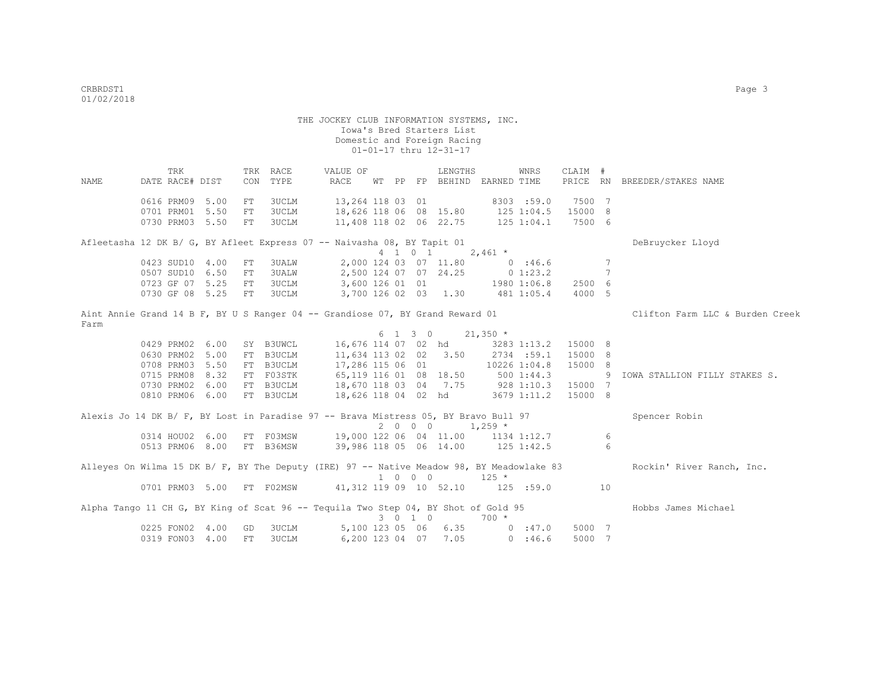THE JOCKEY CLUB INFORMATION SYSTEMS, INC. Iowa's Bred Starters List Domestic and Foreign Racing 01-01-17 thru 12-31-17 TRK TRK RACE VALUE OF LENGTHS WNRS CLAIM # NAME DATE RACE# DIST CON TYPE RACE WT PP FP BEHIND EARNED TIME PRICE RN BREEDER/STAKES NAME 0616 PRM09 5.00 FT 3UCLM 13,264 118 03 01 8303 :59.0 7500 7<br>0701 PRM01 5.50 FT 3UCLM 18,626 118 06 08 15.80 125 1:04.5 15000 8 0701 PRM01 5.50 FT 3UCLM 0730 PRM03 5.50 FT 3UCLM 11,408 118 02 06 22.75 125 1:04.1 7500 6 Afleetasha 12 DK B/ G, BY Afleet Express 07 -- Naivasha 08, BY Tapit 01 Debruycker Lloyd  $4 \quad 1 \quad 0 \quad 1 \qquad 2,461 \star$ 0423 SUD10 4.00 FT 3UALW 2,000 124 03 07 11.80 7<br>0507 SUD10 6.50 FT 3UALW 2,500 124 07 07 24.25 0 1:23.2 7 0507 SUD10 6.50 FT 3UALW 0723 GF 07 5.25 FT 3UCLM 3,600 126 01 01 1980 1:06.8 2500 6<br>0730 GF 08 5.25 FT 3UCLM 3,700 126 02 03 1.30 481 1:05.4 4000 5 3,700 126 02 03 1.30 481 1:05.4 4000 5 Aint Annie Grand 14 B F, BY U S Ranger 04 -- Grandiose 07, BY Grand Reward 01 Clifton Farm LLC & Burden Creek Farm  $6$  1 3 0 21,350  $*$ <br>16,676 114 07 02 hd 3283 0429 PRM02 6.00 SY B3UWCL 16,676 114 07 02 hd 3283 1:13.2 15000 8<br>0630 PRM02 5.00 FT B3UCLM 11,634 113 02 02 3.50 2734 :59.1 15000 8 11,634 113 02 02 3.50 0708 PRM03 5.50 FT B3UCLM 17,286 115 06 01 10226 1:04.8 15000 8 0715 PRM08 8.32 FT F03STK 65,119 116 01 08 18.50 500 1:44.3 9 IOWA STALLION FILLY STAKES S.<br>0730 PRM02 6.00 FT B3UCLM 18,670 118 03 04 7.75 928 1:10.3 15000 7 0730 PRM02 6.00 FT B3UCLM 18,670 118 03 04 7.75 928 1:10.3 15000 7 0810 PRM06 6.00 FT B3UCLM 18,626 118 04 02 hd 3679 1:11.2 15000 8 Alexis Jo 14 DK B/ F, BY Lost in Paradise 97 -- Brava Mistress 05, BY Bravo Bull 97 Spencer Robin  $2 \t0 \t0 \t0 \t1.259$  \* 0314 HOU02 6.00 FT F03MSW 19,000 122 06 04 11.00 1134 1:12.7 6 0513 PRM06 8.00 FT B36MSW 39,986 118 05 06 14.00 125 1:42.5 6 Alleyes On Wilma 15 DK B/ F, BY The Deputy (IRE) 97 -- Native Meadow 98, BY Meadowlake 83 Rockin' River Ranch, Inc.  $1000$  125 \*<br>1701 PRM03 5.00 FT F02MSW 41.312 119 09 10 52.10 125 41,312 119 09 10 52.10 125 :59.0 10 Alpha Tango 11 CH G, BY King of Scat 96 -- Tequila Two Step 04, BY Shot of Gold 95 Hobbs James Michael 3 0 1 0 700 \*<br>123 05 06 6.35 0 :47.0 0225 FON02 4.00 GD 3UCLM 5,100 123 05 06 6.35 0 :47.0 5000 7 0319 FON03 4.00 FT 3UCLM 6,200 123 04 07 7.05 0 :46.6 5000 7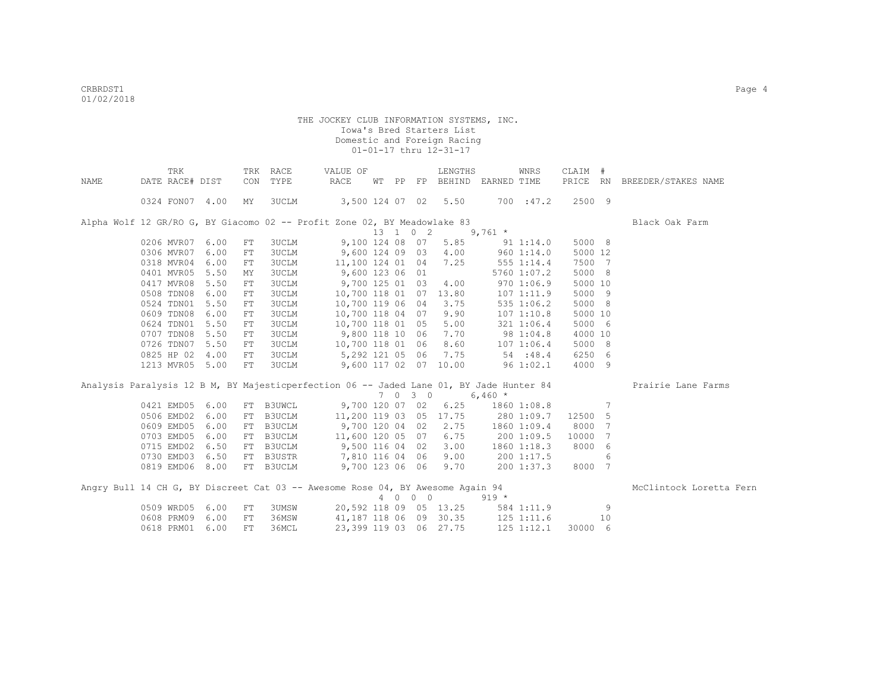|      | TRK             |      | TRK        | RACE         | VALUE OF                                                                                |    |     |             | LENGTHS                |             | <b>WNRS</b>    | CLAIM #  |                 |                         |
|------|-----------------|------|------------|--------------|-----------------------------------------------------------------------------------------|----|-----|-------------|------------------------|-------------|----------------|----------|-----------------|-------------------------|
| NAME | DATE RACE# DIST |      | CON        | TYPE         | RACE                                                                                    | WТ | PP  | FP          | BEHIND                 | EARNED TIME |                | PRICE RN |                 | BREEDER/STAKES NAME     |
|      | 0324 FON07 4.00 |      | MY         | 3UCLM        | 3,500 124 07 02                                                                         |    |     |             | 5.50                   |             | 700 : 47.2     | 2500 9   |                 |                         |
|      |                 |      |            |              | Alpha Wolf 12 GR/RO G, BY Giacomo 02 -- Profit Zone 02, BY Meadowlake 83                |    |     |             |                        |             |                |          |                 | Black Oak Farm          |
|      |                 |      |            |              |                                                                                         |    |     | 13 1 0 2    |                        | $9,761$ *   |                |          |                 |                         |
|      | 0206 MVR07      | 6.00 | FT         | 3UCLM        | 9,100 124 08 07                                                                         |    |     |             | 5.85                   |             | 91 1:14.0      | 5000 8   |                 |                         |
|      | 0306 MVR07      | 6.00 | FT         | <b>3UCLM</b> | 9,600 124 09 03                                                                         |    |     |             | 4.00                   |             | 9601:14.0      | 5000 12  |                 |                         |
|      | 0318 MVR04      | 6.00 | FT         | 3UCLM        | 11,100 124 01 04                                                                        |    |     |             | 7.25                   |             | 555 1:14.4     | 7500 7   |                 |                         |
|      | 0401 MVR05      | 5.50 | MY         | 3UCLM        | 9,600 123 06 01                                                                         |    |     |             |                        |             | 5760 1:07.2    | 5000 8   |                 |                         |
|      | 0417 MVR08      | 5.50 | ${\rm FT}$ | <b>3UCLM</b> | 9,700 125 01 03                                                                         |    |     |             | 4.00                   |             | 9701:06.9      | 5000 10  |                 |                         |
|      | 0508 TDN08      | 6.00 | FT         | <b>3UCLM</b> | 10,700 118 01 07                                                                        |    |     |             | 13.80                  |             | 1071:11.9      | 5000 9   |                 |                         |
|      | 0524 TDN01      | 5.50 | FT         | <b>3UCLM</b> | 10,700 119 06 04                                                                        |    |     |             | 3.75                   |             | 535 1:06.2     | 5000 8   |                 |                         |
|      | 0609 TDN08      | 6.00 | FT         | <b>3UCLM</b> | 10,700 118 04 07                                                                        |    |     |             | 9.90                   |             | 1071:10.8      | 5000 10  |                 |                         |
|      | 0624 TDN01      | 5.50 | FT         | 3UCLM        | 10,700 118 01 05                                                                        |    |     |             | 5.00                   |             | 321 1:06.4     | 5000 6   |                 |                         |
|      | 0707 TDN08      | 5.50 | FT         | 3UCLM        | 9,800 118 10 06                                                                         |    |     |             | 7.70                   |             | 98 1:04.8      | 4000 10  |                 |                         |
|      | 0726 TDN07      | 5.50 | FT         | <b>3UCLM</b> | 10,700 118 01 06                                                                        |    |     |             | 8.60                   |             | 1071:06.4      | 5000 8   |                 |                         |
|      | 0825 HP 02      | 4.00 | FT         | <b>3UCLM</b> | 5,292 121 05 06                                                                         |    |     |             | 7.75                   | 54 : 48.4   |                | 6250 6   |                 |                         |
|      | 1213 MVR05 5.00 |      | FT         | 3UCLM        | 9,600 117 02 07                                                                         |    |     |             | 10.00                  | 961:02.1    |                | 4000 9   |                 |                         |
|      |                 |      |            |              | Analysis Paralysis 12 B M, BY Majesticperfection 06 -- Jaded Lane 01, BY Jade Hunter 84 |    |     |             |                        |             |                |          |                 | Prairie Lane Farms      |
|      |                 |      |            |              |                                                                                         |    | 7 0 | $3 \quad 0$ |                        | $6,460*$    |                |          |                 |                         |
|      | 0421 EMD05      | 6.00 |            | FT B3UWCL    | 9,700 120 07 02                                                                         |    |     |             | 6.25                   |             | 1860 1:08.8    |          | $7\phantom{.0}$ |                         |
|      | 0506 EMD02      | 6.00 |            | FT B3UCLM    | 11,200 119 03 05 17.75                                                                  |    |     |             |                        |             | 280 1:09.7     | 12500    | 5               |                         |
|      | 0609 EMD05      | 6.00 |            | FT B3UCLM    | 9,700 120 04 02                                                                         |    |     |             | 2.75                   |             | 1860 1:09.4    | 8000     | 7               |                         |
|      | 0703 EMD05      | 6.00 |            | FT B3UCLM    | 11,600 120 05 07                                                                        |    |     |             | 6.75                   |             | 200 1:09.5     | 10000    | 7               |                         |
|      | 0715 EMD02      | 6.50 |            | FT B3UCLM    | 9,500 116 04 02                                                                         |    |     |             | 3.00                   |             | 1860 1:18.3    | 8000     | 6               |                         |
|      | 0730 EMD03      | 6.50 |            | FT B3USTR    | 7,810 116 04 06                                                                         |    |     |             | 9.00                   |             | 200 1:17.5     |          | 6               |                         |
|      | 0819 EMD06 8.00 |      |            | FT B3UCLM    | 9,700 123 06 06                                                                         |    |     |             | 9.70                   |             | 2001:37.3      | 8000 7   |                 |                         |
|      |                 |      |            |              | Angry Bull 14 CH G, BY Discreet Cat 03 -- Awesome Rose 04, BY Awesome Again 94          |    |     |             |                        |             |                |          |                 | McClintock Loretta Fern |
|      |                 |      |            |              |                                                                                         |    |     | 4 0 0 0     |                        | $919 *$     |                |          |                 |                         |
|      | 0509 WRD05      | 6.00 | FT         | 3UMSW        |                                                                                         |    |     |             | 20,592 118 09 05 13.25 |             | 584 1:11.9     |          | 9               |                         |
|      | 0608 PRM09      | 6.00 | FT         | 36MSW        |                                                                                         |    |     |             | 41,187 118 06 09 30.35 |             | 125 1:11.6     |          | 10              |                         |
|      | 0618 PRM01      | 6.00 | FT         | 36MCL        |                                                                                         |    |     |             | 23,399 119 03 06 27.75 |             | $125$ $1:12.1$ | 30000 6  |                 |                         |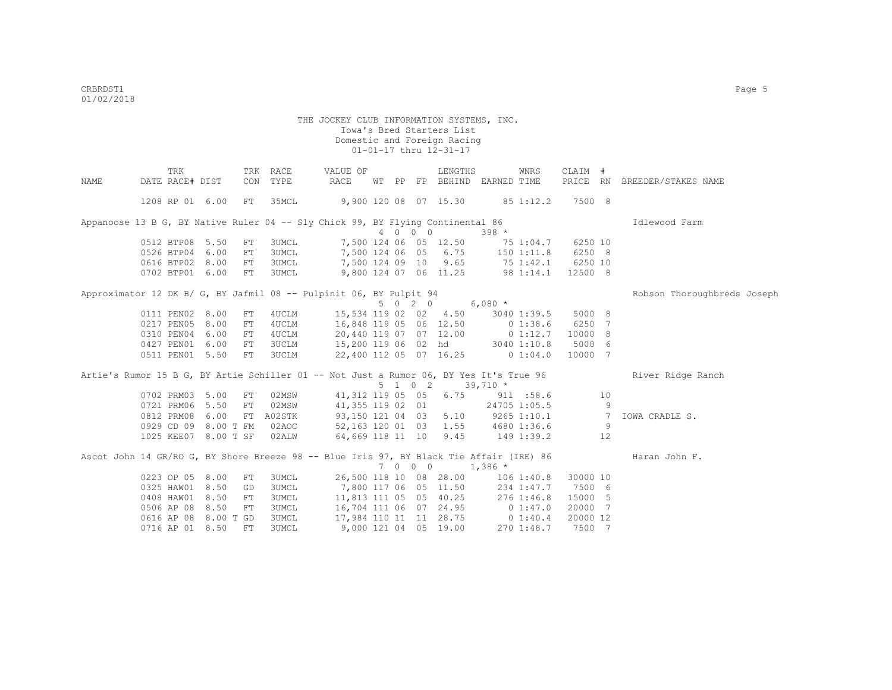|      | TRK                                                                                     |      |            | TRK RACE     | VALUE OF                         |  |         | LENGTHS                           |            | WNRS            | CLAIM #  |                |                              |
|------|-----------------------------------------------------------------------------------------|------|------------|--------------|----------------------------------|--|---------|-----------------------------------|------------|-----------------|----------|----------------|------------------------------|
| NAME | DATE RACE# DIST                                                                         |      |            | CON TYPE     | RACE                             |  |         | WT PP FP BEHIND EARNED TIME       |            |                 |          |                | PRICE RN BREEDER/STAKES NAME |
|      |                                                                                         |      |            |              |                                  |  |         |                                   |            |                 |          |                |                              |
|      | 1208 RP 01 6.00                                                                         |      | FT         | 35MCL        |                                  |  |         | 9,900 120 08 07 15.30             |            | 85 1:12.2       | 7500 8   |                |                              |
|      | Appanoose 13 B G, BY Native Ruler 04 -- Sly Chick 99, BY Flying Continental 86          |      |            |              |                                  |  |         |                                   |            |                 |          |                | Idlewood Farm                |
|      |                                                                                         |      |            |              |                                  |  | 4 0 0 0 |                                   | $398 *$    |                 |          |                |                              |
|      | 0512 BTP08 5.50                                                                         |      | FT         | 3UMCL        |                                  |  |         | 7,500 124 06 05 12.50             |            | 75 1:04.7       | 6250 10  |                |                              |
|      | 0526 BTP04 6.00                                                                         |      | FT         | 3UMCL        |                                  |  |         | 7,500 124 06 05 6.75 150 1:11.8   |            |                 | 6250 8   |                |                              |
|      | 0616 BTP02 8.00                                                                         |      | FT         | 3UMCL        |                                  |  |         | 7,500 124 09 10 9.65 75 1:42.1    |            |                 | 6250 10  |                |                              |
|      | 0702 BTP01 6.00                                                                         |      | FT         | <b>3UMCL</b> |                                  |  |         | 9,800 124 07 06 11.25 98 1:14.1   |            |                 | 12500 8  |                |                              |
|      | Approximator 12 DK B/ G, BY Jafmil 08 -- Pulpinit 06, BY Pulpit 94                      |      |            |              |                                  |  |         |                                   |            |                 |          |                | Robson Thoroughbreds Joseph  |
|      |                                                                                         |      |            |              |                                  |  |         | 5 0 2 0                           | $6,080$ *  |                 |          |                |                              |
|      | 0111 PEN02 8.00                                                                         |      | FT         | 4UCLM        |                                  |  |         | 15,534 119 02 02 4.50             |            | 3040 1:39.5     | 5000 8   |                |                              |
|      | 0217 PEN05                                                                              | 8.00 | FT         | 4UCLM        | 16,848 119 05 06 12.50 0 1:38.6  |  |         |                                   |            |                 | 6250 7   |                |                              |
|      | 0310 PEN04                                                                              | 6.00 | FT         | 4UCLM        |                                  |  |         | 20,440 119 07 07 12.00 0 1:12.7   |            |                 | 10000 8  |                |                              |
|      | 0427 PEN01                                                                              | 6.00 | FT         | 3UCLM        | 15,200 119 06 02 hd 3040 1:10.8  |  |         |                                   |            |                 | 5000 6   |                |                              |
|      | 0511 PEN01 5.50                                                                         |      | FT         | 3UCLM        | 22,400 112 05 07 16.25           |  |         |                                   |            | 0 1:04.0        | 10000 7  |                |                              |
|      | Artie's Rumor 15 B G, BY Artie Schiller 01 -- Not Just a Rumor 06, BY Yes It's True 96  |      |            |              |                                  |  |         |                                   |            |                 |          |                | River Ridge Ranch            |
|      |                                                                                         |      |            |              |                                  |  |         | 5 1 0 2                           | $39,710*$  |                 |          |                |                              |
|      | 0702 PRM03                                                                              | 5.00 | FT         | 02MSW        | 41,312 119 05 05 6.75            |  |         |                                   |            | 911 : 58.6      |          | 10             |                              |
|      | 0721 PRM06 5.50                                                                         |      | FT         | 02MSW        |                                  |  |         | 41,355 119 02 01                  |            | 24705 1:05.5    |          | - 9            |                              |
|      | 0812 PRM08                                                                              | 6.00 |            | FT A02STK    |                                  |  |         | 93,150 121 04 03 5.10             |            | $9265$ $1:10.1$ |          | $\overline{7}$ | IOWA CRADLE S.               |
|      | 0929 CD 09 8.00 T FM                                                                    |      |            | 02AOC        | 52,163 120 01 03 1.55            |  |         |                                   |            | 4680 1:36.6     |          | 9              |                              |
|      | 1025 KEE07 8.00 T SF                                                                    |      |            | 02ALW        | 64,669 118 11 10 9.45            |  |         |                                   | 149 1:39.2 |                 |          | 12             |                              |
|      | Ascot John 14 GR/RO G, BY Shore Breeze 98 -- Blue Iris 97, BY Black Tie Affair (IRE) 86 |      |            |              |                                  |  |         |                                   |            |                 |          |                | Haran John F.                |
|      |                                                                                         |      |            |              |                                  |  | 7 0 0 0 |                                   | $1,386$ *  |                 |          |                |                              |
|      | 0223 OP 05 8.00                                                                         |      | FT         | 3UMCL        |                                  |  |         | 26,500 118 10 08 28.00 106 1:40.8 |            |                 | 30000 10 |                |                              |
|      | 0325 HAW01                                                                              | 8.50 | GD         | <b>3UMCL</b> | 7,800 117 06 05 11.50 234 1:47.7 |  |         |                                   |            |                 | 7500 6   |                |                              |
|      | 0408 HAW01                                                                              | 8.50 | ${\rm FT}$ | 3UMCL        |                                  |  |         | 11,813 111 05 05 40.25 276 1:46.8 |            |                 | 15000 5  |                |                              |
|      | 0506 AP 08                                                                              | 8.50 | FT         | 3UMCL        |                                  |  |         | 16,704 111 06 07 24.95 0 1:47.0   |            |                 | 20000 7  |                |                              |
|      | 0616 AP 08 8.00 T GD                                                                    |      |            | 3UMCL        |                                  |  |         | 17,984 110 11 11 28.75 0 1:40.4   |            |                 | 20000 12 |                |                              |
|      | 0716 AP 01 8.50                                                                         |      | FT         | 3UMCL        |                                  |  |         | 9,000 121 04 05 19.00             |            | 2701:48.7       | 7500 7   |                |                              |
|      |                                                                                         |      |            |              |                                  |  |         |                                   |            |                 |          |                |                              |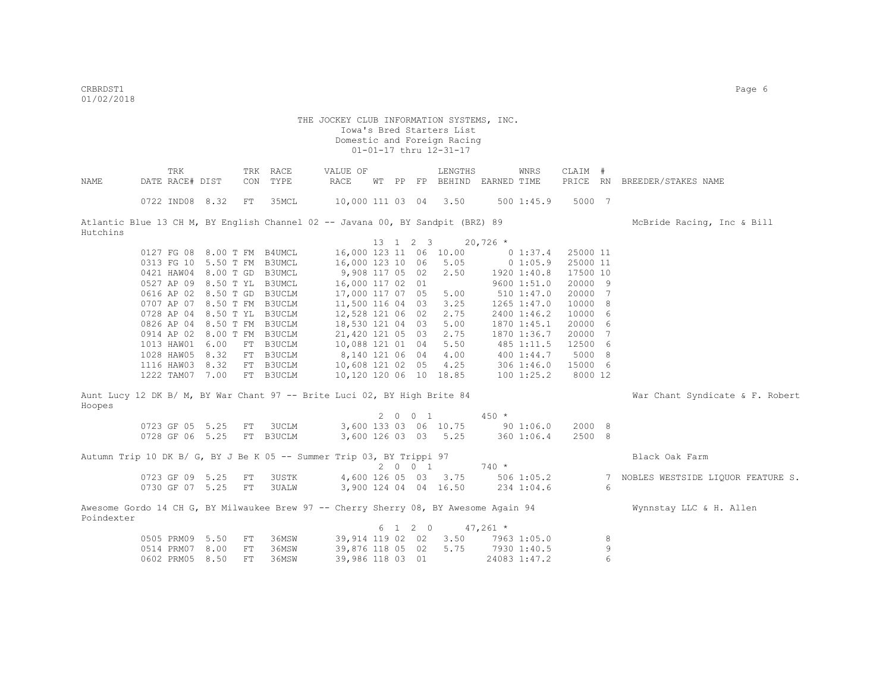criteria de la contradición de la contradición de la contradición de la contradición de la contradición de la contradición de la contradición de la contradición de la contradición de la contradición de la contradición de l 01/02/2018

|            | TRK                                                                                  |            | TRK RACE  | VALUE OF               |          |    |         | LENGTHS               |            | WNRS         | CLAIM #  |   |                                   |
|------------|--------------------------------------------------------------------------------------|------------|-----------|------------------------|----------|----|---------|-----------------------|------------|--------------|----------|---|-----------------------------------|
| NAME       | DATE RACE# DIST                                                                      | CON        | TYPE      | RACE                   | WТ       | PP |         | FP BEHIND EARNED TIME |            |              | PRICE RN |   | BREEDER/STAKES NAME               |
|            | 0722 IND08 8.32                                                                      | ${\rm FT}$ | 35MCL     | 10,000 111 03 04 3.50  |          |    |         |                       |            | 5001:45.9    | 5000 7   |   |                                   |
| Hutchins   | Atlantic Blue 13 CH M, BY English Channel 02 -- Javana 00, BY Sandpit (BRZ) 89       |            |           |                        |          |    |         |                       |            |              |          |   | McBride Racing, Inc & Bill        |
|            |                                                                                      |            |           |                        | 13 1 2 3 |    |         |                       | $20,726$ * |              |          |   |                                   |
|            | 0127 FG 08 8.00 T FM B4UMCL                                                          |            |           | 16,000 123 11 06 10.00 |          |    |         |                       |            | 0 1:37.4     | 25000 11 |   |                                   |
|            | 0313 FG 10 5.50 T FM B3UMCL                                                          |            |           | 16,000 123 10 06       |          |    |         | 5.05                  |            | 0 1:05.9     | 25000 11 |   |                                   |
|            | 0421 HAW04 8.00 T GD B3UMCL                                                          |            |           | 9,908 117 05 02        |          |    |         | 2.50                  |            | 1920 1:40.8  | 17500 10 |   |                                   |
|            | 0527 AP 09 8.50 T YL B3UMCL                                                          |            |           | 16,000 117 02 01       |          |    |         |                       |            | 9600 1:51.0  | 20000 9  |   |                                   |
|            | 0616 AP 02 8.50 T GD B3UCLM                                                          |            |           | 17,000 117 07 05       |          |    |         | 5.00                  |            | 510 1:47.0   | 20000 7  |   |                                   |
|            | 0707 AP 07 8.50 T FM B3UCLM                                                          |            |           | 11,500 116 04 03       |          |    |         | 3.25                  |            | 1265 1:47.0  | 10000 8  |   |                                   |
|            | 0728 AP 04 8.50 T YL B3UCLM                                                          |            |           | 12,528 121 06 02       |          |    |         | 2.75                  |            | 2400 1:46.2  | 10000 6  |   |                                   |
|            | 0826 AP 04 8.50 T FM B3UCLM                                                          |            |           | 18,530 121 04 03       |          |    |         | 5.00                  |            | 1870 1:45.1  | 20000 6  |   |                                   |
|            | 0914 AP 02 8.00 T FM B3UCLM                                                          |            |           | 21,420 121 05 03       |          |    |         | 2.75                  |            | 1870 1:36.7  | 20000 7  |   |                                   |
|            | 1013 HAW01 6.00                                                                      |            | FT B3UCLM | 10,088 121 01 04       |          |    |         | 5.50                  |            | 485 1:11.5   | 12500 6  |   |                                   |
|            | 1028 HAW05<br>8.32                                                                   |            | FT B3UCLM | 8,140 121 06 04        |          |    |         | 4.00                  |            | 400 1:44.7   | 5000 8   |   |                                   |
|            | 1116 HAW03<br>8.32                                                                   |            | FT B3UCLM | 10,608 121 02 05       |          |    |         | 4.25                  |            | 306 1:46.0   | 15000 6  |   |                                   |
|            | 1222 TAM07 7.00                                                                      |            | FT B3UCLM | 10,120 120 06 10 18.85 |          |    |         |                       |            | 100 1:25.2   | 8000 12  |   |                                   |
|            |                                                                                      |            |           |                        |          |    |         |                       |            |              |          |   |                                   |
| Hoopes     | Aunt Lucy 12 DK B/ M, BY War Chant 97 -- Brite Luci 02, BY High Brite 84             |            |           |                        |          |    |         |                       |            |              |          |   | War Chant Syndicate & F. Robert   |
|            |                                                                                      |            |           |                        |          |    | 2 0 0 1 |                       | $450 *$    |              |          |   |                                   |
|            | 0723 GF 05 5.25                                                                      | FT         | 3UCLM     |                        |          |    |         | 3,600 133 03 06 10.75 |            | 901:06.0     | 2000 8   |   |                                   |
|            | 0728 GF 06 5.25                                                                      |            | FT B3UCLM |                        |          |    |         | 3,600 126 03 03 5.25  |            | 360 1:06.4   | 2500 8   |   |                                   |
|            | Autumn Trip 10 DK B/ G, BY J Be K 05 -- Summer Trip 03, BY Trippi 97                 |            |           |                        |          |    |         |                       |            |              |          |   | Black Oak Farm                    |
|            |                                                                                      |            |           |                        |          |    | 2001    |                       | $740 *$    |              |          |   |                                   |
|            | 0723 GF 09 5.25                                                                      | ${\rm FT}$ | 3USTK     |                        |          |    |         | 4,600 126 05 03 3.75  |            | $506$ 1:05.2 |          | 7 | NOBLES WESTSIDE LIQUOR FEATURE S. |
|            | 0730 GF 07 5.25                                                                      | FT         | 3UALW     | 3,900 124 04 04 16.50  |          |    |         |                       |            | 234 1:04.6   |          | 6 |                                   |
| Poindexter | Awesome Gordo 14 CH G, BY Milwaukee Brew 97 -- Cherry Sherry 08, BY Awesome Again 94 |            |           |                        |          |    |         |                       |            |              |          |   | Wynnstay LLC & H. Allen           |
|            |                                                                                      |            |           |                        |          |    | 6 1 2 0 |                       | $47,261$ * |              |          |   |                                   |
|            | 0505 PRM09 5.50                                                                      | FT         | 36MSW     | 39,914 119 02 02       |          |    |         | 3.50                  |            | 7963 1:05.0  |          | 8 |                                   |
|            | 0514 PRM07 8.00                                                                      | FT         | 36MSW     | 39,876 118 05 02       |          |    |         | 5.75                  |            | 7930 1:40.5  |          | 9 |                                   |
|            | 0602 PRM05 8.50                                                                      | FT         | 36MSW     | 39,986 118 03 01       |          |    |         |                       |            | 24083 1:47.2 |          | 6 |                                   |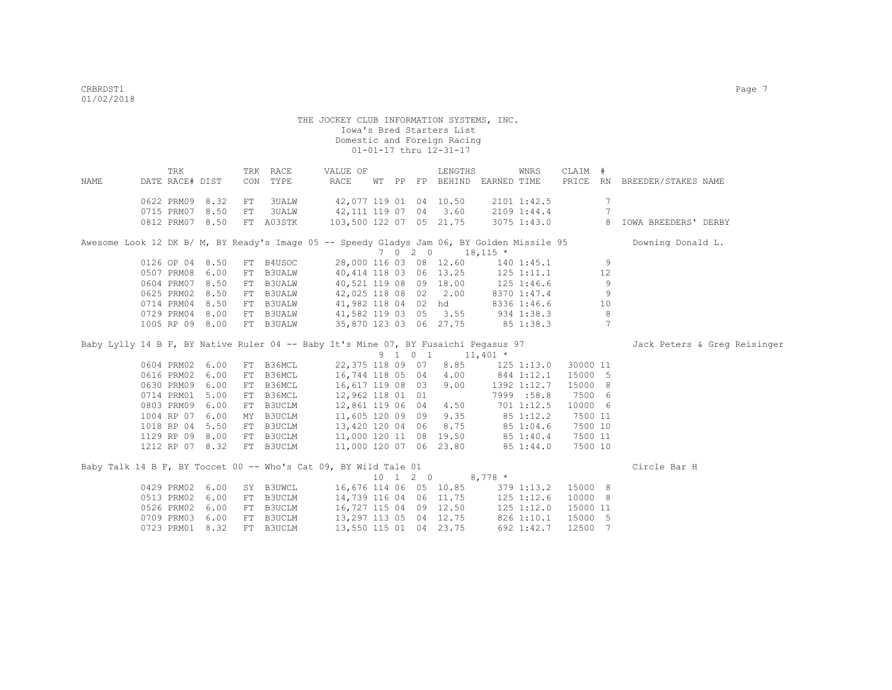| NAME                                                                                       | TRK<br>DATE RACE# DIST |      |    | TRK RACE<br>CON TYPE | VALUE OF<br>RACE                            |  | LENGTHS<br>WT PP FP BEHIND EARNED TIME                  |           | WNRS           | CLAIM #     |                 | PRICE RN BREEDER/STAKES NAME |
|--------------------------------------------------------------------------------------------|------------------------|------|----|----------------------|---------------------------------------------|--|---------------------------------------------------------|-----------|----------------|-------------|-----------------|------------------------------|
|                                                                                            |                        |      |    |                      |                                             |  |                                                         |           |                |             |                 |                              |
|                                                                                            | 0622 PRM09 8.32        |      | FT | 3UALW                | 42,077 119 01 04 10.50                      |  |                                                         |           | 2101 1:42.5    |             | $7\phantom{.0}$ |                              |
|                                                                                            | 0715 PRM07 8.50        |      | FT | <b>3UALW</b>         | 42,111 119 07 04 3.60                       |  |                                                         |           | 2109 1:44.4    |             | $7\phantom{.0}$ |                              |
|                                                                                            | 0812 PRM07 8.50        |      |    | FT A03STK            | 103,500 122 07 05 21.75                     |  |                                                         |           |                | 3075 1:43.0 |                 | 8 IOWA BREEDERS' DERBY       |
| Awesome Look 12 DK B/ M, BY Ready's Image 05 -- Speedy Gladys Jam 06, BY Golden Missile 95 |                        |      |    |                      |                                             |  |                                                         |           |                |             |                 | Downing Donald L.            |
|                                                                                            |                        |      |    |                      |                                             |  | $7 \t0 \t2 \t0 \t18,115 \t*$                            |           |                |             |                 |                              |
|                                                                                            | 0126 OP 04 8.50        |      |    | FT B4USOC            |                                             |  | 28,000 116 03 08 12.60                                  |           | 140 1:45.1     |             | 9               |                              |
|                                                                                            | 0507 PRM08             | 6.00 |    | FT B3UALW            | 40,414 118 03 06 13.25 125 1:11.1           |  |                                                         |           |                |             | 12              |                              |
|                                                                                            | 0604 PRM07             | 8.50 |    | FT B3UALW            | 40,521 119 08 09 18.00 125 1:46.6           |  |                                                         |           |                |             | 9               |                              |
|                                                                                            | 0625 PRM02             | 8.50 |    | FT B3UALW            |                                             |  | 42,025 118 08 02 2.00                                   |           | 8370 1:47.4    |             | 9               |                              |
|                                                                                            | 0714 PRM04             | 8.50 | FT | <b>B3UALW</b>        |                                             |  | 41,982 118 04 02 hd                                     |           | 8336 1:46.6    |             | 10              |                              |
|                                                                                            | 0729 PRM04 8.00        |      |    | FT B3UALW            | 41,582 119 03 05 3.55 934 1:38.3            |  |                                                         |           |                |             | 8               |                              |
|                                                                                            | 1005 RP 09 8.00        |      |    | FT B3UALW            |                                             |  | 35,870 123 03 06 27.75 85 1:38.3                        |           |                |             | 7               |                              |
| Baby Lylly 14 B F, BY Native Ruler 04 -- Baby It's Mine 07, BY Fusaichi Pegasus 97         |                        |      |    |                      |                                             |  |                                                         |           |                |             |                 | Jack Peters & Greg Reisinger |
|                                                                                            |                        |      |    |                      |                                             |  | $9 \quad 1 \quad 0 \quad 1 \quad 11,401 \quad ^{\star}$ |           |                |             |                 |                              |
|                                                                                            | 0604 PRM02 6.00        |      |    | FT B36MCL            |                                             |  | 22,375 118 09 07 8.85                                   |           | 125 1:13.0     | 30000 11    |                 |                              |
|                                                                                            | 0616 PRM02 6.00        |      |    | FT B36MCL            | 16,744 118 05 04 4.00                       |  |                                                         |           | 844 1:12.1     | 15000 5     |                 |                              |
|                                                                                            | 0630 PRM09 6.00        |      |    | FT B36MCL            | 16,617 119 08 03 9.00                       |  |                                                         |           | 1392 1:12.7    | 15000 8     |                 |                              |
|                                                                                            | 0714 PRM01             | 5.00 |    | FT B36MCL            | 12,962 118 01 01                            |  |                                                         |           | 7999 :58.8     | 7500 6      |                 |                              |
|                                                                                            | 0803 PRM09             | 6.00 |    | FT B3UCLM            | 12,861 119 06 04 4.50                       |  |                                                         |           | 701 1:12.5     | 10000 6     |                 |                              |
|                                                                                            | 1004 RP 07             | 6.00 |    | MY B3UCLM            | 11,605 120 09 09 9.35 85 1:12.2             |  |                                                         |           |                | 7500 11     |                 |                              |
|                                                                                            | 1018 RP 04 5.50        |      |    | FT B3UCLM            | 13,420 120 04 06 8.75 85 1:04.6             |  |                                                         |           |                | 7500 10     |                 |                              |
|                                                                                            | 1129 RP 09 8.00        |      |    | FT B3UCLM            | 11,000 120 11 08 19.50 85 1:40.4            |  |                                                         |           |                | 7500 11     |                 |                              |
|                                                                                            | 1212 RP 07 8.32        |      |    | FT B3UCLM            | 11,000 120 07 06 23.80                      |  |                                                         |           | 85 1:44.0      | 7500 10     |                 |                              |
| Baby Talk 14 B F, BY Toccet 00 -- Who's Cat 09, BY Wild Tale 01                            |                        |      |    |                      |                                             |  |                                                         |           |                |             |                 | Circle Bar H                 |
|                                                                                            |                        |      |    |                      |                                             |  | 10 1 2 0                                                | $8,778$ * |                |             |                 |                              |
|                                                                                            | 0429 PRM02 6.00        |      |    |                      | SY B3UWCL 16,676 114 06 05 10.85 379 1:13.2 |  |                                                         |           |                | 15000 8     |                 |                              |
|                                                                                            | 0513 PRM02 6.00        |      |    | FT B3UCLM            | 14,739 116 04 06 11.75                      |  |                                                         |           | $125$ $1:12.6$ | 10000 8     |                 |                              |
|                                                                                            | 0526 PRM02             | 6.00 |    | FT B3UCLM            | 16,727 115 04 09 12.50                      |  |                                                         |           | $125$ $1:12.0$ | 15000 11    |                 |                              |
|                                                                                            | 0709 PRM03 6.00        |      |    | FT B3UCLM            | 13,297 113 05 04 12.75                      |  |                                                         |           | 826 1:10.1     | 15000 5     |                 |                              |
|                                                                                            | 0723 PRM01 8.32        |      |    | FT B3UCLM            | 13,550 115 01 04 23.75                      |  |                                                         |           | 692 1:42.7     | 12500 7     |                 |                              |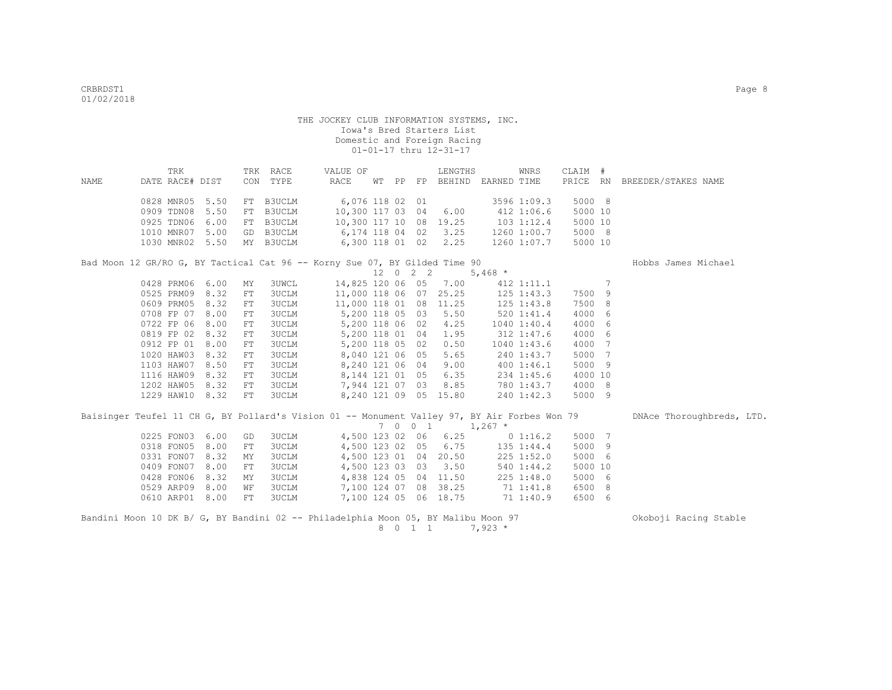|      | TRK                                                                        |  | TRK RACE  | VALUE OF               |  | LENGTHS              | WNRS           | CLAIM # |                                          |
|------|----------------------------------------------------------------------------|--|-----------|------------------------|--|----------------------|----------------|---------|------------------------------------------|
| NAME | DATE RACE# DIST                                                            |  | CON TYPE  | RACE                   |  | WT PP FP BEHIND      |                |         | EARNED TIME PRICE RN BREEDER/STAKES NAME |
|      | 0828 MNR05 5.50                                                            |  | FT B3UCLM |                        |  | 6,076 118 02 01      | 3596 1:09.3    | 5000 8  |                                          |
|      | 0909 TDN08 5.50 FT B3UCLM                                                  |  |           | 10,300 117 03 04 6.00  |  |                      | 412 1:06.6     | 5000 10 |                                          |
|      | 0925 TDN06 6.00 FT B3UCLM                                                  |  |           | 10,300 117 10 08 19.25 |  |                      | $103$ $1:12.4$ | 5000 10 |                                          |
|      | 1010 MNR07 5.00                                                            |  | GD B3UCLM |                        |  | 6,174 118 04 02 3.25 | 1260 1:00.7    | 5000 8  |                                          |
|      | 1030 MNR02 5.50 MY B3UCLM                                                  |  |           |                        |  | 6,300 118 01 02 2.25 | 1260 1:07.7    | 5000 10 |                                          |
|      | Bad Moon 12 GR/RO G, BY Tactical Cat 96 -- Korny Sue 07, BY Gilded Time 90 |  |           |                        |  |                      |                |         | Hobbs James Michael                      |

|            |      |     |       |               |  |      |       | 5,468 $*$ |                 |         |   |
|------------|------|-----|-------|---------------|--|------|-------|-----------|-----------------|---------|---|
| 0428 PRM06 | 6.00 | MY  | 3UWCL | 14,825 120 06 |  | 05   | 7.00  |           | $412$ $1:11.1$  |         | 7 |
| 0525 PRM09 | 8.32 | FT. | 3UCLM | 11,000 118 06 |  | 07   | 25.25 |           | $125$ $1:43.3$  | 7500    | 9 |
| 0609 PRM05 | 8.32 | FT. | 3UCLM | 11,000 118 01 |  | 08   | 11.25 |           | $125$ $1:43.8$  | 7500 8  |   |
| 0708 FP 07 | 8.00 | FT  | 3UCLM | 5,200 118 05  |  | 03   | 5.50  |           | $520$ $1:41.4$  | 4000 6  |   |
| 0722 FP 06 | 8.00 | FT. | 3UCLM | 5,200 118 06  |  | 02   | 4.25  |           | $1040$ 1:40.4   | 4000 6  |   |
| 0819 FP 02 | 8.32 | FT  | 3UCLM | 5,200 118 01  |  | 04   | 1.95  |           | $312 \t1:47.6$  | 4000 6  |   |
| 0912 FP 01 | 8.00 | FT. | 3UCLM | 5,200 118 05  |  | 02   | 0.50  |           | $1040$ $1:43.6$ | 4000 7  |   |
| 1020 HAW03 | 8.32 | FT. | 3UCLM | 8,040 121 06  |  | - 05 | 5.65  |           | 240 1:43.7      | 5000 7  |   |
| 1103 HAW07 | 8.50 | FT. | 3UCLM | 8,240 121 06  |  | 04   | 9.00  |           | 4001:46.1       | 5000 9  |   |
| 1116 HAW09 | 8.32 | FT. | 3UCLM | 8,144 121 01  |  | 05   | 6.35  |           | $234$ 1:45.6    | 4000 10 |   |
| 1202 HAW05 | 8.32 | FT. | 3UCLM | 7,944 121 07  |  | 03   | 8.85  |           | 780 1:43.7      | 4000 8  |   |
| 1229 HAW10 | 8.32 | FT  | 3UCLM | 8,240 121 09  |  | 05   | 15.80 |           | 2401:42.3       | 5000 9  |   |
|            |      |     |       |               |  |      |       |           |                 |         |   |

|  |                 |           | Baisinger Teufel 11 CH G, BY Pollard's Vision 01 -- Monument Valley 97, BY Air Forbes Won 79 |                       |  |         |                       |                                 |            |         |  | DNAce Thoroughbreds, LTD. |  |
|--|-----------------|-----------|----------------------------------------------------------------------------------------------|-----------------------|--|---------|-----------------------|---------------------------------|------------|---------|--|---------------------------|--|
|  |                 |           |                                                                                              |                       |  | 7 0 0 1 |                       | $1,267$ *                       |            |         |  |                           |  |
|  | 0225 FON03 6.00 | GD        | 3UCLM                                                                                        |                       |  |         | 4,500 123 02 06 6.25  | $0\;1:16.2$                     |            | 5000 7  |  |                           |  |
|  | 0318 FON05 8.00 | FT        | 3UCLM                                                                                        |                       |  |         |                       | 4,500 123 02 05 6.75 135 1:44.4 |            | 5000 9  |  |                           |  |
|  | 0331 FON07 8.32 | MY        | 3UCLM                                                                                        |                       |  |         | 4,500 123 01 04 20.50 |                                 | 225 1:52.0 | 5000 6  |  |                           |  |
|  | 0409 FON07 8.00 | <b>FT</b> | 3UCLM                                                                                        |                       |  |         | 4,500 123 03 03 3.50  |                                 | 540 1:44.2 | 5000 10 |  |                           |  |
|  | 0428 FON06 8.32 | MY        | 3UCLM                                                                                        |                       |  |         | 4,838 124 05 04 11.50 |                                 | 225 1:48.0 | 5000 6  |  |                           |  |
|  | 0529 ARP09 8.00 | WF        | 3UCLM                                                                                        | 7,100 124 07 08 38.25 |  |         |                       |                                 | 71 1:41.8  | 6500 8  |  |                           |  |
|  | 0610 ARP01 8.00 | FT        | 3UCLM                                                                                        |                       |  |         | 7,100 124 05 06 18.75 |                                 | 71 1:40.9  | 6500 6  |  |                           |  |
|  |                 |           |                                                                                              |                       |  |         |                       |                                 |            |         |  |                           |  |
|  |                 |           |                                                                                              |                       |  |         |                       |                                 |            |         |  | .                         |  |

Bandini Moon 10 DK B/ G, BY Bandini 02 -- Philadelphia Moon 05, BY Malibu Moon 97 Okoboji Racing Stable 8 0 1 1  $7,923$  \*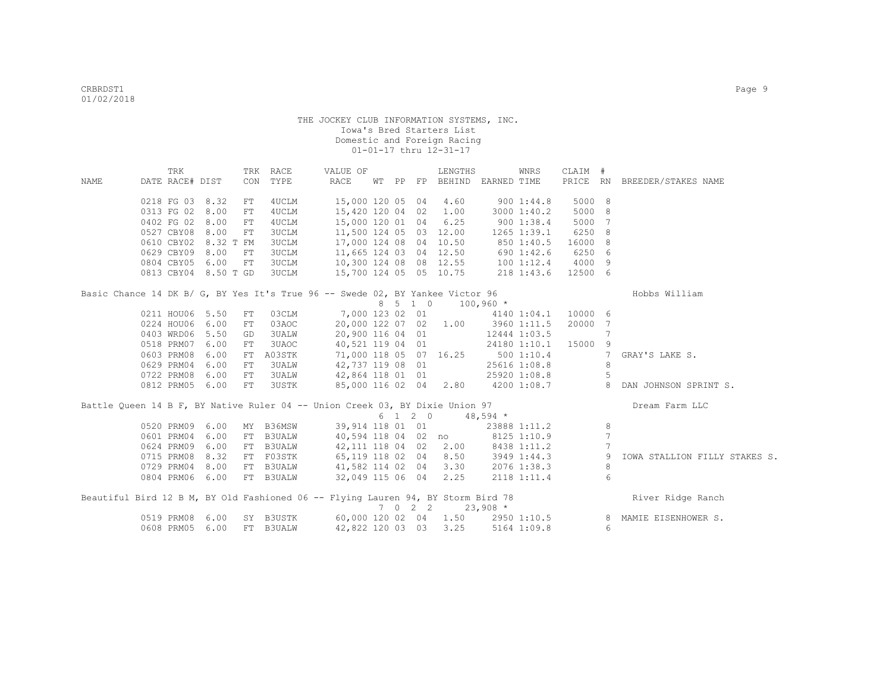|             | TRK             |                      |            | TRK RACE      | VALUE OF                                                                         |  |                             | LENGTHS                              |             | WNRS         | CLAIM # |                |                               |
|-------------|-----------------|----------------------|------------|---------------|----------------------------------------------------------------------------------|--|-----------------------------|--------------------------------------|-------------|--------------|---------|----------------|-------------------------------|
| <b>NAME</b> | DATE RACE# DIST |                      |            | CON TYPE      | RACE                                                                             |  |                             | WT PP FP BEHIND EARNED TIME          |             |              |         |                | PRICE RN BREEDER/STAKES NAME  |
|             |                 |                      |            |               |                                                                                  |  |                             |                                      |             |              |         |                |                               |
|             | 0218 FG 03 8.32 |                      | FT         | 4UCLM         | 15,000 120 05 04 4.60                                                            |  |                             |                                      |             | 9001:44.8    | 5000 8  |                |                               |
|             | 0313 FG 02      | 8.00                 | FT         | 4UCLM         | 15,420 120 04 02 1.00                                                            |  |                             |                                      |             | 3000 1:40.2  | 5000 8  |                |                               |
|             | 0402 FG 02      | 8.00                 | ${\rm FT}$ | 4UCLM         | 15,000 120 01 04 6.25                                                            |  |                             |                                      |             | 9001:38.4    | 5000 7  |                |                               |
|             | 0527 CBY08 8.00 |                      | FT         | 3UCLM         | 11,500 124 05 03 12.00                                                           |  |                             |                                      |             | 1265 1:39.1  | 6250 8  |                |                               |
|             | 0610 CBY02      | 8.32 T FM            |            | <b>3UCLM</b>  | 17,000 124 08 04 10.50                                                           |  |                             |                                      |             | 850 1:40.5   | 16000 8 |                |                               |
|             | 0629 CBY09 8.00 |                      | FT         | 3UCLM         | 11,665 124 03 04 12.50                                                           |  |                             |                                      |             | 690 1:42.6   | 6250 6  |                |                               |
|             | 0804 CBY05 6.00 |                      | FT         | 3UCLM         | 10,300 124 08 08 12.55                                                           |  |                             |                                      |             | 1001:12.4    | 4000 9  |                |                               |
|             |                 | 0813 CBY04 8.50 T GD |            | 3UCLM         | 15,700 124 05 05 10.75                                                           |  |                             |                                      | 218 1:43.6  |              | 12500 6 |                |                               |
|             |                 |                      |            |               | Basic Chance 14 DK B/ G, BY Yes It's True 96 -- Swede 02, BY Yankee Victor 96    |  |                             |                                      |             |              |         |                | Hobbs William                 |
|             |                 |                      |            |               |                                                                                  |  | 8 5 1 0                     |                                      | $100,960$ * |              |         |                |                               |
|             | 0211 HOU06 5.50 |                      | FT         | 03CLM         |                                                                                  |  |                             | 7,000 123 02 01                      |             | 4140 1:04.1  | 10000 6 |                |                               |
|             | 0224 HOU06      | 6.00                 | FT         | 03AOC         |                                                                                  |  |                             | 20,000 122 07 02 1.00                |             | 3960 1:11.5  | 20000 7 |                |                               |
|             | 0403 WRD06      | 5.50                 | GD         | <b>3UALW</b>  | 20,900 116 04 01                                                                 |  |                             |                                      |             | 12444 1:03.5 |         | 7              |                               |
|             | 0518 PRM07      | 6.00                 | FT         | 3UAOC         |                                                                                  |  |                             | 40,521 119 04 01                     |             | 24180 1:10.1 | 15000 9 |                |                               |
|             | 0603 PRM08      | 6.00                 | FT         | A03STK        | 71,000 118 05 07 16.25                                                           |  |                             |                                      | 5001:10.4   |              |         | 7              | GRAY'S LAKE S.                |
|             | 0629 PRM04      | 6.00                 | FT         | <b>3UALW</b>  | 42,737 119 08 01                                                                 |  |                             |                                      |             | 25616 1:08.8 |         | 8              |                               |
|             | 0722 PRM08      | 6.00                 | ${\rm FT}$ | 3UALW         | 42,864 118 01 01                                                                 |  |                             |                                      |             | 25920 1:08.8 |         | 5              |                               |
|             | 0812 PRM05 6.00 |                      | FT         | 3USTK         | 85,000 116 02 04 2.80                                                            |  |                             |                                      |             | 4200 1:08.7  |         | 8              | DAN JOHNSON SPRINT S.         |
|             |                 |                      |            |               | Battle Queen 14 B F, BY Native Ruler 04 -- Union Creek 03, BY Dixie Union 97     |  |                             |                                      |             |              |         |                | Dream Farm LLC                |
|             |                 |                      |            |               |                                                                                  |  | 6 1 2 0                     | $48,594$ *                           |             |              |         |                |                               |
|             | 0520 PRM09      | 6.00                 |            | MY B36MSW     | 39,914 118 01 01                                                                 |  |                             |                                      |             | 23888 1:11.2 |         | 8              |                               |
|             | 0601 PRM04      | 6.00                 | FT         | <b>B3UALW</b> |                                                                                  |  |                             | 40,594 118 04 02 no                  |             | 8125 1:10.9  |         | 7              |                               |
|             | 0624 PRM09      | 6.00                 |            | FT B3UALW     | 42,111 118 04 02 2.00                                                            |  |                             |                                      |             | 8438 1:11.2  |         | 7              |                               |
|             | 0715 PRM08      | 8.32                 |            | FT F03STK     | 65,119 118 02 04 8.50                                                            |  |                             |                                      |             | 3949 1:44.3  |         | 9              | IOWA STALLION FILLY STAKES S. |
|             | 0729 PRM04      | 8.00                 |            | FT B3UALW     | 41,582 114 02 04 3.30                                                            |  |                             |                                      |             | 2076 1:38.3  |         | 8              |                               |
|             | 0804 PRM06 6.00 |                      |            | FT B3UALW     | 32,049 115 06 04 2.25                                                            |  |                             |                                      |             | 2118 1:11.4  |         | 6              |                               |
|             |                 |                      |            |               | Beautiful Bird 12 B M, BY Old Fashioned 06 -- Flying Lauren 94, BY Storm Bird 78 |  |                             |                                      |             |              |         |                | River Ridge Ranch             |
|             |                 |                      |            |               |                                                                                  |  | $7 \quad 0 \quad 2 \quad 2$ |                                      | $23,908$ *  |              |         |                |                               |
|             | 0519 PRM08      | 6.00                 |            | SY B3USTK     |                                                                                  |  |                             | 60,000 120 02  04  1.50  2950 1:10.5 |             |              |         | 8 <sup>8</sup> | MAMIE EISENHOWER S.           |
|             | 0608 PRM05 6.00 |                      |            | FT B3UALW     |                                                                                  |  |                             | 42,822 120 03 03 3.25                |             | 5164 1:09.8  |         | $6^{\circ}$    |                               |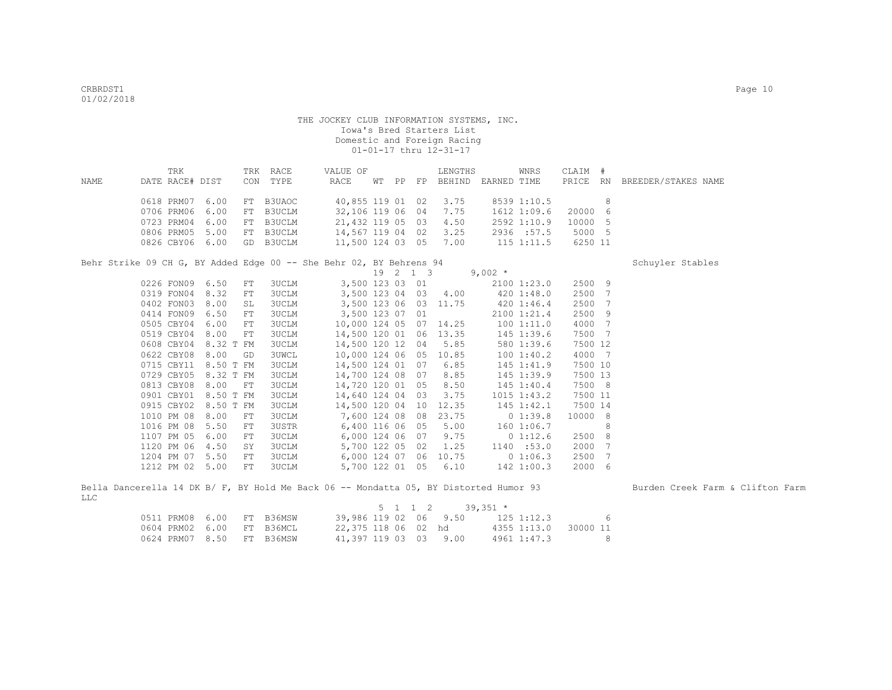|      | TRK                       |  | TRK RACE | VALUE OF              |  |          | LENGTHS               |                    | WNRS        | CLAIM # |                              |  |
|------|---------------------------|--|----------|-----------------------|--|----------|-----------------------|--------------------|-------------|---------|------------------------------|--|
| NAME | DATE RACE# DIST           |  | CON TYPE | RACE                  |  | WT PP FP |                       | BEHIND EARNED TIME |             |         | PRICE RN BREEDER/STAKES NAME |  |
|      | 0618 PRM07 6.00 FT B3UAOC |  |          |                       |  |          | 40,855 119 01 02 3.75 |                    | 8539 1:10.5 |         |                              |  |
|      | 0706 PRM06 6.00 FT B3UCLM |  |          |                       |  |          | 32,106 119 06 04 7.75 |                    | 1612 1:09.6 | 20000 6 |                              |  |
|      | 0723 PRM04 6.00 FT B3UCLM |  |          | 21,432 119 05 03 4.50 |  |          |                       |                    | 2592 1:10.9 | 10000 5 |                              |  |
|      | 0806 PRM05 5.00 FT B3UCLM |  |          | 14,567 119 04 02 3.25 |  |          |                       |                    | 2936 : 57.5 | 5000 5  |                              |  |
|      | 0826 CBY06 6.00 GD B3UCLM |  |          | 11,500 124 03 05 7.00 |  |          |                       |                    | 115 1:11.5  | 6250 11 |                              |  |

Behr Strike 09 CH G, BY Added Edge 00 -- She Behr 02, BY Behrens 94 Schuyler Stables

|            |            |          |    |              |               | 19 | $\overline{2}$ | 1 3 |       | $9,002$ * |                 |         |     |
|------------|------------|----------|----|--------------|---------------|----|----------------|-----|-------|-----------|-----------------|---------|-----|
|            | 0226 FON09 | 6.50     | FT | <b>3UCLM</b> | 3,500 123 03  |    |                | 01  |       |           | 21001:23.0      | 2500 9  |     |
|            | 0319 FON04 | 8.32     | FT | <b>3UCLM</b> | 3,500 123 04  |    |                | 03  | 4.00  |           | $420 \t1:48.0$  | 2500    | 7   |
|            | 0402 FON03 | 8.00     | SL | <b>3UCLM</b> | 3,500 123 06  |    |                | 03  | 11.75 |           | $420 \t1:46.4$  | 2500    | 7   |
|            | 0414 FON09 | 6.50     | FT | <b>3UCLM</b> | 3,500 123 07  |    |                | 01  |       |           | 2100 1:21.4     | 2500    | - 9 |
|            | 0505 CBY04 | 6.00     | FT | <b>3UCLM</b> | 10,000 124 05 |    |                | 07  | 14.25 |           | 1001:11.0       | 4000    | 7   |
| 0519 CBY04 |            | 8.00     | FT | 3UCLM        | 14,500 120 01 |    |                | 06  | 13.35 |           | 145 1:39.6      | 7500 7  |     |
|            | 0608 CBY04 | 8.32 T   | FM | <b>3UCLM</b> | 14,500 120 12 |    |                | 04  | 5.85  |           | 580 1:39.6      | 7500 12 |     |
|            | 0622 CBY08 | 8.00     | GD | <b>3UWCL</b> | 10,000 124 06 |    |                | 05  | 10.85 |           | 1001:40.2       | 4000 7  |     |
|            | 0715 CBY11 | $8.50$ T | FM | <b>3UCLM</b> | 14,500 124 01 |    |                | 07  | 6.85  |           | 145 1:41.9      | 7500 10 |     |
|            | 0729 CBY05 | 8.32 T   | FM | 3UCLM        | 14,700 124 08 |    |                | 07  | 8.85  |           | 145 1:39.9      | 7500 13 |     |
|            | 0813 CBY08 | 8.00     | FT | <b>3UCLM</b> | 14,720 120 01 |    |                | 05  | 8.50  |           | $145$ $1:40.4$  | 7500 8  |     |
| 0901 CBY01 |            | 8.50 T   | FM | <b>3UCLM</b> | 14,640 124 04 |    |                | 03  | 3.75  |           | $1015$ $1:43.2$ | 7500 11 |     |
|            | 0915 CBY02 | 8.50 T   | FM | <b>3UCLM</b> | 14,500 120 04 |    |                | 10  | 12.35 |           | $145$ $1:42.1$  | 7500 14 |     |
|            | 1010 PM 08 | 8.00     | FT | 3UCLM        | 7,600 124 08  |    |                | 08  | 23.75 |           | 01:39.8         | 10000 8 |     |
| 1016 PM 08 |            | 5.50     | FT | 3USTR        | 6,400 116 06  |    |                | 05  | 5.00  |           | 1601:06.7       |         | 8   |
|            | 1107 PM 05 | 6.00     | FT | <b>3UCLM</b> | 6,000 124 06  |    |                | 07  | 9.75  |           | 01:12.6         | 2500    | - 8 |
|            | 1120 PM 06 | 4.50     | SY | <b>3UCLM</b> | 5,700 122 05  |    |                | 02  | 1.25  |           | 1140 :53.0      | 2000    | 7   |
| 1204 PM 07 |            | 5.50     | FT | <b>3UCLM</b> | 6,000 124 07  |    |                | 06  | 10.75 |           | 01:06.3         | 2500    | 7   |
|            | 1212 PM 02 | 5.00     | FT | <b>3UCLM</b> | 5,700 122 01  |    |                | 05  | 6.10  |           | $142$ 1:00.3    | 2000    | 6   |

|     |  |  |                                  |  |  | Bella Dancerella 14 DK B/ F, BY Hold Me Back 06 -- Mondatta 05, BY Distorted Humor 93 |  | Burden Creek Farm & Clifton Farm |  |  |
|-----|--|--|----------------------------------|--|--|---------------------------------------------------------------------------------------|--|----------------------------------|--|--|
| LLC |  |  |                                  |  |  |                                                                                       |  |                                  |  |  |
|     |  |  |                                  |  |  | $5 \t1 \t1 \t2 \t39.351 \t*$                                                          |  |                                  |  |  |
|     |  |  | $0511$ PRM $08$ 6 $00$ FT R36MSM |  |  | 39.986.119.02.06.9.50 125.1.123                                                       |  |                                  |  |  |

|                           |  |                       |  | U LL LL A U DUIDUL "  |            |                      |
|---------------------------|--|-----------------------|--|-----------------------|------------|----------------------|
| 0511 PRM08 6.00 FT B36MSW |  |                       |  | 39,986 119 02 06 9.50 | 125 1:12.3 | - 6                  |
| 0604 PRM02 6.00 FT B36MCL |  | 22,375 118 06 02 hd   |  |                       |            | 4355 1:13.0 30000 11 |
| 0624 PRM07 8.50 FT B36MSW |  | 41,397 119 03 03 9.00 |  |                       |            | 4961 1:47.3 8        |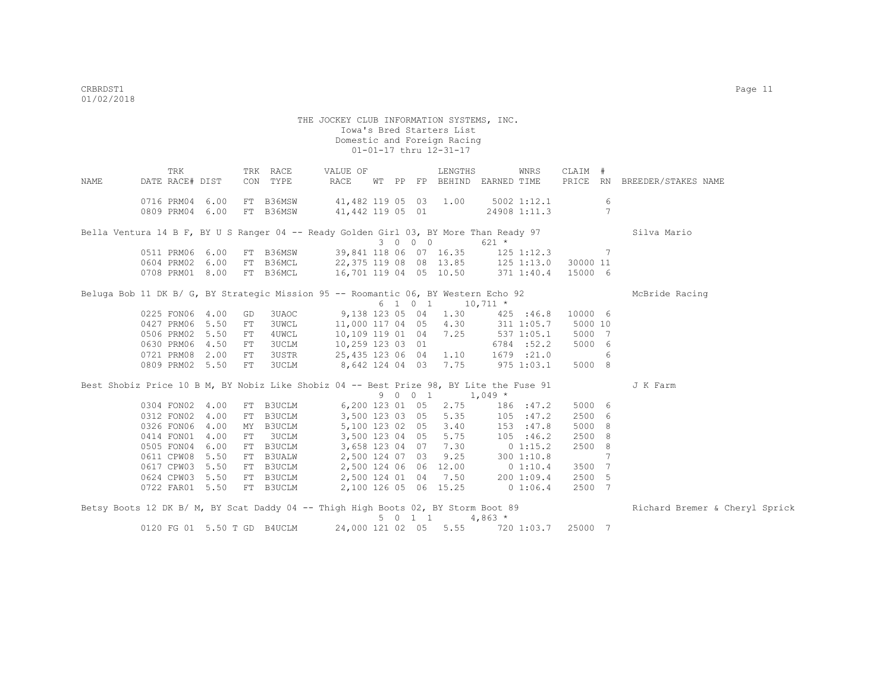THE JOCKEY CLUB INFORMATION SYSTEMS, INC. Iowa's Bred Starters List Domestic and Foreign Racing 01-01-17 thru 12-31-17 TRK TRK RACE VALUE OF LENGTHS WNRS CLAIM # NAME DATE RACE# DIST CON TYPE RACE WT PP FP BEHIND EARNED TIME PRICE RN BREEDER/STAKES NAME 0716 PRM04 6.00 FT B36MSW 41,482 119 05 03 1.00 5002 1:12.1 6 0809 PRM04 6.00 FT B36MSW 41,442 119 05 01 24908 1:11.3 7 Bella Ventura 14 B F, BY U S Ranger 04 -- Ready Golden Girl 03, BY More Than Ready 97 Silva Mario 3 0 0 0 621 \*<br>39,841 118 06 07 16.35 125 021 125 06 07 16.35 125 0511 PRM06 6.00 FT B36MSW 39,841 118 06 07 16.35 125 1:12.3<br>0604 PRM02 6.00 FT B36MCL 22,375 119 08 08 13.85 125 1:13.0 0604 PRM02 6.00 FT B36MCL 22,375 119 08 08 13.85 125 1:13.0 30000 11<br>0708 PRM01 8.00 FT B36MCL 16,701 119 04 05 10.50 371 1:40.4 15000 6 16,701 119 04 05 10.50 371 1:40.4 15000 6 Beluga Bob 11 DK B/ G, BY Strategic Mission 95 -- Roomantic 06, BY Western Echo 92 McBride Racing  $6 \quad 1 \quad 0 \quad 1 \quad 10.711 \star$  0225 FON06 4.00 GD 3UAOC 9,138 123 05 04 1.30 425 :46.8 10000 6 0427 PRM06 5.50 FT 3UWCL 11,000 117 04 05 4.30 311 1:05.7 5000 10 0506 PRM02 5.50 FT 4UWCL 10,109 119 01 04 7.25 537 1:05.1 5000 7 0630 PRM06 4.50 FT 3UCLM 10,259 123 03 01 6784 :52.2 5000 6 0721 PRM08 2.00 FT 3USTR 25,435 123 06 04 1.10 1679 :21.0 6 0809 PRM02 5.50 FT 3UCLM 8,642 124 04 03 7.75 975 1:03.1 5000 8 Best Shobiz Price 10 B M, BY Nobiz Like Shobiz 04 -- Best Prize 98, BY Lite the Fuse 91 J K Farm  $9 \t0 \t0 \t1 \t1,049 \t*$  0304 FON02 4.00 FT B3UCLM 6,200 123 01 05 2.75 186 :47.2 5000 6 0312 FON02 4.00 FT B3UCLM 3,500 123 03 05 5.35 105 :47.2 2500 6 0326 FON06 4.00 MY B3UCLM 5,100 123 02 05 3.40 153 :47.8 5000 8 0414 FON01 4.00 FT 3UCLM 3,500 123 04 05 5.75 105 :46.2 2500 8 0505 FON04 6.00 FT B3UCLM 3,658 123 04 07 7.30 0 1:15.2 2500 8 0611 CPW08 5.50 FT B3UALW 2,500 124 07 03 9.25 300 1:10.8 7 0617 CPW03 5.50 FT B3UCLM 2,500 124 06 06 12.00 0 1:10.4 3500 7<br>0624 CPW03 5.50 FT B3UCLM 2,500 124 01 04 7.50 200 1:09.4 2500 5 0624 CPW03 5.50 FT B3UCLM 2,500 124 01 04 7.50 200 1:09.4<br>0722 FAR01 5.50 FT B3UCLM 2.100 126 05 06 15.25 0 1:06.4  $2.100$  126 05 06 15.25 0 1:06.4 2500 7 Betsy Boots 12 DK B/ M, BY Scat Daddy 04 -- Thigh High Boots 02, BY Storm Boot 89 Richard Bremer & Cheryl Sprick

 $5 \t 0 \t 1 \t 4,863 \star$ 

0120 FG 01 5.50 T GD B4UCLM 24,000 121 02 05 5.55 720 1:03.7 25000 7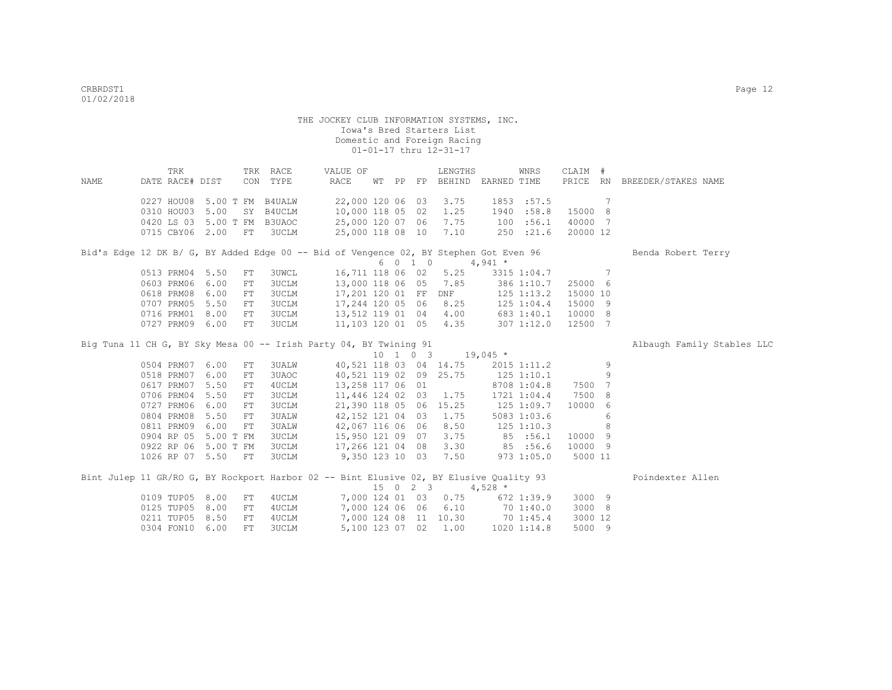|      | TRK                         |           |            | TRK RACE     | VALUE OF                                                                               |  | LENGTHS                                         |                                 | WNRS           | CLAIM #       |    |                              |
|------|-----------------------------|-----------|------------|--------------|----------------------------------------------------------------------------------------|--|-------------------------------------------------|---------------------------------|----------------|---------------|----|------------------------------|
| NAME | DATE RACE# DIST             |           |            | CON TYPE     | RACE                                                                                   |  |                                                 | WT PP FP BEHIND EARNED TIME     |                |               |    | PRICE RN BREEDER/STAKES NAME |
|      |                             |           |            |              |                                                                                        |  |                                                 |                                 |                |               |    |                              |
|      | 0227 HOU08 5.00 T FM B4UALW |           |            |              | 22,000 120 06 03                                                                       |  | 3.75                                            |                                 | 1853 :57.5     | $\sim$ 7      |    |                              |
|      | 0310 HOU03 5.00             |           |            | SY B4UCLM    | 10,000 118 05 02                                                                       |  | 1.25                                            | 1940                            | :58.8          | 15000 8       |    |                              |
|      | 0420 LS 03 5.00 T FM B3UAOC |           |            |              | 25,000 120 07 06                                                                       |  | 7.75                                            |                                 | 100 : 56.1     | 40000 7       |    |                              |
|      | 0715 CBY06 2.00 FT 3UCLM    |           |            |              |                                                                                        |  | 25,000 118 08 10 7.10                           |                                 | 250 : 21.6     | 20000 12      |    |                              |
|      |                             |           |            |              | Bid's Edge 12 DK B/ G, BY Added Edge 00 -- Bid of Vengence 02, BY Stephen Got Even 96  |  |                                                 |                                 |                |               |    | Benda Robert Terry           |
|      |                             |           |            |              |                                                                                        |  | $60104,941*$                                    |                                 |                |               |    |                              |
|      | 0513 PRM04 5.50             |           | FT         | <b>3UWCL</b> |                                                                                        |  | 16,711 118 06 02 5.25                           |                                 |                | 3315 1:04.7 7 |    |                              |
|      | 0603 PRM06                  | 6.00      | FT         | 3UCLM        |                                                                                        |  | 13,000 118 06 05 7.85                           |                                 | 386 1:10.7     | 25000 6       |    |                              |
|      | 0618 PRM08                  | 6.00      | ${\rm FT}$ | 3UCLM        | 17,201 120 01 FF                                                                       |  | <b>DNF</b>                                      |                                 | $125$ $1:13.2$ | 15000 10      |    |                              |
|      | 0707 PRM05                  | 5.50      | FT         | <b>3UCLM</b> | 17,244 120 05 06                                                                       |  |                                                 | 8.25 125 1:04.4                 |                | 15000 9       |    |                              |
|      | 0716 PRM01                  | 8.00      | FT         | <b>3UCLM</b> | 13,512 119 01 04 4.00 683 1:40.1                                                       |  |                                                 |                                 |                | 10000 8       |    |                              |
|      | 0727 PRM09 6.00             |           | FT         | <b>3UCLM</b> | 11,103 120 01 05 4.35                                                                  |  |                                                 |                                 | 307 1:12.0     | 12500 7       |    |                              |
|      |                             |           |            |              |                                                                                        |  |                                                 |                                 |                |               |    |                              |
|      |                             |           |            |              | Big Tuna 11 CH G, BY Sky Mesa 00 -- Irish Party 04, BY Twining 91                      |  |                                                 |                                 |                |               |    | Albaugh Family Stables LLC   |
|      |                             |           |            |              |                                                                                        |  | $10 \quad 1 \quad 0 \quad 3 \quad 19,045 \star$ |                                 |                |               |    |                              |
|      | 0504 PRM07 6.00             |           | FT         | 3UALW        |                                                                                        |  | 40,521 118 03 04 14.75                          |                                 | 2015 1:11.2    |               | -9 |                              |
|      | 0518 PRM07                  | 6.00      | FT         | 3UAOC        | 40,521 119 02 09 25.75                                                                 |  |                                                 | $125$ $1:10.1$                  |                |               | 9  |                              |
|      | 0617 PRM07                  | 5.50      | FT         | 4UCLM        | 13,258 117 06 01                                                                       |  |                                                 |                                 | 8708 1:04.8    | 7500 7        |    |                              |
|      | 0706 PRM04                  | 5.50      | FT         | 3UCLM        | 11,446 124 02 03 1.75                                                                  |  |                                                 |                                 | 1721 1:04.4    | 7500 8        |    |                              |
|      | 0727 PRM06                  | 6.00      | FT         | 3UCLM        | 21,390 118 05 06 15.25                                                                 |  |                                                 |                                 | 125 1:09.7     | 10000 6       |    |                              |
|      | 0804 PRM08                  | 5.50      | FT         | <b>3UALW</b> | 42, 152 121 04 03                                                                      |  | 1.75                                            |                                 | 5083 1:03.6    |               | 6  |                              |
|      | 0811 PRM09                  | 6.00      | FT         | 3UALW        | 42,067 116 06 06                                                                       |  | 8.50                                            |                                 | $125$ $1:10.3$ |               | 8  |                              |
|      | 0904 RP 05                  | 5.00 T FM |            | 3UCLM        | 15,950 121 09 07                                                                       |  | 3.75                                            | 85 :56.1                        |                | 10000 9       |    |                              |
|      | 0922 RP 06 5.00 T FM        |           |            | 3UCLM        | 17,266 121 04 08                                                                       |  |                                                 | 3.30 85 :56.6                   |                | 10000 9       |    |                              |
|      | 1026 RP 07 5.50 FT          |           |            | 3UCLM        | 9,350 123 10 03 7.50                                                                   |  |                                                 |                                 | 973 1:05.0     | 5000 11       |    |                              |
|      |                             |           |            |              |                                                                                        |  |                                                 |                                 |                |               |    |                              |
|      |                             |           |            |              | Bint Julep 11 GR/RO G, BY Rockport Harbor 02 -- Bint Elusive 02, BY Elusive Quality 93 |  |                                                 |                                 |                |               |    | Poindexter Allen             |
|      |                             |           |            |              |                                                                                        |  | $15 \t 0 \t 2 \t 3 \t 4,528 \t \star$           |                                 |                |               |    |                              |
|      | 0109 TUP05 8.00             |           | FT         | 4 UCLM       |                                                                                        |  | 7,000 124 01 03 0.75                            |                                 | 672 1:39.9     | 3000 9        |    |                              |
|      | 0125 TUP05 8.00             |           | ${\rm FT}$ | 4UCLM        |                                                                                        |  |                                                 | 7,000 124 06 06 6.10 70 1:40.0  |                | 3000 8        |    |                              |
|      | 0211 TUP05 8.50             |           | FT         | 4UCLM        |                                                                                        |  |                                                 | 7,000 124 08 11 10.30 70 1:45.4 |                | 3000 12       |    |                              |
|      | 0304 FON10 6.00             |           | FT.        | <b>3UCLM</b> |                                                                                        |  | 5,100 123 07 02 1.00                            |                                 | 1020 1:14.8    | 5000 9        |    |                              |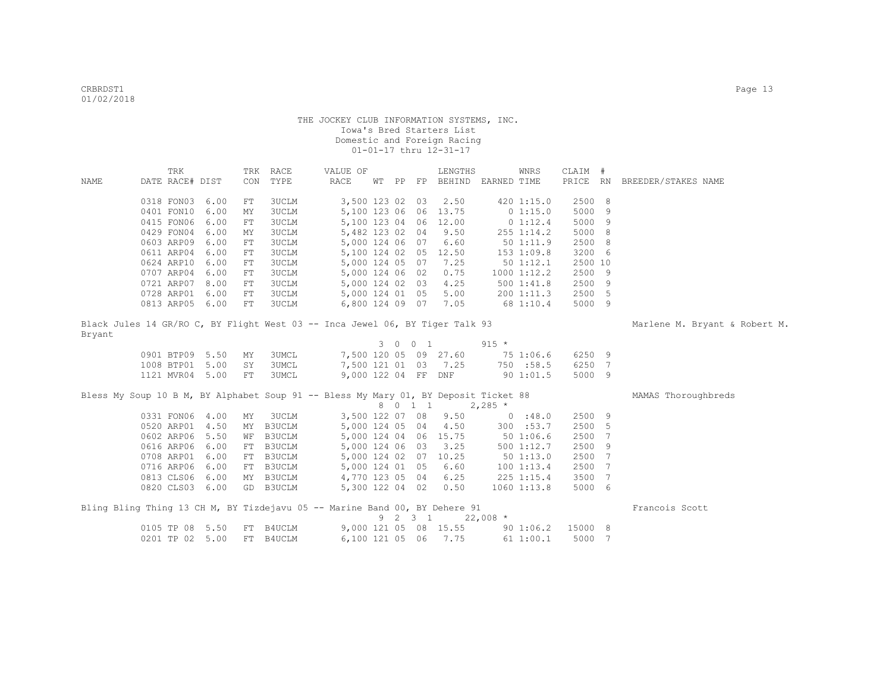|        |                 | TRK |                 | TRK | RACE         | VALUE OF                                                                            |  |         | LENGTHS                                    |           | WNRS            | CLAIM # |     |                               |
|--------|-----------------|-----|-----------------|-----|--------------|-------------------------------------------------------------------------------------|--|---------|--------------------------------------------|-----------|-----------------|---------|-----|-------------------------------|
| NAME   | DATE RACE# DIST |     |                 | CON | TYPE         | RACE                                                                                |  |         | WT PP FP BEHIND EARNED TIME                |           |                 |         |     | PRICE RN BREEDER/STAKES NAME  |
|        |                 |     |                 |     |              |                                                                                     |  |         |                                            |           |                 |         |     |                               |
|        | 0318 FON03 6.00 |     |                 | FT  | 3UCLM        | 3,500 123 02 03                                                                     |  |         | 2.50                                       |           | 420 1:15.0      | 2500 8  |     |                               |
|        | 0401 FON10 6.00 |     |                 | MΥ  | 3UCLM        |                                                                                     |  |         | 5,100 123 06 06 13.75                      |           | 0 1:15.0        | 5000 9  |     |                               |
|        | 0415 FON06 6.00 |     |                 | FT  | 3UCLM        |                                                                                     |  |         | 5,100 123 04 06 12.00                      |           | 0 1:12.4        | 5000 9  |     |                               |
|        | 0429 FON04 6.00 |     |                 | MΥ  | 3UCLM        | 5,482 123 02 04                                                                     |  |         | 9.50                                       |           | $255$ $1:14.2$  | 5000 8  |     |                               |
|        | 0603 ARP09 6.00 |     |                 | FT  | 3UCLM        | 5,000 124 06 07                                                                     |  |         | 6.60                                       |           | 501:11.9        | 2500 8  |     |                               |
|        | 0611 ARP04 6.00 |     |                 | FT  | 3UCLM        |                                                                                     |  |         | 5,100 124 02 05 12.50                      |           | 153 1:09.8      | 3200 6  |     |                               |
|        | 0624 ARP10 6.00 |     |                 | FT  | <b>3UCLM</b> | 5,000 124 05 07                                                                     |  |         | 7.25                                       |           | 501:12.1        | 2500 10 |     |                               |
|        | 0707 ARP04 6.00 |     |                 | FT  | <b>3UCLM</b> | 5,000 124 06 02                                                                     |  |         | 0.75                                       |           | 10001:12.2      | 2500 9  |     |                               |
|        | 0721 ARP07 8.00 |     |                 | FT  | <b>3UCLM</b> | 5,000 124 02 03                                                                     |  |         | 4.25                                       |           | 500 1:41.8      | 2500 9  |     |                               |
|        | 0728 ARP01 6.00 |     |                 | FT  | 3UCLM        | 5,000 124 01 05                                                                     |  |         | 5.00                                       |           | 200 1:11.3      | 2500 5  |     |                               |
|        | 0813 ARP05 6.00 |     |                 | FT  | <b>3UCLM</b> | 6,800 124 09 07                                                                     |  |         | 7.05                                       | 68 1:10.4 |                 | 5000 9  |     |                               |
| Bryant |                 |     |                 |     |              | Black Jules 14 GR/RO C, BY Flight West 03 -- Inca Jewel 06, BY Tiger Talk 93        |  |         |                                            |           |                 |         |     | Marlene M. Bryant & Robert M. |
|        |                 |     |                 |     |              |                                                                                     |  | 3 0 0 1 |                                            | $915 *$   |                 |         |     |                               |
|        | 0901 BTP09 5.50 |     |                 | MY  | 3UMCL        |                                                                                     |  |         | 7,500 120 05 09 27.60                      |           | 75 1:06.6       | 6250 9  |     |                               |
|        | 1008 BTP01 5.00 |     |                 | SY  | 3UMCL        | 7,500 121 01 03 7.25                                                                |  |         |                                            |           | 750 :58.5       | 6250 7  |     |                               |
|        | 1121 MVR04 5.00 |     |                 | FT  | 3UMCL        | 9,000 122 04 FF DNF                                                                 |  |         |                                            |           | 901:01.5        | 5000 9  |     |                               |
|        |                 |     |                 |     |              | Bless My Soup 10 B M, BY Alphabet Soup 91 -- Bless My Mary 01, BY Deposit Ticket 88 |  | 8 0 1 1 |                                            | $2,285$ * |                 |         |     | MAMAS Thoroughbreds           |
|        | 0331 FON06 4.00 |     |                 | MY  | 3UCLM        | 3,500 122 07 08                                                                     |  |         | 9.50                                       |           | 0.18.0          | 2500 9  |     |                               |
|        | 0520 ARP01 4.50 |     |                 |     | MY B3UCLM    | 5,000 124 05 04                                                                     |  |         | 4.50                                       |           | 300 :53.7       | 2500 5  |     |                               |
|        | 0602 ARP06 5.50 |     |                 |     | WF B3UCLM    |                                                                                     |  |         | 5,000 124 04 06 15.75                      |           | 501:06.6        | 2500    | 7   |                               |
|        | 0616 ARP06 6.00 |     |                 |     | FT B3UCLM    |                                                                                     |  |         | 5,000 124 06 03 3.25                       |           | 500 1:12.7      | 2500    | 9   |                               |
|        | 0708 ARP01 6.00 |     |                 |     | FT B3UCLM    |                                                                                     |  |         | 5,000 124 02 07 10.25                      |           | 501:13.0        | 2500    | - 7 |                               |
|        | 0716 ARP06 6.00 |     |                 |     | FT B3UCLM    | 5,000 124 01 05                                                                     |  |         | 6.60                                       |           | 1001:13.4       | 2500    | 7   |                               |
|        | 0813 CLS06 6.00 |     |                 |     | MY B3UCLM    | 4,770 123 05 04                                                                     |  |         | 6.25                                       |           | $225$ 1:15.4    | 3500    | 7   |                               |
|        | 0820 CLS03 6.00 |     |                 |     | GD B3UCLM    | 5,300 122 04 02                                                                     |  |         | 0.50                                       |           | $1060$ $1:13.8$ | 5000 6  |     |                               |
|        |                 |     |                 |     |              | Bling Bling Thing 13 CH M, BY Tizdejavu 05 -- Marine Band 00, BY Dehere 91          |  |         | $9 \quad 2 \quad 3 \quad 1 \quad 22,008$ * |           |                 |         |     | Francois Scott                |
|        | 0105 TP 08 5.50 |     |                 |     | FT B4UCLM    |                                                                                     |  |         | 9,000 121 05 08 15.55                      |           | 901:06.2        | 15000 8 |     |                               |
|        |                 |     | 0201 TP 02 5.00 |     | FT B4UCLM    | 6,100 121 05 06                                                                     |  |         | 7.75                                       |           | 611:00.1        | 5000 7  |     |                               |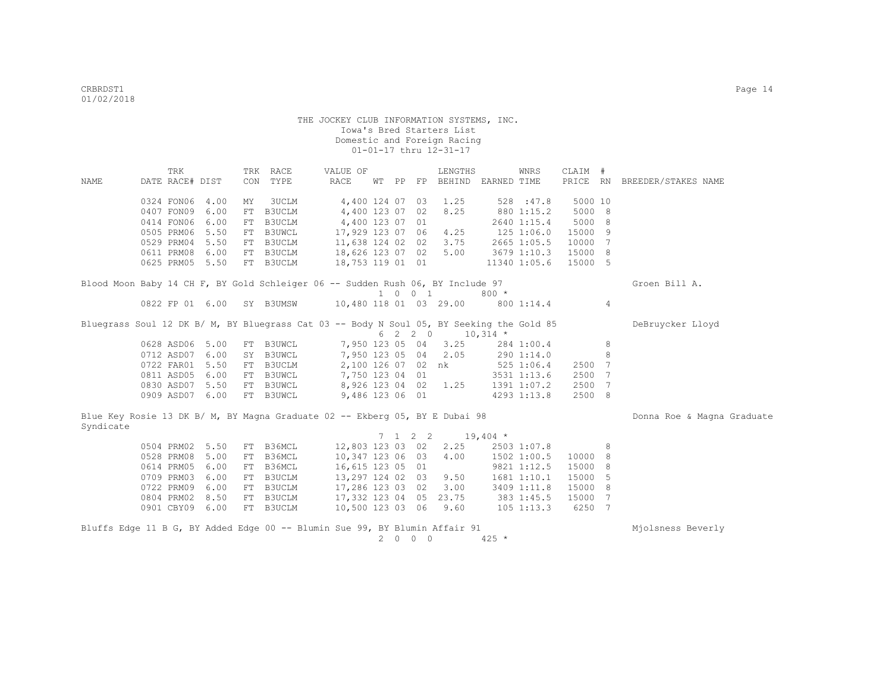|           |                 | TRK |                 |    | TRK RACE  | VALUE OF                                                                                 |    |                             | LENGTHS                  |            | WNRS         | CLAIM # |   |                              |
|-----------|-----------------|-----|-----------------|----|-----------|------------------------------------------------------------------------------------------|----|-----------------------------|--------------------------|------------|--------------|---------|---|------------------------------|
| NAME      | DATE RACE# DIST |     |                 |    | CON TYPE  | RACE                                                                                     | WТ |                             | PP FP BEHIND EARNED TIME |            |              |         |   | PRICE RN BREEDER/STAKES NAME |
|           |                 |     |                 |    |           |                                                                                          |    |                             |                          |            |              |         |   |                              |
|           | 0324 FON06      |     | 4.00            | MY | 3UCLM     |                                                                                          |    |                             | 4,400 124 07 03 1.25     |            | 528 : 47.8   | 5000 10 |   |                              |
|           | 0407 FON09      |     | 6.00            | FT | B3UCLM    | 4,400 123 07 02                                                                          |    |                             | 8.25                     |            | 880 1:15.2   | 5000 8  |   |                              |
|           | 0414 FON06      |     | 6.00            | FT | B3UCLM    | 4,400 123 07 01                                                                          |    |                             |                          |            | 2640 1:15.4  | 5000 8  |   |                              |
|           | 0505 PRM06      |     | 5.50            | FT | B3UWCL    | 17,929 123 07 06                                                                         |    |                             | 4.25                     |            | 125 1:06.0   | 15000 9 |   |                              |
|           | 0529 PRM04      |     | 5.50            | FT | B3UCLM    | 11,638 124 02 02                                                                         |    |                             | 3.75                     |            | 2665 1:05.5  | 10000 7 |   |                              |
|           | 0611 PRM08      |     | 6.00            | FT | B3UCLM    | 18,626 123 07 02                                                                         |    |                             | 5.00                     |            | 3679 1:10.3  | 15000 8 |   |                              |
|           | 0625 PRM05 5.50 |     |                 |    | FT B3UCLM | 18,753 119 01 01                                                                         |    |                             |                          |            | 11340 1:05.6 | 15000 5 |   |                              |
|           |                 |     |                 |    |           |                                                                                          |    |                             |                          |            |              |         |   |                              |
|           |                 |     |                 |    |           | Blood Moon Baby 14 CH F, BY Gold Schleiger 06 -- Sudden Rush 06, BY Include 97           |    |                             |                          |            |              |         |   | Groen Bill A.                |
|           |                 |     |                 |    |           |                                                                                          |    | $1 \quad 0 \quad 0 \quad 1$ |                          | $800 *$    |              |         |   |                              |
|           |                 |     | 0822 FP 01 6.00 |    | SY B3UMSW | 10,480 118 01 03 29.00                                                                   |    |                             |                          |            | 800 1:14.4   |         | 4 |                              |
|           |                 |     |                 |    |           |                                                                                          |    |                             |                          |            |              |         |   |                              |
|           |                 |     |                 |    |           | Bluegrass Soul 12 DK B/ M, BY Bluegrass Cat 03 -- Body N Soul 05, BY Seeking the Gold 85 |    |                             |                          |            |              |         |   | DeBruycker Lloyd             |
|           |                 |     |                 |    |           |                                                                                          |    | 6 2 2 0                     |                          | $10,314$ * |              |         |   |                              |
|           | 0628 ASD06      |     | 5.00            |    | FT B3UWCL |                                                                                          |    |                             | 7,950 123 05 04 3.25     |            | 284 1:00.4   |         | 8 |                              |
|           | 0712 ASD07      |     | 6.00            |    | SY B3UWCL |                                                                                          |    |                             | 7,950 123 05 04 2.05     |            | 290 1:14.0   |         | 8 |                              |
|           | 0722 FAR01      |     | 5.50            | FT | B3UCLM    |                                                                                          |    |                             | 2,100 126 07 02 nk       | 5251:06.4  |              | 2500 7  |   |                              |
|           | 0811 ASD05      |     | 6.00            |    | FT B3UWCL | 7,750 123 04 01                                                                          |    |                             |                          |            | 3531 1:13.6  | 2500 7  |   |                              |
|           | 0830 ASD07      |     | 5.50            |    | FT B3UWCL |                                                                                          |    |                             | 8,926 123 04 02 1.25     |            | 1391 1:07.2  | 2500 7  |   |                              |
|           | 0909 ASD07 6.00 |     |                 |    | FT B3UWCL | 9,486 123 06 01                                                                          |    |                             |                          |            | 4293 1:13.8  | 2500 8  |   |                              |
|           |                 |     |                 |    |           |                                                                                          |    |                             |                          |            |              |         |   |                              |
|           |                 |     |                 |    |           | Blue Key Rosie 13 DK B/ M, BY Magna Graduate 02 -- Ekberg 05, BY E Dubai 98              |    |                             |                          |            |              |         |   | Donna Roe & Magna Graduate   |
| Syndicate |                 |     |                 |    |           |                                                                                          |    |                             |                          |            |              |         |   |                              |
|           |                 |     |                 |    |           |                                                                                          |    | $7 \t1 \t2 \t2$             |                          | $19,404$ * |              |         |   |                              |
|           | 0504 PRM02      |     | 5.50            | FT | B36MCL    |                                                                                          |    |                             | 12,803 123 03 02 2.25    |            | 2503 1:07.8  |         | 8 |                              |
|           | 0528 PRM08      |     | 5.00            | FT | B36MCL    | 10,347 123 06 03                                                                         |    |                             | 4.00                     |            | 1502 1:00.5  | 10000 8 |   |                              |
|           | 0614 PRM05      |     | 6.00            | FT | B36MCL    | 16,615 123 05 01                                                                         |    |                             |                          |            | 9821 1:12.5  | 15000 8 |   |                              |
|           | 0709 PRM03      |     | 6.00            | FT | B3UCLM    | 13,297 124 02 03 9.50                                                                    |    |                             |                          |            | 1681 1:10.1  | 15000 5 |   |                              |
|           | 0722 PRM09      |     | 6.00            |    | FT B3UCLM | 17,286 123 03 02                                                                         |    |                             | 3.00                     |            | 3409 1:11.8  | 15000 8 |   |                              |
|           | 0804 PRM02 8.50 |     |                 |    | FT B3UCLM | 17,332 123 04 05 23.75                                                                   |    |                             |                          |            | 383 1:45.5   | 15000 7 |   |                              |
|           | 0901 CBY09 6.00 |     |                 |    | FT B3UCLM | 10,500 123 03 06 9.60                                                                    |    |                             |                          |            | $105$ 1:13.3 | 6250 7  |   |                              |
|           |                 |     |                 |    |           | Bluffs Edge 11 B G, BY Added Edge 00 -- Blumin Sue 99, BY Blumin Affair 91               |    |                             |                          |            |              |         |   | Miolsness Beverly            |
|           |                 |     |                 |    |           |                                                                                          |    | 2000                        |                          | $425 *$    |              |         |   |                              |
|           |                 |     |                 |    |           |                                                                                          |    |                             |                          |            |              |         |   |                              |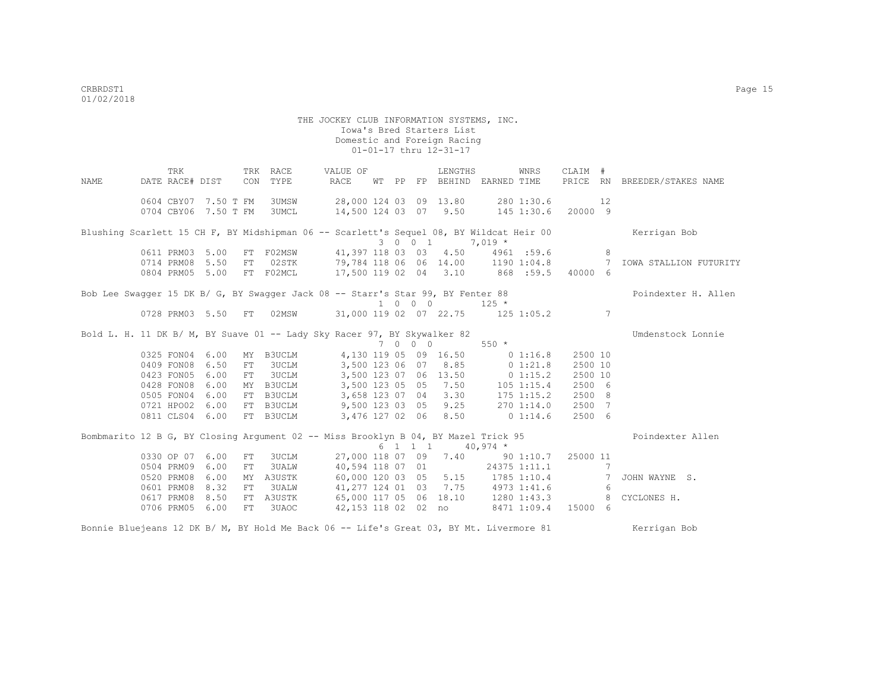THE JOCKEY CLUB INFORMATION SYSTEMS, INC. Iowa's Bred Starters List Domestic and Foreign Racing 01-01-17 thru 12-31-17 TRK TRK RACE VALUE OF LENGTHS WNRS CLAIM # NAME DATE RACE# DIST CON TYPE RACE WT PP FP BEHIND EARNED TIME PRICE RN BREEDER/STAKES NAME 0604 CBY07 7.50 T FM 3UMSW 28,000 124 03 09 13.80 280 1:30.6 12 0704 CBY06 7.50 T FM 3UMCL 14,500 124 03 07 9.50 145 1:30.6 20000 9 Blushing Scarlett 15 CH F, BY Midshipman 06 -- Scarlett's Sequel 08, BY Wildcat Heir 00 Kerrigan Bob 3 0 0 1 7,019 \*<br>0611 PRM03 5.00 FT F02MSW 41,397 118 03 03 4.50 4961 0611 PRM03 5.00 FT F02MSW 41,397 118 03 03 4.50 4961 :59.6 8<br>0714 PRM08 5.50 FT 02STK 79,784 118 06 06 14.00 1190 1:04.8 7 0011 PRM08 5.50 FT 02H2K 179,784 118 06 06 14.00 1190 1:04.8 7 IOWA STALLION FUTURITY<br>0804 PRM05 5.00 FT FO2MCL 17,500 119 02 04 3.10 868 :59.5 40000 6 17,500 119 02 04 3.10 868 :59.5 40000 6 Bob Lee Swagger 15 DK B/ G, BY Swagger Jack 08 -- Starr's Star 99, BY Fenter 88 Poindexter H. Allen 1 0 0 0 125 \* 0728 PRM03 5.50 FT 02MSW 31,000 119 02 07 22.75 125 1:05.2 7 Bold L. H. 11 DK B/ M, BY Suave 01 -- Lady Sky Racer 97, BY Skywalker 82 The Munic Connie  $7$  0 0 0 550  $*$ <br>4,130 119 05 09 16.50 0 1:16.8 0325 FON04 6.00 MY B3UCLM 4,130 119 05 09 16.50 0 1:16.8 2500 10<br>0409 FON08 6.50 FT 3UCLM 3.500 123 06 07 8.85 0 1:21.8 2500 10 0409 FON08 6.50 FT 3UCLM 3,500 123 06 07 8.85 0 1:21.8 0423 FON05 6.00 FT 3UCLM 3,500 123 07 06 13.50 0 1:15.2 2500 10<br>0428 FON08 6.00 MY B3UCLM 3,500 123 05 05 7.50 105 1:15.4 2500 6 0425 6.00 123 6.00 105 7.50 105 1.15.4 12500 6.000 123 07 04 123 07 105 175 1.15.2 105 2500 8 0505 FON04 6.00 FT B3UCLM 3,658 123 07 04 3.30 175 1:15.2 2500 8 0721 HPO02 6.00 FT B3UCLM 9,500 123 03 05 9.25 270 1:14.0 2500 7 0811 CLS04 6.00 FT B3UCLM 3,476 127 02 06 8.50 0 1:14.6 2500 6 Bombmarito 12 B G, BY Closing Argument 02 -- Miss Brooklyn B 04, BY Mazel Trick 95 Poindexter Allen 6 1 1 1 40,974 \* 0330 OP 07 6.00 FT 3UCLM 27,000 118 07 09 7.40 90 1:10.7 25000 11<br>0504 PRM09 6.00 FT 3UALW 40,594 118 07 01 24375 1:11.1 7 0504 PRM09 6.00 FT 3UALW 40,594 118 07 01 24375 1:11.1 7<br>0520 PRM08 6.00 MY A3USTK 60,000 120 03 05 5.15 1785 1:10.4 7 JOHN WAYNE S. 0520 PRM08 6.00 MY A3USTK 60,000 120 03 05 5.15 1785 1:10.4 7<br>0601 PRM08 8.32 FT 3UALW 41,277 124 01 03 7.75 4973 1:41.6 6 0601 PRM 0601 PRM08 8.41,277 124 01 03 7.75 4973 1:41.6 6<br>65,000 117 05 06 18.10 1280 1:43.3 8 CYCLONES H. 0617 PRM08 8.50 FT A3USTK 65,000 117 05 06 18.10 1280 1:43.3 0706 PRM05 6.00 FT 3UAOC 42,153 118 02 02 no 8471 1:09.4 15000 6

Bonnie Bluejeans 12 DK B/ M, BY Hold Me Back 06 -- Life's Great 03, BY Mt. Livermore 81 Kerrigan Bob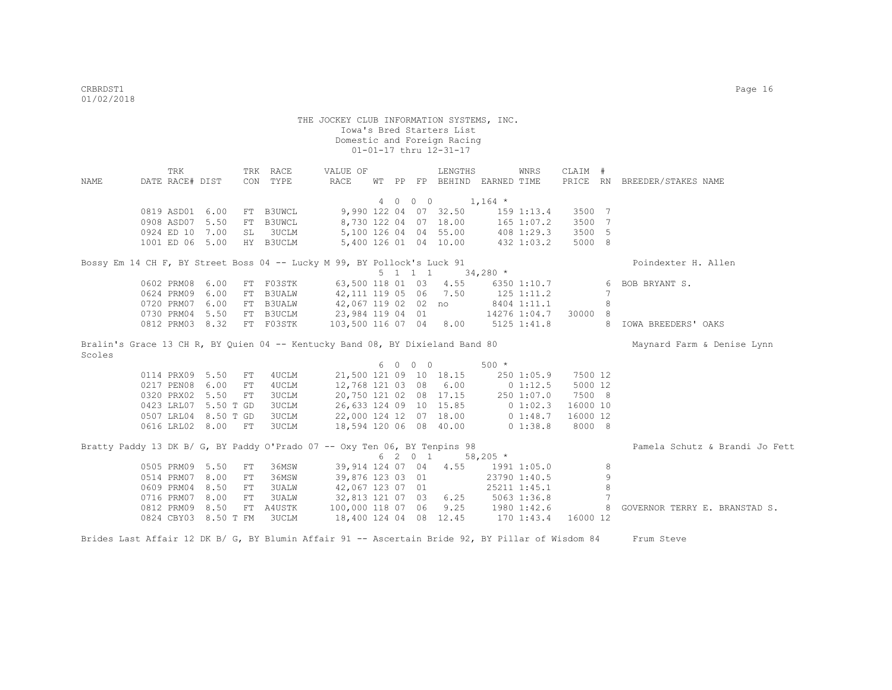| <b>NAME</b> | TRK<br>DATE RACE# DIST |                      |     | TRK RACE<br>CON TYPE                                                          | VALUE OF<br>RACE       | WТ | PP |                 | LENGTHS<br>FP BEHIND EARNED TIME |             | WNRS            | CLAIM #  |                 | PRICE RN BREEDER/STAKES NAME   |
|-------------|------------------------|----------------------|-----|-------------------------------------------------------------------------------|------------------------|----|----|-----------------|----------------------------------|-------------|-----------------|----------|-----------------|--------------------------------|
|             |                        |                      |     |                                                                               |                        |    |    |                 |                                  |             |                 |          |                 |                                |
|             |                        |                      |     |                                                                               |                        |    |    | 4 0 0 0         | $1,164$ *                        |             |                 |          |                 |                                |
|             | 0819 ASD01 6.00        |                      |     | FT B3UWCL                                                                     |                        |    |    |                 | 9,990 122 04 07 32.50            |             | $159$ $1:13.4$  | 3500 7   |                 |                                |
|             | 0908 ASD07 5.50        |                      |     | FT B3UWCL                                                                     |                        |    |    |                 | 8,730 122 04 07 18.00            |             | 165 1:07.2      | 3500     | 7               |                                |
|             | 0924 ED 10 7.00        |                      | SL  | 3UCLM                                                                         |                        |    |    |                 | 5,100 126 04 04 55.00            |             | 408 1:29.3      | 3500     | - 5             |                                |
|             | 1001 ED 06 5.00        |                      |     | HY B3UCLM                                                                     |                        |    |    |                 | 5,400 126 01 04 10.00            |             | 432 1:03.2      | 5000 8   |                 |                                |
|             |                        |                      |     | Bossy Em 14 CH F, BY Street Boss 04 -- Lucky M 99, BY Pollock's Luck 91       |                        |    |    |                 |                                  |             |                 |          |                 | Poindexter H. Allen            |
|             |                        |                      |     |                                                                               |                        |    |    | $5 \t1 \t1 \t1$ |                                  | $34,280$ *  |                 |          |                 |                                |
|             | 0602 PRM08 6.00        |                      |     | FT F03STK                                                                     | 63,500 118 01 03       |    |    |                 | 4.55                             |             | 6350 1:10.7     |          | 6               | BOB BRYANT S.                  |
|             | 0624 PRM09 6.00        |                      | FT  | <b>B3UALW</b>                                                                 | 42,111 119 05 06       |    |    |                 | 7.50                             | 125 1:11.2  |                 |          | $7\phantom{.0}$ |                                |
|             | 0720 PRM07 6.00        |                      |     | FT B3UALW                                                                     | 42,067 119 02 02 no    |    |    |                 |                                  |             | 8404 1:11.1     |          | 8               |                                |
|             | 0730 PRM04 5.50        |                      |     | FT B3UCLM                                                                     | 23,984 119 04 01       |    |    |                 |                                  |             | 14276 1:04.7    | 30000 8  |                 |                                |
|             | 0812 PRM03 8.32        |                      |     | FT F03STK                                                                     | 103,500 116 07 04 8.00 |    |    |                 |                                  |             | $5125$ $1:41.8$ |          | 8               | IOWA BREEDERS' OAKS            |
| Scoles      |                        |                      |     | Bralin's Grace 13 CH R, BY Quien 04 -- Kentucky Band 08, BY Dixieland Band 80 |                        |    |    |                 |                                  |             |                 |          |                 | Maynard Farm & Denise Lynn     |
|             |                        |                      |     |                                                                               |                        |    |    | 6 0 0 0         |                                  | $500 *$     |                 |          |                 |                                |
|             | 0114 PRX09 5.50        |                      | FT. | 4UCLM                                                                         | 21,500 121 09 10 18.15 |    |    |                 |                                  |             | 250 1:05.9      | 7500 12  |                 |                                |
|             | 0217 PEN08 6.00        |                      | FT  | 4UCLM                                                                         | 12,768 121 03 08       |    |    |                 | 6.00                             |             | 0 1:12.5        | 5000 12  |                 |                                |
|             | 0320 PRX02 5.50        |                      | FT  | 3UCLM                                                                         |                        |    |    |                 | 20,750 121 02 08 17.15           |             | 250 1:07.0      | 7500 8   |                 |                                |
|             |                        | 0423 LRL07 5.50 T GD |     | 3UCLM                                                                         |                        |    |    |                 | 26,633 124 09 10 15.85           |             | 0 1:02.3        | 16000 10 |                 |                                |
|             |                        | 0507 LRL04 8.50 T GD |     | 3UCLM                                                                         | 22,000 124 12 07 18.00 |    |    |                 |                                  | $0\;1:48.7$ |                 | 16000 12 |                 |                                |
|             | 0616 LRL02 8.00        |                      | FT  | 3UCLM                                                                         | 18,594 120 06 08 40.00 |    |    |                 |                                  | $0\;1:38.8$ |                 | 8000 8   |                 |                                |
|             |                        |                      |     | Bratty Paddy 13 DK B/ G, BY Paddy O'Prado 07 -- Oxy Ten 06, BY Tenpins 98     |                        |    |    |                 |                                  |             |                 |          |                 | Pamela Schutz & Brandi Jo Fett |
|             |                        |                      |     |                                                                               |                        |    |    | 6 2 0 1         |                                  | $58,205*$   |                 |          |                 |                                |
|             | 0505 PRM09 5.50        |                      | FT  | 36MSW                                                                         | 39,914 124 07 04       |    |    |                 | 4.55                             |             | 1991 1:05.0     |          | 8               |                                |
|             | 0514 PRM07 8.00        |                      | FT  | 36MSW                                                                         | 39,876 123 03 01       |    |    |                 |                                  |             | 23790 1:40.5    |          | $\mathsf 9$     |                                |
|             | 0609 PRM04 8.50        |                      | FT  | 3UALW                                                                         | 42,067 123 07 01       |    |    |                 |                                  |             | 25211 1:45.1    |          | 8               |                                |
|             | 0716 PRM07 8.00        |                      | FT  | 3UALW                                                                         | 32,813 121 07 03       |    |    |                 | 6.25                             |             | $5063$ $1:36.8$ |          | $7\phantom{.0}$ |                                |
|             | 0812 PRM09 8.50        |                      | FT  | A4USTK                                                                        | 100,000 118 07 06      |    |    |                 | 9.25                             |             | 1980 1:42.6     |          | 8               | GOVERNOR TERRY E. BRANSTAD S.  |
|             |                        | 0824 CBY03 8.50 T FM |     | 3UCLM                                                                         | 18,400 124 04 08 12.45 |    |    |                 |                                  |             | $170$ $1:43.4$  | 16000 12 |                 |                                |
|             |                        |                      |     |                                                                               |                        |    |    |                 |                                  |             |                 |          |                 |                                |

Brides Last Affair 12 DK B/ G, BY Blumin Affair 91 -- Ascertain Bride 92, BY Pillar of Wisdom 84 Frum Steve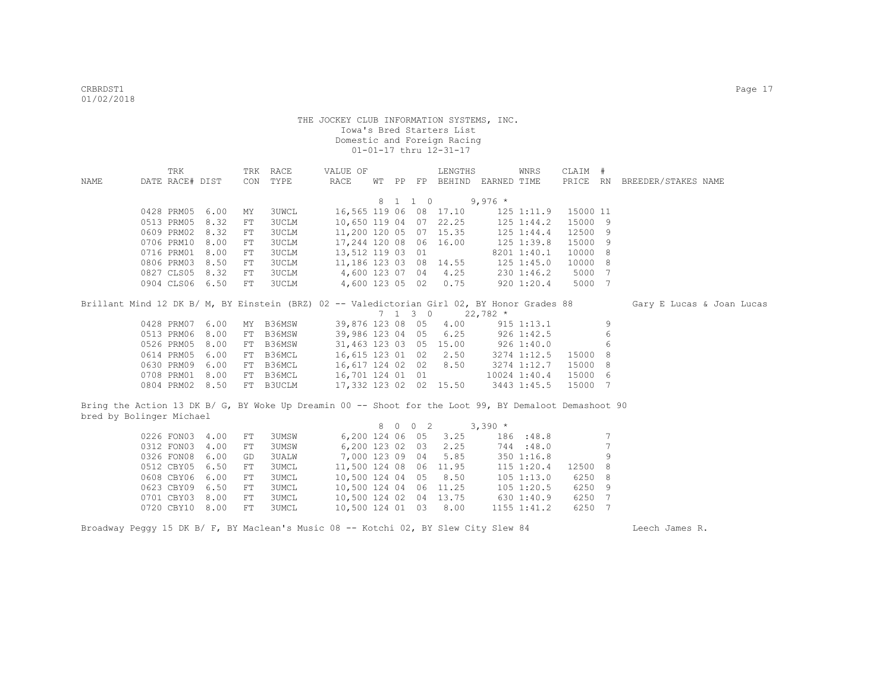|                                                                                                       | TRK             |                 |     | TRK RACE     | VALUE OF         |                  |                |                  | LENGTHS                |                             | WNRS           | CLAIM #  |                 |                              |  |
|-------------------------------------------------------------------------------------------------------|-----------------|-----------------|-----|--------------|------------------|------------------|----------------|------------------|------------------------|-----------------------------|----------------|----------|-----------------|------------------------------|--|
| NAME                                                                                                  | DATE RACE# DIST |                 | CON | TYPE         | RACE             |                  |                |                  |                        | WT PP FP BEHIND EARNED TIME |                |          |                 | PRICE RN BREEDER/STAKES NAME |  |
|                                                                                                       |                 |                 |     |              |                  |                  |                |                  |                        |                             |                |          |                 |                              |  |
|                                                                                                       |                 |                 |     |              |                  |                  |                | 8 1 1 0          |                        | $9,976$ *                   |                |          |                 |                              |  |
|                                                                                                       | 0428 PRM05      | 6.00            | MY  | <b>3UWCL</b> |                  |                  |                |                  | 16,565 119 06 08 17.10 |                             | $125$ $1:11.9$ | 15000 11 |                 |                              |  |
|                                                                                                       | 0513 PRM05      | 8.32            | FT  | <b>3UCLM</b> |                  |                  |                |                  | 10,650 119 04 07 22.25 |                             | $125$ $1:44.2$ | 15000 9  |                 |                              |  |
|                                                                                                       | 0609 PRM02      | 8.32            | FT  | 3UCLM        |                  |                  |                |                  | 11,200 120 05 07 15.35 |                             | $125$ $1:44.4$ | 12500 9  |                 |                              |  |
|                                                                                                       | 0706 PRM10      | 8.00            | FT  | <b>3UCLM</b> | 17,244 120 08 06 |                  |                |                  | 16.00                  |                             | 125 1:39.8     | 15000 9  |                 |                              |  |
|                                                                                                       | 0716 PRM01      | 8.00            | FT  | <b>3UCLM</b> | 13,512 119 03 01 |                  |                |                  |                        |                             | 8201 1:40.1    | 10000 8  |                 |                              |  |
|                                                                                                       | 0806 PRM03      | 8.50            | FT  | <b>3UCLM</b> |                  |                  |                |                  | 11,186 123 03 08 14.55 |                             | $125$ $1:45.0$ | 10000 8  |                 |                              |  |
|                                                                                                       | 0827 CLS05      | 8.32            | FT  | <b>3UCLM</b> | 4,600 123 07 04  |                  |                |                  | 4.25                   |                             | 230 1:46.2     | 5000 7   |                 |                              |  |
|                                                                                                       |                 | 0904 CLS06 6.50 | FT  | <b>3UCLM</b> | 4,600 123 05 02  |                  |                |                  | 0.75                   |                             | 920 1:20.4     | 5000 7   |                 |                              |  |
| Brillant Mind 12 DK B/ M, BY Einstein (BRZ) 02 -- Valedictorian Girl 02, BY Honor Grades 88           |                 |                 |     |              |                  |                  |                |                  |                        |                             |                |          |                 | Gary E Lucas & Joan Lucas    |  |
|                                                                                                       |                 |                 |     |              |                  |                  |                | 7 1 3 0          |                        | $22,782$ *                  |                |          |                 |                              |  |
|                                                                                                       | 0428 PRM07      | 6.00            | MY  | B36MSW       |                  |                  |                | 39,876 123 08 05 | 4.00                   |                             | $915$ $1:13.1$ |          | 9               |                              |  |
|                                                                                                       | 0513 PRM06      | 8.00            | FT  | B36MSW       |                  |                  |                | 39,986 123 04 05 | 6.25                   |                             | $926$ 1:42.5   |          | 6               |                              |  |
|                                                                                                       | 0526 PRM05      | 8.00            | FT  | B36MSW       |                  |                  |                |                  | 31,463 123 03 05 15.00 | 926 1:40.0                  |                |          | 6               |                              |  |
|                                                                                                       | 0614 PRM05      | 6.00            |     | FT B36MCL    |                  |                  |                | 16,615 123 01 02 | 2.50                   |                             | 3274 1:12.5    | 15000 8  |                 |                              |  |
|                                                                                                       | 0630 PRM09      | 6.00            |     | FT B36MCL    |                  |                  |                | 16,617 124 02 02 | 8.50                   |                             | 3274 1:12.7    | 15000 8  |                 |                              |  |
|                                                                                                       | 0708 PRM01      | 8.00            |     | FT B36MCL    | 16,701 124 01 01 |                  |                |                  |                        |                             | 10024 1:40.4   | 15000 6  |                 |                              |  |
|                                                                                                       |                 |                 |     |              |                  |                  |                |                  |                        |                             |                |          |                 |                              |  |
|                                                                                                       |                 | 0804 PRM02 8.50 |     | FT B3UCLM    |                  |                  |                |                  | 17,332 123 02 02 15.50 |                             | 3443 1:45.5    | 15000 7  |                 |                              |  |
| Bring the Action 13 DK B/ G, BY Woke Up Dreamin 00 -- Shoot for the Loot 99, BY Demaloot Demashoot 90 |                 |                 |     |              |                  |                  |                |                  |                        |                             |                |          |                 |                              |  |
| bred by Bolinger Michael                                                                              |                 |                 |     |              |                  |                  |                |                  |                        |                             |                |          |                 |                              |  |
|                                                                                                       |                 |                 |     |              |                  | 8                | $\overline{0}$ | $0\quad 2$       |                        | $3,390*$                    |                |          |                 |                              |  |
|                                                                                                       | 0226 FON03      | 4.00            | FT  | <b>3UMSW</b> |                  |                  |                | 6,200 124 06 05  | 3.25                   |                             | 186 :48.8      |          | 7               |                              |  |
|                                                                                                       | 0312 FON03      | 4.00            | FT  | <b>3UMSW</b> |                  |                  |                | 6,200 123 02 03  | 2.25                   |                             | 744:48.0       |          | $7\phantom{.0}$ |                              |  |
|                                                                                                       | 0326 FON08      | 6.00            | GD  | 3UALW        |                  | 7,000 123 09 04  |                |                  | 5.85                   |                             | 3501:16.8      |          | 9               |                              |  |
|                                                                                                       | 0512 CBY05      | 6.50            | FT  | 3UMCL        |                  | 11,500 124 08 06 |                |                  | 11.95                  |                             | 115 1:20.4     | 12500    | 8               |                              |  |
|                                                                                                       | 0608 CBY06      | 6.00            | FT  | 3UMCL        |                  | 10,500 124 04 05 |                |                  | 8.50                   |                             | 105 1:13.0     | 6250     | - 8             |                              |  |
|                                                                                                       | 0623 CBY09      | 6.50            | FT  | 3UMCL        |                  | 10,500 124 04 06 |                |                  | 11.25                  |                             | $105$ $1:20.5$ | 6250     | - 9             |                              |  |
|                                                                                                       | 0701 CBY03      | 8.00            | FT  | <b>3UMCL</b> |                  | 10,500 124 02 04 |                |                  | 13.75                  |                             | 630 1:40.9     | 6250     | $\overline{7}$  |                              |  |
|                                                                                                       | 0720 CBY10      | 8.00            | FT  | <b>3UMCL</b> |                  | 10,500 124 01 03 |                |                  | 8.00                   |                             | 1155 1:41.2    | 6250     | $\overline{7}$  |                              |  |

Broadway Peggy 15 DK B/ F, BY Maclean's Music 08 -- Kotchi 02, BY Slew City Slew 84 Leech James R.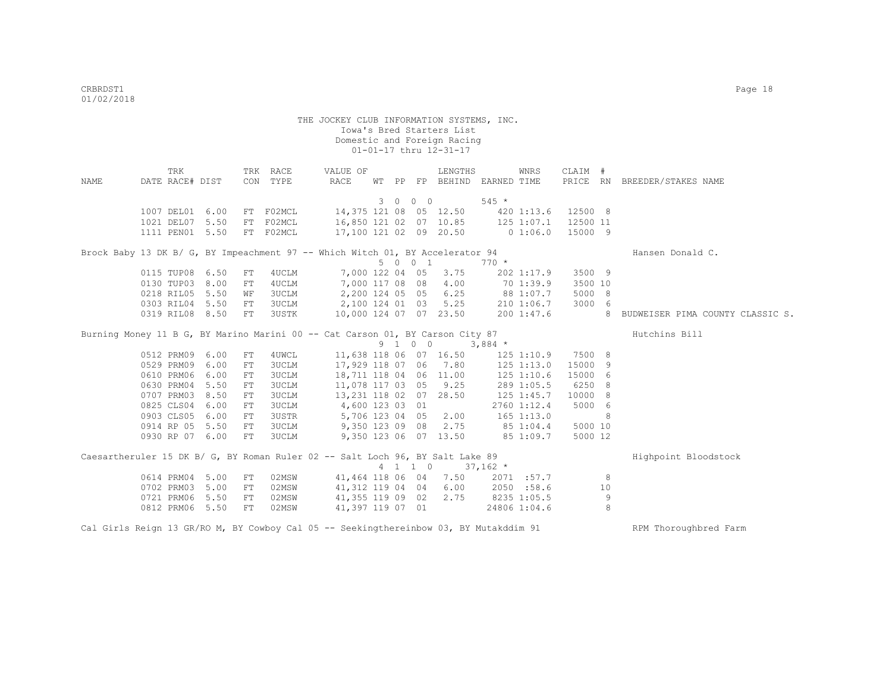|      |                 | TRK |                 |    | TRK RACE     | VALUE OF                                                                              |    |         | LENGTHS                |                        | WNRS           | CLAIM #  |    |                                    |
|------|-----------------|-----|-----------------|----|--------------|---------------------------------------------------------------------------------------|----|---------|------------------------|------------------------|----------------|----------|----|------------------------------------|
| NAME | DATE RACE# DIST |     |                 |    | CON TYPE     | RACE                                                                                  | WТ |         | PP FP BEHIND           | EARNED TIME            |                |          |    | PRICE RN BREEDER/STAKES NAME       |
|      |                 |     |                 |    |              |                                                                                       |    | 3 0 0 0 |                        | $545 *$                |                |          |    |                                    |
|      | 1007 DEL01      |     | 6.00            |    | FT F02MCL    | 14,375 121 08 05 12.50                                                                |    |         |                        |                        | 420 1:13.6     | 12500 8  |    |                                    |
|      | 1021 DEL07 5.50 |     |                 |    | FT F02MCL    | 16,850 121 02 07 10.85                                                                |    |         |                        | 125 1:07.1             |                | 12500 11 |    |                                    |
|      |                 |     | 1111 PEN01 5.50 |    | FT F02MCL    | 17,100 121 02 09 20.50                                                                |    |         |                        | $0\;1:06.0$            |                | 15000 9  |    |                                    |
|      |                 |     |                 |    |              |                                                                                       |    |         |                        |                        |                |          |    |                                    |
|      |                 |     |                 |    |              | Brock Baby 13 DK B/ G, BY Impeachment 97 -- Which Witch 01, BY Accelerator 94         |    |         |                        |                        |                |          |    | Hansen Donald C.                   |
|      |                 |     |                 |    |              |                                                                                       |    | 5 0 0 1 |                        | $770 *$                |                |          |    |                                    |
|      | 0115 TUP08 6.50 |     |                 | FT | 4UCLM        | 7,000 122 04 05                                                                       |    |         | 3.75                   |                        | 202 1:17.9     | 3500 9   |    |                                    |
|      | 0130 TUP03 8.00 |     |                 | FT | 4UCLM        | 7,000 117 08 08                                                                       |    |         | 4.00                   | 70 1:39.9<br>88 1:07.7 |                | 3500 10  |    |                                    |
|      | 0218 RIL05 5.50 |     |                 | WF | 3UCLM        | 2,200 124 05 05                                                                       |    |         | 6.25                   |                        |                | 5000 8   |    |                                    |
|      | 0303 RIL04 5.50 |     |                 | FT | 3UCLM        | 2,100 124 01 03                                                                       |    |         | 5.25                   |                        | 210 1:06.7     | 3000 6   |    |                                    |
|      | 0319 RIL08 8.50 |     |                 | FT | 3USTK        | 10,000 124 07 07 23.50                                                                |    |         |                        |                        | 2001:37.6      |          |    | 8 BUDWEISER PIMA COUNTY CLASSIC S. |
|      |                 |     |                 |    |              | Burning Money 11 B G, BY Marino Marini 00 -- Cat Carson 01, BY Carson City 87         |    |         |                        |                        |                |          |    | Hutchins Bill                      |
|      |                 |     |                 |    |              |                                                                                       |    | 9 1 0 0 |                        | $3,884$ *              |                |          |    |                                    |
|      | 0512 PRM09 6.00 |     |                 | FT | 4UWCL        |                                                                                       |    |         | 11,638 118 06 07 16.50 |                        | 125 1:10.9     | 7500 8   |    |                                    |
|      | 0529 PRM09 6.00 |     |                 | FT | 3UCLM        | 17,929 118 07 06 7.80                                                                 |    |         |                        |                        | $125$ $1:13.0$ | 15000 9  |    |                                    |
|      | 0610 PRM06 6.00 |     |                 | FT | 3UCLM        |                                                                                       |    |         | 18,711 118 04 06 11.00 |                        | $125$ $1:10.6$ | 15000 6  |    |                                    |
|      | 0630 PRM04 5.50 |     |                 | FT | <b>3UCLM</b> | 11,078 117 03 05 9.25                                                                 |    |         |                        |                        | 289 1:05.5     | 6250 8   |    |                                    |
|      | 0707 PRM03 8.50 |     |                 | FT | 3UCLM        | 13,231 118 02 07 28.50                                                                |    |         |                        | 125 1:45.7             |                | 10000 8  |    |                                    |
|      | 0825 CLS04 6.00 |     |                 | FT | 3UCLM        | 4,600 123 03 01                                                                       |    |         |                        |                        | 2760 1:12.4    | 5000 6   |    |                                    |
|      | 0903 CLS05 6.00 |     |                 | FT | 3USTR        | 5,706 123 04 05                                                                       |    |         | 2.00                   | $165$ 1:13.0           |                |          | 8  |                                    |
|      | 0914 RP 05 5.50 |     |                 | FT | 3UCLM        | 9,350 123 09 08                                                                       |    |         | 2.75                   | 85 1:04.4              |                | 5000 10  |    |                                    |
|      | 0930 RP 07 6.00 |     |                 | FT | 3UCLM        |                                                                                       |    |         | 9,350 123 06 07 13.50  | 851:09.7               |                | 5000 12  |    |                                    |
|      |                 |     |                 |    |              |                                                                                       |    |         |                        |                        |                |          |    |                                    |
|      |                 |     |                 |    |              | Caesartheruler 15 DK B/ G, BY Roman Ruler 02 -- Salt Loch 96, BY Salt Lake 89         |    |         |                        |                        |                |          |    | Highpoint Bloodstock               |
|      |                 |     |                 |    |              |                                                                                       |    | 4 1 1 0 | $37,162$ *             |                        |                |          |    |                                    |
|      | 0614 PRM04 5.00 |     |                 | FT | 02MSW        | 41,464 118 06 04                                                                      |    |         | 7.50                   |                        | 2071 :57.7     |          | 8  |                                    |
|      | 0702 PRM03 5.00 |     |                 | FT | 02MSW        | 41,312 119 04 04                                                                      |    |         | 6.00                   | 2050 :58.6             |                |          | 10 |                                    |
|      | 0721 PRM06 5.50 |     |                 | FT | 02MSW        | 41,355 119 09 02                                                                      |    |         |                        | 2.75 8235 1:05.5       |                |          | 9  |                                    |
|      | 0812 PRM06 5.50 |     |                 | FT | 02MSW        | 41,397 119 07 01                                                                      |    |         |                        |                        | 24806 1:04.6   |          | 8  |                                    |
|      |                 |     |                 |    |              | Cal Girls Reign 13 GR/RO M, BY Cowboy Cal 05 -- Seekingthereinbow 03, BY Mutakddim 91 |    |         |                        |                        |                |          |    | RPM Thoroughbred Farm              |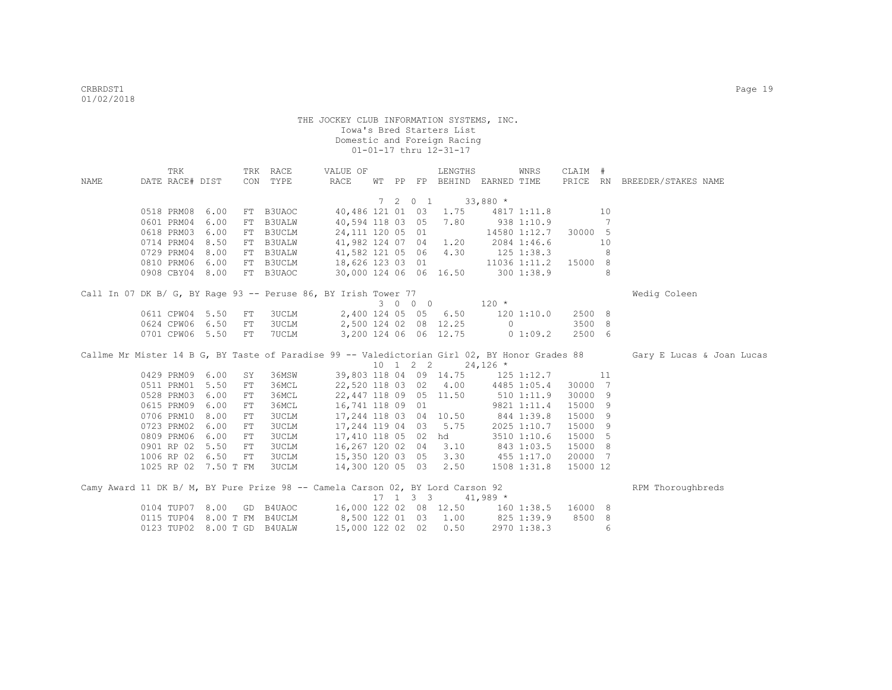|      | TRK             |                 |            | TRK RACE                    | VALUE OF                                                                       |  | LENGTHS                                         |             | WNRS           | CLAIM #   |                 |                                                                                                                         |
|------|-----------------|-----------------|------------|-----------------------------|--------------------------------------------------------------------------------|--|-------------------------------------------------|-------------|----------------|-----------|-----------------|-------------------------------------------------------------------------------------------------------------------------|
| NAME | DATE RACE# DIST |                 |            | CON TYPE                    | RACE                                                                           |  | WT PP FP BEHIND EARNED TIME                     |             |                |           |                 | PRICE RN BREEDER/STAKES NAME                                                                                            |
|      |                 |                 |            |                             |                                                                                |  |                                                 |             |                |           |                 |                                                                                                                         |
|      |                 |                 |            |                             |                                                                                |  | 7 2 0 1                                         | $33,880*$   |                |           |                 |                                                                                                                         |
|      |                 | 0518 PRM08 6.00 |            | FT B3UAOC                   |                                                                                |  | 40,486 121 01 03 1.75 4817 1:11.8               |             |                | 10        |                 |                                                                                                                         |
|      | 0601 PRM04      | 6.00            |            | FT B3UALW                   | 40,594 118 03 05 7.80                                                          |  |                                                 |             | 938 1:10.9     |           | $7\phantom{.0}$ |                                                                                                                         |
|      |                 | 0618 PRM03 6.00 |            | FT B3UCLM                   |                                                                                |  | 24,111 120 05 01                                |             | 14580 1:12.7   | 30000 5   |                 |                                                                                                                         |
|      |                 | 0714 PRM04 8.50 |            |                             | FT B3UALW 41,982 124 07 04 1.20                                                |  |                                                 |             | 2084 1:46.6    |           | 10              |                                                                                                                         |
|      |                 | 0729 PRM04 8.00 |            | FT B3UALW                   | 41,582 121 05 06 4.30                                                          |  |                                                 |             | $125$ $1:38.3$ |           | 8               |                                                                                                                         |
|      | 0810 PRM06      | 6.00            |            | FT B3UCLM                   | 18,626 123 03 01                                                               |  |                                                 |             | 11036 1:11.2   | 15000 8   |                 |                                                                                                                         |
|      |                 | 0908 CBY04 8.00 |            | FT B3UAOC                   |                                                                                |  | 30,000 124 06 06 16.50 300 1:38.9               |             |                |           | 8               |                                                                                                                         |
|      |                 |                 |            |                             | Call In 07 DK B/ G, BY Rage 93 -- Peruse 86, BY Irish Tower 77                 |  |                                                 |             |                |           |                 | Wedig Coleen                                                                                                            |
|      |                 |                 |            |                             |                                                                                |  | $3 \t0 \t0 \t0 \t120 \t\t*$                     |             |                |           |                 |                                                                                                                         |
|      |                 | 0611 CPW04 5.50 | FT         |                             | 3UCLM 2,400 124 05 05 6.50 120 1:10.0                                          |  |                                                 |             |                | 2500 8    |                 |                                                                                                                         |
|      |                 | 0624 CPW06 6.50 | FT         |                             | 3UCLM 2,500 124 02 08 12.25 0                                                  |  |                                                 |             |                | 3500 8    |                 |                                                                                                                         |
|      |                 |                 |            | 0701 CPW06 5.50 FT 7UCLM    |                                                                                |  | 3,200 124 06 06 12.75 0 1:09.2                  |             |                | 2500 6    |                 |                                                                                                                         |
|      |                 |                 |            |                             |                                                                                |  |                                                 |             |                |           |                 |                                                                                                                         |
|      |                 |                 |            |                             |                                                                                |  |                                                 |             |                |           |                 | Callme Mr Mister 14 B G, BY Taste of Paradise 99 -- Valedictorian Girl 02, BY Honor Grades 88 Gary E Lucas & Joan Lucas |
|      |                 |                 |            |                             |                                                                                |  | $10 \quad 1 \quad 2 \quad 2 \quad 24,126 \star$ |             |                |           |                 |                                                                                                                         |
|      |                 | 0429 PRM09 6.00 | SY         | 36MSW                       |                                                                                |  | 39,803 118 04 09 14.75 125 1:12.7               |             |                | $\sim$ 11 |                 |                                                                                                                         |
|      |                 | 0511 PRM01 5.50 | ${\rm FT}$ | 36MCL                       |                                                                                |  | 22,520 118 03 02 4.00 4485 1:05.4               |             |                | 30000 7   |                 |                                                                                                                         |
|      |                 | 0528 PRM03 6.00 | FT         | 36MCL                       |                                                                                |  | 22,447 118 09 05 11.50                          | 510 1:11.9  |                | 30000 9   |                 |                                                                                                                         |
|      | 0615 PRM09      | 6.00            | ${\rm FT}$ | 36MCL                       | 16,741 118 09 01                                                               |  |                                                 | 9821 1:11.4 |                | 15000 9   |                 |                                                                                                                         |
|      | 0706 PRM10      | 8.00            | FT         | <b>3UCLM</b>                | 17,244 118 03 04 10.50                                                         |  |                                                 | 844 1:39.8  |                | 15000 9   |                 |                                                                                                                         |
|      | 0723 PRM02      | 6.00            | FT         | <b>3UCLM</b>                | 17,244 119 04 03                                                               |  | 5.75                                            |             | 2025 1:10.7    | 15000 9   |                 |                                                                                                                         |
|      | 0809 PRM06      | 6.00            | FT         | 3UCLM                       |                                                                                |  | 17,410 118 05 02 hd                             |             | 3510 1:10.6    | 15000 5   |                 |                                                                                                                         |
|      |                 | 0901 RP 02 5.50 | FT         | 3UCLM                       | 16,267 120 02 04                                                               |  | 3.10                                            | 843 1:03.5  |                | 15000 8   |                 |                                                                                                                         |
|      |                 | 1006 RP 02 6.50 | FT         |                             | 3UCLM 15,350 120 03 05 3.30 455 1:17.0                                         |  |                                                 |             |                | 20000 7   |                 |                                                                                                                         |
|      |                 |                 |            |                             | 1025 RP 02 7.50 T FM 3UCLM 14,300 120 05 03 2.50 1508 1:31.8                   |  |                                                 |             |                | 15000 12  |                 |                                                                                                                         |
|      |                 |                 |            |                             | Camy Award 11 DK B/ M, BY Pure Prize 98 -- Camela Carson 02, BY Lord Carson 92 |  |                                                 |             |                |           |                 | RPM Thoroughbreds                                                                                                       |
|      |                 |                 |            |                             |                                                                                |  | $17 \quad 1 \quad 3 \quad 3 \quad 41,989$ *     |             |                |           |                 |                                                                                                                         |
|      |                 | 0104 TUP07 8.00 |            |                             |                                                                                |  |                                                 |             |                | 16000 8   |                 |                                                                                                                         |
|      |                 |                 |            | 0115 TUP04 8.00 T FM B4UCLM | GD B4UAOC 16,000 122 02 08 12.50 160 1:38.5<br>8,500 122 01 03 1.00 825 1:39.9 |  |                                                 |             |                | 8500 8    |                 |                                                                                                                         |
|      |                 |                 |            | 0123 TUP02 8.00 T GD B4UALW | 15,000 122 02 02                                                               |  | 0.50                                            |             | 2970 1:38.3    |           | 6               |                                                                                                                         |
|      |                 |                 |            |                             |                                                                                |  |                                                 |             |                |           |                 |                                                                                                                         |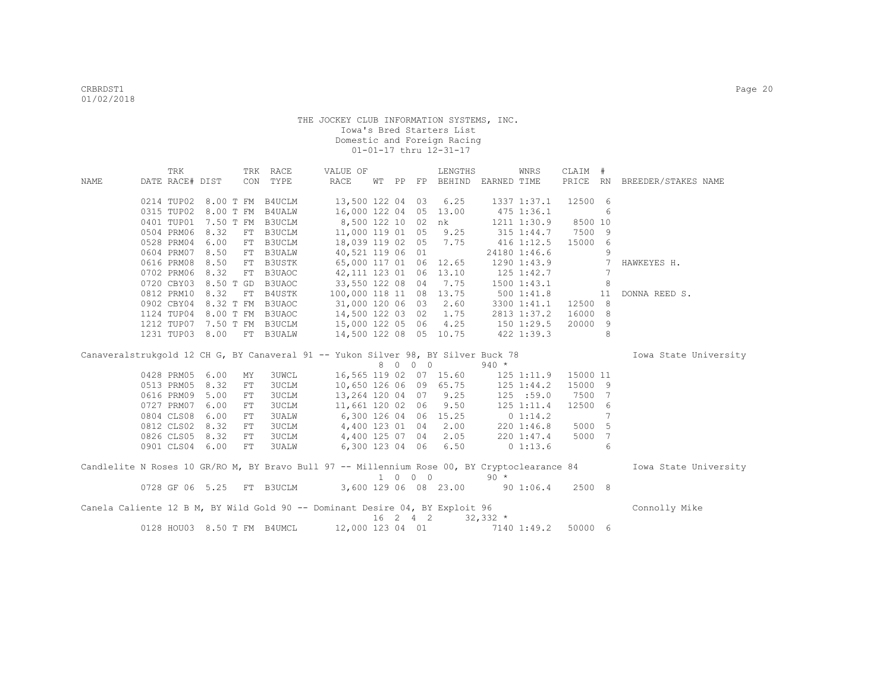|                                                                                   | TRK                      |                 |           | TRK RACE                     | VALUE OF                                                                                     |  |          | LENGTHS                     |                 | WNRS                   | CLAIM #           |                 |                              |
|-----------------------------------------------------------------------------------|--------------------------|-----------------|-----------|------------------------------|----------------------------------------------------------------------------------------------|--|----------|-----------------------------|-----------------|------------------------|-------------------|-----------------|------------------------------|
| NAME                                                                              | DATE RACE# DIST          |                 |           | CON TYPE                     | RACE                                                                                         |  |          | WT PP FP BEHIND EARNED TIME |                 |                        |                   |                 | PRICE RN BREEDER/STAKES NAME |
|                                                                                   |                          |                 |           |                              |                                                                                              |  |          |                             |                 |                        |                   |                 |                              |
|                                                                                   | 0214 TUP02               |                 |           | 8.00 T FM B4UCLM             | 13,500 122 04 03                                                                             |  |          | 6.25                        |                 | 1337 1:37.1            | 12500 6           |                 |                              |
|                                                                                   | 0315 TUP02               |                 | 8.00 T FM | <b>B4UALW</b>                | 16,000 122 04 05 13.00                                                                       |  |          |                             | 475 1:36.1      |                        |                   | 6               |                              |
|                                                                                   | 0401 TUP01               |                 | 7.50 T FM | B3UCLM                       | 8,500 122 10 02 nk                                                                           |  |          |                             |                 | 1211 1:30.9            | 8500 10           |                 |                              |
|                                                                                   | 0504 PRM06               | 8.32            | FT        | B3UCLM                       | 11,000 119 01 05 9.25                                                                        |  |          |                             |                 | $315$ $1:44.7$         | 7500 9            |                 |                              |
|                                                                                   | 0528 PRM04               | 6.00            | FT        | B3UCLM                       | 18,039 119 02 05 7.75                                                                        |  |          |                             |                 | 416 1:12.5             | 15000 6           |                 |                              |
|                                                                                   | 0604 PRM07               | 8.50            |           | FT B3UALW                    | 40,521 119 06 01                                                                             |  |          |                             |                 | 24180 1:46.6           |                   | 9               |                              |
|                                                                                   | 0616 PRM08               | 8.50            |           | FT B3USTK                    | 65,000 117 01 06 12.65                                                                       |  |          |                             |                 | 1290 1:43.9            |                   | $7\overline{ }$ | HAWKEYES H.                  |
|                                                                                   | 0702 PRM06               | 8.32            |           | FT B3UAOC                    | 42, 111 123 01 06 13.10                                                                      |  |          |                             |                 | 125 1:42.7             |                   | 7               |                              |
|                                                                                   | 0720 CBY03               |                 |           | 8.50 T GD B3UAOC             | 33,550 122 08 04 7.75                                                                        |  |          |                             | $1500$ $1:43.1$ |                        |                   | 8               |                              |
|                                                                                   | 0812 PRM10               | 8.32            |           | FT B4USTK                    | 100,000 118 11 08 13.75                                                                      |  |          |                             | 5001:41.8       |                        |                   | 11              | DONNA REED S.                |
|                                                                                   | 0902 CBY04               |                 |           | 8.32 T FM B3UAOC             | 31,000 120 06 03                                                                             |  |          | 2.60                        |                 | 3300 1:41.1            | 12500 8           |                 |                              |
|                                                                                   | 1124 TUP04               |                 |           | 8.00 T FM B3UAOC             | 14,500 122 03 02                                                                             |  |          | 1.75                        |                 | 2813 1:37.2            | 16000 8           |                 |                              |
|                                                                                   | 1212 TUP07               |                 |           | 7.50 T FM B3UCLM             | 15,000 122 05 06                                                                             |  |          | 4.25                        | 1501:29.5       |                        | 20000 9           |                 |                              |
|                                                                                   | 1231 TUP03               | 8.00            |           | FT B3UALW                    | 14,500 122 08 05 10.75                                                                       |  |          |                             | 422 1:39.3      |                        |                   | 8               |                              |
|                                                                                   |                          |                 |           |                              |                                                                                              |  |          |                             |                 |                        |                   |                 | Iowa State University        |
|                                                                                   |                          |                 |           |                              |                                                                                              |  |          |                             |                 |                        |                   |                 |                              |
| Canaveralstrukgold 12 CH G, BY Canaveral 91 -- Yukon Silver 98, BY Silver Buck 78 |                          |                 |           |                              |                                                                                              |  |          |                             |                 |                        |                   |                 |                              |
|                                                                                   | 0428 PRM05               |                 |           |                              |                                                                                              |  | 8 0 0 0  |                             | $940 *$         |                        |                   |                 |                              |
|                                                                                   | 0513 PRM05               | 6.00<br>8.32    | MY<br>FT  | <b>3UWCL</b>                 | 16,565 119 02 07 15.60                                                                       |  |          |                             |                 | $125$ $1:11.9$         | 15000 11          |                 |                              |
|                                                                                   |                          |                 |           | <b>3UCLM</b>                 | 10,650 126 06 09 65.75                                                                       |  |          |                             |                 | 125 1:44.2             | 15000 9           |                 |                              |
|                                                                                   | 0616 PRM09<br>0727 PRM07 | 5.00<br>6.00    | FT<br>FT  | <b>3UCLM</b><br><b>3UCLM</b> | 13,264 120 04 07 9.25                                                                        |  |          |                             |                 | 125 : 59.0             | 7500 7<br>12500 6 |                 |                              |
|                                                                                   | 0804 CLS08               | 6.00            | FT        | 3UALW                        | 11,661 120 02 06<br>6,300 126 04 06 15.25                                                    |  |          | 9.50                        |                 | 125 1:11.4<br>0 1:14.2 |                   | 7               |                              |
|                                                                                   | 0812 CLS02               | 8.32            | FT        | <b>3UCLM</b>                 |                                                                                              |  |          |                             |                 | $220 \t1:46.8$         | 5000 5            |                 |                              |
|                                                                                   | 0826 CLS05               | 8.32            | FT        | <b>3UCLM</b>                 | 4,400 123 01 04 2.00                                                                         |  |          |                             |                 | 220 1:47.4             | 5000 7            |                 |                              |
|                                                                                   |                          | 0901 CLS04 6.00 | FT        | <b>3UALW</b>                 | 4,400 125 07 04 2.05<br>6,300 123 04 06                                                      |  |          | 6.50                        |                 | 01:13.6                |                   | 6               |                              |
|                                                                                   |                          |                 |           |                              |                                                                                              |  |          |                             |                 |                        |                   |                 |                              |
|                                                                                   |                          |                 |           |                              | Candlelite N Roses 10 GR/RO M, BY Bravo Bull 97 -- Millennium Rose 00, BY Cryptoclearance 84 |  |          |                             |                 |                        |                   |                 | Iowa State University        |
|                                                                                   |                          |                 |           |                              | 0728 GF 06 5.25 FT B3UCLM 3,600 129 06 08 23.00                                              |  | 1 0 0 0  |                             | $90 *$          | $90\ 1:06.4$           | 2500 8            |                 |                              |
|                                                                                   |                          |                 |           |                              |                                                                                              |  |          |                             |                 |                        |                   |                 |                              |
|                                                                                   |                          |                 |           |                              | Canela Caliente 12 B M, BY Wild Gold 90 -- Dominant Desire 04, BY Exploit 96                 |  | 16 2 4 2 |                             | $32,332$ *      |                        |                   |                 | Connolly Mike                |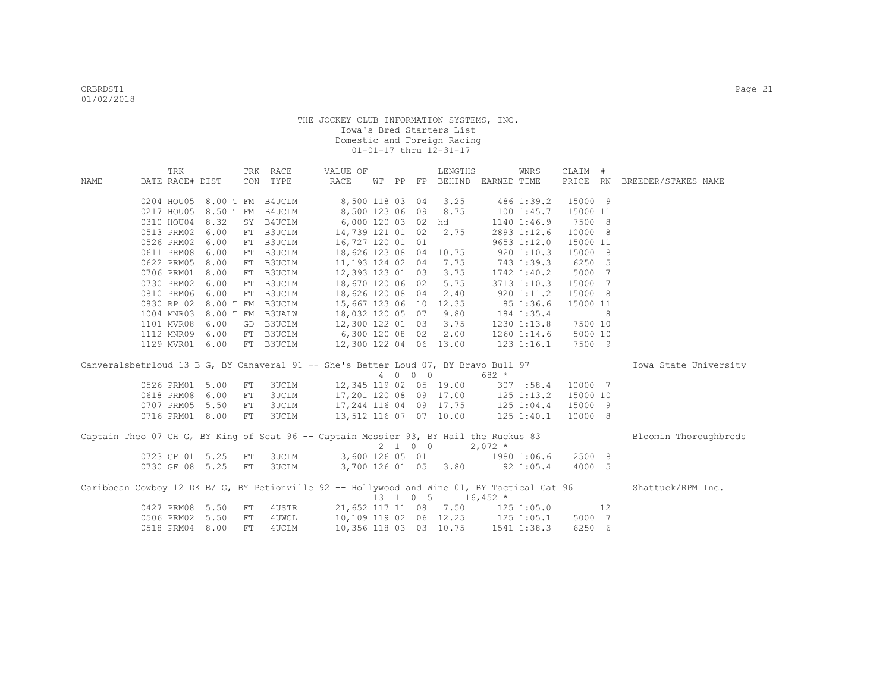|      | TRK             |      |           | TRK RACE         | VALUE OF                                                                                    |    |          | LENGTHS                           |                | WNRS            | CLAIM #  |    |                              |
|------|-----------------|------|-----------|------------------|---------------------------------------------------------------------------------------------|----|----------|-----------------------------------|----------------|-----------------|----------|----|------------------------------|
| NAME | DATE RACE# DIST |      |           | CON TYPE         | RACE                                                                                        | WТ | PP FP    | BEHIND EARNED TIME                |                |                 |          |    | PRICE RN BREEDER/STAKES NAME |
|      |                 |      |           |                  |                                                                                             |    |          |                                   |                |                 |          |    |                              |
|      | 0204 HOU05      |      |           | 8.00 T FM B4UCLM | 8,500 118 03 04                                                                             |    |          | 3.25                              | 486 1:39.2     |                 | 15000 9  |    |                              |
|      | 0217 HOU05      |      | 8.50 T FM | B4UCLM           | 8,500 123 06 09 8.75                                                                        |    |          |                                   | 1001:45.7      |                 | 15000 11 |    |                              |
|      | 0310 HOU04      | 8.32 | SY        | B4UCLM           | 6,000 120 03 02 hd                                                                          |    |          |                                   |                | 1140 1:46.9     | 7500 8   |    |                              |
|      | 0513 PRM02      | 6.00 |           | FT B3UCLM        | 14,739 121 01 02                                                                            |    |          | 2.75                              |                | 2893 1:12.6     | 10000 8  |    |                              |
|      | 0526 PRM02      | 6.00 | FT        | B3UCLM           | 16,727 120 01 01                                                                            |    |          |                                   |                | $9653$ $1:12.0$ | 15000 11 |    |                              |
|      | 0611 PRM08      | 6.00 | FT        | B3UCLM           | 18,626 123 08 04 10.75                                                                      |    |          |                                   | 9201:10.3      |                 | 15000 8  |    |                              |
|      | 0622 PRM05      | 8.00 |           | FT B3UCLM        | 11,193 124 02 04 7.75                                                                       |    |          |                                   |                | 743 1:39.3      | 6250 5   |    |                              |
|      | 0706 PRM01      | 8.00 |           | FT B3UCLM        | 12,393 123 01 03 3.75                                                                       |    |          |                                   |                | 1742 1:40.2     | 5000 7   |    |                              |
|      | 0730 PRM02      | 6.00 |           | FT B3UCLM        | 18,670 120 06 02 5.75                                                                       |    |          |                                   |                | 3713 1:10.3     | 15000 7  |    |                              |
|      | 0810 PRM06      | 6.00 |           | FT B3UCLM        | 18,626 120 08 04                                                                            |    |          | 2.40                              |                | 920 1:11.2      | 15000 8  |    |                              |
|      | 0830 RP 02      |      |           | 8.00 T FM B3UCLM | 15,667 123 06 10 12.35                                                                      |    |          |                                   |                | 85 1:36.6       | 15000 11 |    |                              |
|      | 1004 MNR03      |      |           | 8.00 T FM B3UALW | 18,032 120 05 07                                                                            |    |          | 9.80                              |                | 184 1:35.4      |          | 8  |                              |
|      | 1101 MVR08      | 6.00 |           | GD B3UCLM        | 12,300 122 01 03                                                                            |    |          | 3.75                              |                | $1230$ $1:13.8$ | 7500 10  |    |                              |
|      | 1112 MNR09      | 6.00 |           | FT B3UCLM        | 6,300 120 08 02                                                                             |    |          | 2.00                              |                | $1260$ $1:14.6$ | 5000 10  |    |                              |
|      | 1129 MVR01      | 6.00 |           | FT B3UCLM        | 12,300 122 04 06 13.00                                                                      |    |          |                                   | $123$ $1:16.1$ |                 | 7500 9   |    |                              |
|      |                 |      |           |                  | Canveralsbetrloud 13 B G, BY Canaveral 91 -- She's Better Loud 07, BY Bravo Bull 97         |    |          |                                   |                |                 |          |    | Iowa State University        |
|      |                 |      |           |                  |                                                                                             |    | 4 0 0 0  |                                   | 682 *          |                 |          |    |                              |
|      | 0526 PRM01      | 5.00 | FT        | 3UCLM            | 12,345 119 02 05 19.00                                                                      |    |          |                                   | 307 : 58.4     |                 | 10000 7  |    |                              |
|      | 0618 PRM08      | 6.00 | FT        | <b>3UCLM</b>     |                                                                                             |    |          | 17,201 120 08 09 17.00 125 1:13.2 |                |                 | 15000 10 |    |                              |
|      | 0707 PRM05      | 5.50 | FT        | <b>3UCLM</b>     | 17,244 116 04 09 17.75                                                                      |    |          |                                   | 125 1:04.4     |                 | 15000 9  |    |                              |
|      | 0716 PRM01 8.00 |      | FT        | <b>3UCLM</b>     | 13,512 116 07 07 10.00                                                                      |    |          |                                   | $125$ $1:40.1$ |                 | 10000 8  |    |                              |
|      |                 |      |           |                  |                                                                                             |    |          |                                   |                |                 |          |    |                              |
|      |                 |      |           |                  | Captain Theo 07 CH G, BY King of Scat 96 -- Captain Messier 93, BY Hail the Ruckus 83       |    |          |                                   |                |                 |          |    | Bloomin Thoroughbreds        |
|      |                 |      |           |                  |                                                                                             |    | 2 1 0 0  |                                   | $2.072 *$      |                 |          |    |                              |
|      | 0723 GF 01 5.25 |      | FT        | <b>3UCLM</b>     | 3,600 126 05 01 1980 1:06.6                                                                 |    |          |                                   |                |                 | 2500 8   |    |                              |
|      | 0730 GF 08 5.25 |      | FT        | 3UCLM            | 3,700 126 01 05 3.80 92 1:05.4                                                              |    |          |                                   |                |                 | 4000 5   |    |                              |
|      |                 |      |           |                  | Caribbean Cowboy 12 DK B/ G, BY Petionville 92 -- Hollywood and Wine 01, BY Tactical Cat 96 |    |          |                                   |                |                 |          |    | Shattuck/RPM Inc.            |
|      |                 |      |           |                  |                                                                                             |    | 13 1 0 5 | $16,452$ *                        |                |                 |          |    |                              |
|      | 0427 PRM08      | 5.50 | FT        | 4USTR            |                                                                                             |    |          | 21,652 117 11 08 7.50 125 1:05.0  |                |                 |          | 12 |                              |
|      |                 |      |           |                  |                                                                                             |    |          |                                   |                |                 |          |    |                              |
|      | 0506 PRM02      | 5.50 | FT        | 4UWCL            |                                                                                             |    |          | 10,109 119 02 06 12.25 125 1:05.1 |                |                 | 5000 7   |    |                              |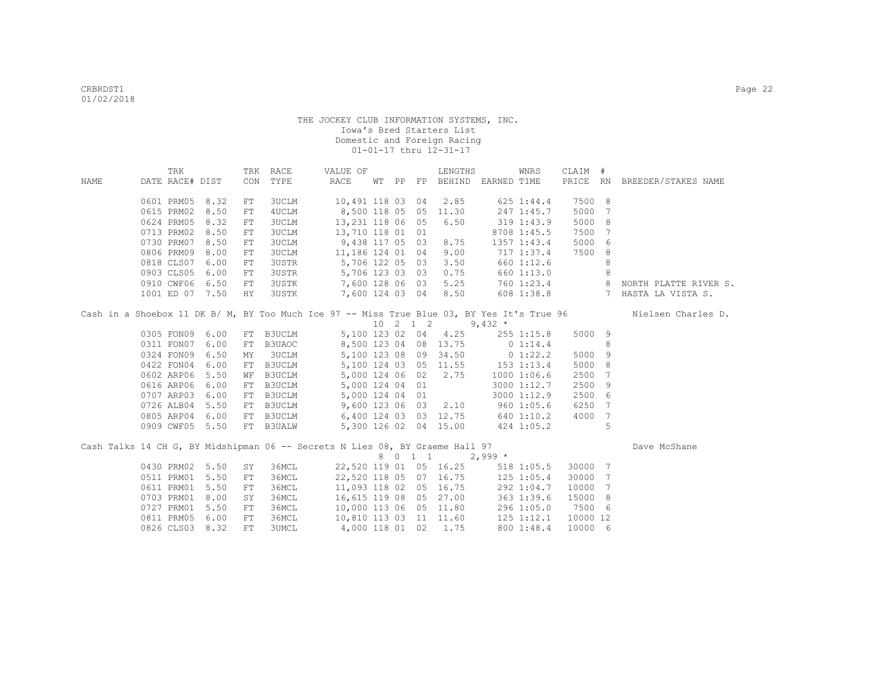|      | TRK                      |              |            | TRK RACE              | VALUE OF                                                                                   |  | LENGTHS                           |             | WNRS           | CLAIM #  |                 |                                                                                                                                                    |
|------|--------------------------|--------------|------------|-----------------------|--------------------------------------------------------------------------------------------|--|-----------------------------------|-------------|----------------|----------|-----------------|----------------------------------------------------------------------------------------------------------------------------------------------------|
| NAME | DATE RACE# DIST          |              | CON        | TYPE                  | RACE                                                                                       |  | WT PP FP BEHIND EARNED TIME       |             |                |          |                 | PRICE RN BREEDER/STAKES NAME                                                                                                                       |
|      |                          |              |            |                       |                                                                                            |  |                                   |             |                | 7500 8   |                 |                                                                                                                                                    |
|      | 0601 PRM05<br>0615 PRM02 | 8.32<br>8.50 | FT         | 3UCLM                 | 10,491 118 03 04<br>8,500 118 05 05 11.30                                                  |  | 2.85                              |             | 625 1:44.4     | 5000     | $7\phantom{.0}$ |                                                                                                                                                    |
|      | 0624 PRM05 8.32          |              | FT         | 4UCLM<br><b>3UCLM</b> | 13,231 118 06 05                                                                           |  | 6.50                              | 247 1:45.7  | 319 1:43.9     | 5000 8   |                 |                                                                                                                                                    |
|      | 0713 PRM02 8.50          |              | FT         | <b>3UCLM</b>          | 13,710 118 01 01                                                                           |  |                                   |             | 8708 1:45.5    | 7500 7   |                 |                                                                                                                                                    |
|      | 0730 PRM07 8.50          |              | ${\rm FT}$ | <b>3UCLM</b>          | 9,438 117 05 03                                                                            |  | 8.75                              |             |                | 5000 6   |                 |                                                                                                                                                    |
|      | 0806 PRM09               | 8.00         | FT         | <b>3UCLM</b>          | 11,186 124 01 04                                                                           |  | 9.00                              | 717 1:37.4  | 1357 1:43.4    | 7500     | 8               |                                                                                                                                                    |
|      | 0818 CLS07 6.00          |              | FT         |                       | 3USTR 5,706 122 05 03                                                                      |  | 3.50                              | 660 1:12.6  |                |          | 8               |                                                                                                                                                    |
|      | 0903 CLS05 6.00          |              | FT<br>FT   |                       | 3USTR 5,706 123 03 03 0.75 660 1:13.0                                                      |  |                                   |             |                |          | 8               |                                                                                                                                                    |
|      | 0910 CWF06 6.50          |              | FT         |                       |                                                                                            |  |                                   |             |                |          |                 |                                                                                                                                                    |
|      | 1001 ED 07 7.50          |              | HY         | 3USTK<br>3USTK        |                                                                                            |  |                                   |             |                |          |                 | 7,600 123 03 03 03.25 000 1:23.4<br>7,600 128 06 03 5.25 060 1:23.4 8 NORTH PLATTE RIVER S.<br>7,600 124 03 04 8.50 608 1:38.8 7 HASTA LA VISTA S. |
|      |                          |              |            |                       |                                                                                            |  |                                   |             |                |          |                 |                                                                                                                                                    |
|      |                          |              |            |                       | Cash in a Shoebox 11 DK B/ M, BY Too Much Ice 97 -- Miss True Blue 03, BY Yes It's True 96 |  |                                   |             |                |          |                 | Nielsen Charles D.                                                                                                                                 |
|      |                          |              |            |                       |                                                                                            |  | 10 2 1 2                          | 9,432 $*$   |                |          |                 |                                                                                                                                                    |
|      | 0305 FON09 6.00          |              |            | FT B3UCLM             |                                                                                            |  | 5,100 123 02 04 4.25              |             | $255$ $1:15.8$ | 5000 9   |                 |                                                                                                                                                    |
|      | 0311 FON07 6.00          |              | FT         | B3UAOC                | 8,500 123 04 08 13.75 0 1:14.4                                                             |  |                                   |             |                |          | 8               |                                                                                                                                                    |
|      | 0324 FON09 6.50          |              | MΥ         | 3UCLM                 |                                                                                            |  | 5,100 123 08 09 34.50 0 1:22.2    |             |                | 5000     | 9               |                                                                                                                                                    |
|      | 0422 FON04               | 6.00         | FT         | B3UCLM                |                                                                                            |  | 5,100 124 03 05 11.55 153 1:13.4  |             |                | 5000     | 8               |                                                                                                                                                    |
|      | 0602 ARP06 5.50          |              | WF         | B3UCLM                | 5,000 124 06 02 2.75                                                                       |  |                                   | 1000 1:06.6 |                | 2500 7   |                 |                                                                                                                                                    |
|      | 0616 ARP06               | 6.00         | FT         |                       | B3UCLM 5,000 124 04 01                                                                     |  |                                   |             | 3000 1:12.7    | 2500 9   |                 |                                                                                                                                                    |
|      | 0707 ARP03               | 6.00         | FT         |                       | B3UCLM 5,000 124 04 01                                                                     |  |                                   |             | 3000 1:12.9    | 2500 6   |                 |                                                                                                                                                    |
|      | 0726 ALB04 5.50          |              | FT         |                       | B3UCLM 9,600 123 06 03 2.10 960 1:05.6                                                     |  |                                   |             |                | 6250 7   |                 |                                                                                                                                                    |
|      | 0805 ARP04 6.00          |              | FT         | B3UCLM                | 6,400 124 03 03 12.75 640 1:10.2                                                           |  |                                   |             |                | 4000 7   |                 |                                                                                                                                                    |
|      | 0909 CWF05 5.50          |              |            | FT B3UALW             |                                                                                            |  | 5,300 126 02 04 15.00             |             | 424 1:05.2     |          | 5               |                                                                                                                                                    |
|      |                          |              |            |                       |                                                                                            |  |                                   |             |                |          |                 |                                                                                                                                                    |
|      |                          |              |            |                       | Cash Talks 14 CH G, BY Midshipman 06 -- Secrets N Lies 08, BY Graeme Hall 97               |  |                                   |             |                |          |                 | Dave McShane                                                                                                                                       |
|      |                          |              |            |                       |                                                                                            |  | 8 0 1 1 2,999 *                   |             |                |          |                 |                                                                                                                                                    |
|      | 0430 PRM02 5.50          |              | SY         | 36MCL                 |                                                                                            |  | 22,520 119 01 05 16.25            |             | 518 1:05.5     | 30000 7  |                 |                                                                                                                                                    |
|      | 0511 PRM01 5.50          |              | FT         | 36MCL                 |                                                                                            |  | 22,520 118 05 07 16.75 125 1:05.4 |             |                | 30000 7  |                 |                                                                                                                                                    |
|      | 0611 PRM01               | 5.50         | ${\rm FT}$ | 36MCL                 |                                                                                            |  | 11,093 118 02 05 16.75            |             | 292 1:04.7     | 10000    | $7\phantom{.0}$ |                                                                                                                                                    |
|      | 0703 PRM01               | 8.00         | SY         | 36MCL                 | 16,615 119 08 05 27.00                                                                     |  |                                   |             | 363 1:39.6     | 15000 8  |                 |                                                                                                                                                    |
|      | 0727 PRM01               | 5.50         | FT         | 36MCL                 | 10,000 113 06 05 11.80 296 1:05.0                                                          |  |                                   |             |                | 7500 6   |                 |                                                                                                                                                    |
|      | 0811 PRM05               | 6.00         | FT         | 36MCL                 | 10,810 113 03 11 11.60 125 1:12.1                                                          |  |                                   |             |                | 10000 12 |                 |                                                                                                                                                    |
|      | 0826 CLS03 8.32          |              | ${\rm FT}$ | <b>3UMCL</b>          | 4,000 118 01 02 1.75                                                                       |  |                                   |             | 800 1:48.4     | 10000 6  |                 |                                                                                                                                                    |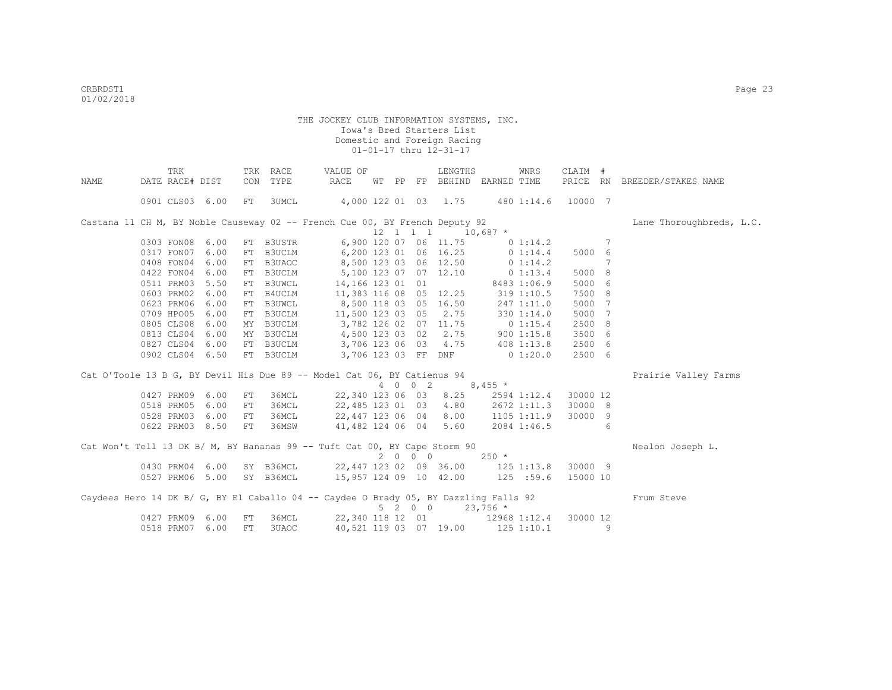|       | TRK             |      |     | TRK RACE  | VALUE OF                                                                             |       |         | LENGTHS                                         |                  | WNRS               | CLAIM #  |   |                              |
|-------|-----------------|------|-----|-----------|--------------------------------------------------------------------------------------|-------|---------|-------------------------------------------------|------------------|--------------------|----------|---|------------------------------|
| NAMF. | DATE RACE# DIST |      | CON | TYPE      | RACE                                                                                 | WT PP |         | FP BEHIND EARNED TIME                           |                  |                    |          |   | PRICE RN BREEDER/STAKES NAME |
|       | 0901 CLS03 6.00 |      | FT  | 3UMCL     | 4,000 122 01 03 1.75                                                                 |       |         |                                                 |                  | 480 1:14.6 10000 7 |          |   |                              |
|       |                 |      |     |           | Castana 11 CH M, BY Noble Causeway 02 -- French Cue 00, BY French Deputy 92          |       |         |                                                 |                  |                    |          |   | Lane Thoroughbreds, L.C.     |
|       |                 |      |     |           |                                                                                      |       |         | $12 \quad 1 \quad 1 \quad 1 \quad 10,687 \atop$ |                  |                    |          |   |                              |
|       | 0303 FON08 6.00 |      |     |           | FT B3USTR 6,900 120 07 06 11.75 0 1:14.2                                             |       |         |                                                 |                  |                    |          | 7 |                              |
|       | 0317 FON07      | 6.00 |     |           | FT B3UCLM 6,200 123 01 06 16.25 0 1:14.4                                             |       |         |                                                 |                  |                    | 5000 6   |   |                              |
|       | 0408 FON04      | 6.00 |     |           | FT B3UAOC 8,500 123 03 06 12.50                                                      |       |         |                                                 | 0 1:14.2         |                    |          | 7 |                              |
|       | 0422 FON04      | 6.00 |     |           | FT B3UCLM 5,100 123 07 07 12.10                                                      |       |         |                                                 |                  | 0 1:13.4           | 5000 8   |   |                              |
|       | 0511 PRM03 5.50 |      |     | FT B3UWCL |                                                                                      |       |         | 14, 166 123 01 01 8483 1:06.9                   |                  |                    | 5000 6   |   |                              |
|       | 0603 PRM02      | 6.00 |     |           | FT B4UCLM 11,383 116 08 05 12.25                                                     |       |         |                                                 | 319 1:10.5       |                    | 7500 8   |   |                              |
|       | 0623 PRM06      | 6.00 |     | FT B3UWCL | 8,500 118 03 05 16.50                                                                |       |         |                                                 |                  | 247 1:11.0         | 5000     | 7 |                              |
|       | 0709 HPO05      | 6.00 |     |           | FT B3UCLM 11,500 123 03 05 2.75                                                      |       |         |                                                 |                  | 330 1:14.0         | 5000     | 7 |                              |
|       | 0805 CLS08      | 6.00 |     | MY B3UCLM | 3,782 126 02 07 11.75                                                                |       |         |                                                 | $0\;1:15.4$      |                    | 2500     | 8 |                              |
|       | 0813 CLS04      | 6.00 |     |           | MY B3UCLM 4,500 123 03 02 2.75                                                       |       |         |                                                 | 9001:15.8        |                    | 3500 6   |   |                              |
|       | 0827 CLS04      | 6.00 |     |           | FT B3UCLM 3,706 123 06 03 4.75                                                       |       |         |                                                 | 408 1:13.8       |                    | 2500 6   |   |                              |
|       | 0902 CLS04 6.50 |      |     |           | FT B3UCLM 3,706 123 03 FF DNF 0 1:20.0                                               |       |         |                                                 |                  |                    | 2500 6   |   |                              |
|       |                 |      |     |           | Cat O'Toole 13 B G, BY Devil His Due 89 -- Model Cat 06, BY Catienus 94              |       |         |                                                 |                  |                    |          |   | Prairie Valley Farms         |
|       |                 |      |     |           |                                                                                      |       | 4 0 0 2 | $8,455$ *                                       |                  |                    |          |   |                              |
|       | 0427 PRM09      | 6.00 | FT  | 36MCL     | 22,340 123 06 03                                                                     |       |         | 8.25                                            |                  | 2594 1:12.4        | 30000 12 |   |                              |
|       | 0518 PRM05      | 6.00 | FT  | 36MCL     | 22,485 123 01 03                                                                     |       |         |                                                 | 4.80 2672 1:11.3 |                    | 30000 8  |   |                              |
|       | 0528 PRM03      | 6.00 | FT  | 36MCL     | 22,447 123 06 04                                                                     |       |         | 8.00                                            | $1105$ 1:11.9    |                    | 30000 9  |   |                              |
|       | 0622 PRM03 8.50 |      | FT  | 36MSW     | 41,482 124 06 04                                                                     |       |         | 5.60                                            | 2084 1:46.5      |                    |          | 6 |                              |
|       |                 |      |     |           | Cat Won't Tell 13 DK B/ M, BY Bananas 99 -- Tuft Cat 00, BY Cape Storm 90            |       |         |                                                 |                  |                    |          |   | Nealon Joseph L.             |
|       |                 |      |     |           |                                                                                      |       | 2000    |                                                 | $250 *$          |                    |          |   |                              |
|       | 0430 PRM04 6.00 |      |     |           | SY B36MCL 22,447 123 02 09 36.00 125 1:13.8                                          |       |         |                                                 |                  |                    | 30000 9  |   |                              |
|       | 0527 PRM06 5.00 |      |     |           | SY B36MCL 15,957 124 09 10 42.00 125 :59.6                                           |       |         |                                                 |                  |                    | 15000 10 |   |                              |
|       |                 |      |     |           | Caydees Hero 14 DK B/ G, BY El Caballo 04 -- Caydee O Brady 05, BY Dazzling Falls 92 |       |         | 5 2 0 0                                         | $23,756$ *       |                    |          |   | Frum Steve                   |
|       | 0427 PRM09      | 6.00 | FT  | 36MCL     |                                                                                      |       |         | 22,340 118 12 01 12968 1:12.4                   |                  |                    | 30000 12 |   |                              |
|       | 0518 PRM07 6.00 |      | FT. | 3UAOC     |                                                                                      |       |         | 40,521 119 03 07 19.00 125 1:10.1               |                  |                    |          | 9 |                              |
|       |                 |      |     |           |                                                                                      |       |         |                                                 |                  |                    |          |   |                              |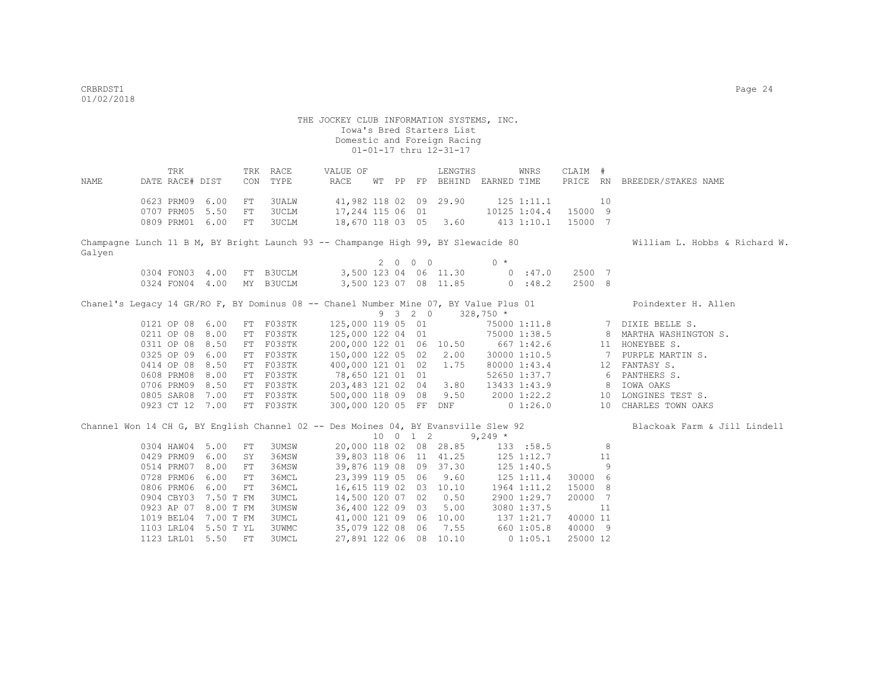THE JOCKEY CLUB INFORMATION SYSTEMS, INC. Iowa's Bred Starters List Domestic and Foreign Racing 01-01-17 thru 12-31-17 TRK TRK RACE VALUE OF LENGTHS WNRS CLAIM # NAME DATE RACE# DIST CON TYPE RACE WT PP FP BEHIND EARNED TIME PRICE RN BREEDER/STAKES NAME 0623 PRM09 6.00 FT 3UALW 41,982 118 02 09 29.90 125 1:11.1 10 0707 PRM05 5.50 FT 3UCLM 17,244 115 06 01 10125 1:04.4 15000 9 0809 PRM01 6.00 FT 3UCLM 18,670 118 03 05 3.60 413 1:10.1 15000 7 Champagne Lunch 11 B M, BY Bright Launch 93 -- Champange High 99, BY Slewacide 80 William L. Hobbs & Richard W. Galyen  $2000$   $0*$  0304 FON03 4.00 FT B3UCLM 3,500 123 04 06 11.30 0 :47.0 2500 7 0324 FON04 4.00 MY B3UCLM 3,500 123 07 08 11.85 0 :48.2 2500 8 Chanel's Legacy 14 GR/RO F, BY Dominus 08 -- Chanel Number Mine 07, BY Value Plus 01 Poindexter H. Allen 9 3 2 0 328,750 \* 0121 OP 08 6.00 FT F03STK 125,000 119 05 01 75000 1:11.8 7 DIXIE BELLE S. 0211 OP 08 8.00 FT F03STK 125,000 122 04 01 75000 1:38.5 8 MARTHA WASHINGTON S.<br>0311 OP 08 8.50 FT F03STK 200,000 122 01 06 10.50 667 1:42.6 11 HONEYBEE S. 0311 OP 08 8.50 FT F03STK 200,000 122 01 06 10.50 667 1:42.6 11 HONEYBEE S.<br>0325 OP 09 6.00 FT F03STK 150,000 122 05 02 2.00 30000 1:10.5 7 PURPLE MARTIN S. 150,000 122 05 02 2.00 0414 OP 08 8.50 FT F03STK 400,000 121 01 02 1.75 80000 1:43.4 12 FANTASY S. 0608 PRM08 8.00 FT F03STK 78,650 121 01 01 52650 1:37.7 6 PANTHERS S.<br>0706 PRM09 8.50 FT F03STK 203,483 121 02 04 3.80 13433 1:43.9 8 IOWA OAKS 0706 PRM09 8.50 FT F03STK 0805 SAR08 7.00 FT F03STK 500,000 118 09 08 9.50 2000 1:22.2 10 LONGINES TEST S. 0923 CT 12 7.00 FT F03STK 300,000 120 05 FF DNF 0 1:26.0 10 CHARLES TOWN OAKS Channel Won 14 CH G, BY English Channel 02 -- Des Moines 04, BY Evansville Slew 92 Blackoak Farm & Jill Lindell  $10 \quad 0 \quad 1 \quad 2$  9,249 \*<br>20,000 118 02 08 28.85 133 0304 HAW04 5.00 FT 3UMSW 20,000 118 02 08 28.85 133 :58.5 8 0429 PRM09 6.00 SY 36MSW 39,803 118 06 11 41.25 125 1:12.7 11<br>0514 PRM07 8.00 FT 36MSW 39,876 119 08 09 37.30 125 1:40.5 9 0514 PRM07 8.00 FT 36MSW 39,876 119 08 09 37.30 125 1:40.5 9<br>0728 PRM06 6.00 FT 36MCL 23,399 119 05 06 9.60 125 1:11.4 30000 6 0728 PRM06 6.00 FT 36MCL 23,399 119 05 06 9.60 125 1:11.4 30000 6<br>0806 PRM06 6.00 FT 36MCL 16.615 119 02 03 10.10 1964 1:11.2 15000 8 0806 PRM06 6.00 FT 36MCL 16,615 119 02 03 10.10<br>0904 CBY03 7.50 T FM 3UMCL 14,500 120 07 02 0.50 0904 CBY03 7.50 T FM 3UMCL 14,500 120 07 02 0.50 2900 1:29.7 20000 7<br>0923 AP 07 8.00 T FM 3UMSW 36,400 122 09 03 5.00 3080 1:37.5 11 0923 AP 07 8.00 T FM 3UMSW 36,400 122 09 03 5.00 3080 1:37.5 11 1019 BEL04 7.00 T FM 3UMCL 41,000 121 09 06 10.00 137 1:21.7 40000 11 1103 LRL04 5.50 T YL 3UWMC 35,079 122 08 06 7.55 660 1:05.8 40000 9

1123 LRL01 5.50 FT 3UMCL 27,891 122 06 08 10.10 0 1:05.1 25000 12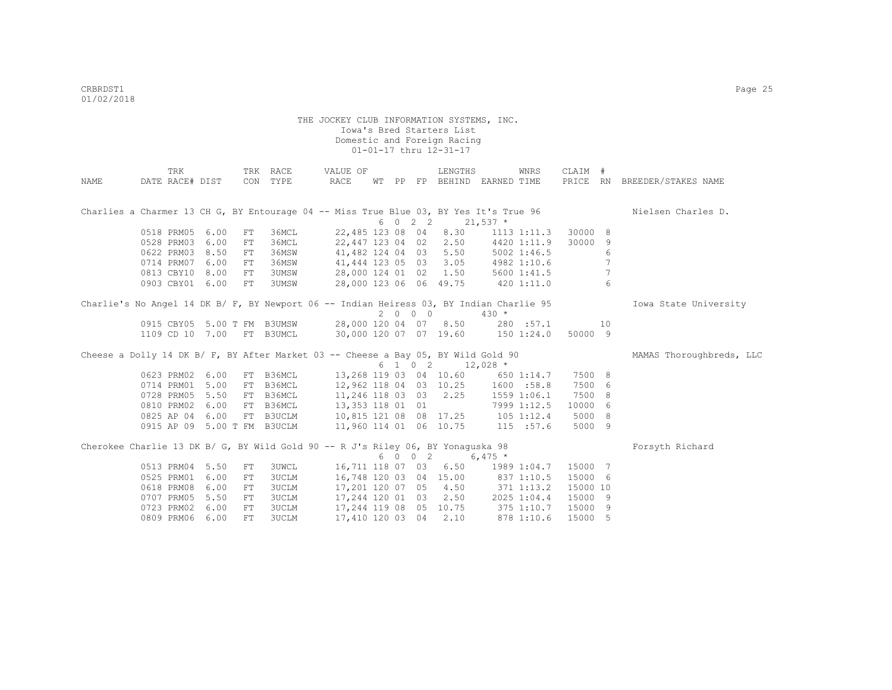|      | TRK                         |      |     | TRK RACE     | VALUE OF                                                                                |  |         | LENGTHS                                    |                        | WNRS            | CLAIM #  |                 |                              |
|------|-----------------------------|------|-----|--------------|-----------------------------------------------------------------------------------------|--|---------|--------------------------------------------|------------------------|-----------------|----------|-----------------|------------------------------|
| NAME | DATE RACE# DIST             |      |     | CON TYPE     | RACE                                                                                    |  |         | WT PP FP BEHIND EARNED TIME                |                        |                 |          |                 | PRICE RN BREEDER/STAKES NAME |
|      |                             |      |     |              |                                                                                         |  |         |                                            |                        |                 |          |                 |                              |
|      |                             |      |     |              | Charlies a Charmer 13 CH G, BY Entourage 04 -- Miss True Blue 03, BY Yes It's True 96   |  |         |                                            |                        |                 |          |                 | Nielsen Charles D.           |
|      |                             |      |     |              |                                                                                         |  | 6 0 2 2 |                                            | $21,537$ *             |                 |          |                 |                              |
|      | 0518 PRM05 6.00             |      | FT  | 36MCL        | 22,485 123 08 04                                                                        |  |         | 8.30                                       |                        | $1113$ $1:11.3$ | 30000 8  |                 |                              |
|      | 0528 PRM03                  | 6.00 | FT  | 36MCL        | 22,447 123 04 02                                                                        |  |         |                                            | 2.50 4420 1:11.9       |                 | 30000    | 9               |                              |
|      | 0622 PRM03                  | 8.50 | FT  | 36MSW        | 41,482 124 04 03                                                                        |  |         |                                            | $5.50$ $5002$ $1:46.5$ |                 |          | 6               |                              |
|      | 0714 PRM07                  | 6.00 | FT  | 36MSW        |                                                                                         |  |         | 41,444 123 05 03 3.05 4982 1:10.6          |                        |                 |          |                 |                              |
|      | 0813 CBY10                  | 8.00 | FT  | 3UMSW        |                                                                                         |  |         | 28,000 124 01 02 1.50 5600 1:41.5          |                        |                 |          | $7\phantom{.0}$ |                              |
|      | 0903 CBY01 6.00             |      | FT  | 3UMSW        |                                                                                         |  |         | 28,000 123 06 06 49.75 420 1:11.0          |                        |                 |          | 6               |                              |
|      |                             |      |     |              | Charlie's No Angel 14 DK B/ F, BY Newport 06 -- Indian Heiress 03, BY Indian Charlie 95 |  |         |                                            |                        |                 |          |                 | Iowa State University        |
|      |                             |      |     |              |                                                                                         |  | 2000    |                                            | $430 *$                |                 |          |                 |                              |
|      |                             |      |     |              | 0915 CBY05 5.00 T FM B3UMSW 28,000 120 04 07 8.50                                       |  |         |                                            |                        | 280 :57.1       |          | 10              |                              |
|      | 1109 CD 10 7.00 FT B3UMCL   |      |     |              |                                                                                         |  |         | 30,000 120 07 07 19.60 150 1:24.0          |                        |                 | 50000 9  |                 |                              |
|      |                             |      |     |              | Cheese a Dolly 14 DK B/ F, BY After Market 03 -- Cheese a Bay 05, BY Wild Gold 90       |  |         |                                            |                        |                 |          |                 | MAMAS Thoroughbreds, LLC     |
|      |                             |      |     |              |                                                                                         |  |         | $6 \quad 1 \quad 0 \quad 2 \quad 12,028$ * |                        |                 |          |                 |                              |
|      | 0623 PRM02 6.00             |      |     | FT B36MCL    |                                                                                         |  |         | 13,268 119 03 04 10.60 650 1:14.7          |                        |                 | 7500 8   |                 |                              |
|      | 0714 PRM01                  | 5.00 |     | FT B36MCL    |                                                                                         |  |         | 12,962 118 04 03 10.25 1600 :58.8          |                        |                 | 7500 6   |                 |                              |
|      | 0728 PRM05                  | 5.50 |     | FT B36MCL    |                                                                                         |  |         | 11,246 118 03 03 2.25 1559 1:06.1          |                        |                 | 7500 8   |                 |                              |
|      | 0810 PRM02                  | 6.00 |     | FT B36MCL    | 13,353 118 01 01                                                                        |  |         |                                            |                        | 7999 1:12.5     | 10000 6  |                 |                              |
|      | 0825 AP 04 6.00             |      |     | FT B3UCLM    |                                                                                         |  |         | 10,815 121 08 08 17.25 105 1:12.4          |                        |                 | 5000 8   |                 |                              |
|      | 0915 AP 09 5.00 T FM B3UCLM |      |     |              |                                                                                         |  |         | 11,960 114 01 06 10.75 115 :57.6           |                        |                 | 5000 9   |                 |                              |
|      |                             |      |     |              | Cherokee Charlie 13 DK B/ G, BY Wild Gold 90 -- R J's Riley 06, BY Yonaguska 98         |  |         |                                            |                        |                 |          |                 | Forsyth Richard              |
|      |                             |      |     |              |                                                                                         |  | 6 0 0 2 |                                            | 6,475 $*$              |                 |          |                 |                              |
|      | 0513 PRM04 5.50             |      | FT  | <b>3UWCL</b> | 16,711 118 07 03                                                                        |  |         | 6.50                                       |                        | 1989 1:04.7     | 15000 7  |                 |                              |
|      | 0525 PRM01                  | 6.00 | FT  | 3UCLM        |                                                                                         |  |         | 16,748 120 03 04 15.00 837 1:10.5          |                        |                 | 15000 6  |                 |                              |
|      | 0618 PRM08                  | 6.00 | FT  | 3UCLM        |                                                                                         |  |         | 17,201 120 07 05 4.50                      | 371 1:13.2             |                 | 15000 10 |                 |                              |
|      | 0707 PRM05                  | 5.50 | FT  | 3UCLM        |                                                                                         |  |         | 17, 244 120 01 03 2.50 2025 1:04.4         |                        |                 | 15000 9  |                 |                              |
|      | 0723 PRM02                  | 6.00 | FT  | 3UCLM        |                                                                                         |  |         | 17,244 119 08 05 10.75                     | 375 1:10.7             |                 | 15000 9  |                 |                              |
|      | 0809 PRM06 6.00             |      | FT. | <b>3UCLM</b> | 17,410 120 03 04                                                                        |  |         | 2.10                                       |                        | 878 1:10.6      | 15000 5  |                 |                              |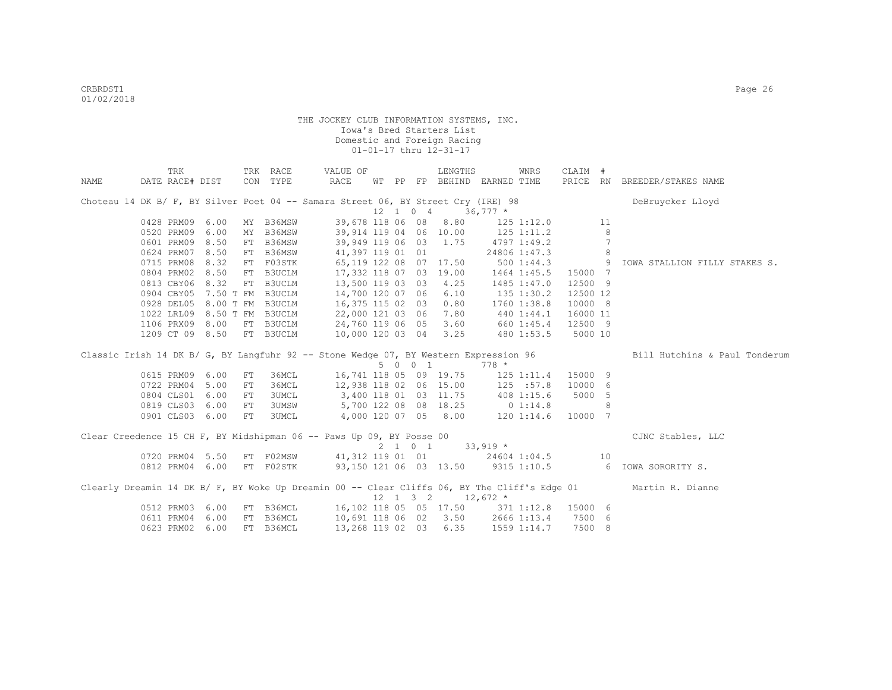|      | TRK             |                             |            | TRK RACE  | VALUE OF                                                                             |    |    |                              | LENGTHS                      |             | WNRS               | CLAIM #  |    |                                                                                                               |
|------|-----------------|-----------------------------|------------|-----------|--------------------------------------------------------------------------------------|----|----|------------------------------|------------------------------|-------------|--------------------|----------|----|---------------------------------------------------------------------------------------------------------------|
| NAME | DATE RACE# DIST |                             |            | CON TYPE  | RACE                                                                                 | WТ | PP |                              | FP BEHIND EARNED TIME        |             |                    |          |    | PRICE RN BREEDER/STAKES NAME                                                                                  |
|      |                 |                             |            |           | Choteau 14 DK B/ F, BY Silver Poet 04 -- Samara Street 06, BY Street Cry (IRE) 98    |    |    |                              |                              |             |                    |          |    | DeBruycker Lloyd                                                                                              |
|      |                 |                             |            |           |                                                                                      |    |    | $12 \quad 1 \quad 0 \quad 4$ |                              | $36,777$ *  |                    |          |    |                                                                                                               |
|      | 0428 PRM09 6.00 |                             | MY         | B36MSW    | 39,678 118 06 08                                                                     |    |    |                              | 8.80                         |             | $125$ $1:12.0$     |          | 11 |                                                                                                               |
|      | 0520 PRM09      | 6.00                        | MY         | B36MSW    | 39,914 119 04 06 10.00                                                               |    |    |                              |                              |             | $125$ $1:11.2$     |          | 8  |                                                                                                               |
|      | 0601 PRM09 8.50 |                             | FT         | B36MSW    | 39,949 119 06 03 1.75                                                                |    |    |                              |                              |             | 4797 1:49.2        |          |    |                                                                                                               |
|      | 0624 PRM07      | 8.50                        | FT         | B36MSW    | 41,397 119 01 01                                                                     |    |    |                              |                              |             | 24806 1:47.3       |          | 8  |                                                                                                               |
|      | 0715 PRM08 8.32 |                             | FT         | F03STK    | 65,119 122 08 07 17.50                                                               |    |    |                              |                              |             | 5001:44.3          | $\sim$ 9 |    | IOWA STALLION FILLY STAKES S.                                                                                 |
|      |                 | 0804 PRM02 8.50 FT          |            | B3UCLM    | 17,332 118 07 03 19.00                                                               |    |    |                              |                              |             | 1464 1:45.5        | 15000 7  |    |                                                                                                               |
|      | 0813 CBY06 8.32 |                             |            | FT B3UCLM | 13,500 119 03 03 4.25                                                                |    |    |                              |                              |             | 1485 1:47.0        | 12500 9  |    |                                                                                                               |
|      |                 | 0904 CBY05 7.50 T FM B3UCLM |            |           | 14,700 120 07 06 6.10                                                                |    |    |                              |                              | 135 1:30.2  |                    | 12500 12 |    |                                                                                                               |
|      |                 | 0928 DEL05 8.00 T FM B3UCLM |            |           | 16,375 115 02 03 0.80                                                                |    |    |                              |                              |             | 1760 1:38.8        | 10000 8  |    |                                                                                                               |
|      |                 | 1022 LRL09 8.50 T FM B3UCLM |            |           | 22,000 121 03 06 7.80                                                                |    |    |                              |                              |             | 440 1:44.1         | 16000 11 |    |                                                                                                               |
|      |                 | 1106 PRX09 8.00 FT B3UCLM   |            |           | 24,760 119 06 05 3.60                                                                |    |    |                              |                              |             | 660 1:45.4 12500 9 |          |    |                                                                                                               |
|      |                 | 1209 CT 09 8.50             |            | FT B3UCLM | 10,000 120 03 04 3.25                                                                |    |    |                              |                              |             | 480 1:53.5         | 5000 10  |    |                                                                                                               |
|      |                 |                             |            |           | Classic Irish 14 DK B/ G, BY Langfuhr 92 -- Stone Wedge 07, BY Western Expression 96 |    |    |                              |                              |             |                    |          |    | Bill Hutchins & Paul Tonderum                                                                                 |
|      |                 |                             |            |           |                                                                                      |    |    | 5 0 0 1                      |                              | $778 *$     |                    |          |    |                                                                                                               |
|      | 0615 PRM09 6.00 |                             | ${\rm FT}$ | 36MCL     | 16,741 118 05 09 19.75                                                               |    |    |                              |                              |             | 125 1:11.4         | 15000 9  |    |                                                                                                               |
|      | 0722 PRM04 5.00 |                             | FT         | 36MCL     | 12,938 118 02 06 15.00                                                               |    |    |                              |                              |             | 125 :57.8          | 10000 6  |    |                                                                                                               |
|      | 0804 CLS01 6.00 |                             | FT         | 3UMCL     | 3,400 118 01 03 11.75                                                                |    |    |                              |                              |             | 408 1:15.6         | 5000 5   |    |                                                                                                               |
|      | 0819 CLS03 6.00 |                             | FT         |           | 3UMSW 5,700 122 08 08 18.25                                                          |    |    |                              |                              |             | 0 1:14.8           |          | 8  |                                                                                                               |
|      | 0901 CLS03 6.00 |                             | FT         | 3UMCL     | 4,000 120 07 05 8.00                                                                 |    |    |                              |                              |             | 120 1:14.6 10000 7 |          |    |                                                                                                               |
|      |                 |                             |            |           | Clear Creedence 15 CH F, BY Midshipman 06 -- Paws Up 09, BY Posse 00                 |    |    |                              |                              |             |                    |          |    | CJNC Stables, LLC                                                                                             |
|      |                 |                             |            |           |                                                                                      |    |    |                              | $2 \t1 \t0 \t1 \t33,919 \t*$ |             |                    |          |    |                                                                                                               |
|      |                 |                             |            |           | 0720 PRM04 5.50 FT F02MSW 41,312 119 01 01 24604 1:04.5 10                           |    |    |                              |                              |             |                    |          |    |                                                                                                               |
|      | 0812 PRM04 6.00 |                             |            | FT F02STK |                                                                                      |    |    |                              |                              |             |                    |          |    | 93,150 121 06 03 13.50 9315 1:10.5 6 IOWA SORORITY S.                                                         |
|      |                 |                             |            |           |                                                                                      |    |    |                              |                              |             |                    |          |    | Clearly Dreamin 14 DK B/ F, BY Woke Up Dreamin 00 -- Clear Cliffs 06, BY The Cliff's Edge 01 Martin R. Dianne |
|      |                 |                             |            |           |                                                                                      |    |    | $12 \quad 1 \quad 3 \quad 2$ |                              | $12,672$ *  |                    |          |    |                                                                                                               |
|      | 0512 PRM03 6.00 |                             |            |           | FT B36MCL 16,102 118 05 05 17.50                                                     |    |    |                              |                              |             | 371 1:12.8 15000 6 |          |    |                                                                                                               |
|      | 0611 PRM04 6.00 |                             | FT         | B36MCL    | 10,691 118 06 02 3.50 2666 1:13.4                                                    |    |    |                              |                              |             |                    | 7500 6   |    |                                                                                                               |
|      | 0623 PRM02 6.00 |                             |            | FT B36MCL | 13,268 119 02 03 6.35                                                                |    |    |                              |                              | 1559 1:14.7 |                    | 7500 8   |    |                                                                                                               |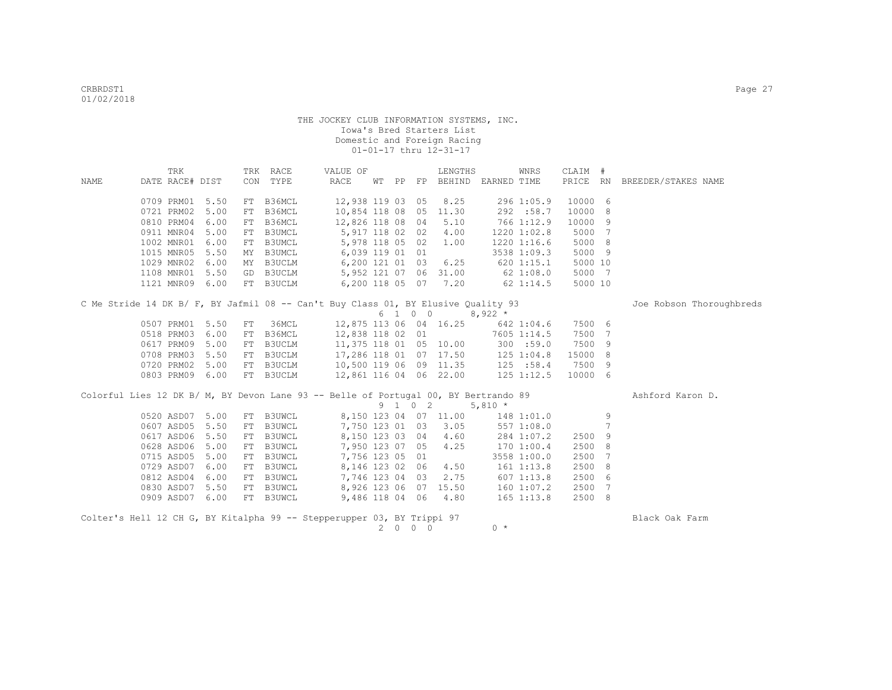| CON TYPE<br>RACE<br>PRICE RN BREEDER/STAKES NAME<br>DATE RACE# DIST<br>WT PP FP BEHIND EARNED TIME<br>NAME<br>0709 PRM01<br>5.50<br>FT B36MCL<br>12,938 119 03 05<br>8.25<br>296 1:05.9<br>10000 6<br>0721 PRM02<br>FT B36MCL<br>10,854 118 08 05 11.30<br>292 :58.7<br>10000<br>8<br>5.00<br>0810 PRM04<br>FT B36MCL<br>12,826 118 08 04<br>5.10<br>766 1:12.9<br>10000<br>9<br>6.00<br>0911 MNR04<br>5,917 118 02 02<br>5000 7<br>5.00<br>FT B3UMCL<br>4.00<br>1220 1:02.8<br>FT B3UMCL<br>5000 8<br>1002 MNR01<br>6.00<br>5,978 118 05 02<br>1.00<br>1220 1:16.6<br>1015 MNR05<br>5.50<br>MY B3UMCL<br>6,039 119 01 01<br>3538 1:09.3<br>5000 9<br>1029 MNR02<br>6,200 121 01 03<br>6.25<br>620 1:15.1<br>5000 10<br>6.00<br>MY B3UCLM<br>5,952 121 07 06 31.00<br>5000 7<br>1108 MNR01<br>5.50<br>GD B3UCLM<br>$62$ 1:08.0<br>FT B3UCLM<br>6,200 118 05 07 7.20<br>5000 10<br>1121 MNR09<br>6.00<br>62 1:14.5<br>C Me Stride 14 DK B/ F, BY Jafmil 08 -- Can't Buy Class 01, BY Elusive Quality 93<br>Joe Robson Thoroughbreds<br>6 1 0 0<br>$8,922$ *<br>36MCL<br>12,875 113 06 04 16.25<br>7500 6<br>0507 PRM01<br>5.50<br>FT<br>642 1:04.6<br>0518 PRM03<br>FT B36MCL<br>12,838 118 02 01<br>7500 7<br>6.00<br>7605 1:14.5<br>FT B3UCLM<br>11,375 118 01 05 10.00<br>7500<br>0617 PRM09<br>5.00<br>300 : 59.0<br>9<br>FT B3UCLM<br>0708 PRM03<br>5.50<br>17,286 118 01 07 17.50<br>125 1:04.8<br>15000 8<br>0720 PRM02<br>10,500 119 06 09 11.35<br>125 : 58.4<br>7500 9<br>5.00<br>FT B3UCLM<br>12,861 116 04 06 22.00<br>0803 PRM09 6.00<br>FT B3UCLM<br>$125$ $1:12.5$<br>10000 6<br>Colorful Lies 12 DK B/ M, BY Devon Lane 93 -- Belle of Portugal 00, BY Bertrando 89<br>Ashford Karon D.<br>9 1 0 2<br>$5,810 *$<br>8,150 123 04 07 11.00<br>0520 ASD07<br>5.00<br>FT B3UWCL<br>9<br>148 1:01.0<br>$\overline{7}$<br>0607 ASD05<br>5.50<br>FT B3UWCL<br>7,750 123 01 03<br>3.05<br>557 1:08.0<br>0617 ASD06<br>5.50<br>FT B3UWCL<br>4.60<br>2500<br>9<br>8,150 123 03 04<br>284 1:07.2 |
|------------------------------------------------------------------------------------------------------------------------------------------------------------------------------------------------------------------------------------------------------------------------------------------------------------------------------------------------------------------------------------------------------------------------------------------------------------------------------------------------------------------------------------------------------------------------------------------------------------------------------------------------------------------------------------------------------------------------------------------------------------------------------------------------------------------------------------------------------------------------------------------------------------------------------------------------------------------------------------------------------------------------------------------------------------------------------------------------------------------------------------------------------------------------------------------------------------------------------------------------------------------------------------------------------------------------------------------------------------------------------------------------------------------------------------------------------------------------------------------------------------------------------------------------------------------------------------------------------------------------------------------------------------------------------------------------------------------------------------------------------------------------------------------------------------------------------------------------------------------------------------------------------------------------------------------------------------------------------------------------------|
|                                                                                                                                                                                                                                                                                                                                                                                                                                                                                                                                                                                                                                                                                                                                                                                                                                                                                                                                                                                                                                                                                                                                                                                                                                                                                                                                                                                                                                                                                                                                                                                                                                                                                                                                                                                                                                                                                                                                                                                                      |
|                                                                                                                                                                                                                                                                                                                                                                                                                                                                                                                                                                                                                                                                                                                                                                                                                                                                                                                                                                                                                                                                                                                                                                                                                                                                                                                                                                                                                                                                                                                                                                                                                                                                                                                                                                                                                                                                                                                                                                                                      |
|                                                                                                                                                                                                                                                                                                                                                                                                                                                                                                                                                                                                                                                                                                                                                                                                                                                                                                                                                                                                                                                                                                                                                                                                                                                                                                                                                                                                                                                                                                                                                                                                                                                                                                                                                                                                                                                                                                                                                                                                      |
|                                                                                                                                                                                                                                                                                                                                                                                                                                                                                                                                                                                                                                                                                                                                                                                                                                                                                                                                                                                                                                                                                                                                                                                                                                                                                                                                                                                                                                                                                                                                                                                                                                                                                                                                                                                                                                                                                                                                                                                                      |
|                                                                                                                                                                                                                                                                                                                                                                                                                                                                                                                                                                                                                                                                                                                                                                                                                                                                                                                                                                                                                                                                                                                                                                                                                                                                                                                                                                                                                                                                                                                                                                                                                                                                                                                                                                                                                                                                                                                                                                                                      |
|                                                                                                                                                                                                                                                                                                                                                                                                                                                                                                                                                                                                                                                                                                                                                                                                                                                                                                                                                                                                                                                                                                                                                                                                                                                                                                                                                                                                                                                                                                                                                                                                                                                                                                                                                                                                                                                                                                                                                                                                      |
|                                                                                                                                                                                                                                                                                                                                                                                                                                                                                                                                                                                                                                                                                                                                                                                                                                                                                                                                                                                                                                                                                                                                                                                                                                                                                                                                                                                                                                                                                                                                                                                                                                                                                                                                                                                                                                                                                                                                                                                                      |
|                                                                                                                                                                                                                                                                                                                                                                                                                                                                                                                                                                                                                                                                                                                                                                                                                                                                                                                                                                                                                                                                                                                                                                                                                                                                                                                                                                                                                                                                                                                                                                                                                                                                                                                                                                                                                                                                                                                                                                                                      |
|                                                                                                                                                                                                                                                                                                                                                                                                                                                                                                                                                                                                                                                                                                                                                                                                                                                                                                                                                                                                                                                                                                                                                                                                                                                                                                                                                                                                                                                                                                                                                                                                                                                                                                                                                                                                                                                                                                                                                                                                      |
|                                                                                                                                                                                                                                                                                                                                                                                                                                                                                                                                                                                                                                                                                                                                                                                                                                                                                                                                                                                                                                                                                                                                                                                                                                                                                                                                                                                                                                                                                                                                                                                                                                                                                                                                                                                                                                                                                                                                                                                                      |
|                                                                                                                                                                                                                                                                                                                                                                                                                                                                                                                                                                                                                                                                                                                                                                                                                                                                                                                                                                                                                                                                                                                                                                                                                                                                                                                                                                                                                                                                                                                                                                                                                                                                                                                                                                                                                                                                                                                                                                                                      |
|                                                                                                                                                                                                                                                                                                                                                                                                                                                                                                                                                                                                                                                                                                                                                                                                                                                                                                                                                                                                                                                                                                                                                                                                                                                                                                                                                                                                                                                                                                                                                                                                                                                                                                                                                                                                                                                                                                                                                                                                      |
|                                                                                                                                                                                                                                                                                                                                                                                                                                                                                                                                                                                                                                                                                                                                                                                                                                                                                                                                                                                                                                                                                                                                                                                                                                                                                                                                                                                                                                                                                                                                                                                                                                                                                                                                                                                                                                                                                                                                                                                                      |
|                                                                                                                                                                                                                                                                                                                                                                                                                                                                                                                                                                                                                                                                                                                                                                                                                                                                                                                                                                                                                                                                                                                                                                                                                                                                                                                                                                                                                                                                                                                                                                                                                                                                                                                                                                                                                                                                                                                                                                                                      |
|                                                                                                                                                                                                                                                                                                                                                                                                                                                                                                                                                                                                                                                                                                                                                                                                                                                                                                                                                                                                                                                                                                                                                                                                                                                                                                                                                                                                                                                                                                                                                                                                                                                                                                                                                                                                                                                                                                                                                                                                      |
|                                                                                                                                                                                                                                                                                                                                                                                                                                                                                                                                                                                                                                                                                                                                                                                                                                                                                                                                                                                                                                                                                                                                                                                                                                                                                                                                                                                                                                                                                                                                                                                                                                                                                                                                                                                                                                                                                                                                                                                                      |
|                                                                                                                                                                                                                                                                                                                                                                                                                                                                                                                                                                                                                                                                                                                                                                                                                                                                                                                                                                                                                                                                                                                                                                                                                                                                                                                                                                                                                                                                                                                                                                                                                                                                                                                                                                                                                                                                                                                                                                                                      |
|                                                                                                                                                                                                                                                                                                                                                                                                                                                                                                                                                                                                                                                                                                                                                                                                                                                                                                                                                                                                                                                                                                                                                                                                                                                                                                                                                                                                                                                                                                                                                                                                                                                                                                                                                                                                                                                                                                                                                                                                      |
|                                                                                                                                                                                                                                                                                                                                                                                                                                                                                                                                                                                                                                                                                                                                                                                                                                                                                                                                                                                                                                                                                                                                                                                                                                                                                                                                                                                                                                                                                                                                                                                                                                                                                                                                                                                                                                                                                                                                                                                                      |
|                                                                                                                                                                                                                                                                                                                                                                                                                                                                                                                                                                                                                                                                                                                                                                                                                                                                                                                                                                                                                                                                                                                                                                                                                                                                                                                                                                                                                                                                                                                                                                                                                                                                                                                                                                                                                                                                                                                                                                                                      |
|                                                                                                                                                                                                                                                                                                                                                                                                                                                                                                                                                                                                                                                                                                                                                                                                                                                                                                                                                                                                                                                                                                                                                                                                                                                                                                                                                                                                                                                                                                                                                                                                                                                                                                                                                                                                                                                                                                                                                                                                      |
|                                                                                                                                                                                                                                                                                                                                                                                                                                                                                                                                                                                                                                                                                                                                                                                                                                                                                                                                                                                                                                                                                                                                                                                                                                                                                                                                                                                                                                                                                                                                                                                                                                                                                                                                                                                                                                                                                                                                                                                                      |
|                                                                                                                                                                                                                                                                                                                                                                                                                                                                                                                                                                                                                                                                                                                                                                                                                                                                                                                                                                                                                                                                                                                                                                                                                                                                                                                                                                                                                                                                                                                                                                                                                                                                                                                                                                                                                                                                                                                                                                                                      |
|                                                                                                                                                                                                                                                                                                                                                                                                                                                                                                                                                                                                                                                                                                                                                                                                                                                                                                                                                                                                                                                                                                                                                                                                                                                                                                                                                                                                                                                                                                                                                                                                                                                                                                                                                                                                                                                                                                                                                                                                      |
|                                                                                                                                                                                                                                                                                                                                                                                                                                                                                                                                                                                                                                                                                                                                                                                                                                                                                                                                                                                                                                                                                                                                                                                                                                                                                                                                                                                                                                                                                                                                                                                                                                                                                                                                                                                                                                                                                                                                                                                                      |
|                                                                                                                                                                                                                                                                                                                                                                                                                                                                                                                                                                                                                                                                                                                                                                                                                                                                                                                                                                                                                                                                                                                                                                                                                                                                                                                                                                                                                                                                                                                                                                                                                                                                                                                                                                                                                                                                                                                                                                                                      |
| 0628 ASD06<br>5.00<br>FT B3UWCL<br>4.25<br>2500<br>8<br>7,950 123 07 05<br>1701:00.4                                                                                                                                                                                                                                                                                                                                                                                                                                                                                                                                                                                                                                                                                                                                                                                                                                                                                                                                                                                                                                                                                                                                                                                                                                                                                                                                                                                                                                                                                                                                                                                                                                                                                                                                                                                                                                                                                                                 |
| 0715 ASD05<br>5.00<br>FT B3UWCL<br>7,756 123 05 01<br>3558 1:00.0<br>2500<br>7                                                                                                                                                                                                                                                                                                                                                                                                                                                                                                                                                                                                                                                                                                                                                                                                                                                                                                                                                                                                                                                                                                                                                                                                                                                                                                                                                                                                                                                                                                                                                                                                                                                                                                                                                                                                                                                                                                                       |
| 0729 ASD07<br>6.00<br>FT B3UWCL<br>8,146 123 02 06<br>4.50<br>2500<br>$161$ $1:13.8$<br>8                                                                                                                                                                                                                                                                                                                                                                                                                                                                                                                                                                                                                                                                                                                                                                                                                                                                                                                                                                                                                                                                                                                                                                                                                                                                                                                                                                                                                                                                                                                                                                                                                                                                                                                                                                                                                                                                                                            |
| 7,746 123 04 03<br>0812 ASD04<br>6.00<br>FT B3UWCL<br>2.75<br>6071:13.8<br>2500 6                                                                                                                                                                                                                                                                                                                                                                                                                                                                                                                                                                                                                                                                                                                                                                                                                                                                                                                                                                                                                                                                                                                                                                                                                                                                                                                                                                                                                                                                                                                                                                                                                                                                                                                                                                                                                                                                                                                    |
| 8,926 123 06 07 15.50<br>0830 ASD07<br>5.50<br>FT B3UWCL<br>160 1:07.2<br>2500 7                                                                                                                                                                                                                                                                                                                                                                                                                                                                                                                                                                                                                                                                                                                                                                                                                                                                                                                                                                                                                                                                                                                                                                                                                                                                                                                                                                                                                                                                                                                                                                                                                                                                                                                                                                                                                                                                                                                     |
| 0909 ASD07 6.00<br>FT B3UWCL<br>9,486 118 04 06 4.80<br>2500 8<br>$165$ $1:13.8$                                                                                                                                                                                                                                                                                                                                                                                                                                                                                                                                                                                                                                                                                                                                                                                                                                                                                                                                                                                                                                                                                                                                                                                                                                                                                                                                                                                                                                                                                                                                                                                                                                                                                                                                                                                                                                                                                                                     |
| Colter's Hell 12 CH G, BY Kitalpha 99 -- Stepperupper 03, BY Trippi 97<br>Black Oak Farm                                                                                                                                                                                                                                                                                                                                                                                                                                                                                                                                                                                                                                                                                                                                                                                                                                                                                                                                                                                                                                                                                                                                                                                                                                                                                                                                                                                                                                                                                                                                                                                                                                                                                                                                                                                                                                                                                                             |
| $\overline{2}$<br>$0 \quad 0 \quad 0$<br>$0 *$                                                                                                                                                                                                                                                                                                                                                                                                                                                                                                                                                                                                                                                                                                                                                                                                                                                                                                                                                                                                                                                                                                                                                                                                                                                                                                                                                                                                                                                                                                                                                                                                                                                                                                                                                                                                                                                                                                                                                       |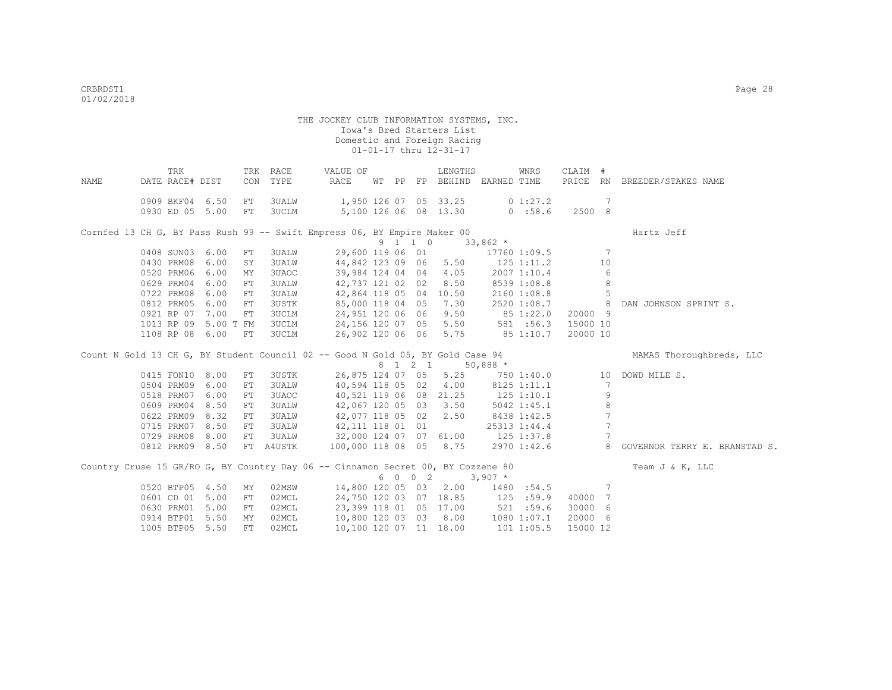| TRK<br>TRK RACE<br>LENGTHS<br>WNRS<br>CLAIM #<br>VALUE OF                                                                   |  |
|-----------------------------------------------------------------------------------------------------------------------------|--|
| DATE RACE# DIST<br>TYPE<br>RACE<br>WT PP FP BEHIND EARNED TIME<br>PRICE RN BREEDER/STAKES NAME<br>NAME<br>CON               |  |
| 0909 BKF04 6.50<br>1,950 126 07 05 33.25<br>0 1:27.2<br>3UALW<br>-7<br>FT                                                   |  |
| 5,100 126 06 08 13.30<br>0930 ED 05 5.00<br>3UCLM<br>$0$ :58.6<br>2500 8<br>FT                                              |  |
|                                                                                                                             |  |
| Cornfed 13 CH G, BY Pass Rush 99 -- Swift Empress 06, BY Empire Maker 00<br>Hartz Jeff                                      |  |
| 9 1 1 0<br>$33,862$ *                                                                                                       |  |
| 29,600 119 06 01<br>0408 SUN03<br>6.00<br>3UALW<br>17760 1:09.5<br>-7<br>FT                                                 |  |
| 6.00<br>44,842 123 09 06 5.50<br>0430 PRM08<br>SY<br>3UALW<br>125 1:11.2<br>10                                              |  |
| 39,984 124 04 04 4.05<br>0520 PRM06<br>6.00<br>3UAOC<br>2007 1:10.4<br>6<br>МY                                              |  |
| 8.50<br>0629 PRM04<br>6.00<br>42,737 121 02 02<br>8<br><b>3UALW</b><br>8539 1:08.8<br>FT                                    |  |
| 6.00<br>0722 PRM08<br>${\rm FT}$<br><b>3UALW</b><br>42,864 118 05 04<br>10.50<br>2160 1:08.8<br>-5                          |  |
| 0812 PRM05<br>6.00<br><b>3USTK</b><br>85,000 118 04 05 7.30<br>FT<br>2520 1:08.7<br>8 <sup>1</sup><br>DAN JOHNSON SPRINT S. |  |
| 0921 RP 07<br>7.00<br><b>3UCLM</b><br>24,951 120 06 06<br>9.50<br>20000 9<br>851:22.0<br>FT                                 |  |
| 15000 10<br>5.00 T FM<br><b>3UCLM</b><br>24,156 120 07 05 5.50<br>581 : 56.3<br>1013 RP 09                                  |  |
| 85 1:10.7<br>1108 RP 08 6.00<br>3UCLM<br>26,902 120 06 06 5.75<br>20000 10<br>FT                                            |  |
| Count N Gold 13 CH G, BY Student Council 02 -- Good N Gold 05, BY Gold Case 94<br>MAMAS Thoroughbreds, LLC                  |  |
| 8 1 2 1 50,888 *                                                                                                            |  |
| 26,875 124 07 05 5.25<br>0415 FON10 8.00<br>3USTK<br>750 1:40.0<br>${\rm FT}$<br>10<br>DOWD MILE S.                         |  |
| 6.00<br>40,594 118 05 02 4.00<br>0504 PRM09<br>3UALW<br>8125 1:11.1<br>FT<br>- 7                                            |  |
| 6.00<br>40,521 119 06 08 21.25<br>9<br>0518 PRM07<br>3UAOC<br>$125$ $1:10.1$<br>FT                                          |  |
| $\,8\,$<br>8.50<br>42,067 120 05 03 3.50<br>0609 PRM04<br>3UALW<br>5042 1:45.1<br>FT                                        |  |
| $\overline{7}$<br>8.32<br>42,077 118 05 02 2.50<br>0622 PRM09<br>FT<br>3UALW<br>8438 1:42.5                                 |  |
| 7<br>0715 PRM07<br>8.50<br>3UALW<br>42,111 118 01 01<br>FT<br>25313 1:44.4                                                  |  |
| 8.00<br>32,000 124 07 07 61.00<br>7<br>0729 PRM08<br><b>3UALW</b><br>$125$ $1:37.8$<br>FT                                   |  |
| 0812 PRM09 8.50<br>100,000 118 08 05 8.75<br>8<br>GOVERNOR TERRY E. BRANSTAD S.<br>FT A4USTK<br>2970 1:42.6                 |  |
| Country Cruse 15 GR/RO G, BY Country Day 06 -- Cinnamon Secret 00, BY Cozzene 80<br>Team J & K, LLC                         |  |
| 6 0 0 2<br>$3,907$ *                                                                                                        |  |
| 0520 BTP05 4.50<br>14,800 120 05 03 2.00<br>02MSW<br>1480<br>:54.5<br>7<br>MY                                               |  |
| 0601 CD 01<br>5.00<br>02MCL<br>24,750 120 03 07 18.85<br>125 : 59.9<br>${\rm FT}$<br>40000 7                                |  |
| 23,399 118 01 05 17.00 521 :59.6<br>0630 PRM01<br>5.00<br>02MCL<br>30000 6<br>FT                                            |  |
| 10,800 120 03 03 8.00<br>0914 BTP01<br>5.50<br>02MCL<br>1080 1:07.1<br>20000 6<br>MY                                        |  |
| 10,100 120 07 11 18.00<br>1005 BTP05 5.50<br>FT.<br>02MCL<br>15000 12                                                       |  |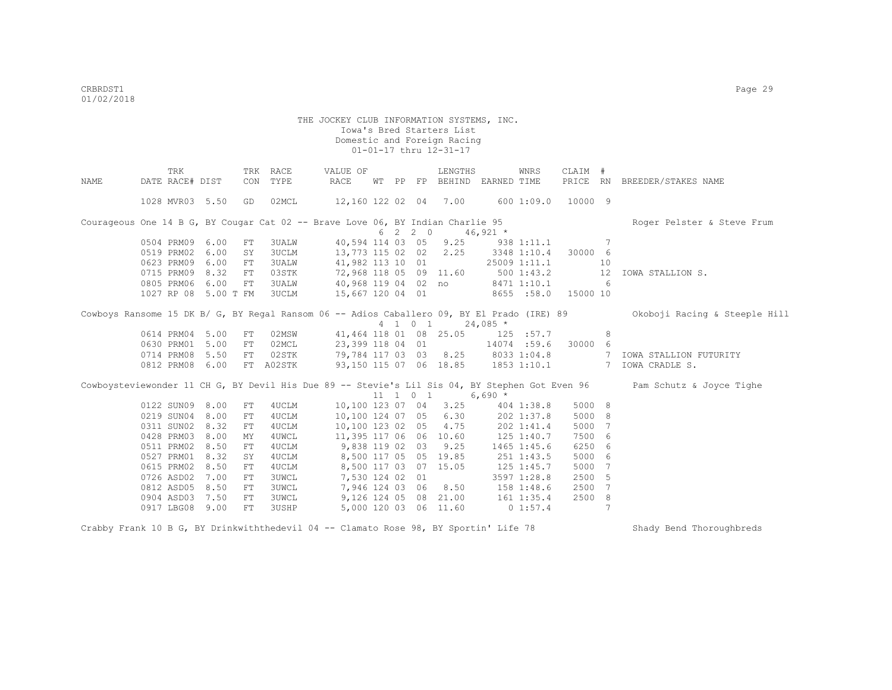|      | TRK                  |      | TRK        | RACE         | VALUE OF                                                                                       |    |    |                              | LENGTHS                |                                    | WNRS                | CLAIM # |     |                               |
|------|----------------------|------|------------|--------------|------------------------------------------------------------------------------------------------|----|----|------------------------------|------------------------|------------------------------------|---------------------|---------|-----|-------------------------------|
| NAME | DATE RACE# DIST      |      | CON        | TYPE         | RACE                                                                                           | WТ | PP |                              |                        | FP BEHIND EARNED TIME              |                     |         |     | PRICE RN BREEDER/STAKES NAME  |
|      | 1028 MVR03 5.50      |      | GD         | 02MCL        | 12,160 122 02 04 7.00                                                                          |    |    |                              |                        |                                    | 600 1:09.0          | 10000 9 |     |                               |
|      |                      |      |            |              | Courageous One 14 B G, BY Cougar Cat 02 -- Brave Love 06, BY Indian Charlie 95                 |    |    |                              |                        |                                    |                     |         |     | Roger Pelster & Steve Frum    |
|      |                      |      |            |              |                                                                                                |    |    | 6 2 2 0                      |                        | $46,921$ *                         |                     |         |     |                               |
|      | 0504 PRM09           | 6.00 | FT         | 3UALW        |                                                                                                |    |    |                              | 40,594 114 03 05 9.25  |                                    | 938 1:11.1          |         | 7   |                               |
|      | 0519 PRM02           | 6.00 | SY         | 3UCLM        | 13,773 115 02 02                                                                               |    |    |                              | 2.25                   |                                    | 3348 1:10.4         | 30000 6 |     |                               |
|      | 0623 PRM09           | 6.00 | FT         | 3UALW        | 41,982 113 10 01                                                                               |    |    |                              |                        |                                    | 25009 1:11.1        |         | 10  |                               |
|      | 0715 PRM09 8.32      |      | FT         | 03STK        | 72,968 118 05 09 11.60                                                                         |    |    |                              |                        |                                    | 5001:43.2           |         | 12  | IOWA STALLION S.              |
|      | 0805 PRM06 6.00      |      | FT         | 3UALW        | 40,968 119 04 02 no                                                                            |    |    |                              |                        |                                    | 8471 1:10.1         |         | - 6 |                               |
|      | 1027 RP 08 5.00 T FM |      |            | 3UCLM        | 15,667 120 04 01                                                                               |    |    |                              |                        |                                    | 8655 :58.0 15000 10 |         |     |                               |
|      |                      |      |            |              | Cowboys Ransome 15 DK B/ G, BY Regal Ransom 06 -- Adios Caballero 09, BY El Prado (IRE) 89     |    |    |                              | 4 1 0 1                | $24,085$ *                         |                     |         |     | Okoboji Racing & Steeple Hill |
|      | 0614 PRM04 5.00      |      | FT         | 02MSW        |                                                                                                |    |    |                              | 41,464 118 01 08 25.05 |                                    | 125 :57.7           |         | 8   |                               |
|      | 0630 PRM01 5.00      |      | FT         | 02MCL        | 23,399 118 04 01                                                                               |    |    |                              |                        |                                    | 14074 :59.6         | 30000   | 6   |                               |
|      | 0714 PRM08 5.50      |      | ${\rm FT}$ | 02STK        | 79,784 117 03 03 8.25 8033 1:04.8                                                              |    |    |                              |                        |                                    |                     |         | 7   | IOWA STALLION FUTURITY        |
|      | 0812 PRM08 6.00      |      | FT         | A02STK       |                                                                                                |    |    |                              |                        | 93,150 115 07 06 18.85 1853 1:10.1 |                     |         |     | 7 IOWA CRADLE S.              |
|      |                      |      |            |              | Cowboysteviewonder 11 CH G, BY Devil His Due 89 -- Stevie's Lil Sis 04, BY Stephen Got Even 96 |    |    | $11 \quad 1 \quad 0 \quad 1$ |                        | $6,690*$                           |                     |         |     | Pam Schutz & Joyce Tighe      |
|      | 0122 SUN09 8.00      |      | FT         | 4UCLM        | 10,100 123 07 04 3.25                                                                          |    |    |                              |                        |                                    | 404 1:38.8          | 5000 8  |     |                               |
|      | 0219 SUN04 8.00      |      | FT         | 4UCLM        | 10,100 124 07 05 6.30                                                                          |    |    |                              |                        |                                    | 202 1:37.8          | 5000 8  |     |                               |
|      | 0311 SUN02 8.32      |      | FT         | 4UCLM        | 10,100 123 02 05                                                                               |    |    |                              | 4.75                   |                                    | 202 1:41.4          | 5000 7  |     |                               |
|      | 0428 PRM03 8.00      |      | ΜY         | 4UWCL        | 11,395 117 06 06 10.60                                                                         |    |    |                              |                        |                                    | 125 1:40.7          | 7500 6  |     |                               |
|      | 0511 PRM02 8.50      |      | ${\rm FT}$ | 4UCLM        | 9,838 119 02 03                                                                                |    |    |                              | 9.25                   |                                    | 1465 1:45.6         | 6250 6  |     |                               |
|      | 0527 PRM01           | 8.32 | SY         | 4UCLM        |                                                                                                |    |    |                              | 8,500 117 05 05 19.85  |                                    | 251 1:43.5          | 5000 6  |     |                               |
|      | 0615 PRM02 8.50      |      | FT         | 4UCLM        |                                                                                                |    |    |                              | 8,500 117 03 07 15.05  |                                    | 125 1:45.7          | 5000 7  |     |                               |
|      | 0726 ASD02 7.00      |      | FT         | 3UWCL        | 7,530 124 02 01                                                                                |    |    |                              |                        |                                    | 3597 1:28.8         | 2500 5  |     |                               |
|      | 0812 ASD05 8.50      |      | FT         | 3UWCL        | 7,946 124 03 06                                                                                |    |    |                              | 8.50                   |                                    | 158 1:48.6          | 2500 7  |     |                               |
|      | 0904 ASD03 7.50      |      | ${\rm FT}$ | <b>3UWCL</b> |                                                                                                |    |    |                              | 9,126 124 05 08 21.00  |                                    | 161 1:35.4          | 2500    | - 8 |                               |
|      | 0917 LBG08 9.00      |      | FT         | 3USHP        |                                                                                                |    |    |                              | 5,000 120 03 06 11.60  |                                    | 01:57.4             |         | 7   |                               |

Crabby Frank 10 B G, BY Drinkwiththedevil 04 -- Clamato Rose 98, BY Sportin' Life 78 Shady Bend Thoroughbreds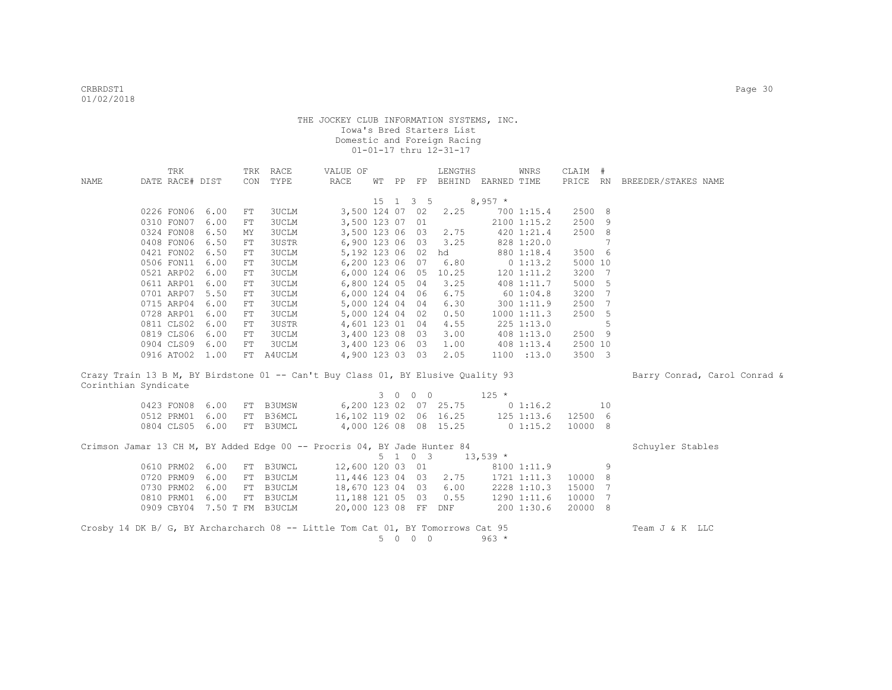|                                                                                  | TRK             |                 | TRK | RACE                        | VALUE OF                        |    |    |                   | LENGTHS               |             | <b>WNRS</b>        | CLAIM # |    |                              |
|----------------------------------------------------------------------------------|-----------------|-----------------|-----|-----------------------------|---------------------------------|----|----|-------------------|-----------------------|-------------|--------------------|---------|----|------------------------------|
| NAME                                                                             | DATE RACE# DIST |                 |     | CON TYPE                    | RACE                            | WΤ | PP | FP                | BEHIND EARNED TIME    |             |                    |         |    | PRICE RN BREEDER/STAKES NAME |
|                                                                                  |                 |                 |     |                             |                                 |    |    |                   |                       |             |                    |         |    |                              |
|                                                                                  |                 |                 |     |                             |                                 |    |    | 15 1 3 5          |                       | $8,957$ *   |                    |         |    |                              |
|                                                                                  | 0226 FON06      | 6.00            | FT  | 3UCLM                       | 3,500 124 07 02                 |    |    |                   | 2.25                  |             | 700 1:15.4         | 2500 8  |    |                              |
|                                                                                  | 0310 FON07      | 6.00            | FT  | 3UCLM                       | 3,500 123 07 01                 |    |    |                   |                       |             | 2100 1:15.2        | 2500 9  |    |                              |
|                                                                                  | 0324 FON08      | 6.50            | MΥ  | <b>3UCLM</b>                | 3,500 123 06 03                 |    |    |                   | 2.75                  |             | 420 1:21.4         | 2500 8  |    |                              |
|                                                                                  | 0408 FON06      | 6.50            | FT  | <b>3USTR</b>                | 6,900 123 06 03                 |    |    |                   | 3.25                  |             | 828 1:20.0         |         | 7  |                              |
|                                                                                  | 0421 FON02      | 6.50            | FT  | <b>3UCLM</b>                | 5,192 123 06 02                 |    |    |                   | hd                    |             | 880 1:18.4         | 3500 6  |    |                              |
|                                                                                  | 0506 FON11      | 6.00            | FT  | <b>3UCLM</b>                | 6,200 123 06 07                 |    |    |                   | 6.80                  |             | 0 1:13.2           | 5000 10 |    |                              |
|                                                                                  | 0521 ARP02      | 6.00            | FT  | <b>3UCLM</b>                | 6,000 124 06 05                 |    |    |                   | 10.25                 |             | $120$ $1:11.2$     | 3200 7  |    |                              |
|                                                                                  | 0611 ARP01      | 6.00            | FT  | <b>3UCLM</b>                | 6,800 124 05 04                 |    |    |                   | 3.25                  |             | 408 1:11.7         | 5000 5  |    |                              |
|                                                                                  | 0701 ARP07      | 5.50            | FT  | <b>3UCLM</b>                | 6,000 124 04 06                 |    |    |                   | 6.75                  |             | 601:04.8           | 3200 7  |    |                              |
|                                                                                  | 0715 ARP04      | 6.00            | FT  | <b>3UCLM</b>                | 5,000 124 04 04                 |    |    |                   | 6.30                  |             | 3001:11.9          | 2500 7  |    |                              |
|                                                                                  | 0728 ARP01 6.00 |                 | FT  | <b>3UCLM</b>                | 5,000 124 04 02                 |    |    |                   | 0.50                  |             | 10001:11.3         | 2500 5  |    |                              |
|                                                                                  | 0811 CLS02 6.00 |                 | FT  | 3USTR                       | 4,601 123 01 04                 |    |    |                   | 4.55                  |             | 225 1:13.0         |         | 5  |                              |
|                                                                                  | 0819 CLS06 6.00 |                 | FT  | 3UCLM                       | 3,400 123 08 03                 |    |    |                   | 3.00                  |             | $408$ 1:13.0       | 2500 9  |    |                              |
|                                                                                  | 0904 CLS09 6.00 |                 | FT  | <b>3UCLM</b>                | 3,400 123 06 03                 |    |    |                   | 1.00                  |             | 408 1:13.4         | 2500 10 |    |                              |
|                                                                                  |                 | 0916 ATO02 1.00 |     | FT A4UCLM                   | 4,900 123 03 03                 |    |    |                   | 2.05                  |             | 1100 : 13.0        | 3500 3  |    |                              |
| Crazy Train 13 B M, BY Birdstone 01 -- Can't Buy Class 01, BY Elusive Quality 93 |                 |                 |     |                             |                                 |    |    |                   |                       |             |                    |         |    | Barry Conrad, Carol Conrad & |
| Corinthian Syndicate                                                             |                 |                 |     |                             |                                 |    |    |                   |                       |             |                    |         |    |                              |
|                                                                                  |                 |                 |     |                             |                                 |    |    | 3 0 0 0           |                       | $125 *$     |                    |         |    |                              |
|                                                                                  |                 | 0423 FON08 6.00 | FT  | <b>B3UMSW</b>               |                                 |    |    |                   | 6,200 123 02 07 25.75 | $0\;1:16.2$ |                    |         | 10 |                              |
|                                                                                  |                 | 0512 PRM01 6.00 | FT  | B36MCL                      | 16,102 119 02 06 16.25          |    |    |                   |                       |             | 125 1:13.6 12500 6 |         |    |                              |
|                                                                                  |                 | 0804 CLS05 6.00 |     | FT B3UMCL                   | 4,000 126 08 08 15.25           |    |    |                   |                       |             | $0\;1:15.2$        | 10000 8 |    |                              |
| Crimson Jamar 13 CH M, BY Added Edge 00 -- Procris 04, BY Jade Hunter 84         |                 |                 |     |                             |                                 |    |    |                   |                       |             |                    |         |    | Schuyler Stables             |
|                                                                                  |                 |                 |     |                             |                                 |    |    | $5 \t1 \t0 \t3$   |                       | $13,539$ *  |                    |         |    |                              |
|                                                                                  | 0610 PRM02 6.00 |                 |     | FT B3UWCL                   | 12,600 120 03 01                |    |    |                   |                       |             | 8100 1:11.9        |         | 9  |                              |
|                                                                                  |                 | 0720 PRM09 6.00 |     | FT B3UCLM                   | 11,446 123 04 03                |    |    |                   | 2.75                  |             | 1721 1:11.3        | 10000 8 |    |                              |
|                                                                                  |                 | 0730 PRM02 6.00 |     | FT B3UCLM                   | 18,670 123 04 03                |    |    |                   | 6.00                  |             | 2228 1:10.3        | 15000 7 |    |                              |
|                                                                                  |                 | 0810 PRM01 6.00 |     | FT B3UCLM                   | 11,188 121 05 03 0.55           |    |    |                   |                       |             | 1290 1:11.6        | 10000 7 |    |                              |
|                                                                                  |                 |                 |     | 0909 CBY04 7.50 T FM B3UCLM | 20,000 123 08 FF DNF 200 1:30.6 |    |    |                   |                       |             |                    | 20000 8 |    |                              |
| Crosby 14 DK B/ G, BY Archarcharch 08 -- Little Tom Cat 01, BY Tomorrows Cat 95  |                 |                 |     |                             |                                 |    |    |                   |                       |             |                    |         |    | Team J & K LLC               |
|                                                                                  |                 |                 |     |                             |                                 | 5  |    | $0\quad 0\quad 0$ |                       | $963 *$     |                    |         |    |                              |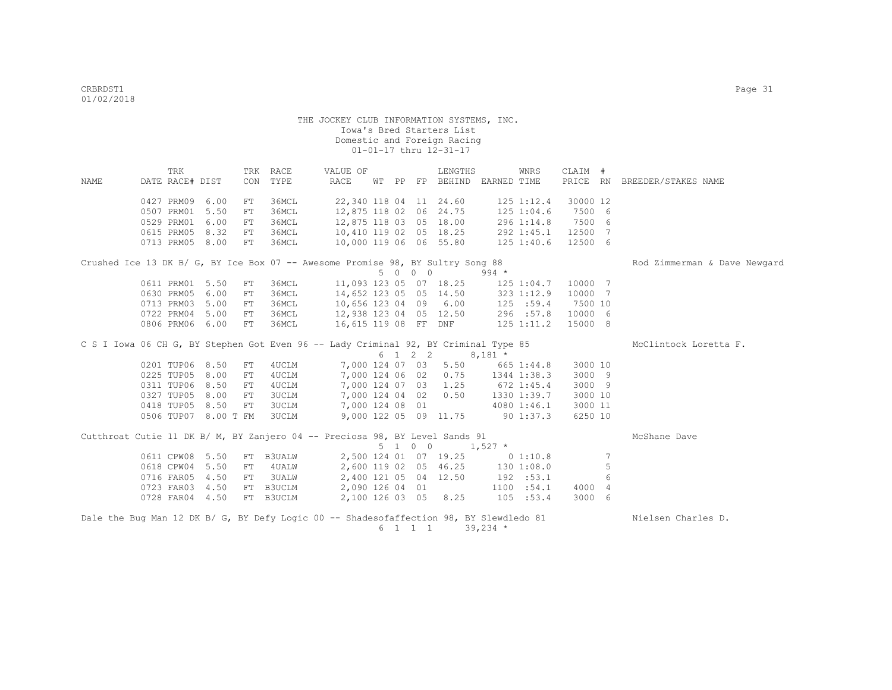|      | TRK                  |      |            | TRK RACE      | VALUE OF                                                                               |  |         | LENGTHS                          |                | WNRS           | CLAIM #  |                 |                              |
|------|----------------------|------|------------|---------------|----------------------------------------------------------------------------------------|--|---------|----------------------------------|----------------|----------------|----------|-----------------|------------------------------|
| NAME | DATE RACE# DIST      |      | CON        | TYPE          | RACE                                                                                   |  |         | WT PP FP BEHIND EARNED TIME      |                |                | PRICE RN |                 | BREEDER/STAKES NAME          |
|      | 0427 PRM09           | 6.00 | FT         | 36MCL         |                                                                                        |  |         | 22,340 118 04 11 24.60           |                | $125$ $1:12.4$ | 30000 12 |                 |                              |
|      | 0507 PRM01           | 5.50 | FT         | 36MCL         | 12,875 118 02                                                                          |  |         | 06 24.75                         |                | 1251:04.6      | 7500 6   |                 |                              |
|      | 0529 PRM01           | 6.00 | FT         | 36MCL         | 12,875 118 03 05 18.00                                                                 |  |         |                                  |                | 296 1:14.8     | 7500 6   |                 |                              |
|      | 0615 PRM05 8.32      |      | FT         | 36MCL         | 10,410 119 02 05 18.25                                                                 |  |         |                                  |                | 292 1:45.1     | 12500    | $\overline{7}$  |                              |
|      | 0713 PRM05 8.00      |      | FT         | 36MCL         | 10,000 119 06 06 55.80                                                                 |  |         |                                  |                | 125 1:40.6     | 12500 6  |                 |                              |
|      |                      |      |            |               | Crushed Ice 13 DK B/ G, BY Ice Box 07 -- Awesome Promise 98, BY Sultry Song 88         |  |         |                                  |                |                |          |                 | Rod Zimmerman & Dave Newgard |
|      |                      |      |            |               |                                                                                        |  | 5 0 0 0 |                                  | $994 *$        |                |          |                 |                              |
|      | 0611 PRM01           | 5.50 | FT         | 36MCL         | 11,093 123 05 07 18.25                                                                 |  |         |                                  |                | 125 1:04.7     | 10000 7  |                 |                              |
|      | 0630 PRM05           | 6.00 | FT         | 36MCL         | 14,652 123 05 05 14.50                                                                 |  |         |                                  | $323$ $1:12.9$ |                | 10000 7  |                 |                              |
|      | 0713 PRM03           | 5.00 | FT         | 36MCL         | 10,656 123 04 09 6.00                                                                  |  |         |                                  |                | 125 : 59.4     | 7500 10  |                 |                              |
|      | 0722 PRM04           | 5.00 | FT         | 36MCL         | 12,938 123 04 05 12.50                                                                 |  |         |                                  |                | 296 :57.8      | 10000 6  |                 |                              |
|      | 0806 PRM06 6.00      |      | ${\rm FT}$ | 36MCL         | 16,615 119 08 FF DNF                                                                   |  |         |                                  |                | $125$ $1:11.2$ | 15000 8  |                 |                              |
|      |                      |      |            |               | C S I Iowa 06 CH G, BY Stephen Got Even 96 -- Lady Criminal 92, BY Criminal Type 85    |  |         |                                  |                |                |          |                 | McClintock Loretta F.        |
|      |                      |      |            |               |                                                                                        |  | 6 1 2 2 |                                  | $8,181$ *      |                |          |                 |                              |
|      | 0201 TUP06 8.50      |      | ${\rm FT}$ | 4UCLM         |                                                                                        |  |         | 7,000 124 07 03 5.50             |                | 665 1:44.8     | 3000 10  |                 |                              |
|      | 0225 TUP05           | 8.00 | FT         | 4UCLM         |                                                                                        |  |         | 7,000 124 06 02 0.75             |                | 1344 1:38.3    | 3000 9   |                 |                              |
|      | 0311 TUP06 8.50      |      | FT         | 4UCLM         |                                                                                        |  |         | 7,000 124 07 03 1.25             | $672$ 1:45.4   |                | 3000 9   |                 |                              |
|      | 0327 TUP05 8.00      |      | FT         | 3UCLM         |                                                                                        |  |         | 7,000 124 04 02 0.50             |                | 1330 1:39.7    | 3000 10  |                 |                              |
|      | 0418 TUP05 8.50      |      | FT         | 3UCLM         | 7,000 124 08 01                                                                        |  |         |                                  |                | 4080 1:46.1    | 3000 11  |                 |                              |
|      | 0506 TUP07 8.00 T FM |      |            | 3UCLM         |                                                                                        |  |         | 9,000 122 05 09 11.75            | $90\;1:37.3$   |                | 6250 10  |                 |                              |
|      |                      |      |            |               | Cutthroat Cutie 11 DK B/ M, BY Zanjero 04 -- Preciosa 98, BY Level Sands 91            |  |         |                                  |                |                |          |                 | McShane Dave                 |
|      |                      |      |            |               |                                                                                        |  | 5 1 0 0 |                                  | $1,527$ *      |                |          |                 |                              |
|      | 0611 CPW08           | 5.50 | FT         | <b>B3UALW</b> |                                                                                        |  |         | 2,500 124 01 07 19.25            |                | 0 1:10.8       |          | $7\phantom{.0}$ |                              |
|      | 0618 CPW04           | 5.50 | FT         | 4 UALW        |                                                                                        |  |         | 2,600 119 02 05 46.25 130 1:08.0 |                |                |          | 5               |                              |
|      | 0716 FAR05           | 4.50 | FT         | <b>3UALW</b>  |                                                                                        |  |         | 2,400 121 05 04 12.50            |                | 192 : 53.1     |          | 6               |                              |
|      | 0723 FAR03 4.50      |      | FT         | B3UCLM        |                                                                                        |  |         | 2,090 126 04 01                  |                | 1100 : 54.1    | 4000 4   |                 |                              |
|      | 0728 FAR04 4.50      |      |            | FT B3UCLM     |                                                                                        |  |         | 2,100 126 03 05 8.25             |                | 105 : 53.4     | 3000 6   |                 |                              |
|      |                      |      |            |               | Dale the Bug Man 12 DK B/ G, BY Defy Logic 00 -- Shadesofaffection 98, BY Slewdledo 81 |  |         |                                  |                |                |          |                 | Nielsen Charles D.           |
|      |                      |      |            |               |                                                                                        |  | 6 1 1 1 |                                  | $39,234$ *     |                |          |                 |                              |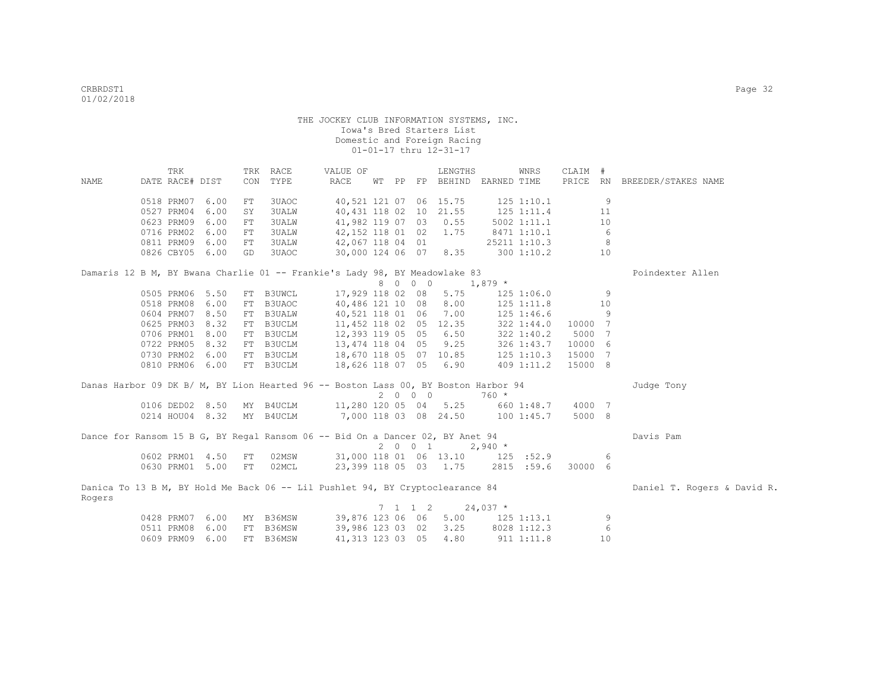|        | TRK             |                 |     | TRK RACE                  | VALUE OF                                                                           |    |    |                             | LENGTHS                |              | WNRS           | CLAIM # |                 |                              |
|--------|-----------------|-----------------|-----|---------------------------|------------------------------------------------------------------------------------|----|----|-----------------------------|------------------------|--------------|----------------|---------|-----------------|------------------------------|
| NAME   | DATE RACE# DIST |                 |     | CON TYPE                  | RACE                                                                               | WТ | PP |                             | FP BEHIND EARNED TIME  |              |                |         |                 | PRICE RN BREEDER/STAKES NAME |
|        |                 |                 |     |                           |                                                                                    |    |    |                             |                        |              |                |         |                 |                              |
|        | 0518 PRM07      | 6.00            | FT  | 3UAOC                     |                                                                                    |    |    |                             | 40,521 121 07 06 15.75 |              | 125 1:10.1     |         | 9               |                              |
|        | 0527 PRM04 6.00 |                 | SY  | <b>3UALW</b>              | 40,431 118 02 10 21.55                                                             |    |    |                             |                        |              | $125$ $1:11.4$ |         | 11              |                              |
|        | 0623 PRM09 6.00 |                 | FT  | 3UALW                     | 41,982 119 07 03 0.55                                                              |    |    |                             |                        |              | 5002 1:11.1    |         | 10              |                              |
|        | 0716 PRM02 6.00 |                 | FT. | 3UALW                     | 42,152 118 01 02                                                                   |    |    |                             | 1.75                   |              | 8471 1:10.1    |         | 6               |                              |
|        | 0811 PRM09 6.00 |                 | FT  | 3UALW                     | 42,067 118 04 01                                                                   |    |    |                             |                        |              | 25211 1:10.3   |         | 8               |                              |
|        | 0826 CBY05 6.00 |                 | GD  | 3UAOC                     | 30,000 124 06 07 8.35                                                              |    |    |                             |                        |              | 3001:10.2      |         | 10              |                              |
|        |                 |                 |     |                           |                                                                                    |    |    |                             |                        |              |                |         |                 |                              |
|        |                 |                 |     |                           | Damaris 12 B M, BY Bwana Charlie 01 -- Frankie's Lady 98, BY Meadowlake 83         |    |    | 8 0 0 0                     |                        |              |                |         |                 | Poindexter Allen             |
|        | 0505 PRM06 5.50 |                 |     | FT B3UWCL                 | 17,929 118 02 08                                                                   |    |    |                             | 5.75                   | $1,879$ *    | 125 1:06.0     |         | 9               |                              |
|        | 0518 PRM08 6.00 |                 | FT  | B3UAOC                    | 40,486 121 10 08 8.00                                                              |    |    |                             |                        |              | $125$ $1:11.8$ |         | 10              |                              |
|        | 0604 PRM07 8.50 |                 | FT  | <b>B3UALW</b>             | 40,521 118 01 06 7.00                                                              |    |    |                             |                        |              | 125 1:46.6     |         | 9               |                              |
|        | 0625 PRM03      | 8.32            | FT  | B3UCLM                    | 11,452 118 02 05 12.35                                                             |    |    |                             |                        |              | 322 1:44.0     | 10000 7 |                 |                              |
|        | 0706 PRM01 8.00 |                 |     | B3UCLM                    | 12,393 119 05 05 6.50                                                              |    |    |                             |                        |              |                | 5000    | $7\phantom{.0}$ |                              |
|        |                 | 0722 PRM05 8.32 | FT  | FT B3UCLM                 | 13,474 118 04 05 9.25                                                              |    |    |                             |                        | $322$ 1:40.2 |                | 10000 6 |                 |                              |
|        | 0730 PRM02 6.00 |                 |     | FT B3UCLM                 | 18,670 118 05 07 10.85 125 1:10.3                                                  |    |    |                             |                        |              | 326 1:43.7     | 15000 7 |                 |                              |
|        | 0810 PRM06 6.00 |                 |     | FT B3UCLM                 | 18,626 118 07 05 6.90                                                              |    |    |                             |                        |              |                | 15000 8 |                 |                              |
|        |                 |                 |     |                           |                                                                                    |    |    |                             |                        |              | $409$ 1:11.2   |         |                 |                              |
|        |                 |                 |     |                           | Danas Harbor 09 DK B/ M, BY Lion Hearted 96 -- Boston Lass 00, BY Boston Harbor 94 |    |    |                             |                        |              |                |         |                 | Judge Tony                   |
|        |                 |                 |     |                           |                                                                                    |    |    | 2000                        |                        | $760 *$      |                |         |                 |                              |
|        |                 |                 |     | 0106 DED02 8.50 MY B4UCLM | 11,280 120 05 04 5.25 660 1:48.7                                                   |    |    |                             |                        |              |                | 4000 7  |                 |                              |
|        |                 |                 |     | 0214 HOU04 8.32 MY B4UCLM | 7,000 118 03 08 24.50 100 1:45.7                                                   |    |    |                             |                        |              |                | 5000 8  |                 |                              |
|        |                 |                 |     |                           |                                                                                    |    |    |                             |                        |              |                |         |                 |                              |
|        |                 |                 |     |                           | Dance for Ransom 15 B G, BY Regal Ransom 06 -- Bid On a Dancer 02, BY Anet 94      |    |    |                             |                        |              |                |         |                 | Davis Pam                    |
|        |                 |                 |     |                           |                                                                                    |    |    | 2001                        |                        | $2,940 *$    |                |         |                 |                              |
|        |                 | 0602 PRM01 4.50 | FT  | 02MSW                     | 31,000 118 01 06 13.10 125 :52.9                                                   |    |    |                             |                        |              |                |         | 6               |                              |
|        |                 | 0630 PRM01 5.00 | FT  | 02MCL                     |                                                                                    |    |    |                             | 23,399 118 05 03 1.75  |              | 2815 :59.6     | 30000 6 |                 |                              |
|        |                 |                 |     |                           | Danica To 13 B M, BY Hold Me Back 06 -- Lil Pushlet 94, BY Cryptoclearance 84      |    |    |                             |                        |              |                |         |                 | Daniel T. Rogers & David R.  |
| Rogers |                 |                 |     |                           |                                                                                    |    |    |                             |                        |              |                |         |                 |                              |
|        |                 |                 |     |                           |                                                                                    |    |    | $7 \quad 1 \quad 1 \quad 2$ |                        | $24,037$ *   |                |         |                 |                              |
|        |                 | 0428 PRM07 6.00 |     |                           | MY B36MSW 39,876 123 06 06 5.00 125 1:13.1                                         |    |    |                             |                        |              |                |         | 9               |                              |
|        | 0511 PRM08 6.00 |                 |     | FT B36MSW                 |                                                                                    |    |    |                             | 39,986 123 03 02 3.25  |              | 8028 1:12.3    |         | 6               |                              |
|        | 0609 PRM09 6.00 |                 |     | FT B36MSW                 | 41, 313 123 03 05                                                                  |    |    |                             | 4.80                   |              | 911 1:11.8     |         | 10              |                              |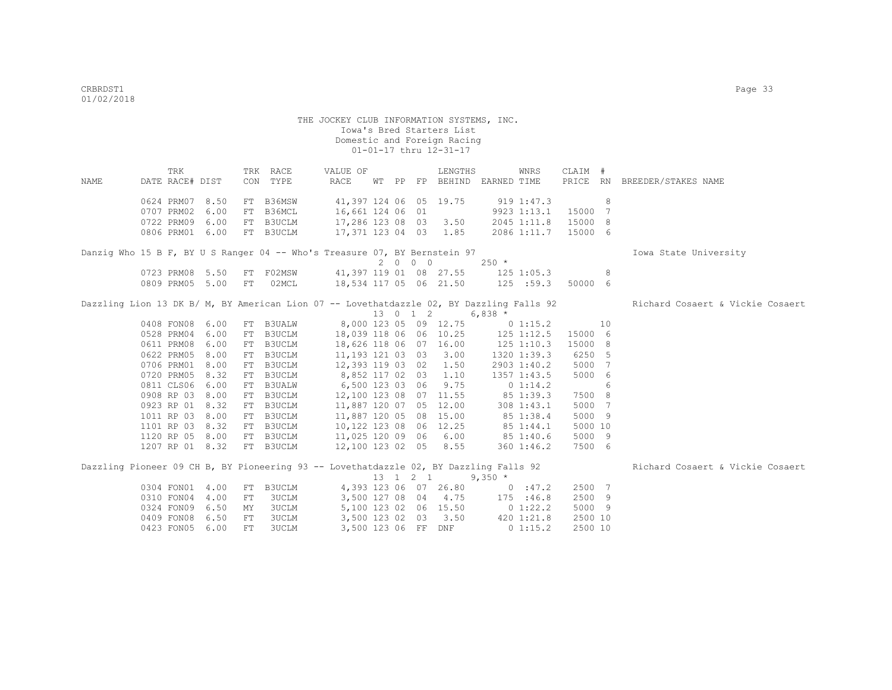THE JOCKEY CLUB INFORMATION SYSTEMS, INC. Iowa's Bred Starters List Domestic and Foreign Racing 01-01-17 thru 12-31-17 TRK TRK RACE VALUE OF LENGTHS WNRS CLAIM # NAME DATE RACE# DIST CON TYPE RACE WT PP FP BEHIND EARNED TIME PRICE RN BREEDER/STAKES NAME 0624 PRM07 8.50 FT B36MSW 41,397 124 06 05 19.75 919 1:47.3 8 0707 PRM02 6.00 FT B36MCL 16,661 124 06 01 9923 1:13.1 15000 7 0722 PRM09 6.00 FT B3UCLM 17,286 123 08 03 3.50 2045 1:11.8 15000 8<br>0806 PRM01 6.00 FT B3UCLM 17,371 123 04 03 1.85 2086 1:11.7 15000 6 17,371 123 04 03 1.85 2086 1:11.7 15000 6 Danzig Who 15 B F, BY U S Ranger 04 -- Who's Treasure 07, BY Bernstein 97 **IOWA State University**  $2 \t 0 \t 0 \t 250 \t \star$ <br>41,397 119 01 08 27.55 125 0723 PRM08 5.50 FT F02MSW 41,397 119 01 08 27.55 125 1:05.3 8 0809 PRM05 5.00 FT 02MCL 18,534 117 05 06 21.50 125 :59.3 50000 6 Dazzling Lion 13 DK B/ M, BY American Lion 07 -- Lovethatdazzle 02, BY Dazzling Falls 92 Richard Cosaert & Vickie Cosaert 13 0 1 2 6,838 \* 0408 FON08 6.00 FT B3UALW 8,000 123 05 09 12.75 0 1:15.2 10 0528 PRM04 6.00 FT B3UCLM 18,039 118 06 06 10.25 125 1:12.5 15000 6<br>0611 PRM08 6.00 FT B3UCLM 18,626 118 06 07 16.00 125 1:10.3 15000 8 0611 PRM08 6.00 FT B3UCLM 18,626 118 06 07 16.00 125 1:10.3 15000 8 0622 PRM05 8.00 FT B3UCLM 11,193 121 03 03 3.00 1320 1:39.3 6250 5 0706 PRM01 8.00 FT B3UCLM 12,393 119 03 02 1.50 2903 1:40.2 5000 7 0720 PRM05 8.32 FT B3UCLM 8,852 117 02 03 1.10 1357 1:43.5 5000 6<br>0811 CLS06 6.00 FT B3UALW 6,500 123 03 06 9.75 0 1:14.2 6 0811 CLS06 6.00 FT B3UALW 6,500 123 03 06 9.75 0 1:14.2 6 0908 RP 03 8.00 FT B3UCLM 12,100 123 08 07 11.55 85 1:39.3 7500 8 0923 RP 01 8.32 FT B3UCLM 11,887 120 07 05 12.00 308 1:43.1 5000 7 1011 RP 03 8.00 FT B3UCLM 11,887 120 05 08 15.00 85 1:38.4 5000 9 1101 RP 03 8.32 FT B3UCLM 10,122 123 08 06 12.25 85 1:44.1 5000 10 1120 RP 05 8.00 FT B3UCLM 11,025 120 09 06 6.00 85 1:40.6 5000 9 1207 RP 01 8.32 FT B3UCLM 12,100 123 02 05 8.55 360 1:46.2 7500 6 Dazzling Pioneer 09 CH B, BY Pioneering 93 -- Lovethatdazzle 02, BY Dazzling Falls 92 Richard Cosaert & Vickie Cosaert  $13$  1 2 1 9,350  $*$ <br>4,393 123 06 07 26.80 0 :47.2 0304 FON01 4.00 FT B3UCLM 4,393 123 06 07 26.80 0 :47.2 2500 7 0310 FON04 4.00 FT 3UCLM 3,500 127 08 04 4.75 175 :46.8 2500 9 0324 FON09 6.50 MY 3UCLM 5,100 123 02 06 15.50 0 1:22.2 5000 9 0409 FON08 6.50 FT 3UCLM 3,500 123 02 03 3.50 420 1:21.8 2500 10 0409 FON06 0.00 FT 3UCLM 3,500 123 06 FF DNF 0 1:15.2 2500 10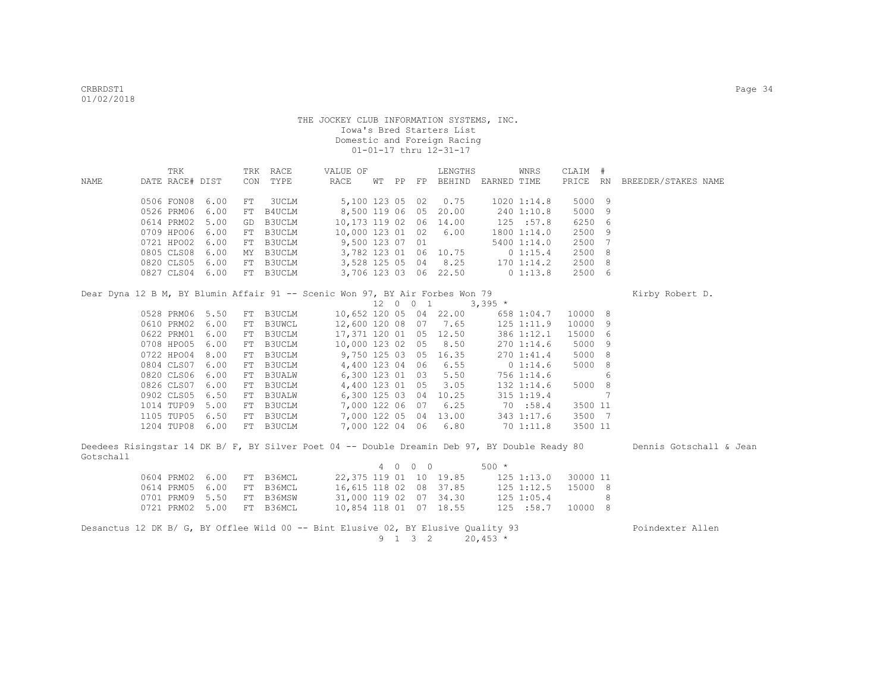|           | TRK             |      |    | TRK RACE  | VALUE OF                                                                                      |  |          | LENGTHS                     |                | WNRS                         | CLAIM #  |    |                         |
|-----------|-----------------|------|----|-----------|-----------------------------------------------------------------------------------------------|--|----------|-----------------------------|----------------|------------------------------|----------|----|-------------------------|
| NAME      | DATE RACE# DIST |      |    | CON TYPE  | RACE                                                                                          |  |          | WT PP FP BEHIND EARNED TIME |                |                              | PRICE RN |    | BREEDER/STAKES NAME     |
|           |                 |      |    |           |                                                                                               |  |          |                             |                |                              |          |    |                         |
|           | 0506 FON08      | 6.00 | FT | 3UCLM     | 5,100 123 05 02                                                                               |  |          | 0.75                        |                | $1020$ $1:14.8$              | 5000 9   |    |                         |
|           | 0526 PRM06      | 6.00 | FT | B4UCLM    | 8,500 119 06 05                                                                               |  |          | 20.00                       |                | 240 1:10.8                   | 5000     | 9  |                         |
|           | 0614 PRM02      | 5.00 | GD | B3UCLM    | 10,173 119 02 06                                                                              |  |          | 14.00                       |                | 125 : 57.8                   | 6250 6   |    |                         |
|           | 0709 HPO06      | 6.00 |    | FT B3UCLM | 10,000 123 01 02                                                                              |  |          | 6.00                        |                | 1800 1:14.0                  | 2500     | -9 |                         |
|           | 0721 HPO02      | 6.00 |    | FT B3UCLM | 9,500 123 07 01                                                                               |  |          |                             |                | 5400 1:14.0                  | 2500 7   |    |                         |
|           | 0805 CLS08      | 6.00 |    | MY B3UCLM | 3,782 123 01 06 10.75                                                                         |  |          |                             |                | 0 1:15.4                     | 2500 8   |    |                         |
|           | 0820 CLS05      | 6.00 |    | FT B3UCLM | 3,528 125 05 04 8.25                                                                          |  |          |                             | $170$ $1:14.2$ |                              | 2500 8   |    |                         |
|           | 0827 CLS04 6.00 |      |    | FT B3UCLM | 3,706 123 03 06 22.50                                                                         |  |          |                             | $0\;1:13.8$    |                              | 2500 6   |    |                         |
|           |                 |      |    |           |                                                                                               |  |          |                             |                |                              |          |    |                         |
|           |                 |      |    |           | Dear Dyna 12 B M, BY Blumin Affair 91 -- Scenic Won 97, BY Air Forbes Won 79                  |  |          |                             |                |                              |          |    | Kirby Robert D.         |
|           |                 |      |    |           |                                                                                               |  | 12 0 0 1 |                             | $3,395$ *      |                              |          |    |                         |
|           | 0528 PRM06      | 5.50 |    | FT B3UCLM |                                                                                               |  |          | 10,652 120 05 04 22.00      |                | 658 1:04.7                   | 10000 8  |    |                         |
|           | 0610 PRM02      | 6.00 |    | FT B3UWCL | 12,600 120 08 07 7.65                                                                         |  |          |                             |                | 125 1:11.9                   | 10000    | 9  |                         |
|           | 0622 PRM01      | 6.00 |    | FT B3UCLM | 17,371 120 01 05 12.50                                                                        |  |          |                             |                | 386 1:12.1                   | 15000    | 6  |                         |
|           | 0708 HPO05      | 6.00 |    | FT B3UCLM | 10,000 123 02 05 8.50                                                                         |  |          |                             |                | 270 1:14.6                   | 5000     | 9  |                         |
|           | 0722 HPO04      | 8.00 |    | FT B3UCLM | 9,750 125 03 05 16.35                                                                         |  |          |                             |                | 270 1:41.4                   | 5000     | 8  |                         |
|           | 0804 CLS07      | 6.00 |    | FT B3UCLM | 4,400 123 04 06                                                                               |  |          | 6.55                        |                | 0 1:14.6                     | 5000     | 8  |                         |
|           | 0820 CLS06      | 6.00 |    | FT B3UALW | 6,300 123 01 03                                                                               |  |          | 5.50                        |                | 756 1:14.6                   |          | 6  |                         |
|           | 0826 CLS07      | 6.00 |    | FT B3UCLM | 4,400 123 01 05                                                                               |  |          | 3.05                        |                | 132 1:14.6                   | 5000 8   |    |                         |
|           | 0902 CLS05      | 6.50 |    | FT B3UALW | 6,300 125 03 04 10.25                                                                         |  |          |                             |                | $315$ $1:19.4$               |          | 7  |                         |
|           | 1014 TUP09      | 5.00 |    | FT B3UCLM | 7,000 122 06 07 6.25                                                                          |  |          |                             |                | 70:58.4                      | 3500 11  |    |                         |
|           | 1105 TUP05      | 6.50 |    | FT B3UCLM | 7,000 122 05 04 13.00                                                                         |  |          |                             |                | 343 1:17.6                   | 3500 7   |    |                         |
|           | 1204 TUP08      | 6.00 |    | FT B3UCLM | 7,000 122 04 06 6.80                                                                          |  |          |                             |                | 70 1:11.8                    | 3500 11  |    |                         |
|           |                 |      |    |           |                                                                                               |  |          |                             |                |                              |          |    |                         |
| Gotschall |                 |      |    |           | Deedees Risingstar 14 DK B/ F, BY Silver Poet 04 -- Double Dreamin Deb 97, BY Double Ready 80 |  |          |                             |                |                              |          |    | Dennis Gotschall & Jean |
|           |                 |      |    |           |                                                                                               |  | 4 0 0 0  |                             | $500 *$        |                              |          |    |                         |
|           | 0604 PRM02      | 6.00 |    | FT B36MCL | 22, 375 119 01 10 19.85                                                                       |  |          |                             |                | $125$ $1:13.0$               | 30000 11 |    |                         |
|           | 0614 PRM05      | 6.00 |    | FT B36MCL | 16,615 118 02 08 37.85                                                                        |  |          |                             |                |                              | 15000 8  |    |                         |
|           | 0701 PRM09      | 5.50 |    | FT B36MSW | 31,000 119 02 07 34.30                                                                        |  |          |                             |                | $125$ $1:12.5$<br>125 1:05.4 |          | 8  |                         |
|           | 0721 PRM02 5.00 |      |    | FT B36MCL | 10,854 118 01 07 18.55                                                                        |  |          |                             |                | 125 : 58.7                   | 10000 8  |    |                         |
|           |                 |      |    |           |                                                                                               |  |          |                             |                |                              |          |    |                         |
|           |                 |      |    |           | Desanctus 12 DK B/ G, BY Offlee Wild 00 -- Bint Elusive 02, BY Elusive Quality 93             |  |          |                             |                |                              |          |    | Poindexter Allen        |
|           |                 |      |    |           |                                                                                               |  | 9 1 3 2  |                             | $20,453$ *     |                              |          |    |                         |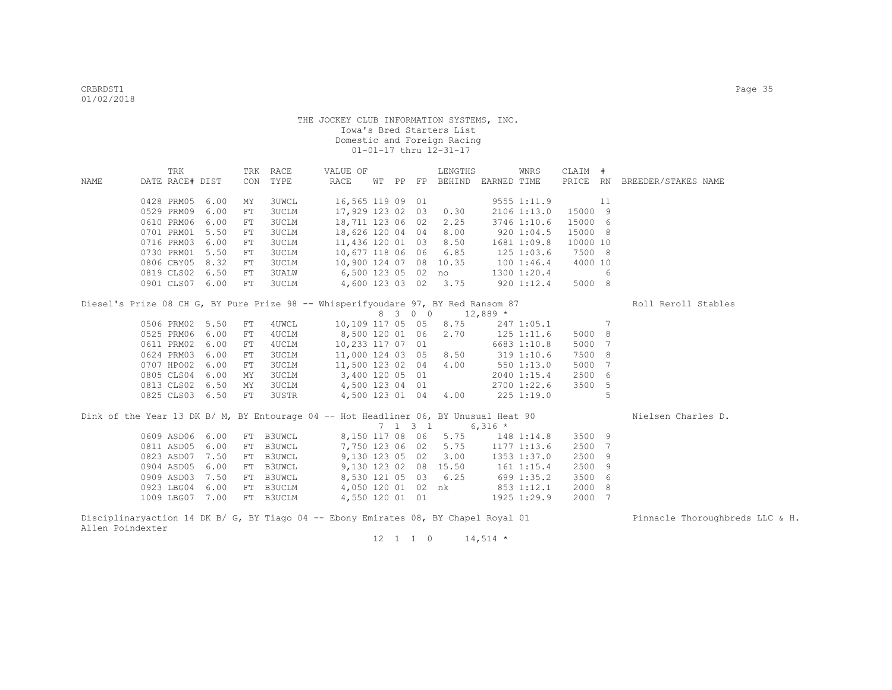|      | TRK             |      |    | TRK RACE     | VALUE OF                                                                             |  |                 | LENGTHS                     |                | WNRS            | CLAIM #  |                 |                              |
|------|-----------------|------|----|--------------|--------------------------------------------------------------------------------------|--|-----------------|-----------------------------|----------------|-----------------|----------|-----------------|------------------------------|
| NAME | DATE RACE# DIST |      |    | CON TYPE     | RACE                                                                                 |  |                 | WT PP FP BEHIND EARNED TIME |                |                 |          |                 | PRICE RN BREEDER/STAKES NAME |
|      |                 |      |    |              |                                                                                      |  |                 |                             |                |                 |          |                 |                              |
|      | 0428 PRM05      | 6.00 | MΥ | 3UWCL        | 16,565 119 09 01                                                                     |  |                 |                             |                | 9555 1:11.9     |          | 11              |                              |
|      | 0529 PRM09      | 6.00 | FT | <b>3UCLM</b> | 17,929 123 02 03                                                                     |  |                 | 0.30                        |                | $2106$ $1:13.0$ | 15000 9  |                 |                              |
|      | 0610 PRM06      | 6.00 | FT | <b>3UCLM</b> | 18,711 123 06 02                                                                     |  |                 | 2.25                        |                | 3746 1:10.6     | 15000 6  |                 |                              |
|      | 0701 PRM01      | 5.50 | FT | 3UCLM        | 18,626 120 04 04                                                                     |  |                 | 8.00                        | 9201:04.5      |                 | 15000 8  |                 |                              |
|      | 0716 PRM03      | 6.00 | FT | 3UCLM        | 11,436 120 01 03                                                                     |  |                 | 8.50                        | 1681 1:09.8    |                 | 10000 10 |                 |                              |
|      | 0730 PRM01      | 5.50 | FT | 3UCLM        | 10,677 118 06 06                                                                     |  |                 | 6.85                        |                | $125$ 1:03.6    | 7500 8   |                 |                              |
|      | 0806 CBY05      | 8.32 | FT | 3UCLM        | 10,900 124 07 08 10.35                                                               |  |                 |                             | 1001:46.4      |                 | 4000 10  |                 |                              |
|      | 0819 CLS02 6.50 |      | FT | 3UALW        | 6,500 123 05 02 no 1300 1:20.4                                                       |  |                 |                             |                |                 |          | 6               |                              |
|      | 0901 CLS07 6.00 |      | FT | 3UCLM        | 4,600 123 03 02 3.75                                                                 |  |                 |                             |                | $920$ 1:12.4    | 5000 8   |                 |                              |
|      |                 |      |    |              | Diesel's Prize 08 CH G, BY Pure Prize 98 -- Whisperifyoudare 97, BY Red Ransom 87    |  |                 |                             |                |                 |          |                 | Roll Reroll Stables          |
|      |                 |      |    |              |                                                                                      |  | 8 3 0 0         | $12,889$ *                  |                |                 |          |                 |                              |
|      | 0506 PRM02 5.50 |      | FT | 4UWCL        | 10,109 117 05 05                                                                     |  |                 | 8.75                        |                | 247 1:05.1      |          | $7\phantom{.0}$ |                              |
|      | 0525 PRM06      | 6.00 | FT | 4UCLM        | 8,500 120 01 06                                                                      |  |                 | 2.70                        | $125$ $1:11.6$ |                 | 5000 8   |                 |                              |
|      | 0611 PRM02      | 6.00 | FT | 4UCLM        | 10,233 117 07 01                                                                     |  |                 |                             |                | 6683 1:10.8     | 5000     | 7               |                              |
|      | 0624 PRM03      | 6.00 | FT | 3UCLM        | 11,000 124 03 05                                                                     |  |                 | 8.50                        | 319 1:10.6     |                 | 7500 8   |                 |                              |
|      | 0707 HPO02      | 6.00 | FT | <b>3UCLM</b> | 11,500 123 02 04                                                                     |  |                 | 4.00                        | $550$ 1:13.0   |                 | 5000     | 7               |                              |
|      | 0805 CLS04      | 6.00 | МY | 3UCLM        | 3,400 120 05 01                                                                      |  |                 |                             |                | 2040 1:15.4     | 2500 6   |                 |                              |
|      | 0813 CLS02      | 6.50 | MY | 3UCLM        | 4,500 123 04 01                                                                      |  |                 |                             |                | 2700 1:22.6     | 3500 5   |                 |                              |
|      | 0825 CLS03 6.50 |      | FT | 3USTR        | 4,500 123 01 04 4.00                                                                 |  |                 |                             | 2251:19.0      |                 |          | 5               |                              |
|      |                 |      |    |              |                                                                                      |  |                 |                             |                |                 |          |                 |                              |
|      |                 |      |    |              | Dink of the Year 13 DK B/ M, BY Entourage 04 -- Hot Headliner 06, BY Unusual Heat 90 |  |                 |                             |                |                 |          |                 | Nielsen Charles D.           |
|      |                 |      |    |              |                                                                                      |  | $7 \t1 \t3 \t1$ |                             | $6,316$ *      |                 |          |                 |                              |
|      | 0609 ASD06 6.00 |      |    | FT B3UWCL    | 8,150 117 08 06                                                                      |  |                 | 5.75                        |                | 148 1:14.8      | 3500 9   |                 |                              |
|      | 0811 ASD05      | 6.00 |    | FT B3UWCL    | 7,750 123 06 02                                                                      |  |                 | 5.75                        |                | 1177 1:13.6     | 2500     | 7               |                              |
|      | 0823 ASD07      | 7.50 |    | FT B3UWCL    | 9,130 123 05 02                                                                      |  |                 | 3.00                        |                | 1353 1:37.0     | 2500 9   |                 |                              |
|      | 0904 ASD05      | 6.00 |    | FT B3UWCL    | 9,130 123 02 08 15.50                                                                |  |                 |                             | 161 1:15.4     |                 | 2500 9   |                 |                              |
|      | 0909 ASD03      | 7.50 |    | FT B3UWCL    | 8,530 121 05 03 6.25                                                                 |  |                 |                             | $699$ 1:35.2   |                 | 3500 6   |                 |                              |
|      | 0923 LBG04      | 6.00 |    | FT B3UCLM    | 4,050 120 01 02 nk 853 1:12.1                                                        |  |                 |                             |                |                 | 2000 8   |                 |                              |
|      | 1009 LBG07      | 7.00 |    | FT B3UCLM    | 4,550 120 01 01                                                                      |  |                 |                             |                | 1925 1:29.9     | 2000 7   |                 |                              |
|      |                 |      |    |              |                                                                                      |  |                 |                             |                |                 |          |                 |                              |

Disciplinaryaction 14 DK B/ G, BY Tiago 04 -- Ebony Emirates 08, BY Chapel Royal 01 Pinnacle Thoroughbreds LLC & H. Allen Poindexter  $12$  1 1 0 14,514 \*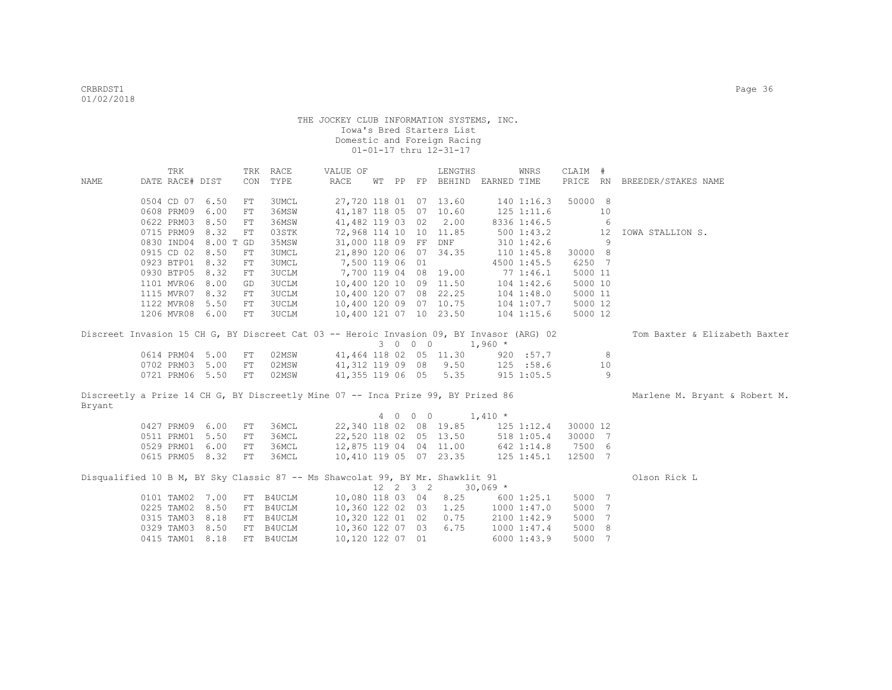|                                                                                          | TRK             |           | TRK        | RACE         | VALUE OF               |  |          | LENGTHS                     |            | WNRS           | CLAIM #  |     |                               |
|------------------------------------------------------------------------------------------|-----------------|-----------|------------|--------------|------------------------|--|----------|-----------------------------|------------|----------------|----------|-----|-------------------------------|
| NAME                                                                                     | DATE RACE# DIST |           | CON        | TYPE         | RACE                   |  |          | WT PP FP BEHIND EARNED TIME |            |                | PRICE RN |     | BREEDER/STAKES NAME           |
|                                                                                          |                 |           |            |              |                        |  |          |                             |            |                |          |     |                               |
|                                                                                          | 0504 CD 07 6.50 |           | ${\rm FT}$ | 3UMCL        | 27,720 118 01 07 13.60 |  |          |                             |            | 1401:16.3      | 50000 8  |     |                               |
|                                                                                          | 0608 PRM09      | 6.00      | ${\rm FT}$ | 36MSW        | 41,187 118 05 07 10.60 |  |          |                             |            | $125$ $1:11.6$ |          | 10  |                               |
|                                                                                          | 0622 PRM03      | 8.50      | ${\rm FT}$ | 36MSW        | 41,482 119 03 02       |  |          | 2.00                        |            | 8336 1:46.5    |          | 6   |                               |
|                                                                                          | 0715 PRM09      | 8.32      | FT         | 03STK        | 72,968 114 10 10 11.85 |  |          |                             |            | 5001:43.2      |          | 12  | IOWA STALLION S.              |
|                                                                                          | 0830 IND04      | 8.00 T GD |            | 35MSW        | 31,000 118 09 FF DNF   |  |          |                             |            | $310$ $1:42.6$ |          | -9  |                               |
|                                                                                          | 0915 CD 02      | 8.50      | FT         | 3UMCL        | 21,890 120 06 07 34.35 |  |          |                             |            | $110$ $1:45.8$ | 30000 8  |     |                               |
|                                                                                          | 0923 BTP01 8.32 |           | ${\rm FT}$ | 3UMCL        | 7,500 119 06 01        |  |          |                             |            | 4500 1:45.5    | 6250 7   |     |                               |
|                                                                                          | 0930 BTP05      | 8.32      | FT         | <b>3UCLM</b> | 7,700 119 04 08 19.00  |  |          |                             |            | 771:46.1       | 5000 11  |     |                               |
|                                                                                          | 1101 MVR06      | 8.00      | GD         | <b>3UCLM</b> | 10,400 120 10 09 11.50 |  |          |                             |            | $104$ $1:42.6$ | 5000 10  |     |                               |
|                                                                                          | 1115 MVR07      | 8.32      | FT         | 3UCLM        | 10,400 120 07 08 22.25 |  |          |                             |            | $104$ $1:48.0$ | 5000 11  |     |                               |
|                                                                                          | 1122 MVR08      | 5.50      | FT         | 3UCLM        | 10,400 120 09 07 10.75 |  |          |                             |            | 104 1:07.7     | 5000 12  |     |                               |
|                                                                                          | 1206 MVR08 6.00 |           | FT         | 3UCLM        | 10,400 121 07 10 23.50 |  |          |                             |            | $104$ 1:15.6   | 5000 12  |     |                               |
|                                                                                          |                 |           |            |              |                        |  |          |                             |            |                |          |     |                               |
| Discreet Invasion 15 CH G, BY Discreet Cat 03 -- Heroic Invasion 09, BY Invasor (ARG) 02 |                 |           |            |              |                        |  |          |                             |            |                |          |     | Tom Baxter & Elizabeth Baxter |
|                                                                                          |                 |           |            |              |                        |  | 3 0 0 0  |                             | $1,960$ *  |                |          |     |                               |
|                                                                                          | 0614 PRM04 5.00 |           | FT         | 02MSW        |                        |  |          | 41,464 118 02 05 11.30      |            | 920 : 57.7     |          | 8   |                               |
|                                                                                          | 0702 PRM03 5.00 |           | FT         | 02MSW        | 41,312 119 09 08       |  |          | 9.50                        |            | 125 : 58.6     |          | 10  |                               |
|                                                                                          | 0721 PRM06 5.50 |           | FT         | 02MSW        | 41,355 119 06 05       |  |          | 5.35                        |            | 915 1:05.5     |          | 9   |                               |
|                                                                                          |                 |           |            |              |                        |  |          |                             |            |                |          |     |                               |
| Discreetly a Prize 14 CH G, BY Discreetly Mine 07 -- Inca Prize 99, BY Prized 86         |                 |           |            |              |                        |  |          |                             |            |                |          |     | Marlene M. Bryant & Robert M. |
| Bryant                                                                                   |                 |           |            |              |                        |  |          |                             |            |                |          |     |                               |
|                                                                                          |                 |           |            |              |                        |  | 4 0 0 0  |                             | $1,410$ *  |                |          |     |                               |
|                                                                                          | 0427 PRM09 6.00 |           | FT         | 36MCL        |                        |  |          | 22,340 118 02 08 19.85      |            | 125 1:12.4     | 30000 12 |     |                               |
|                                                                                          | 0511 PRM01 5.50 |           | FT         | 36MCL        | 22,520 118 02 05 13.50 |  |          |                             |            | 518 1:05.4     | 30000 7  |     |                               |
|                                                                                          | 0529 PRM01 6.00 |           | FT         | 36MCL        | 12,875 119 04 04 11.00 |  |          |                             |            | 642 1:14.8     | 7500 6   |     |                               |
|                                                                                          | 0615 PRM05 8.32 |           | FT         | 36MCL        | 10,410 119 05 07 23.35 |  |          |                             |            | $125$ $1:45.1$ | 12500 7  |     |                               |
|                                                                                          |                 |           |            |              |                        |  |          |                             |            |                |          |     |                               |
| Disqualified 10 B M, BY Sky Classic 87 -- Ms Shawcolat 99, BY Mr. Shawklit 91            |                 |           |            |              |                        |  |          |                             |            |                |          |     | Olson Rick L                  |
|                                                                                          |                 |           |            |              |                        |  | 12 2 3 2 |                             | $30,069$ * |                |          |     |                               |
|                                                                                          | 0101 TAM02 7.00 |           |            | FT B4UCLM    | 10,080 118 03 04       |  |          | 8.25                        |            | 600 1:25.1     | 5000 7   |     |                               |
|                                                                                          | 0225 TAM02 8.50 |           | FT         | B4UCLM       | 10,360 122 02 03       |  |          | 1.25                        |            | 10001:47.0     | 5000     | 7   |                               |
|                                                                                          | 0315 TAM03 8.18 |           | FT         | B4UCLM       | 10,320 122 01 02       |  |          | 0.75                        |            | 2100 1:42.9    | 5000     | 7   |                               |
|                                                                                          | 0329 TAM03 8.50 |           | FT         | B4UCLM       | 10,360 122 07 03       |  |          | 6.75                        |            | 1000 1:47.4    | 5000     | - 8 |                               |
|                                                                                          | 0415 TAM01 8.18 |           |            | FT B4UCLM    | 10,120 122 07 01       |  |          |                             |            | 60001:43.9     | 5000     | -7  |                               |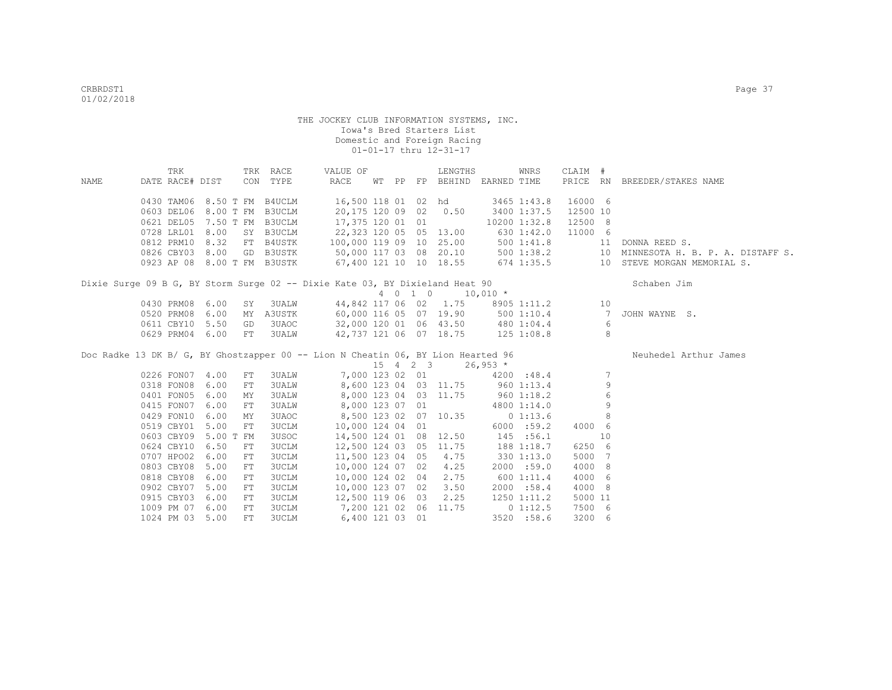|      | TRK             |                      | TRK        | RACE                        | VALUE OF                                                                         |  |         | LENGTHS                                |                          | WNRS           | CLAIM #  |                 |                                     |
|------|-----------------|----------------------|------------|-----------------------------|----------------------------------------------------------------------------------|--|---------|----------------------------------------|--------------------------|----------------|----------|-----------------|-------------------------------------|
| NAME | DATE RACE# DIST |                      |            | CON TYPE                    | RACE                                                                             |  |         | WT PP FP BEHIND EARNED TIME            |                          |                |          |                 | PRICE RN BREEDER/STAKES NAME        |
|      |                 |                      |            |                             |                                                                                  |  |         |                                        |                          |                |          |                 |                                     |
|      |                 |                      |            | 0430 TAM06 8.50 T FM B4UCLM | 16,500 118 01 02 hd                                                              |  |         |                                        |                          | 3465 1:43.8    | 16000 6  |                 |                                     |
|      |                 | 0603 DEL06 8.00 T FM |            | B3UCLM                      | 20,175 120 09 02 0.50                                                            |  |         |                                        |                          | 3400 1:37.5    | 12500 10 |                 |                                     |
|      |                 |                      |            | 0621 DEL05 7.50 T FM B3UCLM | 17,375 120 01 01                                                                 |  |         |                                        |                          | 10200 1:32.8   | 12500 8  |                 |                                     |
|      | 0728 LRL01 8.00 |                      |            | SY B3UCLM                   | 22,323 120 05 05 13.00                                                           |  |         |                                        |                          | 630 1:42.0     | 11000 6  |                 |                                     |
|      | 0812 PRM10      | 8.32                 |            | FT B4USTK                   | 100,000 119 09 10 25.00                                                          |  |         |                                        |                          | $500$ $1:41.8$ |          | 11              | DONNA REED S.                       |
|      |                 |                      |            | 0826 CBY03 8.00 GD B3USTK   | 50,000 117 03 08 20.10                                                           |  |         |                                        |                          | 500 1:38.2     |          |                 | 10 MINNESOTA H. B. P. A. DISTAFF S. |
|      |                 |                      |            | 0923 AP 08 8.00 T FM B3USTK | 67,400 121 10 10 18.55                                                           |  |         |                                        |                          | 674 1:35.5     |          |                 | 10 STEVE MORGAN MEMORIAL S.         |
|      |                 |                      |            |                             | Dixie Surge 09 B G, BY Storm Surge 02 -- Dixie Kate 03, BY Dixieland Heat 90     |  |         |                                        |                          |                |          |                 | Schaben Jim                         |
|      |                 |                      |            |                             |                                                                                  |  | 4 0 1 0 | $10,010$ *                             |                          |                |          |                 |                                     |
|      | 0430 PRM08      | 6.00                 | SY         | 3UALW                       |                                                                                  |  |         | 44,842 117 06 02 1.75                  |                          | 8905 1:11.2    |          | 10              |                                     |
|      | 0520 PRM08      | 6.00                 | MY         | A3USTK                      | 60,000 116 05 07 19.90                                                           |  |         |                                        |                          | 500 1:10.4     |          | $\overline{7}$  | JOHN WAYNE S.                       |
|      | 0611 CBY10 5.50 |                      | GD         | 3UAOC                       | 32,000 120 01 06 43.50                                                           |  |         |                                        | 500 1:10.4<br>480 1:04.4 |                |          | 6               |                                     |
|      | 0629 PRM04 6.00 |                      | FT         | <b>3UALW</b>                | 42,737 121 06 07 18.75                                                           |  |         |                                        | $125$ 1:08.8             |                |          | 8               |                                     |
|      |                 |                      |            |                             | Doc Radke 13 DK B/ G, BY Ghostzapper 00 -- Lion N Cheatin 06, BY Lion Hearted 96 |  |         |                                        |                          |                |          |                 | Neuhedel Arthur James               |
|      |                 |                      |            |                             |                                                                                  |  |         | $15 \t 4 \t 2 \t 3 \t 26,953 \t \star$ |                          |                |          |                 |                                     |
|      | 0226 FON07 4.00 |                      | ${\rm FT}$ | 3UALW                       |                                                                                  |  |         | 7,000 123 02 01                        |                          | 4200 :48.4     |          | $7\phantom{.0}$ |                                     |
|      | 0318 FON08      | 6.00                 | FT         | 3UALW                       |                                                                                  |  |         | 8,600 123 04 03 11.75 960 1:13.4       |                          |                |          | 9               |                                     |
|      | 0401 FON05      | 6.00                 | МY         | <b>3UALW</b>                | 8,000 123 04 03 11.75                                                            |  |         |                                        | $960$ 1:18.2             |                |          | $6\,$           |                                     |
|      | 0415 FON07      | 6.00                 | FT         | <b>3UALW</b>                | 8,000 123 07 01                                                                  |  |         |                                        |                          | 4800 1:14.0    |          | 9               |                                     |
|      | 0429 FON10      | 6.00                 | MΥ         | 3UAOC                       | 8,500 123 02 07 10.35                                                            |  |         |                                        |                          | 01:13.6        |          | 8               |                                     |
|      | 0519 CBY01      | 5.00                 | ${\rm FT}$ | <b>3UCLM</b>                | 10,000 124 04 01                                                                 |  |         |                                        |                          | 6000 : 59.2    | 4000 6   |                 |                                     |
|      | 0603 CBY09      | 5.00 T FM            |            | 3USOC                       | 14,500 124 01 08 12.50                                                           |  |         |                                        |                          | 145 : 56.1     |          | 10              |                                     |
|      | 0624 CBY10      | 6.50                 | ${\rm FT}$ | <b>3UCLM</b>                | 12,500 124 03 05 11.75                                                           |  |         |                                        |                          | 188 1:18.7     | 6250 6   |                 |                                     |
|      | 0707 HPO02      | 6.00                 | ${\rm FT}$ | <b>3UCLM</b>                | 11,500 123 04 05                                                                 |  |         | 4.75                                   |                          | 330 1:13.0     | 5000     | 7               |                                     |
|      | 0803 CBY08      | 5.00                 | ${\rm FT}$ | <b>3UCLM</b>                | 10,000 124 07 02                                                                 |  |         | 4.25                                   |                          | 2000 :59.0     | 4000     | 8               |                                     |
|      | 0818 CBY08      | 6.00                 | FT         | 3UCLM                       | 10,000 124 02 04                                                                 |  |         | 2.75                                   |                          | 600 1:11.4     | 4000     | -6              |                                     |
|      | 0902 CBY07      | 5.00                 | ${\rm FT}$ | <b>3UCLM</b>                | 10,000 123 07 02                                                                 |  |         | 3.50                                   |                          | 2000:58.4      | 4000     | 8               |                                     |
|      | 0915 CBY03      | 6.00                 | ${\rm FT}$ | <b>3UCLM</b>                | 12,500 119 06 03                                                                 |  |         | 2.25                                   |                          | 1250 1:11.2    | 5000 11  |                 |                                     |
|      | 1009 PM 07      | 6.00                 | FT         | <b>3UCLM</b>                | 7,200 121 02 06 11.75                                                            |  |         |                                        |                          | 01:12.5        | 7500 6   |                 |                                     |
|      | 1024 PM 03 5.00 |                      | FT         | <b>3UCLM</b>                | 6,400 121 03 01                                                                  |  |         |                                        |                          | 3520 :58.6     | 3200 6   |                 |                                     |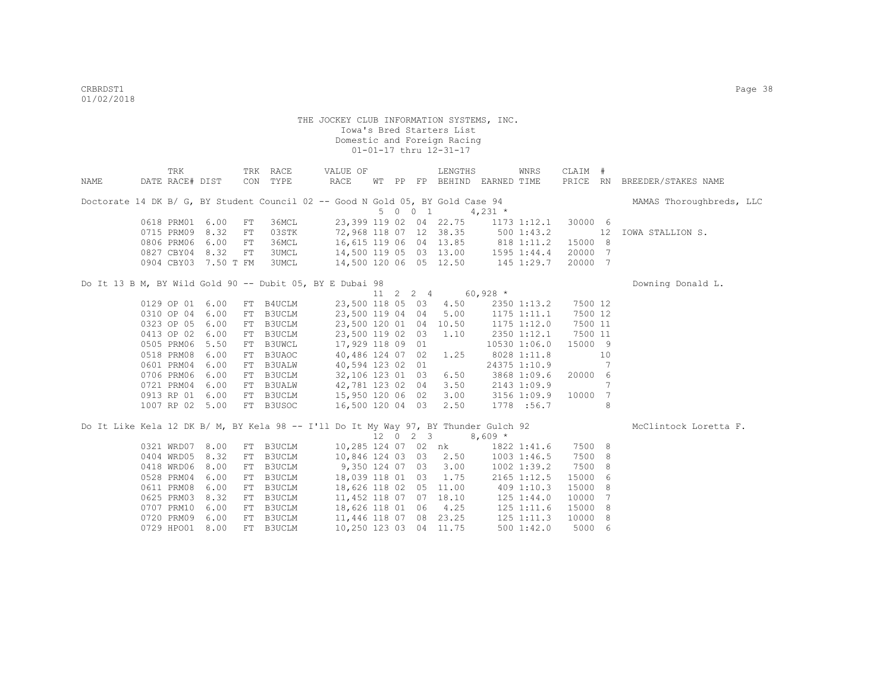|      | TRK                  |      |    | TRK RACE       | VALUE OF                                                                            |  |                     | LENGTHS                 |                                                                         | WNRS           | CLAIM # |    |                              |
|------|----------------------|------|----|----------------|-------------------------------------------------------------------------------------|--|---------------------|-------------------------|-------------------------------------------------------------------------|----------------|---------|----|------------------------------|
| NAME | DATE RACE# DIST      |      |    | CON TYPE       | RACE                                                                                |  |                     |                         | WT PP FP BEHIND EARNED TIME                                             |                |         |    | PRICE RN BREEDER/STAKES NAME |
|      |                      |      |    |                | Doctorate 14 DK B/ G, BY Student Council 02 -- Good N Gold 05, BY Gold Case 94      |  |                     |                         |                                                                         |                |         |    | MAMAS Thoroughbreds, LLC     |
|      |                      |      |    |                |                                                                                     |  | 5 0 0 1             |                         | $4,231$ *                                                               |                |         |    |                              |
|      | 0618 PRM01 6.00      |      | FT | 36MCL          |                                                                                     |  |                     |                         | 23,399 119 02 04 22.75 1173 1:12.1                                      |                | 30000 6 |    |                              |
|      | 0715 PRM09           | 8.32 | FT | 03STK          |                                                                                     |  |                     | 72,968 118 07 12 38.35  |                                                                         | 500 1:43.2     |         | 12 | IOWA STALLION S.             |
|      | 0806 PRM06           | 6.00 | FT | 36MCL          |                                                                                     |  |                     |                         | 16,615 119 06 04 13.85 818 1:11.2<br>14,500 119 05 03 13.00 1595 1:44.4 |                | 15000 8 |    |                              |
|      | 0827 CBY04 8.32      |      | FT | 3UMCL<br>3UMCL |                                                                                     |  |                     |                         | 14,500 120 06 05 12.50 145 1:29.7                                       |                | 20000 7 |    |                              |
|      | 0904 CBY03 7.50 T FM |      |    |                |                                                                                     |  |                     |                         |                                                                         |                | 20000 7 |    |                              |
|      |                      |      |    |                | Do It 13 B M, BY Wild Gold 90 -- Dubit 05, BY E Dubai 98                            |  |                     |                         |                                                                         |                |         |    | Downing Donald L.            |
|      |                      |      |    |                |                                                                                     |  |                     | 11 2 2 4 60,928 $\star$ |                                                                         |                |         |    |                              |
|      | 0129 OP 01 6.00      |      |    | FT B4UCLM      |                                                                                     |  |                     | 23,500 118 05 03 4.50   |                                                                         | 2350 1:13.2    | 7500 12 |    |                              |
|      | 0310 OP 04           | 6.00 |    | FT B3UCLM      | 23,500 119 04 04                                                                    |  |                     | 5.00                    | 1175 1:11.1                                                             |                | 7500 12 |    |                              |
|      | 0323 OP 05           | 6.00 |    | FT B3UCLM      | 23,500 120 01 04 10.50                                                              |  |                     |                         | 1175 1:12.0                                                             |                | 7500 11 |    |                              |
|      | 0413 OP 02           | 6.00 |    | FT B3UCLM      | 23,500 119 02 03                                                                    |  |                     | 1.10                    |                                                                         | 2350 1:12.1    | 7500 11 |    |                              |
|      | 0505 PRM06           | 5.50 |    | FT B3UWCL      | 17,929 118 09 01                                                                    |  |                     |                         |                                                                         | 10530 1:06.0   | 15000 9 |    |                              |
|      | 0518 PRM08           | 6.00 |    | FT B3UAOC      | 40,486 124 07 02                                                                    |  |                     | 1.25                    |                                                                         | 8028 1:11.8    |         | 10 |                              |
|      | 0601 PRM04           | 6.00 |    | FT B3UALW      | 40,594 123 02 01                                                                    |  |                     |                         |                                                                         | 24375 1:10.9   |         | 7  |                              |
|      | 0706 PRM06           | 6.00 |    | FT B3UCLM      | 32,106 123 01 03                                                                    |  |                     | 6.50                    |                                                                         | 3868 1:09.6    | 20000 6 |    |                              |
|      | 0721 PRM04           | 6.00 |    | FT B3UALW      | 42,781 123 02 04                                                                    |  |                     | 3.50                    | 2143 1:09.9                                                             |                |         | 7  |                              |
|      | 0913 RP 01           | 6.00 |    | FT B3UCLM      | 15,950 120 06 02                                                                    |  |                     | 3.00                    | 3156 1:09.9                                                             |                | 10000   | 7  |                              |
|      | 1007 RP 02 5.00      |      |    | FT B3USOC      | 16,500 120 04 03                                                                    |  |                     | 2.50                    |                                                                         | 1778 :56.7     |         | 8  |                              |
|      |                      |      |    |                | Do It Like Kela 12 DK B/ M, BY Kela 98 -- I'll Do It My Way 97, BY Thunder Gulch 92 |  |                     |                         |                                                                         |                |         |    | McClintock Loretta F.        |
|      |                      |      |    |                |                                                                                     |  | $12 \t 0 \t 2 \t 3$ |                         | $8,609*$                                                                |                |         |    |                              |
|      | 0321 WRD07 8.00      |      |    | FT B3UCLM      |                                                                                     |  |                     | 10,285 124 07 02 nk     |                                                                         | 1822 1:41.6    | 7500 8  |    |                              |
|      | 0404 WRD05           | 8.32 |    | FT B3UCLM      | 10,846 124 03 03 2.50                                                               |  |                     |                         |                                                                         | 1003 1:46.5    | 7500    | 8  |                              |
|      | 0418 WRD06           | 8.00 |    | FT B3UCLM      | 9,350 124 07 03                                                                     |  |                     | 3.00                    |                                                                         | 1002 1:39.2    | 7500    | 8  |                              |
|      | 0528 PRM04           | 6.00 |    | FT B3UCLM      | 18,039 118 01 03                                                                    |  |                     | 1.75                    |                                                                         | 2165 1:12.5    | 15000   | 6  |                              |
|      | 0611 PRM08           | 6.00 |    | FT B3UCLM      | 18,626 118 02 05 11.00                                                              |  |                     |                         |                                                                         | 409 1:10.3     | 15000   | 8  |                              |
|      | 0625 PRM03           | 8.32 |    | FT B3UCLM      | 11,452 118 07 07 18.10                                                              |  |                     |                         |                                                                         | 125 1:44.0     | 10000   | 7  |                              |
|      | 0707 PRM10           | 6.00 |    | FT B3UCLM      | 18,626 118 01 06 4.25                                                               |  |                     |                         |                                                                         | $125$ $1:11.6$ | 15000   | -8 |                              |
|      | 0720 PRM09           | 6.00 |    | FT B3UCLM      | 11,446 118 07 08 23.25                                                              |  |                     |                         |                                                                         | $125$ $1:11.3$ | 10000 8 |    |                              |
|      | 0729 HPO01           | 8.00 |    | FT B3UCLM      | 10,250 123 03 04 11.75                                                              |  |                     |                         |                                                                         | 5001:42.0      | 5000 6  |    |                              |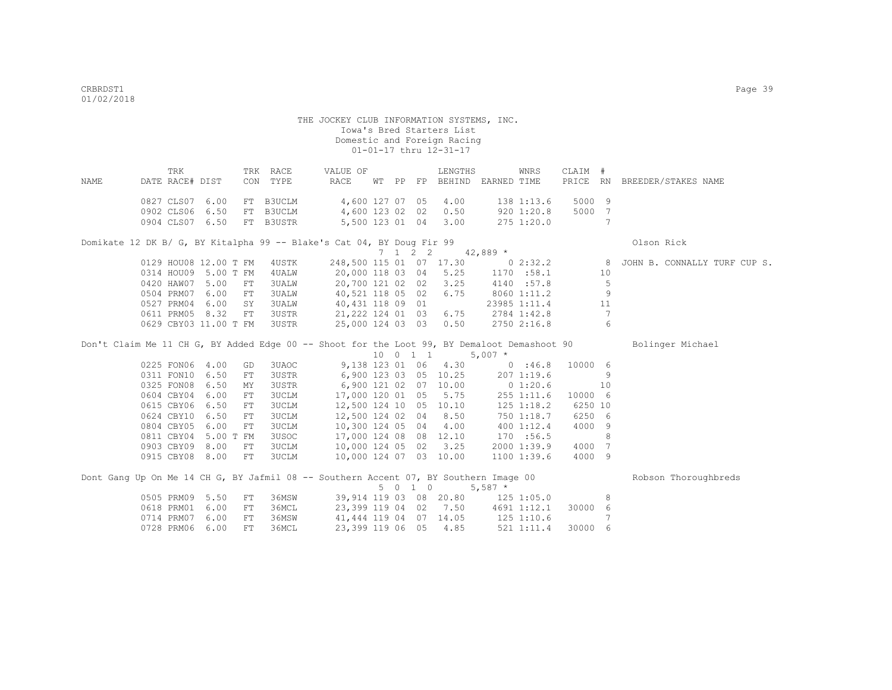| NAME | TRK<br>DATE RACE# DIST                                |      |            | TRK RACE<br>CON TYPE                | VALUE OF<br>RACE                                                                            |  |         | LENGTHS                              | WT PP FP BEHIND EARNED TIME        | WNRS                                     | CLAIM #          |                 | PRICE RN BREEDER/STAKES NAME                                    |
|------|-------------------------------------------------------|------|------------|-------------------------------------|---------------------------------------------------------------------------------------------|--|---------|--------------------------------------|------------------------------------|------------------------------------------|------------------|-----------------|-----------------------------------------------------------------|
|      | 0827 CLS07 6.00<br>0902 CLS06 6.50<br>0904 CLS07 6.50 |      |            | FT B3UCLM<br>FT B3UCLM<br>FT B3USTR | 4,600 127 07 05<br>4,600 123 02 02                                                          |  |         | 4.00<br>0.50<br>5,500 123 01 04 3.00 |                                    | 138 1:13.6<br>920 1:20.8<br>$275$ 1:20.0 | 5000 9<br>5000 7 | $7\phantom{.0}$ |                                                                 |
|      |                                                       |      |            |                                     | Domikate 12 DK B/ G, BY Kitalpha 99 -- Blake's Cat 04, BY Doug Fir 99                       |  |         |                                      |                                    |                                          |                  |                 | Olson Rick                                                      |
|      |                                                       |      |            |                                     |                                                                                             |  | 7 1 2 2 |                                      | $42,889$ *                         |                                          |                  |                 |                                                                 |
|      | 0129 HOU08 12.00 T FM                                 |      |            | 4USTK                               |                                                                                             |  |         |                                      |                                    |                                          |                  |                 | 248,500 115 01 07 17.30 0 2:32.2 8 JOHN B. CONNALLY TURF CUP S. |
|      | 0314 HOU09 5.00 T FM                                  |      |            | 4 UALW                              |                                                                                             |  |         |                                      | 20,000 118 03 04 5.25 1170 :58.1   |                                          |                  | 10              |                                                                 |
|      | 0420 HAW07 5.00                                       |      | FT         | <b>3UALW</b>                        | 20,700 121 02 02                                                                            |  |         | 3.25                                 |                                    | 4140 :57.8                               |                  | $-5$            |                                                                 |
|      | 0504 PRM07                                            | 6.00 | FT         | 3UALW                               | 40,521 118 05 02                                                                            |  |         | 6.75                                 |                                    | 8060 1:11.2                              |                  | 9               |                                                                 |
|      | 0527 PRM04                                            | 6.00 | SY         | 3UALW                               | 40,431 118 09 01                                                                            |  |         |                                      |                                    | 23985 1:11.4                             |                  | 11              |                                                                 |
|      | 0611 PRM05 8.32                                       |      | FT         | 3USTR                               | 21, 222 124 01 03 6.75                                                                      |  |         |                                      | 2784 1:42.8                        |                                          |                  | $\overline{7}$  |                                                                 |
|      | 0629 CBY03 11.00 T FM 3USTR                           |      |            |                                     |                                                                                             |  |         | 25,000 124 03 03 0.50                | 2750 2:16.8                        |                                          |                  | 6               |                                                                 |
|      |                                                       |      |            |                                     | Don't Claim Me 11 CH G, BY Added Edge 00 -- Shoot for the Loot 99, BY Demaloot Demashoot 90 |  |         | 10 0 1 1                             | $5,007$ *                          |                                          |                  |                 | Bolinger Michael                                                |
|      | 0225 FON06 4.00                                       |      | GD         | 3UAOC                               |                                                                                             |  |         | 9,138 123 01 06 4.30                 |                                    | 0:46.8                                   | 10000 6          |                 |                                                                 |
|      | 0311 FON10 6.50                                       |      | FT         | 3USTR                               |                                                                                             |  |         | 6,900 123 03 05 10.25                |                                    | 2071:19.6                                |                  | - 9             |                                                                 |
|      | 0325 FON08                                            | 6.50 | MY         | 3USTR                               |                                                                                             |  |         | 6,900 121 02 07 10.00                | 0 1:20.6                           |                                          |                  | 10              |                                                                 |
|      | 0604 CBY04                                            | 6.00 | FT         | 3UCLM                               | 17,000 120 01 05                                                                            |  |         | 5.75                                 |                                    | 255 1:11.6                               | 10000 6          |                 |                                                                 |
|      | 0615 CBY06                                            | 6.50 | ${\rm FT}$ | 3UCLM                               | 12,500 124 10 05 10.10                                                                      |  |         |                                      |                                    | 125 1:18.2                               | 6250 10          |                 |                                                                 |
|      | 0624 CBY10 6.50                                       |      | FT         | <b>3UCLM</b>                        | 12,500 124 02 04 8.50                                                                       |  |         |                                      |                                    | 750 1:18.7                               | 6250 6           |                 |                                                                 |
|      | 0804 CBY05 6.00                                       |      | FT         | <b>3UCLM</b>                        | 10,300 124 05 04 4.00                                                                       |  |         |                                      |                                    | 4001:12.4                                | 4000 9           |                 |                                                                 |
|      | 0811 CBY04 5.00 T FM                                  |      |            | 3USOC                               |                                                                                             |  |         | 17,000 124 08 08 12.10               |                                    | 170 :56.5                                |                  | 8               |                                                                 |
|      | 0903 CBY09 8.00                                       |      | FT         | 3UCLM                               |                                                                                             |  |         | 10,000 124 05 02 3.25                |                                    | 2000 1:39.9                              | 4000 7           |                 |                                                                 |
|      | 0915 CBY08 8.00                                       |      | FT         | 3UCLM                               |                                                                                             |  |         | 10,000 124 07 03 10.00               |                                    | 1100 1:39.6                              | 4000 9           |                 |                                                                 |
|      |                                                       |      |            |                                     | Dont Gang Up On Me 14 CH G, BY Jafmil 08 -- Southern Accent 07, BY Southern Image 00        |  | 5010    |                                      | $5,587$ *                          |                                          |                  |                 | Robson Thoroughbreds                                            |
|      | 0505 PRM09 5.50                                       |      | FT         | 36MSW                               |                                                                                             |  |         |                                      | 39,914 119 03 08 20.80 125 1:05.0  |                                          |                  | 8               |                                                                 |
|      | 0618 PRM01 6.00                                       |      | FT         | 36MCL                               |                                                                                             |  |         |                                      | 23,399 119 04 02 7.50 4691 1:12.1  |                                          | 30000 6          |                 |                                                                 |
|      | 0714 PRM07 6.00                                       |      | FT         | 36MSW                               |                                                                                             |  |         |                                      |                                    |                                          |                  | 7               |                                                                 |
|      | 0728 PRM06                                            | 6.00 | FT.        | 36MCL                               | 23,399 119 06 05                                                                            |  |         | 4.85                                 | 41, 444 119 04 07 14.05 125 1:10.6 | 521 1:11.4                               | 30000 6          |                 |                                                                 |
|      |                                                       |      |            |                                     |                                                                                             |  |         |                                      |                                    |                                          |                  |                 |                                                                 |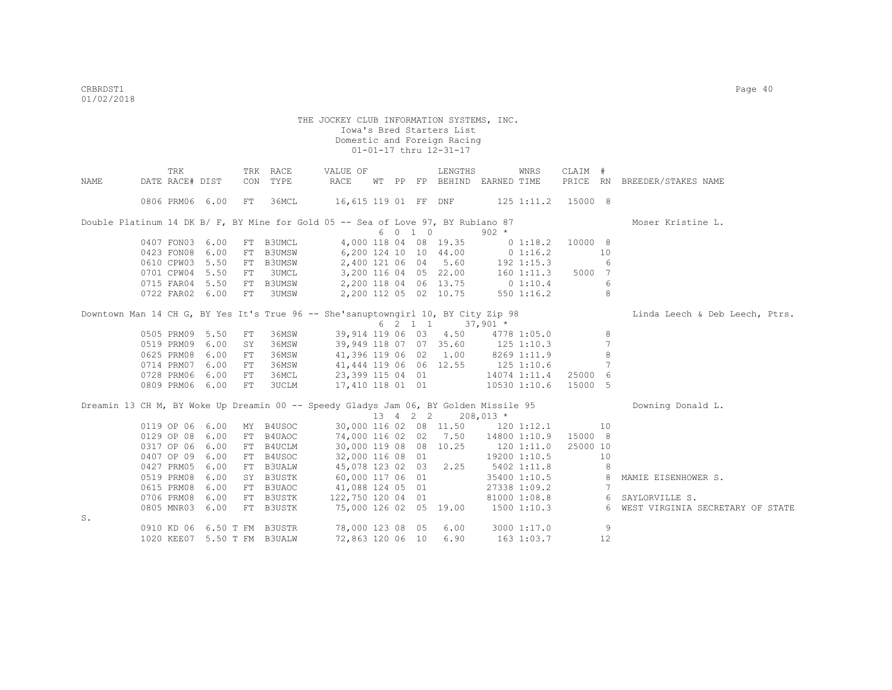|      |                 | TRK |      |    | TRK RACE                                                                             | VALUE OF                                |  |         | LENGTHS                                 |            | WNRS                 | CLAIM # |                              |                                    |
|------|-----------------|-----|------|----|--------------------------------------------------------------------------------------|-----------------------------------------|--|---------|-----------------------------------------|------------|----------------------|---------|------------------------------|------------------------------------|
| NAME | DATE RACE# DIST |     |      |    | CON TYPE                                                                             | RACE                                    |  |         | WT PP FP BEHIND EARNED TIME             |            |                      |         |                              | PRICE RN BREEDER/STAKES NAME       |
|      | 0806 PRM06 6.00 |     |      | FT | 36MCL                                                                                | 16,615 119 01 FF DNF 125 1:11.2 15000 8 |  |         |                                         |            |                      |         |                              |                                    |
|      |                 |     |      |    | Double Platinum 14 DK B/ F, BY Mine for Gold 05 -- Sea of Love 97, BY Rubiano 87     |                                         |  |         |                                         |            |                      |         |                              | Moser Kristine L.                  |
|      |                 |     |      |    |                                                                                      |                                         |  | 6 0 1 0 |                                         | $902 *$    |                      |         |                              |                                    |
|      | 0407 FON03 6.00 |     |      |    | FT B3UMCL                                                                            |                                         |  |         | 4,000 118 04 08 19.35                   |            | 0 1:18.2             | 10000 8 |                              |                                    |
|      | 0423 FON08      |     | 6.00 |    | FT B3UMSW                                                                            | 6,200 124 10 10 44.00                   |  |         |                                         | 0 1:16.2   |                      |         | 10                           |                                    |
|      | 0610 CPW03 5.50 |     |      |    | FT B3UMSW                                                                            |                                         |  |         | 2,400 121 06 04 5.60                    | 192 1:15.3 |                      |         | 6                            |                                    |
|      | 0701 CPW04 5.50 |     |      | FT | 3UMCL                                                                                |                                         |  |         | 3,200 116 04 05 22.00 160 1:11.3 5000 7 |            |                      |         |                              |                                    |
|      | 0715 FAR04 5.50 |     |      |    | FT B3UMSW                                                                            | 2,200 118 04 06 13.75 0 1:10.4          |  |         |                                         |            |                      |         | 6                            |                                    |
|      | 0722 FAR02 6.00 |     |      | FT | 3UMSW                                                                                | 2,200 112 05 02 10.75                   |  |         |                                         |            | $550$ $1:16.2$       |         | $\mathcal{R}$                |                                    |
|      |                 |     |      |    | Downtown Man 14 CH G, BY Yes It's True 96 -- She'sanuptowngirl 10, BY City Zip 98    |                                         |  |         |                                         |            |                      |         |                              | Linda Leech & Deb Leech, Ptrs.     |
|      |                 |     |      |    |                                                                                      |                                         |  |         | 6 2 1 1 37,901 *                        |            |                      |         |                              |                                    |
|      | 0505 PRM09 5.50 |     |      | FT | 36MSW                                                                                |                                         |  |         | 39,914 119 06 03 4.50 4778 1:05.0       |            |                      |         | 8                            |                                    |
|      | 0519 PRM09 6.00 |     |      | SY | 36MSW                                                                                | 39,949 118 07 07 35.60 125 1:10.3       |  |         |                                         |            |                      |         |                              |                                    |
|      | 0625 PRM08      |     | 6.00 | FT | 36MSW                                                                                | 41,396 119 06 02 1.00 8269 1:11.9       |  |         |                                         |            |                      |         | 8                            |                                    |
|      | 0714 PRM07 6.00 |     |      | FT | 36MSW                                                                                | 41,444 119 06 06 12.55 125 1:10.6       |  |         |                                         |            |                      |         |                              |                                    |
|      | 0728 PRM06 6.00 |     |      | FT | 36MCL                                                                                | 23,399 115 04 01                        |  |         |                                         |            | 14074 1:11.4         | 25000 6 |                              |                                    |
|      | 0809 PRM06 6.00 |     |      | FT | 3UCLM                                                                                | 17,410 118 01 01                        |  |         |                                         |            | 10530 1:10.6         | 15000 5 |                              |                                    |
|      |                 |     |      |    | Dreamin 13 CH M, BY Woke Up Dreamin 00 -- Speedy Gladys Jam 06, BY Golden Missile 95 |                                         |  |         |                                         |            |                      |         |                              | Downing Donald L.                  |
|      |                 |     |      |    |                                                                                      |                                         |  |         | 13 4 2 2 208,013 *                      |            |                      |         |                              |                                    |
|      | 0119 OP 06 6.00 |     |      |    | MY B4USOC                                                                            |                                         |  |         | 30,000 116 02 08 11.50 120 1:12.1       |            |                      |         | 10                           |                                    |
|      | 0129 OP 08 6.00 |     |      |    | FT B4UAOC                                                                            | 74,000 116 02 02 7.50                   |  |         |                                         |            | 14800 1:10.9 15000 8 |         |                              |                                    |
|      | 0317 OP 06 6.00 |     |      |    | FT B4UCLM                                                                            | 30,000 119 08 08 10.25                  |  |         |                                         |            | 120 1:11.0 25000 10  |         |                              |                                    |
|      | 0407 OP 09 6.00 |     |      |    | FT B4USOC                                                                            | 32,000 116 08 01                        |  |         |                                         |            | 19200 1:10.5         |         | 10                           |                                    |
|      | 0427 PRM05 6.00 |     |      |    | FT B3UALW                                                                            | 45,078 123 02 03 2.25                   |  |         |                                         |            | 5402 1:11.8          |         | 8                            |                                    |
|      | 0519 PRM08 6.00 |     |      |    | SY B3USTK                                                                            | 60,000 117 06 01                        |  |         |                                         |            | $35400$ 1:10.5 8     |         |                              | MAMIE EISENHOWER S.                |
|      | 0615 PRM08 6.00 |     |      |    | FT B3UAOC                                                                            | 41,088 124 05 01                        |  |         |                                         |            | 27338 1:09.2         |         | $7\phantom{.0}\phantom{.0}7$ |                                    |
|      | 0706 PRM08 6.00 |     |      |    | FT B3USTK                                                                            | 122,750 120 04 01                       |  |         |                                         |            |                      |         |                              | 81000 1:08.8 6 SAYLORVILLE S.      |
|      | 0805 MNR03 6.00 |     |      |    | FT B3USTK                                                                            | 75,000 126 02 05 19.00                  |  |         |                                         |            | 1500 1:10.3          |         |                              | 6 WEST VIRGINIA SECRETARY OF STATE |
| S.   |                 |     |      |    |                                                                                      |                                         |  |         |                                         |            |                      |         |                              |                                    |
|      |                 |     |      |    | 0910 KD 06 6.50 T FM B3USTR                                                          | 78,000 123 08 05                        |  |         | 6.00                                    |            | 3000 1:17.0          |         | 9                            |                                    |
|      |                 |     |      |    | 1020 KEE07 5.50 T FM B3UALW                                                          | 72,863 120 06 10                        |  |         | 6.90                                    |            | 163 1:03.7           |         | 12                           |                                    |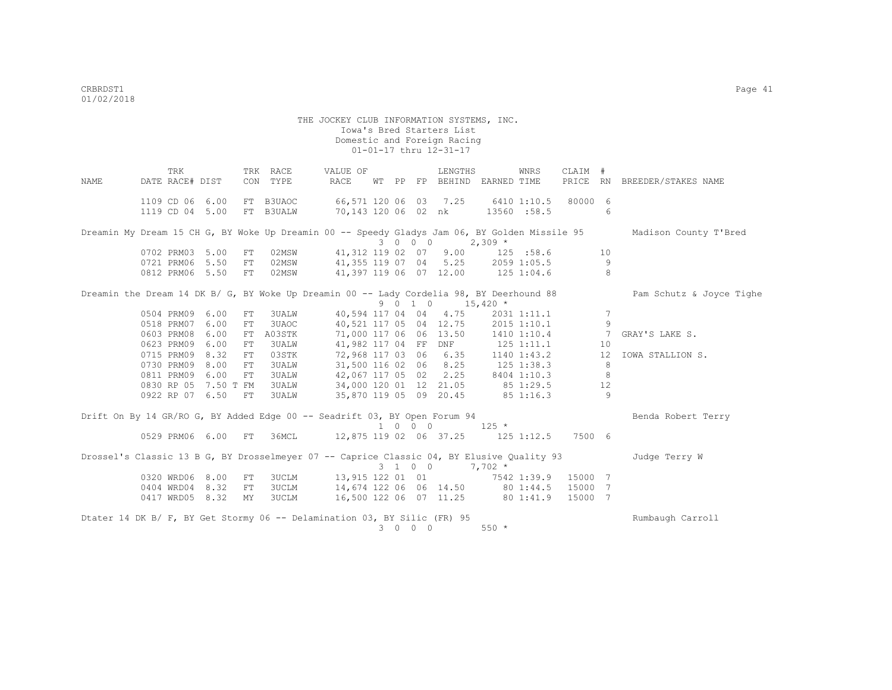THE JOCKEY CLUB INFORMATION SYSTEMS, INC. Iowa's Bred Starters List Domestic and Foreign Racing 01-01-17 thru 12-31-17 TRK TRK RACE VALUE OF LENGTHS WNRS CLAIM # NAME DATE RACE# DIST CON TYPE RACE WT PP FP BEHIND EARNED TIME PRICE RN BREEDER/STAKES NAME 1109 CD 06 6.00 FT B3UAOC 66,571 120 06 03 7.25 6410 1:10.5 80000 6 1119 CD 04 5.00 FT B3UALW 70,143 120 06 02 nk 13560 :58.5 6 Dreamin My Dream 15 CH G, BY Woke Up Dreamin 00 -- Speedy Gladys Jam 06, BY Golden Missile 95 Madison County T'Bred

 $0702$  PRM03 5.00 FT 02MSW 41,312 119 02 07 9.00 129 01,312 119 02 07 9.00 125 :58.6 10<br>41,355 119 07 04 5.25 2059 1:05.5 9 0721 PRM06 5.50 FT 02MSW 41,355 119 07 04 5.25 2059 1:05.5 9<br>0812 PRM06 5.50 FT 02MSW 41,397 119 06 07 12.00 125 1:04.6 8 41,397 119 06 07 12.00 125 1:04.6

Dreamin the Dream 14 DK B/ G, BY Woke Up Dreamin 00 -- Lady Cordelia 98, BY Deerhound 88 Pam Schutz & Joyce Tighe 9 0 1 0 15,420  $*$  0504 PRM09 6.00 FT 3UALW 40,594 117 04 04 4.75 2031 1:11.1 7 0518 PRM07 6.00 FT 3UAOC 40,521 117 05 04 12.75 2015 1:10.1 9 0603 PRM08 6.00 FT A03STK 71,000 117 06 06 13.50 1410 1:10.4 7 GRAY'S LAKE S.<br>0623 PRM09 6.00 FT 3UALW 41,982 117 04 FF DNF 125 1:11.1 10 0623 PRM09 6.00 FT 3UALW 41,982 117 04 FF DNF 125 1:11.1 10 0715 PRM09 8.32 FT 03STK 72,968 117 03 06 6.35 1140 1:43.2 12 IOWA STALLION S. 0023 PRM09 0.00 FT 30ALW 41,902 117 04 FF DNF 123 1.11.1 10<br>0715 PRM09 8.32 FT 03STK 72,968 117 03 06 6.35 1140 1:43.2 12<br>0730 PRM09 8.00 FT 3UALW 31,500 116 02 06 8.25 125 1:38.3 8 0811 PRM09 6.00 FT 3UALW 42,067 117 05 02 2.25 8404 1:10.3 8<br>0830 RP 05 7.50 T FM 3UALW 34,000 120 01 12 21.05 85 1:29.5 12 0830 RP 05 7.50 T FM 3UALW 34,000 120 01 12 21.05 85 1:29.5 12 0922 RP 07 6.50 FT 3UALW 35,870 119 05 09 20.45 85 1:16.3 9 Drift On By 14 GR/RO G, BY Added Edge 00 -- Seadrift 03, BY Open Forum 94 Benda Robert Terry  $1 \t 0 \t 0 \t 125 \t \star$ 

 0529 PRM06 6.00 FT 36MCL 12,875 119 02 06 37.25 125 1:12.5 7500 6 Drossel's Classic 13 B G, BY Drosselmeyer 07 -- Caprice Classic 04, BY Elusive Quality 93 Judge Terry W  $3$  1 0 0 7, 702 \*<br>13, 915 122 01 01 7542 1:39.9 15000 7 0320 WRD06 8.00 FT 3UCLM 13,915 122 01 01 7542 1:39.9 15000 7<br>0404 WRD04 8.32 FT 3UCLM 14,674 122 06 06 14.50 80 1:44.5 15000 7 0404 WRD04 8.32 FT 3UCLM 0417 WRD05 8.32 MY 3UCLM 16,500 122 06 07 11.25 80 1:41.9 15000 7 Dtater 14 DK B/ F, BY Get Stormy 06 -- Delamination 03, BY Silic (FR) 95 Rumbaugh Carroll 3 0 0 0 550 \*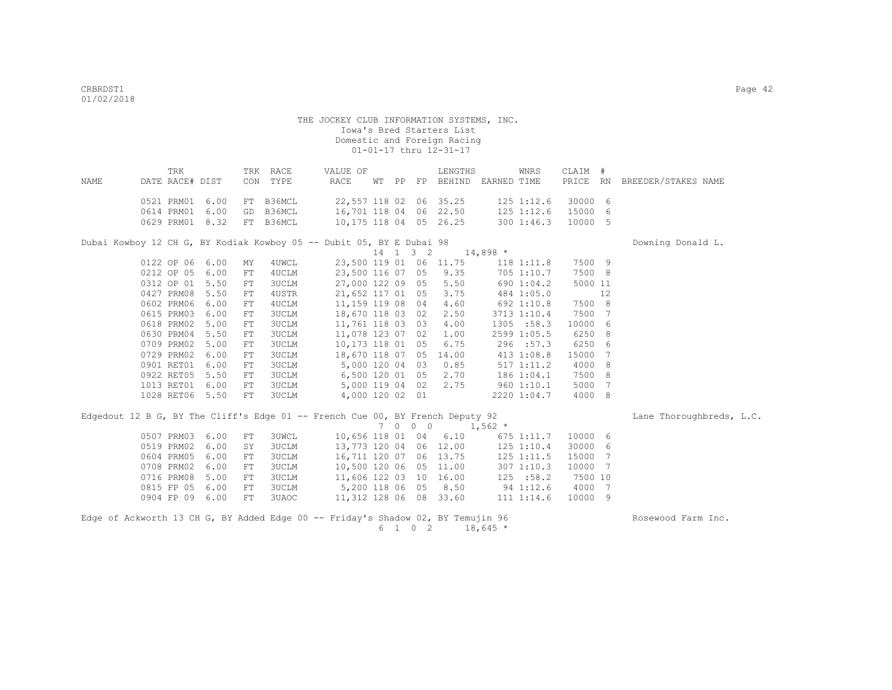|      | TRK                       |  | TRK RACE | VALUE OF               |  | LENGTHS                | WNRS | CLAIM #            |                                                          |  |
|------|---------------------------|--|----------|------------------------|--|------------------------|------|--------------------|----------------------------------------------------------|--|
| NAME | DATE RACE# DIST           |  | CON TYPE | RACE                   |  |                        |      |                    | WT PP FP BEHIND EARNED TIME PRICE RN BREEDER/STAKES NAME |  |
|      | 0521 PRM01 6.00 FT B36MCL |  |          |                        |  | 22,557 118 02 06 35.25 |      | 125 1:12.6 30000 6 |                                                          |  |
|      | 0614 PRM01 6.00 GD B36MCL |  |          | 16,701 118 04 06 22.50 |  |                        |      | 125 1:12.6 15000 6 |                                                          |  |
|      | 0629 PRM01 8.32 FT B36MCL |  |          |                        |  | 10,175 118 04 05 26.25 |      | 300 1:46.3 10000 5 |                                                          |  |

Dubai Kowboy 12 CH G, BY Kodiak Kowboy 05 -- Dubit 05, BY E Dubai 98 Downing Donald L.

 $14$  1 3 2 14,898 \*<br>23.500 119 01 06 11.75 118 0122 OP 06 6.00 MY 4UWCL 23,500 119 01 06 11.75 118 1:11.8 7500 9<br>0212 OP 05 6.00 FT 4UCLM 23,500 116 07 05 9.35 705 1:10.7 7500 8 0212 OP 05 6.00 FT 4UCLM 23,500 116 07 05 9.35 705 1:10.7 0312 OP 01 5.50 FT 3UCLM 27,000 122 09 05 5.50 690 1:04.2 5000 11 0427 PRM08 5.50 FT 4USTR 21,652 117 01 05 3.75 484 1:05.0 12 0602 PRM06 6.00 FT 4UCLM 11,159 119 08 04 4.60 692 1:10.8 7500 8 0615 PRM03 6.00 FT 3UCLM 18,670 118 03 02 2.50 3713 1:10.4 7500 7 0618 PRM02 5.00 FT 3UCLM 11,761 118 03 03 4.00 1305 :58.3 10000 6 0630 PRM04 5.50 FT 3UCLM 11,078 123 07 02 1.00 2599 1:05.5 6250 8 0709 PRM02 5.00 FT 3UCLM 10,173 118 01 05 6.75 296 :57.3 6250 6 0729 PRM02 6.00 FT 3UCLM 18,670 118 07 05 14.00 413 1:08.8<br>0901 RET01 6.00 FT 3UCLM 5,000 120 04 03 0.85 517 1:11.2 0901 RET01 6.00 FT 3UCLM 5,000 120 04 03 0.85 517 1:11.2 4000 8 0922 RET05 5.50 FT 3UCLM 6,500 120 01 05 2.70 186 1:04.1 7500 8<br>1013 RET01 6.00 FT 3UCLM 5,000 119 04 02 2.75 960 1:10.1 5000 7 1013 RET01 6.00 FT 3UCLM 1028 RET06 5.50 FT 3UCLM 4,000 120 02 01 2220 1:04.7 4000 8

Edgedout 12 B G, BY The Cliff's Edge 01 -- French Cue 00, BY French Deputy 92 Lane Thoroughbreds, L.C.  $7 \t0 \t0 \t0 \t1,562 \t\t \times$ <br>10,656 118 01 04 6.10 67 0507 PRM03 6.00 FT 3UWCL 10,656 118 01 04 6.10 675 1:11.7 10000 6<br>0519 PRM02 6.00 SY 3UCLM 13,773 120 04 06 12.00 125 1:10.4 30000 6 0519 PRM02 6.00 SY 3UCLM 13,773 120 04 06 12.00 125 1:10.4 30000 6 0604 PRM05 6.00 FT 3UCLM 16,711 120 07 06 13.75 125 1:11.5 15000 7 0708 PRM02 6.00 FT 3UCLM 10,500 120 06 05 11.00 307 1:10.3 10000 7<br>0716 PRM08 5.00 FT 3UCLM 11,606 122 03 10 16.00 125 :58.2 7500 10 0716 PRM08 5.00 FT 3UCLM 11,606 122 03 10 16.00 125 :58.2 7500 10<br>0815 FP 05 6.00 FT 3UCLM 5,200 118 06 05 8.50 94 1:12.6 4000 7 0815 FP 05 6.00 FT 3UCLM 5,200 118 06 05 8.50<br>0904 FP 09 6.00 FT 3UAOC 11,312 128 06 08 33.60 0904 FP 09 6.00 FT 3UAOC 11,312 128 06 08 33.60 111 1:14.6 10000 9

Edge of Ackworth 13 CH G, BY Added Edge 00 -- Friday's Shadow 02, BY Temujin 96 Rosewood Farm Inc.  $6 \quad 1 \quad 0 \quad 2 \quad 18,645 \neq$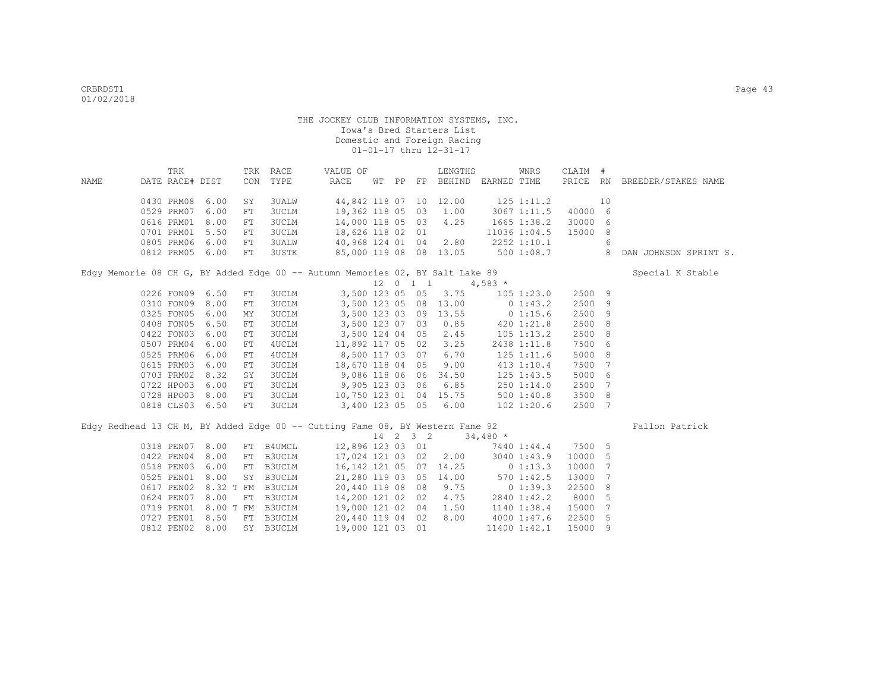|      | TRK             |                 | TRK        | RACE             | VALUE OF                                                                      |  |             | LENGTHS                               |                | WNRS           | CLAIM #  |    |                       |
|------|-----------------|-----------------|------------|------------------|-------------------------------------------------------------------------------|--|-------------|---------------------------------------|----------------|----------------|----------|----|-----------------------|
| NAME | DATE RACE# DIST |                 | CON        | TYPE             | RACE                                                                          |  |             | WT PP FP BEHIND EARNED TIME           |                |                | PRICE RN |    | BREEDER/STAKES NAME   |
|      |                 |                 |            |                  |                                                                               |  |             |                                       |                |                |          |    |                       |
|      | 0430 PRM08      | 6.00            | SY         | 3UALW            |                                                                               |  |             | 44,842 118 07 10 12.00                | $125$ $1:11.2$ |                |          | 10 |                       |
|      | 0529 PRM07      | 6.00            | ${\rm FT}$ | <b>3UCLM</b>     |                                                                               |  |             | 19,362 118 05 03 1.00                 |                | 3067 1:11.5    | 40000 6  |    |                       |
|      | 0616 PRM01      | 8.00            | ${\rm FT}$ | 3UCLM            | 14,000 118 05 03 4.25                                                         |  |             |                                       |                | 1665 1:38.2    | 30000    | 6  |                       |
|      | 0701 PRM01      | 5.50            | FT         | 3UCLM            | 18,626 118 02 01                                                              |  |             |                                       |                | 11036 1:04.5   | 15000    | 8  |                       |
|      | 0805 PRM06      | 6.00            | FT         | <b>3UALW</b>     | 40,968 124 01 04 2.80                                                         |  |             |                                       | 2252 1:10.1    |                |          | 6  |                       |
|      | 0812 PRM05      | 6.00            | FT         | 3USTK            |                                                                               |  |             | 85,000 119 08 08 13.05                |                | 500 1:08.7     |          | 8  | DAN JOHNSON SPRINT S. |
|      |                 |                 |            |                  | Edgy Memorie 08 CH G, BY Added Edge 00 -- Autumn Memories 02, BY Salt Lake 89 |  |             |                                       |                |                |          |    | Special K Stable      |
|      |                 |                 |            |                  |                                                                               |  |             | $12 \t 0 \t 1 \t 1 \t 4,583 \t \star$ |                |                |          |    |                       |
|      | 0226 FON09      | 6.50            | FT         | <b>3UCLM</b>     |                                                                               |  |             | 3,500 123 05 05 3.75                  |                | 105 1:23.0     | 2500 9   |    |                       |
|      | 0310 FON09      | 8.00            | FT         | <b>3UCLM</b>     |                                                                               |  |             | 3,500 123 05 08 13.00                 | $0\;1:43.2$    |                | 2500     | 9  |                       |
|      | 0325 FON05      | 6.00            | MΥ         | 3UCLM            |                                                                               |  |             | 3,500 123 03 09 13.55 0 1:15.6        |                |                | 2500     | 9  |                       |
|      | 0408 FON05      | 6.50            | FT         | <b>3UCLM</b>     | 3,500 123 07 03                                                               |  |             | 0.85                                  |                | 420 1:21.8     | 2500     | 8  |                       |
|      | 0422 FON03      | 6.00            | ${\rm FT}$ | <b>3UCLM</b>     |                                                                               |  |             | 3,500 124 04 05 2.45                  |                | $105$ $1:13.2$ | 2500     | 8  |                       |
|      | 0507 PRM04      | 6.00            | ${\rm FT}$ | 4UCLM            | 11,892 117 05 02                                                              |  |             | 3.25                                  |                | 2438 1:11.8    | 7500 6   |    |                       |
|      | 0525 PRM06      | 6.00            | ${\rm FT}$ | 4UCLM            | 8,500 117 03 07                                                               |  |             | 6.70                                  |                | 125 1:11.6     | 5000 8   |    |                       |
|      | 0615 PRM03      | 6.00            | FT         | 3UCLM            | 18,670 118 04 05                                                              |  |             | 9.00                                  |                | 413 1:10.4     | 7500     | 7  |                       |
|      | 0703 PRM02      | 8.32            | SY         | 3UCLM            | 9,086 118 06 06                                                               |  |             | 34.50                                 |                | 125 1:43.5     | 5000     | 6  |                       |
|      | 0722 HPO03      | 6.00            | FT         | 3UCLM            | 9,905 123 03 06                                                               |  |             | 6.85                                  |                | 250 1:14.0     | 2500     | 7  |                       |
|      | 0728 HPO03      | 8.00            | ${\rm FT}$ | <b>3UCLM</b>     |                                                                               |  |             | $10,750$ 123 01 04 15.75              |                | 5001:40.8      | 3500 8   |    |                       |
|      |                 | 0818 CLS03 6.50 | ${\rm FT}$ | <b>3UCLM</b>     | 3,400 123 05 05                                                               |  |             | 6.00                                  |                | $102$ $1:20.6$ | 2500 7   |    |                       |
|      |                 |                 |            |                  | Edgy Redhead 13 CH M, BY Added Edge 00 -- Cutting Fame 08, BY Western Fame 92 |  |             |                                       |                |                |          |    | Fallon Patrick        |
|      |                 |                 |            |                  |                                                                               |  | 14  2  3  2 |                                       | $34,480*$      |                |          |    |                       |
|      |                 | 0318 PEN07 8.00 |            | FT B4UMCL        |                                                                               |  |             | 12,896 123 03 01                      |                | 7440 1:44.4    | 7500 5   |    |                       |
|      | 0422 PEN04      | 8.00            | FT         | B3UCLM           |                                                                               |  |             | 17,024 121 03 02 2.00                 |                | 3040 1:43.9    | 10000    | 5  |                       |
|      | 0518 PEN03      | 6.00            | ${\rm FT}$ | <b>B3UCLM</b>    |                                                                               |  |             | 16,142 121 05 07 14.25                |                | 01:13.3        | 10000    | 7  |                       |
|      | 0525 PEN01      | 8.00            | SY         | B3UCLM           |                                                                               |  |             | 21,280 119 03 05 14.00                |                | 570 1:42.5     | 13000    | 7  |                       |
|      | 0617 PEN02      |                 |            | 8.32 T FM B3UCLM | 20,440 119 08 08 9.75                                                         |  |             |                                       |                | 01:39.3        | 22500    | 8  |                       |
|      | 0624 PEN07      | 8.00            |            | FT B3UCLM        | 14,200 121 02 02 4.75                                                         |  |             |                                       |                | 2840 1:42.2    | 8000     | 5  |                       |
|      | 0719 PEN01      |                 |            | 8.00 T FM B3UCLM | 19,000 121 02 04 1.50                                                         |  |             |                                       |                | 1140 1:38.4    | 15000    | 7  |                       |
|      | 0727 PEN01      | 8.50            | FT         | B3UCLM           | 20,440 119 04 02                                                              |  |             | 8.00                                  | 4000 1:47.6    |                | 22500    | -5 |                       |
|      | 0812 PEN02      | 8.00            | SY         | B3UCLM           | 19,000 121 03 01                                                              |  |             |                                       |                | 11400 1:42.1   | 15000    | 9  |                       |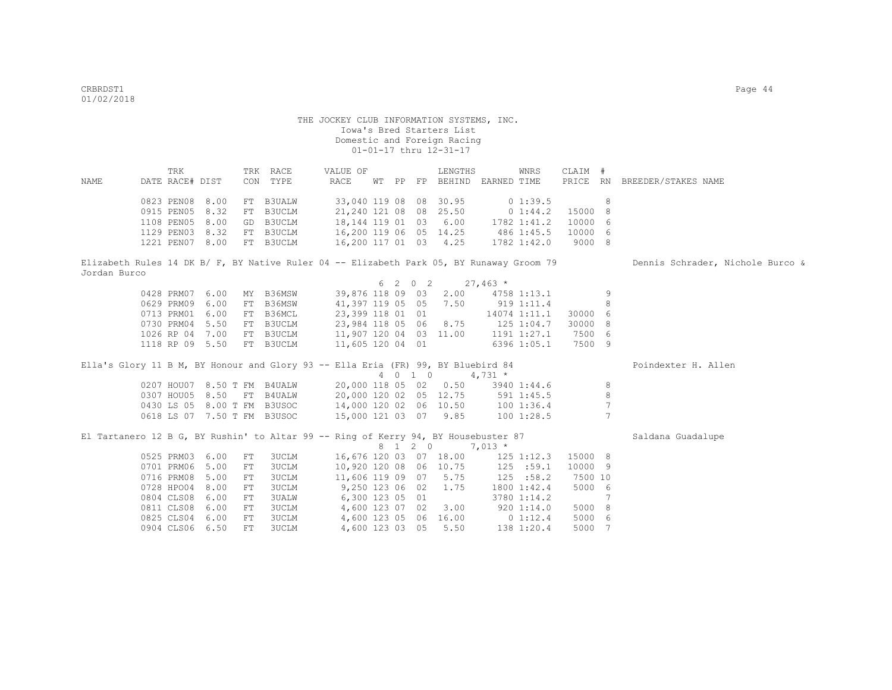| NAME         | TRK<br>DATE RACE# DIST |                 |            | TRK RACE<br>CON TYPE                                                               | RACE | VALUE OF         |  |         | LENGTHS<br>WT PP FP BEHIND EARNED TIME |            | WNRS        | CLAIM # |                | PRICE RN BREEDER/STAKES NAME                                                                                              |
|--------------|------------------------|-----------------|------------|------------------------------------------------------------------------------------|------|------------------|--|---------|----------------------------------------|------------|-------------|---------|----------------|---------------------------------------------------------------------------------------------------------------------------|
|              |                        |                 |            |                                                                                    |      |                  |  |         |                                        |            |             |         |                |                                                                                                                           |
|              | 0823 PEN08 8.00        |                 |            | FT B3UALW                                                                          |      |                  |  |         | 33,040 119 08 08 30.95                 |            | 0 1:39.5    |         | 8              |                                                                                                                           |
|              | 0915 PEN05             | 8.32            | FT         | <b>B3UCLM</b>                                                                      |      |                  |  |         | 21,240 121 08 08 25.50                 |            | $0\;1:44.2$ | 15000   | 8              |                                                                                                                           |
|              | 1108 PEN05             | 8.00            |            | GD B3UCLM                                                                          |      |                  |  |         | 18, 144 119 01 03 6.00 1782 1:41.2     |            |             | 10000   | 6              |                                                                                                                           |
|              | 1129 PEN03 8.32        |                 |            | FT B3UCLM                                                                          |      |                  |  |         | 16,200 119 06 05 14.25 486 1:45.5      |            |             | 10000   | 6              |                                                                                                                           |
|              | 1221 PEN07 8.00        |                 |            | FT B3UCLM                                                                          |      |                  |  |         | 16,200 117 01 03 4.25                  |            | 1782 1:42.0 | 9000 8  |                |                                                                                                                           |
|              |                        |                 |            |                                                                                    |      |                  |  |         |                                        |            |             |         |                | Elizabeth Rules 14 DK B/ F, BY Native Ruler 04 -- Elizabeth Park 05, BY Runaway Groom 79 Dennis Schrader, Nichole Burco & |
| Jordan Burco |                        |                 |            |                                                                                    |      |                  |  |         |                                        |            |             |         |                |                                                                                                                           |
|              |                        |                 |            |                                                                                    |      |                  |  |         | $6 \t2 \t0 \t2 \t27,463 \t*$           |            |             |         |                |                                                                                                                           |
|              | 0428 PRM07 6.00        |                 |            | MY B36MSW                                                                          |      |                  |  |         | 39,876 118 09 03 2.00 4758 1:13.1      |            |             |         | 9              |                                                                                                                           |
|              | 0629 PRM09 6.00        |                 | FT         | B36MSW                                                                             |      |                  |  |         | 41,397 119 05 05 7.50 919 1:11.4       |            |             |         | 8              |                                                                                                                           |
|              | 0713 PRM01 6.00        |                 |            | FT B36MCL                                                                          |      |                  |  |         | 23,399 118 01 01 14074 1:11.1          |            |             | 30000 6 |                |                                                                                                                           |
|              | 0730 PRM04 5.50        |                 |            | FT B3UCLM                                                                          |      |                  |  |         | 23,984 118 05 06 8.75 125 1:04.7       |            |             | 30000   | 8              |                                                                                                                           |
|              |                        | 1026 RP 04 7.00 |            | FT B3UCLM                                                                          |      |                  |  |         | 11,907 120 04 03 11.00 1191 1:27.1     |            |             | 7500 6  |                |                                                                                                                           |
|              |                        |                 |            | 1118 RP 09 5.50 FT B3UCLM                                                          |      | 11,605 120 04 01 |  |         |                                        |            | 6396 1:05.1 | 7500 9  |                |                                                                                                                           |
|              |                        |                 |            |                                                                                    |      |                  |  |         |                                        |            |             |         |                |                                                                                                                           |
|              |                        |                 |            | Ella's Glory 11 B M, BY Honour and Glory 93 -- Ella Eria (FR) 99, BY Bluebird 84   |      |                  |  |         |                                        |            |             |         |                | Poindexter H. Allen                                                                                                       |
|              |                        |                 |            |                                                                                    |      |                  |  |         | 4 0 1 0 4,731 $*$                      |            |             |         |                |                                                                                                                           |
|              |                        |                 |            | 0207 HOU07 8.50 T FM B4UALW                                                        |      |                  |  |         | 20,000 118 05 02 0.50 3940 1:44.6      |            |             |         | 8              |                                                                                                                           |
|              |                        |                 |            | 0307 HOU05 8.50 FT B4UALW                                                          |      |                  |  |         | 20,000 120 02 05 12.75 591 1:45.5      |            |             |         | $\,8\,$        |                                                                                                                           |
|              |                        |                 |            | 0430 LS 05 8.00 T FM B3USOC                                                        |      |                  |  |         | 14,000 120 02 06 10.50 100 1:36.4      |            |             |         | $\overline{7}$ |                                                                                                                           |
|              |                        |                 |            | 0618 LS 07 7.50 T FM B3USOC                                                        |      |                  |  |         | 15,000 121 03 07 9.85 100 1:28.5       |            |             |         | $\overline{7}$ |                                                                                                                           |
|              |                        |                 |            | El Tartanero 12 B G, BY Rushin' to Altar 99 -- Ring of Kerry 94, BY Housebuster 87 |      |                  |  |         |                                        |            |             |         |                | Saldana Guadalupe                                                                                                         |
|              |                        |                 |            |                                                                                    |      |                  |  | 8 1 2 0 |                                        | $7,013*$   |             |         |                |                                                                                                                           |
|              | 0525 PRM03 6.00        |                 | FT         | <b>3UCLM</b>                                                                       |      |                  |  |         | 16,676 120 03 07 18.00 125 1:12.3      |            |             | 15000 8 |                |                                                                                                                           |
|              | 0701 PRM06 5.00        |                 | FT         | <b>3UCLM</b>                                                                       |      |                  |  |         | 10,920 120 08 06 10.75 125 :59.1       |            |             | 10000 9 |                |                                                                                                                           |
|              | 0716 PRM08 5.00        |                 | FT         | <b>3UCLM</b>                                                                       |      |                  |  |         | 11,606 119 09 07 5.75 125 :58.2        |            |             | 7500 10 |                |                                                                                                                           |
|              | 0728 HPO04 8.00        |                 | FT         | <b>3UCLM</b>                                                                       |      |                  |  |         | 9,250 123 06 02 1.75                   |            | 1800 1:42.4 | 5000 6  |                |                                                                                                                           |
|              | 0804 CLS08 6.00        |                 | FT         | 3UALW                                                                              |      |                  |  |         | 6,300 123 05 01                        |            | 3780 1:14.2 |         | 7              |                                                                                                                           |
|              | 0811 CLS08 6.00        |                 | ${\rm FT}$ | 3UCLM                                                                              |      |                  |  |         | 4,600 123 07 02 3.00 920 1:14.0        |            |             | 5000 8  |                |                                                                                                                           |
|              | 0825 CLS04 6.00        |                 | FT         | 3UCLM                                                                              |      |                  |  |         | 4,600 123 05 06 16.00 0 1:12.4         |            |             | 5000 6  |                |                                                                                                                           |
|              | 0904 CLS06 6.50        |                 | FT.        | <b>3UCLM</b>                                                                       |      |                  |  |         | 4,600 123 03 05 5.50                   | 138 1:20.4 |             | 5000 7  |                |                                                                                                                           |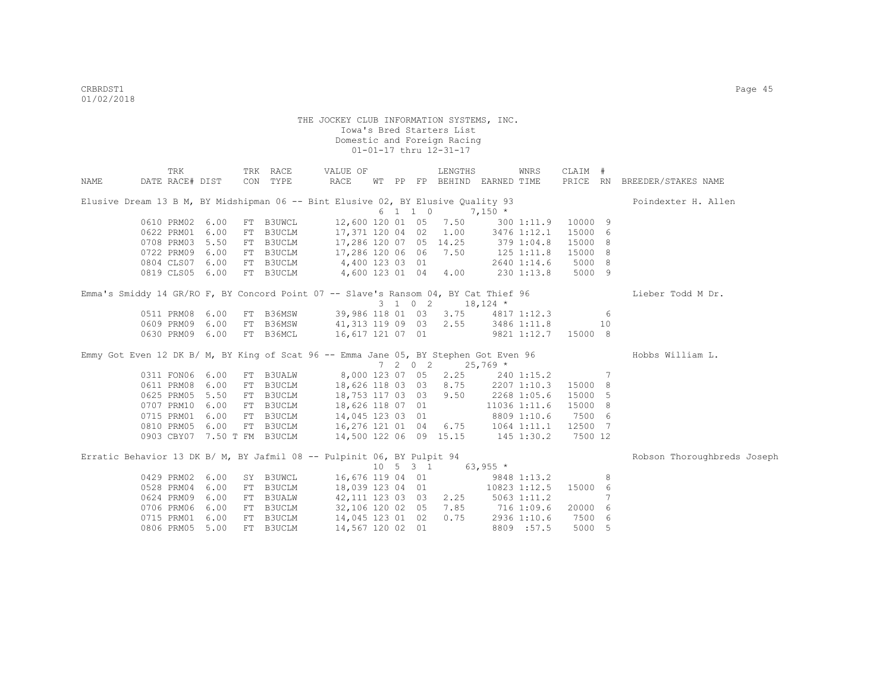|      | TRK                                                                                 |      |    | TRK RACE      | VALUE OF                                                                                                                     |  |         | LENGTHS                                                  |          | WNRS         | CLAIM #  |                 |                              |
|------|-------------------------------------------------------------------------------------|------|----|---------------|------------------------------------------------------------------------------------------------------------------------------|--|---------|----------------------------------------------------------|----------|--------------|----------|-----------------|------------------------------|
| NAME | DATE RACE# DIST                                                                     |      |    | CON TYPE      | RACE                                                                                                                         |  |         | WT PP FP BEHIND EARNED TIME                              |          |              |          |                 | PRICE RN BREEDER/STAKES NAME |
|      | Elusive Dream 13 B M, BY Midshipman 06 -- Bint Elusive 02, BY Elusive Quality 93    |      |    |               |                                                                                                                              |  |         |                                                          |          |              |          |                 | Poindexter H. Allen          |
|      |                                                                                     |      |    |               |                                                                                                                              |  | 6 1 1 0 |                                                          | $7,150*$ |              |          |                 |                              |
|      | 0610 PRM02                                                                          | 6.00 |    | FT B3UWCL     |                                                                                                                              |  |         | 12,600 120 01 05 7.50 300 1:11.9                         |          |              | 10000 9  |                 |                              |
|      | 0622 PRM01                                                                          | 6.00 | FT |               | B3UCLM 17,371 120 04 02 1.00 3476 1:12.1                                                                                     |  |         |                                                          |          |              | 15000 6  |                 |                              |
|      | 0708 PRM03                                                                          | 5.50 | FT | B3UCLM        | 17,286 120 07 05 14.25 379 1:04.8                                                                                            |  |         |                                                          |          |              | 15000 8  |                 |                              |
|      | 0722 PRM09                                                                          | 6.00 |    |               | FT B3UCLM 17,286 120 06 06 7.50 125 1:11.8                                                                                   |  |         |                                                          |          |              | 15000 8  |                 |                              |
|      | 0804 CLS07                                                                          |      |    |               | 6.00 FT B3UCLM 4,400 123 03 01                                                                                               |  |         |                                                          |          | 2640 1:14.6  | 5000 8   |                 |                              |
|      |                                                                                     |      |    |               | 0819 CLS05 6.00 FT B3UCLM 4,600 123 01 04 4.00 230 1:13.8                                                                    |  |         |                                                          |          |              | 5000 9   |                 |                              |
|      | Emma's Smiddy 14 GR/RO F, BY Concord Point 07 -- Slave's Ransom 04, BY Cat Thief 96 |      |    |               |                                                                                                                              |  |         |                                                          |          |              |          |                 | Lieber Todd M Dr.            |
|      |                                                                                     |      |    |               |                                                                                                                              |  |         | $3 \t1 \t0 \t2 \t18,124 \t*$                             |          |              |          |                 |                              |
|      | 0511 PRM08                                                                          | 6.00 |    |               | FT B36MSW 39,986 118 01 03 3.75 4817 1:12.3                                                                                  |  |         |                                                          |          |              |          | $6\overline{6}$ |                              |
|      | 0609 PRM09                                                                          | 6.00 |    | FT B36MSW     | 41,313 119 09 03 2.55 3486 1:11.8                                                                                            |  |         |                                                          |          |              |          | 10              |                              |
|      | 0630 PRM09                                                                          | 6.00 |    | FT B36MCL     | 16,617 121 07 01                                                                                                             |  |         |                                                          |          | 9821 1:12.7  | 15000 8  |                 |                              |
|      |                                                                                     |      |    |               |                                                                                                                              |  |         |                                                          |          |              |          |                 |                              |
|      |                                                                                     |      |    |               |                                                                                                                              |  |         | $7 \t2 \t0 \t2 \t25,769$ *                               |          |              |          |                 |                              |
|      | 0311 FON06 6.00                                                                     |      |    |               | FT B3UALW 8,000 123 07 05 2.25 240 1:15.2                                                                                    |  |         |                                                          |          |              | $\sim$ 7 |                 |                              |
|      | 0611 PRM08                                                                          | 6.00 | FT |               | B3UCLM 18,626 118 03 03 8.75 2207 1:10.3                                                                                     |  |         |                                                          |          |              | 15000 8  |                 |                              |
|      | 0625 PRM05                                                                          | 5.50 | FT |               | B3UCLM 18,753 117 03 03 9.50 2268 1:05.6                                                                                     |  |         |                                                          |          |              | 15000 5  |                 |                              |
|      | 0707 PRM10                                                                          | 6.00 | FT |               | B3UCLM 18,626 118 07 01                                                                                                      |  |         |                                                          |          | 11036 1:11.6 | 15000 8  |                 |                              |
|      | 0715 PRM01                                                                          | 6.00 |    |               | FT B3UCLM 14,045 123 03 01                                                                                                   |  |         |                                                          |          | 8809 1:10.6  | 7500 6   |                 |                              |
|      |                                                                                     |      |    |               | 0810 PRM05 6.00 FT B3UCLM 16,276 121 01 04 6.75 1064 1:11.1<br>0903 CBY07 7.50 T FM B3UCLM 14,500 122 06 09 15.15 145 1:30.2 |  |         |                                                          |          |              | 12500 7  |                 |                              |
|      |                                                                                     |      |    |               |                                                                                                                              |  |         |                                                          |          |              | 7500 12  |                 |                              |
|      | Erratic Behavior 13 DK B/ M, BY Jafmil 08 -- Pulpinit 06, BY Pulpit 94              |      |    |               |                                                                                                                              |  |         |                                                          |          |              |          |                 | Robson Thoroughbreds Joseph  |
|      |                                                                                     |      |    |               |                                                                                                                              |  |         | $10 \quad 5 \quad 3 \quad 1 \quad 63,955 \quad ^{\star}$ |          |              |          |                 |                              |
|      | 0429 PRM02                                                                          | 6.00 |    | SY B3UWCL     | 16,676 119 04 01                                                                                                             |  |         |                                                          |          | 9848 1:13.2  |          | 8               |                              |
|      | 0528 PRM04                                                                          | 6.00 | FT | <b>B3UCLM</b> | 18,039 123 04 01 10823 1:12.5                                                                                                |  |         |                                                          |          |              | 15000 6  |                 |                              |
|      | 0624 PRM09                                                                          | 6.00 | FT | <b>B3UALW</b> | 42,111 123 03 03 2.25 5063 1:11.2                                                                                            |  |         |                                                          |          |              |          | 7               |                              |
|      | 0706 PRM06                                                                          | 6.00 | FT | B3UCLM        | 32,106 120 02 05 7.85 716 1:09.6                                                                                             |  |         |                                                          |          |              | 20000 6  |                 |                              |
|      | 0715 PRM01                                                                          | 6.00 |    | FT B3UCLM     | 14,045 123 01 02 0.75                                                                                                        |  |         |                                                          |          | 2936 1:10.6  | 7500 6   |                 |                              |
|      | 0806 PRM05                                                                          | 5.00 |    | FT B3UCLM     | 14,567 120 02 01                                                                                                             |  |         |                                                          |          | 8809 :57.5   | 5000 5   |                 |                              |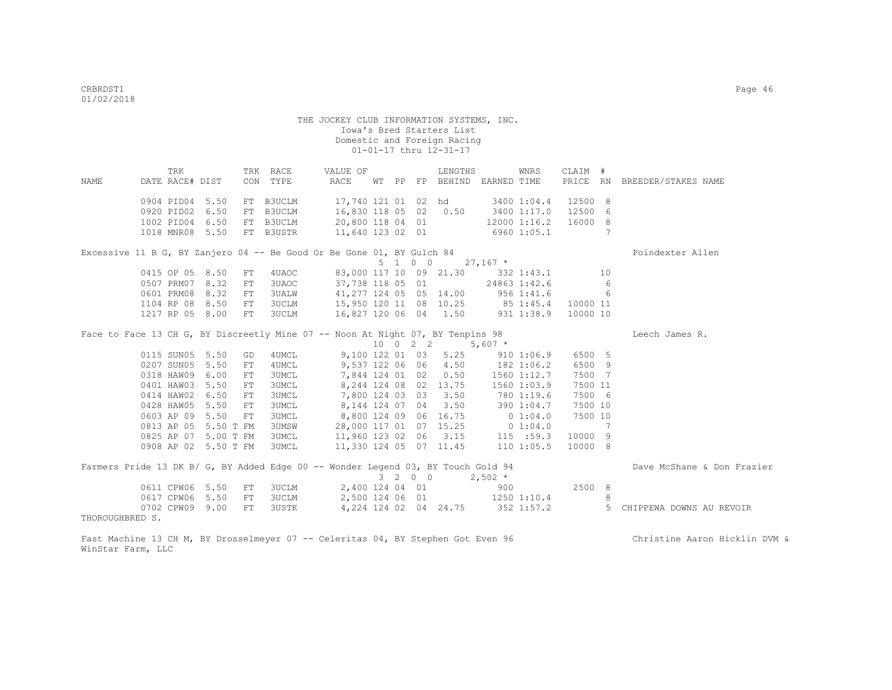|                 |                      | TRK |      |    | TRK RACE                   | VALUE OF                                                                                           |  |                             | LENGTHS              |                                           | WNRS       | CLAIM #                    |     |                              |
|-----------------|----------------------|-----|------|----|----------------------------|----------------------------------------------------------------------------------------------------|--|-----------------------------|----------------------|-------------------------------------------|------------|----------------------------|-----|------------------------------|
| NAME            | DATE RACE# DIST      |     |      |    | CON TYPE                   | RACE                                                                                               |  |                             |                      | WT PP FP BEHIND EARNED TIME               |            |                            |     | PRICE RN BREEDER/STAKES NAME |
|                 |                      |     |      |    |                            |                                                                                                    |  |                             |                      |                                           |            |                            |     |                              |
|                 | 0904 PID04 5.50      |     |      |    | FT B3UCLM                  |                                                                                                    |  |                             |                      | 17,740 121 01 02 hd 3400 1:04.4           |            | 12500 8                    |     |                              |
|                 | 0920 PID02 6.50      |     |      |    | FT B3UCLM                  |                                                                                                    |  |                             |                      | 16,830 118 05 02 0.50 3400 1:17.0 12500 6 |            |                            |     |                              |
|                 | 1002 PID04 6.50      |     |      |    |                            |                                                                                                    |  |                             |                      | 20,800 118 04 01 12000 1:16.2 16000 8     |            |                            |     |                              |
|                 | 1018 MNR08 5.50      |     |      |    |                            | FT B3UCLM 20,800 118 04 01 12000 1:16.2<br>FT B3USTR 11,640 123 02 01 6960 1:05.1                  |  |                             |                      |                                           |            |                            | 7   |                              |
|                 |                      |     |      |    |                            | Excessive 11 B G, BY Zanjero 04 -- Be Good Or Be Gone 01, BY Gulch 84                              |  |                             |                      |                                           |            |                            |     | Poindexter Allen             |
|                 |                      |     |      |    |                            |                                                                                                    |  |                             |                      | $5 \t1 \t0 \t0 \t27,167 \t*$              |            |                            |     |                              |
|                 | 0415 OP 05 8.50      |     |      | FT | 4 UAOC                     |                                                                                                    |  |                             |                      | 83,000 117 10 09 21.30 332 1:43.1         |            |                            | 10  |                              |
|                 | 0507 PRM07           |     | 8.32 | FT | 3UAOC <b>Service State</b> |                                                                                                    |  |                             |                      | 37,738 118 05 01 24863 1:42.6             |            |                            | - 6 |                              |
|                 | 0601 PRM08           |     | 8.32 | FT | 3UALW                      |                                                                                                    |  |                             |                      | 41,277 124 05 05 14.00 956 1:41.6         |            |                            | 6   |                              |
|                 | 1104 RP 08 8.50      |     |      | FT |                            |                                                                                                    |  |                             |                      |                                           |            |                            |     |                              |
|                 | 1217 RP 05 8.00      |     |      | FT |                            | 3UCLM 15,950 120 11 08 10.25 85 1:45.4 10000 11<br>3UCLM 16,827 120 06 04 1.50 931 1:38.9 10000 10 |  |                             |                      |                                           |            |                            |     |                              |
|                 |                      |     |      |    |                            | Face to Face 13 CH G, BY Discreetly Mine 07 -- Noon At Night 07, BY Tenpins 98                     |  |                             |                      |                                           |            |                            |     | Leech James R.               |
|                 |                      |     |      |    |                            |                                                                                                    |  |                             |                      | $10 \t 0 \t 2 \t 2 \t 5,607$ *            |            |                            |     |                              |
|                 | 0115 SUN05 5.50      |     |      | GD | 4UMCL                      |                                                                                                    |  |                             |                      | 9,100 122 01 03 5.25 910 1:06.9           |            | 6500 5                     |     |                              |
|                 | 0207 SUN05 5.50      |     |      | FT | 4 UMCL                     |                                                                                                    |  |                             |                      | 9,537 122 06 06 4.50 182 1:06.2           |            | 6500 9                     |     |                              |
|                 | 0318 HAW09           |     | 6.00 | FT | 3UMCL                      |                                                                                                    |  |                             |                      | 7,844 124 01 02 0.50 1560 1:12.7          |            | 7500 7                     |     |                              |
|                 | 0401 HAW03           |     | 5.50 | FT | 3UMCL                      |                                                                                                    |  |                             |                      | 8, 244 124 08 02 13.75 1560 1:03.9        |            | 7500 11                    |     |                              |
|                 | 0414 HAW02 6.50      |     |      | FT | 3UMCL                      |                                                                                                    |  |                             | 7,800 124 03 03 3.50 |                                           | 780 1:19.6 | 7500 6                     |     |                              |
|                 | 0428 HAW05 5.50      |     |      | FT | 3UMCL                      |                                                                                                    |  |                             |                      | 8, 144 124 07 04 3.50 390 1:04.7          |            | 7500 10                    |     |                              |
|                 | 0603 AP 09 5.50      |     |      | FT | <b>3UMCL</b>               | 8,800 124 09 06 16.75 0 1:04.0                                                                     |  |                             |                      |                                           |            | 7500 10                    |     |                              |
|                 | 0813 AP 05 5.50 T FM |     |      |    | 3UMSW                      |                                                                                                    |  |                             |                      | 28,000 117 01 07 15.25 0 1:04.0           |            | $\overline{7}$             |     |                              |
|                 | 0825 AP 07 5.00 T FM |     |      |    | 3UMCL                      |                                                                                                    |  |                             |                      | 11,960 123 02 06 3.15 115 :59.3           |            | 10000 9                    |     |                              |
|                 | 0908 AP 02 5.50 T FM |     |      |    | 3UMCL                      | 11,330 124 05 07 11.45 110 1:05.5                                                                  |  |                             |                      |                                           |            | 10000 8                    |     |                              |
|                 |                      |     |      |    |                            | Farmers Pride 13 DK B/ G, BY Added Edge 00 -- Wonder Legend 03, BY Touch Gold 94                   |  |                             |                      |                                           |            |                            |     | Dave McShane & Don Frazier   |
|                 |                      |     |      |    |                            |                                                                                                    |  | $3 \quad 2 \quad 0 \quad 0$ |                      | $2,502$ *                                 |            |                            |     |                              |
|                 | 0611 CPW06 5.50      |     |      | FT | 3UCLM                      | 2,400 124 04 01                                                                                    |  |                             |                      | 900                                       |            | 2500 8                     |     |                              |
|                 | 0617 CPW06 5.50      |     |      | FT | 3UCLM                      |                                                                                                    |  |                             |                      | 2,500 124 06 01 1250 1:10.4               |            | $\overline{\phantom{a}}$ 8 |     |                              |
|                 | 0702 CPW09 9.00      |     |      | FT | 3USTK                      |                                                                                                    |  |                             |                      | 4, 224 124 02 04 24.75 352 1:57.2         |            |                            |     | 5 CHIPPEWA DOWNS AU REVOIR   |
| THOROUGHBRED S. |                      |     |      |    |                            |                                                                                                    |  |                             |                      |                                           |            |                            |     |                              |

Fast Machine 13 CH M, BY Drosselmeyer 07 -- Celeritas 04, BY Stephen Got Even 96 Christine Aaron Hicklin DVM & WinStar Farm, LLC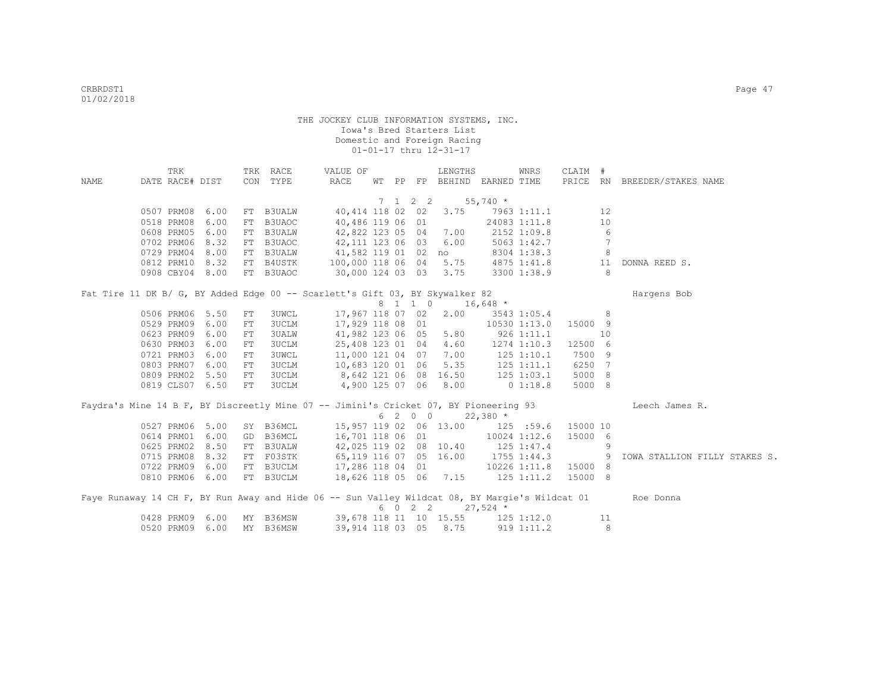| NAME | TRK<br>DATE RACE# DIST        |                 |          | TRK RACE<br>CON TYPE  | VALUE OF<br>RACE                                                                     |  | LENGTHS<br>WT PP FP BEHIND EARNED TIME                  |                | WNRS                        | CLAIM #                      |    | PRICE RN BREEDER/STAKES NAME                                                                             |
|------|-------------------------------|-----------------|----------|-----------------------|--------------------------------------------------------------------------------------|--|---------------------------------------------------------|----------------|-----------------------------|------------------------------|----|----------------------------------------------------------------------------------------------------------|
|      |                               |                 |          |                       |                                                                                      |  |                                                         |                |                             |                              |    |                                                                                                          |
|      |                               |                 |          |                       |                                                                                      |  | $7 \quad 1 \quad 2 \quad 2 \quad 55,740 \quad ^{\star}$ |                |                             |                              |    |                                                                                                          |
|      | 0507 PRM08 6.00               |                 |          | FT B3UALW             |                                                                                      |  | 40,414 118 02 02 3.75                                   |                | 7963 1:11.1                 |                              | 12 |                                                                                                          |
|      | 0518 PRM08                    | 6.00            | FT       | B3UAOC                | 40,486 119 06 01                                                                     |  |                                                         |                | 24083 1:11.8                |                              | 10 |                                                                                                          |
|      | 0608 PRM05                    | 6.00            | FT       | <b>B3UALW</b>         | 42,822 123 05 04 7.00                                                                |  |                                                         |                | 2152 1:09.8                 |                              | 6  |                                                                                                          |
|      | 0702 PRM06                    | 8.32            | FT       | B3UAOC                | 42,111 123 06 03 6.00                                                                |  |                                                         |                | 5063 1:42.7                 |                              | 7  |                                                                                                          |
|      | 0729 PRM04                    | 8.00            | FT       | <b>B3UALW</b>         | 41,582 119 01 02 no                                                                  |  |                                                         |                | 8304 1:38.3                 |                              | 8  |                                                                                                          |
|      | 0812 PRM10                    | 8.32            | FT       | B4USTK                | 100,000 118 06 04 5.75                                                               |  |                                                         |                | 4875 1:41.8                 |                              | 11 | DONNA REED S.                                                                                            |
|      | 0908 CBY04 8.00               |                 |          | FT B3UAOC             | 30,000 124 03 03 3.75                                                                |  |                                                         |                | 3300 1:38.9                 |                              | 8  |                                                                                                          |
|      |                               |                 |          |                       |                                                                                      |  |                                                         |                |                             |                              |    |                                                                                                          |
|      |                               |                 |          |                       | Fat Tire 11 DK B/ G, BY Added Edge 00 -- Scarlett's Gift 03, BY Skywalker 82         |  |                                                         |                |                             |                              |    | Hargens Bob                                                                                              |
|      |                               |                 |          |                       |                                                                                      |  | 8 1 1 0 16,648 *                                        |                |                             |                              |    |                                                                                                          |
|      | 0506 PRM06 5.50<br>0529 PRM09 | 6.00            | FT<br>FT | <b>3UWCL</b><br>3UCLM | 17,967 118 07 02                                                                     |  | 2.00<br>17,929 118 08 01                                |                | 3543 1:05.4<br>10530 1:13.0 | 15000 9                      | 8  |                                                                                                          |
|      | 0623 PRM09                    | 6.00            | FT       | 3UALW                 | 41,982 123 06 05 5.80                                                                |  |                                                         |                |                             |                              | 10 |                                                                                                          |
|      | 0630 PRM03                    | 6.00            | FT       | 3UCLM                 | 25,408 123 01 04 4.60                                                                |  |                                                         | $926$ 1:11.1   | 1274 1:10.3                 | 12500 6                      |    |                                                                                                          |
|      | 0721 PRM03                    | 6.00            | FT       | <b>3UWCL</b>          | 11,000 121 04 07 7.00                                                                |  |                                                         |                | $125$ $1:10.1$              | 7500 9                       |    |                                                                                                          |
|      | 0803 PRM07                    | 6.00            | FT       | 3UCLM                 | 10,683 120 01 06 5.35                                                                |  |                                                         |                | 125 1:11.1                  | 6250                         | 7  |                                                                                                          |
|      |                               | 0809 PRM02 5.50 | FT       | 3UCLM                 | 8,642 121 06 08 16.50                                                                |  |                                                         |                | 125 1:03.1                  | 5000 8                       |    |                                                                                                          |
|      |                               | 0819 CLS07 6.50 | FT       | 3UCLM                 | $4,900$ 125 07 06 8.00                                                               |  |                                                         |                | 0 1:18.8                    | 5000 8                       |    |                                                                                                          |
|      |                               |                 |          |                       |                                                                                      |  |                                                         |                |                             |                              |    |                                                                                                          |
|      |                               |                 |          |                       | Faydra's Mine 14 B F, BY Discreetly Mine 07 -- Jimini's Cricket 07, BY Pioneering 93 |  |                                                         |                |                             |                              |    | Leech James R.                                                                                           |
|      |                               |                 |          |                       |                                                                                      |  | $620022,380*$                                           |                |                             |                              |    |                                                                                                          |
|      |                               | 0527 PRM06 5.00 |          | SY B36MCL             |                                                                                      |  | 15,957 119 02 06 13.00 125 :59.6                        |                |                             | 15000 10                     |    |                                                                                                          |
|      | 0614 PRM01                    | 6.00            | GD       | B36MCL                | 16,701 118 06 01                                                                     |  |                                                         |                | 10024 1:12.6                | 15000 6                      |    |                                                                                                          |
|      | 0625 PRM02                    | 8.50            | FT       | B3UALW                | 42,025 119 02 08 10.40                                                               |  |                                                         | $125$ $1:47.4$ |                             |                              | 9  |                                                                                                          |
|      | 0715 PRM08                    | 8.32            | FT       | F03STK                | 65,119 116 07 05 16.00                                                               |  |                                                         |                | $1755$ $1:44.3$             | $\sim$ 0.9 $\sim$ 0.9 $\sim$ |    | IOWA STALLION FILLY STAKES S.                                                                            |
|      | 0722 PRM09                    | 6.00            |          | FT B3UCLM             | 17,286 118 04 01                                                                     |  |                                                         |                | 10226 1:11.8                | 15000 8                      |    |                                                                                                          |
|      | 0810 PRM06 6.00               |                 |          | FT B3UCLM             | 18,626 118 05 06 7.15 125 1:11.2                                                     |  |                                                         |                |                             | 15000 8                      |    |                                                                                                          |
|      |                               |                 |          |                       |                                                                                      |  |                                                         |                |                             |                              |    |                                                                                                          |
|      |                               |                 |          |                       |                                                                                      |  | 6 0 2 2                                                 | $27,524$ *     |                             |                              |    | Faye Runaway 14 CH F, BY Run Away and Hide 06 -- Sun Valley Wildcat 08, BY Margie's Wildcat 01 Roe Donna |
|      |                               | 0428 PRM09 6.00 |          |                       | MY B36MSW 39,678 118 11 10 15.55 125 1:12.0                                          |  |                                                         |                |                             |                              | 11 |                                                                                                          |
|      |                               | 0520 PRM09 6.00 |          | MY B36MSW             | 39,914 118 03 05 8.75 919 1:11.2                                                     |  |                                                         |                |                             |                              | 8  |                                                                                                          |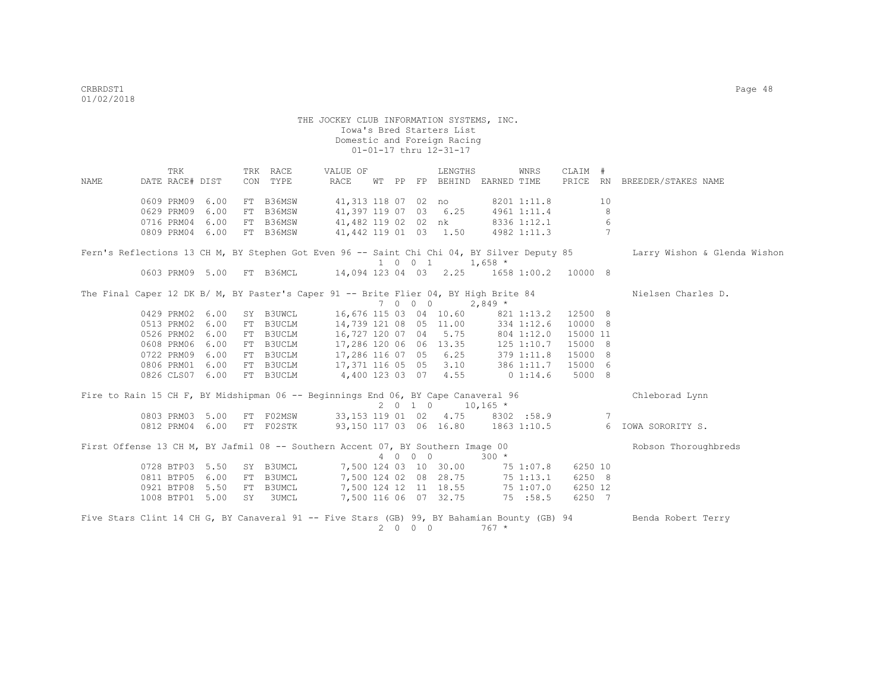TRK TRK RACE VALUE OF LENGTHS WNRS CLAIM # NAME DATE RACE# DIST CON TYPE RACE WT PP FP BEHIND EARNED TIME PRICE RN BREEDER/STAKES NAME 0609 PRM09 6.00 FT B36MSW 41,313 118 07 02 no 8201 1:11.8 10<br>0629 PRM09 6.00 FT B36MSW 41,397 119 07 03 6.25 4961 1:11.4 8 0629 PRM09 6.00 FT B36MSW 41,397 119 07 03 6.25 4961 1:11.4 8<br>0716 PRM04 6.00 FT B36MSW 41.482 119 02 02 nk 8336 1:12.1 6 0716 PRM04 6.00 FT B36MSW 41,482 119 02 02 nk 8336 1:12.1 6<br>0809 PRM04 6.00 FT B36MSW 41,442 119 01 03 1.50 4982 1:11.3 7 41,442 119 01 03 1.50 Fern's Reflections 13 CH M, BY Stephen Got Even 96 -- Saint Chi O4, BY Silver Deputy 85 Larry Wishon & Glenda Wishon 1 0 0 1 1,658 \*<br>1651 1603 PRM09 5.00 FT B36MCI, 14.094 123 04 03 2.25 1658  $14,094$  123 04 03 2.25 1658 1:00.2 10000 8 The Final Caper 12 DK B/ M, BY Paster's Caper 91 -- Brite Flier 04, BY High Brite 84 Nielsen Charles D. 7 0 0 0 2,849 \* 0429 PRM02 6.00 SY B3UWCL 16,676 115 03 04 10.60 821 1:13.2 12500 8 0513 PRM02 6.00 FT B3UCLM 14,739 121 08 05 11.00 334 1:12.6 10000 8 0526 PRM02 6.00 FT B3UCLM 16,727 120 07 04 5.75 804 1:12.0 15000 11 0608 PRM06 6.00 FT B3UCLM 17,286 120 06 06 13.35 125 1:10.7 15000 8 0722 PRM09 6.00 FT B3UCLM 17,286 116 07 05 6.25 379 1:11.8 15000 8 0806 PRM01 6.00 FT B3UCLM 17,371 116 05 05 3.10 386 1:11.7 15000 6 0826 CLS07 6.00 FT B3UCLM 4,400 123 03 07 4.55 0 1:14.6 5000 8 Fire to Rain 15 CH F, BY Midshipman 06 -- Beginnings End 06, BY Cape Canaveral 96 Chleborad Lynn  $2$  0 1 0  $10,165$  \*<br>33,153 119 01 02 4.75 8302 :58.9 0803 PRM03 5.00 FT F02MSW 33,153 119 01 02 4.75 8302 :58.9 7 0812 PRM04 6.00 FT F02STK 93,150 117 03 06 16.80 1863 1:10.5 6 IOWA SORORITY S. First Offense 13 CH M, BY Jafmil 08 -- Southern Accent 07, BY Southern Image 00 Robson Thoroughbreds 4 0 0 0 300 \* 0728 BTP03 5.50 SY B3UMCL 7,500 124 03 10 30.00 75 1:07.8 6250 10<br>0811 BTP05 6.00 FT B3UMCL 7,500 124 02 08 28.75 75 1:13.1 6250 8 0811 BTP05 6.00 FT B3UMCL 7,500 124 02 08 28.75 75 1:13.1 6250 8 0921 BTP08 5.50 FT B3UMCL 7,500 124 12 11 18.55 75 1:07.0 6250 12 1008 BTP01 5.00 SY 3UMCL 7,500 116 06 07 32.75 75 :58.5 6250 7 Five Stars Clint 14 CH G, BY Canaveral 91 -- Five Stars (GB) 99, BY Bahamian Bounty (GB) 94 Benda Robert Terry 2 0 0 0 767 \*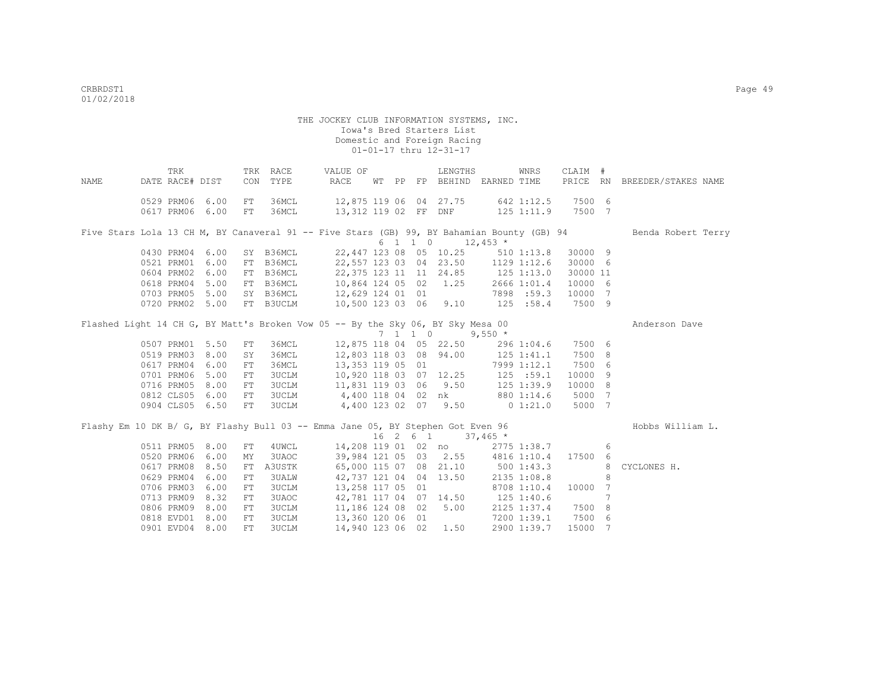| NAME | TRK<br>DATE RACE# DIST |      | CON        | TRK RACE<br>TYPE | VALUE OF<br>RACE                                                                           |  |          | LENGTHS                                        | WT PP FP BEHIND EARNED TIME       | WNRS           | CLAIM #           |                 | PRICE RN BREEDER/STAKES NAME |
|------|------------------------|------|------------|------------------|--------------------------------------------------------------------------------------------|--|----------|------------------------------------------------|-----------------------------------|----------------|-------------------|-----------------|------------------------------|
|      |                        |      |            |                  |                                                                                            |  |          |                                                |                                   |                |                   |                 |                              |
|      | 0529 PRM06 6.00        |      | FT         | 36MCL            | 12,875 119 06 04 27.75                                                                     |  |          |                                                |                                   | 642 1:12.5     | 7500 6            |                 |                              |
|      | 0617 PRM06 6.00        |      | FT         | 36MCL            | 13,312 119 02 FF DNF                                                                       |  |          |                                                |                                   |                | 125 1:11.9 7500 7 |                 |                              |
|      |                        |      |            |                  |                                                                                            |  |          |                                                |                                   |                |                   |                 |                              |
|      |                        |      |            |                  | Five Stars Lola 13 CH M, BY Canaveral 91 -- Five Stars (GB) 99, BY Bahamian Bounty (GB) 94 |  |          |                                                |                                   |                |                   |                 | Benda Robert Terry           |
|      |                        |      |            |                  |                                                                                            |  |          | $6 \quad 1 \quad 1 \quad 0 \quad 12,453 \star$ |                                   |                |                   |                 |                              |
|      | 0430 PRM04 6.00        |      |            | SY B36MCL        |                                                                                            |  |          | 22,447 123 08 05 10.25                         |                                   | $510$ $1:13.8$ | 30000 9           |                 |                              |
|      | 0521 PRM01             | 6.00 |            | FT B36MCL        | 22,557 123 03 04 23.50                                                                     |  |          |                                                |                                   | 1129 1:12.6    | 30000 6           |                 |                              |
|      | 0604 PRM02             | 6.00 |            | FT B36MCL        | 22, 375 123 11 11 24.85                                                                    |  |          |                                                | $125$ $1:13.0$                    |                | 30000 11          |                 |                              |
|      | 0618 PRM04             | 5.00 |            | FT B36MCL        | 10,864 124 05 02                                                                           |  |          | 1.25                                           |                                   | 2666 1:01.4    | 10000 6           |                 |                              |
|      | 0703 PRM05             | 5.00 |            |                  | SY B36MCL 12,629 124 01 01                                                                 |  |          |                                                |                                   | 7898 :59.3     | 10000 7           |                 |                              |
|      | 0720 PRM02             | 5.00 |            | FT B3UCLM        | 10,500 123 03 06 9.10                                                                      |  |          |                                                |                                   | 125 : 58.4     | 7500 9            |                 |                              |
|      |                        |      |            |                  | Flashed Light 14 CH G, BY Matt's Broken Vow 05 -- By the Sky 06, BY Sky Mesa 00            |  |          |                                                |                                   |                |                   |                 | Anderson Dave                |
|      |                        |      |            |                  |                                                                                            |  | 7 1 1 0  |                                                | $9,550$ *                         |                |                   |                 |                              |
|      | 0507 PRM01             | 5.50 | FT         | 36MCL            |                                                                                            |  |          | 12,875 118 04 05 22.50                         |                                   | 296 1:04.6     | 7500 6            |                 |                              |
|      | 0519 PRM03             | 8.00 | SY         | 36MCL            |                                                                                            |  |          | 12,803 118 03 08 94.00                         |                                   | 125 1:41.1     | 7500 8            |                 |                              |
|      | 0617 PRM04             | 6.00 | ${\rm FT}$ | 36MCL            | 13,353 119 05 01                                                                           |  |          |                                                |                                   | 7999 1:12.1    | 7500 6            |                 |                              |
|      | 0701 PRM06             | 5.00 | FT         | 3UCLM            |                                                                                            |  |          | 10,920 118 03 07 12.25                         |                                   | 125 : 59.1     | 10000 9           |                 |                              |
|      | 0716 PRM05             | 8.00 | FT         | 3UCLM            | $11,831$ 119 03 06 9.50                                                                    |  |          |                                                |                                   | $125$ $1:39.9$ | 10000 8           |                 |                              |
|      | 0812 CLS05 6.00        |      | FT         |                  | 3UCLM 4,400 118 04 02 nk                                                                   |  |          |                                                |                                   | 880 1:14.6     | 5000 7            |                 |                              |
|      | 0904 CLS05 6.50        |      | FT         | 3UCLM            | 4,400 123 02 07 9.50                                                                       |  |          |                                                | $0\;1:21.0$                       |                | 5000 7            |                 |                              |
|      |                        |      |            |                  |                                                                                            |  |          |                                                |                                   |                |                   |                 |                              |
|      |                        |      |            |                  | Flashy Em 10 DK B/ G, BY Flashy Bull 03 -- Emma Jane 05, BY Stephen Got Even 96            |  |          |                                                |                                   |                |                   |                 | Hobbs William L.             |
|      |                        |      |            |                  |                                                                                            |  | 16 2 6 1 |                                                | $37,465$ *                        |                |                   |                 |                              |
|      | 0511 PRM05             | 8.00 | FT         | 4UWCL            |                                                                                            |  |          | 14,208 119 01 02 no                            |                                   | 2775 1:38.7    |                   | 6               |                              |
|      | 0520 PRM06             | 6.00 | MY         | 3UAOC            |                                                                                            |  |          |                                                | 39,984 121 05 03 2.55 4816 1:10.4 |                | 17500 6           |                 |                              |
|      | 0617 PRM08             | 8.50 | FT         | A3USTK           |                                                                                            |  |          | 65,000 115 07 08 21.10                         |                                   | 5001:43.3      |                   | 8               | CYCLONES H.                  |
|      | 0629 PRM04             | 6.00 | ${\rm FT}$ | 3UALW            |                                                                                            |  |          | 42,737 121 04 04 13.50                         |                                   | 2135 1:08.8    |                   | 8               |                              |
|      | 0706 PRM03             | 6.00 | ${\rm FT}$ | 3UCLM            | 13,258 117 05 01                                                                           |  |          |                                                |                                   | 8708 1:10.4    | 10000             | $\overline{7}$  |                              |
|      | 0713 PRM09             | 8.32 | ${\rm FT}$ | 3UAOC            |                                                                                            |  |          | 42,781 117 04 07 14.50                         | 125 1:40.6                        |                |                   | $7\phantom{.0}$ |                              |
|      | 0806 PRM09             | 8.00 | FT         | 3UCLM            | 11,186 124 08 02                                                                           |  |          | 5.00                                           |                                   | 2125 1:37.4    | 7500 8            |                 |                              |
|      | 0818 EVD01             | 8.00 | ${\rm FT}$ | 3UCLM            | 13,360 120 06 01                                                                           |  |          |                                                |                                   | 7200 1:39.1    | 7500 6            |                 |                              |
|      | 0901 EVD04             | 8.00 | ${\rm FT}$ | <b>3UCLM</b>     | 14,940 123 06 02                                                                           |  |          | 1.50                                           |                                   | 2900 1:39.7    | 15000 7           |                 |                              |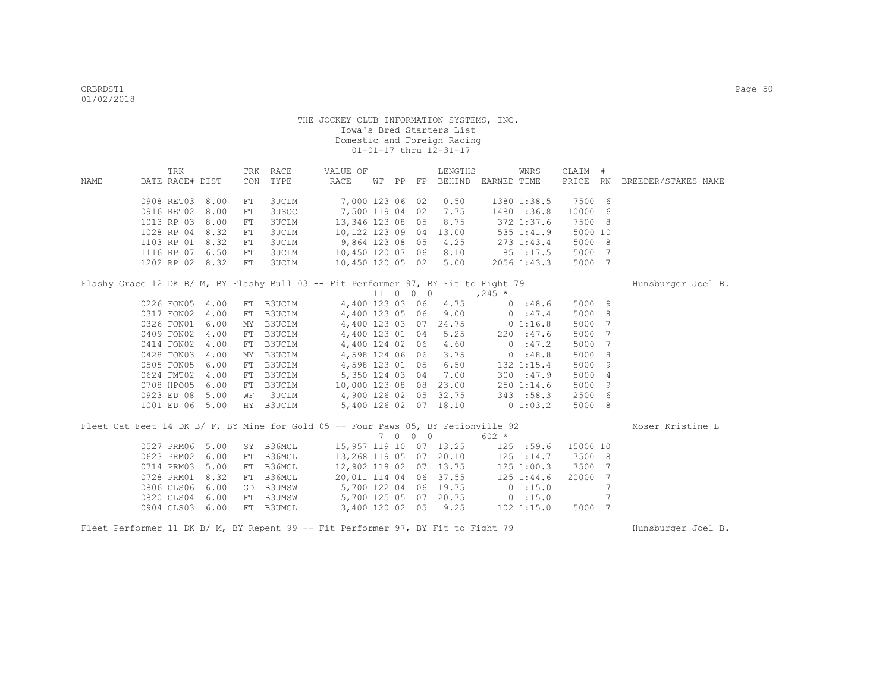|                                                                                    | TRK                           |              |            | TRK RACE                   | VALUE OF                                  |  |          | LENGTHS                |                             | WNRS                         | CLAIM #        |                |                              |
|------------------------------------------------------------------------------------|-------------------------------|--------------|------------|----------------------------|-------------------------------------------|--|----------|------------------------|-----------------------------|------------------------------|----------------|----------------|------------------------------|
| NAME                                                                               | DATE RACE# DIST               |              | CON        | TYPE                       | RACE                                      |  |          |                        | WT PP FP BEHIND EARNED TIME |                              |                |                | PRICE RN BREEDER/STAKES NAME |
|                                                                                    | 0908 RET03 8.00               |              | ${\rm FT}$ | 3UCLM                      | 7,000 123 06 02                           |  |          | 0.50                   |                             | 1380 1:38.5                  | 7500 6         |                |                              |
|                                                                                    | 0916 RET02                    | 8.00         | FT         | 3USOC                      | 7,500 119 04 02                           |  |          | 7.75                   |                             | 1480 1:36.8                  | 10000          | - 6            |                              |
|                                                                                    | 1013 RP 03                    | 8.00         | ${\rm FT}$ | <b>3UCLM</b>               | 13, 346 123 08 05                         |  |          | 8.75                   |                             | 372 1:37.6                   | 7500 8         |                |                              |
|                                                                                    | 1028 RP 04                    | 8.32         | FT         | <b>3UCLM</b>               | 10,122 123 09 04                          |  |          | 13.00                  |                             | 535 1:41.9                   | 5000 10        |                |                              |
|                                                                                    | 1103 RP 01                    | 8.32         | FT         | <b>3UCLM</b>               | 9,864 123 08 05                           |  |          | 4.25                   |                             | 273 1:43.4                   | 5000 8         |                |                              |
|                                                                                    | 1116 RP 07 6.50               |              | ${\rm FT}$ | <b>3UCLM</b>               | 10,450 120 07 06                          |  |          | 8.10                   | 85 1:17.5                   |                              | 5000 7         |                |                              |
|                                                                                    | 1202 RP 02 8.32               |              | FT         | 3UCLM                      | 10,450 120 05 02                          |  |          | 5.00                   |                             | 2056 1:43.3                  | 5000 7         |                |                              |
|                                                                                    |                               |              |            |                            |                                           |  |          |                        |                             |                              |                |                |                              |
| Flashy Grace 12 DK B/ M, BY Flashy Bull 03 -- Fit Performer 97, BY Fit to Fight 79 |                               |              |            |                            |                                           |  |          |                        |                             |                              |                |                | Hunsburger Joel B.           |
|                                                                                    |                               |              |            |                            | 4,400 123 03 06                           |  | 11 0 0 0 | 4.75                   | $1,245$ *                   |                              | 5000 9         |                |                              |
|                                                                                    | 0226 FON05 4.00<br>0317 FON02 | 4.00         |            | FT B3UCLM<br><b>B3UCLM</b> | 4,400 123 05 06                           |  |          | 9.00                   | 0:47.4                      | 0:48.6                       | 5000 8         |                |                              |
|                                                                                    | 0326 FON01                    | 6.00         | FT         |                            |                                           |  |          | 4,400 123 03 07 24.75  | 0 1:16.8                    |                              | 5000 7         |                |                              |
|                                                                                    | 0409 FON02 4.00               |              | МY         | B3UCLM<br>B3UCLM           | 4,400 123 01 04                           |  |          | 5.25                   |                             | 220 : 47.6                   |                | $\overline{7}$ |                              |
|                                                                                    |                               |              | FT         |                            |                                           |  |          |                        |                             | 0:47.2                       | 5000           | $\overline{7}$ |                              |
|                                                                                    | 0414 FON02<br>0428 FON03      | 4.00<br>4.00 | FT         | B3UCLM<br>B3UCLM           | 4,400 124 02 06<br>4,598 124 06 06        |  |          | 4.60<br>3.75           | 0.18.8                      |                              | 5000<br>5000   | 8              |                              |
|                                                                                    | 0505 FON05                    | 6.00         | MΥ<br>FT   |                            |                                           |  |          | 6.50                   |                             |                              | 5000           | - 9            |                              |
|                                                                                    | 0624 FMT02                    | 4.00         |            | <b>B3UCLM</b>              | 4,598 123 01 05<br>B3UCLM 5,350 124 03 04 |  |          | 7.00                   |                             | 132 1:15.4                   | 5000           | $\overline{4}$ |                              |
|                                                                                    |                               |              | ${\rm FT}$ | <b>B3UCLM</b>              |                                           |  |          |                        |                             | 300 : 47.9                   |                | - 9            |                              |
|                                                                                    | 0708 HPO05<br>0923 ED 08      | 6.00<br>5.00 | FT         | <b>3UCLM</b>               | 10,000 123 08 08                          |  |          | 23.00<br>32.75         |                             | $250$ $1:14.6$<br>343 : 58.3 | 5000<br>2500 6 |                |                              |
|                                                                                    | 1001 ED 06 5.00               |              | WF         | HY B3UCLM                  | 4,900 126 02 05                           |  |          | 5,400 126 02 07 18.10  | $0\;1:03.2$                 |                              | 5000 8         |                |                              |
|                                                                                    |                               |              |            |                            |                                           |  |          |                        |                             |                              |                |                |                              |
| Fleet Cat Feet 14 DK B/ F, BY Mine for Gold 05 -- Four Paws 05, BY Petionville 92  |                               |              |            |                            |                                           |  |          |                        |                             |                              |                |                | Moser Kristine L             |
|                                                                                    |                               |              |            |                            |                                           |  | 7 0 0 0  |                        | $602 *$                     |                              |                |                |                              |
|                                                                                    | 0527 PRM06                    | 5.00         |            |                            | SY B36MCL 15,957 119 10 07 13.25          |  |          |                        | $125$ :59.6                 |                              | 15000 10       |                |                              |
|                                                                                    | 0623 PRM02                    | 6.00         | FT         | B36MCL                     |                                           |  |          | 13,268 119 05 07 20.10 | 125 1:14.7                  |                              | 7500 8         |                |                              |
|                                                                                    | 0714 PRM03                    | 5.00         | ${\rm FT}$ | B36MCL                     | 12,902 118 02 07 13.75                    |  |          |                        | 125 1:00.3                  |                              | 7500 7         |                |                              |
|                                                                                    | 0728 PRM01                    | 8.32         | FT         | B36MCL                     | 20,011 114 04 06                          |  |          | 37.55                  | 125 1:44.6                  |                              | 20000          | $\overline{7}$ |                              |
|                                                                                    | 0806 CLS06                    | 6.00         | GD         |                            | B3UMSW 5,700 122 04 06                    |  |          | 19.75                  | 0 1:15.0                    |                              |                | 7              |                              |
|                                                                                    | 0820 CLS04                    | 6.00         | FT         |                            | B3UMSW 5,700 125 05 07                    |  |          | 20.75                  | $0$ 1:15.0                  |                              |                |                |                              |
|                                                                                    | 0904 CLS03                    | 6.00         | FT         | B3UMCL                     | 3,400 120 02 05                           |  |          | 9.25                   |                             | $102$ $1:15.0$               | 5000 7         |                |                              |

Fleet Performer 11 DK B/ M, BY Repent 99 -- Fit Performer 97, BY Fit to Fight 79 Hunsburger Joel B.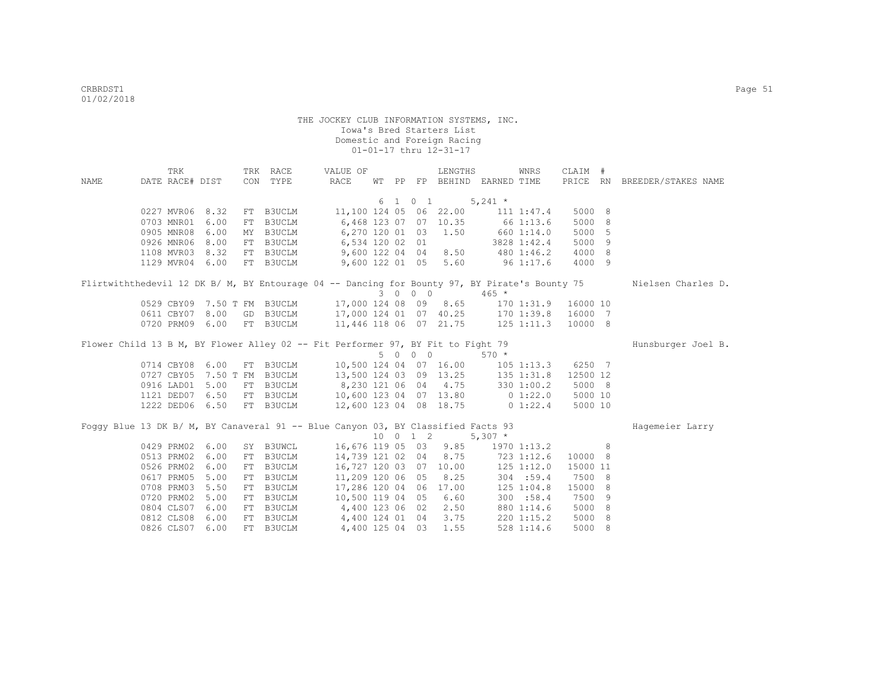|      | TRK             |                 | TRK RACE                                                                                                                               | VALUE OF         |  |         | LENGTHS              |                                   | WNRS         | CLAIM #  |   |                              |
|------|-----------------|-----------------|----------------------------------------------------------------------------------------------------------------------------------------|------------------|--|---------|----------------------|-----------------------------------|--------------|----------|---|------------------------------|
| NAME | DATE RACE# DIST |                 | CON TYPE                                                                                                                               | RACE             |  |         |                      | WT PP FP BEHIND EARNED TIME       |              |          |   | PRICE RN BREEDER/STAKES NAME |
|      |                 |                 |                                                                                                                                        |                  |  |         |                      |                                   |              |          |   |                              |
|      |                 |                 |                                                                                                                                        |                  |  |         |                      | $6 \t1 \t0 \t1 \t5,241 \t*$       |              |          |   |                              |
|      |                 | 0227 MVR06 8.32 | FT B3UCLM 11,100 124 05 06 22.00 111 1:47.4                                                                                            |                  |  |         |                      |                                   |              | 5000 8   |   |                              |
|      |                 | 0703 MNR01 6.00 | FT B3UCLM 6,468 123 07 07 10.35 66 1:13.6                                                                                              |                  |  |         |                      |                                   |              | 5000 8   |   |                              |
|      |                 | 0905 MNR08 6.00 | MY B3UCLM 6,270 120 01 03 1.50 660 1:14.0                                                                                              |                  |  |         |                      |                                   |              | 5000 5   |   |                              |
|      |                 | 0926 MNR06 8.00 | FT B3UCLM 6,534 120 02 01 3828 1:42.4<br>FT B3UCLM 9,600 122 04 04 8.50 480 1:46.2                                                     |                  |  |         |                      |                                   |              | 5000 9   |   |                              |
|      |                 | 1108 MVR03 8.32 |                                                                                                                                        |                  |  |         |                      |                                   |              | 4000 8   |   |                              |
|      |                 | 1129 MVR04 6.00 | FT B3UCLM                                                                                                                              |                  |  |         |                      | 9,600 122 01 05 5.60 96 1:17.6    |              | 4000 9   |   |                              |
|      |                 |                 | Flirtwiththedevil 12 DK B/ M, BY Entourage 04 -- Dancing for Bounty 97, BY Pirate's Bounty 75                                          |                  |  |         |                      |                                   |              |          |   | Nielsen Charles D.           |
|      |                 |                 |                                                                                                                                        |                  |  | 3 0 0 0 |                      | $465 *$                           |              |          |   |                              |
|      |                 |                 | 0529 CBY09 7.50 T FM B3UCLM 17,000 124 08 09 8.65 170 1:31.9 16000 10                                                                  |                  |  |         |                      |                                   |              |          |   |                              |
|      |                 | 0611 CBY07 8.00 | GD B3UCLM 17,000 124 01 07 40.25 170 1:39.8                                                                                            |                  |  |         |                      |                                   |              | 16000 7  |   |                              |
|      |                 | 0720 PRM09 6.00 | FT B3UCLM 11,446 118 06 07 21.75 125 1:11.3                                                                                            |                  |  |         |                      |                                   |              | 10000 8  |   |                              |
|      |                 |                 | Flower Child 13 B M, BY Flower Alley 02 -- Fit Performer 97, BY Fit to Fight 79                                                        |                  |  |         |                      |                                   |              |          |   | Hunsburger Joel B.           |
|      |                 |                 |                                                                                                                                        |                  |  | 5 0 0 0 |                      | $570 *$                           |              |          |   |                              |
|      |                 | 0714 CBY08 6.00 | FT B3UCLM 10,500 124 04 07 16.00 105 1:13.3                                                                                            |                  |  |         |                      |                                   |              | 6250 7   |   |                              |
|      |                 |                 | 0727 CBY05 7.50 T FM B3UCLM 13,500 124 03 09 13.25 135 1:31.8                                                                          |                  |  |         |                      |                                   |              | 12500 12 |   |                              |
|      |                 | 0916 LAD01 5.00 | FT B3UCLM 8,230 121 06 04 4.75 330 1:00.2                                                                                              |                  |  |         |                      |                                   |              | 5000 8   |   |                              |
|      |                 |                 |                                                                                                                                        |                  |  |         |                      |                                   |              |          |   |                              |
|      |                 |                 | 1121 DED07 6.50 FT B3UCLM 10,600 123 04 07 13.80 0 1:22.0 5000 10<br>1222 DED06 6.50 FT B3UCLM 12,600 123 04 08 18.75 0 1:22.4 5000 10 |                  |  |         |                      |                                   |              |          |   |                              |
|      |                 |                 | Foggy Blue 13 DK B/ M, BY Canaveral 91 -- Blue Canyon 03, BY Classified Facts 93                                                       |                  |  |         |                      |                                   |              |          |   |                              |
|      |                 |                 |                                                                                                                                        |                  |  |         |                      | $10 \t 0 \t 1 \t 2 \t 5,307$ *    |              |          |   | Hagemeier Larry              |
|      |                 | 0429 PRM02 6.00 | SY B3UWCL 16,676 119 05 03 9.85                                                                                                        |                  |  |         |                      | 1970 1:13.2                       |              |          | 8 |                              |
|      |                 | 0513 PRM02 6.00 | FT B3UCLM                                                                                                                              |                  |  |         |                      | 14,739 121 02 04 8.75 723 1:12.6  |              | 10000 8  |   |                              |
|      | 0526 PRM02      | 6.00            | FT B3UCLM                                                                                                                              |                  |  |         |                      | 16,727 120 03 07 10.00 125 1:12.0 |              | 15000 11 |   |                              |
|      | 0617 PRM05      | 5.00            | FT B3UCLM                                                                                                                              | 11,209 120 06 05 |  |         | 8.25                 |                                   | 304 : 59.4   | 7500 8   |   |                              |
|      |                 | 0708 PRM03 5.50 | FT B3UCLM                                                                                                                              |                  |  |         |                      | 17,286 120 04 06 17.00 125 1:04.8 |              | 15000 8  |   |                              |
|      |                 | 0720 PRM02 5.00 | FT B3UCLM 10,500 119 04 05                                                                                                             |                  |  |         | 6.60                 |                                   | 300 : 58.4   | 7500 9   |   |                              |
|      |                 | 0804 CLS07 6.00 | FT B3UCLM 4,400 123 06 02 2.50 880 1:14.6                                                                                              |                  |  |         |                      |                                   |              | 5000 8   |   |                              |
|      |                 | 0812 CLS08 6.00 | FT B3UCLM 4,400 124 01 04                                                                                                              |                  |  |         | 3.75                 |                                   | 220 1:15.2   | 5000 8   |   |                              |
|      |                 | 0826 CLS07 6.00 | FT B3UCLM                                                                                                                              |                  |  |         | 4,400 125 04 03 1.55 |                                   | $528$ 1:14.6 | 5000 8   |   |                              |
|      |                 |                 |                                                                                                                                        |                  |  |         |                      |                                   |              |          |   |                              |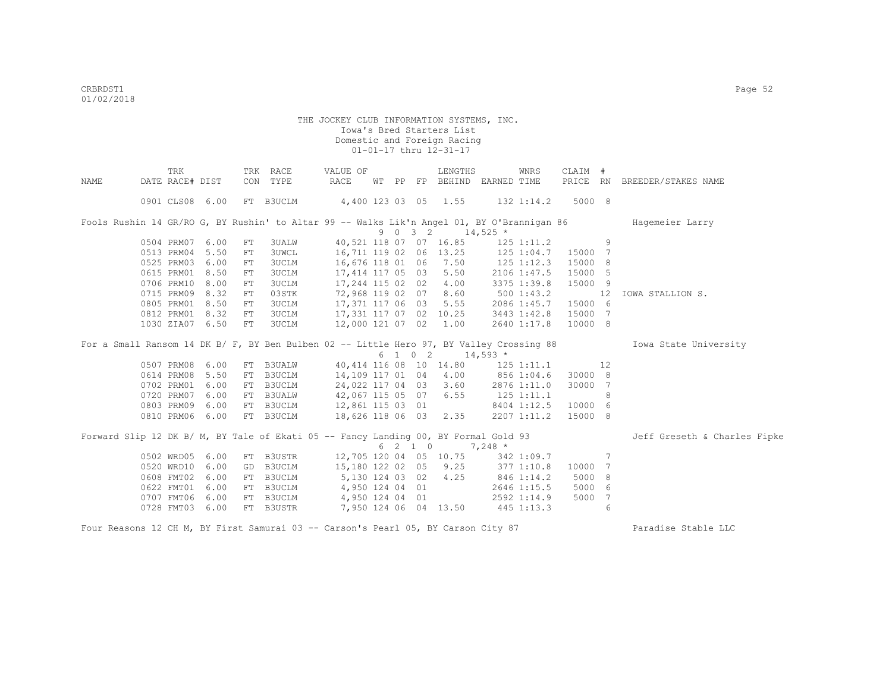|      | TRK             |      |    | TRK RACE     | VALUE OF                                                                                   |  |         | LENGTHS                                       |                                   | WNRS         | CLAIM #  |                 |                              |
|------|-----------------|------|----|--------------|--------------------------------------------------------------------------------------------|--|---------|-----------------------------------------------|-----------------------------------|--------------|----------|-----------------|------------------------------|
| NAME | DATE RACE# DIST |      |    | CON TYPE     | RACE                                                                                       |  |         |                                               | WT PP FP BEHIND EARNED TIME       |              | PRICE RN |                 | BREEDER/STAKES NAME          |
|      | 0901 CLS08 6.00 |      |    | FT B3UCLM    | 4,400 123 03 05 1.55                                                                       |  |         |                                               |                                   | 132 1:14.2   | 5000 8   |                 |                              |
|      |                 |      |    |              | Fools Rushin 14 GR/RO G, BY Rushin' to Altar 99 -- Walks Lik'n Angel 01, BY O'Brannigan 86 |  |         |                                               |                                   |              |          |                 | Hagemeier Larry              |
|      |                 |      |    |              |                                                                                            |  |         | 9 0 3 2 14,525 $*$                            |                                   |              |          |                 |                              |
|      | 0504 PRM07 6.00 |      | FT | 3UALW        |                                                                                            |  |         | 40,521 118 07 07 16.85                        |                                   | 125 1:11.2   |          | 9               |                              |
|      | 0513 PRM04      | 5.50 | FT | <b>3UWCL</b> |                                                                                            |  |         |                                               | 16,711 119 02 06 13.25 125 1:04.7 |              | 15000    | 7               |                              |
|      | 0525 PRM03 6.00 |      | FT | 3UCLM        | 16,676 118 01 06 7.50                                                                      |  |         |                                               |                                   | 125 1:12.3   | 15000    | 8               |                              |
|      | 0615 PRM01 8.50 |      | FT | 3UCLM        | 17,414 117 05 03 5.50                                                                      |  |         |                                               |                                   | 2106 1:47.5  | 15000    | 5               |                              |
|      | 0706 PRM10 8.00 |      | FT | 3UCLM        | 17,244 115 02 02 4.00                                                                      |  |         |                                               |                                   | 3375 1:39.8  | 15000 9  |                 |                              |
|      | 0715 PRM09      | 8.32 | FT | 03STK        | 72,968 119 02 07 8.60                                                                      |  |         |                                               |                                   | $500$ 1:43.2 |          | 12              | IOWA STALLION S.             |
|      | 0805 PRM01 8.50 |      | FT | 3UCLM        |                                                                                            |  |         | 17,371 117 06 03 5.55                         |                                   | 2086 1:45.7  | 15000 6  |                 |                              |
|      | 0812 PRM01 8.32 |      | FT | 3UCLM        | 17,331 117 07 02 10.25                                                                     |  |         |                                               |                                   | 3443 1:42.8  | 15000 7  |                 |                              |
|      | 1030 ZIA07 6.50 |      | FT | 3UCLM        |                                                                                            |  |         | 12,000 121 07 02 1.00                         |                                   | 2640 1:17.8  | 10000 8  |                 |                              |
|      |                 |      |    |              | For a Small Ransom 14 DK B/ F, BY Ben Bulben 02 -- Little Hero 97, BY Valley Crossing 88   |  |         |                                               |                                   |              |          |                 | Iowa State University        |
|      |                 |      |    |              |                                                                                            |  |         | $6 \quad 1 \quad 0 \quad 2 \quad 14,593 \neq$ |                                   |              |          |                 |                              |
|      | 0507 PRM08 6.00 |      |    | FT B3UALW    |                                                                                            |  |         |                                               | 40,414 116 08 10 14.80 125 1:11.1 |              |          | 12              |                              |
|      | 0614 PRM08      | 5.50 | FT | B3UCLM       |                                                                                            |  |         |                                               | 14,109 117 01 04 4.00 856 1:04.6  |              | 30000 8  |                 |                              |
|      | 0702 PRM01      | 6.00 |    | FT B3UCLM    | 24,022 117 04 03 3.60                                                                      |  |         |                                               |                                   | 2876 1:11.0  | 30000    | 7               |                              |
|      | 0720 PRM07 6.00 |      |    | FT B3UALW    | 42,067 115 05 07 6.55                                                                      |  |         |                                               | $125$ $1:11.1$                    |              |          | 8               |                              |
|      | 0803 PRM09      | 6.00 |    | FT B3UCLM    | 12,861 115 03 01                                                                           |  |         |                                               |                                   | 8404 1:12.5  | 10000 6  |                 |                              |
|      | 0810 PRM06 6.00 |      |    | FT B3UCLM    | 18,626 118 06 03 2.35                                                                      |  |         |                                               |                                   | 2207 1:11.2  | 15000 8  |                 |                              |
|      |                 |      |    |              | Forward Slip 12 DK B/ M, BY Tale of Ekati 05 -- Fancy Landing 00, BY Formal Gold 93        |  |         |                                               |                                   |              |          |                 | Jeff Greseth & Charles Fipke |
|      |                 |      |    |              |                                                                                            |  | 6 2 1 0 |                                               | $7,248$ *                         |              |          |                 |                              |
|      | 0502 WRD05 6.00 |      |    | FT B3USTR    |                                                                                            |  |         |                                               | 12,705 120 04 05 10.75 342 1:09.7 |              |          | $7\phantom{.0}$ |                              |
|      | 0520 WRD10 6.00 |      |    | GD B3UCLM    |                                                                                            |  |         | 15,180 122 02 05 9.25                         | 377 1:10.8                        |              | 10000    | 7               |                              |
|      | 0608 FMT02      | 6.00 | FT | B3UCLM       | 5,130 124 03 02 4.25                                                                       |  |         |                                               | 846 1:14.2                        |              | 5000     | 8               |                              |
|      | 0622 FMT01      | 6.00 | FT | B3UCLM       | 4,950 124 04 01                                                                            |  |         |                                               |                                   | 2646 1:15.5  | 5000     | 6               |                              |
|      | 0707 FMT06      | 6.00 | FT | B3UCLM       | 4,950 124 04 01                                                                            |  |         |                                               |                                   | 2592 1:14.9  | 5000     | 7               |                              |
|      | 0728 FMT03 6.00 |      |    | FT B3USTR    | 7,950 124 06 04 13.50                                                                      |  |         |                                               | 445 1:13.3                        |              |          | 6               |                              |
|      |                 |      |    |              |                                                                                            |  |         |                                               |                                   |              |          |                 |                              |

Four Reasons 12 CH M, BY First Samurai 03 -- Carson's Pearl 05, BY Carson City 87 Paradise Stable LLC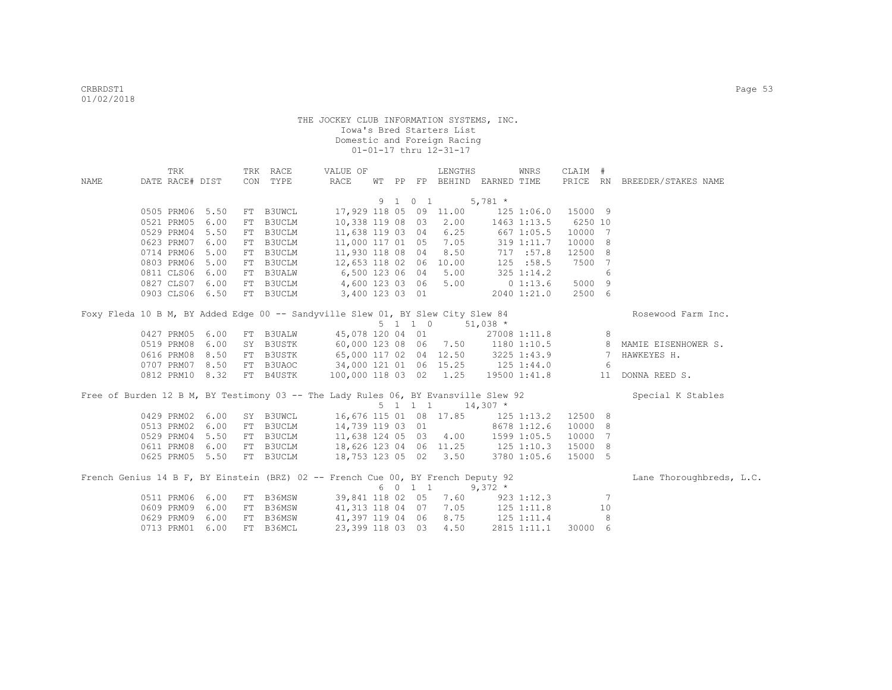|      | TRK             |                 | TRK RACE                                                                           | VALUE OF               |  |                 | LENGTHS                            |                  | WNRS         | CLAIM # |                 |                                                         |
|------|-----------------|-----------------|------------------------------------------------------------------------------------|------------------------|--|-----------------|------------------------------------|------------------|--------------|---------|-----------------|---------------------------------------------------------|
| NAME | DATE RACE# DIST |                 | CON TYPE                                                                           | RACE                   |  |                 | WT PP FP BEHIND EARNED TIME        |                  |              |         |                 | PRICE RN BREEDER/STAKES NAME                            |
|      |                 |                 |                                                                                    |                        |  |                 |                                    |                  |              |         |                 |                                                         |
|      |                 |                 |                                                                                    |                        |  | 9 1 0 1         |                                    | $5,781$ *        |              |         |                 |                                                         |
|      | 0505 PRM06 5.50 |                 | FT B3UWCL                                                                          |                        |  |                 | 17,929 118 05 09 11.00             |                  | 125 1:06.0   | 15000 9 |                 |                                                         |
|      | 0521 PRM05      | 6.00            | FT B3UCLM                                                                          | 10,338 119 08 03       |  |                 | 2.00                               |                  | 1463 1:13.5  | 6250 10 |                 |                                                         |
|      | 0529 PRM04      | 5.50            | FT B3UCLM                                                                          | 11,638 119 03 04       |  |                 | 6.25                               | 667 1:05.5       |              | 10000 7 |                 |                                                         |
|      | 0623 PRM07      | 6.00            | FT B3UCLM                                                                          | 11,000 117 01 05 7.05  |  |                 |                                    |                  | 319 1:11.7   | 10000 8 |                 |                                                         |
|      | 0714 PRM06      | 5.00            | FT B3UCLM                                                                          | 11,930 118 08 04       |  |                 | 8.50                               |                  | 717 : 57.8   | 12500 8 |                 |                                                         |
|      | 0803 PRM06      | 5.00            | FT B3UCLM                                                                          | 12,653 118 02 06 10.00 |  |                 |                                    |                  | 125 : 58.5   | 7500    | 7               |                                                         |
|      | 0811 CLS06      | 6.00            | FT B3UALW                                                                          | 6,500 123 06 04        |  |                 | 5.00                               |                  | 325 1:14.2   |         | 6               |                                                         |
|      | 0827 CLS07      | 6.00            | FT B3UCLM                                                                          | 4,600 123 03 06        |  |                 | 5.00                               |                  | $0\;1:13.6$  | 5000    | 9               |                                                         |
|      | 0903 CLS06 6.50 |                 | FT B3UCLM                                                                          | 3,400 123 03 01        |  |                 |                                    |                  | 2040 1:21.0  | 2500 6  |                 |                                                         |
|      |                 |                 | Foxy Fleda 10 B M, BY Added Edge 00 -- Sandyville Slew 01, BY Slew City Slew 84    |                        |  |                 |                                    |                  |              |         |                 | Rosewood Farm Inc.                                      |
|      |                 |                 |                                                                                    |                        |  | $5 \t1 \t1 \t0$ |                                    | $51,038$ *       |              |         |                 |                                                         |
|      | 0427 PRM05      | 6.00            | FT B3UALW                                                                          | 45,078 120 04 01       |  |                 |                                    |                  | 27008 1:11.8 |         | 8               |                                                         |
|      | 0519 PRM08      | 6.00            | SY B3USTK                                                                          |                        |  |                 |                                    |                  |              |         |                 | 60,000 123 08 06 7.50 1180 1:10.5 8 MAMIE EISENHOWER S. |
|      | 0616 PRM08      | 8.50            | FT B3USTK                                                                          |                        |  |                 | 65,000 117 02 04 12.50 3225 1:43.9 |                  |              |         | $7\phantom{0}$  | HAWKEYES H.                                             |
|      | 0707 PRM07 8.50 |                 | FT B3UAOC 34,000 121 01 06 15.25 125 1:44.0                                        |                        |  |                 |                                    |                  |              |         | - 6             |                                                         |
|      | 0812 PRM10 8.32 |                 | FT B4USTK                                                                          | 100,000 118 03 02 1.25 |  |                 |                                    |                  | 19500 1:41.8 |         |                 | 11 DONNA REED S.                                        |
|      |                 |                 |                                                                                    |                        |  |                 |                                    |                  |              |         |                 |                                                         |
|      |                 |                 | Free of Burden 12 B M, BY Testimony 03 -- The Lady Rules 06, BY Evansville Slew 92 |                        |  |                 |                                    |                  |              |         |                 | Special K Stables                                       |
|      |                 |                 |                                                                                    |                        |  | 5 1 1 1         |                                    | $14,307$ *       |              |         |                 |                                                         |
|      | 0429 PRM02      | 6.00            | SY B3UWCL                                                                          | 16,676 115 01 08 17.85 |  |                 |                                    | $125$ $1:13.2$   |              | 12500 8 |                 |                                                         |
|      | 0513 PRM02      | 6.00            | FT B3UCLM                                                                          | 14,739 119 03 01       |  |                 |                                    |                  | 8678 1:12.6  | 10000   | 8               |                                                         |
|      | 0529 PRM04      | 5.50            | FT B3UCLM                                                                          | 11,638 124 05 03       |  |                 |                                    | 4.00 1599 1:05.5 |              | 10000   | $7\phantom{.0}$ |                                                         |
|      | 0611 PRM08      | 6.00            | FT B3UCLM                                                                          |                        |  |                 | 18,626 123 04 06 11.25 125 1:10.3  |                  |              | 15000   | 8               |                                                         |
|      |                 | 0625 PRM05 5.50 | FT B3UCLM                                                                          |                        |  |                 | 18,753 123 05 02 3.50              |                  | 3780 1:05.6  | 15000 5 |                 |                                                         |
|      |                 |                 |                                                                                    |                        |  |                 |                                    |                  |              |         |                 |                                                         |
|      |                 |                 | French Genius 14 B F, BY Einstein (BRZ) 02 -- French Cue 00, BY French Deputy 92   |                        |  | 6 0 1 1         |                                    | $9,372$ *        |              |         |                 | Lane Thoroughbreds, L.C.                                |
|      | 0511 PRM06      | 6.00            | FT B36MSW                                                                          |                        |  |                 | 39,841 118 02 05 7.60              |                  | 923 1:12.3   |         | 7               |                                                         |
|      | 0609 PRM09      | 6.00            | FT B36MSW                                                                          | 41,313 118 04 07       |  |                 | 7.05                               | 125 1:11.8       |              |         | 10              |                                                         |
|      | 0629 PRM09      | 6.00            | FT B36MSW                                                                          | 41,397 119 04 06       |  |                 | 8.75                               | 125 1:11.4       |              |         | 8               |                                                         |
|      | 0713 PRM01      | 6.00            | FT B36MCL                                                                          | 23,399 118 03 03       |  |                 | 4.50                               |                  | 2815 1:11.1  | 30000 6 |                 |                                                         |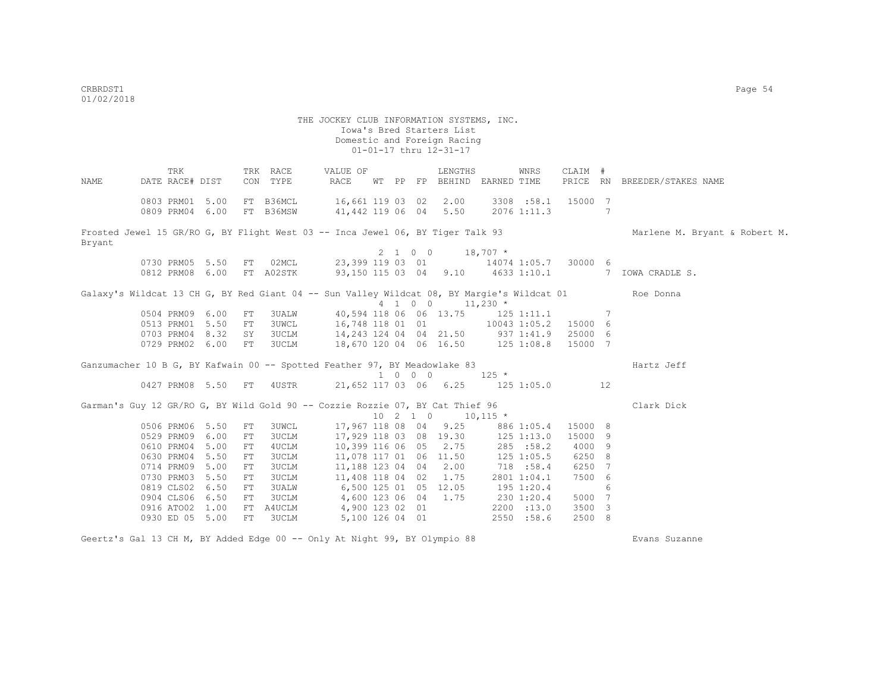THE JOCKEY CLUB INFORMATION SYSTEMS, INC. Iowa's Bred Starters List Domestic and Foreign Racing 01-01-17 thru 12-31-17 TRK TRK RACE VALUE OF LENGTHS WNRS CLAIM # NAME DATE RACE# DIST CON TYPE RACE WT PP FP BEHIND EARNED TIME PRICE RN BREEDER/STAKES NAME 0803 PRM01 5.00 FT B36MCL 16,661 119 03 02 2.00 3308 :58.1 15000 7 0809 PRM04 6.00 FT B36MSW 41,442 119 06 04 5.50 2076 1:11.3 7 Frosted Jewel 15 GR/RO G, BY Flight West 03 -- Inca Jewel 06, BY Tiger Talk 93 Marlene M. Bryant & Robert M. Bryant  $2 \quad 1 \quad 0 \quad 0 \quad 18.707$  \* 0730 PRM05 5.50 FT 02MCL 23,399 119 03 01 14074 1:05.7 30000 6<br>0812 PRM08 6.00 FT A02STK 93,150 115 03 04 9.10 4633 1:10.1 7 08,150 115 03 04 9.10 4633 1:10.1 7 IOWA CRADLE S. Galaxy's Wildcat 13 CH G, BY Red Giant 04 -- Sun Valley Wildcat 08, BY Margie's Wildcat 01 Roe Donna  $4 \quad 1 \quad 0 \quad 0 \quad 11,230 \star$  0504 PRM09 6.00 FT 3UALW 40,594 118 06 06 13.75 125 1:11.1 7 0513 PRM01 5.50 FT 3UWCL 16,748 118 01 01 10043 1:05.2 15000 6 0703 PRM04 8.32 SY 3UCLM 14,243 124 04 04 21.50 937 1:41.9 25000 6 0729 PRM02 6.00 FT 3UCLM 18,670 120 04 06 16.50 125 1:08.8 15000 7 Ganzumacher 10 B G, BY Kafwain 00 -- Spotted Feather 97, BY Meadowlake 83 Hartz Jeff  $10427$  PRM08 5.50 FT 4USTR 21.652 117 03 06 6.25 125 1 21,652 117 03 06 6.25 125 1:05.0 12 Garman's Guy 12 GR/RO G, BY Wild Gold 90 -- Cozzie Rozzie 07, BY Cat Thief 96 Clark Dick  $10 \quad 2 \quad 1 \quad 0 \quad 10.115 \times$ 0506 PRM06 5.50 FT 3UWCL 17,967 118 08 04 9.25 886 1:05.4 15000 8<br>0529 PRM09 6.00 FT 3UCLM 17,929 118 03 08 19.30 125 1:13.0 15000 9 0529 PRM09 6.00 FT 3UCLM 17,929 118 03 08 19.30 125 1:13.0 15000 9 0610 PRM04 5.00 FT 4UCLM 10,399 116 06 05 2.75 285 :58.2 4000 9 0630 PRM04 5.50 FT 3UCLM 11,078 117 01 06 11.50 125 1:05.5 6250 8 0714 PRM09 5.00 FT 3UCLM 11,188 123 04 04 2.00 718 :58.4 6250 7<br>0730 PRM03 5.50 FT 3UCLM 11,408 118 04 02 1.75 2801 1:04.1 7500 6 0730 PRM03 5.50 FT 3UCLM 11,408 118 04 02 1.75 2801 1:04.1<br>0819 CLS02 6.50 FT 3UALW 6,500 125 01 05 12.05 195 1:20.4 0.500 125 01 05 12.05 195 1:20.4 6 0904 CLS06 6.50 FT 3UCLM 4,600 123 06 04 1.75 230 1:20.4 5000 7 0916 ATO02 1.00 FT A4UCLM 4,900 123 02 01 2200 :13.0 3500 3 0930 ED 05 5.00 FT 3UCLM 5,100 126 04 01 2550 :58.6 2500 8

Geertz's Gal 13 CH M, BY Added Edge 00 -- Only At Night 99, BY Olympio 88 Evans Suzanne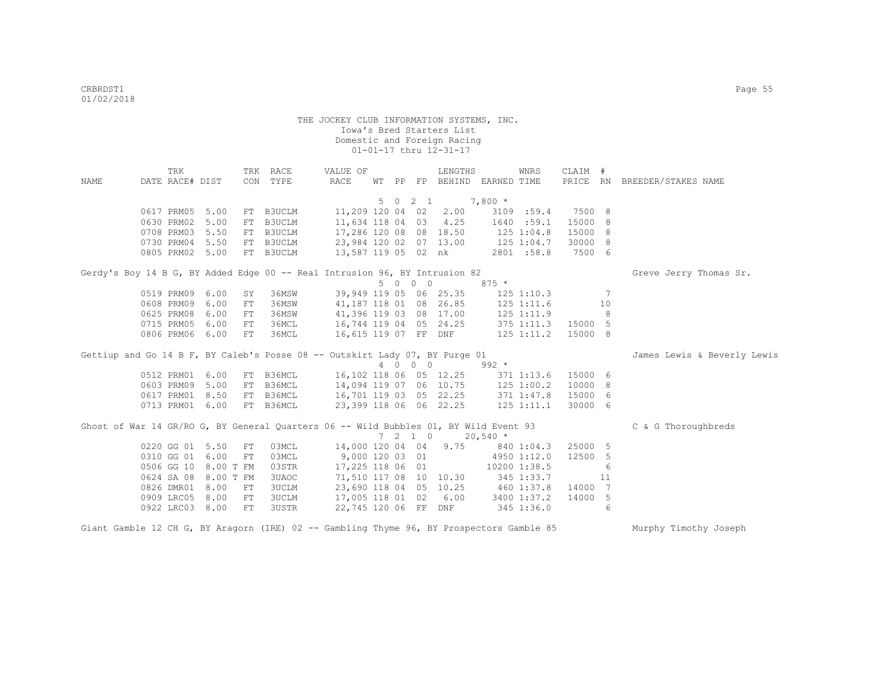|      | TRK             |                      |            | TRK RACE                                                                             | VALUE OF                          |  |         | LENGTHS                           |                  | WNRS           | CLAIM # |     |                              |
|------|-----------------|----------------------|------------|--------------------------------------------------------------------------------------|-----------------------------------|--|---------|-----------------------------------|------------------|----------------|---------|-----|------------------------------|
| NAME | DATE RACE# DIST |                      |            | CON TYPE                                                                             | RACE                              |  |         | WT PP FP BEHIND EARNED TIME       |                  |                |         |     | PRICE RN BREEDER/STAKES NAME |
|      |                 |                      |            |                                                                                      |                                   |  |         |                                   |                  |                |         |     |                              |
|      |                 |                      |            |                                                                                      |                                   |  |         | 5 0 2 1                           | $7,800*$         |                |         |     |                              |
|      | 0617 PRM05 5.00 |                      |            | FT B3UCLM                                                                            |                                   |  |         | 11,209 120 04 02 2.00             |                  | 3109 :59.4     | 7500 8  |     |                              |
|      | 0630 PRM02 5.00 |                      |            | FT B3UCLM                                                                            | 11,634 118 04 03 4.25             |  |         |                                   |                  | 1640 :59.1     | 15000 8 |     |                              |
|      | 0708 PRM03 5.50 |                      |            | FT B3UCLM                                                                            | 17,286 120 08 08 18.50            |  |         |                                   |                  | $125$ $1:04.8$ | 15000 8 |     |                              |
|      | 0730 PRM04 5.50 |                      |            | FT B3UCLM                                                                            | 23,984 120 02 07 13.00            |  |         |                                   | 125 1:04.7       |                | 30000 8 |     |                              |
|      | 0805 PRM02 5.00 |                      |            | FT B3UCLM                                                                            | 13,587 119 05 02 nk               |  |         |                                   |                  | 2801 :58.8     | 7500 6  |     |                              |
|      |                 |                      |            | Gerdy's Boy 14 B G, BY Added Edge 00 -- Real Intrusion 96, BY Intrusion 82           |                                   |  |         |                                   |                  |                |         |     | Greve Jerry Thomas Sr.       |
|      |                 |                      |            |                                                                                      |                                   |  | 5 0 0 0 |                                   | $875 *$          |                |         |     |                              |
|      | 0519 PRM09 6.00 |                      | SY         | 36MSW                                                                                | 39,949 119 05 06 25.35            |  |         |                                   |                  | $125$ $1:10.3$ |         | 7   |                              |
|      | 0608 PRM09      | 6.00                 | FT         | 36MSW                                                                                | 41, 187 118 01 08 26.85           |  |         |                                   |                  | $125$ $1:11.6$ |         | 10  |                              |
|      | 0625 PRM08      | 6.00                 | FT         | 36MSW                                                                                | 41,396 119 03 08 17.00            |  |         |                                   | 125 1:11.9       |                |         | - 8 |                              |
|      | 0715 PRM05      | 6.00                 | FT         | 36MCL                                                                                | 16,744 119 04 05 24.25            |  |         |                                   | $375$ 1:11.3     |                | 15000 5 |     |                              |
|      | 0806 PRM06 6.00 |                      | FT         | 36MCL                                                                                | 16,615 119 07 FF DNF 125 1:11.2   |  |         |                                   |                  |                | 15000 8 |     |                              |
|      |                 |                      |            | Gettiup and Go 14 B F, BY Caleb's Posse 08 -- Outskirt Lady 07, BY Purge 01          |                                   |  |         |                                   |                  |                |         |     | James Lewis & Beverly Lewis  |
|      |                 |                      |            |                                                                                      |                                   |  |         | 4 0 0 0                           | $992 *$          |                |         |     |                              |
|      | 0512 PRM01 6.00 |                      |            | FT B36MCL                                                                            | 16,102 118 06 05 12.25            |  |         |                                   | 371 1:13.6       |                | 15000 6 |     |                              |
|      | 0603 PRM09 5.00 |                      |            | FT B36MCL                                                                            | 14,094 119 07 06 10.75            |  |         |                                   | $125$ $1:00.2$   |                | 10000 8 |     |                              |
|      | 0617 PRM01 8.50 |                      |            | FT B36MCL                                                                            | 16,701 119 03 05 22.25 371 1:47.8 |  |         |                                   |                  |                | 15000 6 |     |                              |
|      | 0713 PRM01 6.00 |                      |            | FT B36MCL                                                                            | 23,399 118 06 06 22.25 125 1:11.1 |  |         |                                   |                  |                | 30000 6 |     |                              |
|      |                 |                      |            | Ghost of War 14 GR/RO G, BY General Quarters 06 -- Wild Bubbles 01, BY Wild Event 93 |                                   |  |         |                                   |                  |                |         |     | C & G Thoroughbreds          |
|      |                 |                      |            |                                                                                      |                                   |  |         | 7 2 1 0                           | $20,540$ *       |                |         |     |                              |
|      | 0220 GG 01 5.50 |                      | FT         | 03MCL                                                                                | 14,000 120 04 04 9.75             |  |         |                                   |                  | 840 1:04.3     | 25000 5 |     |                              |
|      | 0310 GG 01 6.00 |                      | ${\rm FT}$ | 03MCL                                                                                | 9,000 120 03 01                   |  |         |                                   |                  | 4950 1:12.0    | 12500 5 |     |                              |
|      |                 | 0506 GG 10 8.00 T FM |            | 03STR                                                                                | 17,225 118 06 01                  |  |         |                                   | $10200$ $1:38.5$ |                |         | 6   |                              |
|      |                 | 0624 SA 08 8.00 T FM |            | 3UAOC                                                                                |                                   |  |         | 71,510 117 08 10 10.30 345 1:33.7 |                  |                |         | 11  |                              |
|      | 0826 DMR01 8.00 |                      | FT         | 3UCLM                                                                                |                                   |  |         | 23,690 118 04 05 10.25 460 1:37.8 |                  |                | 14000 7 |     |                              |
|      | 0909 LRC05 8.00 |                      | FT         | 3UCLM                                                                                | 17,005 118 01 02 6.00             |  |         |                                   |                  | 3400 1:37.2    | 14000 5 |     |                              |
|      | 0922 LRC03 8.00 |                      | FT         | 3USTR                                                                                |                                   |  |         | 22,745 120 06 FF DNF              |                  | 345 1:36.0     |         | 6   |                              |
|      |                 |                      |            |                                                                                      |                                   |  |         |                                   |                  |                |         |     |                              |

Giant Gamble 12 CH G, BY Aragorn (IRE) 02 -- Gambling Thyme 96, BY Prospectors Gamble 85 Murphy Timothy Joseph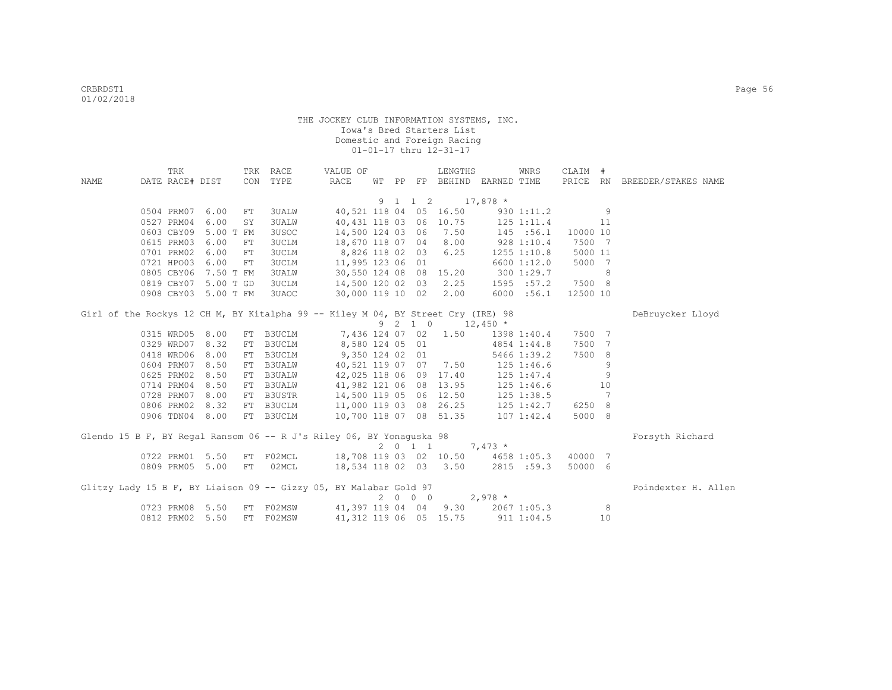| <b>NAME</b> | TRK<br>DATE RACE# DIST |                      | CON | TRK RACE<br>TYPE | VALUE OF<br>RACE                                                                 |  |                    | LENGTHS                | WT PP FP BEHIND EARNED TIME        | WNRS            | CLAIM #<br>PRICE RN |                 | BREEDER/STAKES NAME |
|-------------|------------------------|----------------------|-----|------------------|----------------------------------------------------------------------------------|--|--------------------|------------------------|------------------------------------|-----------------|---------------------|-----------------|---------------------|
|             |                        |                      |     |                  |                                                                                  |  |                    |                        |                                    |                 |                     |                 |                     |
|             |                        |                      |     |                  |                                                                                  |  | 9 1 1 2            |                        | $17,878$ *                         |                 |                     |                 |                     |
|             |                        | 0504 PRM07 6.00      | FT  | 3UALW            |                                                                                  |  |                    | 40,521 118 04 05 16.50 |                                    | 930 1:11.2      |                     | 9               |                     |
|             | 0527 PRM04             | 6.00                 | SY  | 3UALW            | 40,431 118 03 06 10.75                                                           |  |                    |                        | 125 1:11.4                         |                 |                     | 11              |                     |
|             | 0603 CBY09             | 5.00 T FM            |     | 3USOC            | 14,500 124 03 06                                                                 |  |                    | 7.50                   |                                    | 145 : 56.1      | 10000 10            |                 |                     |
|             | 0615 PRM03             | 6.00                 | FT  | <b>3UCLM</b>     | 18,670 118 07 04 8.00                                                            |  |                    |                        | 9281:10.4                          |                 | 7500 7              |                 |                     |
|             | 0701 PRM02             | 6.00                 | FT  | 3UCLM            | 8,826 118 02 03                                                                  |  |                    | 6.25                   |                                    | $1255$ $1:10.8$ | 5000 11             |                 |                     |
|             |                        | 0721 HPO03 6.00      | FT  | 3UCLM            | 11,995 123 06 01                                                                 |  |                    |                        |                                    | 6600 1:12.0     | 5000                | $\overline{7}$  |                     |
|             | 0805 CBY06             | 7.50 T FM            |     | 3UALW            |                                                                                  |  |                    |                        | 30,550 124 08 08 15.20 300 1:29.7  |                 |                     | 8               |                     |
|             |                        | 0819 CBY07 5.00 T GD |     | 3UCLM            | 14,500 120 02 03                                                                 |  |                    | 2.25                   |                                    | 1595 : 57.2     | 7500 8              |                 |                     |
|             |                        | 0908 CBY03 5.00 T FM |     | 3UAOC            | 30,000 119 10 02                                                                 |  |                    | 2.00                   |                                    | 6000 : 56.1     | 12500 10            |                 |                     |
|             |                        |                      |     |                  | Girl of the Rockys 12 CH M, BY Kitalpha 99 -- Kiley M 04, BY Street Cry (IRE) 98 |  |                    |                        |                                    |                 |                     |                 | DeBruycker Lloyd    |
|             |                        |                      |     |                  |                                                                                  |  | 9 2 1 0            |                        | $12,450$ *                         |                 |                     |                 |                     |
|             |                        | 0315 WRD05 8.00      | FT  | B3UCLM           |                                                                                  |  |                    | 7,436 124 07 02 1.50   |                                    | 1398 1:40.4     | 7500 7              |                 |                     |
|             | 0329 WRD07             | 8.32                 | FT  | B3UCLM           | 8,580 124 05 01                                                                  |  |                    |                        |                                    | 4854 1:44.8     | 7500                | $7\phantom{.0}$ |                     |
|             | 0418 WRD06             | 8.00                 | FT  | B3UCLM           | 9,350 124 02 01                                                                  |  |                    |                        |                                    | 5466 1:39.2     | 7500                | 8               |                     |
|             |                        | 0604 PRM07 8.50      | FT  | <b>B3UALW</b>    | 40,521 119 07 07 7.50 125 1:46.6                                                 |  |                    |                        |                                    |                 |                     | 9               |                     |
|             |                        | 0625 PRM02 8.50      | FT  | <b>B3UALW</b>    | 42,025 118 06 09 17.40 125 1:47.4                                                |  |                    |                        |                                    |                 |                     | 9               |                     |
|             | 0714 PRM04             | 8.50                 | FT  | <b>B3UALW</b>    | 41,982 121 06 08 13.95 125 1:46.6                                                |  |                    |                        |                                    |                 |                     | 10              |                     |
|             | 0728 PRM07             | 8.00                 | FT  | B3USTR           | 14,500 119 05 06 12.50                                                           |  |                    |                        |                                    | 125 1:38.5      |                     | 7               |                     |
|             | 0806 PRM02             | 8.32                 | FT  | B3UCLM           | 11,000 119 03 08 26.25 125 1:42.7                                                |  |                    |                        |                                    |                 | 6250 8              |                 |                     |
|             | 0906 TDN04             | 8.00                 | FT  | <b>B3UCLM</b>    | 10,700 118 07 08 51.35                                                           |  |                    |                        |                                    | $107$ $1:42.4$  | 5000 8              |                 |                     |
|             |                        |                      |     |                  | Glendo 15 B F, BY Regal Ransom 06 -- R J's Riley 06, BY Yonaguska 98             |  |                    |                        |                                    |                 |                     |                 | Forsyth Richard     |
|             |                        |                      |     |                  |                                                                                  |  | $2 \t 0 \t 1 \t 1$ |                        | $7,473*$                           |                 |                     |                 |                     |
|             |                        | 0722 PRM01 5.50      | FT  | F02MCL           |                                                                                  |  |                    |                        | 18,708 119 03 02 10.50 4658 1:05.3 |                 | 40000 7             |                 |                     |
|             | 0809 PRM05             | 5.00                 | FT  | 02MCL            | 18,534 118 02 03 3.50                                                            |  |                    |                        |                                    | 2815 :59.3      | 50000 6             |                 |                     |
|             |                        |                      |     |                  | Glitzy Lady 15 B F, BY Liaison 09 -- Gizzy 05, BY Malabar Gold 97                |  |                    |                        |                                    |                 |                     |                 | Poindexter H. Allen |
|             |                        |                      |     |                  |                                                                                  |  | 2 0 0 0            |                        | $2,978$ *                          |                 |                     |                 |                     |
|             |                        | 0723 PRM08 5.50      |     | FT F02MSW        | 41,397 119 04 04 9.30 2067 1:05.3                                                |  |                    |                        |                                    |                 |                     | 8               |                     |
|             |                        | 0812 PRM02 5.50      |     | FT F02MSW        |                                                                                  |  |                    |                        | 41, 312 119 06 05 15.75 911 1:04.5 |                 |                     | 10              |                     |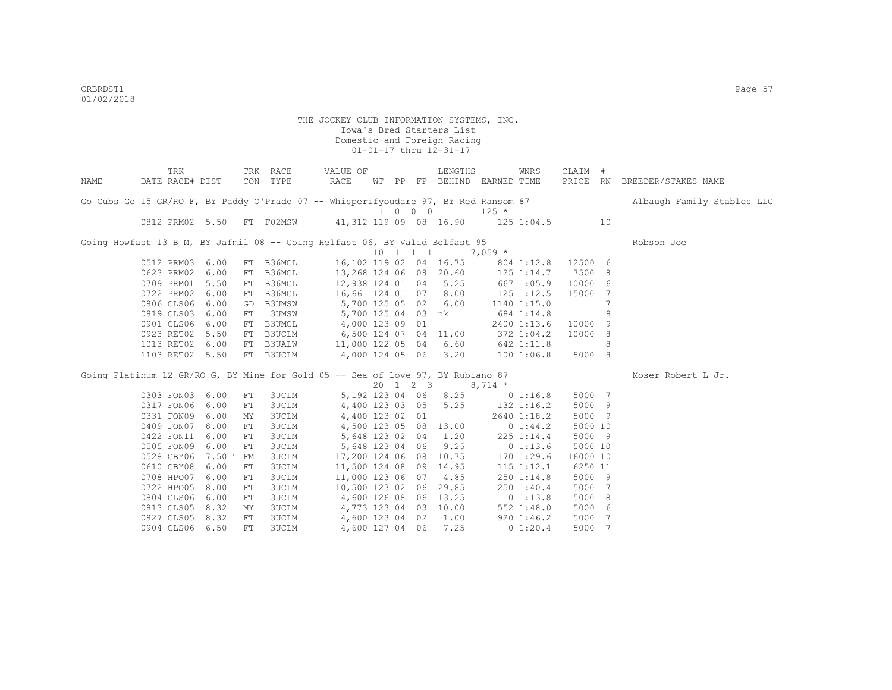|      | TRK                                                                                 |           |            | TRK RACE  | VALUE OF               |  |                             | LENGTHS                |                                 | WNRS           | CLAIM #  |    |                              |
|------|-------------------------------------------------------------------------------------|-----------|------------|-----------|------------------------|--|-----------------------------|------------------------|---------------------------------|----------------|----------|----|------------------------------|
| NAME | DATE RACE# DIST                                                                     |           |            | CON TYPE  | RACE                   |  |                             |                        | WT PP FP BEHIND EARNED TIME     |                |          |    | PRICE RN BREEDER/STAKES NAME |
|      | Go Cubs Go 15 GR/RO F, BY Paddy O'Prado 07 -- Whisperifyoudare 97, BY Red Ransom 87 |           |            |           |                        |  | $1 \quad 0 \quad 0 \quad 0$ |                        | $125 *$                         |                |          |    | Albaugh Family Stables LLC   |
|      | 0812 PRM02 5.50 FT F02MSW                                                           |           |            |           | 41,312 119 09 08 16.90 |  |                             |                        | $125$ $1:04.5$                  |                |          | 10 |                              |
|      |                                                                                     |           |            |           |                        |  |                             |                        |                                 |                |          |    |                              |
|      | Going Howfast 13 B M, BY Jafmil 08 -- Going Helfast 06, BY Valid Belfast 95         |           |            |           |                        |  |                             |                        |                                 |                |          |    | Robson Joe                   |
|      |                                                                                     |           |            |           |                        |  | 10 1 1 1                    |                        | $7,059$ *                       |                |          |    |                              |
|      | 0512 PRM03                                                                          | 6.00      |            | FT B36MCL |                        |  |                             | 16,102 119 02 04 16.75 |                                 | 804 1:12.8     | 12500 6  |    |                              |
|      | 0623 PRM02                                                                          | 6.00      |            | FT B36MCL | 13,268 124 06 08 20.60 |  |                             |                        |                                 | 125 1:14.7     | 7500 8   |    |                              |
|      | 0709 PRM01                                                                          | 5.50      |            | FT B36MCL | 12,938 124 01 04 5.25  |  |                             |                        | 667 1:05.9                      |                | 10000 6  |    |                              |
|      | 0722 PRM02                                                                          | 6.00      |            | FT B36MCL | 16,661 124 01 07 8.00  |  |                             |                        |                                 | 125 1:12.5     | 15000    | 7  |                              |
|      | 0806 CLS06                                                                          | 6.00      |            | GD B3UMSW | 5,700 125 05 02 6.00   |  |                             |                        |                                 | 1140 1:15.0    |          | 7  |                              |
|      | 0819 CLS03                                                                          | 6.00      | FT         | 3UMSW     | 5,700 125 04 03 nk     |  |                             |                        |                                 | 684 1:14.8     |          | 8  |                              |
|      | 0901 CLS06                                                                          | 6.00      |            | FT B3UMCL | 4,000 123 09 01        |  |                             |                        |                                 | 2400 1:13.6    | 10000 9  |    |                              |
|      | 0923 RET02                                                                          | 5.50      |            | FT B3UCLM | 6,500 124 07 04 11.00  |  |                             |                        |                                 | 372 1:04.2     | 10000 8  |    |                              |
|      | 1013 RET02                                                                          | 6.00      |            | FT B3UALW | 11,000 122 05 04 6.60  |  |                             |                        | 642 1:11.8                      |                |          | 8  |                              |
|      | 1103 RET02 5.50                                                                     |           |            | FT B3UCLM | 4,000 124 05 06        |  |                             | 3.20                   |                                 | 1001:06.8      | 5000 8   |    |                              |
|      | Going Platinum 12 GR/RO G, BY Mine for Gold 05 -- Sea of Love 97, BY Rubiano 87     |           |            |           |                        |  |                             |                        |                                 |                |          |    | Moser Robert L Jr.           |
|      |                                                                                     |           |            |           |                        |  | 20 1 2 3                    |                        | $8,714$ *                       |                |          |    |                              |
|      | 0303 FON03 6.00                                                                     |           | FT         | 3UCLM     |                        |  |                             | 5, 192 123 04 06 8.25  | $0\;1:16.8$                     |                | 5000 7   |    |                              |
|      | 0317 FON06                                                                          | 6.00      | FT         | 3UCLM     |                        |  |                             |                        | 4,400 123 03 05 5.25 132 1:16.2 |                | 5000 9   |    |                              |
|      | 0331 FON09                                                                          | 6.00      | MY         | 3UCLM     | 4,400 123 02 01        |  |                             |                        |                                 | 2640 1:18.2    | 5000 9   |    |                              |
|      | 0409 FON07                                                                          | 8.00      | FT         | 3UCLM     |                        |  |                             | 4,500 123 05 08 13.00  |                                 | 0 1:44.2       | 5000 10  |    |                              |
|      | 0422 FON11                                                                          | 6.00      | ${\rm FT}$ | 3UCLM     |                        |  |                             | 5,648 123 02 04 1.20   |                                 | 225 1:14.4     | 5000 9   |    |                              |
|      | 0505 FON09                                                                          | 6.00      | FT         | 3UCLM     | 5,648 123 04 06        |  |                             | 9.25                   | 0 1:13.6                        |                | 5000 10  |    |                              |
|      | 0528 CBY06                                                                          | 7.50 T FM |            | 3UCLM     |                        |  |                             | 17,200 124 06 08 10.75 |                                 | 170 1:29.6     | 16000 10 |    |                              |
|      | 0610 CBY08                                                                          | 6.00      | FT         | 3UCLM     | 11,500 124 08 09 14.95 |  |                             |                        |                                 | $115$ $1:12.1$ | 6250 11  |    |                              |
|      | 0708 HPO07                                                                          | 6.00      | FT         | 3UCLM     | 11,000 123 06 07       |  |                             | 4.85                   |                                 | 250 1:14.8     | 5000 9   |    |                              |
|      | 0722 HPO05                                                                          | 8.00      | FT         | 3UCLM     | 10,500 123 02 06 29.85 |  |                             |                        |                                 | 250 1:40.4     | 5000 7   |    |                              |
|      | 0804 CLS06                                                                          | 6.00      | FT         | 3UCLM     | 4,600 126 08 06 13.25  |  |                             |                        |                                 | $0\;1:13.8$    | 5000     | 8  |                              |
|      | 0813 CLS05                                                                          | 8.32      | MY         | 3UCLM     | 4,773 123 04 03        |  |                             | 10.00                  |                                 | 552 1:48.0     | 5000     | 6  |                              |
|      | 0827 CLS05                                                                          | 8.32      | FT         | 3UCLM     | 4,600 123 04 02        |  |                             | 1.00                   |                                 | $920 \t1:46.2$ | 5000     | -7 |                              |
|      |                                                                                     |           |            |           |                        |  |                             |                        |                                 |                |          |    |                              |
|      | 0904 CLS06 6.50                                                                     |           | ${\rm FT}$ | 3UCLM     | 4,600 127 04 06        |  |                             | 7.25                   | $0\;1:20.4$                     |                | 5000 7   |    |                              |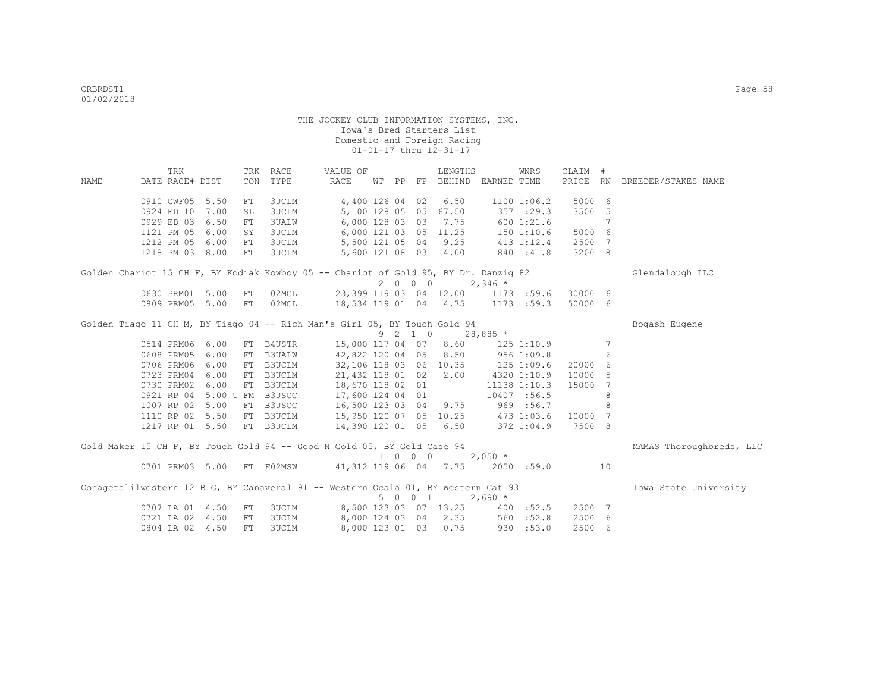|      | TRK                                                                                 |      |     | TRK RACE         | VALUE OF               |  |                             | LENGTHS                     |            | WNRS            | CLAIM # |    |                              |
|------|-------------------------------------------------------------------------------------|------|-----|------------------|------------------------|--|-----------------------------|-----------------------------|------------|-----------------|---------|----|------------------------------|
| NAME | DATE RACE# DIST                                                                     |      | CON | TYPE             | RACE                   |  |                             | WT PP FP BEHIND EARNED TIME |            |                 |         |    | PRICE RN BREEDER/STAKES NAME |
|      | 0910 CWF05 5.50                                                                     |      | FT  | 3UCLM            | 4,400 126 04 02        |  |                             | 6.50                        |            | $1100$ $1:06.2$ | 5000 6  |    |                              |
|      | 0924 ED 10                                                                          | 7.00 | SL  | <b>3UCLM</b>     | 5,100 128 05 05        |  |                             | 67.50                       |            | 357 1:29.3      | 3500    | 5  |                              |
|      | 0929 ED 03                                                                          | 6.50 | FT  | <b>3UALW</b>     | 6,000 128 03 03        |  |                             | 7.75                        |            | 6001:21.6       |         | 7  |                              |
|      | 1121 PM 05                                                                          | 6.00 | SY  | 3UCLM            | 6,000 121 03 05 11.25  |  |                             |                             |            | 1501:10.6       | 5000 6  |    |                              |
|      | 1212 PM 05                                                                          | 6.00 | FT  | <b>3UCLM</b>     | 5,500 121 05 04 9.25   |  |                             |                             |            | $413$ $1:12.4$  | 2500 7  |    |                              |
|      | 1218 PM 03 8.00                                                                     |      | FT  | <b>3UCLM</b>     | 5,600 121 08 03 4.00   |  |                             |                             |            | 840 1:41.8      | 3200 8  |    |                              |
|      | Golden Chariot 15 CH F, BY Kodiak Kowboy 05 -- Chariot of Gold 95, BY Dr. Danzig 82 |      |     |                  |                        |  |                             |                             |            |                 |         |    | Glendalough LLC              |
|      |                                                                                     |      |     |                  |                        |  | 2000                        |                             | $2,346$ *  |                 |         |    |                              |
|      | 0630 PRM01                                                                          | 5.00 | FT  | 02MCL            |                        |  |                             | 23,399 119 03 04 12.00      |            | 1173 :59.6      | 30000 6 |    |                              |
|      | 0809 PRM05                                                                          | 5.00 | FT  | 02MCL            |                        |  |                             | 18,534 119 01 04 4.75       |            | $1173$ :59.3    | 50000 6 |    |                              |
|      | Golden Tiago 11 CH M, BY Tiago 04 -- Rich Man's Girl 05, BY Touch Gold 94           |      |     |                  |                        |  |                             |                             |            |                 |         |    | Bogash Eugene                |
|      |                                                                                     |      |     |                  |                        |  | 9 2 1 0                     |                             | $28,885$ * |                 |         |    |                              |
|      | 0514 PRM06 6.00                                                                     |      |     | FT B4USTR        | 15,000 117 04 07       |  |                             | 8.60                        |            | 125 1:10.9      |         | 7  |                              |
|      | 0608 PRM05                                                                          | 6.00 |     | FT B3UALW        | 42,822 120 04 05       |  |                             | 8.50                        |            | 956 1:09.8      |         | 6  |                              |
|      | 0706 PRM06                                                                          | 6.00 |     | FT B3UCLM        |                        |  |                             | 32,106 118 03 06 10.35      |            | 125 1:09.6      | 20000   | 6  |                              |
|      | 0723 PRM04                                                                          | 6.00 |     | FT B3UCLM        | 21,432 118 01 02       |  |                             | 2,00                        |            | 4320 1:10.9     | 10000   | 5  |                              |
|      | 0730 PRM02                                                                          | 6.00 |     | FT B3UCLM        | 18,670 118 02 01       |  |                             |                             |            | 11138 1:10.3    | 15000   | 7  |                              |
|      | 0921 RP 04                                                                          |      |     | 5.00 T FM B3USOC | 17,600 124 04 01       |  |                             |                             |            | 10407 :56.5     |         | 8  |                              |
|      | 1007 RP 02 5.00                                                                     |      |     | FT B3USOC        | 16,500 123 03 04       |  |                             | 9.75                        |            | 969 :56.7       |         | 8  |                              |
|      | 1110 RP 02                                                                          | 5.50 |     | FT B3UCLM        | 15,950 120 07 05 10.25 |  |                             |                             |            | 473 1:03.6      | 10000 7 |    |                              |
|      | 1217 RP 01 5.50                                                                     |      |     | FT B3UCLM        | 14,390 120 01 05 6.50  |  |                             |                             |            | 372 1:04.9      | 7500 8  |    |                              |
|      | Gold Maker 15 CH F, BY Touch Gold 94 -- Good N Gold 05, BY Gold Case 94             |      |     |                  |                        |  |                             |                             |            |                 |         |    | MAMAS Thoroughbreds, LLC     |
|      |                                                                                     |      |     |                  |                        |  | $1 \quad 0 \quad 0 \quad 0$ |                             | $2,050$ *  |                 |         |    |                              |
|      | 0701 PRM03 5.00 FT F02MSW 41,312 119 06 04 7.75                                     |      |     |                  |                        |  |                             |                             |            | 2050 :59.0      |         | 10 |                              |
|      | Gonagetalilwestern 12 B G, BY Canaveral 91 -- Western Ocala 01, BY Western Cat 93   |      |     |                  |                        |  |                             |                             |            |                 |         |    | Iowa State University        |
|      |                                                                                     |      |     |                  |                        |  | 5 0 0 1                     |                             | $2,690*$   |                 |         |    |                              |
|      | 0707 LA 01                                                                          | 4.50 | FT  | <b>3UCLM</b>     | 8,500 123 03 07 13.25  |  |                             |                             |            | 400 :52.5       | 2500 7  |    |                              |
|      | 0721 LA 02                                                                          | 4.50 | FT  | 3UCLM            |                        |  |                             | 8,000 124 03 04 2.35        |            | 560 : 52.8      | 2500 6  |    |                              |
|      | 0804 LA 02 4.50                                                                     |      | FT  | <b>3UCLM</b>     | 8,000 123 01 03        |  |                             | 0.75                        |            | 930 : 53.0      | 2500 6  |    |                              |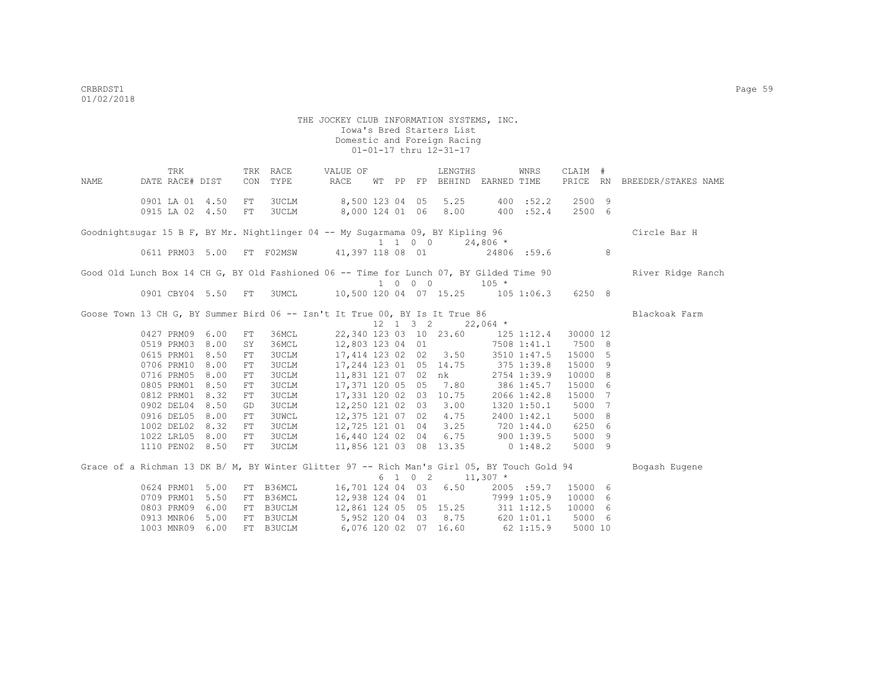THE JOCKEY CLUB INFORMATION SYSTEMS, INC. Iowa's Bred Starters List Domestic and Foreign Racing 01-01-17 thru 12-31-17 TRK TRK RACE VALUE OF LENGTHS WNRS CLAIM # NAME DATE RACE# DIST CON TYPE RACE WT PP FP BEHIND EARNED TIME PRICE RN BREEDER/STAKES NAME 0901 LA 01 4.50 FT 3UCLM 8,500 123 04 05 5.25 400 :52.2 2500 9 0915 LA 02 4.50 FT 3UCLM 8,000 124 01 06 8.00 400 :52.4 2500 6 Goodnightsugar 15 B F, BY Mr. Nightlinger 04 -- My Sugarmama 09, BY Kipling 96 Circle Bar H  $1 \t 1 \t 0 \t 0 \t 24,806 \t \star$ <br>41,397 118 08 01 24806 :59.6 0611 PRM03 5.00 FT F02MSW 41,397 118 08 01 24806 :59.6 8 Good Old Lunch Box 14 CH G, BY Old Fashioned 06 -- Time for Lunch 07, BY Gilded Time 90 River Ridge Ranch 1 0 0 0 105 \* 0901 CBY04 5.50 FT 3UMCL 10,500 120 04 07 15.25 105 1:06.3 6250 8 Goose Town 13 CH G, BY Summer Bird 06 -- Isn't It True 00, BY Is It True 86 Blackoak Farm  $12 \quad 1 \quad 3 \quad 2 \quad 22.064$  \* 0427 PRM09 6.00 FT 36MCL 22,340 123 03 10 23.60 125 1:12.4 30000 12 0519 PRM03 8.00 SY 36MCL 12,803 123 04 01 7508 1:41.1 7500 8 0615 PRM01 8.50 FT 3UCLM 17,414 123 02 02 3.50 3510 1:47.5 15000 5 0706 PRM10 8.00 FT 3UCLM 17,244 123 01 05 14.75 375 1:39.8 15000 9 0716 PRM05 8.00 FT 3UCLM 11,831 121 07 02 nk 2754 1:39.9 10000 8 0805 PRM01 8.50 FT 3UCLM 17,371 120 05 05 7.80 386 1:45.7 15000 6 0812 PRM01 8.32 FT 3UCLM 17,331 120 02 03 10.75 2066 1:42.8 15000 7 0902 DEL04 8.50 GD 3UCLM 12,250 121 02 03 3.00 1320 1:50.1 5000 7 0916 DEL05 8.00 FT 3UWCL 12,375 121 07 02 4.75 2400 1:42.1 5000 8 1002 DEL02 8.32 FT 3UCLM 12,725 121 01 04 3.25 720 1:44.0 6250 6 1022 LRL05 8.00 FT 3UCLM 16,440 124 02 04 6.75 900 1:39.5 5000 9 1110 PEN02 8.50 FT 3UCLM 11,856 121 03 08 13.35 0 1:48.2 5000 9 Grace of a Richman 13 DK B/ M, BY Winter Glitter 97 -- Rich Man's Girl 05, BY Touch Gold 94 Bogash Eugene 0624 PRM01 5.00 FT B36MCL 6 1 0 2 11,307 \* 16,701 124 04 03 6.50 2005 :59.7 15000 6<br>12.938 124 04 01 7999 1:05.9 10000 6 0709 PRM01 5.50 FT B36MCL 12,938 124 04 01 7999 1:05.9 10000 6 0803 PRM09 6.00 FT B3UCLM 12,861 124 05 05 15.25 311 1:12.5 10000 6 0913 MNR06 5.00 FT B3UCLM 5,952 120 04 03 8.75 620 1:01.1 5000 6 1003 MNR09 6.00 FT B3UCLM 6,076 120 02 07 16.60 62 1:15.9 5000 10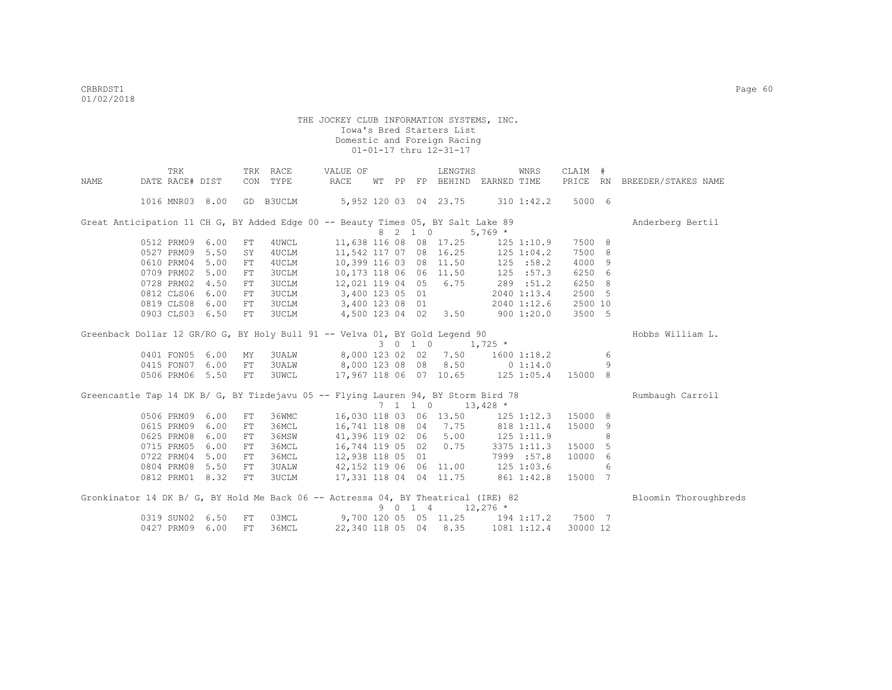|      | TRK                                                                               |      |            | TRK RACE     | VALUE OF                          |    |                          | LENGTHS                |             | WNRS           | CLAIM #  |     |                       |
|------|-----------------------------------------------------------------------------------|------|------------|--------------|-----------------------------------|----|--------------------------|------------------------|-------------|----------------|----------|-----|-----------------------|
| NAME | DATE RACE# DIST                                                                   |      |            | CON TYPE     | RACE                              | WТ |                          | PP FP BEHIND           | EARNED TIME |                | PRICE RN |     | BREEDER/STAKES NAME   |
|      | 1016 MNR03 8.00                                                                   |      |            | GD B3UCLM    |                                   |    |                          | 5,952 120 03 04 23.75  |             | $310$ $1:42.2$ | 5000 6   |     |                       |
|      | Great Anticipation 11 CH G, BY Added Edge 00 -- Beauty Times 05, BY Salt Lake 89  |      |            |              |                                   |    |                          |                        |             |                |          |     | Anderberg Bertil      |
|      |                                                                                   |      |            |              |                                   |    | 8 2 1 0                  |                        | $5,769*$    |                |          |     |                       |
|      | 0512 PRM09                                                                        | 6.00 | FT         | 4UWCL        |                                   |    |                          | 11,638 116 08 08 17.25 |             | $125$ $1:10.9$ | 7500 8   |     |                       |
|      | 0527 PRM09                                                                        | 5.50 | SY         | 4UCLM        | 11,542 117 07 08 16.25            |    |                          |                        |             | $125$ $1:04.2$ | 7500     | 8   |                       |
|      | 0610 PRM04                                                                        | 5.00 | FT         | 4UCLM        | 10,399 116 03 08 11.50            |    |                          |                        | 125 :58.2   |                | 4000 9   |     |                       |
|      | 0709 PRM02                                                                        | 5.00 | FT         | 3UCLM        | 10,173 118 06 06 11.50            |    |                          |                        | 125 : 57.3  |                | 6250 6   |     |                       |
|      | 0728 PRM02                                                                        | 4.50 | FT         | 3UCLM        | 12,021 119 04 05 6.75             |    |                          |                        |             | 289 :51.2      | 6250     | - 8 |                       |
|      | 0812 CLS06                                                                        | 6.00 | FT.        | 3UCLM        | 3,400 123 05 01                   |    |                          |                        |             | 2040 1:13.4    | 2500 5   |     |                       |
|      | 0819 CLS08                                                                        | 6.00 | FT         | 3UCLM        | 3,400 123 08 01                   |    |                          |                        |             | 2040 1:12.6    | 2500 10  |     |                       |
|      | 0903 CLS03 6.50                                                                   |      | ${\rm FT}$ | 3UCLM        |                                   |    |                          | 4,500 123 04 02 3.50   |             | 9001:20.0      | 3500 5   |     |                       |
|      | Greenback Dollar 12 GR/RO G, BY Holy Bull 91 -- Velva 01, BY Gold Legend 90       |      |            |              |                                   |    |                          |                        |             |                |          |     | Hobbs William L.      |
|      |                                                                                   |      |            |              |                                   |    | 3 0 1 0                  |                        | $1,725$ *   |                |          |     |                       |
|      | 0401 FON05                                                                        | 6.00 | MΥ         | 3UALW        |                                   |    |                          | 8,000 123 02 02 7.50   |             | 1600 1:18.2    |          | 6   |                       |
|      | 0415 FON07                                                                        | 6.00 | FT         | <b>3UALW</b> | 8,000 123 08 08 8.50              |    |                          |                        |             | 0 1:14.0       |          | 9   |                       |
|      | 0506 PRM06 5.50                                                                   |      | FT         | <b>3UWCL</b> | 17,967 118 06 07 10.65            |    |                          |                        | 125 1:05.4  |                | 15000 8  |     |                       |
|      | Greencastle Tap 14 DK B/ G, BY Tizdejavu 05 -- Flying Lauren 94, BY Storm Bird 78 |      |            |              |                                   |    |                          |                        |             |                |          |     | Rumbaugh Carroll      |
|      |                                                                                   |      |            |              |                                   |    | $7\quad 1\quad 1\quad 0$ |                        | $13,428$ *  |                |          |     |                       |
|      | 0506 PRM09                                                                        | 6.00 | FT         | 36WMC        | 16,030 118 03 06 13.50            |    |                          |                        |             | $125$ $1:12.3$ | 15000    | 8   |                       |
|      | 0615 PRM09                                                                        | 6.00 | FT         | 36MCL        | 16,741 118 08 04 7.75             |    |                          |                        |             | 818 1:11.4     | 15000    | 9   |                       |
|      | 0625 PRM08                                                                        | 6.00 | FT.        | 36MSW        | 41,396 119 02 06                  |    |                          | 5.00                   | 125 1:11.9  |                |          | 8   |                       |
|      | 0715 PRM05                                                                        | 6.00 | FT         | 36MCL        | 16,744 119 05 02                  |    |                          | 0.75                   |             | 3375 1:11.3    | 15000    | -5  |                       |
|      | 0722 PRM04                                                                        | 5.00 | FT         | 36MCL        | 12,938 118 05 01                  |    |                          |                        |             | 7999 :57.8     | 10000    | 6   |                       |
|      | 0804 PRM08                                                                        | 5.50 | FT.        | 3UALW        | 42,152 119 06 06 11.00 125 1:03.6 |    |                          |                        |             |                |          | 6   |                       |
|      | 0812 PRM01 8.32                                                                   |      | FT         | 3UCLM        | 17,331 118 04 04 11.75            |    |                          |                        | 861 1:42.8  |                | 15000    | 7   |                       |
|      | Gronkinator 14 DK B/ G, BY Hold Me Back 06 -- Actressa 04, BY Theatrical (IRE) 82 |      |            |              |                                   |    |                          |                        |             |                |          |     | Bloomin Thoroughbreds |
|      |                                                                                   |      |            |              |                                   |    | 9 0 1 4                  |                        | $12,276$ *  |                |          |     |                       |
|      | 0319 SUN02                                                                        | 6.50 | FT         | 03MCL        |                                   |    |                          | 9,700 120 05 05 11.25  | 194 1:17.2  |                | 7500 7   |     |                       |
|      | 0427 PRM09                                                                        | 6.00 | <b>FT</b>  | 36MCL        | 22,340 118 05 04                  |    |                          | 8.35                   |             | 1081 1:12.4    | 30000 12 |     |                       |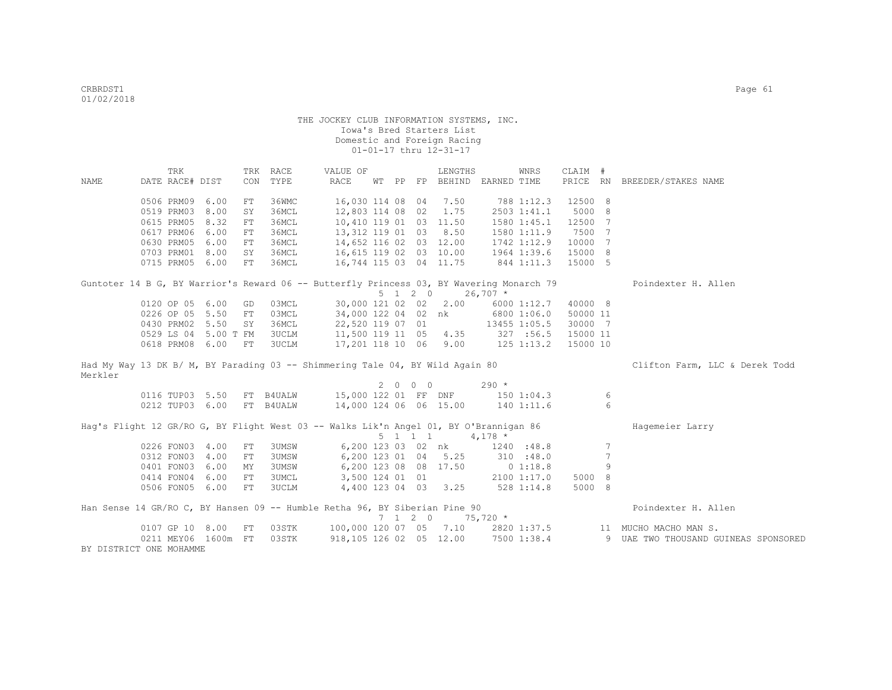|         | TRK                                                                                      |      |            | TRK RACE     | VALUE OF                       |  |                 | LENGTHS                                                 |             | <b>WNRS</b>  | CLAIM #  |     |                                      |
|---------|------------------------------------------------------------------------------------------|------|------------|--------------|--------------------------------|--|-----------------|---------------------------------------------------------|-------------|--------------|----------|-----|--------------------------------------|
| NAME    | DATE RACE# DIST                                                                          |      |            | CON TYPE     | RACE                           |  |                 | WT PP FP BEHIND EARNED TIME                             |             |              |          |     | PRICE RN BREEDER/STAKES NAME         |
|         |                                                                                          |      |            |              |                                |  |                 |                                                         |             |              |          |     |                                      |
|         | 0506 PRM09                                                                               | 6.00 | FT         | 36WMC        | 16,030 114 08 04               |  |                 | 7.50                                                    |             | 788 1:12.3   | 12500    | 8   |                                      |
|         | 0519 PRM03                                                                               | 8.00 | SY         | 36MCL        | 12,803 114 08 02               |  |                 | 1.75                                                    |             | 2503 1:41.1  | 5000 8   |     |                                      |
|         | 0615 PRM05                                                                               | 8.32 | ${\rm FT}$ | 36MCL        | 10,410 119 01 03 11.50         |  |                 |                                                         |             | 1580 1:45.1  | 12500    | 7   |                                      |
|         | 0617 PRM06                                                                               | 6.00 | FT         | 36MCL        | 13,312 119 01 03               |  |                 | 8.50                                                    |             | 1580 1:11.9  | 7500     | - 7 |                                      |
|         | 0630 PRM05                                                                               | 6.00 | FT         | 36MCL        | 14,652 116 02 03 12.00         |  |                 |                                                         |             | 1742 1:12.9  | 10000    | 7   |                                      |
|         | 0703 PRM01 8.00                                                                          |      | SY         | 36MCL        | 16,615 119 02 03 10.00         |  |                 |                                                         |             | 1964 1:39.6  | 15000    | 8   |                                      |
|         | 0715 PRM05 6.00                                                                          |      | FT         | 36MCL        | 16,744 115 03 04 11.75         |  |                 |                                                         | 844 1:11.3  |              | 15000 5  |     |                                      |
|         | Guntoter 14 B G, BY Warrior's Reward 06 -- Butterfly Princess 03, BY Wavering Monarch 79 |      |            |              |                                |  |                 |                                                         |             |              |          |     | Poindexter H. Allen                  |
|         |                                                                                          |      |            |              |                                |  | $5 \t1 \t2 \t0$ |                                                         | $26,707$ *  |              |          |     |                                      |
|         | 0120 OP 05 6.00                                                                          |      | GD         | 03MCL        | 30,000 121 02 02 2.00          |  |                 |                                                         |             | 6000 1:12.7  | 40000 8  |     |                                      |
|         | 0226 OP 05 5.50                                                                          |      | FT         | 03MCL        | 34,000 122 04 02 nk            |  |                 |                                                         |             | 6800 1:06.0  | 50000 11 |     |                                      |
|         | 0430 PRM02 5.50                                                                          |      | SY         | 36MCL        | 22,520 119 07 01               |  |                 |                                                         |             | 13455 1:05.5 | 30000 7  |     |                                      |
|         | 0529 LS 04 5.00 T FM                                                                     |      |            | 3UCLM        |                                |  |                 | 11,500 119 11 05 4.35 327 :56.5                         |             |              | 15000 11 |     |                                      |
|         | 0618 PRM08 6.00                                                                          |      | FT         | 3UCLM        |                                |  |                 | 17,201 118 10 06 9.00 125 1:13.2                        |             |              | 15000 10 |     |                                      |
|         | Had My Way 13 DK B/ M, BY Parading 03 -- Shimmering Tale 04, BY Wild Again 80            |      |            |              |                                |  |                 |                                                         |             |              |          |     | Clifton Farm, LLC & Derek Todd       |
| Merkler |                                                                                          |      |            |              |                                |  |                 |                                                         |             |              |          |     |                                      |
|         |                                                                                          |      |            |              |                                |  | 2000            |                                                         | $290 *$     |              |          |     |                                      |
|         | 0116 TUP03 5.50 FT B4UALW                                                                |      |            |              | 15,000 122 01 FF DNF           |  |                 |                                                         | 1501:04.3   |              |          | 6   |                                      |
|         | 0212 TUP03 6.00                                                                          |      |            | FT B4UALW    | 14,000 124 06 06 15.00         |  |                 |                                                         | 140 1:11.6  |              |          | 6   |                                      |
|         | Haq's Flight 12 GR/RO G, BY Flight West 03 -- Walks Lik'n Angel 01, BY O'Brannigan 86    |      |            |              |                                |  |                 |                                                         |             |              |          |     | Hagemeier Larry                      |
|         |                                                                                          |      |            |              |                                |  |                 | 5 1 1 1                                                 | $4,178$ *   |              |          |     |                                      |
|         | 0226 FON03 4.00                                                                          |      | ${\rm FT}$ | <b>3UMSW</b> |                                |  |                 | 6,200 123 03 02 nk                                      |             | 1240 : 48.8  |          | 7   |                                      |
|         | 0312 FON03 4.00                                                                          |      | FT         | <b>3UMSW</b> | 6,200 123 01 04 5.25 310 :48.0 |  |                 |                                                         |             |              |          | 7   |                                      |
|         | 0401 FON03 6.00                                                                          |      | ΜY         | <b>3UMSW</b> |                                |  |                 | 6,200 123 08 08 17.50                                   | $0\;1:18.8$ |              |          | 9   |                                      |
|         | 0414 FON04 6.00                                                                          |      | FT         | <b>3UMCL</b> | 3,500 124 01 01                |  |                 |                                                         |             | 2100 1:17.0  | 5000 8   |     |                                      |
|         | 0506 FON05 6.00                                                                          |      | FT         | 3UCLM        |                                |  |                 | 4,400 123 04 03 3.25 528 1:14.8                         |             |              | 5000 8   |     |                                      |
|         | Han Sense 14 GR/RO C, BY Hansen 09 -- Humble Retha 96, BY Siberian Pine 90               |      |            |              |                                |  |                 |                                                         |             |              |          |     | Poindexter H. Allen                  |
|         |                                                                                          |      |            |              |                                |  |                 | $7 \quad 1 \quad 2 \quad 0 \quad 75,720 \quad ^{\star}$ |             |              |          |     |                                      |
|         | 0107 GP 10 8.00                                                                          |      | FT         | 03STK        |                                |  |                 | 100,000 120 07 05 7.10                                  |             |              |          |     | 2820 1:37.5 11 MUCHO MACHO MAN S.    |
|         | 0211 MEY06 1600m FT                                                                      |      |            | 03STK        |                                |  |                 | 918,105 126 02 05 12.00                                 |             | 7500 1:38.4  |          |     | 9 UAE TWO THOUSAND GUINEAS SPONSORED |
|         | BY DISTRICT ONE MOHAMME                                                                  |      |            |              |                                |  |                 |                                                         |             |              |          |     |                                      |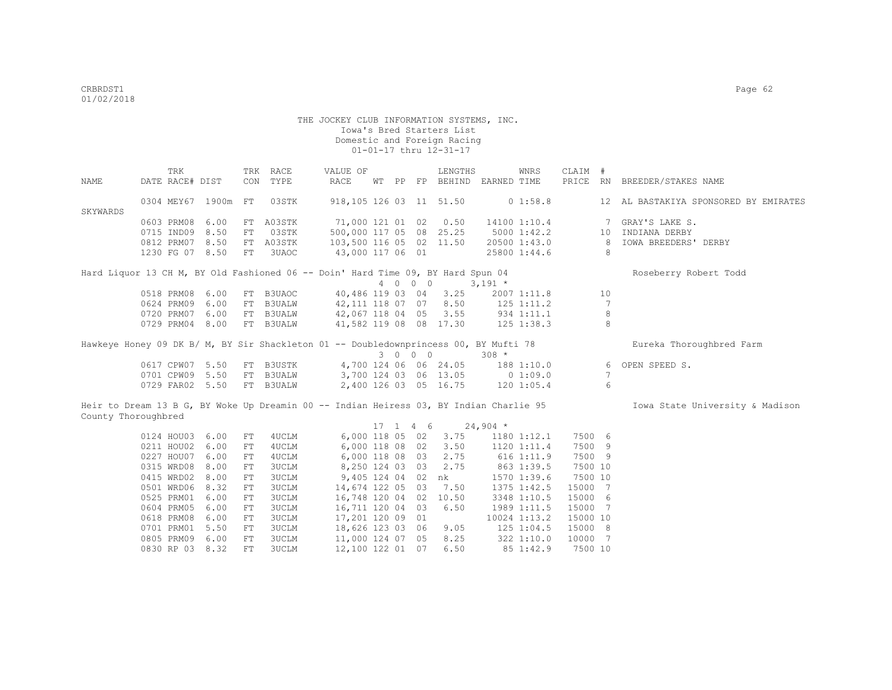|                     | TRK                                                                                    |      |            | TRK RACE      | VALUE OF                 |    |    |            | LENGTHS                          |                | WNRS            | CLAIM #  |                 |                                       |
|---------------------|----------------------------------------------------------------------------------------|------|------------|---------------|--------------------------|----|----|------------|----------------------------------|----------------|-----------------|----------|-----------------|---------------------------------------|
| NAME                | DATE RACE# DIST                                                                        |      | CON        | TYPE          | RACE                     | WТ | PP |            | FP BEHIND EARNED TIME            |                |                 |          |                 | PRICE RN BREEDER/STAKES NAME          |
|                     |                                                                                        |      |            |               |                          |    |    |            |                                  |                |                 |          |                 |                                       |
|                     | 0304 MEY67 1900m                                                                       |      | FT         | 03STK         | 918, 105 126 03 11 51.50 |    |    |            |                                  |                | 01:58.8         |          |                 | 12 AL BASTAKIYA SPONSORED BY EMIRATES |
| SKYWARDS            |                                                                                        |      |            |               |                          |    |    |            |                                  |                |                 |          |                 |                                       |
|                     | 0603 PRM08                                                                             | 6.00 | FT         | A03STK        | 71,000 121 01 02         |    |    |            | 0.50                             |                | 14100 1:10.4    |          | 7               | GRAY'S LAKE S.                        |
|                     | 0715 IND09                                                                             | 8.50 | FT         | 03STK         | 500,000 117 05 08 25.25  |    |    |            |                                  |                | $5000$ $1:42.2$ |          | 10              | INDIANA DERBY                         |
|                     | 0812 PRM07 8.50                                                                        |      |            | FT A03STK     | 103,500 116 05 02 11.50  |    |    |            |                                  |                | 20500 1:43.0    |          | 8               | <b>IOWA BREEDERS' DERBY</b>           |
|                     | 1230 FG 07 8.50                                                                        |      | FT         | 3UAOC         | 43,000 117 06 01         |    |    |            |                                  |                | 25800 1:44.6    |          | 8               |                                       |
|                     | Hard Liquor 13 CH M, BY Old Fashioned 06 -- Doin' Hard Time 09, BY Hard Spun 04        |      |            |               |                          |    |    |            |                                  |                |                 |          |                 | Roseberry Robert Todd                 |
|                     |                                                                                        |      |            |               |                          |    |    | 4 0 0 0    |                                  | $3,191$ *      |                 |          |                 |                                       |
|                     | 0518 PRM08                                                                             | 6.00 | FT         | B3UAOC        |                          |    |    |            | 40,486 119 03 04 3.25            |                | 2007 1:11.8     |          | 10              |                                       |
|                     | 0624 PRM09 6.00                                                                        |      | FT         | <b>B3UALW</b> | 42,111 118 07 07 8.50    |    |    |            |                                  | $125$ $1:11.2$ |                 |          | $7\phantom{.0}$ |                                       |
|                     | 0720 PRM07 6.00                                                                        |      |            | FT B3UALW     |                          |    |    |            | 42,067 118 04 05 3.55 934 1:11.1 |                |                 |          | 8               |                                       |
|                     | 0729 PRM04 8.00                                                                        |      |            | FT B3UALW     |                          |    |    |            | 41,582 119 08 08 17.30           | 125 1:38.3     |                 |          | 8               |                                       |
|                     |                                                                                        |      |            |               |                          |    |    |            |                                  |                |                 |          |                 |                                       |
|                     | Hawkeye Honey 09 DK B/ M, BY Sir Shackleton 01 -- Doubledownprincess 00, BY Mufti 78   |      |            |               |                          |    |    |            |                                  |                |                 |          |                 | Eureka Thoroughbred Farm              |
|                     |                                                                                        |      |            |               |                          |    |    | 3 0 0 0    |                                  | $308 *$        |                 |          |                 |                                       |
|                     | 0617 CPW07 5.50                                                                        |      |            | FT B3USTK     |                          |    |    |            | 4,700 124 06 06 24.05            |                | 188 1:10.0      |          | 6               | OPEN SPEED S.                         |
|                     | 0701 CPW09 5.50                                                                        |      | FT         | <b>B3UALW</b> | 3,700 124 03 06 13.05    |    |    |            |                                  |                | 01:09.0         |          | 7               |                                       |
|                     | 0729 FAR02 5.50                                                                        |      |            | FT B3UALW     |                          |    |    |            | 2,400 126 03 05 16.75            | 1201:05.4      |                 |          | 6               |                                       |
|                     |                                                                                        |      |            |               |                          |    |    |            |                                  |                |                 |          |                 |                                       |
|                     | Heir to Dream 13 B G, BY Woke Up Dreamin 00 -- Indian Heiress 03, BY Indian Charlie 95 |      |            |               |                          |    |    |            |                                  |                |                 |          |                 | Iowa State University & Madison       |
| County Thoroughbred |                                                                                        |      |            |               |                          |    |    |            |                                  |                |                 |          |                 |                                       |
|                     |                                                                                        |      |            |               |                          |    |    | $17$ 1 4 6 |                                  | $24,904$ *     |                 |          |                 |                                       |
|                     | 0124 HOU03                                                                             | 6.00 | FT         | 4UCLM         | 6,000 118 05 02          |    |    |            | 3.75                             |                | 1180 1:12.1     | 7500 6   |                 |                                       |
|                     | 0211 HOU02                                                                             | 6.00 | FT         | 4UCLM         | 6,000 118 08 02          |    |    |            | 3.50                             |                | 1120 1:11.4     | 7500 9   |                 |                                       |
|                     | 0227 HOU07                                                                             | 6.00 | ${\rm FT}$ | 4UCLM         | 6,000 118 08 03          |    |    |            | 2.75                             |                | $616$ 1:11.9    | 7500 9   |                 |                                       |
|                     | 0315 WRD08                                                                             | 8.00 | FT         | 3UCLM         | 8,250 124 03 03          |    |    |            | 2.75                             |                | 863 1:39.5      | 7500 10  |                 |                                       |
|                     | 0415 WRD02                                                                             | 8.00 | ${\rm FT}$ | <b>3UCLM</b>  | 9,405 124 04 02          |    |    |            | nk                               |                | 1570 1:39.6     | 7500 10  |                 |                                       |
|                     | 0501 WRD06                                                                             | 8.32 | FT         | 3UCLM         | 14,674 122 05 03         |    |    |            | 7.50                             |                | 1375 1:42.5     | 15000 7  |                 |                                       |
|                     | 0525 PRM01                                                                             | 6.00 | FT         | 3UCLM         | 16,748 120 04 02         |    |    |            | 10.50                            |                | 3348 1:10.5     | 15000 6  |                 |                                       |
|                     | 0604 PRM05                                                                             | 6.00 | ${\rm FT}$ | <b>3UCLM</b>  | 16,711 120 04 03         |    |    |            | 6.50                             |                | 1989 1:11.5     | 15000 7  |                 |                                       |
|                     | 0618 PRM08                                                                             | 6.00 | FT         | <b>3UCLM</b>  | 17,201 120 09 01         |    |    |            |                                  |                | 10024 1:13.2    | 15000 10 |                 |                                       |
|                     | 0701 PRM01                                                                             | 5.50 | FT         | 3UCLM         | 18,626 123 03 06         |    |    |            | 9.05                             |                | $125$ $1:04.5$  | 15000 8  |                 |                                       |
|                     | 0805 PRM09                                                                             | 6.00 | FT         | <b>3UCLM</b>  | 11,000 124 07 05         |    |    |            | 8.25                             |                | 322 1:10.0      | 10000 7  |                 |                                       |
|                     | 0830 RP 03                                                                             | 8.32 | FT.        | <b>3UCLM</b>  | 12,100 122 01 07         |    |    |            | 6.50                             |                | 851:42.9        | 7500 10  |                 |                                       |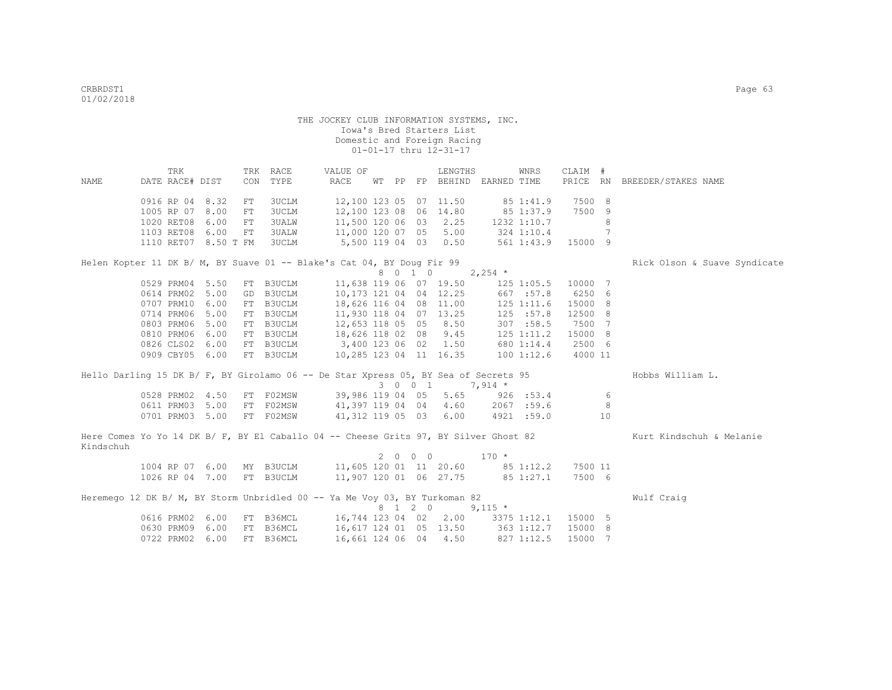|           | TRK                  |    | TRK RACE     | VALUE OF                                                                             |  |         | LENGTHS                |                                   | WNRS               | CLAIM # |    |                              |
|-----------|----------------------|----|--------------|--------------------------------------------------------------------------------------|--|---------|------------------------|-----------------------------------|--------------------|---------|----|------------------------------|
| NAME      | DATE RACE# DIST      |    | CON TYPE     | RACE                                                                                 |  |         |                        | WT PP FP BEHIND EARNED TIME       |                    |         |    | PRICE RN BREEDER/STAKES NAME |
|           | 0916 RP 04 8.32      | FT | 3UCLM        | 12,100 123 05 07 11.50                                                               |  |         |                        |                                   | 85 1:41.9          | 7500 8  |    |                              |
|           | 1005 RP 07 8.00      | FT | 3UCLM        | 12,100 123 08 06 14.80                                                               |  |         |                        | 85 1:37.9                         |                    | 7500 9  |    |                              |
|           | 1020 RET08 6.00      | FT | <b>3UALW</b> |                                                                                      |  |         |                        | 11,500 120 06 03 2.25 1232 1:10.7 |                    |         | 8  |                              |
|           | 1103 RET08 6.00      | FT | 3UALW        | 11,000 120 07 05 5.00                                                                |  |         |                        | 324 1:10.4                        |                    |         | 7  |                              |
|           | 1110 RET07 8.50 T FM |    | 3UCLM        | 5,500 119 04 03 0.50                                                                 |  |         |                        |                                   | 561 1:43.9 15000 9 |         |    |                              |
|           |                      |    |              | Helen Kopter 11 DK B/ M, BY Suave 01 -- Blake's Cat 04, BY Doug Fir 99               |  |         |                        |                                   |                    |         |    | Rick Olson & Suave Syndicate |
|           |                      |    |              |                                                                                      |  | 8 0 1 0 |                        | $2,254$ *                         |                    |         |    |                              |
|           | 0529 PRM04 5.50      |    | FT B3UCLM    |                                                                                      |  |         | 11,638 119 06 07 19.50 |                                   | 125 1:05.5         | 10000 7 |    |                              |
|           | 0614 PRM02 5.00      |    | GD B3UCLM    | 10,173 121 04 04 12.25                                                               |  |         |                        |                                   | 667 : 57.8         | 6250 6  |    |                              |
|           | 0707 PRM10 6.00      |    | FT B3UCLM    | 18,626 116 04 08 11.00                                                               |  |         |                        |                                   | $125$ $1:11.6$     | 15000 8 |    |                              |
|           | 0714 PRM06 5.00      |    | FT B3UCLM    | 11,930 118 04 07 13.25                                                               |  |         |                        |                                   | 125 : 57.8         | 12500 8 |    |                              |
|           | 0803 PRM06 5.00      |    | FT B3UCLM    | 12,653 118 05 05 8.50                                                                |  |         |                        |                                   | 307 : 58.5         | 7500 7  |    |                              |
|           | 0810 PRM06 6.00      |    | FT B3UCLM    | 18,626 118 02 08 9.45                                                                |  |         |                        |                                   | 125 1:11.2         | 15000 8 |    |                              |
|           | 0826 CLS02 6.00      |    | FT B3UCLM    | 3,400 123 06 02 1.50                                                                 |  |         |                        |                                   | 680 1:14.4         | 2500 6  |    |                              |
|           | 0909 CBY05 6.00      |    |              | FT B3UCLM 10,285 123 04 11 16.35                                                     |  |         |                        |                                   | $100$ $1:12.6$     | 4000 11 |    |                              |
|           |                      |    |              |                                                                                      |  |         |                        |                                   |                    |         |    |                              |
|           |                      |    |              | Hello Darling 15 DK B/ F, BY Girolamo 06 -- De Star Xpress 05, BY Sea of Secrets 95  |  |         |                        |                                   |                    |         |    | Hobbs William L.             |
|           |                      |    |              |                                                                                      |  |         | 3 0 0 1 7,914 *        |                                   |                    |         |    |                              |
|           | 0528 PRM02 4.50      |    |              | FT F02MSW 39,986 119 04 05 5.65                                                      |  |         |                        | 926 : 53.4                        |                    |         | 6  |                              |
|           | 0611 PRM03 5.00      |    |              | FT FO2MSW 41,397 119 04 04 4.60                                                      |  |         |                        |                                   | 2067 :59.6         |         | 8  |                              |
|           | 0701 PRM03 5.00      |    | FT F02MSW    | 41,312 119 05 03 6.00                                                                |  |         |                        |                                   | 4921 :59.0         |         | 10 |                              |
| Kindschuh |                      |    |              | Here Comes Yo Yo 14 DK B/ F, BY El Caballo 04 -- Cheese Grits 97, BY Silver Ghost 82 |  |         |                        |                                   |                    |         |    | Kurt Kindschuh & Melanie     |
|           |                      |    |              |                                                                                      |  | 2 0 0 0 |                        | $170$ *                           |                    |         |    |                              |
|           |                      |    |              | 1004 RP 07 6.00 MY B3UCLM 11,605 120 01 11 20.60 85 1:12.2                           |  |         |                        |                                   |                    | 7500 11 |    |                              |
|           | 1026 RP 04 7.00      |    | FT B3UCLM    | 11,907 120 01 06 27.75 85 1:27.1                                                     |  |         |                        |                                   |                    | 7500 6  |    |                              |
|           |                      |    |              | Heremego 12 DK B/ M, BY Storm Unbridled 00 -- Ya Me Voy 03, BY Turkoman 82           |  |         |                        |                                   |                    |         |    | Wulf Craig                   |
|           |                      |    |              |                                                                                      |  |         | 8 1 2 0 9,115 *        |                                   |                    |         |    |                              |
|           | 0616 PRM02 6.00      |    |              | FT B36MCL 16,744 123 04 02 2.00 3375 1:12.1                                          |  |         |                        |                                   |                    | 15000 5 |    |                              |
|           | 0630 PRM09 6.00      |    | FT B36MCL    | 16,617 124 01 05 13.50                                                               |  |         |                        | 363 1:12.7                        |                    | 15000 8 |    |                              |
|           | 0722 PRM02 6.00      |    | FT B36MCL    | 16,661 124 06 04 4.50                                                                |  |         |                        |                                   | 827 1:12.5         | 15000 7 |    |                              |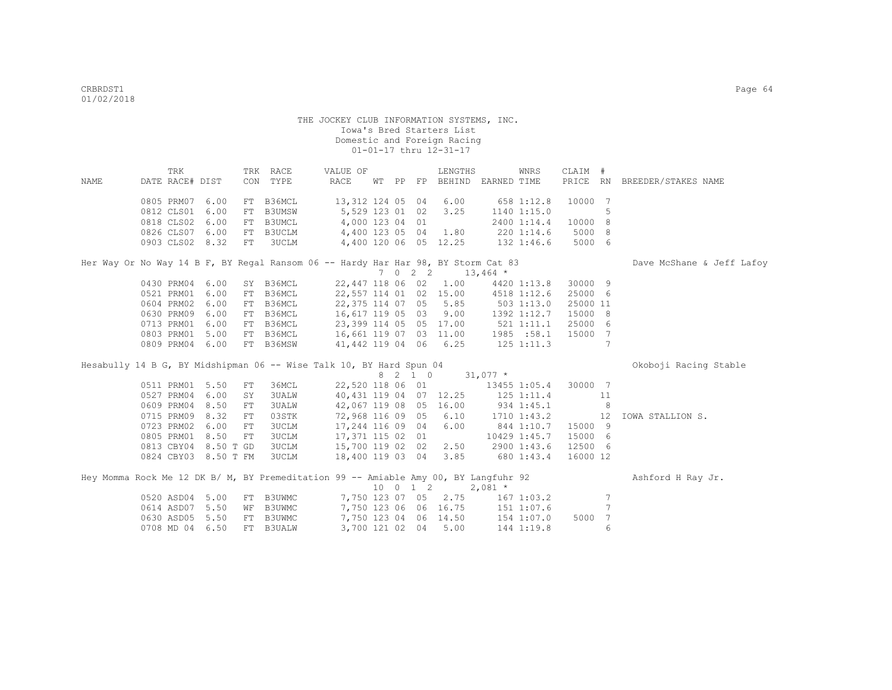| NAME | TRK<br>DATE RACE# DIST |      |    | TRK RACE<br>CON TYPE | VALUE OF<br>RACE                                                                    |  | LENGTHS                | WT PP FP BEHIND EARNED TIME                                          | WNRS         | CLAIM #  |                 | PRICE RN BREEDER/STAKES NAME |
|------|------------------------|------|----|----------------------|-------------------------------------------------------------------------------------|--|------------------------|----------------------------------------------------------------------|--------------|----------|-----------------|------------------------------|
|      |                        |      |    |                      |                                                                                     |  |                        |                                                                      |              |          |                 |                              |
|      | 0805 PRM07             | 6.00 |    | FT B36MCL            | 13,312 124 05 04 6.00                                                               |  |                        |                                                                      | 658 1:12.8   | 10000 7  |                 |                              |
|      | 0812 CLS01             | 6.00 |    | FT B3UMSW            | 5,529 123 01 02                                                                     |  | 3.25                   |                                                                      | 1140 1:15.0  |          | 5               |                              |
|      | 0818 CLS02             | 6.00 |    | FT B3UMCL            | 4,000 123 04 01                                                                     |  |                        |                                                                      | 2400 1:14.4  | 10000 8  |                 |                              |
|      | 0826 CLS07             | 6.00 |    |                      | FT B3UCLM 4,400 123 05 04 1.80                                                      |  |                        | 220 1:14.6                                                           |              | 5000 8   |                 |                              |
|      | 0903 CLS02 8.32        |      | FT | <b>3UCLM</b>         | 4,400 120 06 05 12.25 132 1:46.6                                                    |  |                        |                                                                      |              | 5000 6   |                 |                              |
|      |                        |      |    |                      | Her Way Or No Way 14 B F, BY Regal Ransom 06 -- Hardy Har Har 98, BY Storm Cat 83   |  |                        |                                                                      |              |          |                 | Dave McShane & Jeff Lafoy    |
|      |                        |      |    |                      |                                                                                     |  |                        | 7 0 2 2 13,464 $*$                                                   |              |          |                 |                              |
|      | 0430 PRM04 6.00        |      |    | SY B36MCL            |                                                                                     |  |                        | 22,447 118 06 02 1.00 4420 1:13.8                                    |              | 30000 9  |                 |                              |
|      | 0521 PRM01             | 6.00 |    | FT B36MCL            |                                                                                     |  |                        | 22,557 114 01 02 15.00 4518 1:12.6                                   |              | 25000 6  |                 |                              |
|      | 0604 PRM02             | 6.00 |    | FT B36MCL            |                                                                                     |  |                        | 22,375 114 07 05 5.85 503 1:13.0                                     |              | 25000 11 |                 |                              |
|      | 0630 PRM09             | 6.00 |    | FT B36MCL            |                                                                                     |  |                        | 16,617 119 05 03 9.00 1392 1:12.7                                    |              | 15000 8  |                 |                              |
|      | 0713 PRM01             | 6.00 |    | FT B36MCL            |                                                                                     |  |                        | 23,399 114 05 05 17.00 521 1:11.1                                    |              | 25000 6  |                 |                              |
|      | 0803 PRM01             | 5.00 |    |                      | FT B36MCL 16,661 119 07 03 11.00 1985 :58.1                                         |  |                        |                                                                      |              | 15000 7  |                 |                              |
|      | 0809 PRM04 6.00        |      |    | FT B36MSW            |                                                                                     |  |                        | 41,442 119 04 06 6.25 125 1:11.3                                     |              |          | $7\phantom{.0}$ |                              |
|      |                        |      |    |                      | Hesabully 14 B G, BY Midshipman 06 -- Wise Talk 10, BY Hard Spun 04                 |  |                        |                                                                      |              |          |                 | Okoboji Racing Stable        |
|      |                        |      |    |                      |                                                                                     |  |                        | 8 2 1 0 31,077 *                                                     |              |          |                 |                              |
|      | 0511 PRM01             | 5.50 | FT | 36MCL                |                                                                                     |  |                        | 22,520 118 06 01 13455 1:05.4                                        |              | 30000 7  |                 |                              |
|      | 0527 PRM04             | 6.00 | SY | <b>3UALW</b>         |                                                                                     |  |                        | 40, 431 119 04 07 12.25 125 1:11.4                                   |              |          | 11              |                              |
|      | 0609 PRM04             | 8.50 | FT | 3UALW                |                                                                                     |  | 42,067 119 08 05 16.00 | 934 1:45.1                                                           |              |          | 8               |                              |
|      | 0715 PRM09             | 8.32 | FT | 03STK                | 72,968 116 09 05                                                                    |  |                        | $6.10$ $1710$ $1:43.2$                                               |              | 12       |                 | IOWA STALLION S.             |
|      | 0723 PRM02             | 6.00 | FT | 3UCLM                | 17,244 116 09 04                                                                    |  | 6.00                   | 844 1:10.7                                                           |              | 15000 9  |                 |                              |
|      | 0805 PRM01             | 8.50 | FT | 3UCLM                | 17,371 115 02 01                                                                    |  |                        |                                                                      | 10429 1:45.7 | 15000 6  |                 |                              |
|      | 0813 CBY04 8.50 T GD   |      |    |                      | 3UCLM 15,700 119 02 02 2.50 2900 1:43.6                                             |  |                        |                                                                      |              | 12500 6  |                 |                              |
|      | 0824 CBY03 8.50 T FM   |      |    |                      | 3UCLM 18,400 119 03 04 3.85 680 1:43.4                                              |  |                        |                                                                      |              | 16000 12 |                 |                              |
|      |                        |      |    |                      |                                                                                     |  |                        |                                                                      |              |          |                 |                              |
|      |                        |      |    |                      | Hey Momma Rock Me 12 DK B/ M, BY Premeditation 99 -- Amiable Amy 00, BY Langfuhr 92 |  |                        |                                                                      |              |          |                 | Ashford H Ray Jr.            |
|      |                        |      |    |                      |                                                                                     |  |                        | $10 \t 0 \t 1 \t 2 \t 2,081 \t \star$                                |              |          |                 |                              |
|      | 0520 ASD04             | 5.00 |    | FT B3UWMC            |                                                                                     |  |                        | 7,750 123 07 05 2.75 167 1:03.2                                      |              |          | 7               |                              |
|      | 0614 ASD07             | 5.50 |    | WF B3UWMC            |                                                                                     |  |                        | 7,750 123 06 06 16.75 151 1:07.6<br>7,750 123 06 06 16.75 151 1:07.6 |              |          | 7               |                              |
|      | 0630 ASD05             | 5.50 |    | FT B3UWMC            |                                                                                     |  |                        |                                                                      |              | 5000 7   |                 |                              |
|      | 0708 MD 04 6.50        |      |    | FT B3UALW            | 3,700 121 02 04                                                                     |  | 5.00                   |                                                                      | 144 1:19.8   |          | 6               |                              |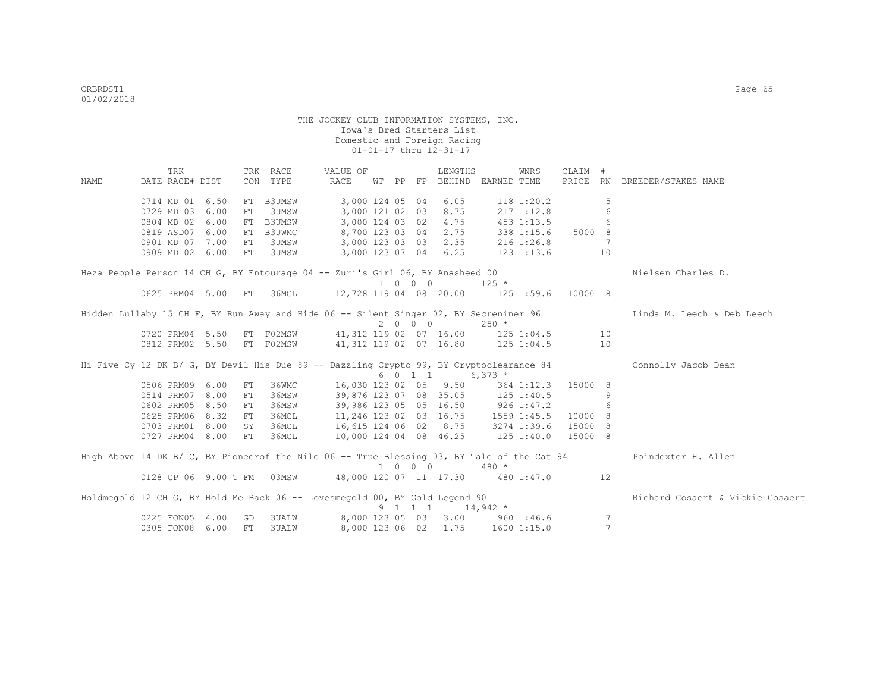|      | TRK                                                                                   |      |    | TRK RACE      | VALUE OF                                                     |  |                             | LENGTHS                                        |                  | WNRS              | CLAIM # |                 |                                                                                                                |
|------|---------------------------------------------------------------------------------------|------|----|---------------|--------------------------------------------------------------|--|-----------------------------|------------------------------------------------|------------------|-------------------|---------|-----------------|----------------------------------------------------------------------------------------------------------------|
| NAME | DATE RACE# DIST                                                                       |      |    | CON TYPE      | RACE                                                         |  |                             | WT PP FP BEHIND                                | EARNED TIME      |                   |         |                 | PRICE RN BREEDER/STAKES NAME                                                                                   |
|      | 0714 MD 01 6.50                                                                       |      | FT | <b>B3UMSW</b> | 3,000 124 05 04                                              |  |                             | 6.05                                           |                  | 118 1:20.2        |         | 5               |                                                                                                                |
|      | 0729 MD 03 6.00                                                                       |      | FT | <b>3UMSW</b>  | 3,000 121 02 03                                              |  |                             | 8.75                                           |                  | 2171:12.8         |         | 6               |                                                                                                                |
|      | 0804 MD 02 6.00                                                                       |      | FT | <b>B3UMSW</b> | 3,000 124 03 02                                              |  |                             | 4.75                                           |                  | 453 1:13.5        |         | 6               |                                                                                                                |
|      | 0819 ASD07 6.00                                                                       |      | FT | B3UWMC        | 8,700 123 03 04                                              |  |                             | 2.75                                           |                  | 338 1:15.6 5000 8 |         |                 |                                                                                                                |
|      | 0901 MD 07 7.00                                                                       |      | FT | 3UMSW         | 3,000 123 03 03                                              |  |                             |                                                |                  | 2.35 216 1:26.8   |         | $7\phantom{.0}$ |                                                                                                                |
|      | 0909 MD 02 6.00                                                                       |      | FT | 3UMSW         |                                                              |  |                             | 3,000 123 07 04 6.25                           | 123 1:13.6       |                   |         | 10              |                                                                                                                |
|      | Heza People Person 14 CH G, BY Entourage 04 -- Zuri's Girl 06, BY Anasheed 00         |      |    |               |                                                              |  |                             |                                                |                  |                   |         |                 | Nielsen Charles D.                                                                                             |
|      |                                                                                       |      |    |               |                                                              |  | 1 0 0 0                     |                                                | $125$ *          |                   |         |                 |                                                                                                                |
|      | 0625 PRM04 5.00                                                                       |      | FT | 36MCL         | 12,728 119 04 08 20.00                                       |  |                             |                                                |                  | $125$ :59.6       | 10000 8 |                 |                                                                                                                |
|      | Hidden Lullaby 15 CH F, BY Run Away and Hide 06 -- Silent Singer 02, BY Secreniner 96 |      |    |               |                                                              |  |                             |                                                |                  |                   |         |                 | Linda M. Leech & Deb Leech                                                                                     |
|      |                                                                                       |      |    |               |                                                              |  | 2 0 0 0                     |                                                | $250 *$          |                   |         |                 |                                                                                                                |
|      | 0720 PRM04 5.50                                                                       |      |    | FT F02MSW     | 41, 312 119 02 07 16.00 125 1:04.5                           |  |                             |                                                |                  |                   |         | 10              |                                                                                                                |
|      | 0812 PRM02 5.50                                                                       |      |    | FT F02MSW     | 41,312 119 02 07 16.80 125 1:04.5                            |  |                             |                                                |                  |                   |         | 10              |                                                                                                                |
|      |                                                                                       |      |    |               |                                                              |  |                             |                                                |                  |                   |         |                 | Hi Five Cy 12 DK B/ G, BY Devil His Due 89 -- Dazzling Crypto 99, BY Cryptoclearance 84 Connolly Jacob Dean    |
|      |                                                                                       |      |    |               |                                                              |  |                             | 6 0 1 1                                        | $6,373$ *        |                   |         |                 |                                                                                                                |
|      | 0506 PRM09 6.00                                                                       |      | FT | 36WMC         |                                                              |  |                             | 16,030 123 02 05 9.50                          |                  | 364 1:12.3        | 15000 8 |                 |                                                                                                                |
|      | 0514 PRM07 8.00                                                                       |      | FT | 36MSW         |                                                              |  |                             | 39,876 123 07 08 35.05 125 1:40.5              |                  |                   |         | 9               |                                                                                                                |
|      | 0602 PRM05                                                                            | 8.50 | FT | 36MSW         |                                                              |  |                             | 39,986 123 05 05 16.50 926 1:47.2              |                  |                   |         | 6               |                                                                                                                |
|      | 0625 PRM06                                                                            | 8.32 | FT | 36MCL         |                                                              |  |                             | 11, 246 123 02 03 16.75 1559 1:45.5            |                  |                   | 10000 8 |                 |                                                                                                                |
|      | 0703 PRM01 8.00                                                                       |      | SY | 36MCL         |                                                              |  |                             | 16,615 124 06 02 8.75 3274 1:39.6              |                  |                   | 15000 8 |                 |                                                                                                                |
|      | 0727 PRM04 8.00                                                                       |      | FT | 36MCL         | 10,000 124 04 08 46.25                                       |  |                             |                                                | $125$ $1:40.0$   |                   | 15000 8 |                 |                                                                                                                |
|      |                                                                                       |      |    |               |                                                              |  |                             |                                                |                  |                   |         |                 | High Above 14 DK B/ C, BY Pioneerof the Nile 06 -- True Blessing 03, BY Tale of the Cat 94 Poindexter H. Allen |
|      |                                                                                       |      |    |               |                                                              |  | $1 \quad 0 \quad 0 \quad 0$ |                                                | $480 *$          |                   |         |                 |                                                                                                                |
|      |                                                                                       |      |    |               | 0128 GP 06 9.00 T FM 03MSW 48,000 120 07 11 17.30 480 1:47.0 |  |                             |                                                |                  |                   |         | 12              |                                                                                                                |
|      | Holdmegold 12 CH G, BY Hold Me Back 06 -- Lovesmegold 00, BY Gold Legend 90           |      |    |               |                                                              |  |                             | $9 \quad 1 \quad 1 \quad 1 \quad 14,942 \star$ |                  |                   |         |                 | Richard Cosaert & Vickie Cosaert                                                                               |
|      | 0225 FON05 4.00                                                                       |      | GD | <b>3UALW</b>  | 8,000 123 05 03                                              |  |                             |                                                | $3.00$ 960 :46.6 |                   |         | 7               |                                                                                                                |
|      | 0305 FON08 6.00                                                                       |      | FT | <b>3UALW</b>  |                                                              |  |                             | 8,000 123 06 02 1.75 1600 1:15.0               |                  |                   |         | $7\phantom{.0}$ |                                                                                                                |
|      |                                                                                       |      |    |               |                                                              |  |                             |                                                |                  |                   |         |                 |                                                                                                                |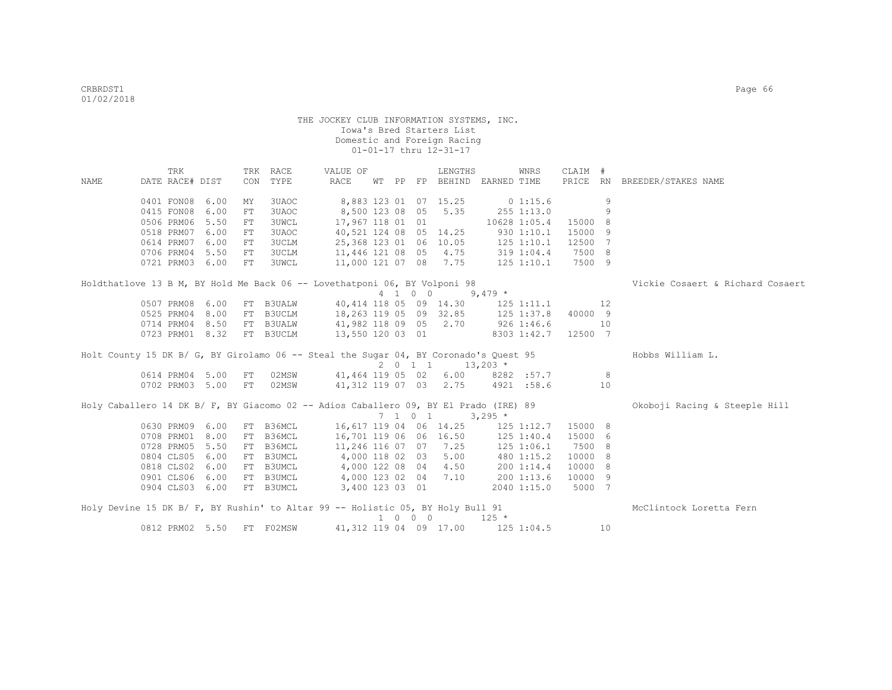|      | TRK             |                    |     | TRK RACE     | VALUE OF                                                                             |  |         | LENGTHS                               |                | WNRS           | CLAIM # |    |                                  |
|------|-----------------|--------------------|-----|--------------|--------------------------------------------------------------------------------------|--|---------|---------------------------------------|----------------|----------------|---------|----|----------------------------------|
| NAME | DATE RACE# DIST |                    | CON | TYPE         | RACE                                                                                 |  |         | WT PP FP BEHIND EARNED TIME           |                |                |         |    | PRICE RN BREEDER/STAKES NAME     |
|      | 0401 FON08      | 6.00               | MY  | 3UAOC        |                                                                                      |  |         | 8,883 123 01 07 15.25                 |                | 0 1:15.6       |         | 9  |                                  |
|      | 0415 FON08      | 6.00               | FT  | 3UAOC        | 8,500 123 08 05                                                                      |  |         | 5.35                                  |                | $255$ $1:13.0$ |         | 9  |                                  |
|      | 0506 PRM06      | 5.50               | FT  | <b>3UWCL</b> | 17,967 118 01 01                                                                     |  |         |                                       |                | 10628 1:05.4   | 15000 8 |    |                                  |
|      | 0518 PRM07      | 6.00               | FT  | 3UAOC        | 40,521 124 08 05 14.25                                                               |  |         |                                       |                | 930 1:10.1     | 15000 9 |    |                                  |
|      | 0614 PRM07      | 6.00               | FT  | 3UCLM        | 25,368 123 01 06                                                                     |  |         | 10.05                                 |                | $125$ $1:10.1$ | 12500 7 |    |                                  |
|      | 0706 PRM04      | 5.50               | FT  | 3UCLM        | 11,446 121 08 05                                                                     |  |         | 4.75                                  |                | 319 1:04.4     | 7500 8  |    |                                  |
|      | 0721 PRM03      | 6.00               | FT  | 3UWCL        |                                                                                      |  |         | 11,000 121 07 08 7.75                 |                | 125 1:10.1     | 7500 9  |    |                                  |
|      |                 |                    |     |              | Holdthatlove 13 B M, BY Hold Me Back 06 -- Lovethatponi 06, BY Volponi 98            |  |         |                                       |                |                |         |    | Vickie Cosaert & Richard Cosaert |
|      |                 |                    |     |              |                                                                                      |  |         | 4 1 0 0 9,479 *                       |                |                |         |    |                                  |
|      | 0507 PRM08 6.00 |                    |     | FT B3UALW    |                                                                                      |  |         | 40,414 118 05 09 14.30 125 1:11.1     |                |                |         | 12 |                                  |
|      | 0525 PRM04 8.00 |                    |     | FT B3UCLM    |                                                                                      |  |         | 18,263 119 05 09 32.85 125 1:37.8     |                |                | 40000 9 |    |                                  |
|      | 0714 PRM04 8.50 |                    |     | FT B3UALW    | 41,982 118 09 05 2.70                                                                |  |         |                                       |                | 926 1:46.6     |         | 10 |                                  |
|      | 0723 PRM01 8.32 |                    |     | FT B3UCLM    | 13,550 120 03 01                                                                     |  |         |                                       |                | 8303 1:42.7    | 12500 7 |    |                                  |
|      |                 |                    |     |              | Holt County 15 DK B/ G, BY Girolamo 06 -- Steal the Sugar 04, BY Coronado's Quest 95 |  |         |                                       |                |                |         |    | Hobbs William L.                 |
|      |                 |                    |     |              |                                                                                      |  |         | $2 \t 0 \t 1 \t 1 \t 13,203 \t \star$ |                |                |         |    |                                  |
|      | 0614 PRM04 5.00 |                    | FT  | 02MSW        | 41,464 119 05 02 6.00 8282 :57.7                                                     |  |         |                                       |                |                |         | -8 |                                  |
|      |                 | 0702 PRM03 5.00 FT |     | 02MSW        | 41,312 119 07 03 2.75 4921 :58.6                                                     |  |         |                                       |                |                |         | 10 |                                  |
|      |                 |                    |     |              | Holy Caballero 14 DK B/ F, BY Giacomo 02 -- Adios Caballero 09, BY El Prado (IRE) 89 |  |         |                                       |                |                |         |    | Okoboji Racing & Steeple Hill    |
|      |                 |                    |     |              |                                                                                      |  | 7 1 0 1 |                                       | $3,295$ *      |                |         |    |                                  |
|      | 0630 PRM09 6.00 |                    |     | FT B36MCL    | 16,617 119 04 06 14.25                                                               |  |         |                                       |                | $125$ $1:12.7$ | 15000 8 |    |                                  |
|      | 0708 PRM01 8.00 |                    |     | FT B36MCL    | 16,701 119 06 06 16.50                                                               |  |         |                                       |                | 125 1:40.4     | 15000 6 |    |                                  |
|      | 0728 PRM05      | 5.50               |     | FT B36MCL    | 11,246 116 07 07 7.25                                                                |  |         |                                       |                | $125$ $1:06.1$ | 7500 8  |    |                                  |
|      | 0804 CLS05 6.00 |                    |     | FT B3UMCL    | 4,000 118 02 03                                                                      |  |         | 5.00                                  |                | 480 1:15.2     | 10000 8 |    |                                  |
|      | 0818 CLS02 6.00 |                    |     | FT B3UMCL    | 4,000 122 08 04 4.50                                                                 |  |         |                                       |                | 200 1:14.4     | 10000 8 |    |                                  |
|      | 0901 CLS06 6.00 |                    |     | FT B3UMCL    | 4,000 123 02 04 7.10                                                                 |  |         |                                       |                | 200 1:13.6     | 10000 9 |    |                                  |
|      | 0904 CLS03 6.00 |                    |     | FT B3UMCL    | 3,400 123 03 01                                                                      |  |         |                                       |                | 2040 1:15.0    | 5000 7  |    |                                  |
|      |                 |                    |     |              | Holy Devine 15 DK B/ F, BY Rushin' to Altar 99 -- Holistic 05, BY Holy Bull 91       |  |         |                                       |                |                |         |    | McClintock Loretta Fern          |
|      |                 |                    |     |              |                                                                                      |  | 1 0 0 0 |                                       | $125 *$        |                |         |    |                                  |
|      | 0812 PRM02 5.50 |                    |     | FT F02MSW    |                                                                                      |  |         | 41,312 119 04 09 17.00                | $125$ $1:04.5$ |                |         | 10 |                                  |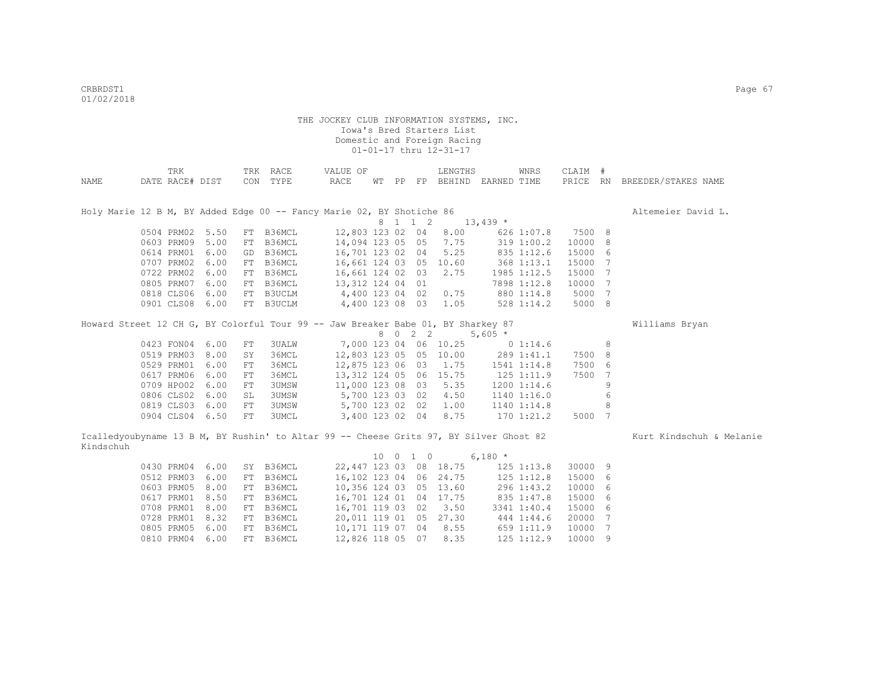|           | TRK             |      |    | TRK RACE                                                                               | VALUE OF         |  |          | LENGTHS                 |                                    | WNRS           | CLAIM # |     |                              |
|-----------|-----------------|------|----|----------------------------------------------------------------------------------------|------------------|--|----------|-------------------------|------------------------------------|----------------|---------|-----|------------------------------|
| NAME      | DATE RACE# DIST |      |    | CON TYPE                                                                               | RACE             |  |          |                         | WT PP FP BEHIND EARNED TIME        |                |         |     | PRICE RN BREEDER/STAKES NAME |
|           |                 |      |    |                                                                                        |                  |  |          |                         |                                    |                |         |     |                              |
|           |                 |      |    |                                                                                        |                  |  |          |                         |                                    |                |         |     |                              |
|           |                 |      |    | Holy Marie 12 B M, BY Added Edge 00 -- Fancy Marie 02, BY Shotiche 86                  |                  |  |          |                         |                                    |                |         |     | Altemeier David L.           |
|           |                 |      |    |                                                                                        |                  |  | 8 1 1 2  |                         | $13,439$ *                         |                |         |     |                              |
|           | 0504 PRM02      | 5.50 |    | FT B36MCL                                                                              | 12,803 123 02 04 |  |          | 8.00                    |                                    | 626 1:07.8     | 7500 8  |     |                              |
|           | 0603 PRM09      | 5.00 |    | FT B36MCL                                                                              | 14,094 123 05 05 |  |          | 7.75                    |                                    | 319 1:00.2     | 10000 8 |     |                              |
|           | 0614 PRM01      | 6.00 |    | GD B36MCL                                                                              | 16,701 123 02 04 |  |          | 5.25                    |                                    | 835 1:12.6     | 15000   | -6  |                              |
|           | 0707 PRM02      | 6.00 |    | FT B36MCL                                                                              | 16,661 124 03 05 |  |          | 10.60                   | 368 1:13.1                         |                | 15000   | - 7 |                              |
|           | 0722 PRM02      | 6.00 |    | FT B36MCL                                                                              | 16,661 124 02 03 |  |          | 2.75                    |                                    | 1985 1:12.5    | 15000   | 7   |                              |
|           | 0805 PRM07      | 6.00 |    | FT B36MCL                                                                              | 13,312 124 04 01 |  |          |                         |                                    | 7898 1:12.8    | 10000   | 7   |                              |
|           | 0818 CLS06      | 6.00 |    | FT B3UCLM                                                                              | 4,400 123 04 02  |  |          | 0.75                    | 880 1:14.8                         |                | 5000 7  |     |                              |
|           | 0901 CLS08 6.00 |      |    | FT B3UCLM                                                                              | 4,400 123 08 03  |  |          | 1.05                    |                                    | $528$ 1:14.2   | 5000 8  |     |                              |
|           |                 |      |    | Howard Street 12 CH G, BY Colorful Tour 99 -- Jaw Breaker Babe 01, BY Sharkey 87       |                  |  |          |                         |                                    |                |         |     | Williams Bryan               |
|           |                 |      |    |                                                                                        |                  |  | 8 0 2 2  |                         | $5,605$ *                          |                |         |     |                              |
|           | 0423 FON04      | 6.00 | FT | <b>3UALW</b>                                                                           |                  |  |          | 7,000 123 04 06 10.25   |                                    | 0 1:14.6       |         | 8   |                              |
|           | 0519 PRM03      | 8.00 | SY | 36MCL                                                                                  |                  |  |          | 12,803 123 05 05 10.00  | 289 1:41.1                         |                | 7500    | 8   |                              |
|           | 0529 PRM01      | 6.00 | FT | 36MCL                                                                                  | 12,875 123 06 03 |  |          | 1.75                    | 1541 1:14.8                        |                | 7500    | 6   |                              |
|           | 0617 PRM06      | 6.00 | FT | 36MCL                                                                                  |                  |  |          | 13, 312 124 05 06 15.75 | 125 1:11.9                         |                | 7500    | 7   |                              |
|           | 0709 HPO02      | 6.00 | FT | 3UMSW                                                                                  | 11,000 123 08 03 |  |          | 5.35                    |                                    | 1200 1:14.6    |         | 9   |                              |
|           | 0806 CLS02      | 6.00 | SL | 3UMSW                                                                                  | 5,700 123 03 02  |  |          | 4.50                    |                                    | 1140 1:16.0    |         | 6   |                              |
|           | 0819 CLS03      | 6.00 | FT | 3UMSW                                                                                  | 5,700 123 02 02  |  |          | 1.00                    | 1140 1:14.8                        |                |         | 8   |                              |
|           | 0904 CLS04 6.50 |      | FT | 3UMCL                                                                                  | 3,400 123 02 04  |  |          | 8.75                    | 170 1:21.2                         |                | 5000 7  |     |                              |
|           |                 |      |    | Icalledyoubyname 13 B M, BY Rushin' to Altar 99 -- Cheese Grits 97, BY Silver Ghost 82 |                  |  |          |                         |                                    |                |         |     | Kurt Kindschuh & Melanie     |
| Kindschuh |                 |      |    |                                                                                        |                  |  |          |                         |                                    |                |         |     |                              |
|           |                 |      |    |                                                                                        |                  |  | 10 0 1 0 |                         | $6,180*$                           |                |         |     |                              |
|           | 0430 PRM04      | 6.00 |    | SY B36MCL                                                                              |                  |  |          |                         | 22, 447 123 03 08 18.75 125 1:13.8 |                | 30000 9 |     |                              |
|           | 0512 PRM03      | 6.00 |    | FT B36MCL                                                                              |                  |  |          | 16,102 123 04 06 24.75  |                                    | $125$ $1:12.8$ | 15000 6 |     |                              |
|           | 0603 PRM05      | 8.00 |    | FT B36MCL                                                                              | 10,356 124 03 05 |  |          | 13.60                   |                                    | 296 1:43.2     | 10000 6 |     |                              |
|           | 0617 PRM01      | 8.50 |    | FT B36MCL                                                                              | 16,701 124 01 04 |  |          | 17.75                   | 835 1:47.8                         |                | 15000 6 |     |                              |
|           | 0708 PRM01      | 8.00 |    | FT B36MCL                                                                              | 16,701 119 03 02 |  |          | 3.50                    |                                    | 3341 1:40.4    | 15000   | -6  |                              |
|           | 0728 PRM01      | 8.32 |    | FT B36MCL                                                                              | 20,011 119 01 05 |  |          | 27.30                   | 444 1:44.6                         |                | 20000   | 7   |                              |
|           | 0805 PRM05      | 6.00 |    | FT B36MCL                                                                              | 10,171 119 07 04 |  |          | 8.55                    | 659 1:11.9                         |                | 10000   | 7   |                              |
|           | 0810 PRM04      | 6.00 |    | FT B36MCL                                                                              | 12,826 118 05 07 |  |          | 8.35                    |                                    | $125$ $1:12.9$ | 10000 9 |     |                              |
|           |                 |      |    |                                                                                        |                  |  |          |                         |                                    |                |         |     |                              |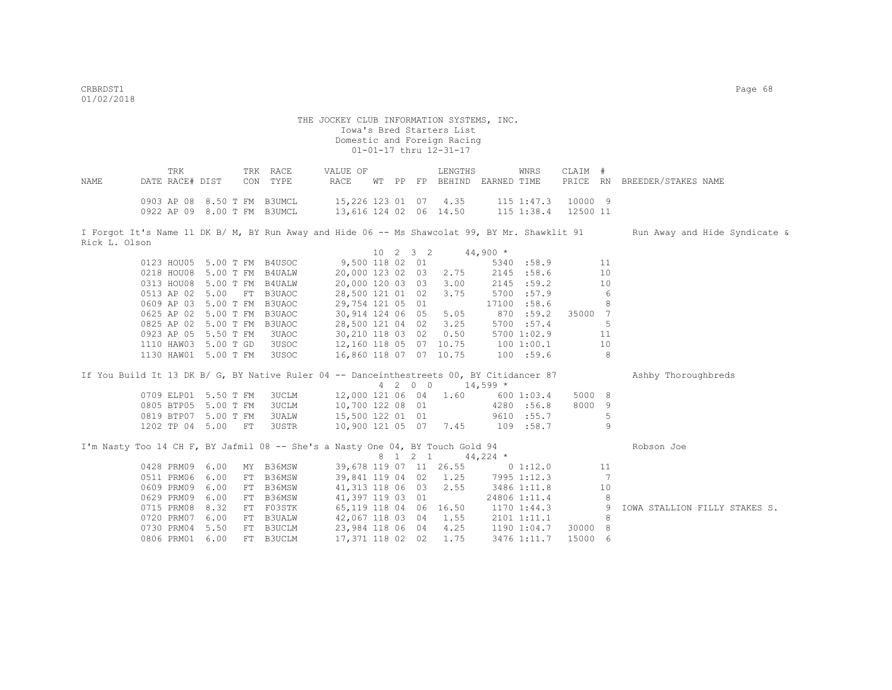| NAME          | TRK<br>DATE RACE# DIST |                                                            | TRK RACE<br>CON TYPE                                                                          | VALUE OF<br>RACE                                |  |          | LENGTHS<br>WT PP FP BEHIND EARNED TIME |             | WNRS                              | CLAIM # |    | PRICE RN BREEDER/STAKES NAME  |
|---------------|------------------------|------------------------------------------------------------|-----------------------------------------------------------------------------------------------|-------------------------------------------------|--|----------|----------------------------------------|-------------|-----------------------------------|---------|----|-------------------------------|
|               |                        | 0903 AP 08 8.50 T FM B3UMCL<br>0922 AP 09 8.00 T FM B3UMCL |                                                                                               | 15,226 123 01 07 4.35<br>13,616 124 02 06 14.50 |  |          |                                        |             | 115 1:47.3<br>115 1:38.4 12500 11 | 10000 9 |    |                               |
| Rick L. Olson |                        |                                                            | I Forgot It's Name 11 DK B/ M, BY Run Away and Hide 06 -- Ms Shawcolat 99, BY Mr. Shawklit 91 |                                                 |  |          |                                        |             |                                   |         |    | Run Away and Hide Syndicate & |
|               |                        |                                                            |                                                                                               |                                                 |  | 10 2 3 2 |                                        | $44,900$ *  |                                   |         |    |                               |
|               |                        | 0123 HOU05 5.00 T FM B4USOC                                |                                                                                               | 9,500 118 02 01                                 |  |          |                                        |             | 5340 :58.9                        |         | 11 |                               |
|               |                        | 0218 HOU08 5.00 T FM B4UALW                                |                                                                                               | 20,000 123 02 03                                |  |          | 2.75                                   |             | 2145 : 58.6                       |         | 10 |                               |
|               |                        | 0313 HOU08 5.00 T FM B4UALW                                |                                                                                               | 20,000 120 03 03                                |  |          | 3.00                                   |             | 2145 : 59.2                       |         | 10 |                               |
|               |                        | 0513 AP 02 5.00 FT B3UAOC                                  |                                                                                               | 28,500 121 01 02                                |  |          | 3.75                                   |             | 5700 :57.9                        |         | 6  |                               |
|               |                        | 0609 AP 03 5.00 T FM B3UAOC                                |                                                                                               | 29,754 121 05 01                                |  |          |                                        |             | 17100 :58.6                       |         | 8  |                               |
|               |                        | 0625 AP 02 5.00 T FM B3UAOC                                |                                                                                               | 30,914 124 06 05                                |  |          | 5.05                                   |             | 870 :59.2                         | 35000 7 |    |                               |
|               |                        | 0825 AP 02 5.00 T FM B3UAOC                                |                                                                                               | 28,500 121 04 02                                |  |          | 3.25                                   |             | 5700 :57.4                        |         | 5  |                               |
|               |                        | 0923 AP 05 5.50 T FM                                       | 3UAOC                                                                                         | 30,210 118 03 02                                |  |          | 0.50                                   |             | 5700 1:02.9                       |         | 11 |                               |
|               |                        | 1110 HAW03 5.00 T GD                                       | 3USOC                                                                                         | 12,160 118 05 07 10.75                          |  |          |                                        |             | 100 1:00.1                        |         | 10 |                               |
|               |                        | 1130 HAW01 5.00 T FM                                       | 3USOC                                                                                         | 16,860 118 07 07 10.75                          |  |          |                                        |             | 100 : 59.6                        |         | 8  |                               |
|               |                        |                                                            | If You Build It 13 DK B/ G, BY Native Ruler 04 -- Danceinthestreets 00, BY Citidancer 87      |                                                 |  |          |                                        |             |                                   |         |    | Ashby Thoroughbreds           |
|               |                        |                                                            |                                                                                               |                                                 |  | 4 2 0 0  | $14,599$ *                             |             |                                   |         |    |                               |
|               |                        | 0709 ELP01 5.50 T FM                                       | 3UCLM                                                                                         | 12,000 121 06 04                                |  |          | 1.60                                   |             | 600 1:03.4                        | 5000 8  |    |                               |
|               |                        | 0805 BTP05 5.00 T FM                                       | <b>3UCLM</b>                                                                                  | 10,700 122 08 01                                |  |          |                                        |             | 4280 :56.8                        | 8000 9  |    |                               |
|               |                        | 0819 BTP07 5.00 T FM                                       | <b>3UALW</b>                                                                                  | 15,500 122 01 01                                |  |          |                                        |             | 9610 :55.7                        |         | 5  |                               |
|               |                        | 1202 TP 04 5.00 FT                                         | 3USTR                                                                                         | 10,900 121 05 07 7.45                           |  |          |                                        | $109$ :58.7 |                                   |         | 9  |                               |
|               |                        |                                                            | I'm Nasty Too 14 CH F, BY Jafmil 08 -- She's a Nasty One 04, BY Touch Gold 94                 |                                                 |  |          |                                        |             |                                   |         |    | Robson Joe                    |
|               |                        |                                                            |                                                                                               |                                                 |  |          | 8 1 2 1 44,224 *                       |             |                                   |         |    |                               |
|               | 0428 PRM09 6.00        |                                                            | MY B36MSW                                                                                     |                                                 |  |          | 39,678 119 07 11 26.55 0 1:12.0        |             |                                   |         | 11 |                               |
|               | 0511 PRM06 6.00        |                                                            | FT B36MSW                                                                                     | 39,841 119 04 02 1.25                           |  |          |                                        |             | 7995 1:12.3                       |         | 7  |                               |
|               | 0609 PRM09 6.00        |                                                            | FT B36MSW                                                                                     | 41,313 118 06 03                                |  |          | 2.55                                   |             | 3486 1:11.8                       |         | 10 |                               |
|               | 0629 PRM09 6.00        |                                                            | FT B36MSW                                                                                     | 41,397 119 03 01                                |  |          |                                        |             | 24806 1:11.4                      |         | 8  |                               |
|               | 0715 PRM08 8.32        |                                                            | FT F03STK                                                                                     | 65,119 118 04 06 16.50                          |  |          |                                        |             | 1170 1:44.3                       |         | 9  | IOWA STALLION FILLY STAKES S. |
|               | 0720 PRM07 6.00        |                                                            | FT B3UALW                                                                                     | 42,067 118 03 04 1.55                           |  |          |                                        |             | 2101 1:11.1                       |         | 8  |                               |
|               | 0730 PRM04 5.50        |                                                            | FT B3UCLM                                                                                     | 23,984 118 06 04                                |  |          | 4.25                                   |             | 1190 1:04.7                       | 30000 8 |    |                               |
|               | 0806 PRM01 6.00        |                                                            | FT B3UCLM                                                                                     | 17,371 118 02 02                                |  |          | 1.75                                   |             | 3476 1:11.7                       | 15000 6 |    |                               |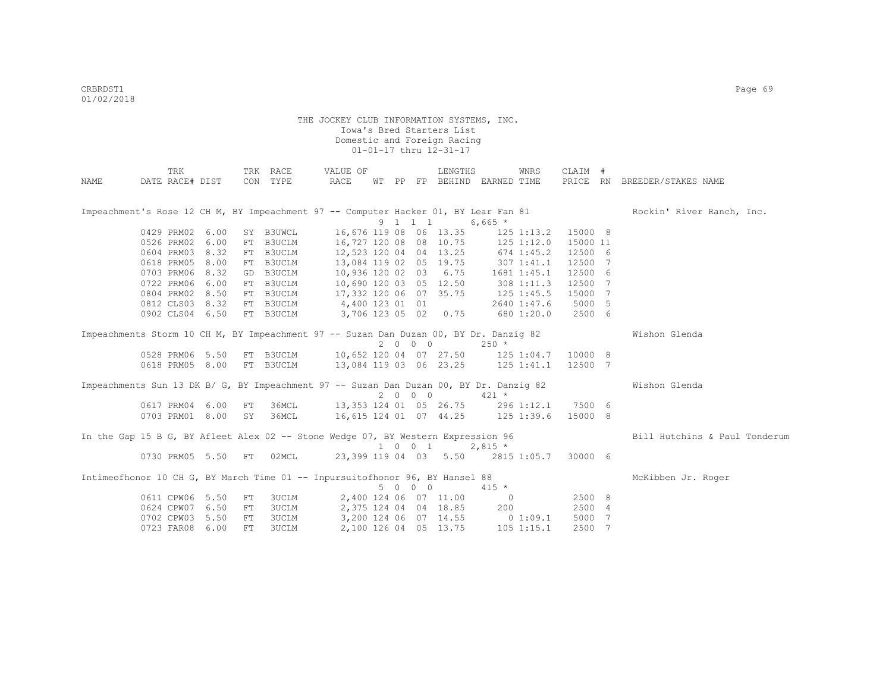|                                                                                        | TRK             |                 |    | TRK RACE                         | VALUE OF               |  |         | LENGTHS                |                                   | WNRS           | CLAIM #  |                               |
|----------------------------------------------------------------------------------------|-----------------|-----------------|----|----------------------------------|------------------------|--|---------|------------------------|-----------------------------------|----------------|----------|-------------------------------|
| NAME                                                                                   | DATE RACE# DIST |                 |    | CON TYPE                         | <b>RACE</b>            |  |         |                        | WT PP FP BEHIND EARNED TIME       |                |          | PRICE RN BREEDER/STAKES NAME  |
| Impeachment's Rose 12 CH M, BY Impeachment 97 -- Computer Hacker 01, BY Lear Fan 81    |                 |                 |    |                                  |                        |  |         |                        |                                   |                |          | Rockin' River Ranch, Inc.     |
|                                                                                        |                 |                 |    |                                  |                        |  | 9 1 1 1 |                        | $6,665$ *                         |                |          |                               |
|                                                                                        | 0429 PRM02 6.00 |                 |    | SY B3UWCL                        |                        |  |         | 16,676 119 08 06 13.35 |                                   | $125$ $1:13.2$ | 15000 8  |                               |
|                                                                                        | 0526 PRM02 6.00 |                 |    | FT B3UCLM                        | 16,727 120 08 08 10.75 |  |         |                        |                                   | $125$ $1:12.0$ | 15000 11 |                               |
|                                                                                        |                 | 0604 PRM03 8.32 |    | FT B3UCLM                        | 12,523 120 04 04 13.25 |  |         |                        |                                   | $674$ 1:45.2   | 12500 6  |                               |
|                                                                                        | 0618 PRM05 8.00 |                 |    | FT B3UCLM                        | 13,084 119 02 05 19.75 |  |         |                        | $307$ $1:41.1$                    |                | 12500 7  |                               |
|                                                                                        |                 | 0703 PRM06 8.32 |    | GD B3UCLM                        | 10,936 120 02 03 6.75  |  |         |                        | 1681 1:45.1                       |                | 12500 6  |                               |
|                                                                                        |                 | 0722 PRM06 6.00 |    | FT B3UCLM                        | 10,690 120 03 05 12.50 |  |         |                        |                                   | $308$ 1:11.3   | 12500 7  |                               |
|                                                                                        | 0804 PRM02 8.50 |                 |    | FT B3UCLM                        | 17,332 120 06 07 35.75 |  |         |                        | $125$ $1:45.5$                    |                | 15000 7  |                               |
|                                                                                        |                 | 0812 CLS03 8.32 |    | FT B3UCLM                        | 4,400 123 01 01        |  |         |                        |                                   | 2640 1:47.6    | 5000 5   |                               |
|                                                                                        |                 | 0902 CLS04 6.50 |    | FT B3UCLM                        | 3,706 123 05 02 0.75   |  |         |                        |                                   | 680 1:20.0     | 2500 6   |                               |
| Impeachments Storm 10 CH M, BY Impeachment 97 -- Suzan Dan Duzan 00, BY Dr. Danziq 82  |                 |                 |    |                                  |                        |  |         |                        |                                   |                |          | Wishon Glenda                 |
|                                                                                        |                 |                 |    |                                  |                        |  | 2000    |                        | $250 *$                           |                |          |                               |
|                                                                                        |                 | 0528 PRM06 5.50 |    | FT B3UCLM 10,652 120 04 07 27.50 |                        |  |         |                        | 125 1:04.7                        |                | 10000 8  |                               |
|                                                                                        |                 | 0618 PRM05 8.00 |    | FT B3UCLM                        | 13,084 119 03 06 23.25 |  |         |                        |                                   | 125 1:41.1     | 12500 7  |                               |
| Impeachments Sun 13 DK B/ G, BY Impeachment 97 -- Suzan Dan Duzan 00, BY Dr. Danziq 82 |                 |                 |    |                                  |                        |  |         |                        |                                   |                |          | Wishon Glenda                 |
|                                                                                        |                 |                 |    |                                  |                        |  | 2000    |                        | $421 *$                           |                |          |                               |
|                                                                                        | 0617 PRM04 6.00 |                 | FT | 36MCL                            | 13,353 124 01 05 26.75 |  |         |                        | 296 1:12.1                        |                | 7500 6   |                               |
|                                                                                        |                 | 0703 PRM01 8.00 | SY | 36MCL                            | 16,615 124 01 07 44.25 |  |         |                        | 125 1:39.6                        |                | 15000 8  |                               |
| In the Gap 15 B G, BY Afleet Alex 02 -- Stone Wedge 07, BY Western Expression 96       |                 |                 |    |                                  |                        |  |         |                        |                                   |                |          | Bill Hutchins & Paul Tonderum |
|                                                                                        |                 |                 |    |                                  |                        |  | 1 0 0 1 |                        | $2,815$ *                         |                |          |                               |
|                                                                                        |                 | 0730 PRM05 5.50 | FT | 02MCL                            |                        |  |         |                        | 23,399 119 04 03 5.50 2815 1:05.7 |                | 30000 6  |                               |
| Intimeofhonor 10 CH G, BY March Time 01 -- Inpursuitofhonor 96, BY Hansel 88           |                 |                 |    |                                  |                        |  |         |                        |                                   |                |          | McKibben Jr. Roger            |
|                                                                                        |                 |                 |    |                                  |                        |  | 5 0 0 0 |                        | $415 *$                           |                |          |                               |
|                                                                                        | 0611 CPW06 5.50 |                 | FT | <b>3UCLM</b>                     |                        |  |         | 2,400 124 06 07 11.00  | $\sim$ 0                          |                | 2500 8   |                               |
|                                                                                        | 0624 CPW07 6.50 |                 | FT | <b>3UCLM</b>                     |                        |  |         | 2,375 124 04 04 18.85  | 200                               |                | 2500 4   |                               |
|                                                                                        | 0702 CPW03      | 5.50            | FT | 3UCLM                            |                        |  |         |                        | 3,200 124 06 07 14.55 0 1:09.1    |                | 5000 7   |                               |
|                                                                                        | 0723 FAR08      | 6.00            | FT | 3UCLM                            |                        |  |         | 2,100 126 04 05 13.75  |                                   | $105$ $1:15.1$ | 2500 7   |                               |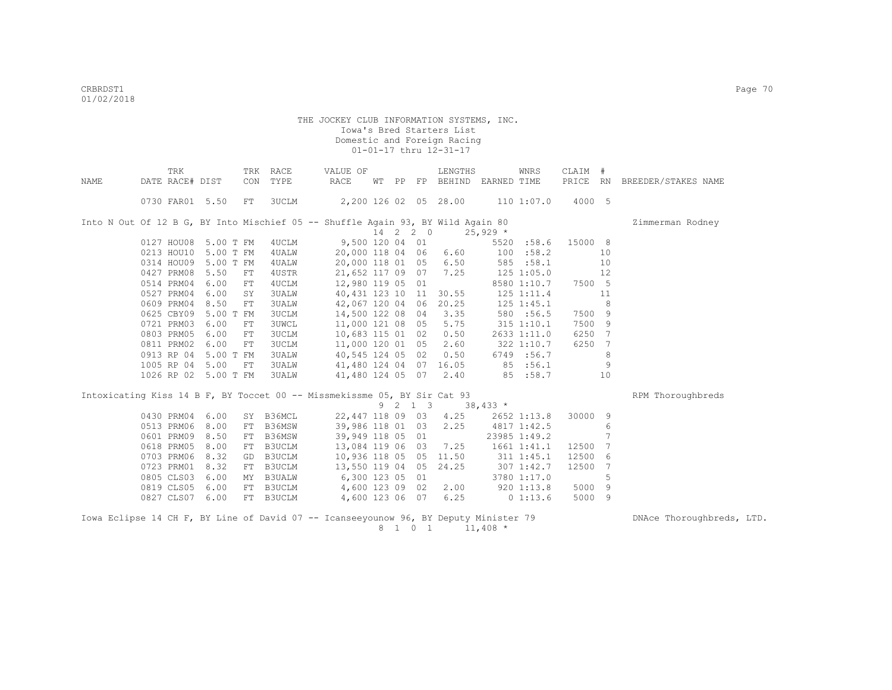|      | TRK                  |           |    | TRK RACE  | VALUE OF                                                                             |  |          | LENGTHS                     |                 | WNRS            | CLAIM # |                 |                              |
|------|----------------------|-----------|----|-----------|--------------------------------------------------------------------------------------|--|----------|-----------------------------|-----------------|-----------------|---------|-----------------|------------------------------|
| NAME | DATE RACE# DIST      |           |    | CON TYPE  | RACE                                                                                 |  |          | WT PP FP BEHIND EARNED TIME |                 |                 |         |                 | PRICE RN BREEDER/STAKES NAME |
|      | 0730 FAR01 5.50      |           | FT | 3UCLM     | 2,200 126 02 05 28.00 110 1:07.0                                                     |  |          |                             |                 |                 | 4000 5  |                 |                              |
|      |                      |           |    |           | Into N Out Of 12 B G, BY Into Mischief 05 -- Shuffle Again 93, BY Wild Again 80      |  |          |                             |                 |                 |         |                 | Zimmerman Rodney             |
|      |                      |           |    |           |                                                                                      |  | 14 2 2 0 |                             | $25,929$ *      |                 |         |                 |                              |
|      | 0127 HOU08 5.00 T FM |           |    | 4UCLM     |                                                                                      |  |          | 9,500 120 04 01             |                 | 5520 :58.6      | 15000 8 |                 |                              |
|      | 0213 HOU10 5.00 T FM |           |    | 4UALW     | 20,000 118 04 06                                                                     |  |          | 6.60                        |                 | 100 : 58.2      |         | 10              |                              |
|      | 0314 HOU09           | 5.00 T FM |    | 4 UALW    | 20,000 118 01 05                                                                     |  |          | 6.50                        |                 | 585 : 58.1      |         | 10              |                              |
|      | 0427 PRM08           | 5.50      | FT | 4USTR     | 21,652 117 09 07                                                                     |  |          | 7.25                        |                 | $125$ $1:05.0$  |         | 12              |                              |
|      | 0514 PRM04           | 6.00      | FT | 4UCLM     | 12,980 119 05 01                                                                     |  |          |                             |                 | 8580 1:10.7     | 7500 5  |                 |                              |
|      | 0527 PRM04           | 6.00      | SY | 3UALW     | 40, 431 123 10 11                                                                    |  |          | 30.55                       |                 | $125$ $1:11.4$  |         | 11              |                              |
|      | 0609 PRM04           | 8.50      | FT | 3UALW     | 42,067 120 04 06                                                                     |  |          | 20.25                       |                 | $125$ $1:45.1$  |         | 8               |                              |
|      | 0625 CBY09           | 5.00 T FM |    | 3UCLM     | 14,500 122 08 04                                                                     |  |          | 3.35                        |                 | 580 :56.5       | 7500 9  |                 |                              |
|      | 0721 PRM03           | 6.00      | FT | 3UWCL     | 11,000 121 08 05                                                                     |  |          | 5.75                        |                 | $315$ $1:10.1$  | 7500    | -9              |                              |
|      | 0803 PRM05           | 6.00      | FT | 3UCLM     | 10,683 115 01 02                                                                     |  |          | 0.50                        |                 | 2633 1:11.0     | 6250 7  |                 |                              |
|      | 0811 PRM02           | 6.00      | FT | 3UCLM     | 11,000 120 01 05                                                                     |  |          | 2.60                        |                 | 322 1:10.7      | 6250 7  |                 |                              |
|      | 0913 RP 04 5.00 T FM |           |    | 3UALW     | 40,545 124 05 02                                                                     |  |          | 0.50                        |                 | 6749 :56.7      |         | 8               |                              |
|      | 1005 RP 04 5.00      |           | FT | 3UALW     | 41,480 124 04 07 16.05                                                               |  |          |                             |                 | 85 :56.1        |         | 9               |                              |
|      | 1026 RP 02 5.00 T FM |           |    | 3UALW     |                                                                                      |  |          | 41,480 124 05 07 2.40       |                 | 85 :58.7        |         | 10              |                              |
|      |                      |           |    |           | Intoxicating Kiss 14 B F, BY Toccet 00 -- Missmekissme 05, BY Sir Cat 93             |  |          |                             |                 |                 |         |                 | RPM Thoroughbreds            |
|      |                      |           |    |           |                                                                                      |  |          | 9 2 1 3 38,433 *            |                 |                 |         |                 |                              |
|      | 0430 PRM04           | 6.00      |    | SY B36MCL | 22,447 118 09 03                                                                     |  |          | 4.25                        |                 | 2652 1:13.8     | 30000 9 |                 |                              |
|      | 0513 PRM06           | 8.00      |    | FT B36MSW | 39,986 118 01 03                                                                     |  |          | 2.25                        |                 | 4817 1:42.5     |         | 6               |                              |
|      | 0601 PRM09           | 8.50      |    | FT B36MSW | 39,949 118 05 01                                                                     |  |          |                             |                 | 23985 1:49.2    |         | $7\phantom{.0}$ |                              |
|      | 0618 PRM05           | 8.00      |    | FT B3UCLM | 13,084 119 06 03                                                                     |  |          | 7.25                        |                 | 1661 1:41.1     | 12500 7 |                 |                              |
|      | 0703 PRM06           | 8.32      |    | GD B3UCLM | 10,936 118 05 05                                                                     |  |          | 11.50                       |                 | 311 1:45.1      | 12500   | 6               |                              |
|      | 0723 PRM01           | 8.32      |    | FT B3UCLM | 13,550 119 04 05                                                                     |  |          | 24.25                       | 307 1:42.7      |                 | 12500   | 7               |                              |
|      | 0805 CLS03           | 6.00      |    |           | MY B3UALW 6,300 123 05 01                                                            |  |          |                             |                 | 3780 1:17.0     |         | 5               |                              |
|      | 0819 CLS05           | 6.00      |    |           | FT B3UCLM 4,600 123 09 02                                                            |  |          |                             |                 | 2.00 920 1:13.8 | 5000 9  |                 |                              |
|      | 0827 CLS07 6.00      |           |    | FT B3UCLM | 4,600 123 06 07                                                                      |  |          |                             | $6.25$ 0 1:13.6 |                 | 5000 9  |                 |                              |
|      |                      |           |    |           | Iowa Eclipse 14 CH F, BY Line of David 07 -- Icanseevounow 96, BY Deputy Minister 79 |  |          |                             |                 |                 |         |                 | DNAce Thoroughbreds, LTD.    |

 $8 \quad 1 \quad 0 \quad 1 \qquad 11,408$  \*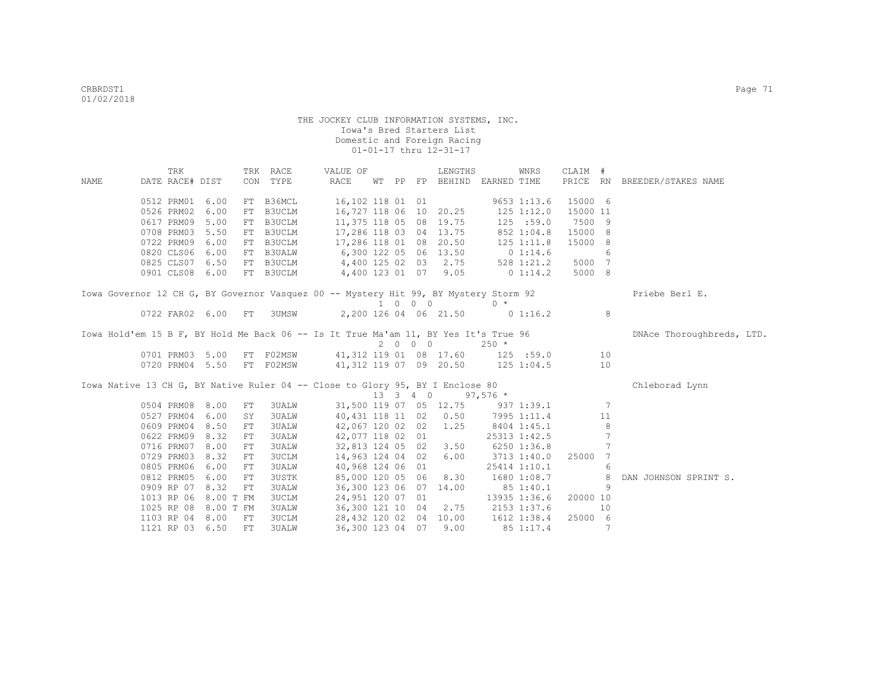|      | TRK                                                                                  |      |    | TRK RACE     | VALUE OF                                                      |  |         | LENGTHS                            |                | WNRS           | CLAIM #  |                |                              |
|------|--------------------------------------------------------------------------------------|------|----|--------------|---------------------------------------------------------------|--|---------|------------------------------------|----------------|----------------|----------|----------------|------------------------------|
| NAME | DATE RACE# DIST                                                                      |      |    | CON TYPE     | RACE                                                          |  |         | WT PP FP BEHIND EARNED TIME        |                |                |          |                | PRICE RN BREEDER/STAKES NAME |
|      | 0512 PRM01                                                                           | 6.00 |    | FT B36MCL    | 16,102 118 01 01                                              |  |         |                                    |                | $9653$ 1:13.6  | 15000 6  |                |                              |
|      | 0526 PRM02                                                                           | 6.00 |    | FT B3UCLM    | 16,727 118 06 10 20.25                                        |  |         |                                    | $125$ $1:12.0$ |                | 15000 11 |                |                              |
|      | 0617 PRM09                                                                           | 5.00 |    | FT B3UCLM    |                                                               |  |         | 11,375 118 05 08 19.75             |                | 125 : 59.0     | 7500 9   |                |                              |
|      | 0708 PRM03                                                                           | 5.50 |    | FT B3UCLM    |                                                               |  |         | 17,286 118 03 04 13.75             |                | 852 1:04.8     | 15000 8  |                |                              |
|      | 0722 PRM09 6.00                                                                      |      |    |              | FT B3UCLM 17,286 118 01 08 20.50                              |  |         |                                    |                | $125$ $1:11.8$ | 15000 8  |                |                              |
|      | 0820 CLS06 6.00                                                                      |      |    |              | FT B3UALW 6,300 122 05 06 13.50 0 1:14.6                      |  |         |                                    |                |                |          | 6              |                              |
|      | 0825 CLS07 6.50                                                                      |      |    |              | FT B3UCLM 4,400 125 02 03 2.75                                |  |         |                                    |                | 528 1:21.2     | 5000 7   |                |                              |
|      | 0901 CLS08 6.00                                                                      |      |    |              | FT B3UCLM 4,400 123 01 07 9.05                                |  |         |                                    | $0\;1:14.2$    |                | 5000 8   |                |                              |
|      |                                                                                      |      |    |              |                                                               |  |         |                                    |                |                |          |                |                              |
|      | Iowa Governor 12 CH G, BY Governor Vasquez 00 -- Mystery Hit 99, BY Mystery Storm 92 |      |    |              |                                                               |  |         |                                    |                |                |          |                | Priebe Berl E.               |
|      |                                                                                      |      |    |              |                                                               |  |         | $1 \t0 \t0 \t0$                    | $0 *$          |                |          |                |                              |
|      | 0722 FAR02 6.00                                                                      |      | FT |              | 3UMSW 2,200 126 04 06 21.50 0 1:16.2                          |  |         |                                    |                |                |          | 8              |                              |
|      | Iowa Hold'em 15 B F, BY Hold Me Back 06 -- Is It True Ma'am 11, BY Yes It's True 96  |      |    |              |                                                               |  |         |                                    |                |                |          |                | DNAce Thoroughbreds, LTD.    |
|      |                                                                                      |      |    |              |                                                               |  | 2 0 0 0 |                                    | $250 *$        |                |          |                |                              |
|      |                                                                                      |      |    |              | 0701 PRM03 5.00 FT F02MSW 41,312 119 01 08 17.60 125 :59.0 10 |  |         |                                    |                |                |          |                |                              |
|      |                                                                                      |      |    |              | 0720 PRM04 5.50 FT F02MSW 41,312 119 07 09 20.50 125 1:04.5   |  |         |                                    |                |                |          | 10             |                              |
|      |                                                                                      |      |    |              |                                                               |  |         |                                    |                |                |          |                |                              |
|      | Iowa Native 13 CH G, BY Native Ruler 04 -- Close to Glory 95, BY I Enclose 80        |      |    |              |                                                               |  |         |                                    |                |                |          |                | Chleborad Lynn               |
|      |                                                                                      |      |    |              |                                                               |  |         | 13 3 4 0 97,576 *                  |                |                |          |                |                              |
|      | 0504 PRM08 8.00                                                                      |      | FT | 3UALW        |                                                               |  |         | 31,500 119 07 05 12.75 937 1:39.1  |                |                |          | $\overline{7}$ |                              |
|      | 0527 PRM04 6.00                                                                      |      | SY | <b>3UALW</b> |                                                               |  |         | 40, 431 118 11 02 0.50 7995 1:11.4 |                |                |          | 11             |                              |
|      | 0609 PRM04 8.50                                                                      |      | FT | 3UALW        | 42,067 120 02 02                                              |  |         | 1.25                               |                | 8404 1:45.1    |          | 8              |                              |
|      | 0622 PRM09                                                                           | 8.32 | FT | 3UALW        | 42,077 118 02 01                                              |  |         |                                    |                | 25313 1:42.5   |          | $\overline{7}$ |                              |
|      | 0716 PRM07                                                                           | 8.00 | FT | 3UALW        | 32,813 124 05 02                                              |  |         | 3.50                               |                | 6250 1:36.8    |          | $\overline{7}$ |                              |
|      | 0729 PRM03                                                                           | 8.32 | FT | 3UCLM        | 14,963 124 04 02                                              |  |         | 6.00                               |                | 3713 1:40.0    | 25000    | 7              |                              |
|      | 0805 PRM06                                                                           | 6.00 | FT | 3UALW        | 40,968 124 06 01                                              |  |         |                                    |                | 25414 1:10.1   |          | 6              |                              |
|      | 0812 PRM05                                                                           | 6.00 | FT | 3USTK        | 85,000 120 05 06                                              |  |         | 8.30                               |                | 1680 1:08.7    |          | 8              | DAN JOHNSON SPRINT S.        |
|      | 0909 RP 07                                                                           | 8.32 | FT | <b>3UALW</b> |                                                               |  |         | 36,300 123 06 07 14.00             |                | 851:40.1       |          | 9              |                              |
|      | 1013 RP 06 8.00 T FM                                                                 |      |    | 3UCLM        | 24,951 120 07 01                                              |  |         |                                    |                | 13935 1:36.6   | 20000 10 |                |                              |
|      | 1025 RP 08 8.00 T FM                                                                 |      |    | 3UALW        |                                                               |  |         | 36,300 121 10 04 2.75              | 2153 1:37.6    |                |          | 10             |                              |
|      | 1103 RP 04 8.00 FT                                                                   |      |    | 3UCLM        |                                                               |  |         | 28,432 120 02 04 10.00 1612 1:38.4 |                |                | 25000 6  |                |                              |
|      | 1121 RP 03 6.50                                                                      |      | FT | 3UALW        | 36,300 123 04 07                                              |  |         | 9.00                               | 85 1:17.4      |                |          | 7              |                              |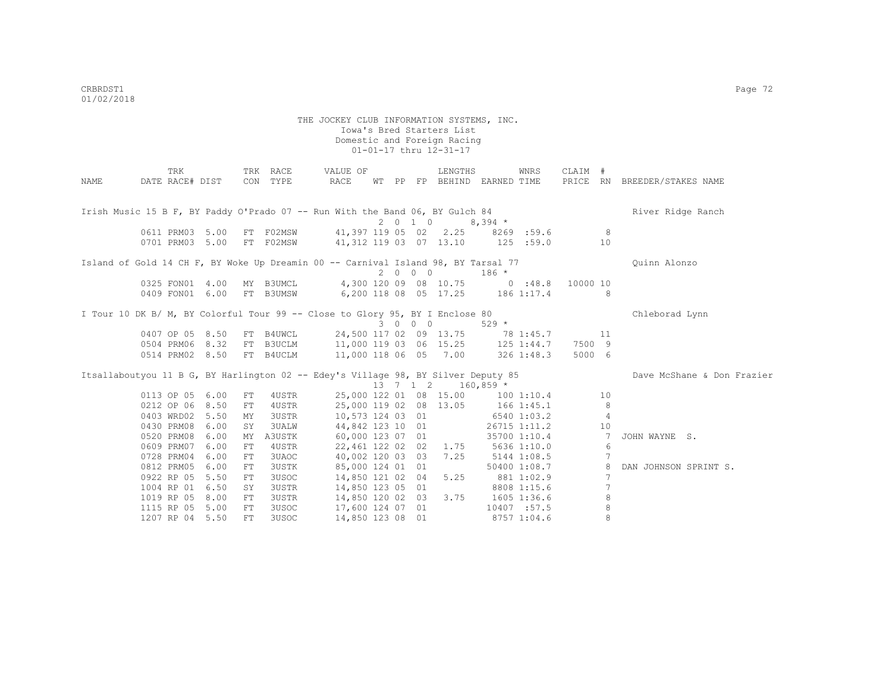|      | TRK                                                                               |      |    | TRK RACE  | VALUE OF                                    |   |                   | LENGTHS                 |                                   | WNRS         | CLAIM #  |                |                              |
|------|-----------------------------------------------------------------------------------|------|----|-----------|---------------------------------------------|---|-------------------|-------------------------|-----------------------------------|--------------|----------|----------------|------------------------------|
| NAME | DATE RACE# DIST                                                                   |      |    | CON TYPE  | RACE                                        |   |                   |                         | WT PP FP BEHIND EARNED TIME       |              |          |                | PRICE RN BREEDER/STAKES NAME |
|      |                                                                                   |      |    |           |                                             |   |                   |                         |                                   |              |          |                |                              |
|      |                                                                                   |      |    |           |                                             |   |                   |                         |                                   |              |          |                |                              |
|      | Irish Music 15 B F, BY Paddy O'Prado 07 -- Run With the Band 06, BY Gulch 84      |      |    |           |                                             |   |                   |                         |                                   |              |          |                | River Ridge Ranch            |
|      | 0611 PRM03 5.00                                                                   |      |    |           |                                             |   |                   | 2 0 1 0                 | $8,394$ *                         |              |          | $_{\rm 8}$     |                              |
|      |                                                                                   |      |    | FT F02MSW |                                             |   |                   |                         | 41,397 119 05 02 2.25 8269 :59.6  |              |          |                |                              |
|      | 0701 PRM03 5.00                                                                   |      |    | FT F02MSW |                                             |   |                   | 41, 312 119 03 07 13.10 | 125 : 59.0                        |              |          | 10             |                              |
|      | Island of Gold 14 CH F, BY Woke Up Dreamin 00 -- Carnival Island 98, BY Tarsal 77 |      |    |           |                                             |   |                   |                         |                                   |              |          |                | Ouinn Alonzo                 |
|      |                                                                                   |      |    |           |                                             |   | 2000              |                         | $186 *$                           |              |          |                |                              |
|      | 0325 FON01 4.00                                                                   |      |    | MY B3UMCL |                                             |   |                   | 4,300 120 09 08 10.75   | 0.48.8                            |              | 10000 10 |                |                              |
|      | 0409 FON01 6.00                                                                   |      |    | FT B3UMSW |                                             |   |                   |                         | 6,200 118 08 05 17.25 186 1:17.4  |              |          | 8              |                              |
|      |                                                                                   |      |    |           |                                             |   |                   |                         |                                   |              |          |                |                              |
|      | I Tour 10 DK B/ M, BY Colorful Tour 99 -- Close to Glory 95, BY I Enclose 80      |      |    |           |                                             |   |                   |                         |                                   |              |          |                | Chleborad Lynn               |
|      |                                                                                   |      |    |           |                                             | 3 | $0\quad 0\quad 0$ |                         | $529 *$                           |              |          |                |                              |
|      | 0407 OP 05 8.50                                                                   |      |    | FT B4UWCL |                                             |   |                   | 24,500 117 02 09 13.75  |                                   | 78 1:45.7    |          | 11             |                              |
|      | 0504 PRM06 8.32                                                                   |      |    |           | FT B3UCLM 11,000 119 03 06 15.25 125 1:44.7 |   |                   |                         |                                   |              | 7500 9   |                |                              |
|      | 0514 PRM02 8.50                                                                   |      |    | FT B4UCLM | 11,000 118 06 05 7.00                       |   |                   |                         |                                   | 326 1:48.3   | 5000 6   |                |                              |
|      |                                                                                   |      |    |           |                                             |   |                   |                         |                                   |              |          |                | Dave McShane & Don Frazier   |
|      | Itsallaboutyou 11 B G, BY Harlington 02 -- Edey's Village 98, BY Silver Deputy 85 |      |    |           |                                             |   |                   | 13 7 1 2 160,859 *      |                                   |              |          |                |                              |
|      | 0113 OP 05 6.00                                                                   |      | FT | 4USTR     |                                             |   |                   |                         | 25,000 122 01 08 15.00 100 1:10.4 |              |          | 10             |                              |
|      | 0212 OP 06 8.50                                                                   |      | FT | 4USTR     |                                             |   |                   | 25,000 119 02 08 13.05  | $166$ $1:45.1$                    |              |          | 8              |                              |
|      | 0403 WRD02                                                                        | 5.50 | MY | 3USTR     | 10,573 124 03 01                            |   |                   |                         |                                   | 6540 1:03.2  |          | $\overline{4}$ |                              |
|      | 0430 PRM08                                                                        | 6.00 | SY | 3UALW     | 44,842 123 10 01                            |   |                   |                         |                                   | 26715 1:11.2 |          | 10             |                              |
|      | 0520 PRM08                                                                        | 6.00 | МY | A3USTK    | 60,000 123 07 01                            |   |                   |                         |                                   | 35700 1:10.4 |          | 7              | JOHN WAYNE S.                |
|      | 0609 PRM07                                                                        | 6.00 | FT | 4USTR     |                                             |   |                   | 22,461 122 02 02 1.75   | 5636 1:10.0                       |              |          | 6              |                              |
|      | 0728 PRM04                                                                        | 6.00 | FT | 3UAOC     | 40,002 120 03 03                            |   |                   | 7.25                    |                                   | 5144 1:08.5  |          | 7              |                              |
|      | 0812 PRM05                                                                        | 6.00 | FT | 3USTK     | 85,000 124 01 01                            |   |                   |                         |                                   | 50400 1:08.7 |          | 8              | DAN JOHNSON SPRINT S.        |
|      | 0922 RP 05                                                                        | 5.50 | FT | 3USOC     | 14,850 121 02 04                            |   |                   | 5.25                    |                                   | 881 1:02.9   |          | 7              |                              |
|      | 1004 RP 01                                                                        | 6.50 | SY | 3USTR     | 14,850 123 05 01                            |   |                   |                         |                                   | 8808 1:15.6  |          | 7              |                              |
|      | 1019 RP 05                                                                        | 8.00 | FT | 3USTR     | 14,850 120 02 03                            |   |                   | 3.75                    |                                   | 1605 1:36.6  |          | $\,8\,$        |                              |
|      | 1115 RP 05                                                                        | 5.00 | FT | 3USOC     | 17,600 124 07 01                            |   |                   |                         |                                   | 10407 :57.5  |          | 8              |                              |
|      | 1207 RP 04 5.50                                                                   |      | FT | 3USOC     | 14,850 123 08 01                            |   |                   |                         |                                   | 8757 1:04.6  |          | 8              |                              |
|      |                                                                                   |      |    |           |                                             |   |                   |                         |                                   |              |          |                |                              |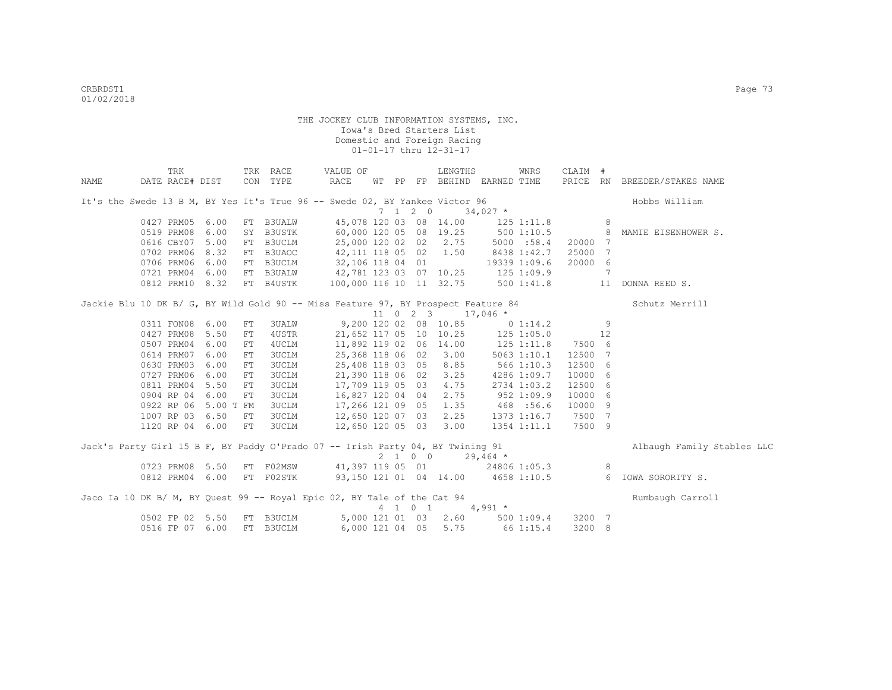|      | TRK                                                                               |      |            | TRK RACE                                  | VALUE OF                              |  |                          | LENGTHS                                |                                   | WNRS            | CLAIM # |   |                                                                                 |
|------|-----------------------------------------------------------------------------------|------|------------|-------------------------------------------|---------------------------------------|--|--------------------------|----------------------------------------|-----------------------------------|-----------------|---------|---|---------------------------------------------------------------------------------|
| NAME | DATE RACE# DIST                                                                   |      |            | CON TYPE                                  | RACE                                  |  |                          |                                        | WT PP FP BEHIND EARNED TIME       |                 |         |   | PRICE RN BREEDER/STAKES NAME                                                    |
|      |                                                                                   |      |            |                                           |                                       |  |                          |                                        |                                   |                 |         |   |                                                                                 |
|      | It's the Swede 13 B M, BY Yes It's True 96 -- Swede 02, BY Yankee Victor 96       |      |            |                                           |                                       |  |                          |                                        |                                   |                 |         |   | Hobbs William                                                                   |
|      |                                                                                   |      |            |                                           |                                       |  | $7\quad 1\quad 2\quad 0$ |                                        | $34,027$ *                        |                 |         |   |                                                                                 |
|      | 0427 PRM05                                                                        | 6.00 |            | FT B3UALW                                 |                                       |  |                          |                                        | 45,078 120 03 08 14.00 125 1:11.8 |                 |         | 8 |                                                                                 |
|      | 0519 PRM08                                                                        | 6.00 |            | SY B3USTK                                 | 60,000 120 05 08 19.25 500 1:10.5     |  |                          |                                        |                                   |                 |         |   | 8 MAMIE EISENHOWER S.                                                           |
|      | 0616 CBY07                                                                        | 5.00 |            | FT B3UCLM                                 |                                       |  |                          | 25,000 120 02 02 2.75                  | 5000 :58.4                        |                 | 20000 7 |   |                                                                                 |
|      | 0702 PRM06                                                                        | 8.32 |            | FT B3UAOC                                 | $42,111$ 118 05 02 1.50               |  |                          |                                        | 8438 1:42.7                       |                 | 25000 7 |   |                                                                                 |
|      | 0706 PRM06 6.00                                                                   |      |            | FT B3UCLM                                 | $32,106$ 118 04 01                    |  |                          |                                        |                                   | 19339 1:09.6    | 20000 6 |   |                                                                                 |
|      | 0721 PRM04 6.00                                                                   |      |            | FT B3UALW                                 | 42,781 123 03 07 10.25 125 1:09.9     |  |                          |                                        |                                   |                 |         | 7 |                                                                                 |
|      | 0812 PRM10 8.32                                                                   |      |            | FT B4USTK                                 | 100,000 116 10 11 32.75 500 1:41.8 11 |  |                          |                                        |                                   |                 |         |   | DONNA REED S.                                                                   |
|      | Jackie Blu 10 DK B/ G, BY Wild Gold 90 -- Miss Feature 97, BY Prospect Feature 84 |      |            |                                           |                                       |  |                          |                                        |                                   |                 |         |   | Schutz Merrill                                                                  |
|      |                                                                                   |      |            |                                           |                                       |  |                          | $11 \t 0 \t 2 \t 3 \t 17,046 \t \star$ |                                   |                 |         |   |                                                                                 |
|      | 0311 FON08 6.00                                                                   |      | FT         | 3UALW                                     | 9,200 120 02 08 10.85 0 1:14.2 9      |  |                          |                                        |                                   |                 |         |   |                                                                                 |
|      | 0427 PRM08                                                                        | 5.50 | FT         | 4USTR                                     |                                       |  |                          |                                        | 21,652 117 05 10 10.25 125 1:05.0 |                 | 12      |   |                                                                                 |
|      | 0507 PRM04                                                                        | 6.00 | FT         | 4UCLM                                     |                                       |  |                          |                                        | 11,892 119 02 06 14.00 125 1:11.8 |                 | 7500 6  |   |                                                                                 |
|      | 0614 PRM07                                                                        | 6.00 | FT         | <b>3UCLM</b>                              |                                       |  |                          | 25,368 118 06 02 3.00                  |                                   | $5063$ $1:10.1$ | 12500 7 |   |                                                                                 |
|      | 0630 PRM03                                                                        | 6.00 | FT         | 3UCLM                                     | 25,408 118 03 05 8.85                 |  |                          |                                        |                                   | 5661:10.3       | 12500 6 |   |                                                                                 |
|      | 0727 PRM06                                                                        | 6.00 | FT         | <b>3UCLM</b>                              | 21,390 118 06 02                      |  |                          | 3.25                                   |                                   | 4286 1:09.7     | 10000 6 |   |                                                                                 |
|      | 0811 PRM04 5.50                                                                   |      | ${\rm FT}$ |                                           | 17,709 119 05 03                      |  |                          | 4.75                                   |                                   |                 | 12500 6 |   |                                                                                 |
|      |                                                                                   |      |            | 3UCLM                                     |                                       |  |                          | 2.75                                   |                                   | 2734 1:03.2     | 10000 6 |   |                                                                                 |
|      | 0904 RP 04 6.00                                                                   |      | FT         | 3UCLM                                     | 16,827 120 04 04                      |  |                          |                                        |                                   | $952$ 1:09.9    |         |   |                                                                                 |
|      | 0922 RP 06 5.00 T FM                                                              |      |            | 3UCLM                                     | 17,266 121 09 05                      |  |                          | 1.35                                   |                                   | 468 :56.6       | 10000 9 |   |                                                                                 |
|      | 1007 RP 03 6.50                                                                   |      | FT         | 3UCLM                                     | 12,650 120 07 03                      |  |                          | 2.25                                   |                                   | 1373 1:16.7     | 7500 7  |   |                                                                                 |
|      | 1120 RP 04 6.00                                                                   |      | FT         | 3UCLM                                     | 12,650 120 05 03                      |  |                          | 3.00                                   |                                   | 1354 1:11.1     | 7500 9  |   |                                                                                 |
|      | Jack's Party Girl 15 B F, BY Paddy O'Prado 07 -- Irish Party 04, BY Twining 91    |      |            |                                           |                                       |  |                          |                                        |                                   |                 |         |   | Albaugh Family Stables LLC                                                      |
|      |                                                                                   |      |            |                                           |                                       |  |                          | $2 \t1 \t0 \t0 \t29,464 \t\t*$         |                                   |                 |         |   |                                                                                 |
|      | 0723 PRM08 5.50                                                                   |      |            | FT F02MSW 41,397 119 05 01 24806 1:05.3 8 |                                       |  |                          |                                        |                                   |                 |         |   |                                                                                 |
|      |                                                                                   |      |            |                                           |                                       |  |                          |                                        |                                   |                 |         |   | 0812 PRM04 6.00 FT F02STK 93,150 121 01 04 14.00 4658 1:10.5 6 IOWA SORORITY S. |
|      | Jaco Ia 10 DK B/ M, BY Quest 99 -- Royal Epic 02, BY Tale of the Cat 94           |      |            |                                           |                                       |  |                          |                                        |                                   |                 |         |   | Rumbaugh Carroll                                                                |
|      |                                                                                   |      |            |                                           |                                       |  |                          | 4 1 0 1 4,991 *                        |                                   |                 |         |   |                                                                                 |
|      | 0502 FP 02 5.50                                                                   |      |            | FT B3UCLM                                 |                                       |  |                          |                                        | 5,000 121 01 03 2.60 500 1:09.4   |                 | 3200 7  |   |                                                                                 |
|      | 0516 FP 07 6.00                                                                   |      |            | FT B3UCLM                                 | 6,000 121 04 05                       |  |                          |                                        | 5.75 66 1:15.4                    |                 | 3200 8  |   |                                                                                 |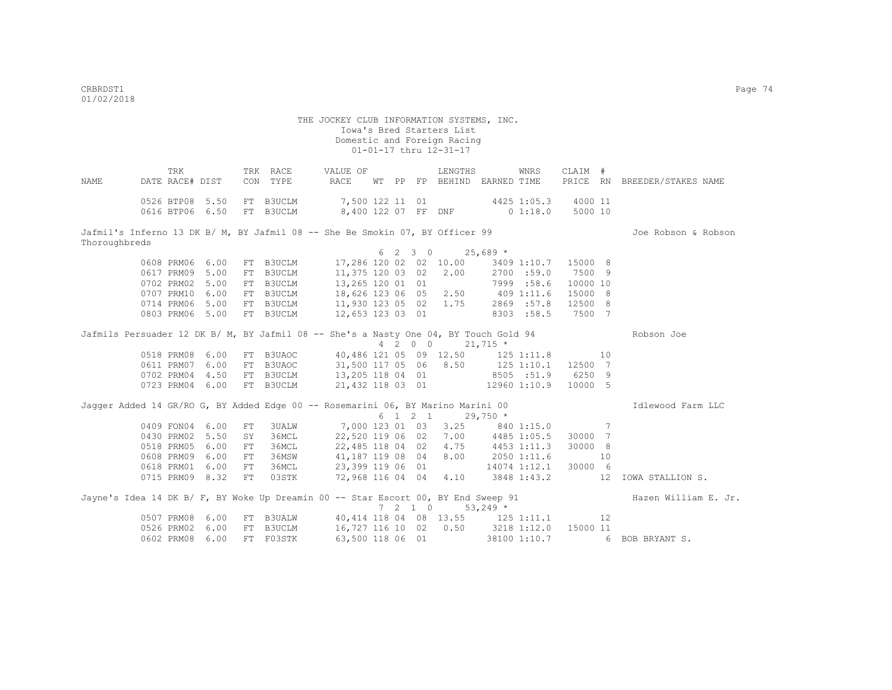THE JOCKEY CLUB INFORMATION SYSTEMS, INC. Iowa's Bred Starters List Domestic and Foreign Racing 01-01-17 thru 12-31-17 TRK TRK RACE VALUE OF LENGTHS WNRS CLAIM # NAME DATE RACE# DIST CON TYPE RACE WT PP FP BEHIND EARNED TIME PRICE RN BREEDER/STAKES NAME 0526 BTP08 5.50 FT B3UCLM 7,500 122 11 01 4425 1:05.3 4000 11 0616 BTP06 6.50 FT B3UCLM 8,400 122 07 FF DNF 0 1:18.0 5000 10 Jafmil's Inferno 13 DK B/ M, BY Jafmil 08 -- She Be Smokin 07, BY Officer 99 Joe Robson & Robson & Robson Thoroughbreds  $6 \quad 2 \quad 3 \quad 0 \quad 25,689 \div 17.286 \quad 120 \quad 02 \quad 02 \quad 10.00 \quad 3409$ 0608 PRM06 6.00 FT B3UCLM 17,286 120 02 02 10.00 3409 1:10.7 15000 8<br>0617 PRM09 5.00 FT B3UCLM 11,375 120 03 02 2.00 2700 :59.0 7500 9 0617 PRM09 5.00 FT B3UCLM 0702 PRM02 5.00 FT B3UCLM 13,265 120 01 01 7999 :58.6 10000 10 0707 PRM10 6.00 FT B3UCLM 18,626 123 06 05 2.50 409 1:11.6 15000 8 0714 PRM06 5.00 FT B3UCLM 11,930 123 05 02 1.75 2869 :57.8 12500 8 0803 PRM06 5.00 FT B3UCLM 12,653 123 03 01 8303 :58.5 7500 7 Jafmils Persuader 12 DK B/ M, BY Jafmil 08 -- She's a Nasty One 04, BY Touch Gold 94 Robson Joe  $4 \overline{2} 0 0$   $21,715 \overline{5}$ <br>40,486 121 05 09 12.50 125 1:11.8 0518 PRM08 6.00 FT B3UAOC 40,486 121 05 09 12.50 125 1:11.8 10<br>0611 PRM07 6.00 FT B3UAOC 31.500 117 05 06 8.50 125 1:10.1 12500 7 06 117 05 06 06 125 1:10.1 12500 7<br>13,205 118 04 01 05 151.9 6250 9 0702 PRM04 4.50 FT B3UCLM 13,205 118 04 01 8505 :51.9 6250 9<br>0723 PRM04 6.00 FT B3UCLM 21,432 118 03 01 12960 1:10.9 10000 5 0723 PRM04 6.00 FT B3UCLM Jagger Added 14 GR/RO G, BY Added Edge 00 -- Rosemarini 06, BY Marino Marini 00 **Interpretate Constant** LLC  $6 \quad 1 \quad 2 \quad 1 \quad 29.750 \quad ^{\star}$ 0409 FON04 6.00 FT 3UALW 7,000 123 01 03 3.25 840 1:15.0 7<br>0430 PRM02 5.50 SY 36MCL 22,520 119 06 02 7.00 4485 1:05.5 30000 7 0430 PRM02 5.50 SY 36MCL 22,520 119 06 02 7.00 4485 1:05.5 30000 7 0518 PRM05 6.00 FT 36MCL 22,485 118 04 02 4.75 0608 PRM09 6.00 FT 36MSW 41,187 119 08 04 8.00 2050 1:11.6 10 0618 PRM01 6.00 FT 36MCL 23,399 119 06 01 14074 1:12.1 30000 6<br>0715 PRM09 8.32 FT 03STK 72,968 116 04 04 4.10 3848 1:43.2 12 0715 PRM09 8.32 FT 03STK 72,968 116 04 04 4.10 3848 1:43.2 12 IOWA STALLION S. Jayne's Idea 14 DK B/ F, BY Woke Up Dreamin 00 -- Star Escort 00, BY End Sweep 91 Hazen William E. Jr.  $7$  2 1 0  $53,249$  \*<br>40,414 118 04 08 13.55 125 0507 PRM08 6.00 FT B3UALW 40,414 118 04 08 13.55 125 1:11.1 12 0526 PRM02 6.00 FT B3UCLM 16,727 116 10 02 0.50 3218 1:12.0 15000 11<br>0602 PRM08 6.00 FT F03STK 63,500 118 06 01 38100 1:10.7 6 0602 PRM08 6.00 FT F03STK 63,500 118 06 01 38100 1:10.7 6 BOB BRYANT S.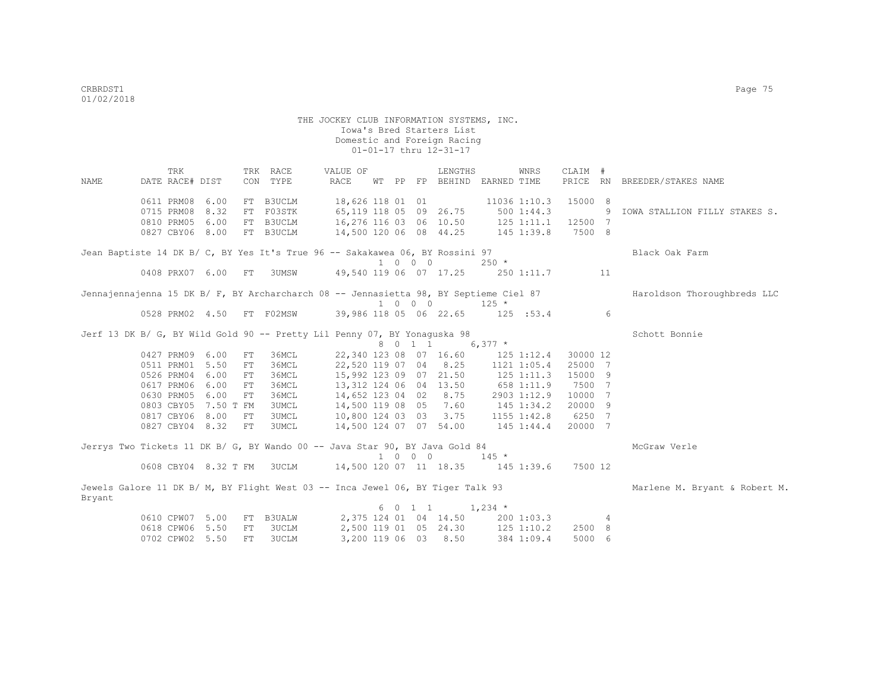TRK TRK RACE VALUE OF LENGTHS WNRS CLAIM # NAME DATE RACE# DIST CON TYPE RACE WT PP FP BEHIND EARNED TIME PRICE RN BREEDER/STAKES NAME 0611 PRM08 6.00 FT B3UCLM 18,626 118 01 01 11036 1:10.3 15000 8 0715 PRM08 8.32 FT F03STK 65,119 118 05 09 26.75 500 1:44.3 9 IOWA STALLION FILLY STAKES S. 0810 PRM05 6.00 FT B3UCLM 16,276 116 03 06 10.50 125 1:11.1 12500 7<br>0827 CBY06 8.00 FT B3UCLM 14,500 120 06 08 44.25 145 1:39.8 7500 8 0827 CBY06 8.00 FT B3UCLM Jean Baptiste 14 DK B/ C, BY Yes It's True 96 -- Sakakawea 06, BY Rossini 97 Black Oak Farm  $\begin{array}{ccccccccc} & & & & & 1 & 0 & 0 & 0 & 250 & \star \\ 0408 & & & & 6.00 & & & \text{FT} & 3 \text{UMSW} & & & 49,540 & 119 & 06 & 07 & 17.25 & & 250 \end{array}$ 49,540 119 06 07 17.25 250 1:11.7 11 Jennajennajenna 15 DK B/ F, BY Archarcharch 08 -- Jennasietta 98, BY Septieme Ciel 87 Haroldson Thoroughbreds LLC 1 0 0 0 125 \*<br>0528 PRM02 4.50 FT F02MSW 39,986 118 05 06 22.65 125 05 06 22.65 125 :53.4 6 Jerf 13 DK B/ G, BY Wild Gold 90 -- Pretty Lil Penny 07, BY Yonaguska 98 Schott Sonnie  $8 \t 0 \t 1 \t 6,377 \t$ <br>22,340 123 08 07 16.60 125 1:12.4 30000 12 0427 PRM09 6.00 FT 36MCL 0511 PRM01 5.50 FT 36MCL 22,520 119 07 04 8.25 1121 1:05.4 25000 7 0526 PRM04 6.00 FT 36MCL 15,992 123 09 07 21.50 125 1:11.3 15000 9<br>0617 PRM06 6.00 FT 36MCL 13,312 124 06 04 13.50 658 1:11.9 7500 7 13,312 124 06 04 13.50 658 1:11.9 0630 PRM05 6.00 FT 36MCL 14,652 123 04 02 8.75 2903 1:12.9 10000 7 0803 CBY05 7.50 T FM 3UMCL 14,500 119 08 05 7.60 145 1:34.2 20000 9 0817 CBY06 8.00 FT 3UMCL 10,800 124 03 03 3.75 1155 1:42.8 6250 7 0827 CBY04 8.32 FT 3UMCL 14,500 124 07 07 54.00 145 1:44.4 20000 7 Jerrys Two Tickets 11 DK B/ G, BY Wando 00 -- Java Star 90, BY Java Gold 84 MCGraw Verle 1 0 0 0 145 \* 0608 CBY04 8.32 T FM 3UCLM 14,500 120 07 11 18.35 145 1:39.6 7500 12 Jewels Galore 11 DK B/ M, BY Flight West 03 -- Inca Jewel 06, BY Tiger Talk 93 Marlene M. Bryant & Robert M. Bryant  $6 \t0 \t1 \t1 \t1.234 \t*$  0610 CPW07 5.00 FT B3UALW 2,375 124 01 04 14.50 200 1:03.3 4 0618 CPW06 5.50 FT 3UCLM 2,500 119 01 05 24.30 125 1:10.2 2500 8 0702 CPW02 5.50 FT 3UCLM 3,200 119 06 03 8.50 384 1:09.4 5000 6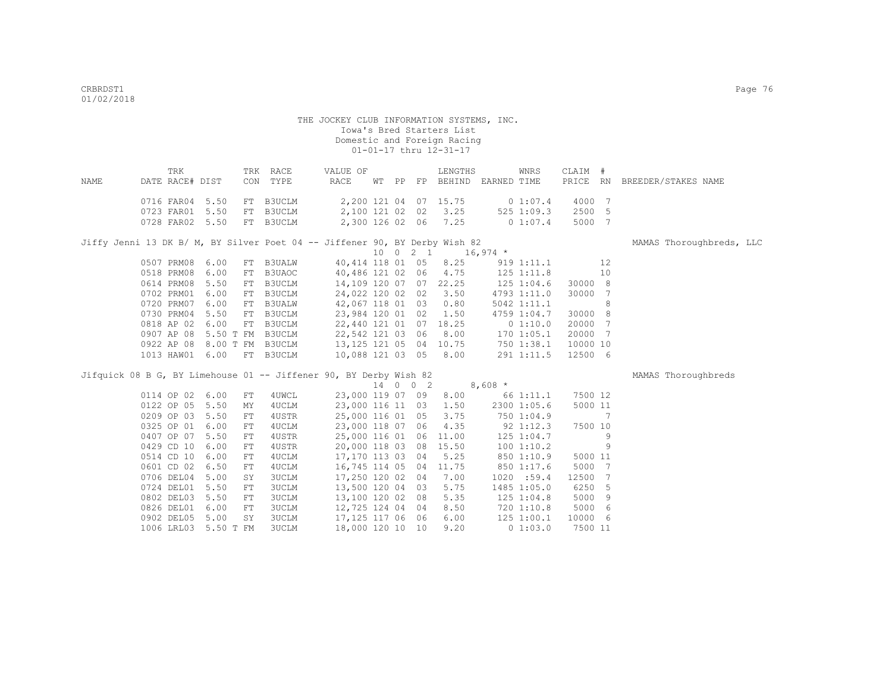|      | TRK                       |  | TRK RACE | VALUE OF |          |  | LENGTHS               |             | WNRS      | CLAIM # |                              |
|------|---------------------------|--|----------|----------|----------|--|-----------------------|-------------|-----------|---------|------------------------------|
| NAME | DATE RACE# DIST           |  | CON TYPE | RACE     | WT PP FP |  | BEHIND                | EARNED TIME |           |         | PRICE RN BREEDER/STAKES NAME |
|      |                           |  |          |          |          |  |                       |             |           |         |                              |
|      | 0716 FAR04 5.50 FT B3UCLM |  |          |          |          |  | 2,200 121 04 07 15.75 |             | 0.1:07.4  | 4000 7  |                              |
|      | 0723 FAR01 5.50 FT B3UCLM |  |          |          |          |  | 2,100 121 02 02 3.25  |             | 5251:09.3 | 2500 5  |                              |
|      | 0728 FAR02 5.50 FT B3UCLM |  |          |          |          |  | 2,300 126 02 06 7.25  |             | 0.1:07.4  | 5000 7  |                              |

Jiffy Jenni 13 DK B/ M, BY Silver Poet 04 -- Jiffener 90, BY Derby Wish 82 MAMAS Thoroughbreds, LLC

 $10 \quad 0 \quad 2 \quad 1 \qquad 16,974 \atop 40,414 \quad 118 \quad 01 \quad 05 \qquad 8.25 \qquad 919 \quad 1:11.1$ 0507 PRM08 6.00 FT B3UALW 40,414 118 01 05 8.25 919 1:11.1 12 12<br>0518 PRM08 6.00 FT B3UAOC 40,486 121 02 06 4.75 125 1:11.8 10  $40,486$  121 02 06  $4.75$  125 1:11.8 0614 PRM08 5.50 FT B3UCLM 14,109 120 07 07 22.25 125 1:04.6 30000 8<br>0702 PRM01 6.00 FT B3UCLM 24,022 120 02 02 3.50 4793 1:11.0 30000 7<br>0720 PRM07 6.00 FT B3UALW 42,067 118 01 03 0.80 5042 1:11.1 8 0702 PRM01 6.00 FT B3UCLM 24,022 120 02 02 3.50 4793 1:11.0 30000 7 0720 PRM07 6.00 FT B3UALW 42,067 118 01 03 0.80 5042 1:11.1 8 0730 PRM04 5.50 FT B3UCLM 23,984 120 01 02 1.50 4759 1:04.7 30000 8 0818 AP 02 6.00 FT B3UCLM 22,440 121 01 07 18.25 0 1:10.0 20000 7 0907 AP 08 5.50 T FM B3UCLM 22,542 121 03 06 8.00 170 1:05.1 20000 7 0922 AP 08 8.00 T FM B3UCLM 13,125 121 05 04 10.75 750 1:38.1 10000 10 1013 HAW01 6.00 FT B3UCLM 10,088 121 03 05 8.00 291 1:11.5 12500 6

Jifquick 08 B G, BY Limehouse 01 -- Jiffener 90, BY Derby Wish 82 MAMAS Thoroughbreds

|            |          |     |       |               | 14 | $\circ$ | $0\quad 2$ |       | $8,608*$ |                |         |     |
|------------|----------|-----|-------|---------------|----|---------|------------|-------|----------|----------------|---------|-----|
| 0114 OP 02 | 6.00     | FT. | 4UWCL | 23,000 119 07 |    |         | 09         | 8.00  |          | 661:11.1       | 7500 12 |     |
| 0122 OP 05 | 5.50     | MY  | 4UCLM | 23,000 116 11 |    |         | 03         | 1.50  |          | 2300 1:05.6    | 5000 11 |     |
| 0209 OP 03 | 5.50     | FT  | 4USTR | 25,000 116 01 |    |         | 05         | 3.75  |          | 750 1:04.9     |         | 7   |
| 0325 OP 01 | 6.00     | FT  | 4UCLM | 23,000 118 07 |    |         | 06         | 4.35  |          | $92 \; 1:12.3$ | 7500 10 |     |
| 0407 OP 07 | 5.50     | FT  | 4USTR | 25,000 116 01 |    |         | 06         | 11.00 |          | $125$ $1:04.7$ |         | 9   |
| 0429 CD 10 | 6.00     | FT. | 4USTR | 20,000 118 03 |    |         | 08         | 15.50 |          | 1001:10.2      |         | 9   |
| 0514 CD 10 | 6.00     | FT  | 4UCLM | 17,170 113 03 |    |         | 04         | 5.25  |          | 850 1:10.9     | 5000 11 |     |
| 0601 CD 02 | 6.50     | FT. | 4UCLM | 16,745 114 05 |    |         | 04         | 11.75 |          | 850 1:17.6     | 5000 7  |     |
| 0706 DEL04 | 5.00     | SY  | 3UCLM | 17,250 120 02 |    |         | 04         | 7.00  |          | 1020 : 59.4    | 12500 7 |     |
| 0724 DEL01 | 5.50     | FT. | 3UCLM | 13,500 120 04 |    |         | 03         | 5.75  |          | 1485 1:05.0    | 6250 5  |     |
| 0802 DEL03 | 5.50     | FT. | 3UCLM | 13,100 120 02 |    |         | 08         | 5.35  |          | $125$ $1:04.8$ | 5000 9  |     |
| 0826 DEL01 | 6.00     | FT. | 3UCLM | 12,725 124 04 |    |         | 04         | 8.50  |          | 720 1:10.8     | 5000    | - 6 |
| 0902 DEL05 | 5.00     | SY  | 3UCLM | 17,125 117 06 |    |         | 06         | 6.00  |          | 125 1:00.1     | 10000 6 |     |
| 1006 LRL03 | $5.50$ T | FM  | 3UCLM | 18,000 120 10 |    |         | 10         | 9.20  |          | 01:03.0        | 7500 11 |     |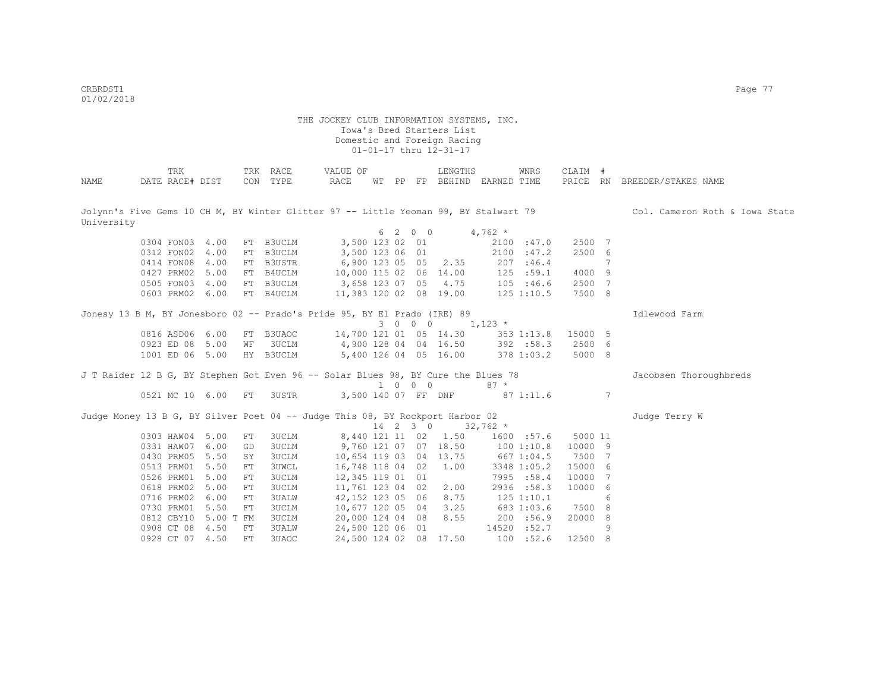CRBRDST1 Page 77 01/02/2018

|            | TRK                  |      | TRK        | RACE          | VALUE OF                                                                             |        |                |             | LENGTHS               |            | WNRS        | CLAIM # |   |                                |
|------------|----------------------|------|------------|---------------|--------------------------------------------------------------------------------------|--------|----------------|-------------|-----------------------|------------|-------------|---------|---|--------------------------------|
| NAME       | DATE RACE# DIST      |      |            | CON TYPE      | <b>RACE</b>                                                                          | WТ     | PP             |             | FP BEHIND EARNED TIME |            |             |         |   | PRICE RN BREEDER/STAKES NAME   |
|            |                      |      |            |               |                                                                                      |        |                |             |                       |            |             |         |   |                                |
|            |                      |      |            |               |                                                                                      |        |                |             |                       |            |             |         |   |                                |
|            |                      |      |            |               | Jolynn's Five Gems 10 CH M, BY Winter Glitter 97 -- Little Yeoman 99, BY Stalwart 79 |        |                |             |                       |            |             |         |   | Col. Cameron Roth & Iowa State |
| University |                      |      |            |               |                                                                                      |        |                |             |                       |            |             |         |   |                                |
|            |                      |      |            |               |                                                                                      | 6      | $\overline{2}$ | $0\quad 0$  |                       | $4,762$ *  |             |         |   |                                |
|            | 0304 FON03 4.00      |      |            | FT B3UCLM     | 3,500 123 02                                                                         |        |                | 01          |                       |            | 2100 :47.0  | 2500 7  |   |                                |
|            | 0312 FON02           | 4.00 | FT         | B3UCLM        | 3,500 123 06                                                                         |        |                | 01          |                       |            | 2100 : 47.2 | 2500 6  |   |                                |
|            | 0414 FON08           | 4.00 | FT         | <b>B3USTR</b> | 6,900 123 05 05                                                                      |        |                |             | 2.35                  |            | 207 : 46.4  |         | 7 |                                |
|            | 0427 PRM02           | 5.00 |            | FT B4UCLM     | 10,000 115 02 06 14.00                                                               |        |                |             |                       |            | 125 : 59.1  | 4000 9  |   |                                |
|            | 0505 FON03           | 4.00 |            | FT B3UCLM     | 3,658 123 07 05                                                                      |        |                |             | 4.75                  |            | 105 : 46.6  | 2500 7  |   |                                |
|            | 0603 PRM02 6.00      |      |            | FT B4UCLM     | 11,383 120 02 08 19.00                                                               |        |                |             |                       |            | 125 1:10.5  | 7500 8  |   |                                |
|            |                      |      |            |               | Jonesy 13 B M, BY Jonesboro 02 -- Prado's Pride 95, BY El Prado (IRE) 89             |        |                |             |                       |            |             |         |   | Idlewood Farm                  |
|            |                      |      |            |               |                                                                                      |        | $3 \t 0$       | $0\qquad 0$ |                       | $1,123$ *  |             |         |   |                                |
|            | 0816 ASD06 6.00      |      | FT         | B3UAOC        | 14,700 121 01 05 14.30                                                               |        |                |             |                       |            | 353 1:13.8  | 15000 5 |   |                                |
|            | 0923 ED 08 5.00      |      | WF         | 3UCLM         | 4,900 128 04 04 16.50                                                                |        |                |             |                       |            | 392 :58.3   | 2500 6  |   |                                |
|            | 1001 ED 06 5.00      |      |            | HY B3UCLM     |                                                                                      |        |                |             | 5,400 126 04 05 16.00 |            | 378 1:03.2  | 5000 8  |   |                                |
|            |                      |      |            |               |                                                                                      |        |                |             |                       |            |             |         |   |                                |
|            |                      |      |            |               | J T Raider 12 B G, BY Stephen Got Even 96 -- Solar Blues 98, BY Cure the Blues 78    |        |                |             |                       |            |             |         |   | Jacobsen Thoroughbreds         |
|            |                      |      |            |               |                                                                                      |        |                | 1 0 0 0     |                       | $87 *$     |             |         |   |                                |
|            | 0521 MC 10 6.00      |      | ${\rm FT}$ | 3USTR         | 3,500 140 07 FF DNF                                                                  |        |                |             |                       |            | 871:11.6    |         | 7 |                                |
|            |                      |      |            |               | Judge Money 13 B G, BY Silver Poet 04 -- Judge This 08, BY Rockport Harbor 02        |        |                |             |                       |            |             |         |   | Judge Terry W                  |
|            |                      |      |            |               |                                                                                      | $14$ 2 |                | $3 \quad 0$ |                       | $32,762$ * |             |         |   |                                |
|            | 0303 HAW04 5.00      |      | ${\rm FT}$ | <b>3UCLM</b>  | 8,440 121 11 02                                                                      |        |                |             | 1.50                  |            | 1600 :57.6  | 5000 11 |   |                                |
|            | 0331 HAW07           | 6.00 | GD         | <b>3UCLM</b>  |                                                                                      |        |                |             | 9,760 121 07 07 18.50 |            | 1001:10.8   | 10000 9 |   |                                |
|            | 0430 PRM05           | 5.50 | SY         | 3UCLM         | 10,654 119 03 04 13.75                                                               |        |                |             |                       |            | 667 1:04.5  | 7500 7  |   |                                |
|            | 0513 PRM01           | 5.50 | ${\rm FT}$ | 3UWCL         | 16,748 118 04 02                                                                     |        |                |             | 1.00                  |            | 3348 1:05.2 | 15000 6 |   |                                |
|            | 0526 PRM01           | 5.00 | ${\rm FT}$ | <b>3UCLM</b>  | 12,345 119 01 01                                                                     |        |                |             |                       |            | 7995 :58.4  | 10000 7 |   |                                |
|            | 0618 PRM02           | 5.00 | ${\rm FT}$ | <b>3UCLM</b>  | 11,761 123 04 02                                                                     |        |                |             | 2.00                  |            | 2936 :58.3  | 10000 6 |   |                                |
|            | 0716 PRM02           | 6.00 | ${\rm FT}$ | 3UALW         | 42,152 123 05 06                                                                     |        |                |             | 8.75                  |            | 125 1:10.1  |         | 6 |                                |
|            | 0730 PRM01 5.50      |      | ${\rm FT}$ | 3UCLM         | 10,677 120 05 04                                                                     |        |                |             | 3.25                  |            | 683 1:03.6  | 7500 8  |   |                                |
|            | 0812 CBY10 5.00 T FM |      |            |               |                                                                                      |        |                |             |                       |            |             | 20000 8 |   |                                |
|            |                      |      |            | 3UCLM         | 20,000 124 04 08                                                                     |        |                |             | 8.55                  |            | 200 :56.9   |         |   |                                |
|            | 0908 CT 08           | 4.50 | ${\rm FT}$ | 3UALW         | 24,500 120 06 01                                                                     |        |                |             |                       |            | 14520 :52.7 |         | 9 |                                |
|            | 0928 CT 07           | 4.50 | FT.        | 3UAOC         | 24,500 124 02                                                                        |        |                | 08          | 17.50                 | 100        | :52.6       | 12500 8 |   |                                |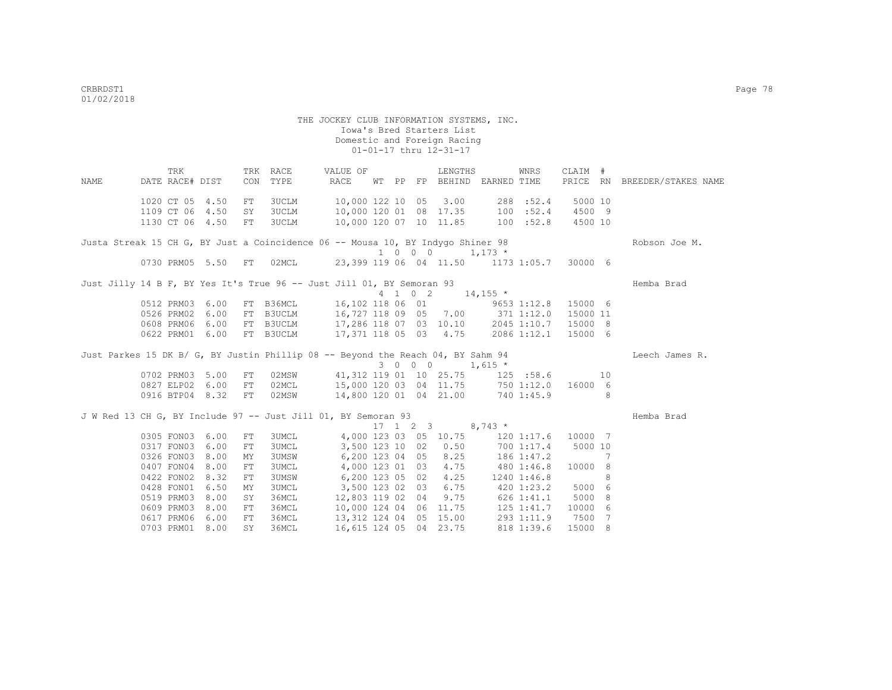|      | TRK                |      |     | TRK RACE     | VALUE OF                                                                        |  | LENGTHS                                        |                | WNRS        | CLAIM #  |    |                     |
|------|--------------------|------|-----|--------------|---------------------------------------------------------------------------------|--|------------------------------------------------|----------------|-------------|----------|----|---------------------|
| NAME | DATE RACE# DIST    |      | CON | TYPE         | RACE                                                                            |  | WT PP FP BEHIND EARNED TIME                    |                |             | PRICE RN |    | BREEDER/STAKES NAME |
|      | 1020 CT 05 4.50    |      | FT  | 3UCLM        | 10,000 122 10 05 3.00                                                           |  |                                                |                | 288 :52.4   | 5000 10  |    |                     |
|      | 1109 CT 06 4.50    |      | SY  | <b>3UCLM</b> | 10,000 120 01 08 17.35                                                          |  |                                                | 100 : 52.4     |             | 4500 9   |    |                     |
|      | 1130 CT 06 4.50    |      | FT  | 3UCLM        | 10,000 120 07 10 11.85 100 :52.8                                                |  |                                                |                |             | 4500 10  |    |                     |
|      |                    |      |     |              | Justa Streak 15 CH G, BY Just a Coincidence 06 -- Mousa 10, BY Indygo Shiner 98 |  |                                                |                |             |          |    | Robson Joe M.       |
|      |                    |      |     |              |                                                                                 |  | $1 \t 0 \t 0 \t 1, 173 \t \star$               |                |             |          |    |                     |
|      | 0730 PRM05 5.50 FT |      |     | 02MCL        |                                                                                 |  | 23,399 119 06 04 11.50 1173 1:05.7 30000 6     |                |             |          |    |                     |
|      |                    |      |     |              | Just Jilly 14 B F, BY Yes It's True 96 -- Just Jill 01, BY Semoran 93           |  |                                                |                |             |          |    | Hemba Brad          |
|      |                    |      |     |              |                                                                                 |  | 4 1 0 2 14,155 $*$                             |                |             |          |    |                     |
|      | 0512 PRM03         | 6.00 |     | FT B36MCL    | 16,102 118 06 01 9653 1:12.8 15000 6                                            |  |                                                |                |             |          |    |                     |
|      | 0526 PRM02         | 6.00 |     | FT B3UCLM    | 16,727 118 09 05 7.00 371 1:12.0                                                |  |                                                |                |             | 15000 11 |    |                     |
|      | 0608 PRM06 6.00    |      |     |              | FT B3UCLM 17,286 118 07 03 10.10 2045 1:10.7                                    |  |                                                |                |             | 15000 8  |    |                     |
|      | 0622 PRM01 6.00    |      |     | FT B3UCLM    | 17,371 118 05 03 4.75                                                           |  |                                                |                | 2086 1:12.1 | 15000 6  |    |                     |
|      |                    |      |     |              | Just Parkes 15 DK B/ G, BY Justin Phillip 08 -- Beyond the Reach 04, BY Sahm 94 |  |                                                |                |             |          |    | Leech James R.      |
|      |                    |      |     |              |                                                                                 |  | $3 \t0 \t0 \t0 \t1,615 \t*$                    |                |             |          |    |                     |
|      | 0702 PRM03 5.00    |      | FT  | 02MSW        |                                                                                 |  | 41,312 119 01 10 25.75 125 :58.6               |                |             |          | 10 |                     |
|      | 0827 ELP02 6.00    |      | FT  | 02MCL        | 15,000 120 03 04 11.75 750 1:12.0                                               |  |                                                |                |             | 16000 6  |    |                     |
|      | 0916 BTP04 8.32    |      | FT  | 02MSW        | 14,800 120 01 04 21.00 740 1:45.9                                               |  |                                                |                |             |          | 8  |                     |
|      |                    |      |     |              | J W Red 13 CH G, BY Include 97 -- Just Jill 01, BY Semoran 93                   |  |                                                |                |             |          |    | Hemba Brad          |
|      |                    |      |     |              |                                                                                 |  | $17 \quad 1 \quad 2 \quad 3 \quad 8,743 \star$ |                |             |          |    |                     |
|      | 0305 FON03 6.00    |      | FT  | 3UMCL        | 4,000 123 03 05 10.75                                                           |  |                                                | $120$ $1:17.6$ |             | 10000 7  |    |                     |
|      | 0317 FON03         | 6.00 | FT  | <b>3UMCL</b> | 3,500 123 10 02                                                                 |  | 0.50                                           | 700 1:17.4     |             | 5000 10  |    |                     |
|      | 0326 FON03         | 8.00 | МY  | <b>3UMSW</b> | 6,200 123 04 05                                                                 |  | 8.25                                           | 186 1:47.2     |             |          | 7  |                     |
|      | 0407 FON04         | 8.00 | FT  | 3UMCL        | 4,000 123 01 03                                                                 |  | 4.75                                           | 480 1:46.8     |             | 10000 8  |    |                     |
|      | 0422 FON02         | 8.32 | FT  | 3UMSW        | 6,200 123 05 02                                                                 |  | 4.25                                           |                | 1240 1:46.8 |          | 8  |                     |
|      | 0428 FON01         | 6.50 | MY  | <b>3UMCL</b> | 3,500 123 02 03                                                                 |  | 6.75                                           | 420 1:23.2     |             | 5000 6   |    |                     |
|      | 0519 PRM03         | 8.00 | SY  | 36MCL        | 12,803 119 02 04                                                                |  | 9.75                                           | 626 1:41.1     |             | 5000 8   |    |                     |
|      | 0609 PRM03         | 8.00 | FT  | 36MCL        | 10,000 124 04 06 11.75                                                          |  |                                                |                | 125 1:41.7  | 10000 6  |    |                     |
|      | 0617 PRM06         | 6.00 | FT  | 36MCL        | 13,312 124 04 05 15.00                                                          |  |                                                | 293 1:11.9     |             | 7500     | 7  |                     |
|      | 0703 PRM01 8.00    |      | SY. | 36MCL        | 16,615 124 05 04 23.75                                                          |  |                                                |                | 818 1:39.6  | 15000 8  |    |                     |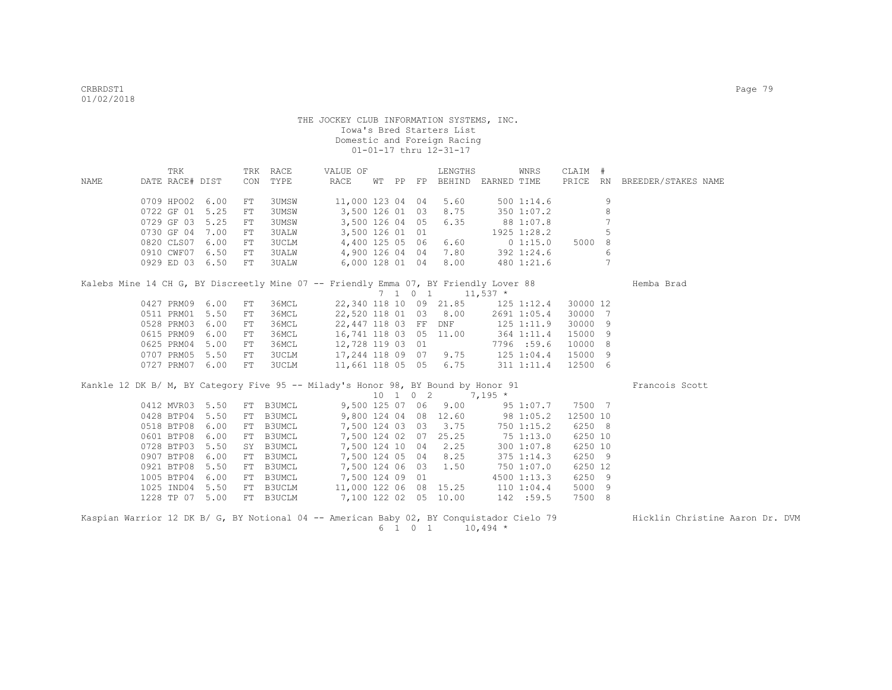|                                                                                          | TRK             |      |            | TRK RACE  | VALUE OF                          |  | LENGTHS                                       |                   | WNRS        | CLAIM #  |                |                                 |
|------------------------------------------------------------------------------------------|-----------------|------|------------|-----------|-----------------------------------|--|-----------------------------------------------|-------------------|-------------|----------|----------------|---------------------------------|
| NAME                                                                                     | DATE RACE# DIST |      |            | CON TYPE  | RACE                              |  | WT PP FP BEHIND EARNED TIME                   |                   |             |          |                | PRICE RN BREEDER/STAKES NAME    |
|                                                                                          | 0709 HPO02 6.00 |      | FT         | 3UMSW     | 11,000 123 04 04                  |  | 5.60                                          |                   | 5001:14.6   |          | 9              |                                 |
|                                                                                          | 0722 GF 01 5.25 |      | FT         | 3UMSW     | 3,500 126 01 03                   |  | 8.75                                          |                   | 350 1:07.2  |          | 8              |                                 |
|                                                                                          | 0729 GF 03      | 5.25 | FT         | 3UMSW     | 3,500 126 04 05                   |  | 6.35                                          | 88 1:07.8         |             |          | 7              |                                 |
|                                                                                          | 0730 GF 04 7.00 |      | FT         | 3UALW     | 3,500 126 01 01                   |  |                                               |                   | 1925 1:28.2 |          | 5              |                                 |
|                                                                                          | 0820 CLS07 6.00 |      | FT         | 3UCLM     | 4,400 125 05 06                   |  | 6.60                                          |                   | 01:15.0     | 5000 8   |                |                                 |
|                                                                                          | 0910 CWF07 6.50 |      | FT         | 3UALW     | 4,900 126 04 04                   |  |                                               | 7.80 392 1:24.6   |             |          | 6              |                                 |
|                                                                                          | 0929 ED 03 6.50 |      | ${\rm FT}$ | 3UALW     | 6,000 128 01 04                   |  | 8.00                                          |                   | 480 1:21.6  |          | $\overline{7}$ |                                 |
| Kalebs Mine 14 CH G, BY Discreetly Mine 07 -- Friendly Emma 07, BY Friendly Lover 88     |                 |      |            |           |                                   |  |                                               |                   |             |          |                | Hemba Brad                      |
|                                                                                          |                 |      |            |           |                                   |  | 7 1 0 1 11,537 $*$                            |                   |             |          |                |                                 |
|                                                                                          | 0427 PRM09 6.00 |      | FT         | 36MCL     |                                   |  | 22,340 118 10 09 21.85 125 1:12.4             |                   |             | 30000 12 |                |                                 |
|                                                                                          | 0511 PRM01 5.50 |      | FT         | 36MCL     |                                   |  | 22,520 118 01 03 8.00                         |                   | 2691 1:05.4 | 30000 7  |                |                                 |
|                                                                                          | 0528 PRM03      | 6.00 | FT         | 36MCL     | 22,447 118 03 FF DNF              |  |                                               | 125 1:11.9        |             | 30000 9  |                |                                 |
|                                                                                          | 0615 PRM09      | 6.00 | FT         | 36MCL     | 16,741 118 03 05 11.00 364 1:11.4 |  |                                               |                   |             | 15000 9  |                |                                 |
|                                                                                          | 0625 PRM04      | 5.00 | FT         | 36MCL     | 12,728 119 03 01                  |  |                                               |                   | 7796 :59.6  | 10000 8  |                |                                 |
|                                                                                          | 0707 PRM05      | 5.50 | FT         | 3UCLM     | 17,244 118 09 07                  |  |                                               | $9.75$ 125 1:04.4 |             | 15000 9  |                |                                 |
|                                                                                          | 0727 PRM07      | 6.00 | FT         | 3UCLM     |                                   |  | 11,661 118 05 05 6.75 311 1:11.4              |                   |             | 12500 6  |                |                                 |
| Kankle 12 DK B/ M, BY Category Five 95 -- Milady's Honor 98, BY Bound by Honor 91        |                 |      |            |           |                                   |  |                                               |                   |             |          |                | Francois Scott                  |
|                                                                                          |                 |      |            |           |                                   |  | $10 \quad 1 \quad 0 \quad 2 \quad 7,195 \neq$ |                   |             |          |                |                                 |
|                                                                                          | 0412 MVR03 5.50 |      |            | FT B3UMCL |                                   |  | 9,500 125 07 06 9.00                          |                   | 95 1:07.7   | 7500 7   |                |                                 |
|                                                                                          | 0428 BTP04 5.50 |      |            | FT B3UMCL | 9,800 124 04 08 12.60 98 1:05.2   |  |                                               |                   |             | 12500 10 |                |                                 |
|                                                                                          | 0518 BTP08 6.00 |      |            | FT B3UMCL |                                   |  | 7,500 124 03 03 3.75                          |                   | 750 1:15.2  | 6250 8   |                |                                 |
|                                                                                          | 0601 BTP08      | 6.00 |            | FT B3UMCL |                                   |  | 7,500 124 02 07 25.25                         | 75 1:13.0         |             | 6250 10  |                |                                 |
|                                                                                          | 0728 BTP03      | 5.50 |            | SY B3UMCL |                                   |  | 7,500 124 10 04 2.25                          |                   | 300 1:07.8  | 6250 10  |                |                                 |
|                                                                                          | 0907 BTP08      | 6.00 |            | FT B3UMCL | 7,500 124 05 04 8.25              |  |                                               |                   | 375 1:14.3  | 6250 9   |                |                                 |
|                                                                                          | 0921 BTP08      | 5.50 |            | FT B3UMCL | 7,500 124 06 03 1.50              |  |                                               |                   | 750 1:07.0  | 6250 12  |                |                                 |
|                                                                                          | 1005 BTP04      | 6.00 |            | FT B3UMCL | 7,500 124 09 01                   |  |                                               |                   | 4500 1:13.3 | 6250 9   |                |                                 |
|                                                                                          | 1025 IND04      | 5.50 |            | FT B3UCLM | 11,000 122 06 08 15.25 110 1:04.4 |  |                                               |                   |             | 5000 9   |                |                                 |
|                                                                                          | 1228 TP 07 5.00 |      |            | FT B3UCLM | 7,100 122 02 05 10.00 142 :59.5   |  |                                               |                   |             | 7500 8   |                |                                 |
| Kaspian Warrior 12 DK B/ G, BY Notional 04 -- American Baby 02, BY Conquistador Cielo 79 |                 |      |            |           |                                   |  |                                               |                   |             |          |                | Hicklin Christine Aaron Dr. DVM |

 $6 \quad 1 \quad 0 \quad 1 \quad 10,494 \; *$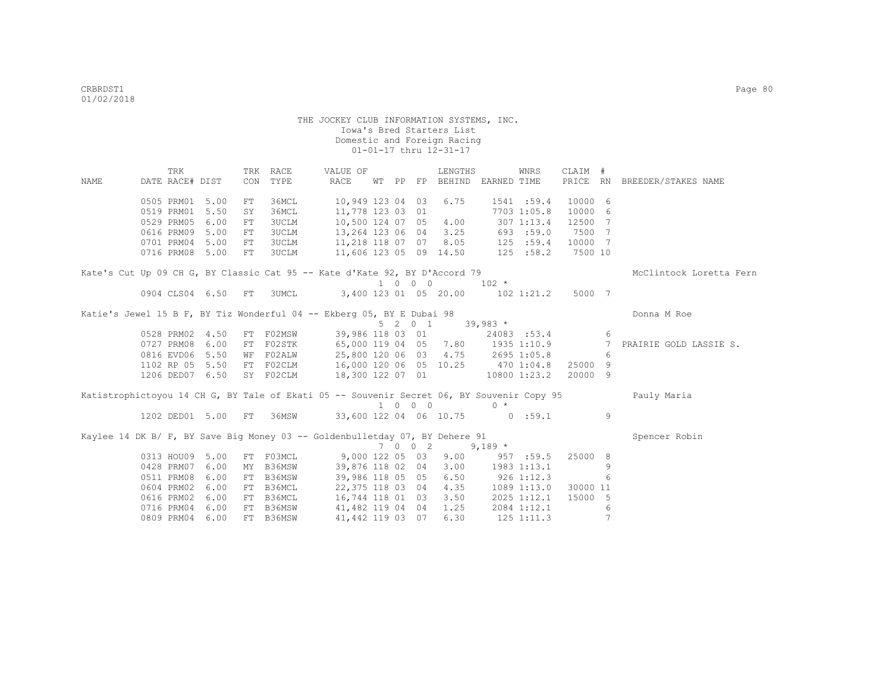|      | TRK                                                                                       |      |     | TRK RACE     | VALUE OF                             |  |                             | LENGTHS                           |           | WNRS        | CLAIM #           |                 |                              |
|------|-------------------------------------------------------------------------------------------|------|-----|--------------|--------------------------------------|--|-----------------------------|-----------------------------------|-----------|-------------|-------------------|-----------------|------------------------------|
| NAME | DATE RACE# DIST                                                                           |      | CON | TYPE         | RACE                                 |  |                             | WT PP FP BEHIND EARNED TIME       |           |             |                   |                 | PRICE RN BREEDER/STAKES NAME |
|      | 0505 PRM01                                                                                | 5.00 | FT  | 36MCL        | 10,949 123 04 03                     |  |                             | 6.75                              |           | 1541:59.4   | 10000 6           |                 |                              |
|      | 0519 PRM01                                                                                | 5.50 | SY  | 36MCL        | 11,778 123 03 01                     |  |                             |                                   |           | 7703 1:05.8 | 10000 6           |                 |                              |
|      | 0529 PRM05                                                                                | 6.00 | FT  | 3UCLM        | 10,500 124 07 05                     |  |                             | 4.00                              |           | 307 1:13.4  | 12500 7           |                 |                              |
|      | 0616 PRM09                                                                                | 5.00 | FT  | <b>3UCLM</b> | 13,264 123 06 04                     |  |                             | 3.25                              |           | 693 :59.0   | 7500 7            |                 |                              |
|      | 0701 PRM04                                                                                | 5.00 | FT  | 3UCLM        | 11,218 118 07 07                     |  |                             | 8.05                              |           | 125 : 59.4  | 10000 7           |                 |                              |
|      | 0716 PRM08                                                                                | 5.00 | FT  | <b>3UCLM</b> |                                      |  |                             | 11,606 123 05 09 14.50            |           | 125 :58.2   | 7500 10           |                 |                              |
|      | Kate's Cut Up 09 CH G, BY Classic Cat 95 -- Kate d'Kate 92, BY D'Accord 79                |      |     |              |                                      |  |                             |                                   |           |             |                   |                 | McClintock Loretta Fern      |
|      |                                                                                           |      |     |              |                                      |  | 1 0 0 0                     |                                   | $102 *$   |             |                   |                 |                              |
|      | 0904 CLS04 6.50 FT                                                                        |      |     | 3UMCL        | 3,400 123 01 05 20.00                |  |                             |                                   |           |             | 102 1:21.2 5000 7 |                 |                              |
|      | Katie's Jewel 15 B F, BY Tiz Wonderful 04 -- Ekberg 05, BY E Dubai 98                     |      |     |              |                                      |  |                             |                                   |           |             |                   |                 | Donna M Roe                  |
|      |                                                                                           |      |     |              |                                      |  |                             | $5 \t2 \t0 \t1 \t39,983 \t\t*$    |           |             |                   |                 |                              |
|      | 0528 PRM02 4.50                                                                           |      |     | FT F02MSW    |                                      |  |                             | 39,986 118 03 01                  |           | 24083 :53.4 |                   | 6               |                              |
|      | 0727 PRM08                                                                                | 6.00 |     | FT F02STK    | 65,000 119 04 05 7.80 1935 1:10.9    |  |                             |                                   |           |             |                   | 7               | PRAIRIE GOLD LASSIE S.       |
|      | 0816 EVD06                                                                                | 5.50 |     | WF FO2ALW    |                                      |  |                             | 25,800 120 06 03 4.75 2695 1:05.8 |           |             |                   | 6               |                              |
|      | 1102 RP 05                                                                                | 5.50 |     | FT F02CLM    |                                      |  |                             | 16,000 120 06 05 10.25 470 1:04.8 |           |             | 25000 9           |                 |                              |
|      | 1206 DED07 6.50                                                                           |      |     | SY F02CLM    | 18,300 122 07 01                     |  |                             | $10800$ $1:23.2$                  |           |             | 20000 9           |                 |                              |
|      | Katistrophictoyou 14 CH G, BY Tale of Ekati 05 -- Souvenir Secret 06, BY Souvenir Copy 95 |      |     |              |                                      |  |                             |                                   |           |             |                   |                 | Pauly Maria                  |
|      |                                                                                           |      |     |              |                                      |  | $1 \quad 0 \quad 0 \quad 0$ |                                   | $0 *$     |             |                   |                 |                              |
|      | 1202 DED01 5.00                                                                           |      | FT  |              | 36MSW 33,600 122 04 06 10.75 0 :59.1 |  |                             |                                   |           |             |                   | 9               |                              |
|      | Kaylee 14 DK B/ F, BY Save Big Money 03 -- Goldenbulletday 07, BY Dehere 91               |      |     |              |                                      |  |                             |                                   |           |             |                   |                 | Spencer Robin                |
|      |                                                                                           |      |     |              |                                      |  | 7 0 0 2                     |                                   | 9,189 $*$ |             |                   |                 |                              |
|      | 0313 HOU09                                                                                | 5.00 |     | FT F03MCL    | $9,000$ 122 05 03                    |  |                             | 9.00                              |           | 957 :59.5   | 25000 8           |                 |                              |
|      | 0428 PRM07                                                                                | 6.00 | MY  | B36MSW       | 39,876 118 02 04                     |  |                             | 3.00                              |           | 1983 1:13.1 |                   | 9               |                              |
|      | 0511 PRM08                                                                                | 6.00 | FT  | B36MSW       | 39,986 118 05 05                     |  |                             | 6.50                              | 9261:12.3 |             |                   | 6               |                              |
|      | 0604 PRM02                                                                                | 6.00 |     | FT B36MCL    | 22,375 118 03 04                     |  |                             | 4.35                              |           | 1089 1:13.0 | 30000 11          |                 |                              |
|      | 0616 PRM02                                                                                | 6.00 |     | FT B36MCL    | 16,744 118 01 03                     |  |                             | 3.50                              |           | 2025 1:12.1 | 15000 5           |                 |                              |
|      | 0716 PRM04                                                                                | 6.00 |     | FT B36MSW    | 41,482 119 04 04                     |  |                             | 1.25                              |           | 2084 1:12.1 |                   | 6               |                              |
|      | 0809 PRM04                                                                                | 6.00 |     | FT B36MSW    | 41, 442 119 03 07                    |  |                             | 6.30                              |           | 1251:11.3   |                   | $7\phantom{.0}$ |                              |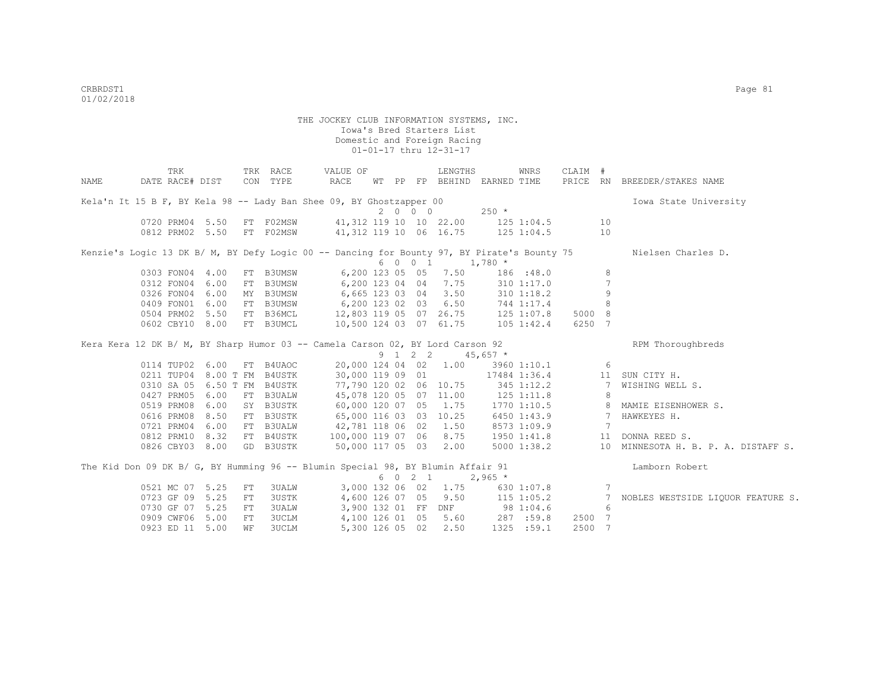|      | TRK                         |      |            | TRK RACE     | VALUE OF                                                                                    |  |         | LENGTHS                           |          | WNRS           | CLAIM # |                 |                                     |
|------|-----------------------------|------|------------|--------------|---------------------------------------------------------------------------------------------|--|---------|-----------------------------------|----------|----------------|---------|-----------------|-------------------------------------|
| NAME | DATE RACE# DIST             |      |            | CON TYPE     | RACE                                                                                        |  |         | WT PP FP BEHIND EARNED TIME       |          |                |         |                 | PRICE RN BREEDER/STAKES NAME        |
|      |                             |      |            |              | Kela'n It 15 B F, BY Kela 98 -- Lady Ban Shee 09, BY Ghostzapper 00                         |  |         |                                   |          |                |         |                 | Iowa State University               |
|      |                             |      |            |              |                                                                                             |  | 2000    |                                   | $250 *$  |                |         |                 |                                     |
|      | 0720 PRM04 5.50             |      |            | FT F02MSW    | 41, 312 119 10 10 22.00 125 1:04.5                                                          |  |         |                                   |          |                |         | 10              |                                     |
|      | 0812 PRM02 5.50             |      |            | FT F02MSW    | 41,312 119 10 06 16.75 125 1:04.5                                                           |  |         |                                   |          |                |         | 10              |                                     |
|      |                             |      |            |              | Kenzie's Logic 13 DK B/ M, BY Defy Logic 00 -- Dancing for Bounty 97, BY Pirate's Bounty 75 |  |         | 6 0 0 1 1,780 *                   |          |                |         |                 | Nielsen Charles D.                  |
|      | 0303 FON04 4.00             |      |            | FT B3UMSW    |                                                                                             |  |         | 6,200 123 05 05 7.50              |          | 186 : 48.0     |         | 8               |                                     |
|      | 0312 FON04 6.00             |      |            | FT B3UMSW    | 6,200 123 04 04 7.75                                                                        |  |         |                                   |          | 310 1:17.0     |         | $7\phantom{.0}$ |                                     |
|      | 0326 FON04 6.00             |      |            | MY B3UMSW    | 6,665 123 03 04 3.50                                                                        |  |         |                                   |          | 310 1:18.2     |         | 9               |                                     |
|      | 0409 FON01 6.00             |      |            | FT B3UMSW    | 6,200 123 02 03                                                                             |  |         | 6.50                              |          | 744 1:17.4     |         | 8               |                                     |
|      | 0504 PRM02 5.50             |      |            | FT B36MCL    | 12,803 119 05 07 26.75 125 1:07.8                                                           |  |         |                                   |          |                | 5000 8  |                 |                                     |
|      | 0602 CBY10 8.00             |      |            | FT B3UMCL    |                                                                                             |  |         | 10,500 124 03 07 61.75            |          | $105$ $1:42.4$ | 6250 7  |                 |                                     |
|      |                             |      |            |              | Kera Kera 12 DK B/ M, BY Sharp Humor 03 -- Camela Carson 02, BY Lord Carson 92              |  |         | 9 1 2 2 45,657 $\star$            |          |                |         |                 | RPM Thoroughbreds                   |
|      | 0114 TUP02 6.00             |      |            | FT B4UAOC    |                                                                                             |  |         | 20,000 124 04 02 1.00 3960 1:10.1 |          |                |         | 6               |                                     |
|      | 0211 TUP04 8.00 T FM B4USTK |      |            |              | 30,000 119 09 01                                                                            |  |         |                                   |          | 17484 1:36.4   |         |                 | 11 SUN CITY H.                      |
|      | 0310 SA 05 6.50 T FM B4USTK |      |            |              | 77,790 120 02 06 10.75                                                                      |  |         |                                   |          | 345 1:12.2     |         | 7               | WISHING WELL S.                     |
|      | 0427 PRM05                  | 6.00 |            | FT B3UALW    | 45,078 120 05 07 11.00                                                                      |  |         |                                   |          | $125$ $1:11.8$ |         | 8               |                                     |
|      | 0519 PRM08                  | 6.00 |            | SY B3USTK    | 60,000 120 07 05 1.75                                                                       |  |         |                                   |          | 1770 1:10.5    |         |                 | 8 MAMIE EISENHOWER S.               |
|      | 0616 PRM08                  | 8.50 |            | FT B3USTK    | 65,000 116 03 03 10.25                                                                      |  |         |                                   |          | 6450 1:43.9    |         | 7               | HAWKEYES H.                         |
|      | 0721 PRM04                  | 6.00 |            | FT B3UALW    | 42,781 118 06 02                                                                            |  |         | 1.50                              |          | 8573 1:09.9    |         | 7               |                                     |
|      | 0812 PRM10                  | 8.32 |            | FT B4USTK    | 100,000 119 07 06 8.75                                                                      |  |         |                                   |          | 1950 1:41.8    |         | 11              | DONNA REED S.                       |
|      | 0826 CBY03 8.00             |      |            | GD B3USTK    | 50,000 117 05 03 2.00                                                                       |  |         |                                   |          | 5000 1:38.2    |         |                 | 10 MINNESOTA H. B. P. A. DISTAFF S. |
|      |                             |      |            |              | The Kid Don 09 DK B/ G, BY Humming 96 -- Blumin Special 98, BY Blumin Affair 91             |  |         |                                   |          |                |         |                 | Lamborn Robert                      |
|      |                             |      |            |              |                                                                                             |  | 6 0 2 1 |                                   | $2,965*$ |                |         |                 |                                     |
|      | 0521 MC 07 5.25             |      | FT         | 3UALW        |                                                                                             |  |         | 3,000 132 06 02 1.75              |          | 630 1:07.8     |         | 7               |                                     |
|      | 0723 GF 09 5.25             |      | ${\rm FT}$ | 3USTK        |                                                                                             |  |         | 4,600 126 07 05 9.50              |          | $115$ $1:05.2$ |         |                 | 7 NOBLES WESTSIDE LIQUOR FEATURE S. |
|      | 0730 GF 07 5.25             |      | FT         | <b>3UALW</b> |                                                                                             |  |         | 3,900 132 01 FF DNF 98 1:04.6     |          |                |         | 6               |                                     |
|      | 0909 CWF06 5.00             |      | FT         | <b>3UCLM</b> |                                                                                             |  |         | 4,100 126 01 05 5.60              |          | 287 :59.8      | 2500 7  |                 |                                     |
|      | 0923 ED 11 5.00             |      | WF         | <b>3UCLM</b> | 5,300 126 05 02                                                                             |  |         | 2.50                              |          | 1325 :59.1     | 2500 7  |                 |                                     |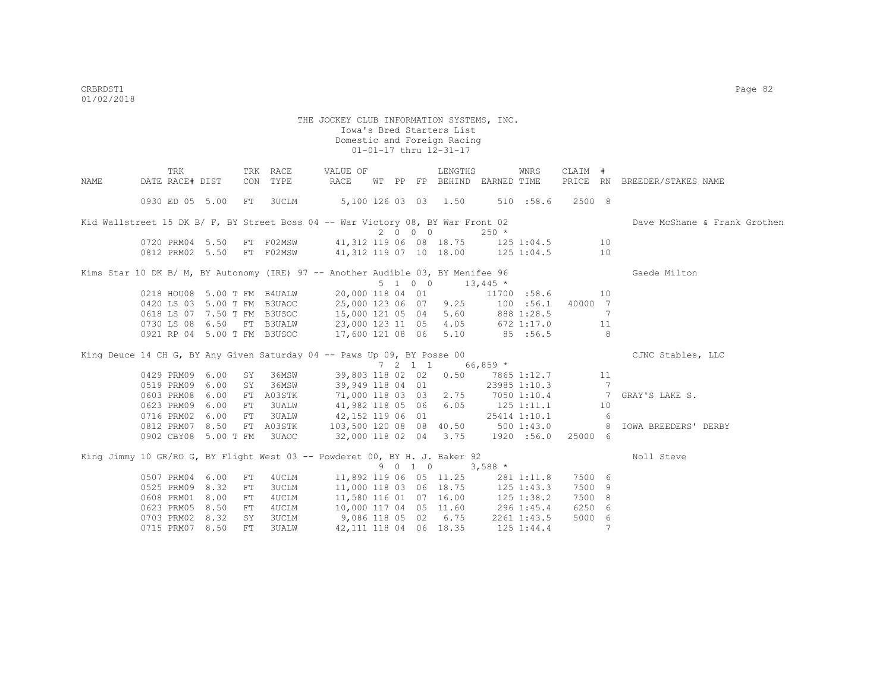| DATE RACE# DIST<br>CON TYPE<br>RACE<br>PRICE RN<br>PP FP BEHIND EARNED TIME<br>BREEDER/STAKES NAME<br>NAME<br>WТ    |                              |
|---------------------------------------------------------------------------------------------------------------------|------------------------------|
|                                                                                                                     |                              |
| 5,100 126 03 03 1.50 510 :58.6<br>0930 ED 05 5.00<br>FT 3UCLM<br>2500 8                                             |                              |
| Kid Wallstreet 15 DK B/ F, BY Street Boss 04 -- War Victory 08, BY War Front 02                                     | Dave McShane & Frank Grothen |
| 2000<br>$250 *$                                                                                                     |                              |
| FT F02MSW 41,312 119 06 08 18.75 125 1:04.5 10<br>0720 PRM04 5.50                                                   |                              |
| 0812 PRM02 5.50 FT F02MSW 41,312 119 07 10 18.00 125 1:04.5<br>10                                                   |                              |
| Kims Star 10 DK B/ M, BY Autonomy (IRE) 97 -- Another Audible 03, BY Menifee 96<br>Gaede Milton                     |                              |
| $5 \t1 \t0 \t0 \t13,445 \t*$                                                                                        |                              |
| 0218 HOU08 5.00 T FM B4UALW 20,000 118 04 01 11700 :58.6<br>10                                                      |                              |
| 0420 LS 03 5.00 T FM B3UAOC 25,000 123 06 07 9.25 100 :56.1<br>40000 7                                              |                              |
| 15,000 121 05 04 5.60 888 1:28.5<br>0618 LS 07 7.50 T FM B3USOC<br>7                                                |                              |
| 23,000 123 11 05 4.05 672 1:17.0<br>0730 LS 08 6.50 FT B3UALW<br>11                                                 |                              |
| 17,600 121 08 06 5.10<br>0921 RP 04 5.00 T FM B3USOC<br>85 : 56.5<br>8                                              |                              |
| King Deuce 14 CH G, BY Any Given Saturday 04 -- Paws Up 09, BY Posse 00<br>CJNC Stables, LLC                        |                              |
| $7 \quad 2 \quad 1 \quad 1 \quad 66,859 \star$                                                                      |                              |
| 39,803 118 02 02 0.50 7865 1:12.7<br>0429 PRM09<br>6.00<br>36MSW<br>11<br>SY                                        |                              |
| $7\phantom{.0}$<br>0519 PRM09<br>6.00<br>36MSW<br>39,949 118 04 01<br>23985 1:10.3<br>SY                            |                              |
| 71,000 118 03 03 2.75 7050 1:10.4 7<br>6.00<br>0603 PRM08<br>A03STK<br>FT<br>GRAY'S LAKE S.                         |                              |
| 41,982 118 05 06 6.05<br>0623 PRM09<br>6.00<br>3UALW<br>$125$ $1:11.1$<br>FT<br>10                                  |                              |
| 42,152 119 06 01<br>0716 PRM02<br>6.00<br><b>3UALW</b><br>25414 1:10.1<br>6<br>${\rm FT}$                           |                              |
| 103,500 120 08 08 40.50 500 1:43.0<br>0812 PRM07 8.50<br>FT A03STK<br>8 <sup>8</sup><br><b>IOWA BREEDERS' DERBY</b> |                              |
|                                                                                                                     |                              |
| 32,000 118 02 04 3.75 1920 :56.0<br>0902 CBY08 5.00 T FM<br>3UAOC<br>25000 6                                        |                              |
| King Jimmy 10 GR/RO G, BY Flight West 03 -- Powderet 00, BY H. J. Baker 92<br>Noll Steve                            |                              |
| 9 0 1 0<br>$3,588$ *                                                                                                |                              |
| 0507 PRM04<br>6.00<br>11,892 119 06 05 11.25 281 1:11.8<br>7500 6<br>4UCLM<br>FT                                    |                              |
| 8.32<br>0525 PRM09<br>FT<br>3UCLM<br>11,000 118 03 06 18.75<br>7500 9<br>$125$ $1:43.3$                             |                              |
| 0608 PRM01<br>8.00<br>11,580 116 01 07 16.00<br>7500 8<br>4UCLM<br>$125$ $1:38.2$<br>FT                             |                              |
| 8.50<br>10,000 117 04 05 11.60 296 1:45.4<br>6250 6<br>0623 PRM05<br>4UCLM<br>FT                                    |                              |
| 0703 PRM02<br>8.32<br>3UCLM<br>9,086 118 05 02 6.75<br>5000 6<br>SY<br>2261 1:43.5                                  |                              |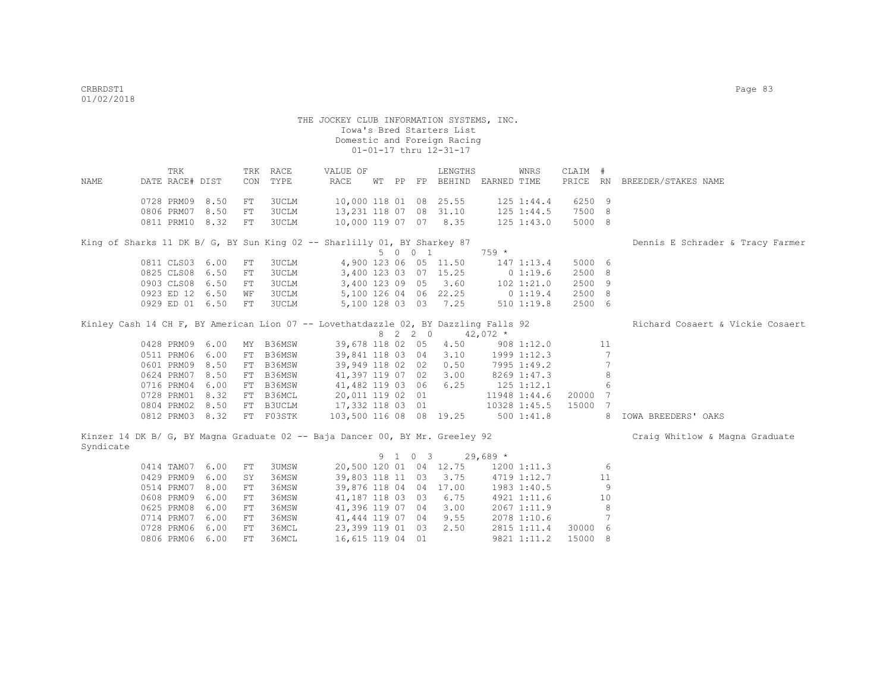| NAME      | TRK<br>DATE RACE# DIST |      | CON        | TRK RACE<br>TYPE                                                                    | VALUE OF<br>RACE        |  |         | LENGTHS<br>WT PP FP BEHIND EARNED TIME |            | WNRS           | CLAIM #<br>PRICE RN |                 | BREEDER/STAKES NAME              |
|-----------|------------------------|------|------------|-------------------------------------------------------------------------------------|-------------------------|--|---------|----------------------------------------|------------|----------------|---------------------|-----------------|----------------------------------|
|           |                        |      |            |                                                                                     |                         |  |         |                                        |            |                |                     |                 |                                  |
|           | 0728 PRM09 8.50        |      | FT         | 3UCLM                                                                               | 10,000 118 01 08 25.55  |  |         |                                        |            | 125 1:44.4     | 6250 9              |                 |                                  |
|           | 0806 PRM07 8.50        |      | FT         | <b>3UCLM</b>                                                                        | 13,231 118 07 08 31.10  |  |         |                                        |            | 125 1:44.5     | 7500 8              |                 |                                  |
|           | 0811 PRM10 8.32        |      | FT         | 3UCLM                                                                               | 10,000 119 07 07 8.35   |  |         |                                        |            | $125$ $1:43.0$ | 5000 8              |                 |                                  |
|           |                        |      |            | King of Sharks 11 DK B/ G, BY Sun King 02 -- Sharlilly 01, BY Sharkey 87            |                         |  |         |                                        |            |                |                     |                 |                                  |
|           |                        |      |            |                                                                                     |                         |  | 5 0 0 1 |                                        | $759 *$    |                |                     |                 | Dennis E Schrader & Tracy Farmer |
|           | 0811 CLS03 6.00        |      | FT         | 3UCLM                                                                               |                         |  |         | 4,900 123 06 05 11.50                  |            | 147 1:13.4     | 5000 6              |                 |                                  |
|           | 0825 CLS08 6.50        |      | ${\rm FT}$ | 3UCLM                                                                               |                         |  |         | 3,400 123 03 07 15.25                  |            | 01:19.6        | 2500 8              |                 |                                  |
|           | 0903 CLS08 6.50        |      | ${\rm FT}$ | 3UCLM                                                                               | 3,400 123 09 05         |  |         | 3.60                                   |            | $102$ $1:21.0$ | 2500 9              |                 |                                  |
|           | 0923 ED 12 6.50        |      | WF         | 3UCLM                                                                               |                         |  |         | 5,100 126 04 06 22.25                  | 0 1:19.4   |                | 2500 8              |                 |                                  |
|           | 0929 ED 01 6.50        |      | FT         | 3UCLM                                                                               |                         |  |         | 5,100 128 03 03 7.25                   |            | 510 1:19.8     | 2500 6              |                 |                                  |
|           |                        |      |            |                                                                                     |                         |  |         |                                        |            |                |                     |                 |                                  |
|           |                        |      |            | Kinley Cash 14 CH F, BY American Lion 07 -- Lovethatdazzle 02, BY Dazzling Falls 92 |                         |  |         |                                        |            |                |                     |                 | Richard Cosaert & Vickie Cosaert |
|           |                        |      |            |                                                                                     |                         |  | 8 2 2 0 |                                        | $42,072$ * |                |                     |                 |                                  |
|           | 0428 PRM09 6.00        |      |            | MY B36MSW                                                                           | 39,678 118 02 05        |  |         | 4.50                                   |            | 908 1:12.0     |                     | 11              |                                  |
|           | 0511 PRM06 6.00        |      |            | FT B36MSW                                                                           | 39,841 118 03 04        |  |         | 3.10                                   |            | 1999 1:12.3    |                     | $7\phantom{.0}$ |                                  |
|           | 0601 PRM09 8.50        |      | FT         | B36MSW                                                                              | 39,949 118 02 02        |  |         | 0.50                                   |            | 7995 1:49.2    |                     | $7\phantom{.0}$ |                                  |
|           | 0624 PRM07 8.50        |      |            | FT B36MSW                                                                           | 41,397 119 07 02        |  |         | 3.00                                   |            | 8269 1:47.3    |                     | 8               |                                  |
|           | 0716 PRM04             | 6.00 |            | FT B36MSW                                                                           | 41,482 119 03 06        |  |         | 6.25                                   |            | $125$ $1:12.1$ |                     | 6               |                                  |
|           | 0728 PRM01 8.32        |      |            | FT B36MCL                                                                           | 20,011 119 02 01        |  |         |                                        |            | 11948 1:44.6   | 20000               | 7               |                                  |
|           | 0804 PRM02 8.50        |      |            | FT B3UCLM                                                                           | 17,332 118 03 01        |  |         |                                        |            | 10328 1:45.5   | 15000               | -7              |                                  |
|           | 0812 PRM03 8.32        |      |            | FT F03STK                                                                           | 103,500 116 08 08 19.25 |  |         |                                        |            | 500 1:41.8     |                     | 8               | IOWA BREEDERS' OAKS              |
|           |                        |      |            | Kinzer 14 DK B/ G, BY Magna Graduate 02 -- Baja Dancer 00, BY Mr. Greeley 92        |                         |  |         |                                        |            |                |                     |                 | Craig Whitlow & Magna Graduate   |
| Syndicate |                        |      |            |                                                                                     |                         |  |         |                                        |            |                |                     |                 |                                  |
|           |                        |      |            |                                                                                     |                         |  | 9 1 0 3 |                                        | $29,689$ * |                |                     |                 |                                  |
|           | 0414 TAM07 6.00        |      | FT         | 3UMSW                                                                               |                         |  |         | 20,500 120 01 04 12.75 1200 1:11.3     |            |                |                     | 6               |                                  |
|           | 0429 PRM09             | 6.00 | SY         | 36MSW                                                                               | 39,803 118 11 03        |  |         | 3.75                                   |            | 4719 1:12.7    |                     | 11              |                                  |
|           | 0514 PRM07             | 8.00 | $FT$       | 36MSW                                                                               |                         |  |         | 39,876 118 04 04 17.00                 |            | 1983 1:40.5    |                     | 9               |                                  |
|           | 0608 PRM09             | 6.00 | ${\rm FT}$ | 36MSW                                                                               | 41,187 118 03 03        |  |         | 6.75                                   |            | 4921 1:11.6    |                     | 10              |                                  |
|           | 0625 PRM08             | 6.00 | ${\rm FT}$ | 36MSW                                                                               | 41,396 119 07 04        |  |         | 3.00                                   |            | 2067 1:11.9    |                     | 8               |                                  |
|           | 0714 PRM07             | 6.00 | ${\rm FT}$ | 36MSW                                                                               | 41,444 119 07 04        |  |         | 9.55                                   |            | 2078 1:10.6    |                     | $7\phantom{.0}$ |                                  |
|           | 0728 PRM06             | 6.00 | ${\rm FT}$ | 36MCL                                                                               | 23,399 119 01 03        |  |         | 2.50                                   |            | 2815 1:11.4    | 30000 6             |                 |                                  |
|           | 0806 PRM06             | 6.00 | FT         | 36MCL                                                                               | 16,615 119 04 01        |  |         |                                        |            | 9821 1:11.2    | 15000 8             |                 |                                  |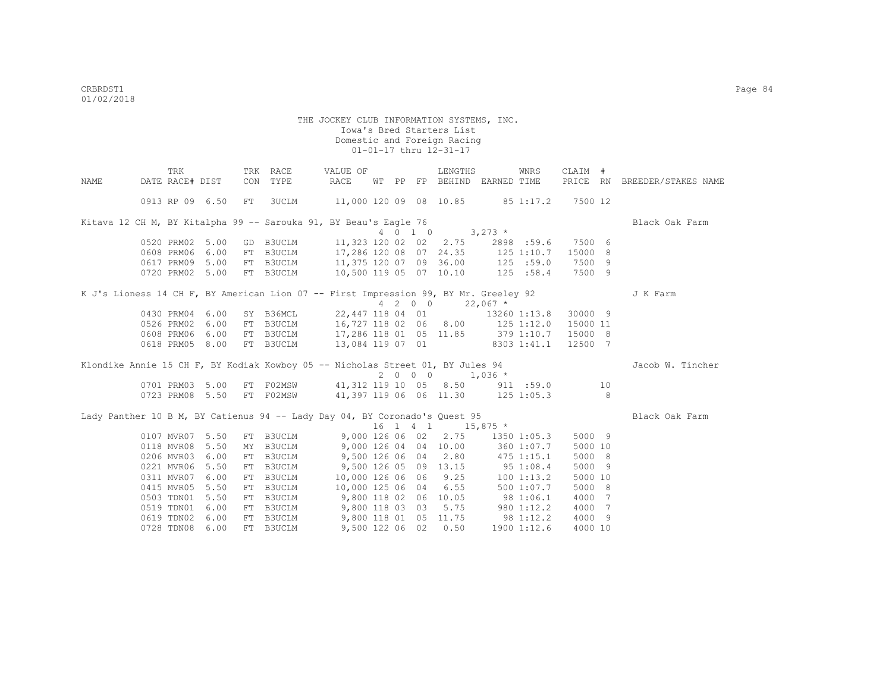|                                                                                      | TRK             |                 |     | TRK RACE  | VALUE OF                                     |    |    |         | LENGTHS               |                                       | WNRS              | CLAIM #  |                              |
|--------------------------------------------------------------------------------------|-----------------|-----------------|-----|-----------|----------------------------------------------|----|----|---------|-----------------------|---------------------------------------|-------------------|----------|------------------------------|
| NAME                                                                                 | DATE RACE# DIST |                 | CON | TYPE      | RACE                                         | WТ | PP |         |                       | FP BEHIND EARNED TIME                 |                   |          | PRICE RN BREEDER/STAKES NAME |
|                                                                                      |                 | 0913 RP 09 6.50 | FT  | 3UCLM     | 11,000 120 09 08 10.85 85 1:17.2             |    |    |         |                       |                                       |                   | 7500 12  |                              |
| Kitava 12 CH M, BY Kitalpha 99 -- Sarouka 91, BY Beau's Eagle 76                     |                 |                 |     |           |                                              |    |    |         |                       |                                       |                   |          | Black Oak Farm               |
|                                                                                      |                 |                 |     |           |                                              |    |    | 4 0 1 0 |                       | $3,273$ *                             |                   |          |                              |
|                                                                                      | 0520 PRM02 5.00 |                 |     | GD B3UCLM |                                              |    |    |         | 11,323 120 02 02 2.75 |                                       | 2898 :59.6 7500 6 |          |                              |
|                                                                                      | 0608 PRM06 6.00 |                 |     |           | FT B3UCLM 17,286 120 08 07 24.35             |    |    |         |                       |                                       | 125 1:10.7        | 15000 8  |                              |
|                                                                                      |                 | 0617 PRM09 5.00 |     |           | FT B3UCLM 11,375 120 07 09 36.00             |    |    |         |                       |                                       | 125 :59.0         | 7500 9   |                              |
|                                                                                      |                 | 0720 PRM02 5.00 |     |           | FT B3UCLM 10,500 119 05 07 10.10             |    |    |         |                       |                                       | 125 : 58.4        | 7500 9   |                              |
| K J's Lioness 14 CH F, BY American Lion 07 -- First Impression 99, BY Mr. Greeley 92 |                 |                 |     |           |                                              |    |    |         |                       |                                       |                   |          | J K Farm                     |
|                                                                                      |                 |                 |     |           |                                              |    |    |         | 4 2 0 0 22,067 $*$    |                                       |                   |          |                              |
|                                                                                      |                 | 0430 PRM04 6.00 |     | SY B36MCL |                                              |    |    |         |                       | 22,447 118 04 01 13260 1:13.8 30000 9 |                   |          |                              |
|                                                                                      | 0526 PRM02      | 6.00            |     |           | FT B3UCLM 16,727 118 02 06 8.00 125 1:12.0   |    |    |         |                       |                                       |                   | 15000 11 |                              |
|                                                                                      | 0608 PRM06      | 6.00            |     |           | FT B3UCLM 17,286 118 01 05 11.85 379 1:10.7  |    |    |         |                       |                                       |                   | 15000 8  |                              |
|                                                                                      | 0618 PRM05      | 8.00            |     | FT B3UCLM | 13,084 119 07 01                             |    |    |         |                       | 8303 1:41.1                           |                   | 12500 7  |                              |
| Klondike Annie 15 CH F, BY Kodiak Kowboy 05 -- Nicholas Street 01, BY Jules 94       |                 |                 |     |           |                                              |    |    |         |                       |                                       |                   |          | Jacob W. Tincher             |
|                                                                                      |                 |                 |     |           |                                              |    |    |         | $2000$ $1,036*$       |                                       |                   |          |                              |
|                                                                                      |                 | 0701 PRM03 5.00 |     |           | FT F02MSW 41,312 119 10 05 8.50 911 :59.0 10 |    |    |         |                       |                                       |                   |          |                              |
|                                                                                      |                 | 0723 PRM08 5.50 |     |           | FT FO2MSW 41,397 119 06 06 11.30 125 1:05.3  |    |    |         |                       |                                       |                   |          |                              |
| Lady Panther 10 B M, BY Catienus 94 -- Lady Day 04, BY Coronado's Quest 95           |                 |                 |     |           |                                              |    |    |         |                       |                                       |                   |          | Black Oak Farm               |
|                                                                                      |                 |                 |     |           |                                              |    |    |         | $16$ 1 4 1 $15,875$ * |                                       |                   |          |                              |
|                                                                                      | 0107 MVR07 5.50 |                 |     | FT B3UCLM | 9,000 126 06 02                              |    |    |         | 2.75                  |                                       | 1350 1:05.3       | 5000 9   |                              |
|                                                                                      | 0118 MVR08 5.50 |                 |     |           | MY B3UCLM 9,000 126 04 04 10.00              |    |    |         |                       |                                       | 360 1:07.7        | 5000 10  |                              |
|                                                                                      | 0206 MVR03      | 6.00            |     | FT B3UCLM | 9,500 126 06 04 2.80                         |    |    |         |                       | 475 1:15.1                            |                   | 5000 8   |                              |
|                                                                                      | 0221 MVR06      | 5.50            |     | FT B3UCLM | 9,500 126 05 09 13.15                        |    |    |         |                       | 951:08.4                              |                   | 5000 9   |                              |
|                                                                                      | 0311 MVR07      | 6.00            |     | FT B3UCLM | 10,000 126 06 06                             |    |    |         | 9.25                  | $100$ 1:13.2                          |                   | 5000 10  |                              |
|                                                                                      | 0415 MVR05      | 5.50            | FT  | B3UCLM    | 10,000 125 06 04                             |    |    |         | 6.55                  | 500 1:07.7                            |                   | 5000 8   |                              |
|                                                                                      | 0503 TDN01      | 5.50            |     |           | FT B3UCLM 9,800 118 02 06 10.05              |    |    |         |                       | 981:06.1                              |                   | 4000 7   |                              |
|                                                                                      | 0519 TDN01      | 6.00            |     |           | FT B3UCLM 9,800 118 03 03                    |    |    |         |                       | $5.75$ 980 1:12.2                     |                   | 4000 7   |                              |
|                                                                                      | 0619 TDN02      | 6.00            |     |           | FT B3UCLM 9,800 118 01 05 11.75 98 1:12.2    |    |    |         |                       |                                       |                   | 4000 9   |                              |
|                                                                                      | 0728 TDN08 6.00 |                 |     | FT B3UCLM |                                              |    |    |         | 9,500 122 06 02 0.50  |                                       | 1900 1:12.6       | 4000 10  |                              |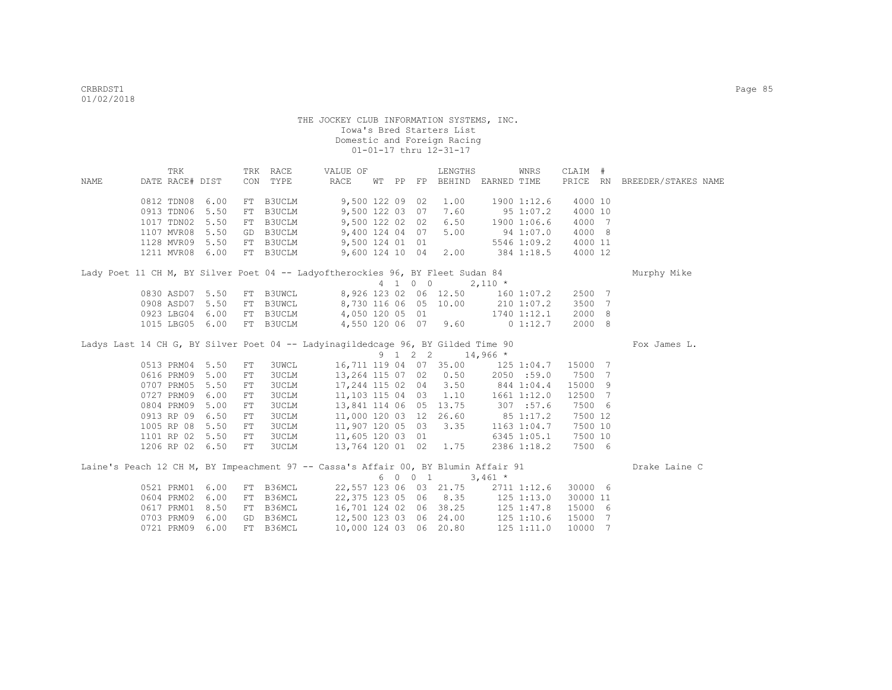|      | TRK             |                 |            | TRK RACE     | VALUE OF                                                                           |  |         | LENGTHS                |                                   | WNRS                | CLAIM #  |   |                              |  |
|------|-----------------|-----------------|------------|--------------|------------------------------------------------------------------------------------|--|---------|------------------------|-----------------------------------|---------------------|----------|---|------------------------------|--|
| NAME | DATE RACE# DIST |                 |            | CON TYPE     | RACE                                                                               |  |         |                        | WT PP FP BEHIND EARNED TIME       |                     |          |   | PRICE RN BREEDER/STAKES NAME |  |
|      | 0812 TDN08      | 6.00            | FT         | B3UCLM       | 9,500 122 09 02                                                                    |  |         | 1.00                   |                                   | 1900 1:12.6         | 4000 10  |   |                              |  |
|      | 0913 TDN06      | 5.50            | FT         | B3UCLM       | 9,500 122 03 07                                                                    |  |         | 7.60                   |                                   | 95 1:07.2           | 4000 10  |   |                              |  |
|      | 1017 TDN02 5.50 |                 | FT         |              | B3UCLM 9,500 122 02 02                                                             |  |         | 6.50                   | 1900 1:06.6                       |                     | 4000 7   |   |                              |  |
|      | 1107 MVR08 5.50 |                 | GD         |              | B3UCLM 9,400 124 04 07                                                             |  |         | 5.00                   |                                   | 94 1:07.0           | 4000 8   |   |                              |  |
|      |                 | 1128 MVR09 5.50 |            |              | FT B3UCLM 9,500 124 01 01                                                          |  |         |                        |                                   | 5546 1:09.2 4000 11 |          |   |                              |  |
|      | 1211 MVR08 6.00 |                 |            |              | FT B3UCLM 9,600 124 10 04                                                          |  |         |                        | 2.00 384 1:18.5 4000 12           |                     |          |   |                              |  |
|      |                 |                 |            |              | Lady Poet 11 CH M, BY Silver Poet 04 -- Ladyoftherockies 96, BY Fleet Sudan 84     |  |         |                        |                                   |                     |          |   | Murphy Mike                  |  |
|      |                 |                 |            |              |                                                                                    |  | 4 1 0 0 |                        | $2,110 *$                         |                     |          |   |                              |  |
|      |                 | 0830 ASD07 5.50 |            |              | FT B3UWCL 8,926 123 02 06 12.50                                                    |  |         |                        | 1601:07.2                         |                     | 2500 7   |   |                              |  |
|      |                 | 0908 ASD07 5.50 |            | FT B3UWCL    | 8,730 116 06 05 10.00                                                              |  |         |                        | 210 1:07.2                        |                     | 3500     | 7 |                              |  |
|      | 0923 LBG04      | 6.00            |            |              | FT B3UCLM 4,050 120 05 01                                                          |  |         |                        | 1740 1:12.1                       |                     | 2000     | 8 |                              |  |
|      |                 | 1015 LBG05 6.00 |            |              | FT B3UCLM 4,550 120 06 07 9.60                                                     |  |         |                        |                                   | 0 1:12.7            | 2000 8   |   |                              |  |
|      |                 |                 |            |              | Ladys Last 14 CH G, BY Silver Poet 04 -- Ladyinagildedcage 96, BY Gilded Time 90   |  |         |                        |                                   |                     |          |   | Fox James L.                 |  |
|      |                 |                 |            |              |                                                                                    |  |         | 9 1 2 2 14,966 *       |                                   |                     |          |   |                              |  |
|      | 0513 PRM04 5.50 |                 | ${\rm FT}$ | 3UWCL        |                                                                                    |  |         |                        | 16,711 119 04 07 35.00 125 1:04.7 |                     | 15000 7  |   |                              |  |
|      |                 | 0616 PRM09 5.00 | FT         | <b>3UCLM</b> |                                                                                    |  |         | 13,264 115 07 02 0.50  |                                   | 2050 :59.0          | 7500 7   |   |                              |  |
|      | 0707 PRM05 5.50 |                 | FT         | 3UCLM        | 17,244 115 02 04 3.50                                                              |  |         |                        | 844 1:04.4                        |                     | 15000 9  |   |                              |  |
|      | 0727 PRM09      | 6.00            | FT         | 3UCLM        | 11,103 115 04 03                                                                   |  |         | 1.10                   |                                   | 1661 1:12.0         | 12500 7  |   |                              |  |
|      | 0804 PRM09 5.00 |                 | FT         | 3UCLM        | 13,841 114 06 05 13.75                                                             |  |         |                        | 307 :57.6                         |                     | 7500 6   |   |                              |  |
|      | 0913 RP 09      | 6.50            | ${\rm FT}$ | <b>3UCLM</b> | 11,000 120 03 12 26.60                                                             |  |         |                        |                                   | $85$ 1:17.2         | 7500 12  |   |                              |  |
|      | 1005 RP 08 5.50 |                 | FT         | 3UCLM        |                                                                                    |  |         | 3.35                   |                                   | $1163$ $1:04.7$     | 7500 10  |   |                              |  |
|      |                 | 1101 RP 02 5.50 | FT         | 3UCLM        |                                                                                    |  |         |                        |                                   | 6345 1:05.1         | 7500 10  |   |                              |  |
|      |                 | 1206 RP 02 6.50 | FT         | 3UCLM        | 11,907 120 05<br>11,605 120 03 01<br>13,764 120 01 02<br>13,764 120 01 02 1.75     |  |         |                        |                                   | 2386 1:18.2         | 7500 6   |   |                              |  |
|      |                 |                 |            |              | Laine's Peach 12 CH M, BY Impeachment 97 -- Cassa's Affair 00, BY Blumin Affair 91 |  |         |                        |                                   |                     |          |   | Drake Laine C                |  |
|      |                 |                 |            |              |                                                                                    |  | 6 0 0 1 |                        | $3,461$ *                         |                     |          |   |                              |  |
|      | 0521 PRM01 6.00 |                 | FT         | B36MCL       |                                                                                    |  |         | 22,557 123 06 03 21.75 |                                   | 2711 1:12.6         | 30000 6  |   |                              |  |
|      | 0604 PRM02      | 6.00            | FT         | B36MCL       | 22,375 123 05 06 8.35                                                              |  |         |                        | $125$ $1:13.0$                    |                     | 30000 11 |   |                              |  |
|      | 0617 PRM01      | 8.50            | FT         | B36MCL       |                                                                                    |  |         |                        | 16,701 124 02 06 38.25 125 1:47.8 |                     | 15000 6  |   |                              |  |
|      | 0703 PRM09      | 6.00            | GD         | B36MCL       | 12,500 123 03 06 24.00 125 1:10.6                                                  |  |         |                        |                                   |                     | 15000    | 7 |                              |  |
|      | 0721 PRM09 6.00 |                 |            | FT B36MCL    | 10,000 124 03 06 20.80                                                             |  |         |                        |                                   | 125 1:11.0          | 10000 7  |   |                              |  |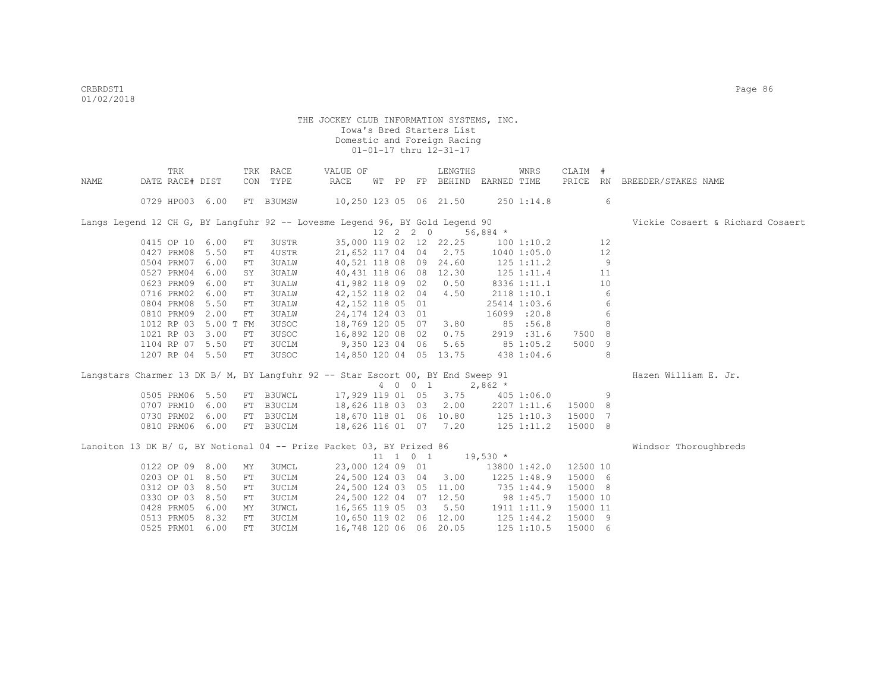|      | TRK             |           |             | TRK RACE     | VALUE OF                                                                        |       |          | LENGTHS                |                | <b>WNRS</b>    | CLAIM #  |    |                                  |
|------|-----------------|-----------|-------------|--------------|---------------------------------------------------------------------------------|-------|----------|------------------------|----------------|----------------|----------|----|----------------------------------|
| NAME | DATE RACE# DIST |           |             | CON TYPE     | RACE                                                                            | WT PP |          | FP BEHIND              | EARNED TIME    |                | PRICE RN |    | BREEDER/STAKES NAME              |
|      | 0729 HPO03 6.00 |           |             | FT B3UMSW    | 10,250 123 05 06 21.50                                                          |       |          |                        |                | 2501:14.8      |          | 6  |                                  |
|      |                 |           |             |              | Langs Legend 12 CH G, BY Langfuhr 92 -- Lovesme Legend 96, BY Gold Legend 90    |       |          |                        |                |                |          |    | Vickie Cosaert & Richard Cosaert |
|      |                 |           |             |              |                                                                                 |       | 12 2 2 0 |                        | 56,884 $*$     |                |          |    |                                  |
|      | 0415 OP 10 6.00 |           | FT          | 3USTR        |                                                                                 |       |          | 35,000 119 02 12 22.25 |                | 100 1:10.2     |          | 12 |                                  |
|      | 0427 PRM08      | 5.50      | FT          | 4USTR        | 21,652 117 04 04                                                                |       |          | 2.75                   |                | 1040 1:05.0    |          | 12 |                                  |
|      | 0504 PRM07      | 6.00      | FT          | 3UALW        | 40,521 118 08 09                                                                |       |          | 24.60                  |                | $125$ $1:11.2$ |          | 9  |                                  |
|      | 0527 PRM04      | 6.00      | SY          | 3UALW        | 40,431 118 06 08 12.30                                                          |       |          |                        |                | 125 1:11.4     |          | 11 |                                  |
|      | 0623 PRM09      | 6.00      | FT          | 3UALW        | 41,982 118 09 02                                                                |       |          | 0.50                   |                | 8336 1:11.1    |          | 10 |                                  |
|      | 0716 PRM02      | 6.00      | FT          | 3UALW        | 42,152 118 02 04                                                                |       |          | 4.50                   |                | 2118 1:10.1    |          | 6  |                                  |
|      | 0804 PRM08      | 5.50      | FT          | 3UALW        | 42,152 118 05 01                                                                |       |          |                        |                | 25414 1:03.6   |          | 6  |                                  |
|      | 0810 PRM09      | 2.00      | FT          | 3UALW        | 24, 174 124 03 01                                                               |       |          |                        |                | 16099 :20.8    |          | 6  |                                  |
|      | 1012 RP 03      | 5.00 T FM |             | 3USOC        | 18,769 120 05 07                                                                |       |          | 3.80                   |                | 85 :56.8       |          | 8  |                                  |
|      | 1021 RP 03      | 3.00      | ${\rm FT}$  | 3USOC        | 16,892 120 08 02                                                                |       |          | 0.75                   |                | 2919 :31.6     | 7500     | 8  |                                  |
|      | 1104 RP 07      | 5.50      | $_{\rm FT}$ | 3UCLM        | 9,350 123 04 06                                                                 |       |          | 5.65                   |                | 851:05.2       | 5000 9   |    |                                  |
|      | 1207 RP 04 5.50 |           | ${\rm FT}$  | 3USOC        | 14,850 120 04 05 13.75                                                          |       |          |                        |                | 438 1:04.6     |          | 8  |                                  |
|      |                 |           |             |              | Langstars Charmer 13 DK B/ M, BY Langfuhr 92 -- Star Escort 00, BY End Sweep 91 |       |          |                        |                |                |          |    | Hazen William E. Jr.             |
|      |                 |           |             |              |                                                                                 |       | 4 0 0 1  |                        | $2,862*$       |                |          |    |                                  |
|      | 0505 PRM06 5.50 |           | FT          | B3UWCL       | 17,929 119 01 05                                                                |       |          | 3.75                   |                | 4051:06.0      |          | 9  |                                  |
|      | 0707 PRM10 6.00 |           | FT          | B3UCLM       | 18,626 118 03 03                                                                |       |          | 2.00                   |                | 2207 1:11.6    | 15000 8  |    |                                  |
|      | 0730 PRM02      | 6.00      |             | FT B3UCLM    | 18,670 118 01 06 10.80                                                          |       |          |                        | $125$ $1:10.3$ |                | 15000 7  |    |                                  |
|      | 0810 PRM06 6.00 |           |             | FT B3UCLM    | 18,626 116 01 07 7.20                                                           |       |          |                        | 125 1:11.2     |                | 15000 8  |    |                                  |
|      |                 |           |             |              | Lanoiton 13 DK B/ G, BY Notional 04 -- Prize Packet 03, BY Prized 86            |       |          |                        |                |                |          |    | Windsor Thoroughbreds            |
|      |                 |           |             |              |                                                                                 |       | 11 1 0 1 |                        | $19,530$ *     |                |          |    |                                  |
|      | 0122 OP 09 8.00 |           | ΜY          | 3UMCL        | 23,000 124 09 01                                                                |       |          |                        |                | 13800 1:42.0   | 12500 10 |    |                                  |
|      | 0203 OP 01      | 8.50      | FT          | 3UCLM        | 24,500 124 03 04                                                                |       |          | 3.00                   |                | 1225 1:48.9    | 15000 6  |    |                                  |
|      | 0312 OP 03      | 8.50      | FT          | 3UCLM        | 24,500 124 03 05 11.00                                                          |       |          |                        |                | 735 1:44.9     | 15000 8  |    |                                  |
|      | 0330 OP 03      | 8.50      | FT          | 3UCLM        | 24,500 122 04 07 12.50                                                          |       |          |                        |                | 98 1:45.7      | 15000 10 |    |                                  |
|      | 0428 PRM05      | 6.00      | ΜY          | 3UWCL        | 16,565 119 05 03                                                                |       |          | 5.50                   |                | 1911 1:11.9    | 15000 11 |    |                                  |
|      | 0513 PRM05      | 8.32      | FT          | <b>3UCLM</b> | 10,650 119 02 06 12.00                                                          |       |          |                        |                | $125$ $1:44.2$ | 15000 9  |    |                                  |
|      | 0525 PRM01      | 6.00      | FT          | 3UCLM        | 16,748 120 06 06 20.05                                                          |       |          |                        |                | 125 1:10.5     | 15000 6  |    |                                  |
|      |                 |           |             |              |                                                                                 |       |          |                        |                |                |          |    |                                  |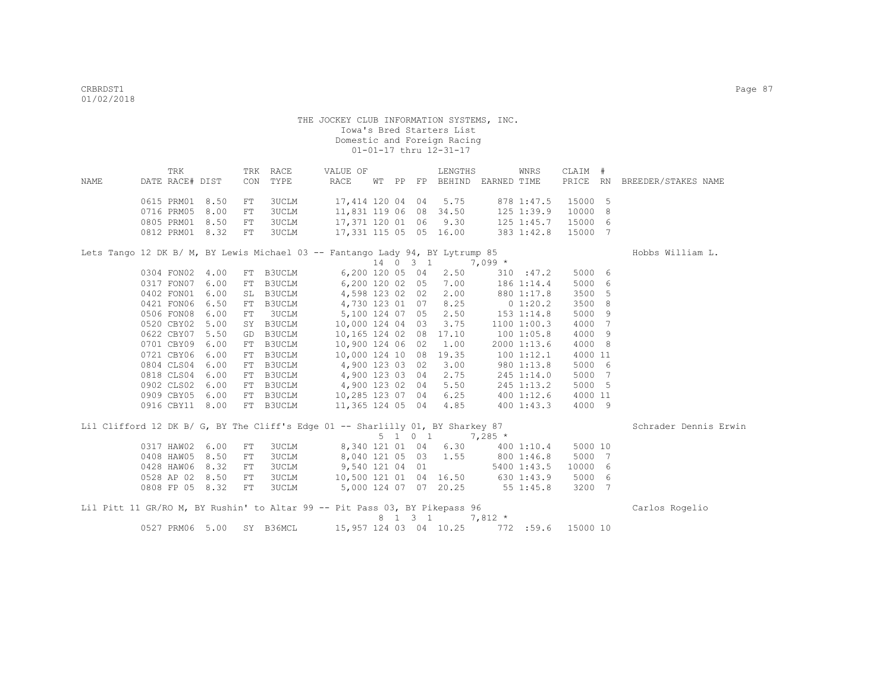|      | TRK             |      |    | TRK RACE                  | VALUE OF                                                                       |  |         | LENGTHS                      |            | WNRS           | CLAIM # |                 |                              |
|------|-----------------|------|----|---------------------------|--------------------------------------------------------------------------------|--|---------|------------------------------|------------|----------------|---------|-----------------|------------------------------|
| NAME | DATE RACE# DIST |      |    | CON TYPE                  | RACE                                                                           |  |         | WT PP FP BEHIND EARNED TIME  |            |                |         |                 | PRICE RN BREEDER/STAKES NAME |
|      | 0615 PRM01 8.50 |      | FT | 3UCLM                     | 17,414 120 04 04 5.75 878 1:47.5 15000 5                                       |  |         |                              |            |                |         |                 |                              |
|      | 0716 PRM05      | 8.00 | FT | 3UCLM                     | 11,831 119 06 08 34.50                                                         |  |         |                              | 125 1:39.9 |                | 10000   | 8               |                              |
|      | 0805 PRM01 8.50 |      | FT | 3UCLM                     | 17,371 120 01 06 9.30 125 1:45.7 15000                                         |  |         |                              |            |                |         | - 6             |                              |
|      | 0812 PRM01 8.32 |      | FT | 3UCLM                     | 17,331 115 05 05 16.00                                                         |  |         |                              | 383 1:42.8 |                | 15000   | - 7             |                              |
|      |                 |      |    |                           | Lets Tango 12 DK B/ M, BY Lewis Michael 03 -- Fantango Lady 94, BY Lytrump 85  |  |         |                              |            |                |         |                 | Hobbs William L.             |
|      |                 |      |    |                           |                                                                                |  |         | $14 \t0 \t3 \t1 \t7,099 \t*$ |            |                |         |                 |                              |
|      | 0304 FON02 4.00 |      |    | FT B3UCLM                 |                                                                                |  |         | 6,200 120 05 04 2.50         |            | 310 : 47.2     | 5000 6  |                 |                              |
|      | 0317 FON07 6.00 |      | FT | B3UCLM                    | 6,200 120 02 05 7.00 186 1:14.4                                                |  |         |                              |            |                | 5000    | 6               |                              |
|      | 0402 FON01 6.00 |      | SL | B3UCLM                    | 4,598 123 02 02 2.00 880 1:17.8                                                |  |         |                              |            |                | 3500    | 5               |                              |
|      | 0421 FON06 6.50 |      | FT | B3UCLM                    | 4,730 123 01 07 8.25 0 1:20.2                                                  |  |         |                              |            |                | 3500    | 8               |                              |
|      | 0506 FON08 6.00 |      | FT | 3UCLM                     | 5,100 124 07 05 2.50 153 1:14.8                                                |  |         |                              |            |                | 5000    | 9               |                              |
|      | 0520 CBY02 5.00 |      | SY | B3UCLM                    | 10,000 124 04 03 3.75                                                          |  |         |                              |            | 11001:00.3     | 4000    | 7               |                              |
|      | 0622 CBY07 5.50 |      | GD | B3UCLM                    | 10,165 124 02 08 17.10                                                         |  |         |                              | 1001:05.8  |                | 4000    | 9               |                              |
|      | 0701 CBY09 6.00 |      | FT | B3UCLM                    | 10,900 124 06 02 1.00                                                          |  |         |                              |            | 2000 1:13.6    | 4000    | 8               |                              |
|      | 0721 CBY06 6.00 |      |    | FT B3UCLM                 | 10,000 124 10 08 19.35                                                         |  |         |                              |            | $100$ $1:12.1$ | 4000 11 |                 |                              |
|      | 0804 CLS04 6.00 |      |    | FT B3UCLM                 | 4,900 123 03 02 3.00                                                           |  |         |                              |            | 980 1:13.8     | 5000    | 6               |                              |
|      | 0818 CLS04 6.00 |      |    | FT B3UCLM                 | 4,900 123 03 04 2.75                                                           |  |         |                              |            | 245 1:14.0     | 5000    | 7               |                              |
|      | 0902 CLS02 6.00 |      |    | FT B3UCLM                 | 4,900 123 02 04 5.50                                                           |  |         |                              |            | 245 1:13.2     | 5000 5  |                 |                              |
|      | 0909 CBY05 6.00 |      |    | FT B3UCLM                 | 10,285 123 07 04 6.25                                                          |  |         |                              | 400 1:12.6 |                | 4000 11 |                 |                              |
|      | 0916 CBY11 8.00 |      |    | FT B3UCLM                 | 11,365 124 05 04 4.85                                                          |  |         |                              | 400 1:43.3 |                | 4000 9  |                 |                              |
|      |                 |      |    |                           | Lil Clifford 12 DK B/ G, BY The Cliff's Edge 01 -- Sharlilly 01, BY Sharkey 87 |  |         |                              |            |                |         |                 | Schrader Dennis Erwin        |
|      |                 |      |    |                           |                                                                                |  | 5 1 0 1 |                              | $7,285$ *  |                |         |                 |                              |
|      | 0317 HAW02 6.00 |      | FT | 3UCLM                     | 8,340 121 01 04 6.30 400 1:10.4                                                |  |         |                              |            |                | 5000 10 |                 |                              |
|      | 0408 HAW05 8.50 |      | FT | 3UCLM                     | 8,040 121 05 03 1.55 800 1:46.8                                                |  |         |                              |            |                | 5000 7  |                 |                              |
|      | 0428 HAW06 8.32 |      | FT | 3UCLM                     | 9,540 121 04 01 5400 1:43.5                                                    |  |         |                              |            |                | 10000 6 |                 |                              |
|      | 0528 AP 02 8.50 |      | FT | <b>3UCLM</b>              | 10,500 121 01 04 16.50 630 1:43.9 5000 6                                       |  |         |                              |            |                |         |                 |                              |
|      | 0808 FP 05 8.32 |      | FT | 3UCLM                     | 5,000 124 07 07 20.25 55 1:45.8                                                |  |         |                              |            |                | 3200    | $7\phantom{.0}$ |                              |
|      |                 |      |    |                           | Lil Pitt 11 GR/RO M, BY Rushin' to Altar 99 -- Pit Pass 03, BY Pikepass 96     |  |         |                              |            |                |         |                 | Carlos Rogelio               |
|      |                 |      |    |                           |                                                                                |  | 8 1 3 1 |                              | $7,812 *$  |                |         |                 |                              |
|      |                 |      |    | 0527 PRM06 5.00 SY B36MCL | 15,957 124 03 04 10.25 772 :59.6 15000 10                                      |  |         |                              |            |                |         |                 |                              |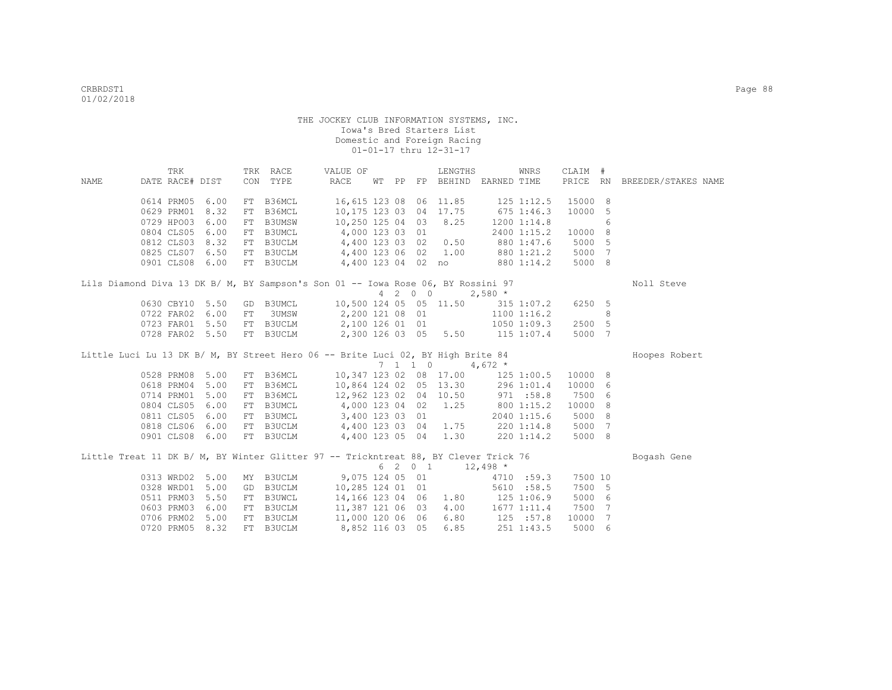| RACE<br>PRICE RN BREEDER/STAKES NAME<br>DATE RACE# DIST<br>CON TYPE<br>WT PP FP BEHIND EARNED TIME<br>NAME<br>16,615 123 08 06 11.85<br>15000 8<br>0614 PRM05<br>6.00<br>FT B36MCL<br>$125$ $1:12.5$<br>0629 PRM01<br>8.32<br>B36MCL<br>10,175 123 03 04 17.75<br>675 1:46.3<br>10000<br>5<br>FT<br>B3UMSW 10,250 125 04 03<br>0729 HPO03<br>6.00<br>8.25<br>1200 1:14.8<br>6<br>FT<br>FT B3UMCL 4,000 123 03 01<br>FT B3UCLM 4,400 123 03 02<br>0804 CLS05 6.00<br>10000 8<br>2400 1:15.2<br>0812 CLS03 8.32<br>0.50<br>880 1:47.6<br>5000 5<br>0825 CLS07 6.50<br>FT B3UCLM 4,400 123 06 02<br>1.00<br>5000<br>7<br>880 1:21.2<br>0901 CLS08 6.00<br>FT B3UCLM 4,400 123 04 02 no<br>5000 8<br>880 1:14.2<br>Lils Diamond Diva 13 DK B/ M, BY Sampson's Son 01 -- Iowa Rose 06, BY Rossini 97<br>Noll Steve<br>4 2 0 0 2,580 *<br>GD B3UMCL 10,500 124 05 05 11.50<br>0630 CBY10 5.50<br>315 1:07.2<br>6250 5<br>0722 FAR02 6.00<br>3UMSW 2,200 121 08 01<br>1100 1:16.2<br>8<br>FT<br>FT B3UCLM 2,100 126 01 01<br>0723 FAR01 5.50<br>2500 5<br>1050 1:09.3<br>2,300 126 03 05 5.50 115 1:07.4<br>0728 FAR02 5.50<br>FT B3UCLM<br>5000 7<br>Little Luci Lu 13 DK B/ M, BY Street Hero 06 -- Brite Luci 02, BY High Brite 84<br>Hoopes Robert<br>7 1 1 0<br>4,672 $*$<br>10,347 123 02 08 17.00<br>0528 PRM08 5.00<br>FT B36MCL<br>$125$ $1:00.5$<br>10000 8<br>10,864 124 02 05 13.30<br>0618 PRM04 5.00<br>FT B36MCL<br>296 1:01.4<br>10000 6<br>0714 PRM01<br>5.00<br>FT B36MCL 12,962 123 02 04 10.50<br>7500<br>971 :58.8<br>6<br>0804 CLS05 6.00<br>FT B3UMCL 4,000 123 04 02<br>1.25<br>10000<br>800 1:15.2<br>8<br>0811 CLS05<br>6.00<br>5000<br>8<br>FT B3UMCL 3,400 123 03 01<br>2040 1:15.6<br>5000<br>7<br>0818 CLS06<br>6.00<br>FT B3UCLM 4,400 123 03 04<br>$1.75$ 220 1:14.8<br>5000 8<br>0901 CLS08 6.00<br>FT B3UCLM 4,400 123 05 04 1.30<br>$220$ 1:14.2<br>Little Treat 11 DK B/ M, BY Winter Glitter 97 -- Trickntreat 88, BY Clever Trick 76<br>Bogash Gene<br>$6 \quad 2 \quad 0 \quad 1 \quad 12,498 \atop$<br>0313 WRD02 5.00<br>MY B3UCLM 9,075 124 05 01<br>4710 :59.3<br>7500 10<br><b>B3UCLM</b><br>0328 WRD01<br>5.00<br>10,285 124 01 01<br>5610 :58.5<br>7500 5<br>GD<br>FT B3UWCL<br>$1.80$ $125$ $1:06.9$<br>0511 PRM03<br>5.50<br>14,166 123 04 06<br>5000 6 |  | TRK |  | TRK RACE | VALUE OF |  | LENGTHS | WNRS | CLAIM # |  |  |
|--------------------------------------------------------------------------------------------------------------------------------------------------------------------------------------------------------------------------------------------------------------------------------------------------------------------------------------------------------------------------------------------------------------------------------------------------------------------------------------------------------------------------------------------------------------------------------------------------------------------------------------------------------------------------------------------------------------------------------------------------------------------------------------------------------------------------------------------------------------------------------------------------------------------------------------------------------------------------------------------------------------------------------------------------------------------------------------------------------------------------------------------------------------------------------------------------------------------------------------------------------------------------------------------------------------------------------------------------------------------------------------------------------------------------------------------------------------------------------------------------------------------------------------------------------------------------------------------------------------------------------------------------------------------------------------------------------------------------------------------------------------------------------------------------------------------------------------------------------------------------------------------------------------------------------------------------------------------------------------------------------------------------------------------------------------------------------------------------------------------------------------------------------------------------------------------------------------------------------------------------------------------------------------------------|--|-----|--|----------|----------|--|---------|------|---------|--|--|
|                                                                                                                                                                                                                                                                                                                                                                                                                                                                                                                                                                                                                                                                                                                                                                                                                                                                                                                                                                                                                                                                                                                                                                                                                                                                                                                                                                                                                                                                                                                                                                                                                                                                                                                                                                                                                                                                                                                                                                                                                                                                                                                                                                                                                                                                                                  |  |     |  |          |          |  |         |      |         |  |  |
|                                                                                                                                                                                                                                                                                                                                                                                                                                                                                                                                                                                                                                                                                                                                                                                                                                                                                                                                                                                                                                                                                                                                                                                                                                                                                                                                                                                                                                                                                                                                                                                                                                                                                                                                                                                                                                                                                                                                                                                                                                                                                                                                                                                                                                                                                                  |  |     |  |          |          |  |         |      |         |  |  |
|                                                                                                                                                                                                                                                                                                                                                                                                                                                                                                                                                                                                                                                                                                                                                                                                                                                                                                                                                                                                                                                                                                                                                                                                                                                                                                                                                                                                                                                                                                                                                                                                                                                                                                                                                                                                                                                                                                                                                                                                                                                                                                                                                                                                                                                                                                  |  |     |  |          |          |  |         |      |         |  |  |
|                                                                                                                                                                                                                                                                                                                                                                                                                                                                                                                                                                                                                                                                                                                                                                                                                                                                                                                                                                                                                                                                                                                                                                                                                                                                                                                                                                                                                                                                                                                                                                                                                                                                                                                                                                                                                                                                                                                                                                                                                                                                                                                                                                                                                                                                                                  |  |     |  |          |          |  |         |      |         |  |  |
|                                                                                                                                                                                                                                                                                                                                                                                                                                                                                                                                                                                                                                                                                                                                                                                                                                                                                                                                                                                                                                                                                                                                                                                                                                                                                                                                                                                                                                                                                                                                                                                                                                                                                                                                                                                                                                                                                                                                                                                                                                                                                                                                                                                                                                                                                                  |  |     |  |          |          |  |         |      |         |  |  |
|                                                                                                                                                                                                                                                                                                                                                                                                                                                                                                                                                                                                                                                                                                                                                                                                                                                                                                                                                                                                                                                                                                                                                                                                                                                                                                                                                                                                                                                                                                                                                                                                                                                                                                                                                                                                                                                                                                                                                                                                                                                                                                                                                                                                                                                                                                  |  |     |  |          |          |  |         |      |         |  |  |
|                                                                                                                                                                                                                                                                                                                                                                                                                                                                                                                                                                                                                                                                                                                                                                                                                                                                                                                                                                                                                                                                                                                                                                                                                                                                                                                                                                                                                                                                                                                                                                                                                                                                                                                                                                                                                                                                                                                                                                                                                                                                                                                                                                                                                                                                                                  |  |     |  |          |          |  |         |      |         |  |  |
|                                                                                                                                                                                                                                                                                                                                                                                                                                                                                                                                                                                                                                                                                                                                                                                                                                                                                                                                                                                                                                                                                                                                                                                                                                                                                                                                                                                                                                                                                                                                                                                                                                                                                                                                                                                                                                                                                                                                                                                                                                                                                                                                                                                                                                                                                                  |  |     |  |          |          |  |         |      |         |  |  |
|                                                                                                                                                                                                                                                                                                                                                                                                                                                                                                                                                                                                                                                                                                                                                                                                                                                                                                                                                                                                                                                                                                                                                                                                                                                                                                                                                                                                                                                                                                                                                                                                                                                                                                                                                                                                                                                                                                                                                                                                                                                                                                                                                                                                                                                                                                  |  |     |  |          |          |  |         |      |         |  |  |
|                                                                                                                                                                                                                                                                                                                                                                                                                                                                                                                                                                                                                                                                                                                                                                                                                                                                                                                                                                                                                                                                                                                                                                                                                                                                                                                                                                                                                                                                                                                                                                                                                                                                                                                                                                                                                                                                                                                                                                                                                                                                                                                                                                                                                                                                                                  |  |     |  |          |          |  |         |      |         |  |  |
|                                                                                                                                                                                                                                                                                                                                                                                                                                                                                                                                                                                                                                                                                                                                                                                                                                                                                                                                                                                                                                                                                                                                                                                                                                                                                                                                                                                                                                                                                                                                                                                                                                                                                                                                                                                                                                                                                                                                                                                                                                                                                                                                                                                                                                                                                                  |  |     |  |          |          |  |         |      |         |  |  |
|                                                                                                                                                                                                                                                                                                                                                                                                                                                                                                                                                                                                                                                                                                                                                                                                                                                                                                                                                                                                                                                                                                                                                                                                                                                                                                                                                                                                                                                                                                                                                                                                                                                                                                                                                                                                                                                                                                                                                                                                                                                                                                                                                                                                                                                                                                  |  |     |  |          |          |  |         |      |         |  |  |
|                                                                                                                                                                                                                                                                                                                                                                                                                                                                                                                                                                                                                                                                                                                                                                                                                                                                                                                                                                                                                                                                                                                                                                                                                                                                                                                                                                                                                                                                                                                                                                                                                                                                                                                                                                                                                                                                                                                                                                                                                                                                                                                                                                                                                                                                                                  |  |     |  |          |          |  |         |      |         |  |  |
|                                                                                                                                                                                                                                                                                                                                                                                                                                                                                                                                                                                                                                                                                                                                                                                                                                                                                                                                                                                                                                                                                                                                                                                                                                                                                                                                                                                                                                                                                                                                                                                                                                                                                                                                                                                                                                                                                                                                                                                                                                                                                                                                                                                                                                                                                                  |  |     |  |          |          |  |         |      |         |  |  |
|                                                                                                                                                                                                                                                                                                                                                                                                                                                                                                                                                                                                                                                                                                                                                                                                                                                                                                                                                                                                                                                                                                                                                                                                                                                                                                                                                                                                                                                                                                                                                                                                                                                                                                                                                                                                                                                                                                                                                                                                                                                                                                                                                                                                                                                                                                  |  |     |  |          |          |  |         |      |         |  |  |
|                                                                                                                                                                                                                                                                                                                                                                                                                                                                                                                                                                                                                                                                                                                                                                                                                                                                                                                                                                                                                                                                                                                                                                                                                                                                                                                                                                                                                                                                                                                                                                                                                                                                                                                                                                                                                                                                                                                                                                                                                                                                                                                                                                                                                                                                                                  |  |     |  |          |          |  |         |      |         |  |  |
|                                                                                                                                                                                                                                                                                                                                                                                                                                                                                                                                                                                                                                                                                                                                                                                                                                                                                                                                                                                                                                                                                                                                                                                                                                                                                                                                                                                                                                                                                                                                                                                                                                                                                                                                                                                                                                                                                                                                                                                                                                                                                                                                                                                                                                                                                                  |  |     |  |          |          |  |         |      |         |  |  |
|                                                                                                                                                                                                                                                                                                                                                                                                                                                                                                                                                                                                                                                                                                                                                                                                                                                                                                                                                                                                                                                                                                                                                                                                                                                                                                                                                                                                                                                                                                                                                                                                                                                                                                                                                                                                                                                                                                                                                                                                                                                                                                                                                                                                                                                                                                  |  |     |  |          |          |  |         |      |         |  |  |
|                                                                                                                                                                                                                                                                                                                                                                                                                                                                                                                                                                                                                                                                                                                                                                                                                                                                                                                                                                                                                                                                                                                                                                                                                                                                                                                                                                                                                                                                                                                                                                                                                                                                                                                                                                                                                                                                                                                                                                                                                                                                                                                                                                                                                                                                                                  |  |     |  |          |          |  |         |      |         |  |  |
|                                                                                                                                                                                                                                                                                                                                                                                                                                                                                                                                                                                                                                                                                                                                                                                                                                                                                                                                                                                                                                                                                                                                                                                                                                                                                                                                                                                                                                                                                                                                                                                                                                                                                                                                                                                                                                                                                                                                                                                                                                                                                                                                                                                                                                                                                                  |  |     |  |          |          |  |         |      |         |  |  |
|                                                                                                                                                                                                                                                                                                                                                                                                                                                                                                                                                                                                                                                                                                                                                                                                                                                                                                                                                                                                                                                                                                                                                                                                                                                                                                                                                                                                                                                                                                                                                                                                                                                                                                                                                                                                                                                                                                                                                                                                                                                                                                                                                                                                                                                                                                  |  |     |  |          |          |  |         |      |         |  |  |
|                                                                                                                                                                                                                                                                                                                                                                                                                                                                                                                                                                                                                                                                                                                                                                                                                                                                                                                                                                                                                                                                                                                                                                                                                                                                                                                                                                                                                                                                                                                                                                                                                                                                                                                                                                                                                                                                                                                                                                                                                                                                                                                                                                                                                                                                                                  |  |     |  |          |          |  |         |      |         |  |  |
|                                                                                                                                                                                                                                                                                                                                                                                                                                                                                                                                                                                                                                                                                                                                                                                                                                                                                                                                                                                                                                                                                                                                                                                                                                                                                                                                                                                                                                                                                                                                                                                                                                                                                                                                                                                                                                                                                                                                                                                                                                                                                                                                                                                                                                                                                                  |  |     |  |          |          |  |         |      |         |  |  |
|                                                                                                                                                                                                                                                                                                                                                                                                                                                                                                                                                                                                                                                                                                                                                                                                                                                                                                                                                                                                                                                                                                                                                                                                                                                                                                                                                                                                                                                                                                                                                                                                                                                                                                                                                                                                                                                                                                                                                                                                                                                                                                                                                                                                                                                                                                  |  |     |  |          |          |  |         |      |         |  |  |
|                                                                                                                                                                                                                                                                                                                                                                                                                                                                                                                                                                                                                                                                                                                                                                                                                                                                                                                                                                                                                                                                                                                                                                                                                                                                                                                                                                                                                                                                                                                                                                                                                                                                                                                                                                                                                                                                                                                                                                                                                                                                                                                                                                                                                                                                                                  |  |     |  |          |          |  |         |      |         |  |  |
|                                                                                                                                                                                                                                                                                                                                                                                                                                                                                                                                                                                                                                                                                                                                                                                                                                                                                                                                                                                                                                                                                                                                                                                                                                                                                                                                                                                                                                                                                                                                                                                                                                                                                                                                                                                                                                                                                                                                                                                                                                                                                                                                                                                                                                                                                                  |  |     |  |          |          |  |         |      |         |  |  |
|                                                                                                                                                                                                                                                                                                                                                                                                                                                                                                                                                                                                                                                                                                                                                                                                                                                                                                                                                                                                                                                                                                                                                                                                                                                                                                                                                                                                                                                                                                                                                                                                                                                                                                                                                                                                                                                                                                                                                                                                                                                                                                                                                                                                                                                                                                  |  |     |  |          |          |  |         |      |         |  |  |
|                                                                                                                                                                                                                                                                                                                                                                                                                                                                                                                                                                                                                                                                                                                                                                                                                                                                                                                                                                                                                                                                                                                                                                                                                                                                                                                                                                                                                                                                                                                                                                                                                                                                                                                                                                                                                                                                                                                                                                                                                                                                                                                                                                                                                                                                                                  |  |     |  |          |          |  |         |      |         |  |  |
|                                                                                                                                                                                                                                                                                                                                                                                                                                                                                                                                                                                                                                                                                                                                                                                                                                                                                                                                                                                                                                                                                                                                                                                                                                                                                                                                                                                                                                                                                                                                                                                                                                                                                                                                                                                                                                                                                                                                                                                                                                                                                                                                                                                                                                                                                                  |  |     |  |          |          |  |         |      |         |  |  |
| 4.00<br>0603 PRM03<br>6.00<br>$1677$ $1:11.4$<br>7500 7                                                                                                                                                                                                                                                                                                                                                                                                                                                                                                                                                                                                                                                                                                                                                                                                                                                                                                                                                                                                                                                                                                                                                                                                                                                                                                                                                                                                                                                                                                                                                                                                                                                                                                                                                                                                                                                                                                                                                                                                                                                                                                                                                                                                                                          |  |     |  |          |          |  |         |      |         |  |  |
| FT B3UCLM 11,387 121 06 03<br>FT B3UCLM 11,000 120 06 06<br>125 :57.8<br>6.80<br>0706 PRM02 5.00<br>10000<br>7                                                                                                                                                                                                                                                                                                                                                                                                                                                                                                                                                                                                                                                                                                                                                                                                                                                                                                                                                                                                                                                                                                                                                                                                                                                                                                                                                                                                                                                                                                                                                                                                                                                                                                                                                                                                                                                                                                                                                                                                                                                                                                                                                                                   |  |     |  |          |          |  |         |      |         |  |  |
| 8.32<br>FT B3UCLM<br>8,852 116 03 05<br>6.85<br>0720 PRM05<br>251 1:43.5<br>5000<br>- 6                                                                                                                                                                                                                                                                                                                                                                                                                                                                                                                                                                                                                                                                                                                                                                                                                                                                                                                                                                                                                                                                                                                                                                                                                                                                                                                                                                                                                                                                                                                                                                                                                                                                                                                                                                                                                                                                                                                                                                                                                                                                                                                                                                                                          |  |     |  |          |          |  |         |      |         |  |  |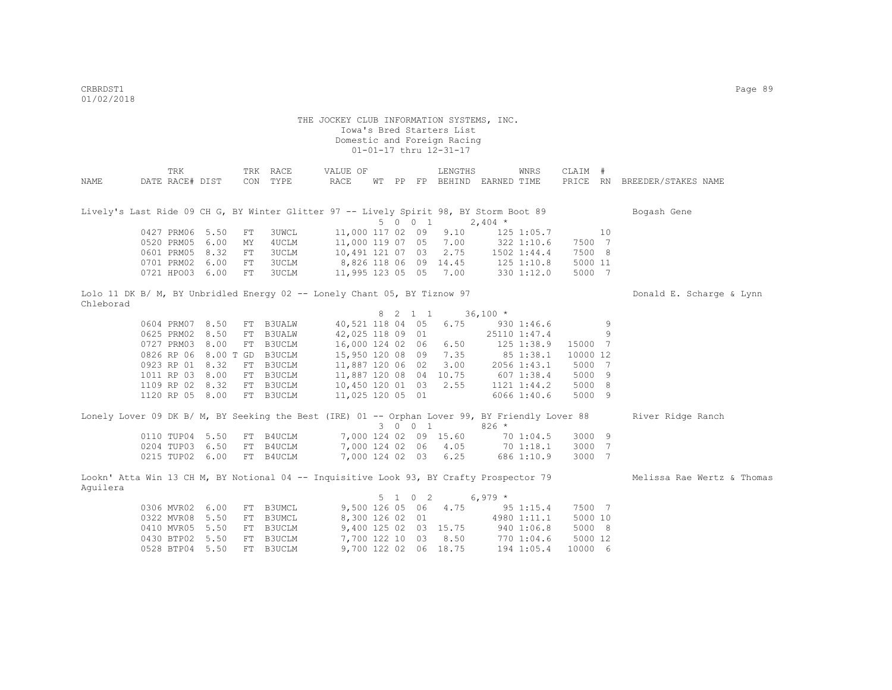|                                                                                                | TRK             |                      |    | TRK RACE      | VALUE OF               |  |         | LENGTHS                     |              | WNRS           | CLAIM #  |    |                            |
|------------------------------------------------------------------------------------------------|-----------------|----------------------|----|---------------|------------------------|--|---------|-----------------------------|--------------|----------------|----------|----|----------------------------|
| NAME                                                                                           | DATE RACE# DIST |                      |    | CON TYPE      | RACE                   |  |         | WT PP FP BEHIND EARNED TIME |              |                | PRICE RN |    | BREEDER/STAKES NAME        |
|                                                                                                |                 |                      |    |               |                        |  |         |                             |              |                |          |    |                            |
| Lively's Last Ride 09 CH G, BY Winter Glitter 97 -- Lively Spirit 98, BY Storm Boot 89         |                 |                      |    |               |                        |  |         |                             |              |                |          |    | Bogash Gene                |
|                                                                                                |                 |                      |    |               |                        |  | 5 0 0 1 |                             | $2,404$ *    |                |          |    |                            |
|                                                                                                | 0427 PRM06      | 5.50                 | FT | 3UWCL         | 11,000 117 02 09       |  |         | 9.10                        |              | 125 1:05.7     |          | 10 |                            |
|                                                                                                | 0520 PRM05      | 6.00                 | MΥ | 4UCLM         | 11,000 119 07 05 7.00  |  |         |                             |              | 322 1:10.6     | 7500 7   |    |                            |
|                                                                                                | 0601 PRM05      | 8.32                 | FT | 3UCLM         | 10,491 121 07 03       |  |         | 2.75                        |              | 1502 1:44.4    | 7500 8   |    |                            |
|                                                                                                | 0701 PRM02 6.00 |                      | FT | 3UCLM         | 8,826 118 06 09 14.45  |  |         |                             |              | $125$ $1:10.8$ | 5000 11  |    |                            |
|                                                                                                | 0721 HPO03 6.00 |                      | FT | 3UCLM         | 11,995 123 05 05 7.00  |  |         |                             |              | 330 1:12.0     | 5000 7   |    |                            |
|                                                                                                |                 |                      |    |               |                        |  |         |                             |              |                |          |    |                            |
| Lolo 11 DK B/ M, BY Unbridled Energy 02 -- Lonely Chant 05, BY Tiznow 97                       |                 |                      |    |               |                        |  |         |                             |              |                |          |    | Donald E. Scharge & Lynn   |
| Chleborad                                                                                      |                 |                      |    |               |                        |  |         |                             |              |                |          |    |                            |
|                                                                                                |                 |                      |    |               |                        |  | 8 2 1 1 |                             | $36,100 *$   |                |          |    |                            |
|                                                                                                | 0604 PRM07 8.50 |                      |    | FT B3UALW     | 40,521 118 04 05       |  |         | 6.75                        |              | 930 1:46.6     |          | 9  |                            |
|                                                                                                | 0625 PRM02 8.50 |                      | FT | <b>B3UALW</b> | 42,025 118 09 01       |  |         |                             |              | 25110 1:47.4   |          | 9  |                            |
|                                                                                                | 0727 PRM03 8.00 |                      |    | FT B3UCLM     | 16,000 124 02 06 6.50  |  |         |                             |              | 125 1:38.9     | 15000 7  |    |                            |
|                                                                                                |                 | 0826 RP 06 8.00 T GD |    | B3UCLM        |                        |  |         | 15,950 120 08 09 7.35       |              | 85 1:38.1      | 10000 12 |    |                            |
|                                                                                                | 0923 RP 01 8.32 |                      |    | FT B3UCLM     | 11,887 120 06 02       |  |         | 3.00                        |              | 2056 1:43.1    | 5000 7   |    |                            |
|                                                                                                | 1011 RP 03 8.00 |                      | FT | B3UCLM        | 11,887 120 08 04 10.75 |  |         |                             | $607$ 1:38.4 |                | 5000 9   |    |                            |
|                                                                                                | 1109 RP 02 8.32 |                      |    | FT B3UCLM     | 10,450 120 01 03 2.55  |  |         |                             |              | 1121 1:44.2    | 5000 8   |    |                            |
|                                                                                                | 1120 RP 05 8.00 |                      |    | FT B3UCLM     | 11,025 120 05 01       |  |         |                             |              | 6066 1:40.6    | 5000 9   |    |                            |
|                                                                                                |                 |                      |    |               |                        |  |         |                             |              |                |          |    |                            |
| Lonely Lover 09 DK B/ M, BY Seeking the Best (IRE) 01 -- Orphan Lover 99, BY Friendly Lover 88 |                 |                      |    |               |                        |  | 3 0 0 1 |                             | $826 *$      |                |          |    | River Ridge Ranch          |
|                                                                                                |                 |                      |    |               |                        |  |         | 7,000 124 02 09 15.60       |              |                | 3000 9   |    |                            |
|                                                                                                | 0110 TUP04 5.50 |                      |    | FT B4UCLM     |                        |  |         |                             |              | 70 1:04.5      |          |    |                            |
|                                                                                                | 0204 TUP03 6.50 |                      |    | FT B4UCLM     |                        |  |         | 7,000 124 02 06 4.05        |              | 70 1:18.1      | 3000 7   |    |                            |
|                                                                                                | 0215 TUP02 6.00 |                      |    | FT B4UCLM     |                        |  |         | 7,000 124 02 03 6.25        |              | 686 1:10.9     | 3000 7   |    |                            |
| Lookn' Atta Win 13 CH M, BY Notional 04 -- Inquisitive Look 93, BY Crafty Prospector 79        |                 |                      |    |               |                        |  |         |                             |              |                |          |    | Melissa Rae Wertz & Thomas |
| Aquilera                                                                                       |                 |                      |    |               |                        |  |         |                             |              |                |          |    |                            |
|                                                                                                |                 |                      |    |               |                        |  | 5 1 0 2 |                             | $6,979*$     |                |          |    |                            |
|                                                                                                | 0306 MVR02 6.00 |                      |    | FT B3UMCL     |                        |  |         | 9,500 126 05 06 4.75        |              | 95 1:15.4      | 7500 7   |    |                            |
|                                                                                                | 0322 MVR08      | 5.50                 |    | FT B3UMCL     | 8,300 126 02 01        |  |         |                             |              | 4980 1:11.1    | 5000 10  |    |                            |
|                                                                                                | 0410 MVR05 5.50 |                      |    | FT B3UCLM     |                        |  |         | 9,400 125 02 03 15.75       |              | 940 1:06.8     | 5000 8   |    |                            |
|                                                                                                | 0430 BTP02 5.50 |                      |    | FT B3UCLM     | 7,700 122 10           |  |         | 03 8.50                     |              | 770 1:04.6     | 5000 12  |    |                            |
|                                                                                                | 0528 BTP04      | 5.50                 |    | FT B3UCLM     |                        |  |         | 9,700 122 02 06 18.75       |              | 194 1:05.4     | 10000 6  |    |                            |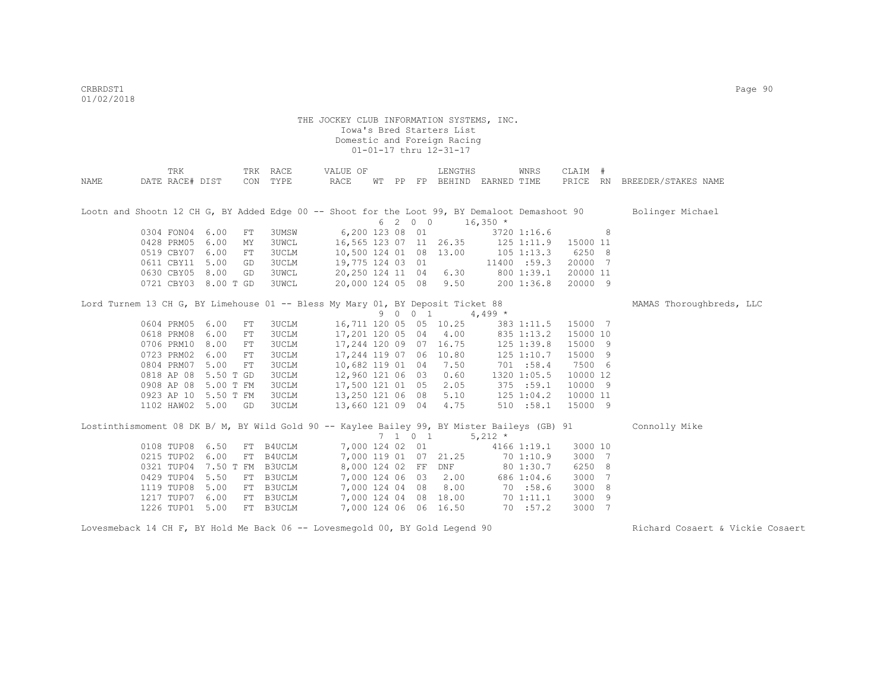|      | TRK                                                                                           |           |    | TRK RACE     | VALUE OF               |       |         | LENGTHS                |            | WNRS            | CLAIM #  |   |                              |
|------|-----------------------------------------------------------------------------------------------|-----------|----|--------------|------------------------|-------|---------|------------------------|------------|-----------------|----------|---|------------------------------|
| NAME | DATE RACE# DIST                                                                               |           |    | CON TYPE     | RACE                   | WT PP |         | FP BEHIND EARNED TIME  |            |                 |          |   | PRICE RN BREEDER/STAKES NAME |
|      |                                                                                               |           |    |              |                        |       |         |                        |            |                 |          |   |                              |
|      | Lootn and Shootn 12 CH G, BY Added Edge 00 -- Shoot for the Loot 99, BY Demaloot Demashoot 90 |           |    |              |                        |       |         |                        |            |                 |          |   | Bolinger Michael             |
|      |                                                                                               |           |    |              |                        |       | 6 2 0 0 |                        | $16,350$ * |                 |          |   |                              |
|      | 0304 FON04                                                                                    | 6.00      | FT | 3UMSW        | 6,200 123 08 01        |       |         |                        |            | 3720 1:16.6     |          | 8 |                              |
|      | 0428 PRM05                                                                                    | 6.00      | MY | <b>3UWCL</b> |                        |       |         | 16,565 123 07 11 26.35 |            | $125$ $1:11.9$  | 15000 11 |   |                              |
|      | 0519 CBY07                                                                                    | 6.00      | FT | <b>3UCLM</b> | 10,500 124 01 08 13.00 |       |         |                        |            | $105$ 1:13.3    | 6250 8   |   |                              |
|      | 0611 CBY11                                                                                    | 5.00      | GD | 3UCLM        | 19,775 124 03 01       |       |         |                        |            | 11400 :59.3     | 20000 7  |   |                              |
|      | 0630 CBY05                                                                                    | 8.00      | GD | <b>3UWCL</b> | 20,250 124 11 04       |       |         | 6.30                   |            | 800 1:39.1      | 20000 11 |   |                              |
|      | 0721 CBY03 8.00 T GD                                                                          |           |    | <b>3UWCL</b> | 20,000 124 05 08       |       |         | 9.50                   |            | 200 1:36.8      | 20000 9  |   |                              |
|      | Lord Turnem 13 CH G, BY Limehouse 01 -- Bless My Mary 01, BY Deposit Ticket 88                |           |    |              |                        |       |         |                        |            |                 |          |   | MAMAS Thoroughbreds, LLC     |
|      |                                                                                               |           |    |              |                        |       | 9 0 0 1 |                        | $4,499*$   |                 |          |   |                              |
|      | 0604 PRM05                                                                                    | 6.00      | FT | <b>3UCLM</b> | 16,711 120 05 05 10.25 |       |         |                        |            | 383 1:11.5      | 15000 7  |   |                              |
|      | 0618 PRM08                                                                                    | 6.00      | FT | <b>3UCLM</b> | 17,201 120 05          |       | 04      | 4.00                   |            | 835 1:13.2      | 15000 10 |   |                              |
|      | 0706 PRM10                                                                                    | 8.00      | FT | 3UCLM        |                        |       |         | 17,244 120 09 07 16.75 |            | 125 1:39.8      | 15000 9  |   |                              |
|      | 0723 PRM02                                                                                    | 6.00      | FT | <b>3UCLM</b> | 17,244 119 07 06       |       |         | 10.80                  |            | $125$ $1:10.7$  | 15000 9  |   |                              |
|      | 0804 PRM07                                                                                    | 5.00      | FT | <b>3UCLM</b> | 10,682 119 01 04       |       |         | 7.50                   |            | 701 : 58.4      | 7500 6   |   |                              |
|      | 0818 AP 08                                                                                    | 5.50 T GD |    | <b>3UCLM</b> | 12,960 121 06 03       |       |         | 0.60                   |            | 1320 1:05.5     | 10000 12 |   |                              |
|      | 0908 AP 08                                                                                    | 5.00 T FM |    | 3UCLM        | 17,500 121 01 05       |       |         | 2.05                   |            | 375 : 59.1      | 10000 9  |   |                              |
|      | 0923 AP 10                                                                                    | 5.50 T FM |    | <b>3UCLM</b> | 13,250 121 06 08       |       |         | 5.10                   |            | 125 1:04.2      | 10000 11 |   |                              |
|      | 1102 HAW02 5.00 GD                                                                            |           |    | 3UCLM        | 13,660 121 09 04       |       |         | 4.75                   |            | 510 : 58.1      | 15000 9  |   |                              |
|      | Lostinthismoment 08 DK B/ M, BY Wild Gold 90 -- Kaylee Bailey 99, BY Mister Baileys (GB) 91   |           |    |              |                        |       |         |                        |            |                 |          |   | Connolly Mike                |
|      |                                                                                               |           |    |              |                        |       | 7 1 0 1 |                        | 5,212 $*$  |                 |          |   |                              |
|      | 0108 TUP08                                                                                    | 6.50      |    | FT B4UCLM    | 7,000 124 02 01        |       |         |                        |            | $4166$ $1:19.1$ | 3000 10  |   |                              |
|      | 0215 TUP02                                                                                    | 6.00      |    | FT B4UCLM    |                        |       |         | 7,000 119 01 07 21.25  |            | 70 1:10.9       | 3000 7   |   |                              |
|      | 0321 TUP04                                                                                    | 7.50 T FM |    | B3UCLM       | 8,000 124 02 FF        |       |         | DNF                    |            | 80 1:30.7       | 6250 8   |   |                              |
|      | 0429 TUP04                                                                                    | 5.50      |    | FT B3UCLM    | 7,000 124 06 03        |       |         | 2.00                   |            | 686 1:04.6      | 3000     | 7 |                              |
|      | 1119 TUP08                                                                                    | 5.00      |    | FT B3UCLM    | 7,000 124 04 08        |       |         | 8.00                   |            | 70 :58.6        | 3000     | 8 |                              |
|      | 1217 TUP07                                                                                    | 6.00      |    | FT B3UCLM    |                        |       |         | 7,000 124 04 08 18.00  |            | 70 1:11.1       | 3000     | 9 |                              |
|      | 1226 TUP01                                                                                    | 5.00      |    | FT B3UCLM    |                        |       |         | 7,000 124 06 06 16.50  |            | 70 : 57.2       | 3000 7   |   |                              |
|      |                                                                                               |           |    |              |                        |       |         |                        |            |                 |          |   |                              |

Lovesmeback 14 CH F, BY Hold Me Back 06 -- Lovesmegold 00, BY Gold Legend 90 Richard Cosaert & Vickie Cosaert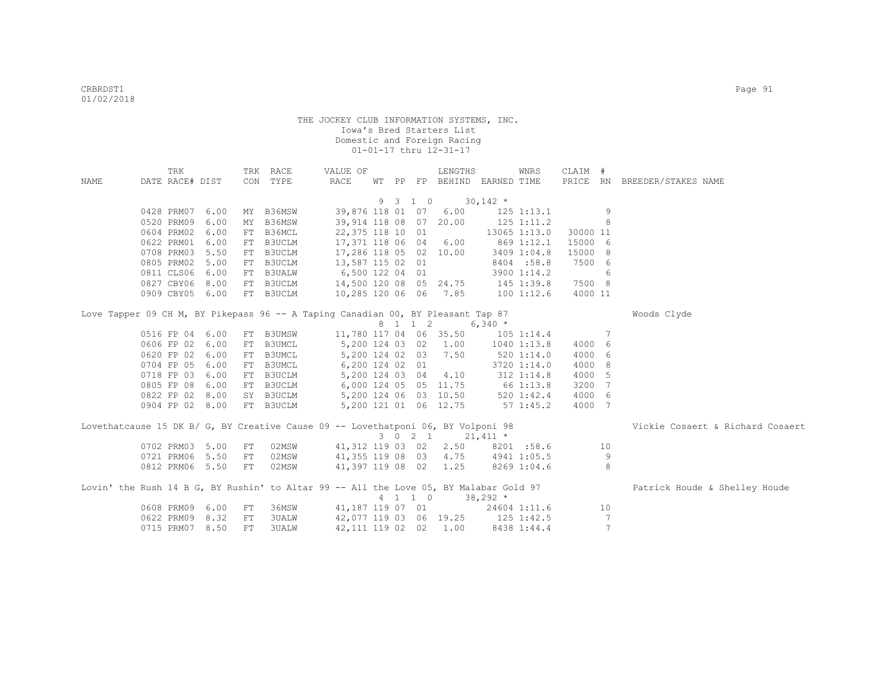|      |                 | TRK |      |            | TRK RACE                                                                              | VALUE OF                          |  |                    | LENGTHS                           |                 | WNRS           | CLAIM #  |                 |                                  |
|------|-----------------|-----|------|------------|---------------------------------------------------------------------------------------|-----------------------------------|--|--------------------|-----------------------------------|-----------------|----------------|----------|-----------------|----------------------------------|
| NAME | DATE RACE# DIST |     |      |            | CON TYPE                                                                              | RACE                              |  |                    | WT PP FP BEHIND EARNED TIME       |                 |                |          |                 | PRICE RN BREEDER/STAKES NAME     |
|      |                 |     |      |            |                                                                                       |                                   |  | 9 3 1 0            | $30,142$ *                        |                 |                |          |                 |                                  |
|      | 0428 PRM07 6.00 |     |      |            | MY B36MSW                                                                             |                                   |  |                    | 39,876 118 01 07 6.00             |                 | 125 1:13.1     |          | -9              |                                  |
|      | 0520 PRM09      |     | 6.00 | MY         | B36MSW                                                                                | 39,914 118 08 07 20.00            |  |                    |                                   |                 | $125$ $1:11.2$ |          | 8               |                                  |
|      | 0604 PRM02      |     | 6.00 | FT         | B36MCL                                                                                | 22,375 118 10 01                  |  |                    |                                   |                 | 13065 1:13.0   | 30000 11 |                 |                                  |
|      | 0622 PRM01      |     | 6.00 | ${\rm FT}$ | <b>B3UCLM</b>                                                                         | 17,371 118 06 04 6.00             |  |                    |                                   |                 | 869 1:12.1     | 15000 6  |                 |                                  |
|      | 0708 PRM03      |     | 5.50 | FT         | B3UCLM                                                                                | 17,286 118 05 02 10.00            |  |                    |                                   |                 | 3409 1:04.8    | 15000 8  |                 |                                  |
|      | 0805 PRM02      |     | 5.00 | FT         | B3UCLM                                                                                | 13,587 115 02 01                  |  |                    |                                   |                 | 8404 :58.8     | 7500 6   |                 |                                  |
|      | 0811 CLS06      |     | 6.00 | FT         | <b>B3UALW</b>                                                                         | 6,500 122 04 01                   |  |                    |                                   |                 | 3900 1:14.2    |          | 6               |                                  |
|      | 0827 CBY06      |     | 8.00 | FT         | B3UCLM                                                                                | 14,500 120 08 05 24.75 145 1:39.8 |  |                    |                                   |                 |                | 7500 8   |                 |                                  |
|      | 0909 CBY05 6.00 |     |      | FT         | <b>B3UCLM</b>                                                                         |                                   |  |                    | 10,285 120 06 06 7.85 100 1:12.6  |                 |                | 4000 11  |                 |                                  |
|      |                 |     |      |            | Love Tapper 09 CH M, BY Pikepass 96 -- A Taping Canadian 00, BY Pleasant Tap 87       |                                   |  |                    |                                   |                 |                |          |                 | Woods Clyde                      |
|      |                 |     |      |            |                                                                                       |                                   |  |                    | 8 1 1 2 6,340 *                   |                 |                |          |                 |                                  |
|      | 0516 FP 04 6.00 |     |      | FT         | B3UMSW                                                                                | 11,780 117 04 06 35.50            |  |                    |                                   |                 | $105$ $1:14.4$ |          | 7               |                                  |
|      | 0606 FP 02 6.00 |     |      | ${\rm FT}$ | B3UMCL                                                                                | 5,200 124 03 02 1.00              |  |                    |                                   | $1040$ $1:13.8$ |                | 4000 6   |                 |                                  |
|      | 0620 FP 02 6.00 |     |      |            | FT B3UMCL                                                                             |                                   |  |                    | 5,200 124 02 03 7.50              |                 | 520 1:14.0     | 4000 6   |                 |                                  |
|      | 0704 FP 05      |     | 6.00 | FT         | B3UMCL                                                                                | 6,200 124 02 01                   |  |                    |                                   |                 | 3720 1:14.0    | 4000 8   |                 |                                  |
|      | 0718 FP 03 6.00 |     |      |            | FT B3UCLM                                                                             | 5,200 124 03 04 4.10              |  |                    |                                   |                 | 312 1:14.8     | 4000 5   |                 |                                  |
|      | 0805 FP 08      |     | 6.00 |            | FT B3UCLM                                                                             | 6,000 124 05 05 11.75 66 1:13.8   |  |                    |                                   |                 |                | 3200 7   |                 |                                  |
|      | 0822 FP 02 8.00 |     |      |            | SY B3UCLM                                                                             | 5,200 124 06 03 10.50             |  |                    |                                   |                 | 520 1:42.4     | 4000 6   |                 |                                  |
|      | 0904 FP 02 8.00 |     |      |            | FT B3UCLM                                                                             | 5,200 121 01 06 12.75             |  |                    |                                   | $57 \; 1:45.2$  |                | 4000 7   |                 |                                  |
|      |                 |     |      |            | Lovethatcause 15 DK B/ G, BY Creative Cause 09 -- Lovethatponi 06, BY Volponi 98      |                                   |  |                    |                                   |                 |                |          |                 | Vickie Cosaert & Richard Cosaert |
|      |                 |     |      |            |                                                                                       |                                   |  | $3 \t 0 \t 2 \t 1$ |                                   | $21,411$ *      |                |          |                 |                                  |
|      | 0702 PRM03 5.00 |     |      | FT         | 02MSW                                                                                 |                                   |  |                    | 41,312 119 03 02 2.50 8201 :58.6  |                 |                |          | 10              |                                  |
|      | 0721 PRM06 5.50 |     |      | ${\rm FT}$ | 02MSW                                                                                 | 41,355 119 08 03 4.75 4941 1:05.5 |  |                    |                                   |                 |                |          | -9              |                                  |
|      | 0812 PRM06 5.50 |     |      | FT         | 02MSW                                                                                 |                                   |  |                    | 41,397 119 08 02 1.25 8269 1:04.6 |                 |                |          | 8               |                                  |
|      |                 |     |      |            | Lovin' the Rush 14 B G, BY Rushin' to Altar 99 -- All the Love 05, BY Malabar Gold 97 |                                   |  |                    |                                   |                 |                |          |                 | Patrick Houde & Shelley Houde    |
|      |                 |     |      |            |                                                                                       |                                   |  | $4$ 1 1 0          |                                   | $38,292*$       |                |          |                 |                                  |
|      | 0608 PRM09 6.00 |     |      | FT         | 36MSW                                                                                 | 41,187 119 07 01 24604 1:11.6     |  |                    |                                   |                 |                |          | 10              |                                  |
|      | 0622 PRM09 8.32 |     |      | ${\rm FT}$ | <b>3UALW</b>                                                                          | 42,077 119 03 06 19.25 125 1:42.5 |  |                    |                                   |                 |                |          | 7               |                                  |
|      | 0715 PRM07      |     | 8.50 | FT         | <b>3UALW</b>                                                                          | 42, 111 119 02 02                 |  |                    | 1.00                              |                 | 8438 1:44.4    |          | $7\phantom{.0}$ |                                  |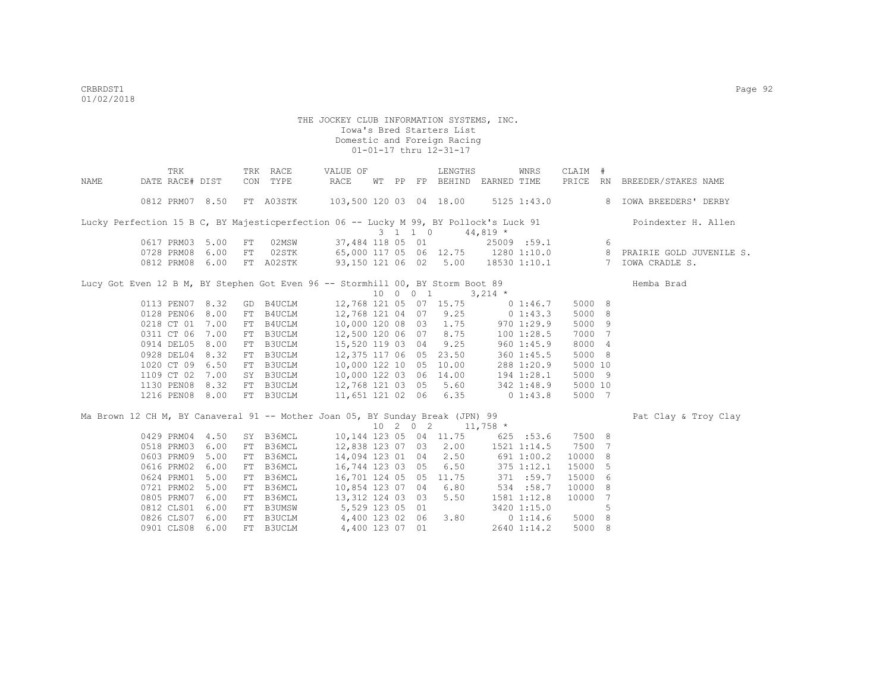|             | TRK                                                                                   |      |    | TRK RACE      | VALUE OF                           |                  |    |                  | LENGTHS                 |             | WNRS            | CLAIM # |                |                                                               |
|-------------|---------------------------------------------------------------------------------------|------|----|---------------|------------------------------------|------------------|----|------------------|-------------------------|-------------|-----------------|---------|----------------|---------------------------------------------------------------|
| <b>NAME</b> | DATE RACE# DIST                                                                       |      |    | CON TYPE      | RACE                               | WТ               | PP |                  | FP BEHIND EARNED TIME   |             |                 |         |                | PRICE RN BREEDER/STAKES NAME                                  |
|             | 0812 PRM07 8.50                                                                       |      |    | FT A03STK     |                                    |                  |    |                  | 103,500 120 03 04 18.00 |             | $5125$ $1:43.0$ |         |                | 8 IOWA BREEDERS' DERBY                                        |
|             | Lucky Perfection 15 B C, BY Majesticperfection 06 -- Lucky M 99, BY Pollock's Luck 91 |      |    |               |                                    |                  |    |                  |                         |             |                 |         |                | Poindexter H. Allen                                           |
|             |                                                                                       |      |    |               |                                    |                  |    | 3 1 1 0          |                         | $44,819$ *  |                 |         |                |                                                               |
|             | 0617 PRM03 5.00                                                                       |      | FT | 02MSW         |                                    | 37,484 118 05 01 |    |                  |                         |             | 25009 :59.1     |         | - 6            |                                                               |
|             | 0728 PRM08                                                                            | 6.00 | FT | 02STK         |                                    |                  |    |                  |                         |             |                 |         |                | 65,000 117 05 06 12.75 1280 1:10.0 8 PRAIRIE GOLD JUVENILE S. |
|             | 0812 PRM08 6.00                                                                       |      |    | FT A02STK     | 93,150 121 06 02 5.00 18530 1:10.1 |                  |    |                  |                         |             |                 |         |                | 7 IOWA CRADLE S.                                              |
|             | Lucy Got Even 12 B M, BY Stephen Got Even 96 -- Stormhill 00, BY Storm Boot 89        |      |    |               |                                    |                  |    |                  |                         |             |                 |         |                | Hemba Brad                                                    |
|             |                                                                                       |      |    |               |                                    |                  |    | 10 0 0 1         |                         | $3,214$ *   |                 |         |                |                                                               |
|             | 0113 PEN07 8.32                                                                       |      |    | GD B4UCLM     |                                    |                  |    |                  | 12,768 121 05 07 15.75  |             | 0 1:46.7        | 5000 8  |                |                                                               |
|             | 0128 PEN06                                                                            | 8.00 | FT | B4UCLM        | 12,768 121 04 07 9.25              |                  |    |                  |                         | $0\;1:43.3$ |                 | 5000 8  |                |                                                               |
|             | 0218 CT 01                                                                            | 7.00 | FT | B4UCLM        | 10,000 120 08 03 1.75              |                  |    |                  |                         | 9701:29.9   |                 | 5000 9  |                |                                                               |
|             | 0311 CT 06 7.00                                                                       |      | FT | B3UCLM        | 12,500 120 06 07 8.75              |                  |    |                  |                         | 100 1:28.5  |                 | 7000 7  |                |                                                               |
|             | 0914 DEL05 8.00                                                                       |      | FT | <b>B3UCLM</b> | 15,520 119 03 04                   |                  |    |                  | 9.25                    |             | 9601:45.9       | 8000 4  |                |                                                               |
|             | 0928 DEL04 8.32                                                                       |      | FT | <b>B3UCLM</b> | 12,375 117 06 05 23.50             |                  |    |                  |                         |             | 360 1:45.5      | 5000 8  |                |                                                               |
|             | 1020 CT 09                                                                            | 6.50 | FT | <b>B3UCLM</b> | 10,000 122 10 05                   |                  |    |                  | 10.00                   |             | 288 1:20.9      | 5000 10 |                |                                                               |
|             | 1109 CT 02                                                                            | 7.00 |    | SY B3UCLM     |                                    |                  |    |                  | 10,000 122 03 06 14.00  |             | 194 1:28.1      | 5000 9  |                |                                                               |
|             | 1130 PEN08 8.32                                                                       |      |    | FT B3UCLM     |                                    |                  |    |                  | 12,768 121 03 05 5.60   |             | 342 1:48.9      | 5000 10 |                |                                                               |
|             | 1216 PEN08 8.00                                                                       |      |    | FT B3UCLM     | 11,651 121 02 06 6.35              |                  |    |                  |                         |             | $0\;1:43.8$     | 5000 7  |                |                                                               |
|             | Ma Brown 12 CH M, BY Canaveral 91 -- Mother Joan 05, BY Sunday Break (JPN) 99         |      |    |               |                                    |                  |    |                  |                         |             |                 |         |                | Pat Clay & Troy Clay                                          |
|             |                                                                                       |      |    |               |                                    |                  |    | $10 \t2 \t0 \t2$ |                         | $11,758$ *  |                 |         |                |                                                               |
|             | 0429 PRM04                                                                            | 4.50 |    | SY B36MCL     | 10,144 123 05 04 11.75             |                  |    |                  |                         |             | 625 :53.6       | 7500 8  |                |                                                               |
|             | 0518 PRM03                                                                            | 6.00 | FT | B36MCL        | 12,838 123 07 03 2.00              |                  |    |                  |                         | 1521 1:14.5 |                 | 7500 7  |                |                                                               |
|             | 0603 PRM09                                                                            | 5.00 | FT | B36MCL        | 14,094 123 01 04 2.50              |                  |    |                  |                         | 691 1:00.2  |                 | 10000 8 |                |                                                               |
|             | 0616 PRM02                                                                            | 6.00 | FT | B36MCL        | 16,744 123 03 05                   |                  |    |                  | 6.50                    | 375 1:12.1  |                 | 15000 5 |                |                                                               |
|             | 0624 PRM01                                                                            | 5.00 | FT | B36MCL        |                                    |                  |    |                  | 16,701 124 05 05 11.75  | 371 :59.7   |                 | 15000 6 |                |                                                               |
|             | 0721 PRM02                                                                            | 5.00 | FT | B36MCL        |                                    |                  |    |                  | 10,854 123 07 04 6.80   |             | 534 :58.7       | 10000 8 |                |                                                               |
|             | 0805 PRM07 6.00                                                                       |      | FT | B36MCL        |                                    | 13,312 124 03 03 |    |                  | 5.50                    |             | 1581 1:12.8     | 10000   | $\overline{7}$ |                                                               |
|             | 0812 CLS01                                                                            | 6.00 | FT | B3UMSW        | 5,529 123 05 01                    |                  |    |                  |                         |             | 3420 1:15.0     |         | 5              |                                                               |
|             | 0826 CLS07 6.00                                                                       |      | FT | B3UCLM        | 4,400 123 02 06                    |                  |    |                  | 3.80                    |             | 01:14.6         | 5000 8  |                |                                                               |
|             | 0901 CLS08                                                                            | 6.00 | FT | <b>B3UCLM</b> |                                    | 4,400 123 07 01  |    |                  |                         |             | 2640 1:14.2     | 5000 8  |                |                                                               |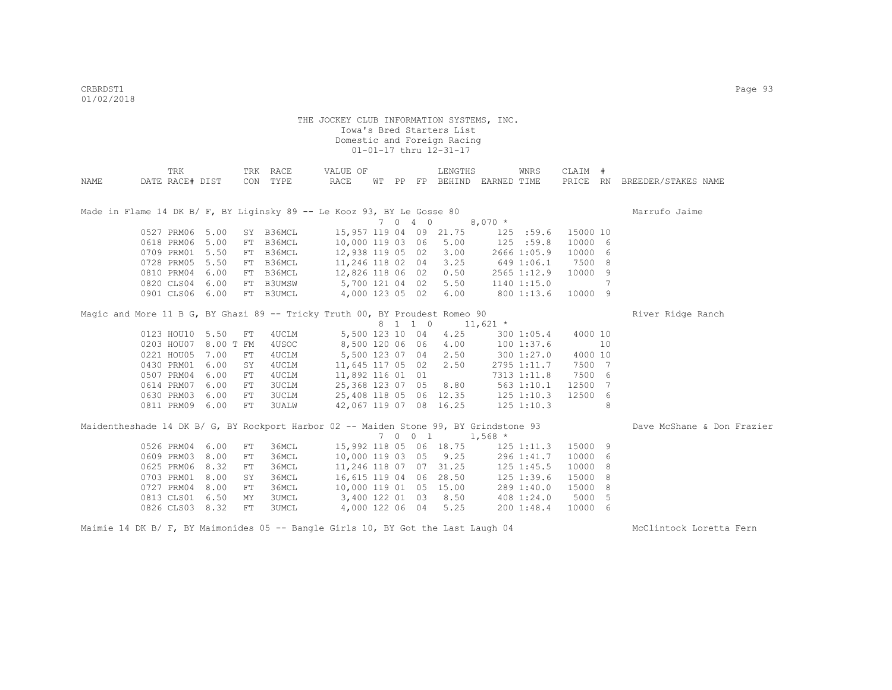|      | TRK             |           |    | TRK RACE     | VALUE OF                                                                              |  |         | LENGTHS                |                             | WNRS           | CLAIM #  |    |                              |
|------|-----------------|-----------|----|--------------|---------------------------------------------------------------------------------------|--|---------|------------------------|-----------------------------|----------------|----------|----|------------------------------|
| NAME | DATE RACE# DIST |           |    | CON TYPE     | RACE                                                                                  |  |         |                        | WT PP FP BEHIND EARNED TIME |                |          |    | PRICE RN BREEDER/STAKES NAME |
|      |                 |           |    |              |                                                                                       |  |         |                        |                             |                |          |    |                              |
|      |                 |           |    |              |                                                                                       |  |         |                        |                             |                |          |    |                              |
|      |                 |           |    |              | Made in Flame 14 DK B/ F, BY Liginsky 89 -- Le Kooz 93, BY Le Gosse 80                |  |         |                        |                             |                |          |    | Marrufo Jaime                |
|      |                 |           |    |              |                                                                                       |  | 7 0 4 0 |                        | $8,070$ *                   |                |          |    |                              |
|      | 0527 PRM06      | 5.00      |    | SY B36MCL    |                                                                                       |  |         | 15,957 119 04 09 21.75 |                             | 125 : 59.6     | 15000 10 |    |                              |
|      | 0618 PRM06      | 5.00      | FT | B36MCL       | 10,000 119 03 06                                                                      |  |         | 5.00                   |                             | 125 : 59.8     | 10000 6  |    |                              |
|      | 0709 PRM01      | 5.50      | FT | B36MCL       | 12,938 119 05 02                                                                      |  |         | 3.00                   |                             | 2666 1:05.9    | 10000 6  |    |                              |
|      | 0728 PRM05      | 5.50      | FT | B36MCL       | 11,246 118 02 04                                                                      |  |         | 3.25                   |                             | 649 1:06.1     | 7500 8   |    |                              |
|      | 0810 PRM04      | 6.00      |    | FT B36MCL    | 12,826 118 06 02                                                                      |  |         | 0.50                   |                             | 2565 1:12.9    | 10000 9  |    |                              |
|      | 0820 CLS04      | 6.00      |    | FT B3UMSW    | 5,700 121 04 02                                                                       |  |         | 5.50                   |                             | 1140 1:15.0    |          | 7  |                              |
|      | 0901 CLS06 6.00 |           |    | FT B3UMCL    | 4,000 123 05 02                                                                       |  |         | 6.00                   |                             | 800 1:13.6     | 10000 9  |    |                              |
|      |                 |           |    |              | Magic and More 11 B G, BY Ghazi 89 -- Tricky Truth 00, BY Proudest Romeo 90           |  |         |                        |                             |                |          |    | River Ridge Ranch            |
|      |                 |           |    |              |                                                                                       |  | 8 1 1 0 |                        | $11,621$ *                  |                |          |    |                              |
|      | 0123 HOU10 5.50 |           | FT | 4UCLM        | 5,500 123 10 04                                                                       |  |         | 4.25                   |                             | 3001:05.4      | 4000 10  |    |                              |
|      | 0203 HOU07      | 8.00 T FM |    | 4USOC        | 8,500 120 06 06                                                                       |  |         | 4.00                   |                             | 1001:37.6      |          | 10 |                              |
|      | 0221 HOU05      | 7.00      | FT | 4UCLM        | 5,500 123 07 04                                                                       |  |         | 2.50                   |                             | 3001:27.0      | 4000 10  |    |                              |
|      | 0430 PRM01      | 6.00      | SY | 4UCLM        | 11,645 117 05 02                                                                      |  |         | 2.50                   |                             | 2795 1:11.7    | 7500 7   |    |                              |
|      | 0507 PRM04      | 6.00      | FT | 4UCLM        | 11,892 116 01 01                                                                      |  |         |                        |                             | 7313 1:11.8    | 7500 6   |    |                              |
|      | 0614 PRM07      | 6.00      | FT | 3UCLM        | 25,368 123 07 05                                                                      |  |         | 8.80                   |                             | 563 1:10.1     | 12500 7  |    |                              |
|      | 0630 PRM03      | 6.00      | FT | 3UCLM        |                                                                                       |  |         | 25,408 118 05 06 12.35 |                             | 125 1:10.3     | 12500 6  |    |                              |
|      | 0811 PRM09 6.00 |           | FT | 3UALW        |                                                                                       |  |         | 42,067 119 07 08 16.25 |                             | 125 1:10.3     |          | 8  |                              |
|      |                 |           |    |              |                                                                                       |  |         |                        |                             |                |          |    |                              |
|      |                 |           |    |              | Maidentheshade 14 DK B/ G, BY Rockport Harbor 02 -- Maiden Stone 99, BY Grindstone 93 |  |         |                        |                             |                |          |    | Dave McShane & Don Frazier   |
|      |                 |           |    |              |                                                                                       |  | 7 0 0 1 |                        | $1,568$ *                   |                |          |    |                              |
|      | 0526 PRM04      | 6.00      | FT | З6МСЬ        |                                                                                       |  |         | 15,992 118 05 06 18.75 |                             | 125 1:11.3     | 15000 9  |    |                              |
|      | 0609 PRM03      | 8.00      | FT | 36MCL        |                                                                                       |  |         | 10,000 119 03 05 9.25  |                             | 296 1:41.7     | 10000 6  |    |                              |
|      | 0625 PRM06      | 8.32      | FT | 36MCL        |                                                                                       |  |         | 11,246 118 07 07 31.25 |                             | $125$ $1:45.5$ | 10000 8  |    |                              |
|      | 0703 PRM01      | 8.00      | SY | 36MCL        |                                                                                       |  |         | 16,615 119 04 06 28.50 |                             | $125$ $1:39.6$ | 15000    | 8  |                              |
|      | 0727 PRM04      | 8.00      | FT | 36MCL        |                                                                                       |  |         | 10,000 119 01 05 15.00 |                             | 289 1:40.0     | 15000    | -8 |                              |
|      | 0813 CLS01      | 6.50      | MΥ | <b>3UMCL</b> | 3,400 122 01 03                                                                       |  |         | 8.50                   |                             | 408 1:24.0     | 5000 5   |    |                              |
|      | 0826 CLS03 8.32 |           | FT | 3UMCL        | 4,000 122 06 04                                                                       |  |         | 5.25                   |                             | 2001:48.4      | 10000 6  |    |                              |

Maimie 14 DK B/ F, BY Maimonides 05 -- Bangle Girls 10, BY Got the Last Laugh 04 McClintock Loretta Fern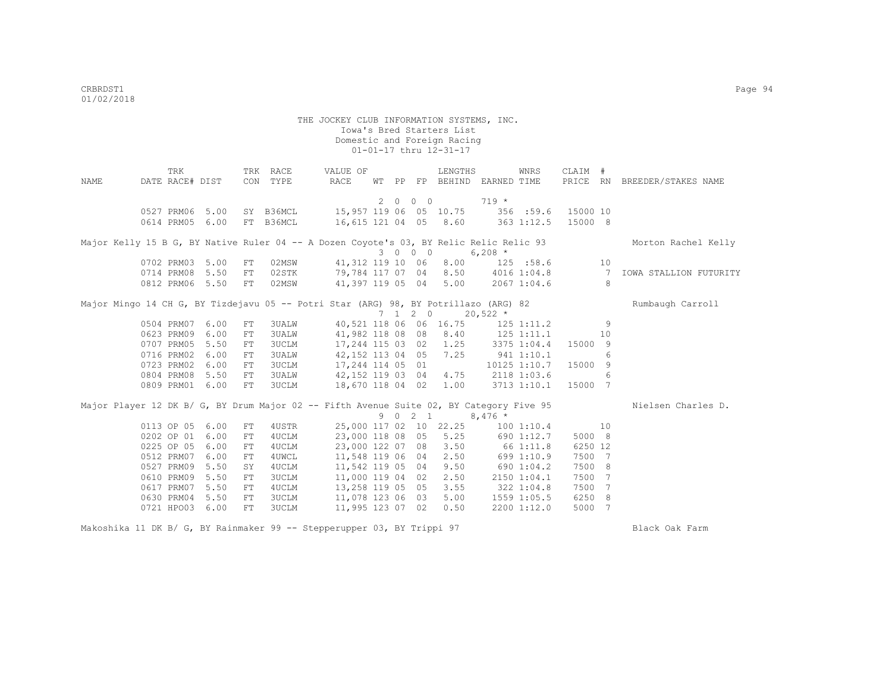| NAME | TRK<br>DATE RACE# DIST             |      | CON        | TRK RACE<br>TYPE       | VALUE OF<br>RACE                                                                        | WТ |             |                 | LENGTHS                | PP FP BEHIND EARNED TIME         | WNRS                        | CLAIM #             |                | PRICE RN BREEDER/STAKES NAME |
|------|------------------------------------|------|------------|------------------------|-----------------------------------------------------------------------------------------|----|-------------|-----------------|------------------------|----------------------------------|-----------------------------|---------------------|----------------|------------------------------|
|      |                                    |      |            |                        |                                                                                         |    | $2 \quad 0$ | $0\quad 0$      |                        | $719 *$                          |                             |                     |                |                              |
|      | 0527 PRM06 5.00<br>0614 PRM05 6.00 |      |            | SY B36MCL<br>FT B36MCL | 15,957 119 06 05 10.75<br>16,615 121 04 05 8.60                                         |    |             |                 |                        |                                  | 356 :59.6<br>$363$ $1:12.5$ | 15000 10<br>15000 8 |                |                              |
|      |                                    |      |            |                        | Major Kelly 15 B G, BY Native Ruler 04 -- A Dozen Coyote's 03, BY Relic Relic Relic 93  |    |             | 3 0 0 0         |                        | $6,208$ *                        |                             |                     |                | Morton Rachel Kelly          |
|      | 0702 PRM03                         | 5.00 | FT         | 02MSW                  | 41,312 119 10 06                                                                        |    |             |                 | 8.00                   |                                  | $125$ :58.6                 |                     | 10             |                              |
|      | 0714 PRM08 5.50                    |      | FT         | 02STK                  | 79,784 117 07 04                                                                        |    |             |                 |                        | 8.50 4016 1:04.8                 |                             |                     | $\overline{7}$ | IOWA STALLION FUTURITY       |
|      | 0812 PRM06 5.50                    |      | FT         | 02MSW                  | 41,397 119 05 04                                                                        |    |             |                 |                        | $5.00$ 2067 1:04.6               |                             |                     | 8              |                              |
|      |                                    |      |            |                        | Major Mingo 14 CH G, BY Tizdejavu 05 -- Potri Star (ARG) 98, BY Potrillazo (ARG) 82     |    |             | $7 \t1 \t2 \t0$ |                        | $20,522$ *                       |                             |                     |                | Rumbaugh Carroll             |
|      | 0504 PRM07                         | 6.00 | FT         | 3UALW                  |                                                                                         |    |             |                 | 40,521 118 06 06 16.75 |                                  | $125$ $1:11.2$              |                     | 9              |                              |
|      | 0623 PRM09                         | 6.00 | FT         | 3UALW                  |                                                                                         |    |             |                 |                        | 41,982 118 08 08 8.40 125 1:11.1 |                             |                     | 10             |                              |
|      | 0707 PRM05                         | 5.50 | FT         | <b>3UCLM</b>           |                                                                                         |    |             |                 | 17,244 115 03 02 1.25  | 3375 1:04.4                      |                             | 15000 9             |                |                              |
|      | 0716 PRM02                         | 6.00 | FT         | 3UALW                  |                                                                                         |    |             |                 | 42, 152 113 04 05 7.25 | 941 1:10.1                       |                             |                     | 6              |                              |
|      | 0723 PRM02                         | 6.00 | FT         | 3UCLM                  | 17,244 114 05 01                                                                        |    |             |                 |                        |                                  | 10125 1:10.7                | 15000               | 9              |                              |
|      | 0804 PRM08                         | 5.50 | FT         | 3UALW                  | 42,152 119 03 04                                                                        |    |             |                 | 4.75                   |                                  | 2118 1:03.6                 |                     | 6              |                              |
|      | 0809 PRM01 6.00                    |      | FT         | 3UCLM                  | 18,670 118 04 02                                                                        |    |             |                 | 1.00                   |                                  | 3713 1:10.1                 | 15000 7             |                |                              |
|      |                                    |      |            |                        | Major Player 12 DK B/ G, BY Drum Major 02 -- Fifth Avenue Suite 02, BY Category Five 95 |    |             |                 |                        |                                  |                             |                     |                | Nielsen Charles D.           |
|      |                                    |      |            |                        |                                                                                         |    |             | 9021            |                        | $8,476*$                         |                             |                     |                |                              |
|      | 0113 OP 05 6.00                    |      | FT         | 4USTR                  | 25,000 117 02 10 22.25                                                                  |    |             |                 |                        |                                  | 1001:10.4                   |                     | 10             |                              |
|      | 0202 OP 01 6.00                    |      | FT         | 4UCLM                  |                                                                                         |    |             |                 | 23,000 118 08 05 5.25  |                                  | 690 1:12.7                  | 5000 8              |                |                              |
|      | 0225 OP 05                         | 6.00 | FT         | 4UCLM                  | 23,000 122 07 08                                                                        |    |             |                 | 3.50                   | 66 1:11.8                        |                             | 6250 12             |                |                              |
|      | 0512 PRM07                         | 6.00 | FT         | 4UWCL                  | 11,548 119 06 04                                                                        |    |             |                 | 2.50                   |                                  | 699 1:10.9                  | 7500 7              |                |                              |
|      | 0527 PRM09                         | 5.50 | SY         | 4UCLM                  | 11,542 119 05 04                                                                        |    |             |                 | 9.50                   | 690 1:04.2                       |                             | 7500 8              |                |                              |
|      | 0610 PRM09                         | 5.50 | ${\rm FT}$ | 3UCLM                  | 11,000 119 04 02                                                                        |    |             |                 | 2.50                   |                                  | 2150 1:04.1                 | 7500 7              |                |                              |
|      | 0617 PRM07                         | 5.50 | FT         | 4UCLM                  | 13,258 119 05 05                                                                        |    |             |                 | 3.55                   |                                  | 322 1:04.8                  | 7500 7              |                |                              |
|      | 0630 PRM04                         | 5.50 | FT         | 3UCLM                  | 11,078 123 06 03                                                                        |    |             |                 | 5.00                   |                                  | 1559 1:05.5                 | 6250 8              |                |                              |
|      | 0721 HPO03                         | 6.00 | FT         | 3UCLM                  | 11,995 123 07 02                                                                        |    |             |                 | 0.50                   |                                  | 2200 1:12.0                 | 5000 7              |                |                              |

Makoshika 11 DK B/ G, BY Rainmaker 99 -- Stepperupper 03, BY Trippi 97 Black Oak Farm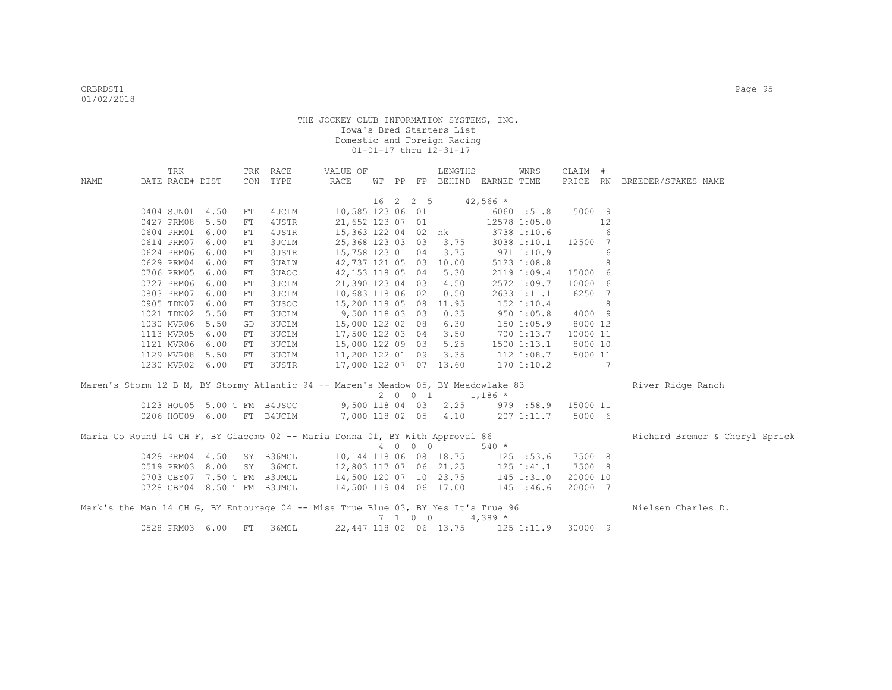|      | TRK             |                             |    | TRK RACE     | VALUE OF                                                                           |    |                   | LENGTHS                  |                | WNRS            | CLAIM #            |    |                                |
|------|-----------------|-----------------------------|----|--------------|------------------------------------------------------------------------------------|----|-------------------|--------------------------|----------------|-----------------|--------------------|----|--------------------------------|
| NAME | DATE RACE# DIST |                             |    | CON TYPE     | RACE                                                                               | WТ |                   | PP FP BEHIND EARNED TIME |                |                 |                    |    | PRICE RN BREEDER/STAKES NAME   |
|      |                 |                             |    |              |                                                                                    | 16 | $2\quad 2\quad 5$ |                          | $42,566$ *     |                 |                    |    |                                |
|      | 0404 SUN01 4.50 |                             | FT | 4UCLM        | 10,585 123 06 01                                                                   |    |                   |                          |                | 6060 :51.8      | 5000 9             |    |                                |
|      | 0427 PRM08      | 5.50                        | FT | 4USTR        | 21,652 123 07 01                                                                   |    |                   |                          |                | 12578 1:05.0    |                    | 12 |                                |
|      | 0604 PRM01      | 6.00                        | FT | 4USTR        |                                                                                    |    |                   | 15,363 122 04 02 nk      |                | 3738 1:10.6     |                    | 6  |                                |
|      | 0614 PRM07      | 6.00                        | FT | <b>3UCLM</b> | 25,368 123 03 03 3.75                                                              |    |                   |                          |                | 3038 1:10.1     | 12500 7            |    |                                |
|      | 0624 PRM06      | 6.00                        | FT | 3USTR        | 15,758 123 01 04                                                                   |    |                   | 3.75                     | $971$ 1:10.9   |                 |                    | 6  |                                |
|      | 0629 PRM04      | 6.00                        | FT | <b>3UALW</b> | 42,737 121 05 03 10.00                                                             |    |                   |                          |                | 5123 1:08.8     |                    | 8  |                                |
|      | 0706 PRM05      | 6.00                        | FT | 3UAOC        | 42,153 118 05 04                                                                   |    |                   | 5.30                     |                | 2119 1:09.4     | 15000 6            |    |                                |
|      | 0727 PRM06      | 6.00                        | FT | <b>3UCLM</b> | 21,390 123 04 03                                                                   |    |                   | 4.50                     |                | 2572 1:09.7     | 10000 6            |    |                                |
|      | 0803 PRM07      | 6.00                        | FT | 3UCLM        | 10,683 118 06 02                                                                   |    |                   | 0.50                     |                | 2633 1:11.1     | 6250 7             |    |                                |
|      | 0905 TDN07      | 6.00                        | FT | 3USOC        | 15,200 118 05 08                                                                   |    |                   | 11.95                    |                | 152 1:10.4      |                    | 8  |                                |
|      | 1021 TDN02      | 5.50                        | FT | <b>3UCLM</b> | 9,500 118 03 03                                                                    |    |                   | 0.35                     |                | 950 1:05.8      | 4000 9             |    |                                |
|      | 1030 MVR06      | 5.50                        | GD | <b>3UCLM</b> | 15,000 122 02 08                                                                   |    |                   | 6.30                     |                | 1501:05.9       | 8000 12            |    |                                |
|      | 1113 MVR05      | 6.00                        | FT | <b>3UCLM</b> | 17,500 122 03 04                                                                   |    |                   | 3.50                     |                | 700 1:13.7      | 10000 11           |    |                                |
|      | 1121 MVR06      | 6.00                        | FT | <b>3UCLM</b> | 15,000 122 09 03                                                                   |    |                   | 5.25                     |                | $1500$ $1:13.1$ | 8000 10            |    |                                |
|      | 1129 MVR08      | 5.50                        | FT | <b>3UCLM</b> | 11,200 122 01 09                                                                   |    |                   | 3.35                     |                | 112 1:08.7      | 5000 11            |    |                                |
|      |                 | 1230 MVR02 6.00             | FT | 3USTR        | 17,000 122 07 07 13.60                                                             |    |                   |                          |                | $170$ $1:10.2$  |                    | 7  |                                |
|      |                 |                             |    |              | Maren's Storm 12 B M, BY Stormy Atlantic 94 -- Maren's Meadow 05, BY Meadowlake 83 |    |                   |                          |                |                 |                    |    | River Ridge Ranch              |
|      |                 |                             |    |              |                                                                                    |    | 2001              | $1,186$ *                |                |                 |                    |    |                                |
|      |                 | 0123 HOU05 5.00 T FM B4USOC |    |              | 9,500 118 04 03 2.25                                                               |    |                   |                          |                |                 | 979 :58.9 15000 11 |    |                                |
|      |                 | 0206 HOU09 6.00 FT B4UCLM   |    |              | 7,000 118 02 05 4.10                                                               |    |                   |                          |                | 207 1:11.7      | 5000 6             |    |                                |
|      |                 |                             |    |              | Maria Go Round 14 CH F, BY Giacomo 02 -- Maria Donna 01, BY With Approval 86       |    |                   |                          |                |                 |                    |    | Richard Bremer & Cheryl Sprick |
|      |                 |                             |    |              |                                                                                    |    | 4 0 0 0           |                          | $540 *$        |                 |                    |    |                                |
|      |                 | 0429 PRM04 4.50             |    | SY B36MCL    | 10,144 118 06 08 18.75                                                             |    |                   |                          | 125 : 53.6     |                 | 7500 8             |    |                                |
|      |                 | 0519 PRM03 8.00             | SY | 36MCL        | 12,803 117 07 06 21.25                                                             |    |                   |                          | $125$ $1:41.1$ |                 | 7500 8             |    |                                |
|      |                 | 0703 CBY07 7.50 T FM B3UMCL |    |              | 14,500 120 07 10 23.75 145 1:31.0                                                  |    |                   |                          |                |                 | 20000 10           |    |                                |
|      |                 | 0728 CBY04 8.50 T FM B3UMCL |    |              | 14,500 119 04 06 17.00                                                             |    |                   |                          | 145 1:46.6     |                 | 20000 7            |    |                                |
|      |                 |                             |    |              | Mark's the Man 14 CH G, BY Entourage 04 -- Miss True Blue 03, BY Yes It's True 96  |    |                   |                          |                |                 |                    |    | Nielsen Charles D.             |
|      |                 |                             |    |              |                                                                                    |    | 7 1 0 0           |                          | 4,389 $*$      |                 |                    |    |                                |
|      |                 | 0528 PRM03 6.00             | FT | 36MCL        |                                                                                    |    |                   | 22, 447 118 02 06 13.75  |                |                 | 125 1:11.9 30000 9 |    |                                |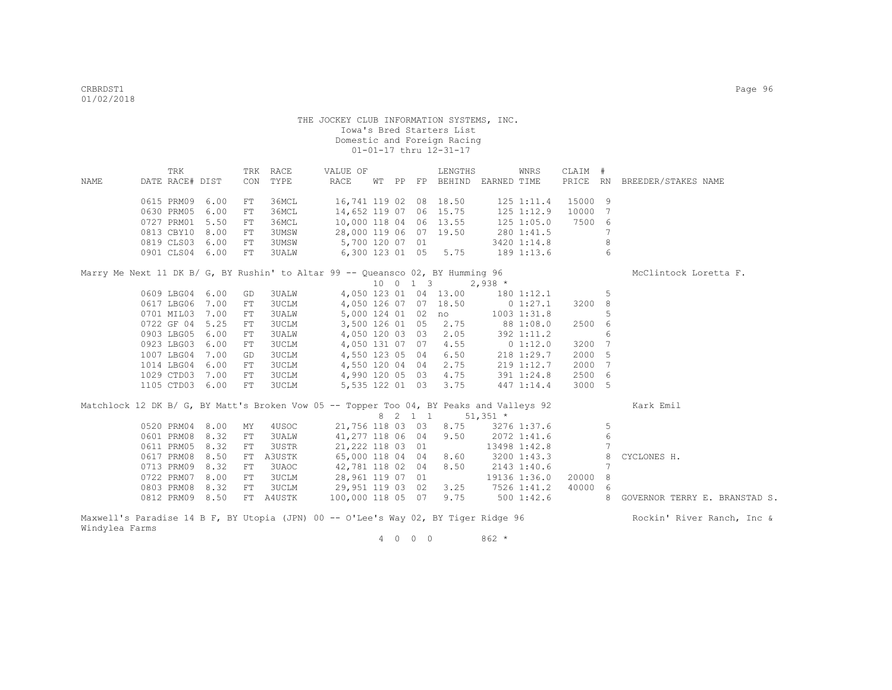|      | TRK                                                                                     |      |            | TRK RACE     | VALUE OF               |  | LENGTHS                        |                        | WNRS           | CLAIM # |    |                                 |
|------|-----------------------------------------------------------------------------------------|------|------------|--------------|------------------------|--|--------------------------------|------------------------|----------------|---------|----|---------------------------------|
| NAME | DATE RACE# DIST                                                                         |      | CON        | TYPE         | RACE                   |  | WT PP FP BEHIND EARNED TIME    |                        |                |         |    | PRICE RN BREEDER/STAKES NAME    |
|      | 0615 PRM09                                                                              | 6.00 | ${\rm FT}$ | 36MCL        |                        |  | 16,741 119 02 08 18.50         |                        | 125 1:11.4     | 15000 9 |    |                                 |
|      | 0630 PRM05                                                                              | 6.00 | FT         | 36MCL        | 14,652 119 07 06 15.75 |  |                                |                        | 125 1:12.9     | 10000 7 |    |                                 |
|      | 0727 PRM01 5.50                                                                         |      | FT         | 36MCL        | 10,000 118 04 06 13.55 |  |                                |                        | $125$ $1:05.0$ | 7500 6  |    |                                 |
|      | 0813 CBY10                                                                              | 8.00 | FT         | 3UMSW        | 28,000 119 06 07 19.50 |  |                                |                        | 280 1:41.5     |         | 7  |                                 |
|      | 0819 CLS03                                                                              | 6.00 | FT         | 3UMSW        | 5,700 120 07 01        |  |                                |                        | 3420 1:14.8    |         | 8  |                                 |
|      | 0901 CLS04 6.00                                                                         |      | FT         | 3UALW        |                        |  | 6,300 123 01 05 5.75           |                        | 189 1:13.6     |         | 6  |                                 |
|      | Marry Me Next 11 DK B/ G, BY Rushin' to Altar 99 -- Queansco 02, BY Humming 96          |      |            |              |                        |  |                                |                        |                |         |    | McClintock Loretta F.           |
|      |                                                                                         |      |            |              |                        |  | $10 \t 0 \t 1 \t 3 \t 2,938$ * |                        |                |         |    |                                 |
|      | 0609 LBG04 6.00                                                                         |      | GD         | 3UALW        |                        |  | 4,050 123 01 04 13.00          |                        | $180$ $1:12.1$ |         | 5  |                                 |
|      | 0617 LBG06 7.00                                                                         |      | FT         | <b>3UCLM</b> |                        |  | 4,050 126 07 07 18.50          |                        | $0\;1:27.1$    | 3200 8  |    |                                 |
|      | 0701 MIL03 7.00                                                                         |      | FT         | 3UALW        |                        |  | 5,000 124 01 02 no             |                        | 1003 1:31.8    |         | .5 |                                 |
|      | 0722 GF 04 5.25                                                                         |      | FT         | 3UCLM        |                        |  | 3,500 126 01 05 2.75           | 88 1:08.0              |                | 2500 6  |    |                                 |
|      | 0903 LBG05                                                                              | 6.00 | FT         | 3UALW        | 4,050 120 03 03        |  | 2.05                           |                        | 392 1:11.2     |         | 6  |                                 |
|      | 0923 LBG03                                                                              | 6.00 | FT         | 3UCLM        | 4,050 131 07 07        |  | 4.55                           | $0\;1:12.0$            |                | 3200 7  |    |                                 |
|      | 1007 LBG04 7.00                                                                         |      | GD         | 3UCLM        | 4,550 123 05 04        |  | 6.50                           |                        | 218 1:29.7     | 2000 5  |    |                                 |
|      | 1014 LBG04 6.00                                                                         |      | FT         | 3UCLM        | 4,550 120 04 04        |  | 2.75                           |                        | 219 1:12.7     | 2000 7  |    |                                 |
|      | 1029 CTD03 7.00                                                                         |      | FT         | 3UCLM        | 4,990 120 05 03        |  | 4.75                           |                        | 391 1:24.8     | 2500 6  |    |                                 |
|      | 1105 CTD03 6.00                                                                         |      | FT         | 3UCLM        | 5,535 122 01 03        |  | 3.75                           |                        | 447 1:14.4     | 3000 5  |    |                                 |
|      | Matchlock 12 DK B/ G, BY Matt's Broken Vow 05 -- Topper Too 04, BY Peaks and Valleys 92 |      |            |              |                        |  |                                |                        |                |         |    | Kark Emil                       |
|      |                                                                                         |      |            |              |                        |  | 8 2 1 1                        | $51,351$ *             |                |         |    |                                 |
|      | 0520 PRM04 8.00                                                                         |      | MY         | 4USOC        |                        |  | 21,756 118 03 03 8.75          |                        | 3276 1:37.6    |         | 5  |                                 |
|      | 0601 PRM08                                                                              | 8.32 | FT         | 3UALW        | 41,277 118 06 04       |  | 9.50                           |                        | 2072 1:41.6    |         | 6  |                                 |
|      | 0611 PRM05                                                                              | 8.32 | FT         | 3USTR        | 21,222 118 03 01       |  |                                |                        | 13498 1:42.8   |         | 7  |                                 |
|      | 0617 PRM08                                                                              | 8.50 | FT         | A3USTK       | 65,000 118 04 04       |  | 8.60                           |                        | 3200 1:43.3    |         | 8  | CYCLONES H.                     |
|      | 0713 PRM09                                                                              | 8.32 | FT         | 3UAOC        | 42,781 118 02 04       |  | 8.50                           |                        | 2143 1:40.6    |         | 7  |                                 |
|      | 0722 PRM07                                                                              | 8.00 | FT         | 3UCLM        | 28,961 119 07 01       |  |                                |                        | 19136 1:36.0   | 20000   | 8  |                                 |
|      | 0803 PRM08                                                                              | 8.32 | FT         | 3UCLM        | 29,951 119 03 02       |  |                                | $3.25$ $7526$ $1:41.2$ |                | 40000 6 |    |                                 |
|      | 0812 PRM09 8.50                                                                         |      |            | FT A4USTK    | 100,000 118 05 07      |  |                                | $9.75$ $500$ $1:42.6$  |                |         |    | 8 GOVERNOR TERRY E. BRANSTAD S. |
|      | Maxwell's Paradise 14 B F, BY Utopia (JPN) 00 -- O'Lee's Way 02, BY Tiger Ridge 96      |      |            |              |                        |  |                                |                        |                |         |    | Rockin' River Ranch, Inc &      |

Windylea Farms

4 0 0 0 862 \*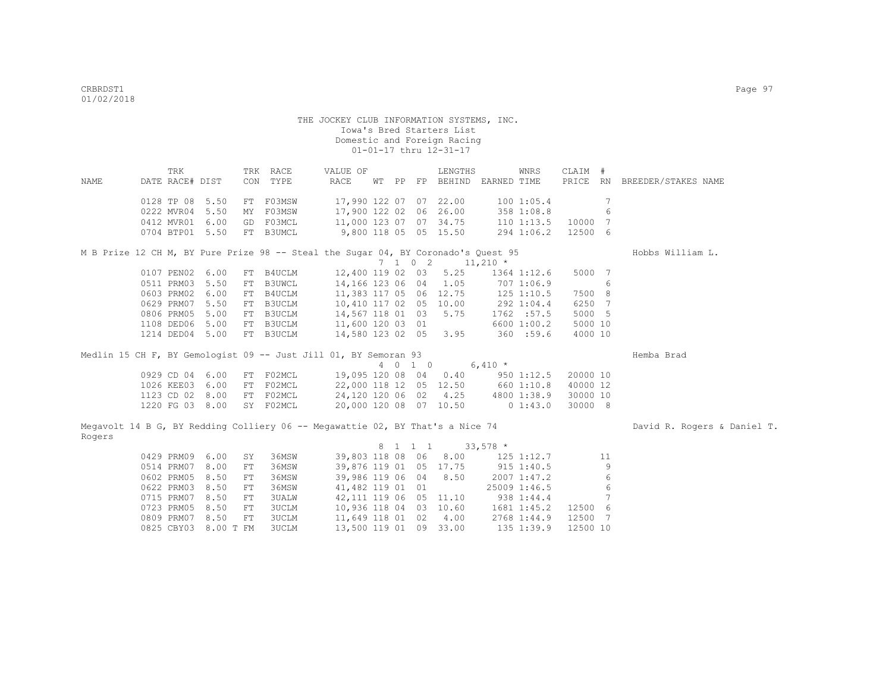|        | TRK                                                                               |      |    | TRK RACE      | VALUE OF                          |  | LENGTHS                      |                                   | WNRS           | CLAIM #                  |                              |
|--------|-----------------------------------------------------------------------------------|------|----|---------------|-----------------------------------|--|------------------------------|-----------------------------------|----------------|--------------------------|------------------------------|
| NAME   | DATE RACE# DIST                                                                   |      |    | CON TYPE      | RACE                              |  |                              | WT PP FP BEHIND EARNED TIME       |                |                          | PRICE RN BREEDER/STAKES NAME |
|        | 0128 TP 08 5.50                                                                   |      |    | FT F03MSW     | 17,990 122 07 07 22.00            |  |                              |                                   | 1001:05.4      | 7                        |                              |
|        | 0222 MVR04 5.50                                                                   |      | MY | F03MSW        | 17,900 122 02 06 26.00            |  |                              |                                   | 358 1:08.8     | 6                        |                              |
|        | 0412 MVR01 6.00                                                                   |      |    | GD F03MCL     | 11,000 123 07 07 34.75            |  |                              |                                   | 110 1:13.5     | 10000<br>$7\phantom{.0}$ |                              |
|        | 0704 BTP01 5.50                                                                   |      |    | FT B3UMCL     | 9,800 118 05 05 15.50             |  |                              |                                   | 294 1:06.2     | 12500 6                  |                              |
|        | M B Prize 12 CH M, BY Pure Prize 98 -- Steal the Sugar 04, BY Coronado's Quest 95 |      |    |               |                                   |  |                              |                                   |                |                          | Hobbs William L.             |
|        |                                                                                   |      |    |               |                                   |  | $7 \t1 \t0 \t2 \t11,210 \t*$ |                                   |                |                          |                              |
|        | 0107 PEN02 6.00                                                                   |      |    | FT B4UCLM     |                                   |  | 12,400 119 02 03 5.25        |                                   | 1364 1:12.6    | 5000 7                   |                              |
|        | 0511 PRM03                                                                        | 5.50 | FT | B3UWCL        | 14,166 123 06 04 1.05             |  |                              | 707 1:06.9                        |                | 6                        |                              |
|        | 0603 PRM02                                                                        | 6.00 |    | FT B4UCLM     |                                   |  |                              | 11,383 117 05 06 12.75 125 1:10.5 |                | 7500 8                   |                              |
|        | 0629 PRM07                                                                        | 5.50 | FT | B3UCLM        | 10,410 117 02 05 10.00            |  |                              | 292 1:04.4                        |                | 6250 7                   |                              |
|        | 0806 PRM05                                                                        | 5.00 | FT | B3UCLM        | 14,567 118 01 03 5.75             |  |                              |                                   | 1762 : 57.5    | 5000 5                   |                              |
|        | 1108 DED06                                                                        | 5.00 | FT | <b>B3UCLM</b> | 11,600 120 03 01                  |  |                              |                                   | 6600 1:00.2    | 5000 10                  |                              |
|        | 1214 DED04 5.00                                                                   |      |    | FT B3UCLM     | 14,580 123 02 05 3.95             |  |                              |                                   | 360 :59.6      | 4000 10                  |                              |
|        | Medlin 15 CH F, BY Gemologist 09 -- Just Jill 01, BY Semoran 93                   |      |    |               |                                   |  |                              |                                   |                |                          | Hemba Brad                   |
|        |                                                                                   |      |    |               |                                   |  | 4 0 1 0                      | $6,410 *$                         |                |                          |                              |
|        | 0929 CD 04 6.00                                                                   |      |    | FT FO2MCL     | 19,095 120 08 04 0.40 950 1:12.5  |  |                              |                                   |                | 20000 10                 |                              |
|        | 1026 KEE03 6.00                                                                   |      | FT | F02MCL        | 22,000 118 12 05 12.50 660 1:10.8 |  |                              |                                   |                | 40000 12                 |                              |
|        | 1123 CD 02 8.00                                                                   |      |    | FT F02MCL     | 24,120 120 06 02 4.25             |  |                              |                                   | 4800 1:38.9    | 30000 10                 |                              |
|        | 1220 FG 03 8.00                                                                   |      |    | SY F02MCL     | 20,000 120 08 07 10.50            |  |                              |                                   | 0 1:43.0       | 30000 8                  |                              |
|        | Megavolt 14 B G, BY Redding Colliery 06 -- Megawattie 02, BY That's a Nice 74     |      |    |               |                                   |  |                              |                                   |                |                          | David R. Rogers & Daniel T.  |
| Rogers |                                                                                   |      |    |               |                                   |  |                              |                                   |                |                          |                              |
|        | 0429 PRM09                                                                        | 6.00 | SY | 36MSW         | 39,803 118 08 06 8.00             |  | 8 1 1 1 33,578 *             |                                   | $125$ $1:12.7$ | 11                       |                              |
|        | 0514 PRM07                                                                        | 8.00 | FT | 36MSW         | 39,876 119 01 05 17.75            |  |                              |                                   | 915 1:40.5     | 9                        |                              |
|        | 0602 PRM05                                                                        | 8.50 | FT | 36MSW         | 39,986 119 06 04 8.50             |  |                              |                                   | 2007 1:47.2    | 6                        |                              |
|        | 0622 PRM03                                                                        | 8.50 | FT | 36MSW         | 41,482 119 01 01                  |  |                              |                                   | 25009 1:46.5   | 6                        |                              |
|        | 0715 PRM07                                                                        | 8.50 | FT | <b>3UALW</b>  | 42, 111 119 06 05 11.10           |  |                              | 938 1:44.4                        |                | 7                        |                              |
|        | 0723 PRM05                                                                        | 8.50 | FT | <b>3UCLM</b>  |                                   |  | 10,936 118 04 03 10.60       |                                   | 1681 1:45.2    | 12500 6                  |                              |
|        | 0809 PRM07                                                                        | 8.50 | FT | <b>3UCLM</b>  |                                   |  | 11,649 118 01 02 4.00        |                                   | 2768 1:44.9    | 12500 7                  |                              |
|        | 0825 CBY03 8.00 T FM                                                              |      |    | 3UCLM         | 13,500 119 01 09 33.00            |  |                              |                                   | 135 1:39.9     | 12500 10                 |                              |
|        |                                                                                   |      |    |               |                                   |  |                              |                                   |                |                          |                              |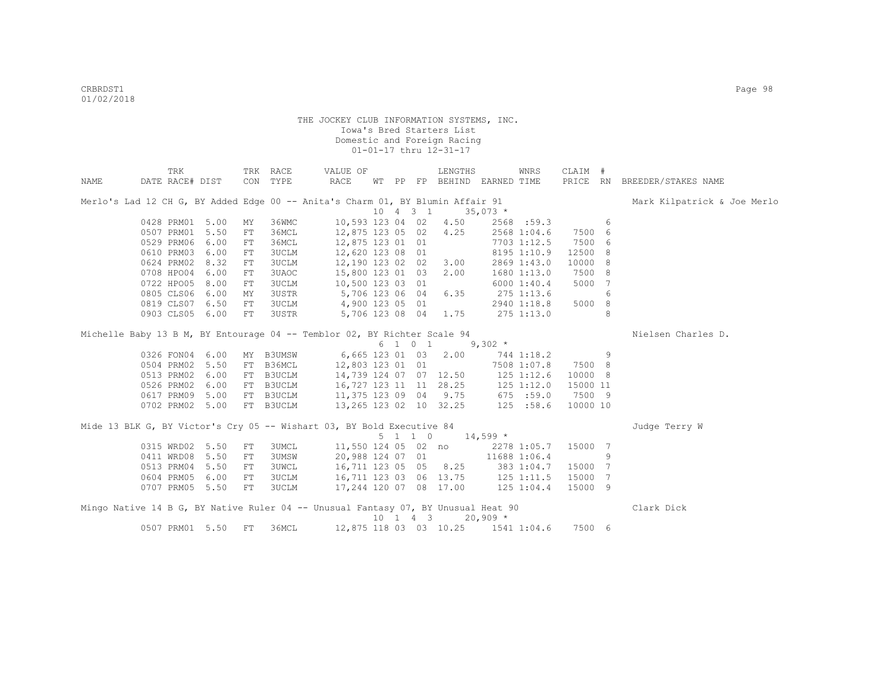|      | TRK             |      |            | TRK RACE     | VALUE OF                                                                                                    |  |                     | LENGTHS                            |              | WNRS         | CLAIM #                                                                                                                                                                                                                                                                        |   |                              |
|------|-----------------|------|------------|--------------|-------------------------------------------------------------------------------------------------------------|--|---------------------|------------------------------------|--------------|--------------|--------------------------------------------------------------------------------------------------------------------------------------------------------------------------------------------------------------------------------------------------------------------------------|---|------------------------------|
| NAME | DATE RACE# DIST |      |            | CON TYPE     | RACE                                                                                                        |  |                     | WT PP FP BEHIND EARNED TIME        |              |              |                                                                                                                                                                                                                                                                                |   | PRICE RN BREEDER/STAKES NAME |
|      |                 |      |            |              | Merlo's Lad 12 CH G, BY Added Edge 00 -- Anita's Charm 01, BY Blumin Affair 91                              |  |                     |                                    |              |              |                                                                                                                                                                                                                                                                                |   | Mark Kilpatrick & Joe Merlo  |
|      |                 |      |            |              |                                                                                                             |  | $10 \t 4 \t 3 \t 1$ |                                    | $35,073$ *   |              |                                                                                                                                                                                                                                                                                |   |                              |
|      | 0428 PRM01      | 5.00 | MY         | 36WMC        |                                                                                                             |  |                     | 10,593 123 04 02 4.50              |              | 2568 :59.3   |                                                                                                                                                                                                                                                                                | 6 |                              |
|      | 0507 PRM01      | 5.50 | FT         | 36MCL        | 12,875 123 05 02 4.25                                                                                       |  |                     |                                    |              | 2568 1:04.6  | 7500 6                                                                                                                                                                                                                                                                         |   |                              |
|      | 0529 PRM06      | 6.00 | FT         | 36MCL        | 12,875 123 01 01                                                                                            |  |                     |                                    |              | 7703 1:12.5  | 7500 6                                                                                                                                                                                                                                                                         |   |                              |
|      | 0610 PRM03      | 6.00 | FT         | 3UCLM        | 12,620 123 08 01                                                                                            |  |                     |                                    |              | 8195 1:10.9  | 12500 8                                                                                                                                                                                                                                                                        |   |                              |
|      | 0624 PRM02      | 8.32 | FT         | 3UCLM        | 12,190 123 02 02 3.00                                                                                       |  |                     |                                    |              | 2869 1:43.0  | 10000 8                                                                                                                                                                                                                                                                        |   |                              |
|      | 0708 HPO04      | 6.00 | ${\rm FT}$ | 3UAOC        | 15,800 123 01 03 2.00                                                                                       |  |                     |                                    |              | 1680 1:13.0  | 7500 8                                                                                                                                                                                                                                                                         |   |                              |
|      | 0722 HPO05 8.00 |      | FT         | 3UCLM        | 10,500 123 03 01                                                                                            |  |                     |                                    |              | 6000 1:40.4  | 5000 7                                                                                                                                                                                                                                                                         |   |                              |
|      | 0805 CLS06      | 6.00 | MY         | 3USTR        | 5,706 123 06 04 6.35                                                                                        |  |                     |                                    |              | 275 1:13.6   |                                                                                                                                                                                                                                                                                | 6 |                              |
|      | 0819 CLS07      | 6.50 | FT         | 3UCLM        | 4,900 123 05 01                                                                                             |  |                     |                                    |              | 2940 1:18.8  | 5000 8                                                                                                                                                                                                                                                                         |   |                              |
|      | 0903 CLS05 6.00 |      | FT         | 3USTR        |                                                                                                             |  |                     | 5,706 123 08 04 1.75               | $275$ 1:13.0 |              |                                                                                                                                                                                                                                                                                | 8 |                              |
|      |                 |      |            |              | Michelle Baby 13 B M, BY Entourage 04 -- Temblor 02, BY Richter Scale 94                                    |  |                     |                                    |              |              |                                                                                                                                                                                                                                                                                |   | Nielsen Charles D.           |
|      |                 |      |            |              |                                                                                                             |  |                     | 6 1 0 1                            | $9,302$ *    |              |                                                                                                                                                                                                                                                                                |   |                              |
|      | 0326 FON04      | 6.00 |            | MY B3UMSW    |                                                                                                             |  |                     | 6,665 123 01 03 2.00               |              | 744 1:18.2   | $\sim$ 0.9 $\sim$ 0.9 $\sim$ 0.9 $\sim$ 0.9 $\sim$ 0.9 $\sim$ 0.9 $\sim$ 0.9 $\sim$ 0.9 $\sim$ 0.9 $\sim$ 0.9 $\sim$ 0.9 $\sim$ 0.9 $\sim$ 0.9 $\sim$ 0.9 $\sim$ 0.9 $\sim$ 0.9 $\sim$ 0.9 $\sim$ 0.9 $\sim$ 0.9 $\sim$ 0.9 $\sim$ 0.9 $\sim$ 0.9 $\sim$ 0.9 $\sim$ 0.9 $\sim$ |   |                              |
|      | 0504 PRM02      | 5.50 | FT         | B36MCL       | 12,803 123 01 01                                                                                            |  |                     |                                    |              | 7508 1:07.8  | 7500 8                                                                                                                                                                                                                                                                         |   |                              |
|      | 0513 PRM02      | 6.00 | FT         | B3UCLM       | 14,739 124 07 07 12.50                                                                                      |  |                     |                                    | 125 1:12.6   |              | 10000 8                                                                                                                                                                                                                                                                        |   |                              |
|      | 0526 PRM02      | 6.00 |            | FT B3UCLM    |                                                                                                             |  |                     |                                    |              |              | 15000 11                                                                                                                                                                                                                                                                       |   |                              |
|      | 0617 PRM09 5.00 |      |            | FT B3UCLM    |                                                                                                             |  |                     |                                    |              |              | 7500 9                                                                                                                                                                                                                                                                         |   |                              |
|      | 0702 PRM02 5.00 |      |            | FT B3UCLM    | 16, 727 123 11 11 28.25 125 1:12.0<br>11, 375 123 09 04 9.75 675 :59.0<br>13, 265 123 02 10 32.25 125 :58.6 |  |                     |                                    |              |              | 10000 10                                                                                                                                                                                                                                                                       |   |                              |
|      |                 |      |            |              | Mide 13 BLK G, BY Victor's Cry 05 -- Wishart 03, BY Bold Executive 84                                       |  |                     |                                    |              |              |                                                                                                                                                                                                                                                                                |   | Judge Terry W                |
|      |                 |      |            |              |                                                                                                             |  | $5 \t1 \t1 \t0$     |                                    | $14,599$ *   |              |                                                                                                                                                                                                                                                                                |   |                              |
|      | 0315 WRD02 5.50 |      | FT         | 3UMCL        |                                                                                                             |  |                     | 11,550 124 05 02 no                |              | 2278 1:05.7  | 15000 7                                                                                                                                                                                                                                                                        |   |                              |
|      | 0411 WRD08      | 5.50 | ${\rm FT}$ | 3UMSW        |                                                                                                             |  |                     | 20,988 124 07 01                   |              | 11688 1:06.4 |                                                                                                                                                                                                                                                                                | 9 |                              |
|      | 0513 PRM04      | 5.50 | FT         | <b>3UWCL</b> | 16,711 123 05 05 8.25 383 1:04.7                                                                            |  |                     |                                    |              |              | 15000 7                                                                                                                                                                                                                                                                        |   |                              |
|      | 0604 PRM05      | 6.00 | FT         | 3UCLM        | 16,711 123 03 06 13.75 125 1:11.5                                                                           |  |                     |                                    |              |              | 15000 7                                                                                                                                                                                                                                                                        |   |                              |
|      | 0707 PRM05 5.50 |      | FT         | 3UCLM        | 17,244 120 07 08 17.00                                                                                      |  |                     |                                    | 125 1:04.4   |              | 15000 9                                                                                                                                                                                                                                                                        |   |                              |
|      |                 |      |            |              | Mingo Native 14 B G, BY Native Ruler 04 -- Unusual Fantasy 07, BY Unusual Heat 90                           |  |                     |                                    |              |              |                                                                                                                                                                                                                                                                                |   | Clark Dick                   |
|      |                 |      |            |              |                                                                                                             |  |                     | 10 1 4 3                           | $20,909$ *   |              |                                                                                                                                                                                                                                                                                |   |                              |
|      | 0507 PRM01      | 5.50 | FT         | 36MCL        |                                                                                                             |  |                     | 12,875 118 03 03 10.25 1541 1:04.6 |              |              | 7500 6                                                                                                                                                                                                                                                                         |   |                              |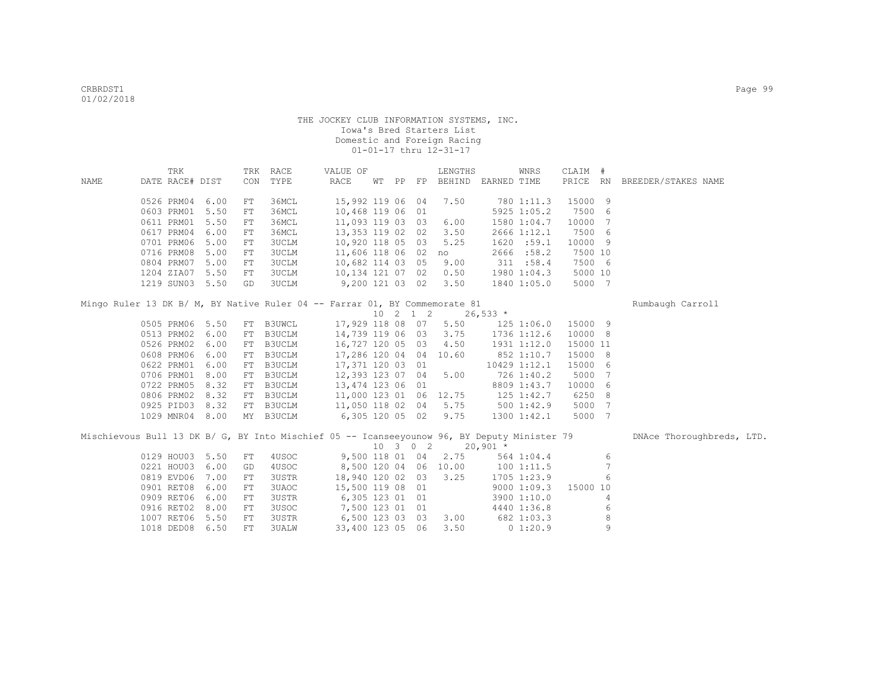|                                                                                             | TRK             |      | TRK | RACE         | VALUE OF         |  |                  | LENGTHS                     |            | WNRS           | CLAIM #  |                |                           |
|---------------------------------------------------------------------------------------------|-----------------|------|-----|--------------|------------------|--|------------------|-----------------------------|------------|----------------|----------|----------------|---------------------------|
| NAME                                                                                        | DATE RACE# DIST |      | CON | TYPE         | RACE             |  |                  | WT PP FP BEHIND EARNED TIME |            |                | PRICE RN |                | BREEDER/STAKES NAME       |
|                                                                                             |                 |      |     |              |                  |  |                  |                             |            |                |          |                |                           |
|                                                                                             | 0526 PRM04      | 6.00 | FT  | 36MCL        | 15,992 119 06    |  | 04               | 7.50                        |            | 780 1:11.3     | 15000 9  |                |                           |
|                                                                                             | 0603 PRM01      | 5.50 | FT  | 36MCL        | 10,468 119 06    |  | 01               |                             |            | 5925 1:05.2    | 7500 6   |                |                           |
|                                                                                             | 0611 PRM01      | 5.50 | FT  | 36MCL        | 11,093 119 03 03 |  |                  | 6.00                        |            | 1580 1:04.7    | 10000 7  |                |                           |
|                                                                                             | 0617 PRM04      | 6.00 | FT  | 36MCL        | 13,353 119 02 02 |  |                  | 3.50                        |            | 2666 1:12.1    | 7500 6   |                |                           |
|                                                                                             | 0701 PRM06      | 5.00 | FT  | <b>3UCLM</b> | 10,920 118 05 03 |  |                  | 5.25                        |            | 1620 :59.1     | 10000 9  |                |                           |
|                                                                                             | 0716 PRM08      | 5.00 | FT  | <b>3UCLM</b> | 11,606 118 06 02 |  |                  | no                          |            | 2666 :58.2     | 7500 10  |                |                           |
|                                                                                             | 0804 PRM07      | 5.00 | FT  | 3UCLM        | 10,682 114 03 05 |  |                  | 9.00                        |            | 311 : 58.4     | 7500 6   |                |                           |
|                                                                                             | 1204 ZIA07      | 5.50 | FT  | 3UCLM        | 10,134 121 07 02 |  |                  | 0.50                        |            | 1980 1:04.3    | 5000 10  |                |                           |
|                                                                                             | 1219 SUN03 5.50 |      | GD  | <b>3UCLM</b> | 9,200 121 03 02  |  |                  | 3.50                        |            | 1840 1:05.0    | 5000 7   |                |                           |
|                                                                                             |                 |      |     |              |                  |  |                  |                             |            |                |          |                |                           |
| Mingo Ruler 13 DK B/ M, BY Native Ruler 04 -- Farrar 01, BY Commemorate 81                  |                 |      |     |              |                  |  |                  |                             |            |                |          |                | Rumbaugh Carroll          |
|                                                                                             |                 |      |     |              |                  |  | 10 2 1 2         |                             | $26,533*$  |                |          |                |                           |
|                                                                                             | 0505 PRM06 5.50 |      |     | FT B3UWCL    | 17,929 118 08 07 |  |                  | 5.50                        |            | $125$ $1:06.0$ | 15000 9  |                |                           |
|                                                                                             | 0513 PRM02      | 6.00 |     | FT B3UCLM    | 14,739 119 06 03 |  |                  | 3.75                        |            | 1736 1:12.6    | 10000 8  |                |                           |
|                                                                                             | 0526 PRM02      | 6.00 |     | FT B3UCLM    | 16,727 120 05 03 |  |                  | 4.50                        |            | 1931 1:12.0    | 15000 11 |                |                           |
|                                                                                             | 0608 PRM06      | 6.00 | FT  | B3UCLM       | 17,286 120 04 04 |  |                  | 10.60                       |            | 852 1:10.7     | 15000 8  |                |                           |
|                                                                                             | 0622 PRM01      | 6.00 | FT  | B3UCLM       | 17,371 120 03 01 |  |                  |                             |            | 10429 1:12.1   | 15000 6  |                |                           |
|                                                                                             | 0706 PRM01      | 8.00 | FT  | B3UCLM       | 12,393 123 07 04 |  |                  | 5.00                        |            | 726 1:40.2     | 5000 7   |                |                           |
|                                                                                             | 0722 PRM05      | 8.32 |     | FT B3UCLM    | 13,474 123 06 01 |  |                  |                             |            | 8809 1:43.7    | 10000 6  |                |                           |
|                                                                                             | 0806 PRM02      | 8.32 |     | FT B3UCLM    | 11,000 123 01 06 |  |                  | 12.75                       |            | $125$ $1:42.7$ | 6250 8   |                |                           |
|                                                                                             | 0925 PID03      | 8.32 |     | FT B3UCLM    | 11,050 118 02 04 |  |                  | 5.75                        |            | 500 1:42.9     | 5000 7   |                |                           |
|                                                                                             | 1029 MNR04 8.00 |      |     | MY B3UCLM    | 6,305 120 05 02  |  |                  | 9.75                        |            | 1300 1:42.1    | 5000 7   |                |                           |
| Mischievous Bull 13 DK B/ G, BY Into Mischief 05 -- Icanseeyounow 96, BY Deputy Minister 79 |                 |      |     |              |                  |  |                  |                             |            |                |          |                | DNAce Thoroughbreds, LTD. |
|                                                                                             |                 |      |     |              |                  |  | $10 \t3 \t0 \t2$ |                             | $20,901$ * |                |          |                |                           |
|                                                                                             | 0129 HOU03      | 5.50 | FT  | 4USOC        | 9,500 118 01 04  |  |                  | 2.75                        |            | 564 1:04.4     |          | 6              |                           |
|                                                                                             | 0221 HOU03      | 6.00 | GD  | 4USOC        | 8,500 120 04 06  |  |                  | 10.00                       |            | 1001:11.5      |          | $\overline{7}$ |                           |
|                                                                                             | 0819 EVD06      | 7.00 | FT  | <b>3USTR</b> | 18,940 120 02 03 |  |                  | 3.25                        |            | 1705 1:23.9    |          | 6              |                           |
|                                                                                             | 0901 RET08      | 6.00 | FT  | 3UAOC        | 15,500 119 08 01 |  |                  |                             |            | 90001:09.3     | 15000 10 |                |                           |
|                                                                                             | 0909 RET06      | 6.00 | FT  | <b>3USTR</b> | 6,305 123 01 01  |  |                  |                             |            | 3900 1:10.0    |          | 4              |                           |
|                                                                                             | 0916 RET02      | 8.00 | FT  | 3USOC        | 7,500 123 01 01  |  |                  |                             |            | 4440 1:36.8    |          | 6              |                           |
|                                                                                             | 1007 RET06      | 5.50 | FT  | <b>3USTR</b> | 6,500 123 03 03  |  |                  | 3.00                        |            | 682 1:03.3     |          | 8              |                           |
|                                                                                             | 1018 DED08 6.50 |      | FT  | <b>3UALW</b> | 33,400 123 05 06 |  |                  | 3.50                        |            | 01:20.9        |          | 9              |                           |
|                                                                                             |                 |      |     |              |                  |  |                  |                             |            |                |          |                |                           |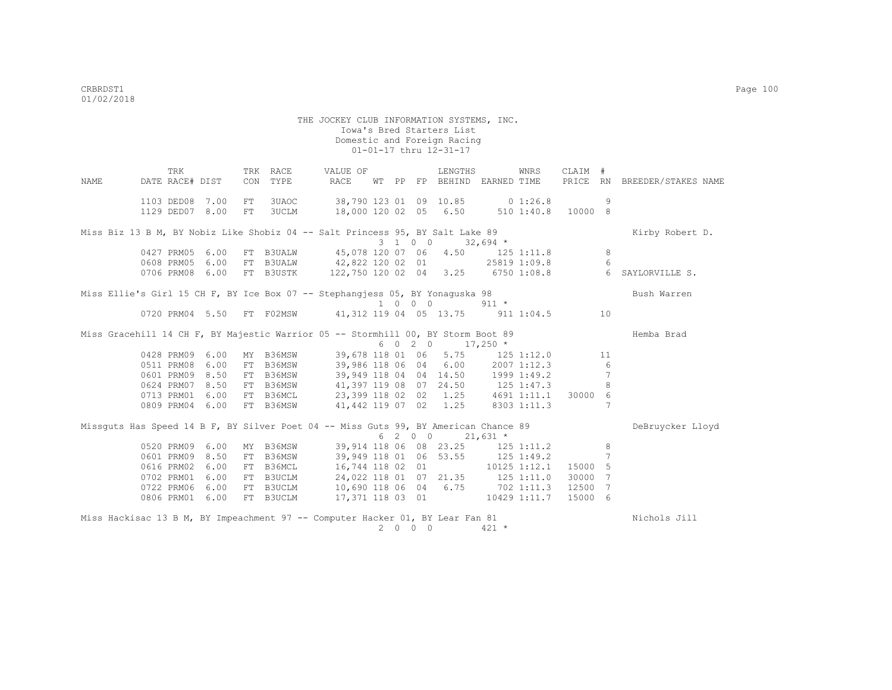THE JOCKEY CLUB INFORMATION SYSTEMS, INC. Iowa's Bred Starters List Domestic and Foreign Racing 01-01-17 thru 12-31-17 TRK TRK RACE VALUE OF LENGTHS WNRS CLAIM # NAME DATE RACE# DIST CON TYPE RACE WT PP FP BEHIND EARNED TIME PRICE RN BREEDER/STAKES NAME 1103 DED08 7.00 FT 3UAOC 38,790 123 01 09 10.85 0 1:26.8 9 1129 DED07 8.00 FT 3UCLM 18,000 120 02 05 6.50 510 1:40.8 10000 8 Miss Biz 13 B M, BY Nobiz Like Shobiz 04 -- Salt Princess 95, BY Salt Lake 89 Kirby Robert D. 0427 PRM05 6.00 FT B3UALW 45,078 120 07 06 4.50 125 0427 PRM05 6.00 FT B3UALW 45,078 120 07 06 4.50 125 1:11.8 8<br>0608 PRM05 6.00 FT B3UALW 42.822 120 02 01 25819 1:09.8 6 0608 PRM05 6.00 FT B3UALW 42,822 120 02 01 25819 1:09.8 6 0706 PRM08 6.00 FT B3USTK 122,750 120 02 04 3.25 6750 1:08.8 6 SAYLORVILLE S. Miss Ellie's Girl 15 CH F, BY Ice Box 07 -- Stephangjess 05, BY Yonaguska 98 Bush Warren 1 0 0 0 911 \* 0720 PRM04 5.50 FT FO2MSW 41,312 119 04 05 13.75 911 1:04.5 10 Miss Gracehill 14 CH F, BY Majestic Warrior 05 -- Stormhill 00, BY Storm Boot 89 Hemba Brad  $6 \t 0 \t 2 \t 0 \t 17,250 \t \times$ <br>39,678 118 01 06 5.75 125 1:12.0 0428 PRM09 6.00 MY B36MSW 39,678 118 01 06 5.75 125 1:12.0 11<br>0511 PRM08 6.00 FT B36MSW 39,986 118 06 04 6.00 2007 1:12.3 6 0511 PRM08 6.00 FT B36MSW 39,986 118 06 04 6.00 2007 1:12.3 6 0601 PRM09 8.50 FT B36MSW 39,949 118 04 04 14.50 1999 1:49.2 7<br>0624 PRM07 8.50 FT B36MSW 41,397 119 08 07 24.50 125 1:47.3 8 41,397 119 08 07 24.50 125 1:47.3 0713 PRM01 6.00 FT B36MCL 23,399 118 02 02 1.25 4691 1:11.1 30000 6 0809 PRM04 6.00 FT B36MSW 41,442 119 07 02 1.25 8303 1:11.3 7 Missguts Has Speed 14 B F, BY Silver Poet 04 -- Miss Guts 99, BY American Chance 89 DeBruycker Lloyd  $6 \t2 \t0 \t0 \t21,631 \star$ <br>39,914 118 06 08 23.25 125 0520 PRM09 6.00 MY B36MSW 39,914 118 06 08 23.25 125 1:11.2 8 0601 PRM09 8.50 FT B36MSW 39,949 118 01 06 53.55 125 1:49.2 7 0616 PRM02 6.00 FT B36MCL 16,744 118 02 01 10125 1:12.1 15000 5<br>0702 PRM01 6.00 FT B3UCLM 24,022 118 01 07 21.35 125 1:11.0 30000 7 0702 PRM01 6.00 FT B3UCLM 24,022 118 01 07 21.35 125 1:11.0 30000 7 0722 PRM06 6.00 FT B3UCLM 10,690 118 06 04 6.75 702 1:11.3 12500 7 0806 PRM01 6.00 FT B3UCLM 17,371 118 03 01 10429 1:11.7 15000 6 Miss Hackisac 13 B M, BY Impeachment 97 -- Computer Hacker 01, BY Lear Fan 81 Nichols Jill

2 0 0 0 421 \*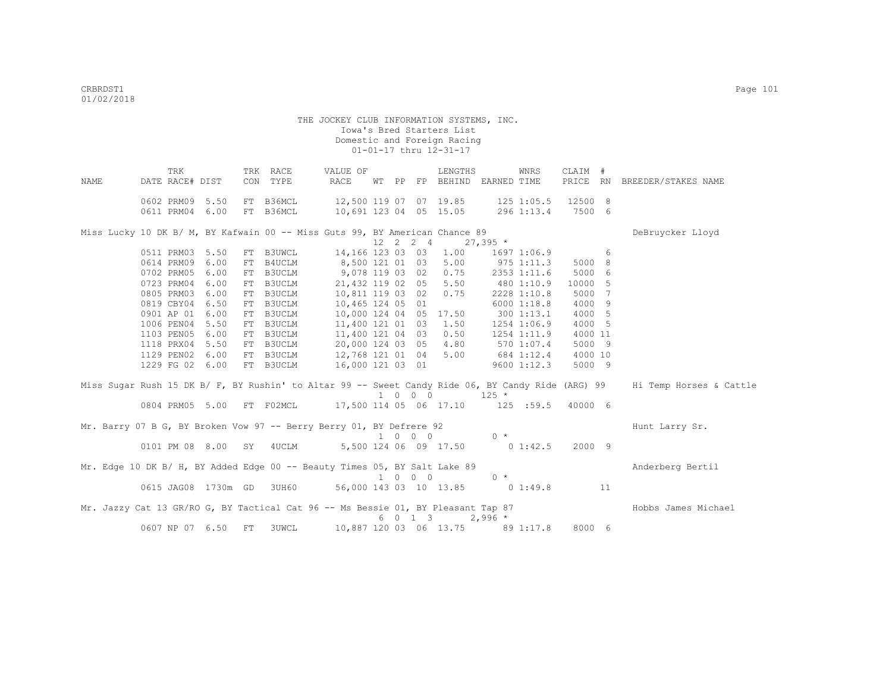| NAME | TRK<br>DATE RACE# DIST                                                           |              | TRK RACE<br>CON TYPE            | VALUE OF<br>RACE |  |                             | LENGTHS<br>WT PP FP BEHIND EARNED TIME                      |            | WNRS         | CLAIM #           |    | PRICE RN BREEDER/STAKES NAME                                                                                              |
|------|----------------------------------------------------------------------------------|--------------|---------------------------------|------------------|--|-----------------------------|-------------------------------------------------------------|------------|--------------|-------------------|----|---------------------------------------------------------------------------------------------------------------------------|
|      | 0602 PRM09<br>0611 PRM04                                                         | 5.50<br>6.00 | FT B36MCL<br>FT B36MCL          |                  |  |                             | 12,500 119 07 07 19.85 125 1:05.5<br>10,691 123 04 05 15.05 |            | 296 1:13.4   | 12500 8<br>7500 6 |    |                                                                                                                           |
|      | Miss Lucky 10 DK B/ M, BY Kafwain 00 -- Miss Guts 99, BY American Chance 89      |              |                                 |                  |  | 12  2  2  4                 |                                                             | $27,395$ * |              |                   |    | DeBruycker Lloyd                                                                                                          |
|      | 0511 PRM03                                                                       | 5.50         | FT B3UWCL 14,166 123 03 03 1.00 |                  |  |                             |                                                             |            | 1697 1:06.9  | $6\overline{6}$   |    |                                                                                                                           |
|      | 0614 PRM09                                                                       | 6.00         | FT B4UCLM                       | 8,500 121 01 03  |  |                             | 5.00                                                        |            | $975$ 1:11.3 | 5000 8            |    |                                                                                                                           |
|      | 0702 PRM05                                                                       | 6.00         | FT B3UCLM                       | 9,078 119 03 02  |  |                             | 0.75                                                        |            | 2353 1:11.6  | 5000 6            |    |                                                                                                                           |
|      | 0723 PRM04                                                                       | 6.00         | FT B3UCLM                       | 21,432 119 02 05 |  |                             | 5.50                                                        |            | 480 1:10.9   | 10000 5           |    |                                                                                                                           |
|      | 0805 PRM03                                                                       | 6.00         | FT B3UCLM                       | 10,811 119 03 02 |  |                             | 0.75                                                        |            | 2228 1:10.8  | 5000 7            |    |                                                                                                                           |
|      | 0819 CBY04                                                                       | 6.50         | FT B3UCLM                       | 10,465 124 05 01 |  |                             |                                                             |            | 60001:18.8   | 4000 9            |    |                                                                                                                           |
|      | 0901 AP 01                                                                       | 6.00         | FT B3UCLM                       | 10,000 124 04 05 |  |                             | 17.50                                                       |            | 3001:13.1    | 4000 5            |    |                                                                                                                           |
|      | 1006 PEN04                                                                       | 5.50         | FT B3UCLM                       | 11,400 121 01 03 |  |                             | 1.50                                                        |            | 1254 1:06.9  | 4000 5            |    |                                                                                                                           |
|      | 1103 PEN05                                                                       | 6.00         | FT B3UCLM                       | 11,400 121 04 03 |  |                             | 0.50                                                        |            | 1254 1:11.9  | 4000 11           |    |                                                                                                                           |
|      | 1118 PRX04                                                                       | 5.50         | FT B3UCLM                       | 20,000 124 03 05 |  |                             | 4.80                                                        |            | 570 1:07.4   | 5000 9            |    |                                                                                                                           |
|      | 1129 PEN02                                                                       | 6.00         | FT B3UCLM                       | 12,768 121 01 04 |  |                             | 5.00                                                        |            | 684 1:12.4   | 4000 10           |    |                                                                                                                           |
|      | 1229 FG 02 6.00                                                                  |              | FT B3UCLM                       | 16,000 121 03 01 |  |                             |                                                             |            | 9600 1:12.3  | 5000 9            |    |                                                                                                                           |
|      |                                                                                  |              |                                 |                  |  |                             |                                                             |            |              |                   |    | Miss Sugar Rush 15 DK B/ F, BY Rushin' to Altar 99 -- Sweet Candy Ride 06, BY Candy Ride (ARG) 99 Hi Temp Horses & Cattle |
|      |                                                                                  |              |                                 |                  |  | 1 0 0 0                     | $125$ *                                                     |            |              |                   |    |                                                                                                                           |
|      | 0804 PRM05 5.00 FT F02MCL 17,500 114 05 06 17.10 125 :59.5                       |              |                                 |                  |  |                             |                                                             |            |              | 40000 6           |    |                                                                                                                           |
|      | Mr. Barry 07 B G, BY Broken Vow 97 -- Berry Berry 01, BY Defrere 92              |              |                                 |                  |  |                             |                                                             |            |              |                   |    | Hunt Larry Sr.                                                                                                            |
|      |                                                                                  |              |                                 |                  |  | $1 \quad 0 \quad 0 \quad 0$ |                                                             | $0 \times$ |              |                   |    |                                                                                                                           |
|      | 0101 PM 08 8.00 SY 4UCLM 5,500 124 06 09 17.50 0 1:42.5                          |              |                                 |                  |  |                             |                                                             |            |              | 2000 9            |    |                                                                                                                           |
|      | Mr. Edge 10 DK B/ H, BY Added Edge 00 -- Beauty Times 05, BY Salt Lake 89        |              |                                 |                  |  | $1 \quad 0 \quad 0 \quad 0$ |                                                             | $0 *$      |              |                   |    | Anderberg Bertil                                                                                                          |
|      | 0615 JAG08 1730m GD 3UH60 56,000 143 03 10 13.85 0 1:49.8                        |              |                                 |                  |  |                             |                                                             |            |              |                   | 11 |                                                                                                                           |
|      | Mr. Jazzy Cat 13 GR/RO G, BY Tactical Cat 96 -- Ms Bessie 01, BY Pleasant Tap 87 |              |                                 |                  |  | 6 0 1 3                     |                                                             | $2,996$ *  |              |                   |    | Hobbs James Michael                                                                                                       |
|      | 0607 NP 07 6.50                                                                  | FT           | 3UWCL                           |                  |  |                             | 10,887 120 03 06 13.75 89 1:17.8                            |            |              | 8000 6            |    |                                                                                                                           |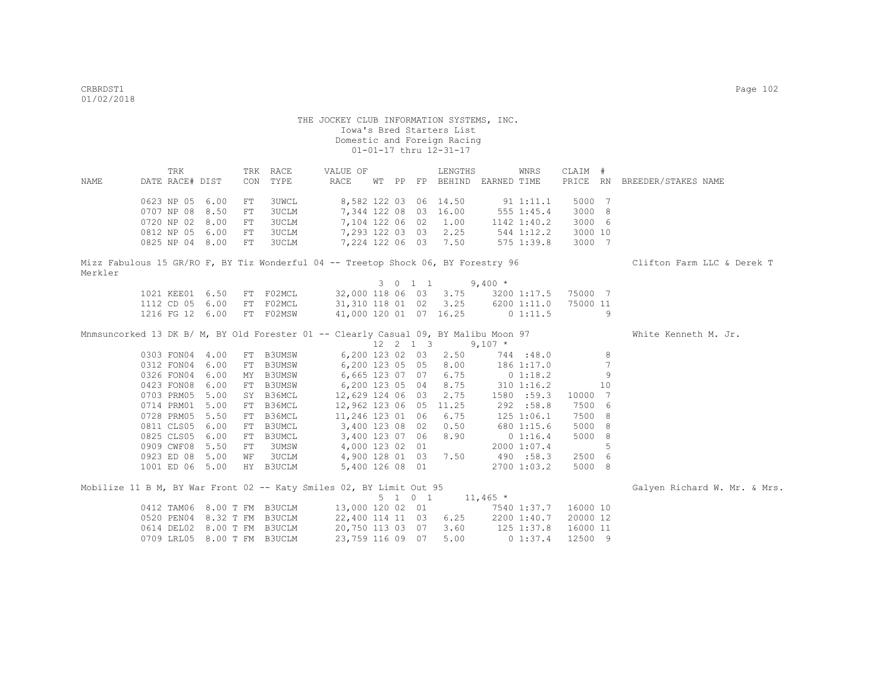|         | TRK                                                                                 |     | TRK RACE  | VALUE OF                                                 |  |         | LENGTHS                     |            | WNRS           | CLAIM #  |                 |                              |
|---------|-------------------------------------------------------------------------------------|-----|-----------|----------------------------------------------------------|--|---------|-----------------------------|------------|----------------|----------|-----------------|------------------------------|
| NAME    | DATE RACE# DIST                                                                     | CON | TYPE      | RACE                                                     |  |         | WT PP FP BEHIND EARNED TIME |            |                |          |                 | PRICE RN BREEDER/STAKES NAME |
|         | 0623 NP 05 6.00                                                                     | FT  | 3UWCL     |                                                          |  |         | 8,582 122 03 06 14.50       |            | 91 1:11.1      | 5000 7   |                 |                              |
|         | 0707 NP 08 8.50                                                                     | FT  | 3UCLM     |                                                          |  |         | 7,344 122 08 03 16.00       |            | 555 1:45.4     | 3000 8   |                 |                              |
|         | 0720 NP 02 8.00                                                                     | FT  | 3UCLM     |                                                          |  |         | 7,104 122 06 02 1.00        |            | 1142 1:40.2    | 3000 6   |                 |                              |
|         | 0812 NP 05 6.00                                                                     | FT  | 3UCLM     |                                                          |  |         | 7,293 122 03 03 2.25        |            | 544 1:12.2     | 3000 10  |                 |                              |
|         | 0825 NP 04 8.00                                                                     | FT  | 3UCLM     |                                                          |  |         | 7,224 122 06 03 7.50        |            | 575 1:39.8     | 3000 7   |                 |                              |
|         | Mizz Fabulous 15 GR/RO F, BY Tiz Wonderful 04 -- Treetop Shock 06, BY Forestry 96   |     |           |                                                          |  |         |                             |            |                |          |                 | Clifton Farm LLC & Derek T   |
| Merkler |                                                                                     |     |           |                                                          |  |         |                             |            |                |          |                 |                              |
|         |                                                                                     |     |           |                                                          |  | 3 0 1 1 |                             | $9,400 *$  |                |          |                 |                              |
|         | 1021 KEE01 6.50                                                                     |     |           | FT F02MCL 32,000 118 06 03 3.75 3200 1:17.5              |  |         |                             |            |                | 75000 7  |                 |                              |
|         | 1112 CD 05 6.00                                                                     |     | FT F02MCL | 31,310 118 01 02 3.25 6200 1:11.0                        |  |         |                             |            |                | 75000 11 |                 |                              |
|         | 1216 FG 12 6.00                                                                     |     | FT F02MSW | 41,000 120 01 07 16.25 0 1:11.5                          |  |         |                             |            |                |          | 9               |                              |
|         | Mnmsuncorked 13 DK B/ M, BY Old Forester 01 -- Clearly Casual 09, BY Malibu Moon 97 |     |           |                                                          |  |         |                             |            |                |          |                 | White Kenneth M. Jr.         |
|         |                                                                                     |     |           |                                                          |  |         | 12  2  1  3                 | $9,107$ *  |                |          |                 |                              |
|         | 0303 FON04 4.00                                                                     |     | FT B3UMSW |                                                          |  |         | 6,200 123 02 03 2.50        | 744 :48.0  |                |          | 8               |                              |
|         | 0312 FON04 6.00                                                                     |     | FT B3UMSW |                                                          |  |         | 6,200 123 05 05 8.00        |            | 186 1:17.0     |          | $7\phantom{.0}$ |                              |
|         | 0326 FON04 6.00                                                                     |     | MY B3UMSW |                                                          |  |         | 6,665 123 07 07 6.75        |            | $0\;1:18.2$    |          | 9               |                              |
|         | 0423 FON08 6.00                                                                     |     | FT B3UMSW |                                                          |  |         | 6,200 123 05 04 8.75        | 310 1:16.2 |                |          | 10              |                              |
|         | 0703 PRM05 5.00                                                                     |     | SY B36MCL | 12,629 124 06 03 2.75                                    |  |         |                             |            | 1580 :59.3     | 10000 7  |                 |                              |
|         | 0714 PRM01 5.00                                                                     |     | FT B36MCL | 12,962 123 06 05 11.25                                   |  |         |                             |            | 292 :58.8      | 7500 6   |                 |                              |
|         | 0728 PRM05 5.50                                                                     | FT  | B36MCL    | 11,246 123 01 06 6.75                                    |  |         |                             |            | $125$ $1:06.1$ | 7500 8   |                 |                              |
|         | 0811 CLS05 6.00                                                                     | FT  | B3UMCL    | 3,400 123 08 02 0.50                                     |  |         |                             |            | 680 1:15.6     | 5000 8   |                 |                              |
|         | 0825 CLS05 6.00                                                                     |     | FT B3UMCL |                                                          |  |         | 3,400 123 07 06 8.90        |            | 0 1:16.4       | 5000 8   |                 |                              |
|         | 0909 CWF08 5.50                                                                     | FT  | 3UMSW     |                                                          |  |         | 4,000 123 02 01             |            | 2000 1:07.4    |          | 5               |                              |
|         | 0923 ED 08 5.00                                                                     | WF  | 3UCLM     |                                                          |  |         | 4,900 128 01 03 7.50        | 490 :58.3  |                | 2500 6   |                 |                              |
|         | 1001 ED 06 5.00                                                                     |     | HY B3UCLM |                                                          |  |         | 5,400 126 08 01             |            | 2700 1:03.2    | 5000 8   |                 |                              |
|         | Mobilize 11 B M, BY War Front 02 -- Katy Smiles 02, BY Limit Out 95                 |     |           |                                                          |  |         |                             |            |                |          |                 | Galyen Richard W. Mr. & Mrs. |
|         |                                                                                     |     |           |                                                          |  |         | 5 1 0 1 11,465 $*$          |            |                |          |                 |                              |
|         |                                                                                     |     |           | 0412 TAM06 8.00 T FM B3UCLM 13,000 120 02 01 7540 1:37.7 |  |         |                             |            |                | 16000 10 |                 |                              |
|         | 0520 PEN04 8.32 T FM B3UCLM                                                         |     |           | 22,400 114 11 03 6.25                                    |  |         |                             |            | 2200 1:40.7    | 20000 12 |                 |                              |
|         | 0614 DEL02 8.00 T FM B3UCLM                                                         |     |           | 20,750 113 03 07 3.60 125 1:37.8                         |  |         |                             |            |                | 16000 11 |                 |                              |
|         | 0709 LRL05 8.00 T FM B3UCLM                                                         |     |           | 23,759 116 09 07                                         |  |         | 5.00                        |            | 01:37.4        | 12500 9  |                 |                              |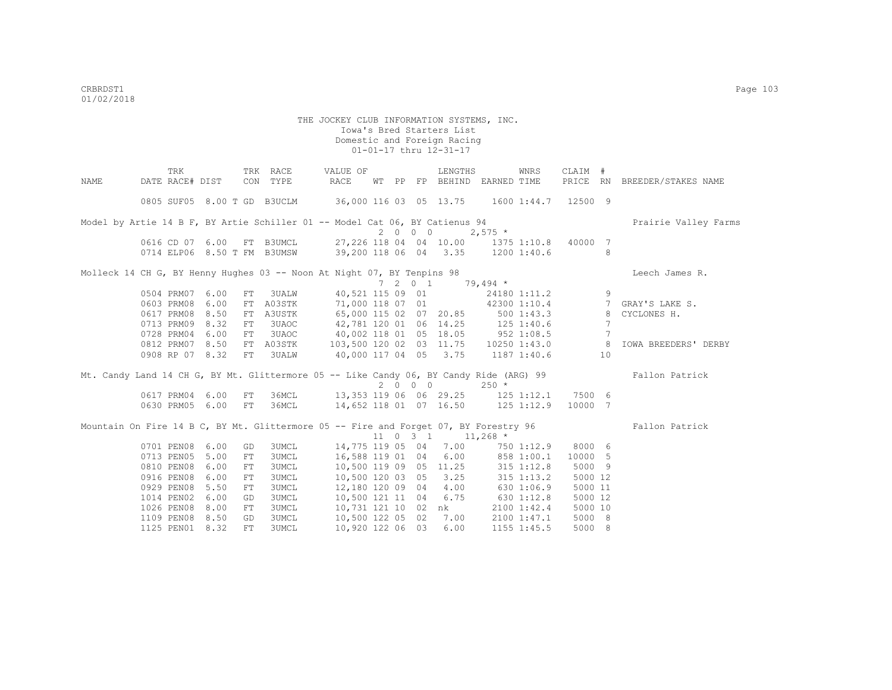|      | TRK                         |      |     | TRK RACE     | VALUE OF                                                                             |  |      | LENGTHS                           |                       | WNRS        | CLAIM #      |                 |                                                                                                       |
|------|-----------------------------|------|-----|--------------|--------------------------------------------------------------------------------------|--|------|-----------------------------------|-----------------------|-------------|--------------|-----------------|-------------------------------------------------------------------------------------------------------|
| NAME | DATE RACE# DIST             |      |     | CON TYPE     | RACE                                                                                 |  |      | WT PP FP BEHIND EARNED TIME       |                       |             |              |                 | PRICE RN BREEDER/STAKES NAME                                                                          |
|      | 0805 SUF05 8.00 T GD B3UCLM |      |     |              | 36,000 116 03 05 13.75 1600 1:44.7 12500 9                                           |  |      |                                   |                       |             |              |                 |                                                                                                       |
|      |                             |      |     |              | Model by Artie 14 B F, BY Artie Schiller 01 -- Model Cat 06, BY Catienus 94          |  |      |                                   |                       |             |              |                 | Prairie Valley Farms                                                                                  |
|      |                             |      |     |              |                                                                                      |  | 2000 |                                   | $2,575$ *             |             |              |                 |                                                                                                       |
|      |                             |      |     |              | 0616 CD 07 6.00 FT B3UMCL 27,226 118 04 04 10.00 1375 1:10.8 40000 7                 |  |      |                                   |                       |             |              |                 |                                                                                                       |
|      |                             |      |     |              | 0714 ELP06 8.50 T FM B3UMSW 39,200 118 06 04 3.35 1200 1:40.6                        |  |      |                                   |                       |             |              | -8              |                                                                                                       |
|      |                             |      |     |              | Molleck 14 CH G, BY Henny Hughes 03 -- Noon At Night 07, BY Tenpins 98               |  |      |                                   |                       |             |              |                 | Leech James R.                                                                                        |
|      |                             |      |     |              |                                                                                      |  |      | 7 2 0 1 79,494 $\star$            |                       |             |              |                 |                                                                                                       |
|      | 0504 PRM07 6.00             |      | FT  |              | 3UALW 40,521 115 09 01                                                               |  |      |                                   |                       |             | 24180 1:11.2 | 9               |                                                                                                       |
|      | 0603 PRM08 6.00             |      |     | FT A03STK    |                                                                                      |  |      |                                   |                       |             |              |                 | 71,000 118 07 01 42300 1:10.4 7 GRAY'S LAKE S.                                                        |
|      | 0617 PRM08 8.50             |      | FT  | A3USTK       | 65,000 115 02 07 20.85 500 1:43.3                                                    |  |      |                                   |                       |             |              |                 | 8 CYCLONES H.                                                                                         |
|      | 0713 PRM09 8.32             |      | FT  | 3UAOC        | 42,781 120 01 06 14.25 125 1:40.6                                                    |  |      |                                   |                       |             |              | 7               |                                                                                                       |
|      | 0728 PRM04 6.00             |      | FT  | 3UAOC        | 40,002 118 01 05 18.05 952 1:08.5                                                    |  |      |                                   |                       |             |              | $7\overline{ }$ |                                                                                                       |
|      | 0812 PRM07 8.50             |      | FT  | A03STK       |                                                                                      |  |      |                                   |                       |             |              |                 | 103,500 120 02 03 11.75  10250 1:43.0  8  IOWA BREEDERS' DERBY                                        |
|      | 0908 RP 07 8.32             |      | FT  | 3UALW        | 40,000 117 04 05 3.75 1187 1:40.6 10                                                 |  |      |                                   |                       |             |              |                 |                                                                                                       |
|      |                             |      |     |              |                                                                                      |  |      |                                   |                       |             |              |                 | Mt. Candy Land 14 CH G, BY Mt. Glittermore 05 -- Like Candy 06, BY Candy Ride (ARG) 99 Fallon Patrick |
|      |                             |      |     |              |                                                                                      |  | 2000 |                                   | $2.50*$               |             |              |                 |                                                                                                       |
|      | 0617 PRM04 6.00             |      | FT  |              | 36MCL 13,353 119 06 06 29.25 125 1:12.1 7500 6                                       |  |      |                                   |                       |             |              |                 |                                                                                                       |
|      | 0630 PRM05 6.00             |      | FT  |              | 36MCL 14,652 118 01 07 16.50 125 1:12.9                                              |  |      |                                   |                       |             | 10000 7      |                 |                                                                                                       |
|      |                             |      |     |              | Mountain On Fire 14 B C, BY Mt. Glittermore 05 -- Fire and Forget 07, BY Forestry 96 |  |      |                                   |                       |             |              |                 | Fallon Patrick                                                                                        |
|      |                             |      |     |              |                                                                                      |  |      | $11 \t0 \t3 \t1 \t11,268$ *       |                       |             |              |                 |                                                                                                       |
|      | 0701 PEN08 6.00             |      | GD  | <b>3UMCL</b> |                                                                                      |  |      | 14,775 119 05 04 7.00 750 1:12.9  |                       |             | 8000 6       |                 |                                                                                                       |
|      | 0713 PEN05 5.00             |      | FT  | 3UMCL        | 16,588 119 01 04                                                                     |  |      |                                   | $6.00$ $858$ $1:00.1$ |             | 10000 5      |                 |                                                                                                       |
|      | 0810 PEN08                  | 6.00 | FT  | 3UMCL        |                                                                                      |  |      | 10,500 119 09 05 11.25 315 1:12.8 |                       |             | 5000 9       |                 |                                                                                                       |
|      | 0916 PEN08                  | 6.00 | FT  | 3UMCL        | 10,500 120 03 05 3.25 315 1:13.2                                                     |  |      |                                   |                       |             | 5000 12      |                 |                                                                                                       |
|      | 0929 PEN08 5.50             |      | FT  | <b>3UMCL</b> | 12,180 120 09 04 4.00 630 1:06.9                                                     |  |      |                                   |                       |             | 5000 11      |                 |                                                                                                       |
|      | 1014 PEN02 6.00             |      | GD  | 3UMCL        | 10,500 121 11 04 6.75                                                                |  |      |                                   | 630 1:12.8            |             | 5000 12      |                 |                                                                                                       |
|      | 1026 PEN08 8.00             |      | FT  | <b>3UMCL</b> | 10,731 121 10 02 nk                                                                  |  |      |                                   |                       | 2100 1:42.4 | 5000 10      |                 |                                                                                                       |
|      | 1109 PEN08 8.50             |      | GD  | 3UMCL        |                                                                                      |  |      | 10,500 122 05 02 7.00 2100 1:47.1 |                       |             | 5000 8       |                 |                                                                                                       |
|      | 1125 PEN01 8.32             |      | FT. | 3UMCL        | 10,920 122 06 03 6.00                                                                |  |      |                                   |                       | 1155 1:45.5 | 5000 8       |                 |                                                                                                       |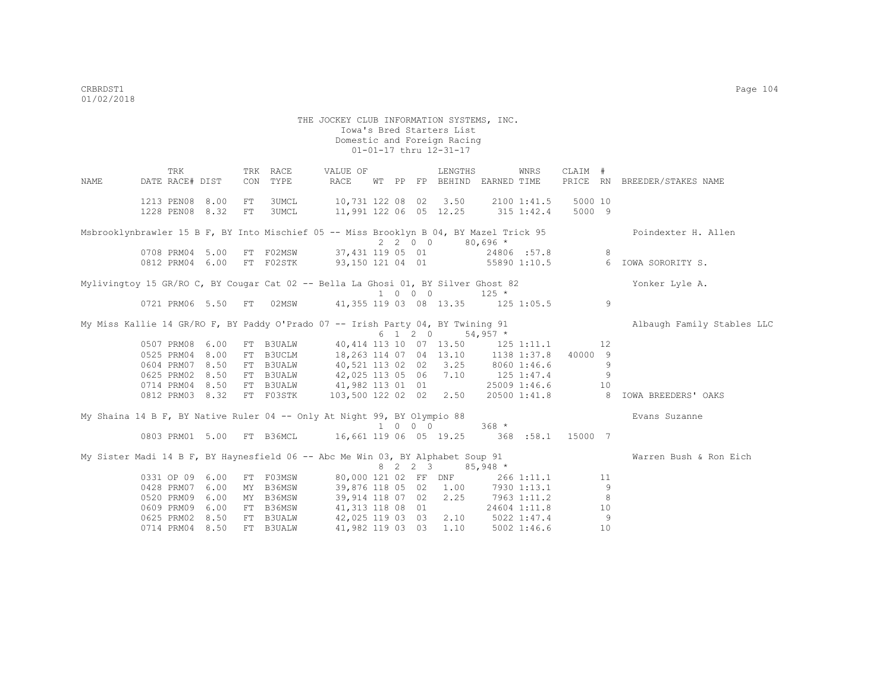THE JOCKEY CLUB INFORMATION SYSTEMS, INC. Iowa's Bred Starters List Domestic and Foreign Racing 01-01-17 thru 12-31-17 TRK TRK RACE VALUE OF LENGTHS WNRS CLAIM # NAME DATE RACE# DIST CON TYPE RACE WT PP FP BEHIND EARNED TIME PRICE RN BREEDER/STAKES NAME 1213 PEN08 8.00 FT 3UMCL 10,731 122 08 02 3.50 2100 1:41.5 5000 10 1228 PEN08 8.32 FT 3UMCL 11,991 122 06 05 12.25 315 1:42.4 5000 9 Msbrooklynbrawler 15 B F, BY Into Mischief 05 -- Miss Brooklyn B 04, BY Mazel Trick 95 Poindexter H. Allen  $2 2 0 0$   $80,696 *$ <br>37,431 119 05 01 24806 :57.8 0708 PRM04 5.00 FT F02MSW 37,431 119 05 01 24806 :57.8 8<br>0812 PRM04 6.00 FT F02STK 93,150 121 04 01 55890 1:10.5 6 0812 PRM04 6.00 FT F02STK 93,150 121 04 01 55890 1:10.5 6 IOWA SORORITY S. Mylivingtoy 15 GR/RO C, BY Cougar Cat 02 -- Bella La Ghosi 01, BY Silver Ghost 82 Yonker Lyle A. 1 0 0 0 125 \* 0721 PRM06 5.50 FT 02MSW 41,355 119 03 08 13.35 125 1:05.5 9 My Miss Kallie 14 GR/RO F, BY Paddy O'Prado 07 -- Irish Party 04, BY Twining 91 Albaugh Family Stables LLC  $6 \quad 1 \quad 2 \quad 0 \quad 54.957$ \* 0507 PRM08 6.00 FT B3UALW 40,414 113 10 07 13.50 125 1:11.1 12<br>0525 PRM04 8.00 FT B3UCLM 18,263 114 07 04 13.10 1138 1:37.8 40000 9 18,263 114 07 04 13.10 0604 PRM07 8.50 FT B3UALW 40,521 113 02 02 3.25 8060 1:46.6 9<br>0625 PRM02 8.50 FT B3UALW 42.025 113 05 06 7 10 125 1:47 4 0625 PRM02 8.50 FT B3UALW 42,025 113 05 06 7.10 125 1:47.4 9<br>0714 PRM04 8.50 FT B3UALW 41,982 113 01 01 25009 1:46.6 10 0714 PRM04 8.50 FT B3UALW 0812 PRM03 8.32 FT F03STK 103,500 122 02 02 2.50 20500 1:41.8 8 IOWA BREEDERS' OAKS My Shaina 14 B F, BY Native Ruler 04 -- Only At Night 99, BY Olympio 88 Evans Suzanne 1 0 0 0 368 \* 0803 PRM01 5.00 FT B36MCL 16,661 119 06 05 19.25 368 :58.1 15000 7 My Sister Madi 14 B F, BY Haynesfield 06 -- Abc Me Win 03, BY Alphabet Soup 91 Warren Bush & Ron Eich  $8 \quad 2 \quad 2 \quad 3 \quad 85,948 \times$ <br> $80,000 \quad 121 \quad 02 \quad \text{FF} \quad \text{DNF} \quad 266 \quad 1:11.1$ 0331 OP 09 6.00 FT F03MSW 80,000 121 02 FF DNF 266 1:11.1 11<br>0428 PRM07 6.00 MY B36MSW 39,876 118 05 02 1.00 7930 1:13.1 9 39,876 118 05 02 1.00 7930 1:13.1 9 0520 PRM09 6.00 MY B36MSW 39,914 118 07 02 2.25 7963 1:11.2 8<br>0609 PRM09 6.00 FT B36MSW 41,313 118 08 01 24604 1:11.8 10 0609 PRM09 6.00 FT B36MSW 41,313 118 08 01 0625 PRM02 8.50 FT B3UALW 42,025 119 03 03 2.10 5022 1:47.4 9

0714 PRM04 8.50 FT B3UALW 41,982 119 03 03 1.10 5002 1:46.6 10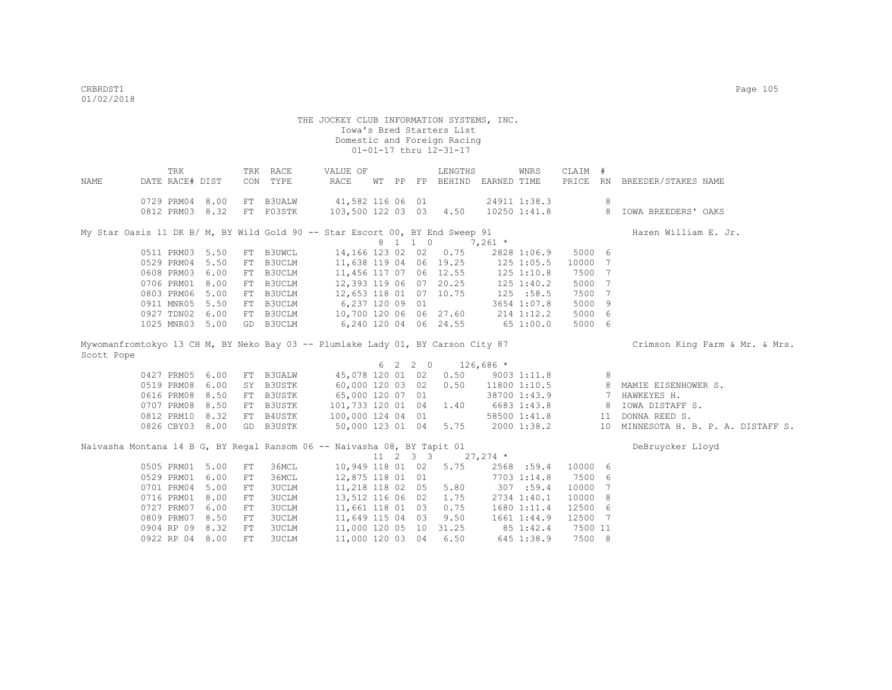|                                                                                 | TRK             |      |            | TRK RACE     | VALUE OF               |       |         | LENGTHS                       |            | WNRS            | CLAIM # |                |                                     |
|---------------------------------------------------------------------------------|-----------------|------|------------|--------------|------------------------|-------|---------|-------------------------------|------------|-----------------|---------|----------------|-------------------------------------|
| NAME                                                                            | DATE RACE# DIST |      | CON        | TYPE         | <b>RACE</b>            | WT PP |         | FP BEHIND EARNED TIME         |            |                 | PRICE   |                | RN BREEDER/STAKES NAME              |
|                                                                                 | 0729 PRM04 8.00 |      |            | FT B3UALW    | 41,582 116 06 01       |       |         |                               |            | 24911 1:38.3    |         | 8              |                                     |
|                                                                                 | 0812 PRM03 8.32 |      |            | FT F03STK    | 103,500 122 03 03 4.50 |       |         |                               |            | 10250 1:41.8    |         |                | 8 IOWA BREEDERS' OAKS               |
|                                                                                 |                 |      |            |              |                        |       |         |                               |            |                 |         |                |                                     |
| My Star Oasis 11 DK B/ M, BY Wild Gold 90 -- Star Escort 00, BY End Sweep 91    |                 |      |            |              |                        |       |         |                               |            |                 |         |                | Hazen William E. Jr.                |
|                                                                                 |                 |      |            |              |                        |       | 8 1 1 0 | $7,261$ *                     |            |                 |         |                |                                     |
|                                                                                 | 0511 PRM03 5.50 |      |            | FT B3UWCL    |                        |       |         | 14,166 123 02 02 0.75         |            | 2828 1:06.9     | 5000 6  |                |                                     |
|                                                                                 | 0529 PRM04 5.50 |      |            | FT B3UCLM    | 11,638 119 04 06 19.25 |       |         |                               |            | $125$ $1:05.5$  | 10000 7 |                |                                     |
|                                                                                 | 0608 PRM03 6.00 |      |            | FT B3UCLM    | 11,456 117 07 06 12.55 |       |         |                               | 125 1:10.8 |                 | 7500 7  |                |                                     |
|                                                                                 | 0706 PRM01 8.00 |      |            | FT B3UCLM    | 12,393 119 06 07 20.25 |       |         |                               | 125 1:40.2 |                 | 5000 7  |                |                                     |
|                                                                                 | 0803 PRM06 5.00 |      |            | FT B3UCLM    | 12,653 118 01 07 10.75 |       |         |                               | 125 :58.5  |                 | 7500 7  |                |                                     |
|                                                                                 | 0911 MNR05 5.50 |      |            | FT B3UCLM    | 6,237 120 09 01        |       |         |                               |            | 3654 1:07.8     | 5000 9  |                |                                     |
|                                                                                 | 0927 TDN02 6.00 |      |            | FT B3UCLM    | 10,700 120 06 06 27.60 |       |         |                               |            | 214 1:12.2      | 5000 6  |                |                                     |
|                                                                                 | 1025 MNR03 5.00 |      |            | GD B3UCLM    | 6,240 120 04 06 24.55  |       |         |                               | 651:00.0   |                 | 5000 6  |                |                                     |
| Mywomanfromtokyo 13 CH M, BY Neko Bay 03 -- Plumlake Lady 01, BY Carson City 87 |                 |      |            |              |                        |       |         |                               |            |                 |         |                | Crimson King Farm & Mr. & Mrs.      |
| Scott Pope                                                                      |                 |      |            |              |                        |       |         |                               |            |                 |         |                |                                     |
|                                                                                 |                 |      |            |              |                        |       | 6 2 2 0 | $126,686$ *                   |            |                 |         |                |                                     |
|                                                                                 | 0427 PRM05 6.00 |      |            | FT B3UALW    | 45,078 120 01 02       |       |         | 0.50                          |            | $9003$ $1:11.8$ |         | 8              |                                     |
|                                                                                 | 0519 PRM08 6.00 |      |            | SY B3USTK    | 60,000 120 03 02       |       |         | 0.50                          |            | 11800 1:10.5    |         |                | 8 MAMIE EISENHOWER S.               |
|                                                                                 | 0616 PRM08 8.50 |      |            | FT B3USTK    | 65,000 120 07 01       |       |         |                               |            | 38700 1:43.9    |         | $\overline{7}$ | HAWKEYES H.                         |
|                                                                                 | 0707 PRM08      | 8.50 |            | FT B3USTK    | 101,733 120 01 04      |       |         | 1.40                          |            | 6683 1:43.8     |         | 8              | IOWA DISTAFF S.                     |
|                                                                                 | 0812 PRM10 8.32 |      |            | FT B4USTK    | 100,000 124 04 01      |       |         |                               |            | 58500 1:41.8    |         | 11             | DONNA REED S.                       |
|                                                                                 | 0826 CBY03 8.00 |      |            | GD B3USTK    | 50,000 123 01 04 5.75  |       |         |                               |            | 2000 1:38.2     |         |                | 10 MINNESOTA H. B. P. A. DISTAFF S. |
| Naivasha Montana 14 B G, BY Regal Ransom 06 -- Naivasha 08, BY Tapit 01         |                 |      |            |              |                        |       |         |                               |            |                 |         |                | DeBruycker Lloyd                    |
|                                                                                 |                 |      |            |              |                        |       |         | $11 \t2 \t3 \t3 \t27,274 \t*$ |            |                 |         |                |                                     |
|                                                                                 | 0505 PRM01 5.00 |      | FT         | 36MCL        | 10,949 118 01 02 5.75  |       |         |                               |            | 2568 :59.4      | 10000 6 |                |                                     |
|                                                                                 | 0529 PRM01 6.00 |      | ${\rm FT}$ | 36MCL        | 12,875 118 01 01       |       |         |                               |            | 7703 1:14.8     | 7500 6  |                |                                     |
|                                                                                 | 0701 PRM04 5.00 |      | ${\rm FT}$ | <b>3UCLM</b> | 11,218 118 02 05       |       |         | 5.80                          |            | 307 : 59.4      | 10000 7 |                |                                     |
|                                                                                 | 0716 PRM01      | 8.00 | ${\rm FT}$ | <b>3UCLM</b> | 13,512 116 06 02       |       |         | 1.75                          |            | 2734 1:40.1     | 10000 8 |                |                                     |
|                                                                                 | 0727 PRM07      | 6.00 | ${\rm FT}$ | <b>3UCLM</b> | 11,661 118 01 03       |       |         | 0.75                          |            | 1680 1:11.4     | 12500 6 |                |                                     |
|                                                                                 | 0809 PRM07      | 8.50 | ${\rm FT}$ | <b>3UCLM</b> | 11,649 115 04 03       |       |         | 9.50                          |            | 1661 1:44.9     | 12500 7 |                |                                     |
|                                                                                 | 0904 RP 09      | 8.32 | ${\rm FT}$ | <b>3UCLM</b> | 11,000 120 05 10 31.25 |       |         |                               |            | 85 1:42.4       | 7500 11 |                |                                     |
|                                                                                 | 0922 RP 04      | 8.00 | FT         | <b>3UCLM</b> | 11,000 120 03 04       |       |         | 6.50                          |            | 645 1:38.9      | 7500 8  |                |                                     |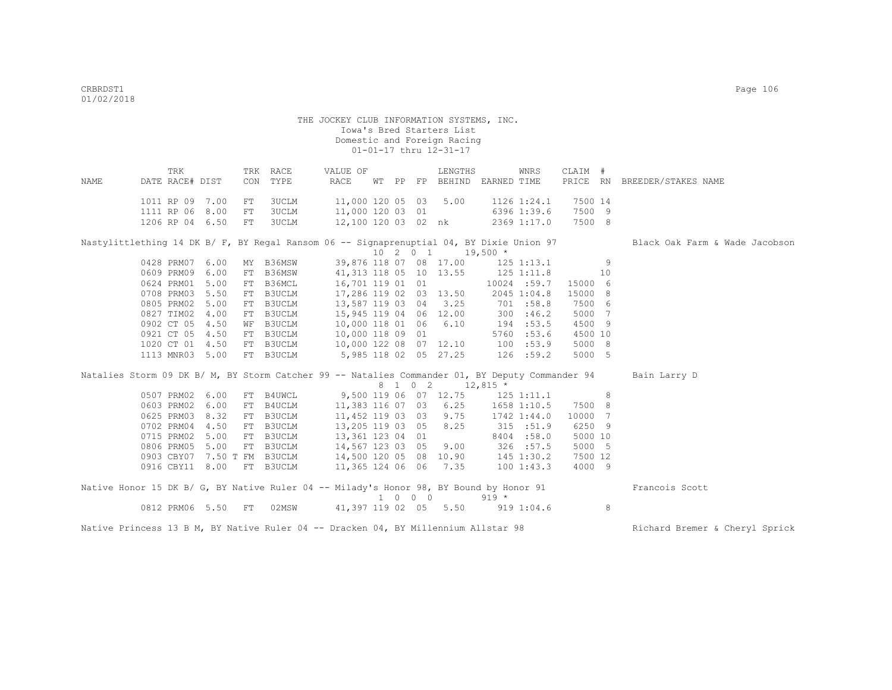|      | TRK                                                                                             |      |     | TRK RACE                                                      | VALUE OF                         |  | LENGTHS                       |         | WNRS           | CLAIM #        |   |                                |
|------|-------------------------------------------------------------------------------------------------|------|-----|---------------------------------------------------------------|----------------------------------|--|-------------------------------|---------|----------------|----------------|---|--------------------------------|
| NAME | DATE RACE# DIST                                                                                 |      | CON | TYPE                                                          | RACE                             |  | WT PP FP BEHIND EARNED TIME   |         |                |                |   | PRICE RN BREEDER/STAKES NAME   |
|      | 1011 RP 09 7.00                                                                                 |      | FT  | 3UCLM                                                         | 11,000 120 05 03 5.00            |  |                               |         | 1126 1:24.1    | 7500 14        |   |                                |
|      | 1111 RP 06 8.00                                                                                 |      | FT  | <b>3UCLM</b>                                                  | 11,000 120 03 01                 |  | $6396$ 1:39.6                 |         |                | 7500 9         |   |                                |
|      | 1206 RP 04 6.50                                                                                 |      | FT  | 3UCLM                                                         | 12,100 120 03 02 nk              |  |                               |         | 2369 1:17.0    | 7500 8         |   |                                |
|      |                                                                                                 |      |     |                                                               |                                  |  |                               |         |                |                |   |                                |
|      | Nastylittlething 14 DK B/ F, BY Regal Ransom 06 -- Signaprenuptial 04, BY Dixie Union 97        |      |     |                                                               |                                  |  | $10 \t2 \t0 \t1 \t19,500 \t*$ |         |                |                |   | Black Oak Farm & Wade Jacobson |
|      | 0428 PRM07 6.00                                                                                 |      |     | MY B36MSW 39,876 118 07 08 17.00                              |                                  |  |                               |         | 125 1:13.1     | $\sim$ 9       |   |                                |
|      | 0609 PRM09                                                                                      | 6.00 |     | FT B36MSW                                                     | 41,313 118 05 10 13.55           |  |                               |         | $125$ $1:11.8$ | 10             |   |                                |
|      | 0624 PRM01 5.00                                                                                 |      |     | FT B36MCL                                                     | 16,701 119 01 01                 |  |                               |         | 10024 :59.7    | 15000 6        |   |                                |
|      | 0708 PRM03 5.50                                                                                 |      |     | FT B3UCLM                                                     | 17,286 119 02 03 13.50           |  |                               |         | 2045 1:04.8    | 15000 8        |   |                                |
|      | 0805 PRM02 5.00                                                                                 |      |     | FT B3UCLM                                                     | 13,587 119 03 04 3.25            |  |                               |         | 701 :58.8      | 7500 6         |   |                                |
|      | 0827 TIM02 4.00                                                                                 |      |     | FT B3UCLM                                                     | 15,945 119 04 06 12.00           |  |                               |         | 300 : 46.2     | 5000 7         |   |                                |
|      | 0902 CT 05 4.50                                                                                 |      |     | WF B3UCLM                                                     | 10,000 118 01 06 6.10            |  |                               |         | 194 :53.5      | 4500 9         |   |                                |
|      | 0921 CT 05 4.50                                                                                 |      |     | FT B3UCLM                                                     | 10,000 118 09 01                 |  |                               |         | 5760 :53.6     | 4500 10        |   |                                |
|      | 1020 CT 01 4.50                                                                                 |      |     | FT B3UCLM                                                     | 10,000 122 08 07 12.10 100 :53.9 |  |                               |         |                | 5000 8         |   |                                |
|      | 1113 MNR03 5.00                                                                                 |      |     | FT B3UCLM                                                     | 5,985 118 02 05 27.25 126 :59.2  |  |                               |         |                | 5000 5         |   |                                |
|      |                                                                                                 |      |     |                                                               |                                  |  |                               |         |                |                |   |                                |
|      | Natalies Storm 09 DK B/ M, BY Storm Catcher 99 -- Natalies Commander 01, BY Deputy Commander 94 |      |     |                                                               |                                  |  |                               |         |                |                |   | Bain Larry D                   |
|      |                                                                                                 |      |     |                                                               |                                  |  | 8 1 0 2 12,815 *              |         |                |                |   |                                |
|      | 0507 PRM02 6.00                                                                                 |      |     | FT B4UWCL 9,500 119 06 07 12.75 125 1:11.1                    |                                  |  |                               |         |                | 8 <sup>1</sup> |   |                                |
|      | 0603 PRM02 6.00                                                                                 |      |     | FT B4UCLM                                                     | 11,383 116 07 03                 |  | 6.25                          |         | 1658 1:10.5    | 7500 8         |   |                                |
|      | 0625 PRM03                                                                                      | 8.32 | FT  | B3UCLM                                                        | 11,452 119 03 03                 |  | 9.75                          |         | 1742 1:44.0    | 10000 7        |   |                                |
|      | 0702 PRM04 4.50                                                                                 |      |     | FT B3UCLM                                                     | 13,205 119 03 05                 |  | 8.25                          |         | 315 : 51.9     | 6250 9         |   |                                |
|      | 0715 PRM02 5.00 FT B3UCLM                                                                       |      |     |                                                               | 13,361 123 04 01                 |  |                               |         | 8404 :58.0     | 5000 10        |   |                                |
|      | 0806 PRM05 5.00                                                                                 |      |     | FT B3UCLM 14,567 123 03 05                                    |                                  |  | 9.00                          |         | 326 :57.5      | 5000 5         |   |                                |
|      |                                                                                                 |      |     | 0903 CBY07 7.50 T FM B3UCLM 14,500 120 05 08 10.90 145 1:30.2 |                                  |  |                               |         |                | 7500 12        |   |                                |
|      | 0916 CBY11 8.00                                                                                 |      |     | FT B3UCLM                                                     | 11,365 124 06 06 7.35            |  |                               |         | 1001:43.3      | 4000 9         |   |                                |
|      | Native Honor 15 DK B/ G, BY Native Ruler 04 -- Milady's Honor 98, BY Bound by Honor 91          |      |     |                                                               |                                  |  |                               |         |                |                |   | Francois Scott                 |
|      |                                                                                                 |      |     |                                                               |                                  |  | 1 0 0 0                       | $919 *$ |                |                |   |                                |
|      | 0812 PRM06 5.50 FT                                                                              |      |     | 02MSW 41,397 119 02 05 5.50 919 1:04.6                        |                                  |  |                               |         |                |                | 8 |                                |
|      |                                                                                                 |      |     |                                                               |                                  |  |                               |         |                |                |   |                                |

Native Princess 13 B M, BY Native Ruler 04 -- Dracken 04, BY Millennium Allstar 98 Richard Bremer & Cheryl Sprick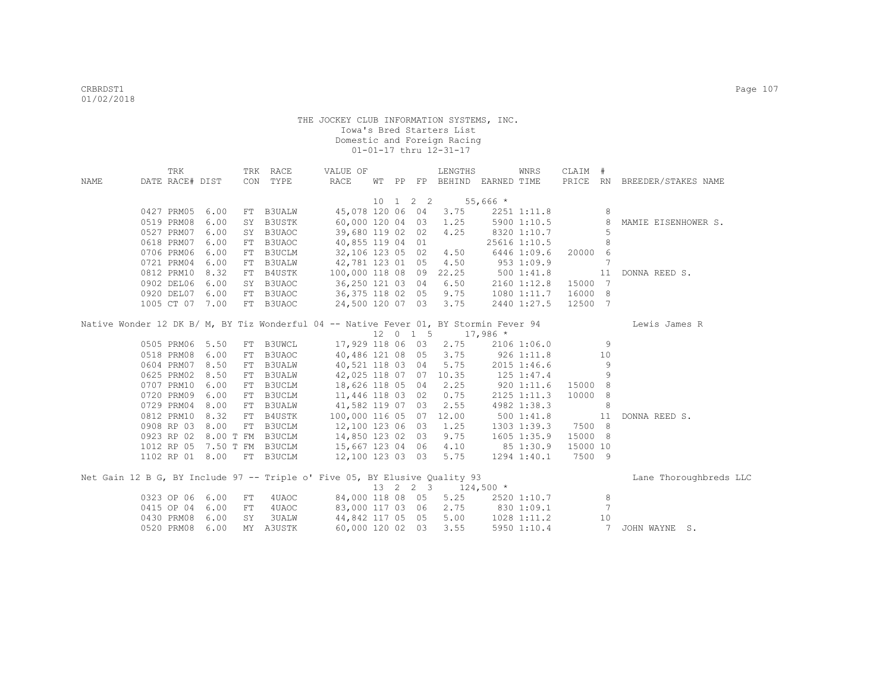|                                                                                       | TRK             |      |    | TRK RACE                  | VALUE OF              |  |                              | LENGTHS                         |              | WNRS           | CLAIM #  |                 |                              |
|---------------------------------------------------------------------------------------|-----------------|------|----|---------------------------|-----------------------|--|------------------------------|---------------------------------|--------------|----------------|----------|-----------------|------------------------------|
| NAME                                                                                  | DATE RACE# DIST |      |    | CON TYPE                  | RACE                  |  |                              | WT PP FP BEHIND EARNED TIME     |              |                |          |                 | PRICE RN BREEDER/STAKES NAME |
|                                                                                       |                 |      |    |                           |                       |  |                              |                                 |              |                |          |                 |                              |
|                                                                                       |                 |      |    |                           |                       |  | $10 \quad 1 \quad 2 \quad 2$ | $55,666*$                       |              |                |          |                 |                              |
|                                                                                       | 0427 PRM05      | 6.00 |    | FT B3UALW                 |                       |  |                              | 45,078 120 06 04 3.75           |              | 2251 1:11.8    |          | 8               |                              |
|                                                                                       | 0519 PRM08      | 6.00 |    | SY B3USTK                 |                       |  |                              | 60,000 120 04 03 1.25           |              | 5900 1:10.5    |          | $_{\rm 8}$      | MAMIE EISENHOWER S.          |
|                                                                                       | 0527 PRM07      | 6.00 |    | SY B3UAOC                 | 39,680 119 02 02      |  |                              | 4.25                            |              | 8320 1:10.7    |          | 5               |                              |
|                                                                                       | 0618 PRM07      | 6.00 |    | FT B3UAOC                 | 40,855 119 04 01      |  |                              |                                 |              | 25616 1:10.5   |          | 8               |                              |
|                                                                                       | 0706 PRM06      | 6.00 |    | FT B3UCLM                 | 32,106 123 05 02      |  |                              | 4,50                            |              | 6446 1:09.6    | 20000 6  |                 |                              |
|                                                                                       | 0721 PRM04      | 6.00 |    | FT B3UALW                 | 42,781 123 01 05      |  |                              | 4.50                            |              | 9531:09.9      |          | 7               |                              |
|                                                                                       | 0812 PRM10      | 8.32 |    | FT B4USTK                 | 100,000 118 08 09     |  |                              | 22.25                           | 5001:41.8    |                |          | 11              | DONNA REED S.                |
|                                                                                       | 0902 DEL06      | 6.00 |    | SY B3UAOC                 | 36,250 121 03 04      |  |                              | 6.50                            |              | 2160 1:12.8    | 15000 7  |                 |                              |
|                                                                                       | 0920 DEL07      | 6.00 |    | FT B3UAOC                 | 36,375 118 02 05      |  |                              | 9.75                            |              | 1080 1:11.7    | 16000 8  |                 |                              |
|                                                                                       | 1005 CT 07      | 7.00 |    | FT B3UAOC                 | 24,500 120 07 03      |  |                              | 3.75                            |              | 2440 1:27.5    | 12500 7  |                 |                              |
|                                                                                       |                 |      |    |                           |                       |  |                              |                                 |              |                |          |                 |                              |
| Native Wonder 12 DK B/ M, BY Tiz Wonderful 04 -- Native Fever 01, BY Stormin Fever 94 |                 |      |    |                           |                       |  |                              | $12 \t 0 \t 1 \t 5 \t 17,986$ * |              |                |          |                 | Lewis James R                |
|                                                                                       | 0505 PRM06      | 5.50 |    | <b>B3UWCL</b>             |                       |  |                              | 17,929 118 06 03 2.75           |              | 2106 1:06.0    |          |                 |                              |
|                                                                                       |                 |      | FT |                           |                       |  |                              |                                 |              |                |          | 9               |                              |
|                                                                                       | 0518 PRM08      | 6.00 | FT | B3UAOC                    |                       |  |                              | 40,486 121 08 05 3.75           | $926$ 1:11.8 |                |          | 10              |                              |
|                                                                                       | 0604 PRM07      | 8.50 |    | FT B3UALW                 | 40,521 118 03 04      |  |                              | 5.75                            |              | 2015 1:46.6    |          | 9               |                              |
|                                                                                       | 0625 PRM02      | 8.50 |    | FT B3UALW                 |                       |  |                              | 42,025 118 07 07 10.35          |              | $125$ $1:47.4$ |          | 9               |                              |
|                                                                                       | 0707 PRM10      | 6.00 |    | FT B3UCLM                 | 18,626 118 05 04      |  |                              | 2.25                            |              | 9201:11.6      | 15000 8  |                 |                              |
|                                                                                       | 0720 PRM09      | 6.00 |    | FT B3UCLM                 | 11,446 118 03 02      |  |                              | 0.75                            |              | 2125 1:11.3    | 10000 8  |                 |                              |
|                                                                                       | 0729 PRM04      | 8.00 |    | FT B3UALW                 | 41,582 119 07 03      |  |                              | 2.55                            |              | 4982 1:38.3    |          | 8 <sup>8</sup>  |                              |
|                                                                                       | 0812 PRM10      | 8.32 | FT | B4USTK                    | 100,000 116 05 07     |  |                              | 12.00                           |              | 5001:41.8      | 11       |                 | DONNA REED S.                |
|                                                                                       | 0908 RP 03      | 8.00 | FT | B3UCLM                    | 12,100 123 06 03      |  |                              | 1.25                            |              | 1303 1:39.3    | 7500 8   |                 |                              |
|                                                                                       | 0923 RP 02      |      |    | 8.00 T FM B3UCLM          | 14,850 123 02 03      |  |                              | 9.75                            |              | 1605 1:35.9    | 15000 8  |                 |                              |
|                                                                                       | 1012 RP 05      |      |    | 7.50 T FM B3UCLM          | 15,667 123 04 06 4.10 |  |                              |                                 | 85 1:30.9    |                | 15000 10 |                 |                              |
|                                                                                       |                 |      |    | 1102 RP 01 8.00 FT B3UCLM | 12,100 123 03 03 5.75 |  |                              |                                 |              | 1294 1:40.1    | 7500 9   |                 |                              |
| Net Gain 12 B G, BY Include 97 -- Triple o' Five 05, BY Elusive Quality 93            |                 |      |    |                           |                       |  |                              |                                 |              |                |          |                 | Lane Thoroughbreds LLC       |
|                                                                                       |                 |      |    |                           |                       |  |                              | 13 2 2 3 124,500 *              |              |                |          |                 |                              |
|                                                                                       | 0323 OP 06      | 6.00 | FT | 4UAOC                     |                       |  |                              | 84,000 118 08 05 5.25           |              | 2520 1:10.7    |          | 8               |                              |
|                                                                                       | 0415 OP 04      | 6.00 | FT | 4UAOC                     |                       |  |                              | 83,000 117 03 06 2.75           | 830 1:09.1   |                |          | $7\phantom{.0}$ |                              |
|                                                                                       | 0430 PRM08      | 6.00 | SY | 3UALW                     | 44,842 117 05 05      |  |                              | 5.00                            |              | 1028 1:11.2    |          | 10              |                              |
|                                                                                       | 0520 PRM08      | 6.00 |    | MY A3USTK                 |                       |  | 60,000 120 02 03             | 3.55                            |              | 5950 1:10.4    |          | 7               | JOHN WAYNE S.                |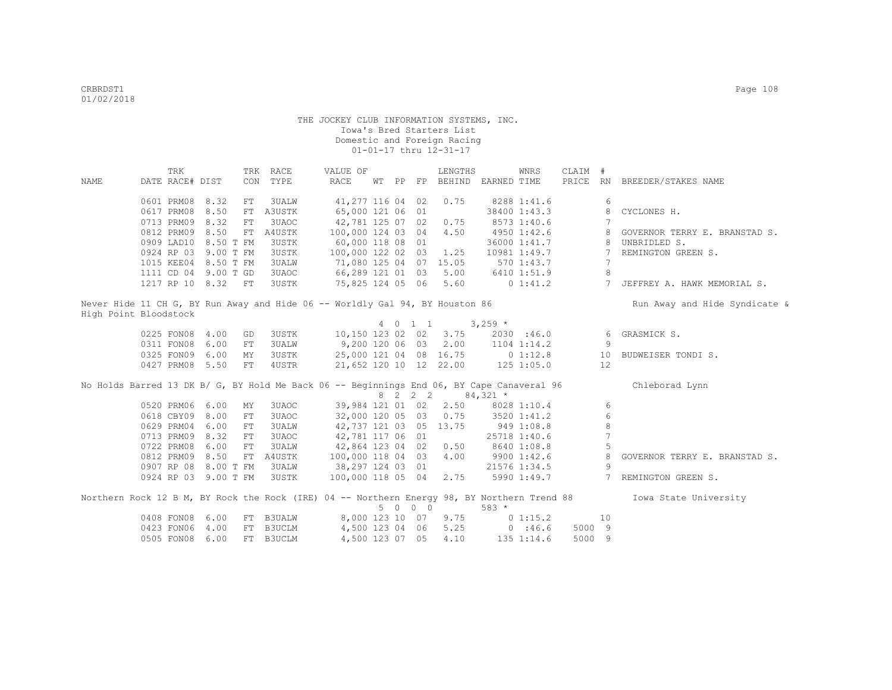| DATE RACE# DIST<br>PRICE RN<br>CON<br>TYPE<br>RACE<br>WT PP FP BEHIND EARNED TIME<br>BREEDER/STAKES NAME<br>NAME                           |  |
|--------------------------------------------------------------------------------------------------------------------------------------------|--|
|                                                                                                                                            |  |
|                                                                                                                                            |  |
| 0601 PRM08<br>8.32<br>41,277 116 04 02<br>8288 1:41.6<br>6<br>${\rm FT}$<br>3UALW<br>0.75                                                  |  |
| 0617 PRM08<br>8.50<br>A3USTK<br>65,000 121 06 01<br>38400 1:43.3<br>FT<br>CYCLONES H.<br>8                                                 |  |
| 8.32<br>3UAOC<br>42,781 125 07 02<br>0713 PRM09<br>${\rm FT}$<br>0.75<br>8573 1:40.6                                                       |  |
| 0812 PRM09<br>8.50<br>A4USTK<br>100,000 124 03 04<br>4.50<br>4950 1:42.6<br>FT<br>GOVERNOR TERRY E. BRANSTAD S.                            |  |
| 0909 LAD10 8.50 T FM<br>3USTK<br>60,000 118 08 01<br>UNBRIDLED S.<br>36000 1:41.7                                                          |  |
| 0924 RP 03 9.00 T FM<br><b>3USTK</b><br>100,000 122 02 03<br>1.25<br>10981 1:49.7<br>REMINGTON GREEN S.<br>7                               |  |
| 1015 KEE04 8.50 T FM<br><b>3UALW</b><br>71,080 125 04 07 15.05<br>570 1:43.7<br>7                                                          |  |
| 8<br>1111 CD 04 9.00 T GD<br>3UAOC<br>66,289 121 01 03<br>5.00<br>6410 1:51.9                                                              |  |
| 5.60<br>1217 RP 10 8.32 FT<br>3USTK<br>75,825 124 05 06<br>$0\;1:41.2$<br>$7\overline{ }$<br>JEFFREY A. HAWK MEMORIAL S.                   |  |
| Never Hide 11 CH G, BY Run Away and Hide 06 -- Worldly Gal 94, BY Houston 86<br>Run Away and Hide Syndicate &                              |  |
| High Point Bloodstock                                                                                                                      |  |
| $3,259$ *<br>4 0 1 1                                                                                                                       |  |
| 10,150 123 02 02<br>0225 FON08 4.00<br>3USTK<br>3.75<br>2030 :46.0<br>GRASMICK S.<br>GD<br>6                                               |  |
| 9,200 120 06 03<br>2.00<br>0311 FON08 6.00<br><b>3UALW</b><br>9<br>1104 1:14.2<br>FT                                                       |  |
| $0\;1:12.8$<br>0325 FON09 6.00<br>25,000 121 04 08 16.75<br>3USTK<br>MY<br>10<br>BUDWEISER TONDI S.                                        |  |
| 125 1:05.0<br>21,652 120 10 12 22.00<br>0427 PRM08 5.50<br>4USTR<br>12<br>FT                                                               |  |
| No Holds Barred 13 DK B/ G, BY Hold Me Back 06 -- Beginnings End 06, BY Cape Canaveral 96<br>Chleborad Lynn                                |  |
| 8 2 2 2<br>$84,321$ *                                                                                                                      |  |
| 39,984 121 01 02<br>2.50<br>0520 PRM06 6.00<br>3UAOC<br>8028 1:10.4<br>6<br>MΥ                                                             |  |
| $\epsilon$<br>0618 CBY09 8.00<br>0.75<br>3UAOC<br>32,000 120 05 03<br>3520 1:41.2<br>FT                                                    |  |
| 949 1:08.8<br>$\,8\,$<br>42,737 121 03 05 13.75<br>0629 PRM04 6.00<br>3UALW<br>FT                                                          |  |
| $\overline{7}$<br>25718 1:40.6<br>0713 PRM09 8.32<br>3UAOC<br>42,781 117 06 01<br>FT                                                       |  |
| 5<br>42,864 123 04 02<br>0722 PRM08 6.00<br>FT<br><b>3UALW</b><br>0.50<br>8640 1:08.8                                                      |  |
| 100,000 118 04 03<br>0812 PRM09 8.50<br>A4USTK<br>4.00<br>8<br>FT<br>9900 1:42.6<br>GOVERNOR TERRY E. BRANSTAD S.                          |  |
| 9<br>0907 RP 08 8.00 T FM<br>3UALW<br>38,297 124 03 01<br>21576 1:34.5                                                                     |  |
| 0924 RP 03 9.00 T FM<br><b>3USTK</b><br>100,000 118 05 04<br>2.75<br>$7\overline{ }$<br>5990 1:49.7<br>REMINGTON GREEN S.                  |  |
| Northern Rock 12 B M, BY Rock the Rock (IRE) 04 -- Northern Energy 98, BY Northern Trend 88<br>Iowa State University<br>5 0 0 0<br>$583 *$ |  |
| 0408 FON08 6.00<br><b>B3UALW</b><br>8,000 123 10 07<br>FT<br>9.75<br>0 1:15.2<br>10                                                        |  |
| 5.25<br>5000 9<br>0423 FON06 4.00<br>FT B3UCLM<br>4,500 123 04 06<br>0.146.6                                                               |  |
| 4.10<br>0505 FON08<br>6.00<br>B3UCLM<br>4,500 123 07 05<br>$135$ $1:14.6$<br>5000 9<br>FT                                                  |  |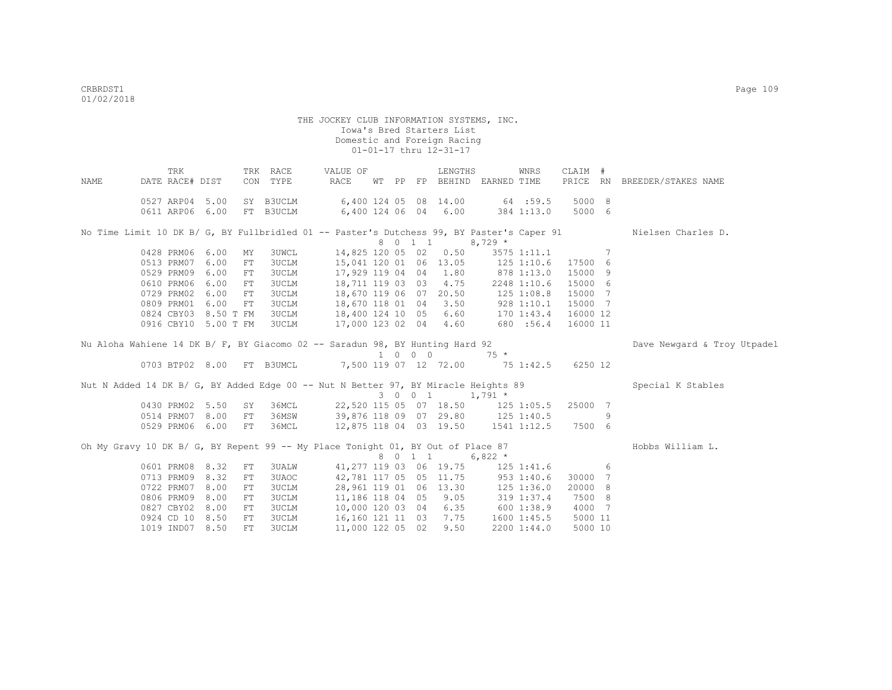|      | TRK                  |           |     | TRK RACE     | VALUE OF                                                                                  |  |         | LENGTHS         |                                    | WNRS        | CLAIM #         |    |                              |
|------|----------------------|-----------|-----|--------------|-------------------------------------------------------------------------------------------|--|---------|-----------------|------------------------------------|-------------|-----------------|----|------------------------------|
| NAME | DATE RACE# DIST      |           |     | CON TYPE     | RACE                                                                                      |  |         |                 | WT PP FP BEHIND EARNED TIME        |             |                 |    | PRICE RN BREEDER/STAKES NAME |
|      |                      |           |     |              |                                                                                           |  |         |                 |                                    |             |                 |    |                              |
|      | 0527 ARP04 5.00      |           |     | SY B3UCLM    | 6,400 124 05 08 14.00 64 :59.5                                                            |  |         |                 |                                    |             | 5000 8          |    |                              |
|      | 0611 ARP06 6.00      |           |     | FT B3UCLM    |                                                                                           |  |         |                 | 6,400 124 06 04 6.00 384 1:13.0    |             | 5000 6          |    |                              |
|      |                      |           |     |              | No Time Limit 10 DK B/ G, BY Fullbridled 01 -- Paster's Dutchess 99, BY Paster's Caper 91 |  |         |                 |                                    |             |                 |    | Nielsen Charles D.           |
|      |                      |           |     |              |                                                                                           |  |         | 8 0 1 1         | $8,729$ *                          |             |                 |    |                              |
|      | 0428 PRM06 6.00      |           | MY  | 3UWCL        | 14,825 120 05 02 0.50                                                                     |  |         |                 |                                    | 3575 1:11.1 | $\overline{7}$  |    |                              |
|      | 0513 PRM07           | 6.00      | FT  | 3UCLM        | 15,041 120 01 06 13.05                                                                    |  |         |                 | 125 1:10.6                         |             | 17500 6         |    |                              |
|      | 0529 PRM09           | 6.00      | FT  | <b>3UCLM</b> | 17,929 119 04 04 1.80                                                                     |  |         |                 | 878 1:13.0                         |             | 15000 9         |    |                              |
|      | 0610 PRM06           | 6.00      | FT  | 3UCLM        | 18,711 119 03 03 4.75                                                                     |  |         |                 |                                    | 2248 1:10.6 | 15000 6         |    |                              |
|      | 0729 PRM02           | 6.00      | FT  | 3UCLM        | 18,670 119 06 07 20.50                                                                    |  |         |                 | $125$ $1:08.8$                     |             | 15000 7         |    |                              |
|      | 0809 PRM01           | 6.00      | FT  | 3UCLM        | 18,670 118 01 04 3.50                                                                     |  |         |                 | $928$ 1:10.1                       |             | 15000 7         |    |                              |
|      | 0824 CBY03           | 8.50 T FM |     | 3UCLM        | 18,400 124 10 05 6.60 170 1:43.4                                                          |  |         |                 |                                    |             | 16000 12        |    |                              |
|      | 0916 CBY10 5.00 T FM |           |     | 3UCLM        | 17,000 123 02 04 4.60 680 :56.4                                                           |  |         |                 |                                    |             | 16000 11        |    |                              |
|      |                      |           |     |              |                                                                                           |  |         |                 |                                    |             |                 |    |                              |
|      |                      |           |     |              | Nu Aloha Wahiene 14 DK B/ F, BY Giacomo 02 -- Saradun 98, BY Hunting Hard 92              |  |         |                 |                                    |             |                 |    | Dave Newgard & Troy Utpadel  |
|      |                      |           |     |              |                                                                                           |  |         |                 |                                    |             |                 |    |                              |
|      |                      |           |     |              | 0703 BTP02 8.00 FT B3UMCL 7,500 119 07 12 72.00 75 1:42.5                                 |  |         |                 |                                    |             | 6250 12         |    |                              |
|      |                      |           |     |              | Nut N Added 14 DK B/ G, BY Added Edge 00 -- Nut N Better 97, BY Miracle Heights 89        |  |         |                 |                                    |             |                 |    | Special K Stables            |
|      |                      |           |     |              |                                                                                           |  |         | 3 0 0 1 1,791 * |                                    |             |                 |    |                              |
|      | 0430 PRM02 5.50      |           | SY  |              | 36MCL 22,520 115 05 07 18.50 125 1:05.5                                                   |  |         |                 |                                    |             | 25000 7         |    |                              |
|      | 0514 PRM07 8.00      |           | FT  | 36MSW        | 39,876 118 09 07 29.80 125 1:40.5                                                         |  |         |                 |                                    |             |                 | -9 |                              |
|      | 0529 PRM06 6.00      |           | FT  | 36MCL        | 12,875 118 04 03 19.50 1541 1:12.5                                                        |  |         |                 |                                    |             | 7500 6          |    |                              |
|      |                      |           |     |              |                                                                                           |  |         |                 |                                    |             |                 |    |                              |
|      |                      |           |     |              | Oh My Gravy 10 DK B/ G, BY Repent 99 -- My Place Tonight 01, BY Out of Place 87           |  | 8 0 1 1 |                 | $6,822$ *                          |             |                 |    | Hobbs William L.             |
|      | 0601 PRM08 8.32      |           | FT  | 3UALW        |                                                                                           |  |         |                 | 41, 277 119 03 06 19.75 125 1:41.6 |             | $6\overline{6}$ |    |                              |
|      | 0713 PRM09           | 8.32      | FT  | 3UAOC        |                                                                                           |  |         |                 | 42,781 117 05 05 11.75 953 1:40.6  |             | 30000 7         |    |                              |
|      | 0722 PRM07           | 8.00      | FT  | 3UCLM        | 28,961 119 01 06 13.30                                                                    |  |         |                 | 125 1:36.0                         |             | 20000 8         |    |                              |
|      | 0806 PRM09           | 8.00      | FT  | 3UCLM        | 11,186 118 04 05 9.05                                                                     |  |         |                 | 319 1:37.4                         |             | 7500 8          |    |                              |
|      | 0827 CBY02           | 8.00      | FT  | 3UCLM        | 10,000 120 03 04 6.35 600 1:38.9                                                          |  |         |                 |                                    |             | 4000 7          |    |                              |
|      | 0924 CD 10 8.50      |           | FT  | 3UCLM        | 16,160 121 11 03 7.75                                                                     |  |         |                 |                                    | 1600 1:45.5 | 5000 11         |    |                              |
|      | 1019 IND07 8.50      |           | FT. | 3UCLM        | 11,000 122 05 02                                                                          |  |         | 9.50            |                                    | 2200 1:44.0 | 5000 10         |    |                              |
|      |                      |           |     |              |                                                                                           |  |         |                 |                                    |             |                 |    |                              |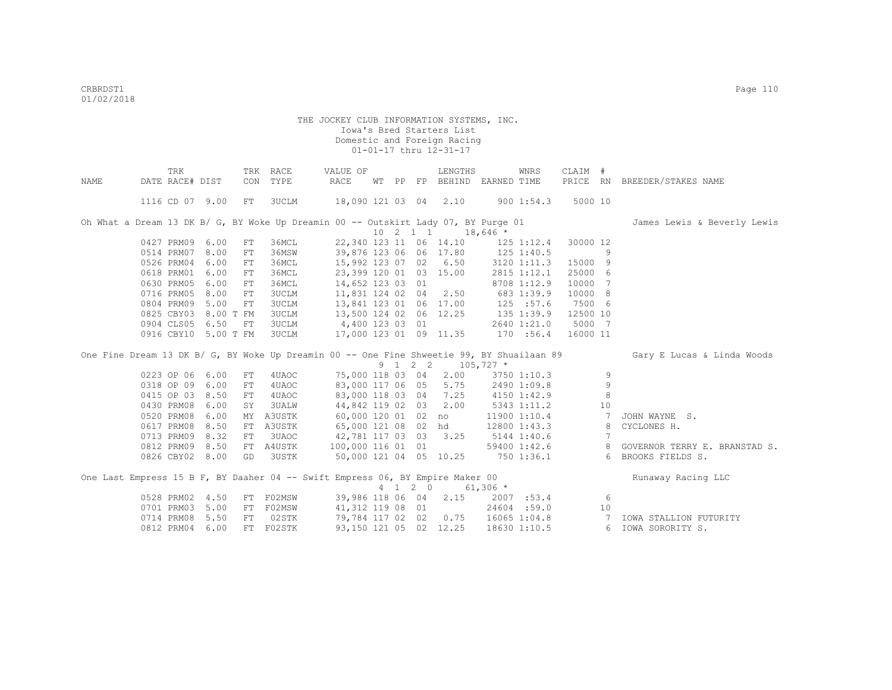|      | TRK                  |      |            | TRK RACE  | VALUE OF                                                                           |  |         | LENGTHS                     |            | WNRS           | CLAIM #  |                      |                                                                                                                      |
|------|----------------------|------|------------|-----------|------------------------------------------------------------------------------------|--|---------|-----------------------------|------------|----------------|----------|----------------------|----------------------------------------------------------------------------------------------------------------------|
| NAME | DATE RACE# DIST      |      |            | CON TYPE  | RACE                                                                               |  |         | WT PP FP BEHIND EARNED TIME |            |                |          |                      | PRICE RN BREEDER/STAKES NAME                                                                                         |
|      |                      |      |            |           |                                                                                    |  |         |                             |            |                |          |                      |                                                                                                                      |
|      | 1116 CD 07 9.00      |      | FT         | 3UCLM     | 18,090 121 03 04 2.10                                                              |  |         |                             |            | 9001:54.3      | 5000 10  |                      |                                                                                                                      |
|      |                      |      |            |           |                                                                                    |  |         |                             |            |                |          |                      |                                                                                                                      |
|      |                      |      |            |           | Oh What a Dream 13 DK B/ G, BY Woke Up Dreamin 00 -- Outskirt Lady 07, BY Purge 01 |  |         |                             |            |                |          |                      | James Lewis & Beverly Lewis                                                                                          |
|      |                      |      |            |           |                                                                                    |  |         | $10 \t2 \t1 \t1$            | $18,646$ * |                |          |                      |                                                                                                                      |
|      | 0427 PRM09 6.00      |      | FT         | 36MCL     | 22,340 123 11 06 14.10                                                             |  |         |                             |            | $125$ $1:12.4$ | 30000 12 |                      |                                                                                                                      |
|      | 0514 PRM07 8.00      |      | FT         | 36MSW     | 39,876 123 06 06 17.80                                                             |  |         |                             | 125 1:40.5 |                |          | 9                    |                                                                                                                      |
|      | 0526 PRM04 6.00      |      | FT         | 36MCL     | 15,992 123 07 02 6.50                                                              |  |         |                             |            | 3120 1:11.3    | 15000 9  |                      |                                                                                                                      |
|      | 0618 PRM01 6.00      |      | FT         | 36MCL     | 23,399 120 01 03 15.00                                                             |  |         |                             |            | 2815 1:12.1    | 25000 6  |                      |                                                                                                                      |
|      | 0630 PRM05 6.00      |      | FT         | 36MCL     | 14,652 123 03 01                                                                   |  |         |                             |            | 8708 1:12.9    | 10000    | 7                    |                                                                                                                      |
|      | 0716 PRM05 8.00      |      | FT         | 3UCLM     | 11,831 124 02 04 2.50                                                              |  |         |                             |            | 683 1:39.9     | 10000 8  |                      |                                                                                                                      |
|      | 0804 PRM09           | 5.00 | FT         | 3UCLM     | 13,841 123 01 06 17.00                                                             |  |         |                             |            | 125 : 57.6     | 7500 6   |                      |                                                                                                                      |
|      | 0825 CBY03 8.00 T FM |      |            | 3UCLM     | 13,500 124 02 06 12.25                                                             |  |         |                             |            | $135$ 1:39.9   | 12500 10 |                      |                                                                                                                      |
|      | 0904 CLS05 6.50      |      | FT         | 3UCLM     | 4,400 123 03 01                                                                    |  |         |                             |            | 2640 1:21.0    | 5000 7   |                      |                                                                                                                      |
|      | 0916 CBY10 5.00 T FM |      |            | 3UCLM     | 17,000 123 01 09 11.35                                                             |  |         |                             |            | 170 :56.4      | 16000 11 |                      |                                                                                                                      |
|      |                      |      |            |           |                                                                                    |  |         |                             |            |                |          |                      |                                                                                                                      |
|      |                      |      |            |           |                                                                                    |  |         |                             |            |                |          |                      | One Fine Dream 13 DK B/ G, BY Woke Up Dreamin 00 -- One Fine Shweetie 99, BY Shuailaan 89 Gary E Lucas & Linda Woods |
|      |                      |      |            |           |                                                                                    |  |         | 9 1 2 2 105,727 *           |            |                |          |                      |                                                                                                                      |
|      | 0223 OP 06 6.00      |      | ${\rm FT}$ | 4UAOC     | 75,000 118 03 04                                                                   |  |         | 2.00                        |            | 3750 1:10.3    |          | 9                    |                                                                                                                      |
|      | 0318 OP 09 6.00      |      | FT         | 4UAOC     | 83,000 117 06 05 5.75                                                              |  |         |                             |            | 2490 1:09.8    |          | 9                    |                                                                                                                      |
|      | 0415 OP 03 8.50      |      | FT         | 4UAOC     | 83,000 118 03 04 7.25                                                              |  |         |                             |            | 4150 1:42.9    |          | 8                    |                                                                                                                      |
|      | 0430 PRM08           | 6.00 | SY         | 3UALW     | 44,842 119 02 03 2.00                                                              |  |         |                             |            | 5343 1:11.2    |          | 10                   |                                                                                                                      |
|      | 0520 PRM08           | 6.00 | MY         | A3USTK    | 60,000 120 01 02 no                                                                |  |         |                             |            | 11900 1:10.4   |          | $7\phantom{.0}$      | JOHN WAYNE S.                                                                                                        |
|      | 0617 PRM08           | 8.50 | FT         | A3USTK    | 65,000 121 08 02 hd                                                                |  |         |                             |            | 12800 1:43.3   |          |                      | CYCLONES H.                                                                                                          |
|      |                      |      |            |           |                                                                                    |  |         |                             |            |                |          | 8<br>$7\phantom{.0}$ |                                                                                                                      |
|      | 0713 PRM09           | 8.32 | ${\rm FT}$ | 3UAOC     | 42,781 117 03 03 3.25                                                              |  |         |                             |            | 5144 1:40.6    |          |                      |                                                                                                                      |
|      | 0812 PRM09 8.50      |      |            | FT A4USTK | 100,000 116 01 01                                                                  |  |         |                             |            | 59400 1:42.6   |          | 8                    | GOVERNOR TERRY E. BRANSTAD S.                                                                                        |
|      | 0826 CBY02 8.00      |      | GD         | 3USTK     | 50,000 121 04 05 10.25                                                             |  |         |                             |            | 750 1:36.1     |          |                      | 6 BROOKS FIELDS S.                                                                                                   |
|      |                      |      |            |           | One Last Empress 15 B F, BY Daaher 04 -- Swift Empress 06, BY Empire Maker 00      |  |         |                             |            |                |          |                      |                                                                                                                      |
|      |                      |      |            |           |                                                                                    |  |         |                             |            |                |          |                      | Runaway Racing LLC                                                                                                   |
|      |                      |      |            |           |                                                                                    |  | 4 1 2 0 |                             | $61,306$ * |                |          |                      |                                                                                                                      |
|      | 0528 PRM02 4.50      |      | FT         | F02MSW    |                                                                                    |  |         | 39,986 118 06 04 2.15       |            | 2007 :53.4     |          | 6                    |                                                                                                                      |
|      | 0701 PRM03 5.00      |      | FT         | F02MSW    | 41,312 119 08 01                                                                   |  |         |                             |            | 24604 :59.0    |          | 10                   |                                                                                                                      |
|      | 0714 PRM08           | 5.50 | FT         | 02STK     | 79,784 117 02 02 0.75 16065 1:04.8                                                 |  |         |                             |            |                |          | $\overline{7}$       | IOWA STALLION FUTURITY                                                                                               |
|      | 0812 PRM04 6.00      |      |            | FT F02STK | 93,150 121 05 02 12.25                                                             |  |         |                             |            | 18630 1:10.5   |          |                      | 6 IOWA SORORITY S.                                                                                                   |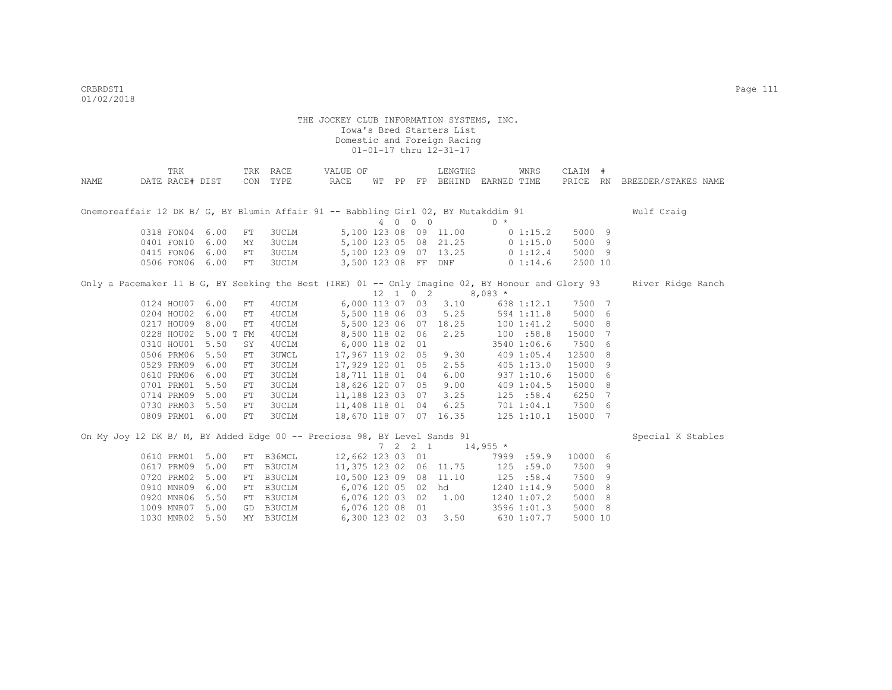|      | TRK             |           | TRK        | RACE         | VALUE OF                                                                                         |     |                              | LENGTHS                     |            | WNRS         | CLAIM   | # |                              |
|------|-----------------|-----------|------------|--------------|--------------------------------------------------------------------------------------------------|-----|------------------------------|-----------------------------|------------|--------------|---------|---|------------------------------|
| NAME | DATE RACE# DIST |           | CON        | TYPE         | <b>RACE</b>                                                                                      |     |                              | WT PP FP BEHIND EARNED TIME |            |              |         |   | PRICE RN BREEDER/STAKES NAME |
|      |                 |           |            |              |                                                                                                  |     |                              |                             |            |              |         |   |                              |
|      |                 |           |            |              |                                                                                                  |     |                              |                             |            |              |         |   |                              |
|      |                 |           |            |              | Onemoreaffair 12 DK B/ G, BY Blumin Affair 91 -- Babbling Girl 02, BY Mutakddim 91               |     |                              |                             |            |              |         |   | Wulf Craig                   |
|      |                 |           |            |              |                                                                                                  | 4 0 | $0\quad 0$                   |                             | $0 *$      |              |         |   |                              |
|      | 0318 FON04      | 6.00      | FT         | 3UCLM        |                                                                                                  |     |                              | 5,100 123 08 09 11.00       |            | $0\;1:15.2$  | 5000 9  |   |                              |
|      | 0401 FON10      | 6.00      | MY         | <b>3UCLM</b> |                                                                                                  |     |                              | 5,100 123 05 08 21.25       |            | 01:15.0      | 5000 9  |   |                              |
|      | 0415 FON06      | 6.00      | ${\rm FT}$ | <b>3UCLM</b> |                                                                                                  |     |                              | 5,100 123 09 07 13.25       |            | 0 1:12.4     | 5000 9  |   |                              |
|      | 0506 FON06      | 6.00      | ${\rm FT}$ | <b>3UCLM</b> | 3,500 123 08 FF                                                                                  |     |                              | DNF                         |            | 01:14.6      | 2500 10 |   |                              |
|      |                 |           |            |              | Only a Pacemaker 11 B G, BY Seeking the Best (IRE) 01 -- Only Imagine 02, BY Honour and Glory 93 |     |                              |                             |            |              |         |   | River Ridge Ranch            |
|      |                 |           |            |              |                                                                                                  |     | $12 \quad 1 \quad 0 \quad 2$ |                             | $8,083*$   |              |         |   |                              |
|      | 0124 HOU07      | 6.00      | FT         | 4UCLM        | 6,000 113 07 03                                                                                  |     |                              | 3.10                        |            | 638 1:12.1   | 7500 7  |   |                              |
|      | 0204 HOU02      | 6.00      | FT         | 4UCLM        | 5,500 118 06 03                                                                                  |     |                              | 5.25                        |            | 594 1:11.8   | 5000 6  |   |                              |
|      | 0217 HOU09      | 8.00      | FT         | 4UCLM        | 5,500 123 06 07                                                                                  |     |                              | 18.25                       |            | 1001:41.2    | 5000 8  |   |                              |
|      | 0228 HOU02      | 5.00 T FM |            | 4UCLM        | 8,500 118 02 06                                                                                  |     |                              | 2.25                        |            | 100 : 58.8   | 15000 7 |   |                              |
|      | 0310 HOU01      | 5.50      | SY         | 4UCLM        | 6,000 118 02                                                                                     |     | 01                           |                             |            | 3540 1:06.6  | 7500 6  |   |                              |
|      | 0506 PRM06      | 5.50      | FT         | <b>3UWCL</b> | 17,967 119 02                                                                                    |     | 05                           | 9.30                        |            | 409 1:05.4   | 12500 8 |   |                              |
|      | 0529 PRM09      | 6.00      | ${\rm FT}$ | 3UCLM        | 17,929 120 01                                                                                    |     | 05                           | 2.55                        |            | $405$ 1:13.0 | 15000 9 |   |                              |
|      | 0610 PRM06      | 6.00      | ${\rm FT}$ | 3UCLM        | 18,711 118 01 04                                                                                 |     |                              | 6.00                        |            | 937 1:10.6   | 15000 6 |   |                              |
|      | 0701 PRM01      | 5.50      | ${\rm FT}$ | <b>3UCLM</b> | 18,626 120 07 05                                                                                 |     |                              | 9.00                        |            | 409 1:04.5   | 15000 8 |   |                              |
|      | 0714 PRM09      | 5.00      | FT         | <b>3UCLM</b> | 11,188 123 03 07                                                                                 |     |                              | 3.25                        |            | 125 : 58.4   | 6250 7  |   |                              |
|      | 0730 PRM03      | 5.50      | FT         | 3UCLM        | 11,408 118 01 04                                                                                 |     |                              | 6.25                        |            | 7011:04.1    | 7500 6  |   |                              |
|      | 0809 PRM01      | 6.00      | ${\rm FT}$ | <b>3UCLM</b> | 18,670 118 07 07 16.35                                                                           |     |                              |                             |            | 125 1:10.1   | 15000 7 |   |                              |
|      |                 |           |            |              |                                                                                                  |     |                              |                             |            |              |         |   |                              |
|      |                 |           |            |              | On My Joy 12 DK B/ M, BY Added Edge 00 -- Preciosa 98, BY Level Sands 91                         |     |                              |                             |            |              |         |   | Special K Stables            |
|      |                 |           |            |              |                                                                                                  |     | $7\quad 2\quad 2\quad 1$     |                             | $14,955$ * |              |         |   |                              |
|      | 0610 PRM01      | 5.00      | FT         | B36MCL       | 12,662 123 03 01                                                                                 |     |                              |                             |            | 7999 :59.9   | 10000 6 |   |                              |
|      | 0617 PRM09      | 5.00      | FT         | B3UCLM       | 11,375 123 02 06 11.75                                                                           |     |                              |                             | 125        | :59.0        | 7500 9  |   |                              |
|      | 0720 PRM02      | 5.00      | FT         | B3UCLM       | 10,500 123 09 08                                                                                 |     |                              | 11.10                       | 125        | :58.4        | 7500 9  |   |                              |
|      | 0910 MNR09      | 6.00      | FT         | B3UCLM       | 6,076 120 05 02                                                                                  |     |                              | hd                          |            | 1240 1:14.9  | 5000 8  |   |                              |
|      | 0920 MNR06      | 5.50      | FT         | B3UCLM       | 6,076 120 03 02                                                                                  |     |                              | 1.00                        |            | 1240 1:07.2  | 5000 8  |   |                              |
|      | 1009 MNR07      | 5.00      | GD         | B3UCLM       | 6,076 120 08 01                                                                                  |     |                              |                             |            | 3596 1:01.3  | 5000 8  |   |                              |
|      | 1030 MNR02      | 5.50      | MY         | B3UCLM       | 6,300 123 02 03                                                                                  |     |                              | 3.50                        |            | 630 1:07.7   | 5000 10 |   |                              |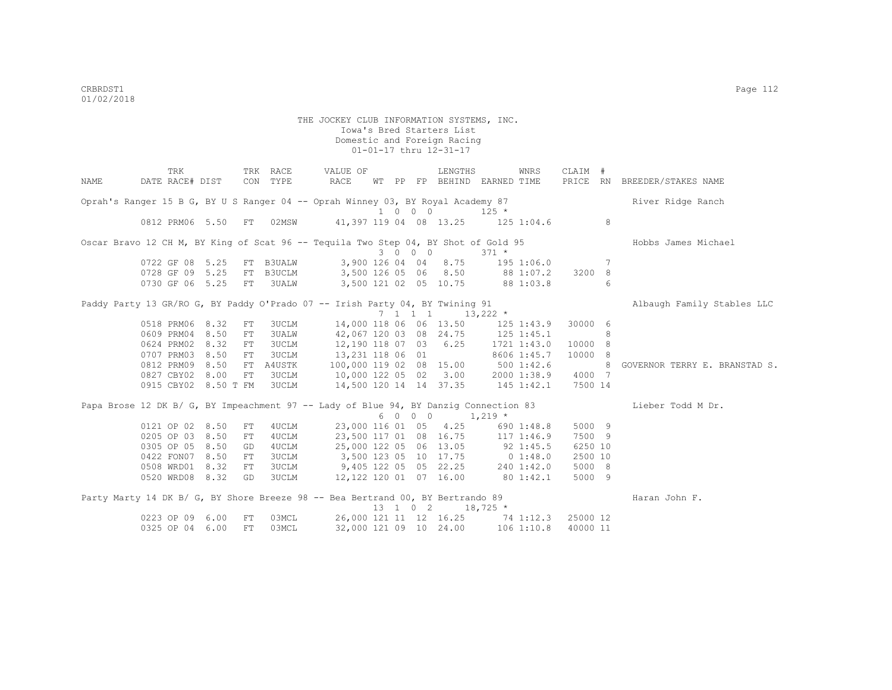|      | TRK                                                                                  |      |    | TRK RACE     | VALUE OF                         |    |                             | LENGTHS                                        |                | WNRS        | CLAIM #  |     |                               |
|------|--------------------------------------------------------------------------------------|------|----|--------------|----------------------------------|----|-----------------------------|------------------------------------------------|----------------|-------------|----------|-----|-------------------------------|
| NAME | DATE RACE# DIST                                                                      |      |    | CON TYPE     | RACE                             | WТ |                             | PP FP BEHIND EARNED TIME                       |                |             |          |     | PRICE RN BREEDER/STAKES NAME  |
|      | Oprah's Ranger 15 B G, BY U S Ranger 04 -- Oprah Winney 03, BY Royal Academy 87      |      |    |              |                                  |    |                             |                                                |                |             |          |     | River Ridge Ranch             |
|      |                                                                                      |      |    |              |                                  |    | $1 \quad 0 \quad 0 \quad 0$ |                                                | $125 *$        |             |          |     |                               |
|      | 0812 PRM06 5.50                                                                      |      | FT | 02MSW        |                                  |    |                             | 41, 397 119 04 08 13.25                        | $125$ $1:04.6$ |             |          | 8   |                               |
|      | Oscar Bravo 12 CH M, BY King of Scat 96 -- Tequila Two Step 04, BY Shot of Gold 95   |      |    |              |                                  |    |                             |                                                |                |             |          |     | Hobbs James Michael           |
|      |                                                                                      |      |    |              |                                  |    | 3 0 0 0                     |                                                | $371 *$        |             |          |     |                               |
|      | 0722 GF 08 5.25                                                                      |      |    | FT B3UALW    |                                  |    |                             | 3,900 126 04 04 8.75 195 1:06.0                |                |             |          | -7  |                               |
|      | 0728 GF 09 5.25 FT                                                                   |      |    | B3UCLM       |                                  |    |                             | 3,500 126 05 06 8.50 88 1:07.2                 |                |             | 3200 8   |     |                               |
|      | 0730 GF 06 5.25                                                                      |      |    | FT 3UALW     |                                  |    |                             | 3,500 121 02 05 10.75 88 1:03.8                |                |             |          | 6   |                               |
|      | Paddy Party 13 GR/RO G, BY Paddy O'Prado 07 -- Irish Party 04, BY Twining 91         |      |    |              |                                  |    |                             |                                                |                |             |          |     | Albaugh Family Stables LLC    |
|      |                                                                                      |      |    |              |                                  |    |                             | $7 \quad 1 \quad 1 \quad 1 \quad 13,222 \star$ |                |             |          |     |                               |
|      | 0518 PRM06 8.32                                                                      |      | FT | 3UCLM        |                                  |    |                             | 14,000 118 06 06 13.50                         | 125 1:43.9     |             | 30000 6  |     |                               |
|      | 0609 PRM04                                                                           | 8.50 | FT | 3UALW        |                                  |    |                             | 42,067 120 03 08 24.75                         | $125$ $1:45.1$ |             |          | 8   |                               |
|      | 0624 PRM02                                                                           | 8.32 | FT | 3UCLM        | 12,190 118 07 03 6.25            |    |                             |                                                |                | 1721 1:43.0 | 10000 8  |     |                               |
|      | 0707 PRM03                                                                           | 8.50 | FT | 3UCLM        | 13,231 118 06 01                 |    |                             |                                                |                | 8606 1:45.7 | 10000 8  |     |                               |
|      | 0812 PRM09                                                                           | 8.50 | FT | A4USTK       | 100,000 119 02 08 15.00          |    |                             |                                                | 5001:42.6      |             |          | - 8 | GOVERNOR TERRY E. BRANSTAD S. |
|      | 0827 CBY02 8.00                                                                      |      | FT | 3UCLM        | 10,000 122 05 02 3.00            |    |                             |                                                |                | 2000 1:38.9 | 4000 7   |     |                               |
|      | 0915 CBY02 8.50 T FM                                                                 |      |    | <b>3UCLM</b> | 14,500 120 14 14 37.35           |    |                             |                                                |                | 145 1:42.1  | 7500 14  |     |                               |
|      | Papa Brose 12 DK B/ G, BY Impeachment 97 -- Lady of Blue 94, BY Danzig Connection 83 |      |    |              |                                  |    |                             |                                                |                |             |          |     | Lieber Todd M Dr.             |
|      |                                                                                      |      |    |              |                                  |    | 6 0 0 0                     |                                                | $1,219$ *      |             |          |     |                               |
|      | 0121 OP 02 8.50                                                                      |      | FT | 4UCLM        |                                  |    |                             | 23,000 116 01 05 4.25                          |                | 690 1:48.8  | 5000 9   |     |                               |
|      | 0205 OP 03 8.50                                                                      |      | FT | 4UCLM        |                                  |    |                             | 23,500 117 01 08 16.75                         | 117 1:46.9     |             | 7500 9   |     |                               |
|      | 0305 OP 05 8.50                                                                      |      | GD | 4UCLM        |                                  |    |                             | 25,000 122 05 06 13.05                         |                | 92 1:45.5   | 6250 10  |     |                               |
|      | 0422 FON07 8.50                                                                      |      | FT | 3UCLM        | 3,500 123 05 10 17.75            |    |                             |                                                | 0 1:48.0       |             | 2500 10  |     |                               |
|      | 0508 WRD01 8.32                                                                      |      | FT | 3UCLM        | 9,405 122 05 05 22.25 240 1:42.0 |    |                             |                                                |                |             | 5000 8   |     |                               |
|      | 0520 WRD08 8.32                                                                      |      | GD | 3UCLM        | 12,122 120 01 07 16.00 80 1:42.1 |    |                             |                                                |                |             | 5000 9   |     |                               |
|      | Party Marty 14 DK B/ G, BY Shore Breeze 98 -- Bea Bertrand 00, BY Bertrando 89       |      |    |              |                                  |    |                             |                                                |                |             |          |     | Haran John F.                 |
|      |                                                                                      |      |    |              |                                  |    | 13 1 0 2                    |                                                | $18,725$ *     |             |          |     |                               |
|      | 0223 OP 09                                                                           | 6.00 | FT | 03MCL        |                                  |    |                             | 26,000 121 11 12 16.25 74 1:12.3               |                |             | 25000 12 |     |                               |
|      | 0325 OP 04 6.00                                                                      |      | FT | 03MCL        |                                  |    |                             | 32,000 121 09 10 24.00                         |                | 1061:10.8   | 40000 11 |     |                               |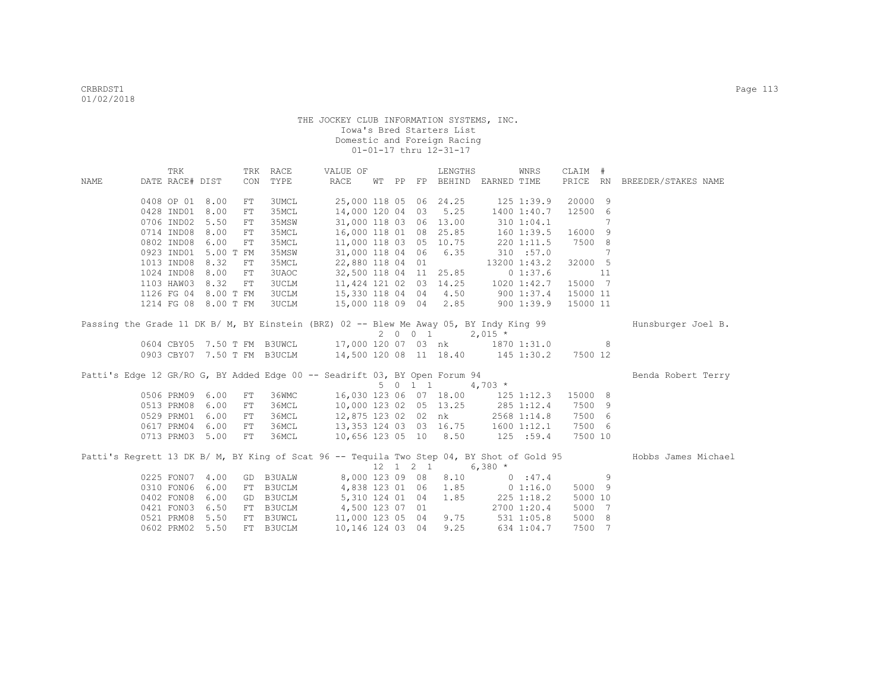|      | TRK             |                      |            | TRK RACE                    | VALUE OF                                                                                  |  |          | LENGTHS                  |                                   | WNRS         | CLAIM #  |    |                              |
|------|-----------------|----------------------|------------|-----------------------------|-------------------------------------------------------------------------------------------|--|----------|--------------------------|-----------------------------------|--------------|----------|----|------------------------------|
| NAME | DATE RACE# DIST |                      | CON        | TYPE                        | RACE                                                                                      |  |          |                          | WT PP FP BEHIND EARNED TIME       |              |          |    | PRICE RN BREEDER/STAKES NAME |
|      |                 |                      |            |                             |                                                                                           |  |          |                          |                                   |              |          |    |                              |
|      | 0408 OP 01 8.00 |                      | FT         | <b>3UMCL</b>                |                                                                                           |  |          |                          | 25,000 118 05 06 24.25 125 1:39.9 |              | 20000 9  |    |                              |
|      | 0428 IND01      | 8.00                 | FT         | 35MCL                       | 14,000 120 04                                                                             |  |          |                          | 03 5.25 1400 1:40.7               |              | 12500 6  |    |                              |
|      | 0706 IND02      | 5.50                 | FT         | 35MSW                       | 31,000 118 03 06 13.00                                                                    |  |          |                          |                                   | 310 1:04.1   |          | 7  |                              |
|      | 0714 IND08      | 8.00                 | FT         | 35MCL                       | 16,000 118 01 08 25.85                                                                    |  |          |                          | 160 1:39.5                        |              | 16000 9  |    |                              |
|      | 0802 IND08      | 6.00                 | FT         | 35MCL                       | 11,000 118 03 05 10.75                                                                    |  |          |                          |                                   | 220 1:11.5   | 7500 8   |    |                              |
|      |                 | 0923 IND01 5.00 T FM |            | 35MSW                       | 31,000 118 04 06 6.35                                                                     |  |          |                          |                                   | 310 : 57.0   |          | 7  |                              |
|      | 1013 IND08 8.32 |                      | ${\rm FT}$ | 35MCL                       | 22,880 118 04 01                                                                          |  |          |                          |                                   | 13200 1:43.2 | 32000 5  |    |                              |
|      |                 | 1024 IND08 8.00      | FT         | 3UAOC                       | 32,500 118 04 11 25.85                                                                    |  |          |                          |                                   | 0 1:37.6     |          | 11 |                              |
|      | 1103 HAW03 8.32 |                      | FT         | 3UCLM                       | 11,424 121 02 03 14.25 1020 1:42.7                                                        |  |          |                          |                                   |              | 15000 7  |    |                              |
|      |                 | 1126 FG 04 8.00 T FM |            | 3UCLM                       | 15,330 118 04 04 4.50                                                                     |  |          |                          | 900 1:37.4                        |              | 15000 11 |    |                              |
|      |                 | 1214 FG 08 8.00 T FM |            | 3UCLM                       | 15,000 118 09 04 2.85                                                                     |  |          |                          | 9001:39.9                         |              | 15000 11 |    |                              |
|      |                 |                      |            |                             |                                                                                           |  |          |                          |                                   |              |          |    |                              |
|      |                 |                      |            |                             | Passing the Grade 11 DK B/ M, BY Einstein (BRZ) 02 -- Blew Me Away 05, BY Indy King 99    |  |          |                          |                                   |              |          |    | Hunsburger Joel B.           |
|      |                 |                      |            |                             |                                                                                           |  |          | $2 \t 0 \t 1 \t 2,015$ * |                                   |              |          |    |                              |
|      |                 |                      |            |                             | 0604 CBY05 7.50 T FM B3UWCL 17,000 120 07 03 nk 1870 1:31.0                               |  |          |                          |                                   |              |          | 8  |                              |
|      |                 |                      |            | 0903 CBY07 7.50 T FM B3UCLM | 14,500 120 08 11 18.40 145 1:30.2                                                         |  |          |                          |                                   |              | 7500 12  |    |                              |
|      |                 |                      |            |                             |                                                                                           |  |          |                          |                                   |              |          |    |                              |
|      |                 |                      |            |                             | Patti's Edge 12 GR/RO G, BY Added Edge 00 -- Seadrift 03, BY Open Forum 94                |  |          |                          |                                   |              |          |    | Benda Robert Terry           |
|      |                 |                      |            |                             |                                                                                           |  | 5011     |                          | $4,703*$                          |              |          |    |                              |
|      | 0506 PRM09 6.00 |                      | FT         | 36WMC                       | 16,030 123 06 07 18.00 125 1:12.3                                                         |  |          |                          |                                   |              | 15000 8  |    |                              |
|      | 0513 PRM08      | 6.00                 | FT         | 36MCL                       | 10,000 123 02 05 13.25                                                                    |  |          |                          | 285 1:12.4                        |              | 7500 9   |    |                              |
|      | 0529 PRM01      | 6.00                 | ${\rm FT}$ | 36MCL                       | 12,875 123 02 02 nk                                                                       |  |          |                          |                                   | 2568 1:14.8  | 7500 6   |    |                              |
|      | 0617 PRM04      | 6.00                 | FT         | 36MCL                       | 13, 353 124 03 03 16.75                                                                   |  |          |                          | $1600$ $1:12.1$                   |              | 7500 6   |    |                              |
|      |                 | 0713 PRM03 5.00      | FT         | 36MCL                       | 10,656 123 05 10 8.50                                                                     |  |          |                          | 125 : 59.4                        |              | 7500 10  |    |                              |
|      |                 |                      |            |                             |                                                                                           |  |          |                          |                                   |              |          |    |                              |
|      |                 |                      |            |                             | Patti's Regrett 13 DK B/ M, BY King of Scat 96 -- Tequila Two Step 04, BY Shot of Gold 95 |  |          |                          |                                   |              |          |    | Hobbs James Michael          |
|      |                 |                      |            |                             |                                                                                           |  | 12 1 2 1 |                          | $6,380*$                          |              |          |    |                              |
|      | 0225 FON07 4.00 |                      |            | GD B3UALW                   | 8,000 123 09 08                                                                           |  |          | 8.10                     | $0 \t347.4$                       |              |          | 9  |                              |
|      | 0310 FON06      | 6.00                 | FT         | B3UCLM                      | 4,838 123 01 06 1.85 0 1:16.0                                                             |  |          |                          |                                   |              | 5000 9   |    |                              |
|      | 0402 FON08      | 6.00                 | GD         | B3UCLM                      | 5,310 124 01 04                                                                           |  |          |                          | $1.85$ 225 1:18.2                 |              | 5000 10  |    |                              |
|      | 0421 FON03      | 6.50                 | FT         | B3UCLM                      | 4,500 123 07 01                                                                           |  |          |                          |                                   | 2700 1:20.4  | 5000 7   |    |                              |
|      | 0521 PRM08      | 5.50                 | FT         | B3UWCL                      | 11,000 123 05 04                                                                          |  |          |                          | $9.75$ $531$ $1:05.8$             |              | 5000 8   |    |                              |
|      | 0602 PRM02 5.50 |                      |            | FT B3UCLM                   | 10,146 124 03 04                                                                          |  |          |                          | $9.25$ 634 1:04.7                 |              | 7500 7   |    |                              |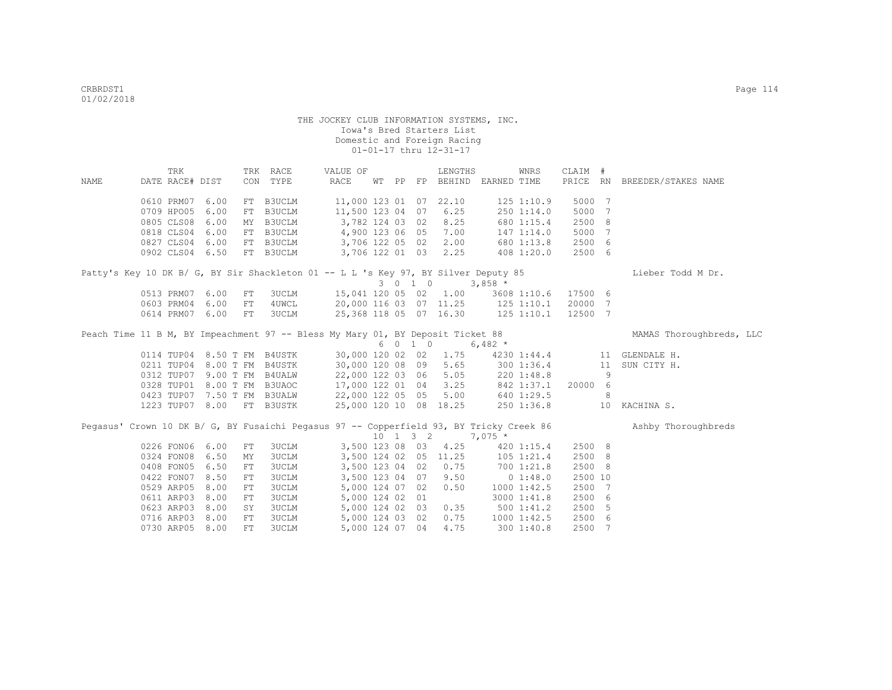| NAME | TRK<br>DATE RACE# DIST                                                                                                   |      |     | TRK RACE<br>CON TYPE | VALUE OF<br>RACE       |  |                              | LENGTHS<br>WT PP FP BEHIND EARNED TIME |                                              | WNRS           | CLAIM # |    | PRICE RN BREEDER/STAKES NAME |
|------|--------------------------------------------------------------------------------------------------------------------------|------|-----|----------------------|------------------------|--|------------------------------|----------------------------------------|----------------------------------------------|----------------|---------|----|------------------------------|
|      |                                                                                                                          |      |     |                      |                        |  |                              |                                        |                                              |                |         |    |                              |
|      | 0610 PRM07                                                                                                               | 6.00 |     | FT B3UCLM            | 11,000 123 01 07 22.10 |  |                              |                                        |                                              | 1251:10.9      | 5000 7  |    |                              |
|      | 0709 HPO05                                                                                                               | 6.00 |     | FT B3UCLM            | 11,500 123 04 07       |  |                              | 6.25                                   |                                              | 2501:14.0      | 5000 7  |    |                              |
|      | 0805 CLS08                                                                                                               | 6.00 |     | MY B3UCLM            | 3,782 124 03 02        |  |                              | 8.25                                   |                                              | 680 1:15.4     | 2500 8  |    |                              |
|      | 0818 CLS04                                                                                                               | 6.00 |     | FT B3UCLM            | 4,900 123 06 05        |  |                              | 7.00                                   |                                              | $147$ $1:14.0$ | 5000 7  |    |                              |
|      | 0827 CLS04 6.00                                                                                                          |      |     | FT B3UCLM            | 3,706 122 05 02        |  |                              | 2.00                                   |                                              | 680 1:13.8     | 2500 6  |    |                              |
|      | 0902 CLS04 6.50                                                                                                          |      |     | FT B3UCLM            | 3,706 122 01 03        |  |                              | 2.25                                   |                                              | 408 1:20.0     | 2500 6  |    |                              |
|      | Patty's Key 10 DK B/ G, BY Sir Shackleton 01 -- L L 's Key 97, BY Silver Deputy 85                                       |      |     |                      |                        |  |                              |                                        |                                              |                |         |    | Lieber Todd M Dr.            |
|      |                                                                                                                          |      |     |                      |                        |  | 3 0 1 0                      |                                        | $3,858$ *                                    |                |         |    |                              |
|      | 0513 PRM07 6.00                                                                                                          |      | FT  | 3UCLM                |                        |  |                              | 15,041 120 05 02 1.00                  |                                              | 3608 1:10.6    | 17500 6 |    |                              |
|      | 0603 PRM04                                                                                                               | 6.00 | FT  | 4UWCL                |                        |  |                              | 20,000 116 03 07 11.25 125 1:10.1      |                                              |                | 20000 7 |    |                              |
|      | 0614 PRM07 6.00                                                                                                          |      | FT  | 3UCLM                |                        |  |                              | 25,368 118 05 07 16.30 125 1:10.1      |                                              |                | 12500 7 |    |                              |
|      | Peach Time 11 B M, BY Impeachment 97 -- Bless My Mary 01, BY Deposit Ticket 88                                           |      |     |                      |                        |  |                              |                                        |                                              |                |         |    | MAMAS Thoroughbreds, LLC     |
|      |                                                                                                                          |      |     |                      |                        |  | 6 0 1 0                      |                                        | 6,482 $*$                                    |                |         |    |                              |
|      | 0114 TUP04 8.50 T FM B4USTK                                                                                              |      |     |                      | 30,000 120 02 02       |  |                              | 1.75                                   |                                              | 4230 1:44.4    |         |    | 11 GLENDALE H.               |
|      | 0211 TUP04 8.00 T FM B4USTK                                                                                              |      |     |                      | 30,000 120 08 09       |  |                              | 5.65                                   | 300 1:36.4                                   |                |         |    | 11 SUN CITY H.               |
|      | 0312 TUPO7 9.00 T FM B4UALW<br>0328 TUPO7 9.00 T FM B3UAOC<br>0423 TUPO7 7.50 T FM B3UAOC<br>0423 TUPO7 7.50 T FM B3UALW |      |     |                      |                        |  |                              | 22,000 122 03 06 5.05                  | $220 1:48.8$<br>$842 1:37.1$<br>$640 1:29.5$ |                |         | 9  |                              |
|      |                                                                                                                          |      |     |                      | 17,000 122 01 04       |  |                              | 3.25                                   |                                              | 842 1:37.1     | 20000 6 |    |                              |
|      |                                                                                                                          |      |     |                      | 22,000 122 05 05       |  |                              | 5.00                                   |                                              |                |         | 8  |                              |
|      | 1223 TUP07 8.00 FT B3USTK                                                                                                |      |     |                      | 25,000 120 10 08 18.25 |  |                              |                                        | 250 1:36.8                                   |                |         |    | 10 KACHINA S.                |
|      | Pegasus' Crown 10 DK B/ G, BY Fusaichi Pegasus 97 -- Copperfield 93, BY Tricky Creek 86                                  |      |     |                      |                        |  |                              |                                        |                                              |                |         |    | Ashby Thoroughbreds          |
|      |                                                                                                                          |      |     |                      |                        |  | $10 \quad 1 \quad 3 \quad 2$ |                                        | $7,075*$                                     |                |         |    |                              |
|      | 0226 FON06                                                                                                               | 6.00 | FT  | 3UCLM                | 3,500 123 08 03        |  |                              | 4.25                                   |                                              | $420 \t1:15.4$ | 2500 8  |    |                              |
|      | 0324 FON08                                                                                                               | 6.50 | MY  | <b>3UCLM</b>         | 3,500 124 02 05 11.25  |  |                              |                                        |                                              | 105 1:21.4     | 2500 8  |    |                              |
|      | 0408 FON05                                                                                                               | 6.50 | FT  | <b>3UCLM</b>         | 3,500 123 04 02        |  |                              | 0.75                                   |                                              | 700 1:21.8     | 2500 8  |    |                              |
|      | 0422 FON07                                                                                                               | 8.50 | FT  | <b>3UCLM</b>         | 3,500 123 04 07        |  |                              | 9.50                                   | $0\;1:48.0$                                  |                | 2500 10 |    |                              |
|      | 0529 ARP05                                                                                                               | 8.00 | FT  | <b>3UCLM</b>         | 5,000 124 07 02        |  |                              | 0.50                                   | 10001:42.5                                   |                | 2500 7  |    |                              |
|      | 0611 ARP03                                                                                                               | 8.00 | FT  | <b>3UCLM</b>         | 5,000 124 02 01        |  |                              |                                        |                                              | 3000 1:41.8    | 2500 6  |    |                              |
|      | 0623 ARP03                                                                                                               | 8.00 | SY  | <b>3UCLM</b>         | 5,000 124 02 03        |  |                              | 0.35                                   | 5001:41.2                                    |                | 2500    | -5 |                              |
|      | 0716 ARP03                                                                                                               | 8.00 | FT  | <b>3UCLM</b>         | 5,000 124 03 02        |  |                              | 0.75                                   | 1000 1:42.5                                  |                | 2500 6  |    |                              |
|      | 0730 ARP05 8.00                                                                                                          |      | FT. | 3UCLM                | 5,000 124 07 04        |  |                              | 4.75                                   |                                              | 3001:40.8      | 2500 7  |    |                              |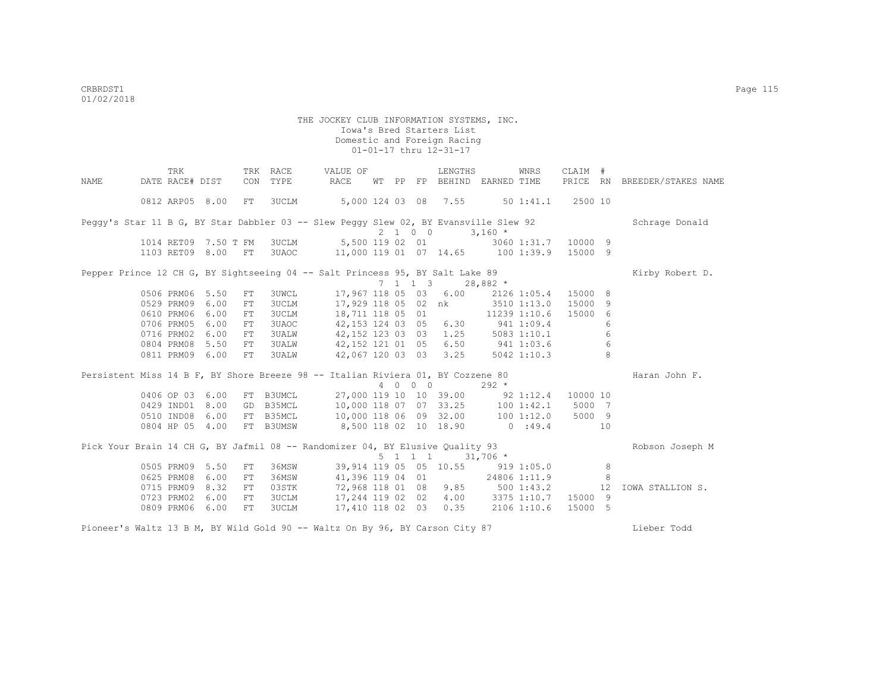|      | TRK                  |      |     | TRK RACE     | VALUE OF                                                                             |       |                 | LENGTHS                                   |            | WNRS                | CLAIM #  |    |                              |
|------|----------------------|------|-----|--------------|--------------------------------------------------------------------------------------|-------|-----------------|-------------------------------------------|------------|---------------------|----------|----|------------------------------|
| NAME | DATE RACE# DIST      |      | CON | TYPE         | RACE                                                                                 | WT PP | FP              | BEHIND EARNED TIME                        |            |                     |          |    | PRICE RN BREEDER/STAKES NAME |
|      | 0812 ARP05 8.00      |      | FT  | <b>3UCLM</b> | 5,000 124 03 08 7.55                                                                 |       |                 |                                           |            | 50 1:41.1 2500 10   |          |    |                              |
|      |                      |      |     |              | Peggy's Star 11 B G, BY Star Dabbler 03 -- Slew Peggy Slew 02, BY Evansville Slew 92 |       |                 |                                           |            |                     |          |    | Schrage Donald               |
|      |                      |      |     |              |                                                                                      |       | 2 1 0 0         |                                           | $3,160*$   |                     |          |    |                              |
|      | 1014 RET09 7.50 T FM |      |     |              | 3UCLM 5,500 119 02 01                                                                |       |                 |                                           |            | 3060 1:31.7 10000 9 |          |    |                              |
|      | 1103 RET09 8.00 FT   |      |     |              | 3UAOC 11,000 119 01 07 14.65 100 1:39.9 15000 9                                      |       |                 |                                           |            |                     |          |    |                              |
|      |                      |      |     |              | Pepper Prince 12 CH G, BY Sightseeing 04 -- Salt Princess 95, BY Salt Lake 89        |       |                 |                                           |            |                     |          |    | Kirby Robert D.              |
|      |                      |      |     |              |                                                                                      |       |                 | 7 1 1 3                                   | $28,882*$  |                     |          |    |                              |
|      | 0506 PRM06 5.50      |      | FT  | 3UWCL        |                                                                                      |       |                 | 17,967 118 05 03 6.00 2126 1:05.4 15000 8 |            |                     |          |    |                              |
|      | 0529 PRM09 6.00      |      | FT  | 3UCLM        |                                                                                      |       |                 | 17,929 118 05 02 nk 3510 1:13.0           |            |                     | 15000    | -9 |                              |
|      | 0610 PRM06           | 6.00 | FT  | <b>3UCLM</b> | 18,711 118 05 01                                                                     |       |                 |                                           |            | 11239 1:10.6        | 15000    | 6  |                              |
|      | 0706 PRM05           | 6.00 | FT  | 3UAOC        | 42, 153 124 03 05 6.30 941 1:09.4                                                    |       |                 |                                           |            |                     |          | 6  |                              |
|      | 0716 PRM02           | 6.00 | FT  | <b>3UALW</b> | 42,152 123 03 03                                                                     |       |                 | $1.25$ 5083 1:10.1                        |            |                     |          | 6  |                              |
|      | 0804 PRM08           | 5.50 | FT  | <b>3UALW</b> | 42,152 121 01 05                                                                     |       |                 | 6.50 941 1:03.6                           |            |                     |          | 6  |                              |
|      | 0811 PRM09 6.00      |      | FT  | <b>3UALW</b> | 42,067 120 03 03                                                                     |       |                 | 3.25                                      |            | 5042 1:10.3         |          | 8  |                              |
|      |                      |      |     |              | Persistent Miss 14 B F, BY Shore Breeze 98 -- Italian Riviera 01, BY Cozzene 80      |       |                 |                                           |            |                     |          |    | Haran John F.                |
|      |                      |      |     |              |                                                                                      |       | 4 0 0 0         |                                           | $292 *$    |                     |          |    |                              |
|      | 0406 OP 03 6.00      |      |     | FT B3UMCL    |                                                                                      |       |                 | 27,000 119 10 10 39.00                    |            | $92 \t1:12.4$       | 10000 10 |    |                              |
|      | 0429 IND01 8.00      |      |     |              | GD B35MCL 10,000 118 07 07 33.25 100 1:42.1                                          |       |                 |                                           |            |                     | 5000 7   |    |                              |
|      | 0510 IND08 6.00      |      |     |              | FT B35MCL 10,000 118 06 09 32.00 100 1:12.0                                          |       |                 |                                           |            |                     | 5000 9   |    |                              |
|      | 0804 HP 05 4.00      |      |     | FT B3UMSW    | 8,500 118 02 10 18.90                                                                |       |                 |                                           |            | 0:49.4              | 10       |    |                              |
|      |                      |      |     |              | Pick Your Brain 14 CH G, BY Jafmil 08 -- Randomizer 04, BY Elusive Quality 93        |       |                 |                                           |            |                     |          |    | Robson Joseph M              |
|      |                      |      |     |              |                                                                                      |       | $5 \t1 \t1 \t1$ |                                           | $31,706$ * |                     |          |    |                              |
|      | 0505 PRM09 5.50      |      | FT  | 36MSW        |                                                                                      |       |                 | 39,914 119 05 05 10.55 919 1:05.0         |            |                     |          | 8  |                              |
|      | 0625 PRM08 6.00      |      | FT  | 36MSW        | 41,396 119 04 01                                                                     |       |                 | 24806 1:11.9                              |            |                     |          | 8  |                              |
|      | 0715 PRM09 8.32      |      | FT  | 03STK        |                                                                                      |       |                 | 72,968 118 01 08 9.85 500 1:43.2          |            |                     |          | 12 | IOWA STALLION S.             |
|      | 0723 PRM02 6.00      |      | FT  |              | 3UCLM 17,244 119 02 02                                                               |       |                 | 4.00 3375 1:10.7 15000 9                  |            |                     |          |    |                              |
|      | 0809 PRM06 6.00      |      | FT  | <b>3UCLM</b> | 17,410 118 02 03 0.35 2106 1:10.6                                                    |       |                 |                                           |            |                     | 15000 5  |    |                              |
|      |                      |      |     |              | Pioneer's Waltz 13 B M, BY Wild Gold 90 -- Waltz On By 96, BY Carson City 87         |       |                 |                                           |            |                     |          |    | Lieber Todd                  |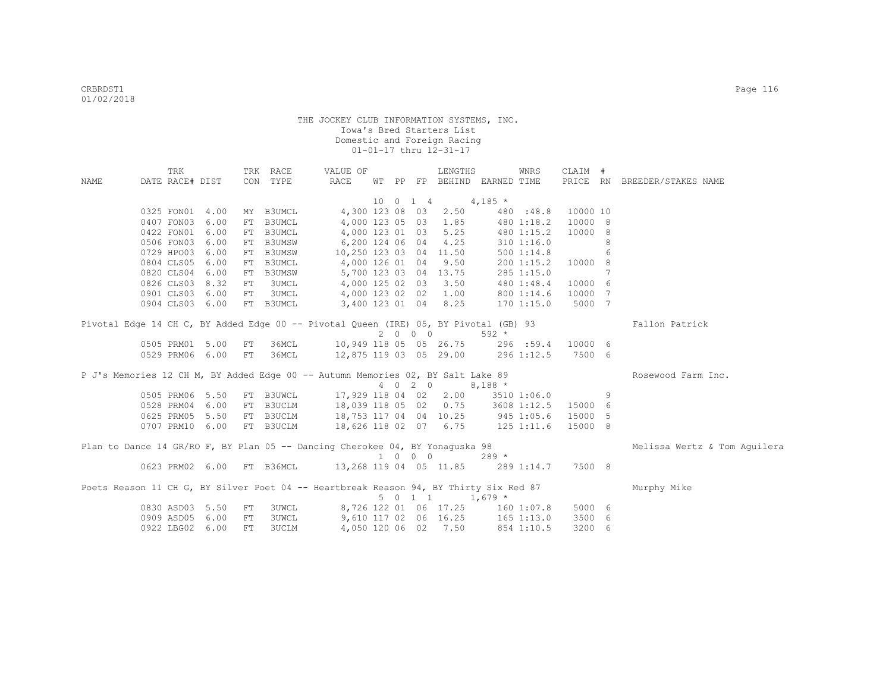|      | TRK             |                    |     | TRK RACE                  | VALUE OF                                                                              |  |                             | LENGTHS                          |                | WNRS           | CLAIM #  |    |                              |
|------|-----------------|--------------------|-----|---------------------------|---------------------------------------------------------------------------------------|--|-----------------------------|----------------------------------|----------------|----------------|----------|----|------------------------------|
| NAME | DATE RACE# DIST |                    |     | CON TYPE                  | RACE                                                                                  |  |                             | WT PP FP BEHIND EARNED TIME      |                |                |          |    | PRICE RN BREEDER/STAKES NAME |
|      |                 |                    |     |                           |                                                                                       |  | 10 0 1 4                    |                                  | $4,185$ *      |                |          |    |                              |
|      |                 | 0325 FON01 4.00    | MY  | B3UMCL                    | 4,300 123 08 03                                                                       |  |                             | 2.50                             |                | 480 :48.8      | 10000 10 |    |                              |
|      |                 | 0407 FON03 6.00    | FT  | B3UMCL                    |                                                                                       |  |                             | 4,000 123 05 03 1.85             |                | 480 1:18.2     | 10000 8  |    |                              |
|      |                 | 0422 FON01 6.00    | FT  | B3UMCL                    |                                                                                       |  |                             | 4,000 123 01 03 5.25             |                | 480 1:15.2     | 10000 8  |    |                              |
|      |                 | 0506 FON03 6.00    | FT  | B3UMSW                    | 6,200 124 06 04 4.25                                                                  |  |                             |                                  |                | $310$ $1:16.0$ |          | 8  |                              |
|      |                 | 0729 HPO03 6.00    |     | FT B3UMSW                 |                                                                                       |  |                             | 10,250 123 03 04 11.50           |                | 500 1:14.8     |          | 6  |                              |
|      |                 | 0804 CLS05 6.00    |     | FT B3UMCL                 | 4,000 126 01 04 9.50                                                                  |  |                             |                                  |                | $200$ 1:15.2   | 10000 8  |    |                              |
|      |                 | 0820 CLS04 6.00    | FT  | <b>B3UMSW</b>             |                                                                                       |  |                             | 5,700 123 03 04 13.75            |                | 285 1:15.0     |          | 7  |                              |
|      |                 | 0826 CLS03 8.32    | FT  | 3UMCL                     |                                                                                       |  |                             | 4,000 125 02 03 3.50             |                | 480 1:48.4     | 10000    | 6  |                              |
|      |                 | 0901 CLS03 6.00    | FT  | 3UMCL                     |                                                                                       |  |                             | 4,000 123 02 02 1.00             |                | 800 1:14.6     | 10000    | 7  |                              |
|      |                 | 0904 CLS03 6.00    |     | FT B3UMCL                 |                                                                                       |  |                             | 3,400 123 01 04 8.25             |                | 1701:15.0      | 5000 7   |    |                              |
|      |                 |                    |     |                           | Pivotal Edge 14 CH C, BY Added Edge 00 -- Pivotal Queen (IRE) 05, BY Pivotal (GB) 93  |  | 2 0 0 0                     |                                  | $592 *$        |                |          |    | Fallon Patrick               |
|      |                 | 0505 PRM01 5.00    | FT  | 36MCL                     | 10,949 118 05 05 26.75 296 :59.4                                                      |  |                             |                                  |                |                | 10000 6  |    |                              |
|      |                 | 0529 PRM06 6.00 FT |     | 36MCL                     | 12,875 119 03 05 29.00 296 1:12.5                                                     |  |                             |                                  |                |                | 7500 6   |    |                              |
|      |                 |                    |     |                           | P J's Memories 12 CH M, BY Added Edge 00 -- Autumn Memories 02, BY Salt Lake 89       |  |                             |                                  |                |                |          |    | Rosewood Farm Inc.           |
|      |                 |                    |     |                           |                                                                                       |  |                             | 4 0 2 0 8,188 *                  |                |                |          |    |                              |
|      |                 | 0505 PRM06 5.50    |     | FT B3UWCL                 |                                                                                       |  |                             | 17,929 118 04 02 2.00            |                | 3510 1:06.0    |          | 9  |                              |
|      |                 | 0528 PRM04 6.00    |     | FT B3UCLM                 | 18,039 118 05 02 0.75 3608 1:12.5                                                     |  |                             |                                  |                |                | 15000 6  |    |                              |
|      |                 | 0625 PRM05 5.50    |     | FT B3UCLM                 | 18,753 117 04 04 10.25 945 1:05.6                                                     |  |                             |                                  |                |                | 15000    | -5 |                              |
|      |                 | 0707 PRM10 6.00    |     | FT B3UCLM                 | 18,626 118 02 07 6.75 125 1:11.6                                                      |  |                             |                                  |                |                | 15000 8  |    |                              |
|      |                 |                    |     |                           | Plan to Dance 14 GR/RO F, BY Plan 05 -- Dancing Cherokee 04, BY Yonaguska 98          |  | $1 \quad 0 \quad 0 \quad 0$ |                                  | $289 *$        |                |          |    | Melissa Wertz & Tom Aquilera |
|      |                 |                    |     | 0623 PRM02 6.00 FT B36MCL | 13,268 119 04 05 11.85 289 1:14.7                                                     |  |                             |                                  |                |                | 7500 8   |    |                              |
|      |                 |                    |     |                           | Poets Reason 11 CH G, BY Silver Poet 04 -- Heartbreak Reason 94, BY Thirty Six Red 87 |  |                             |                                  |                |                |          |    | Murphy Mike                  |
|      |                 |                    |     |                           |                                                                                       |  | $5 \t 0 \t 1 \t 1$          |                                  | $1,679$ *      |                |          |    |                              |
|      |                 | 0830 ASD03 5.50    | FT  | 3UWCL                     |                                                                                       |  |                             | 8,726 122 01 06 17.25 160 1:07.8 |                |                | 5000 6   |    |                              |
|      |                 | 0909 ASD05 6.00    | FT  | 3UWCL                     |                                                                                       |  |                             | 9,610 117 02 06 16.25            | $165$ $1:13.0$ |                | 3500 6   |    |                              |
|      |                 | 0922 LBG02 6.00    | FT. | 3UCLM                     |                                                                                       |  |                             | 4,050 120 06 02 7.50             |                | 854 1:10.5     | 3200 6   |    |                              |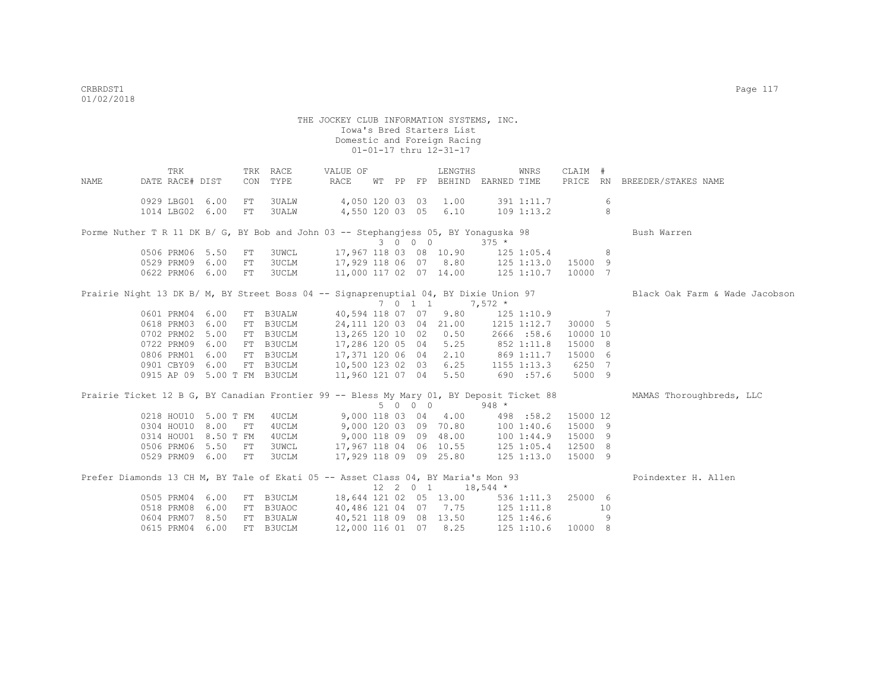THE JOCKEY CLUB INFORMATION SYSTEMS, INC. Iowa's Bred Starters List Domestic and Foreign Racing 01-01-17 thru 12-31-17 TRK TRK RACE WALUE OF LENGTHS WNRS CLAIM # NAME DATE RACE# DIST CON TYPE RACE WT PP FP BEHIND EARNED TIME PRICE RN BREEDER/STAKES NAME 0929 LBG01 6.00 FT 3UALW 4,050 120 03 03 1.00 391 1:11.7 6 1014 LBG02 6.00 FT 3UALW 4,550 120 03 05 6.10 109 1:13.2 8 Porme Nuther T R 11 DK B/ G, BY Bob and John 03 -- Stephangjess 05, BY Yonaguska 98 Bush Warren 3 0 0 0 375 \*<br>3 0 0 0 375 \*<br>3 0 0 0 375 \*<br>3 0 0 0 375 \* 17,967 118 03 08 10.90 125 1:05.4 8<br>17,929 118 06 07 8.80 125 1:13.0 15000 9 0500 PRM09 6.00 FT 3UCLM 17,929 118 06 07 8.80 0622 PRM06 6.00 FT 3UCLM 11,000 117 02 07 14.00 125 1:10.7 10000 7 Prairie Night 13 DK B/ M, BY Street Boss 04 -- Signaprenuptial 04, BY Dixie Union 97 Black Oak Farm & Wade Jacobson  $7 \t 0 \t 1 \t 7,572 \t \star$  0601 PRM04 6.00 FT B3UALW 40,594 118 07 07 9.80 125 1:10.9 7 0618 PRM03 6.00 FT B3UCLM 24,111 120 03 04 21.00 1215 1:12.7 30000 5 0702 PRM02 5.00 FT B3UCLM 13,265 120 10 02 0.50 2666 :58.6 10000 10 0722 PRM09 6.00 FT B3UCLM 17,286 120 05 04 5.25 852 1:11.8 15000 8 0806 PRM01 6.00 FT B3UCLM 17,371 120 06 04 2.10 869 1:11.7 15000 6 0901 CBY09 6.00 FT B3UCLM 10,500 123 02 03 6.25 1155 1:13.3 6250 7 0915 AP 09 5.00 T FM B3UCLM 11,960 121 07 04 5.50 690 :57.6 5000 9 Prairie Ticket 12 B G, BY Canadian Frontier 99 -- Bless My Mary 01, BY Deposit Ticket 88 MAMAS Thoroughbreds, LLC 5 0 0 0 948 \* 0218 HOU10 5.00 T FM 4UCLM 9,000 118 03 04 4.00 498 :58.2 15000 12 0304 HOU10 8.00 FT 4UCLM 9,000 120 03 09 70.80 100 1:40.6 15000 9 0314 HOU01 8.50 T FM 4UCLM 9,000 118 09 09 48.00 100 1:44.9 15000 9 0506 PRM06 5.50 FT 3UWCL 17,967 118 04 06 10.55 125 1:05.4 12500 8 0529 PRM09 6.00 FT 3UCLM 17,929 118 09 09 25.80 125 1:13.0 15000 9 Prefer Diamonds 13 CH M, BY Tale of Ekati 05 -- Asset Class 04, BY Maria's Mon 93 Poindexter H. Allen  $12 \quad 2 \quad 0 \quad 1 \quad 18.544 \quad ^{\star}$  0505 PRM04 6.00 FT B3UCLM 18,644 121 02 05 13.00 536 1:11.3 25000 6 0518 PRM08 6.00 FT B3UAOC 40,486 121 04 07 7.75 125 1:11.8 10 0604 PRM07 8.50 FT B3UALW 40,521 118 09 08 13.50 125 1:46.6 9

0615 PRM04 6.00 FT B3UCLM 12,000 116 01 07 8.25 125 1:10.6 10000 8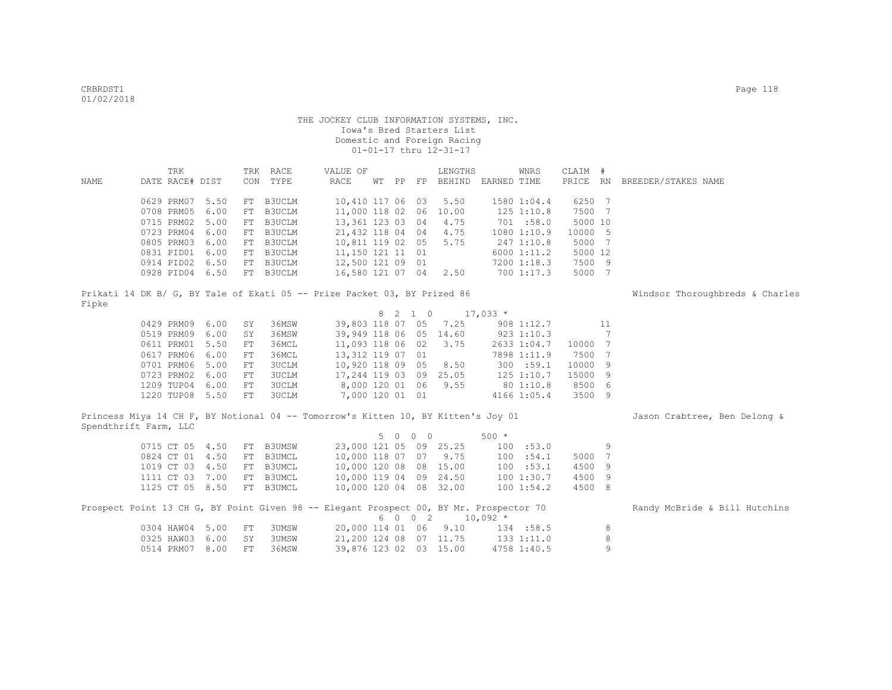|                                                                                        | TRK             |      |            | TRK RACE      | VALUE OF               |  |         | LENGTHS                               |                | WNRS           | CLAIM # |    |                                 |
|----------------------------------------------------------------------------------------|-----------------|------|------------|---------------|------------------------|--|---------|---------------------------------------|----------------|----------------|---------|----|---------------------------------|
| NAME                                                                                   | DATE RACE# DIST |      |            | CON TYPE      | RACE                   |  |         | WT PP FP BEHIND EARNED TIME           |                |                |         |    | PRICE RN BREEDER/STAKES NAME    |
|                                                                                        | 0629 PRM07      | 5.50 | FT         | B3UCLM        | 10,410 117 06 03       |  |         | 5.50                                  |                | 1580 1:04.4    | 6250 7  |    |                                 |
|                                                                                        | 0708 PRM05      | 6.00 | FT         | B3UCLM        | 11,000 118 02          |  | 06      | 10.00                                 |                | 125 1:10.8     | 7500 7  |    |                                 |
|                                                                                        | 0715 PRM02      | 5.00 | FT         | B3UCLM        | 13,361 123 03          |  | 04      | 4.75                                  |                | 701 :58.0      | 5000 10 |    |                                 |
|                                                                                        | 0723 PRM04      | 6.00 | FT         | B3UCLM        | 21,432 118 04 04       |  |         | 4.75                                  |                | 1080 1:10.9    | 10000 5 |    |                                 |
|                                                                                        | 0805 PRM03      | 6.00 | FT         | B3UCLM        | 10,811 119 02 05       |  |         | 5.75                                  |                | 247 1:10.8     | 5000 7  |    |                                 |
|                                                                                        | 0831 PID01      | 6.00 | FT         | B3UCLM        | 11,150 121 11 01       |  |         |                                       |                | 6000 1:11.2    | 5000 12 |    |                                 |
|                                                                                        | 0914 PID02 6.50 |      | FT         | B3UCLM        | 12,500 121 09 01       |  |         |                                       |                | 7200 1:18.3    | 7500 9  |    |                                 |
|                                                                                        | 0928 PID04 6.50 |      |            | FT B3UCLM     | 16,580 121 07 04       |  |         | 2.50                                  |                | 700 1:17.3     | 5000 7  |    |                                 |
| Prikati 14 DK B/ G, BY Tale of Ekati 05 -- Prize Packet 03, BY Prized 86               |                 |      |            |               |                        |  |         |                                       |                |                |         |    | Windsor Thoroughbreds & Charles |
| Fipke                                                                                  |                 |      |            |               |                        |  | 8 2 1 0 | $17,033$ *                            |                |                |         |    |                                 |
|                                                                                        | 0429 PRM09 6.00 |      | SY         | 36MSW         | 39,803 118 07 05       |  |         | 7.25                                  |                | 908 1:12.7     |         | 11 |                                 |
|                                                                                        | 0519 PRM09 6.00 |      | SY         | 36MSW         | 39,949 118 06 05 14.60 |  |         |                                       |                | 923 1:10.3     |         | 7  |                                 |
|                                                                                        | 0611 PRM01      | 5.50 | ${\rm FT}$ | 36MCL         | 11,093 118 06 02       |  |         | 3.75                                  |                | 2633 1:04.7    | 10000 7 |    |                                 |
|                                                                                        | 0617 PRM06      | 6.00 | ${\rm FT}$ | 36MCL         | 13,312 119 07 01       |  |         |                                       |                | 7898 1:11.9    | 7500 7  |    |                                 |
|                                                                                        | 0701 PRM06      | 5.00 | ${\rm FT}$ | <b>3UCLM</b>  | 10,920 118 09 05       |  |         | 8.50                                  |                | 300 : 59.1     | 10000 9 |    |                                 |
|                                                                                        | 0723 PRM02      | 6.00 | ${\rm FT}$ | <b>3UCLM</b>  | 17,244 119 03 09 25.05 |  |         |                                       |                | $125$ $1:10.7$ | 15000 9 |    |                                 |
|                                                                                        | 1209 TUP04      | 6.00 | FT         | <b>3UCLM</b>  | 8,000 120 01 06        |  |         | 9.55                                  |                | 80 1:10.8      | 8500 6  |    |                                 |
|                                                                                        | 1220 TUP08 5.50 |      | FT         | <b>3UCLM</b>  | 7,000 120 01 01        |  |         |                                       |                | 4166 1:05.4    | 3500 9  |    |                                 |
| Princess Miya 14 CH F, BY Notional 04 -- Tomorrow's Kitten 10, BY Kitten's Joy 01      |                 |      |            |               |                        |  |         |                                       |                |                |         |    | Jason Crabtree, Ben Delong &    |
| Spendthrift Farm, LLC                                                                  |                 |      |            |               |                        |  |         |                                       |                |                |         |    |                                 |
|                                                                                        |                 |      |            |               |                        |  | 5 0 0 0 |                                       | $500 *$        |                |         |    |                                 |
|                                                                                        | 0715 CT 05 4.50 |      | FT         | <b>B3UMSW</b> | 23,000 121 05 09 25.25 |  |         |                                       | 100            | :53.0          |         | 9  |                                 |
|                                                                                        | 0824 CT 01 4.50 |      | FT         | B3UMCL        | 10,000 118 07 07       |  |         | 9.75                                  | 100            | :54.1          | 5000 7  |    |                                 |
|                                                                                        | 1019 CT 03 4.50 |      | FT         | B3UMCL        | 10,000 120 08 08       |  |         | 15.00                                 |                | 100 : 53.1     | 4500 9  |    |                                 |
|                                                                                        | 1111 CT 03 7.00 |      | FT         | B3UMCL        | 10,000 119 04 09       |  |         | 24.50                                 |                | 100 1:30.7     | 4500 9  |    |                                 |
|                                                                                        | 1125 CT 05 8.50 |      | ${\rm FT}$ | B3UMCL        | 10,000 120 04 08 32.00 |  |         |                                       |                | 1001:54.2      | 4500 8  |    |                                 |
| Prospect Point 13 CH G, BY Point Given 98 -- Elegant Prospect 00, BY Mr. Prospector 70 |                 |      |            |               |                        |  |         | $6 \t 0 \t 0 \t 2 \t 10,092 \t \star$ |                |                |         |    | Randy McBride & Bill Hutchins   |
|                                                                                        | 0304 HAW04      | 5.00 | FT         | <b>3UMSW</b>  | 20,000 114 01 06       |  |         | 9.10                                  |                | 134 :58.5      |         | 8  |                                 |
|                                                                                        | 0325 HAW03      | 6.00 | SY         | <b>3UMSW</b>  | 21,200 124 08 07 11.75 |  |         |                                       | $133$ $1:11.0$ |                |         | 8  |                                 |
|                                                                                        | 0514 PRM07      | 8.00 | ${\rm FT}$ | 36MSW         | 39,876 123 02 03 15.00 |  |         |                                       |                | 4758 1:40.5    |         | 9  |                                 |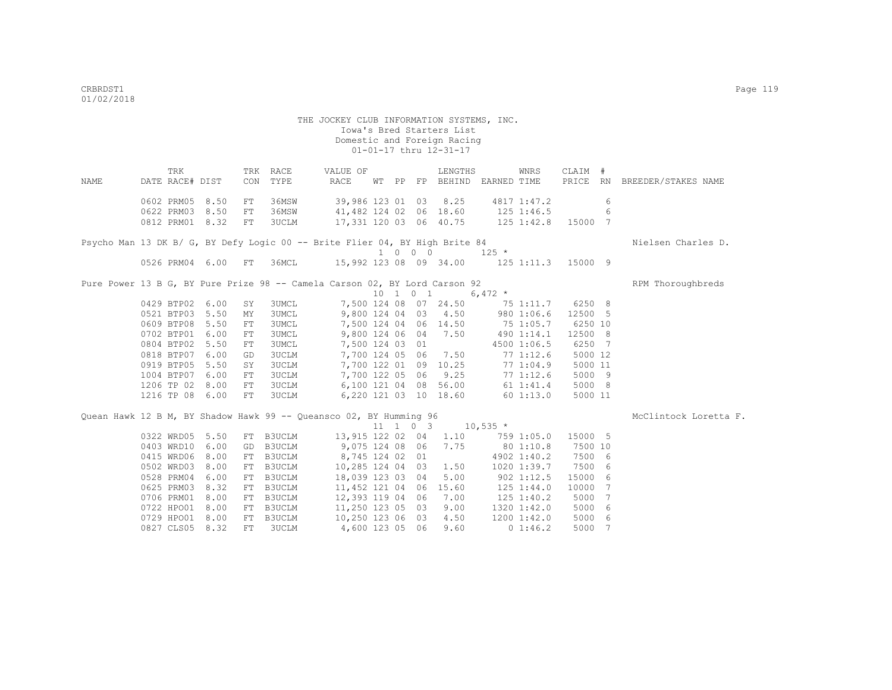|      | TRK             |             | RACE<br>TRK | VALUE OF                                                                    |    |                |                     | LENGTHS                |             | WNRS           | CLAIM # |    |                     |
|------|-----------------|-------------|-------------|-----------------------------------------------------------------------------|----|----------------|---------------------|------------------------|-------------|----------------|---------|----|---------------------|
| NAME | DATE RACE# DIST |             | CON<br>TYPE | RACE                                                                        | WТ | PP             | FP                  | BEHIND                 | EARNED TIME |                | PRICE   | RN | BREEDER/STAKES NAME |
|      | 0602 PRM05      | 8.50<br>FT. | 36MSW       | 39,986 123 01                                                               |    |                | 03                  | 8.25                   |             | 4817 1:47.2    |         | 6  |                     |
|      | 0622 PRM03      | 8.50<br>FT. | 36MSW       | 41,482 124 02                                                               |    |                | 06                  | 18.60                  |             | $125$ $1:46.5$ |         | 6  |                     |
|      | 0812 PRM01      | 8.32<br>FT. | 3UCLM       | 17,331 120 03                                                               |    |                | 06                  | 40.75                  |             | $125$ $1:42.8$ | 15000 7 |    |                     |
|      |                 |             |             | Psycho Man 13 DK B/ G, BY Defy Logic 00 -- Brite Flier 04, BY High Brite 84 |    |                |                     |                        |             |                |         |    | Nielsen Charles D.  |
|      |                 |             |             |                                                                             |    | 1 0            | $\Omega$<br>$\circ$ |                        | $125 *$     |                |         |    |                     |
|      | 0526 PRM04      | 6.00<br>FT. | 36MCL       |                                                                             |    |                |                     | 15,992 123 08 09 34.00 |             | $125$ $1:11.3$ | 15000 9 |    |                     |
|      |                 |             |             | Pure Power 13 B G, BY Pure Prize 98 -- Camela Carson 02, BY Lord Carson 92  |    |                |                     |                        |             |                |         |    | RPM Thoroughbreds   |
|      |                 |             |             |                                                                             | 10 | $\overline{1}$ | $\circ$<br>- 1      |                        | 6,472 $*$   |                |         |    |                     |
|      | 0429 BTP02      | 6.00<br>SY  | 3UMCL       | 7,500 124 08                                                                |    |                | 07                  | 24.50                  |             | 75 1:11.7      | 6250 8  |    |                     |
|      | 0521 BTP03      | 5.50<br>MY  | 3UMCL       | 9,800 124 04                                                                |    |                | 03                  | 4.50                   |             | 980 1:06.6     | 12500 5 |    |                     |
|      | 0609 BTP08      | 5.50<br>FT  | 3UMCL       | 7,500 124 04                                                                |    |                |                     | 06 14.50               |             | 75 1:05.7      | 6250 10 |    |                     |
|      | 0702 BTP01      | 6.00<br>FT  | 3UMCL       | 9,800 124 06                                                                |    |                | 04                  | 7.50                   |             | 490 1:14.1     | 12500 8 |    |                     |
|      | 0804 BTP02      | 5.50<br>FT  | 3UMCL       | 7,500 124 03                                                                |    |                | 01                  |                        |             | 4500 1:06.5    | 6250 7  |    |                     |
|      | 0818 BTP07      | 6.00<br>GD  | 3UCLM       | 7,700 124 05                                                                |    |                | 06                  | 7.50                   |             | 77 1:12.6      | 5000 12 |    |                     |
|      | 0919 BTP05      | 5.50<br>SY  | 3UCLM       | 7,700 122 01                                                                |    |                | 09                  | 10.25                  |             | 771:04.9       | 5000 11 |    |                     |

Quean Hawk 12 B M, BY Shadow Hawk 99 -- Queansco 02, BY Humming 96 MCCLINTOCK Loretta F. 11 1 0 3 10,535 \* 0322 WRD05 5.50 FT B3UCLM 13,915 122 02 04 1.10 759 1:05.0 15000 5 0403 WRD10 6.00 GD B3UCLM 9,075 124 08 06 7.75 80 1:10.8 7500 10 0415 WRD06 8.00 FT B3UCLM 8,745 124 02 01 4902 1:40.2 7500 6 0502 WRD03 8.00 FT B3UCLM 10,285 124 04 03 1.50 1020 1:39.7 7500 6 0528 PRM04 6.00 FT B3UCLM 18,039 123 03 04 5.00 902 1:12.5 15000 6<br>0625 PRM03 8.32 FT B3UCLM 11,452 121 04 06 15.60 125 1:44.0 10000 7 0625 PRM03 8.32 FT B3UCLM 11,452 121 04 06 15.60 125 1:44.0 10000 7<br>0706 PRM01 8.00 FT B3UCLM 12,393 119 04 06 7.00 125 1:40.2 5000 7 0706 PRM01 8.00 FT B3UCLM 12,393 119 04 06 7.00 125 1:40.2 0722 HPO01 8.00 FT B3UCLM 11,250 123 05 03 9.00 1320 1:42.0 5000 6 0729 HPO01 8.00 FT B3UCLM 10,250 123 06 03 4.50 1200 1:42.0 5000 6 0827 CLS05 8.32 FT 3UCLM 4,600 123 05 06 9.60 0 1:46.2 5000 7

1004 BTP07 6.00 FT 3UCLM 7,700 122 05 06 9.25 77 1:12.6 5000 9

1216 TP 08 6.00 FT 3UCLM 6,220 121 03 10 18.60 60 1:13.0 5000 11

1206 TP 02 8.00 FT 3UCLM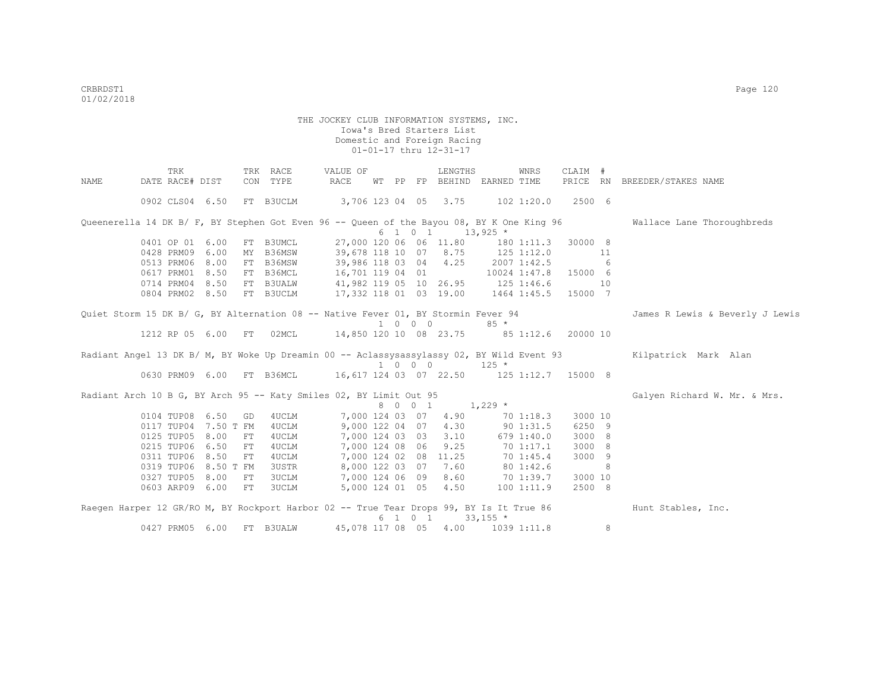|      | TRK                                                                                       |                    | TRK RACE                                               | VALUE OF                                   |    |          |                             | LENGTHS                                       |                 | WNRS        | CLAIM #              |   |                                 |
|------|-------------------------------------------------------------------------------------------|--------------------|--------------------------------------------------------|--------------------------------------------|----|----------|-----------------------------|-----------------------------------------------|-----------------|-------------|----------------------|---|---------------------------------|
| NAME | DATE RACE# DIST                                                                           |                    | CON TYPE                                               | RACE                                       | WТ | $\rm PP$ |                             | FP BEHIND EARNED TIME                         |                 |             |                      |   | PRICE RN BREEDER/STAKES NAME    |
|      | 0902 CLS04 6.50                                                                           |                    | FT B3UCLM                                              | 3,706 123 04 05 3.75 102 1:20.0 2500 6     |    |          |                             |                                               |                 |             |                      |   |                                 |
|      | Queenerella 14 DK B/ F, BY Stephen Got Even 96 -- Queen of the Bayou 08, BY K One King 96 |                    |                                                        |                                            |    |          |                             |                                               |                 |             |                      |   | Wallace Lane Thoroughbreds      |
|      |                                                                                           |                    |                                                        |                                            |    |          | 6 1 0 1                     |                                               | $13,925$ *      |             |                      |   |                                 |
|      | 0401 OP 01 6.00                                                                           |                    | FT B3UMCL                                              |                                            |    |          |                             | 27,000 120 06 06 11.80                        |                 | 180 1:11.3  | 30000 8              |   |                                 |
|      | 0428 PRM09 6.00                                                                           | MY                 | B36MSW                                                 | 39,678 118 10 07 8.75 125 1:12.0           |    |          |                             |                                               |                 |             | $\sim$ 11            |   |                                 |
|      | 0513 PRM06 8.00                                                                           |                    | FT B36MSW                                              | 39,986 118 03 04 4.25                      |    |          |                             |                                               |                 | 2007 1:42.5 | 6 <sup>6</sup>       |   |                                 |
|      | 0617 PRM01 8.50                                                                           |                    | FT B36MCL                                              | 16,701 119 04 01                           |    |          |                             |                                               |                 |             | 10024 1:47.8 15000 6 |   |                                 |
|      | 0714 PRM04 8.50                                                                           |                    | FT B3UALW                                              | 41,982 119 05 10 26.95 125 1:46.6          |    |          |                             |                                               |                 |             | 10                   |   |                                 |
|      | 0804 PRM02 8.50                                                                           |                    | FT B3UCLM                                              | 17,332 118 01 03 19.00 1464 1:45.5 15000 7 |    |          |                             |                                               |                 |             |                      |   |                                 |
|      | Quiet Storm 15 DK B/ G, BY Alternation 08 -- Native Fever 01, BY Stormin Fever 94         |                    |                                                        |                                            |    |          |                             |                                               |                 |             |                      |   | James R Lewis & Beverly J Lewis |
|      |                                                                                           |                    |                                                        |                                            |    |          | $1 \quad 0 \quad 0 \quad 0$ |                                               | $85 *$          |             |                      |   |                                 |
|      | 1212 RP 05 6.00                                                                           | FT                 | 02MCL                                                  | 14,850 120 10 08 23.75 85 1:12.6           |    |          |                             |                                               |                 |             | 20000 10             |   |                                 |
|      | Radiant Angel 13 DK B/ M, BY Woke Up Dreamin 00 -- Aclassysassylassy 02, BY Wild Event 93 |                    |                                                        |                                            |    |          | 1 0 0 0                     |                                               | $125 *$         |             |                      |   | Kilpatrick Mark Alan            |
|      | 0630 PRM09 6.00                                                                           |                    | FT B36MCL  16,617 124 03 07 22.50  125 1:12.7  15000 8 |                                            |    |          |                             |                                               |                 |             |                      |   |                                 |
|      | Radiant Arch 10 B G, BY Arch 95 -- Katy Smiles 02, BY Limit Out 95                        |                    |                                                        |                                            |    |          |                             |                                               |                 |             |                      |   | Galyen Richard W. Mr. & Mrs.    |
|      |                                                                                           |                    |                                                        |                                            |    |          | 8 0 0 1                     | $1,229$ *                                     |                 |             |                      |   |                                 |
|      | 0104 TUP08 6.50                                                                           | GD                 | 4UCLM                                                  | 7,000 124 03 07                            |    |          |                             | 4.90                                          |                 | 701:18.3    | 3000 10              |   |                                 |
|      | 0117 TUP04 7.50 T FM                                                                      |                    | 4UCLM                                                  | 9,000 122 04 07                            |    |          |                             | 4.30                                          |                 | 90 1:31.5   | 6250 9               |   |                                 |
|      | 0125 TUP05                                                                                | 8.00<br>${\rm FT}$ | 4UCLM                                                  | 7,000 124 03 03                            |    |          |                             | 3.10                                          |                 | 679 1:40.0  | 3000 8               |   |                                 |
|      | 0215 TUP06                                                                                | 6.50<br>${\rm FT}$ | 4UCLM                                                  | 7,000 124 08 06                            |    |          |                             | 9.25                                          |                 | 70 1:17.1   | 3000 8               |   |                                 |
|      | 0311 TUP06                                                                                | 8.50<br>FT         | 4UCLM                                                  |                                            |    |          |                             | 7,000 124 02 08 11.25                         |                 | 70 1:45.4   | 3000 9               |   |                                 |
|      | 0319 TUP06 8.50 T FM                                                                      |                    | 3USTR                                                  |                                            |    |          |                             | 8,000 122 03 07 7.60                          |                 | 80 1:42.6   |                      | 8 |                                 |
|      | 0327 TUP05 8.00                                                                           | FT                 | 3UCLM                                                  | 7,000 124 06 09                            |    |          |                             | 8.60                                          |                 | 70 1:39.7   | 3000 10              |   |                                 |
|      | 0603 ARP09 6.00                                                                           | FT                 | 3UCLM                                                  |                                            |    |          |                             | 5,000 124 01 05 4.50                          |                 | 1001:11.9   | 2500 8               |   |                                 |
|      | Raegen Harper 12 GR/RO M, BY Rockport Harbor 02 -- True Tear Drops 99, BY Is It True 86   |                    |                                                        |                                            |    |          |                             |                                               |                 |             |                      |   | Hunt Stables, Inc.              |
|      |                                                                                           |                    |                                                        |                                            |    |          |                             | $6 \quad 1 \quad 0 \quad 1 \quad 33,155 \neq$ |                 |             |                      |   |                                 |
|      | 0427 PRM05                                                                                | 6.00<br>FT         | <b>B3UALW</b>                                          |                                            |    |          |                             | 45,078 117 08 05 4.00                         | $1039$ $1:11.8$ |             |                      | 8 |                                 |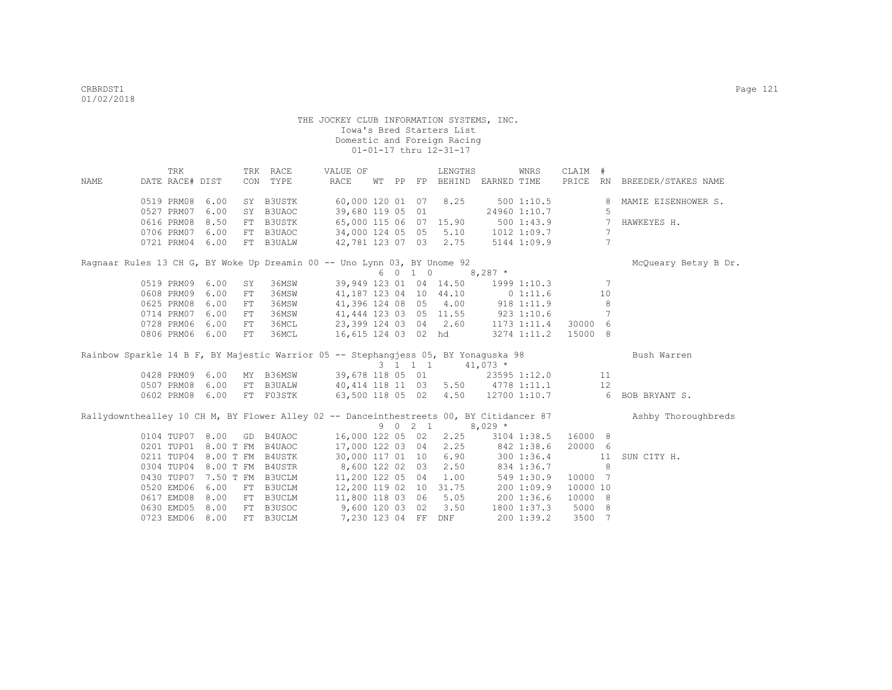|                                                                                         |                               | TRK |                      |     | TRK RACE                    | VALUE OF                                   |    |         | LENGTHS                              |             | WNRS                      | CLAIM #          |                |                      |
|-----------------------------------------------------------------------------------------|-------------------------------|-----|----------------------|-----|-----------------------------|--------------------------------------------|----|---------|--------------------------------------|-------------|---------------------------|------------------|----------------|----------------------|
| <b>NAME</b>                                                                             | DATE RACE# DIST               |     |                      |     | CON TYPE                    | RACE                                       | WТ |         | PP FP BEHIND EARNED TIME             |             |                           | PRICE RN         |                | BREEDER/STAKES NAME  |
|                                                                                         | 0519 PRM08                    |     | 6.00                 |     | SY B3USTK                   | 60,000 120 01 07 8.25                      |    |         |                                      |             | 5001:10.5                 |                  |                | MAMIE EISENHOWER S.  |
|                                                                                         | 0527 PRM07                    |     | 6.00                 | SY  | B3UAOC                      | 39,680 119 05 01                           |    |         |                                      |             | 24960 1:10.7              |                  | 5              |                      |
|                                                                                         | 0616 PRM08                    |     | 8.50                 | FT  | B3USTK                      | 65,000 115 06 07 15.90                     |    |         |                                      |             | 500 1:43.9                |                  | 7              | HAWKEYES H.          |
|                                                                                         | 0706 PRM07                    |     | 6.00                 |     | FT B3UAOC                   | 34,000 124 05 05 5.10 1012 1:09.7          |    |         |                                      |             |                           |                  | 7              |                      |
|                                                                                         | 0721 PRM04 6.00               |     |                      |     | FT B3UALW                   |                                            |    |         | 42,781 123 07 03 2.75                |             | 5144 1:09.9               |                  | $\overline{7}$ |                      |
| Ragnaar Rules 13 CH G, BY Woke Up Dreamin 00 -- Uno Lynn 03, BY Unome 92                |                               |     |                      |     |                             |                                            |    |         |                                      |             |                           |                  |                | McOueary Betsy B Dr. |
|                                                                                         |                               |     |                      |     |                             |                                            |    | 6 0 1 0 |                                      | $8,287$ *   |                           |                  |                |                      |
|                                                                                         | 0519 PRM09 6.00               |     |                      | SY  | 36MSW                       | 39,949 123 01 04 14.50 1999 1:10.3         |    |         |                                      |             |                           |                  | -7             |                      |
|                                                                                         | 0608 PRM09                    |     | 6.00                 | FT. | 36MSW                       | 41, 187 123 04 10 44.10 0 1:11.6           |    |         |                                      |             |                           |                  | 10             |                      |
|                                                                                         | 0625 PRM08                    |     | 6.00                 | FT  | 36MSW                       |                                            |    |         | 41,396 124 08 05 4.00 918 1:11.9     |             |                           |                  | 8              |                      |
|                                                                                         | 0714 PRM07                    |     | 6.00                 | FT  | 36MSW                       |                                            |    |         | 41, 444 123 03 05 11.55 923 1:10.6   |             |                           |                  | 7              |                      |
|                                                                                         | 0728 PRM06                    |     | 6.00                 | FT  | 36MCL                       | 23,399 124 03 04 2.60                      |    |         |                                      | 1173 1:11.4 |                           | 30000            | 6              |                      |
|                                                                                         | 0806 PRM06 6.00               |     |                      | FT  | 36MCL                       |                                            |    |         | 16,615 124 03 02 hd                  |             | 3274 1:11.2               | 15000 8          |                |                      |
|                                                                                         |                               |     |                      |     |                             |                                            |    |         |                                      |             |                           |                  |                |                      |
| Rainbow Sparkle 14 B F, BY Majestic Warrior 05 -- Stephangjess 05, BY Yonaguska 98      |                               |     |                      |     |                             |                                            |    |         |                                      |             |                           |                  |                | Bush Warren          |
|                                                                                         |                               |     |                      |     |                             |                                            |    |         | 3 1 1 1                              | $41,073$ *  |                           |                  |                |                      |
|                                                                                         | 0428 PRM09 6.00               |     |                      |     |                             | MY B36MSW 39,678 118 05 01 23595 1:12.0 11 |    |         |                                      |             |                           |                  |                |                      |
|                                                                                         | 0507 PRM08                    |     | 6.00                 | FT  | <b>B3UALW</b>               |                                            |    |         |                                      |             |                           |                  | 12             |                      |
|                                                                                         | 0602 PRM08                    |     | 6.00                 |     | FT F03STK                   | 40, 414 118 11 03 5.50 4778 1:11.1         |    |         | 63,500 118 05 02 4.50 12700 1:10.7 6 |             |                           |                  |                | BOB BRYANT S.        |
| Rallydownthealley 10 CH M, BY Flower Alley 02 -- Danceinthestreets 00, BY Citidancer 87 |                               |     |                      |     |                             |                                            |    |         |                                      |             |                           |                  |                | Ashby Thoroughbreds  |
|                                                                                         |                               |     |                      |     |                             |                                            |    | 9 0 2 1 |                                      | $8,029$ *   |                           |                  |                |                      |
|                                                                                         | 0104 TUP07 8.00               |     |                      | GD  | B4UAOC                      | 16,000 122 05 02 2.25 3104 1:38.5          |    |         |                                      |             |                           | 16000 8          |                |                      |
|                                                                                         |                               |     | 0201 TUP01 8.00 T FM |     | B4UAOC                      |                                            |    |         | 17,000 122 03 04 2.25 842 1:38.6     |             |                           | 20000 6          |                |                      |
|                                                                                         |                               |     |                      |     | 0211 TUP04 8.00 T FM B4USTK |                                            |    |         | 30,000 117 01 10 6.90                | 300 1:36.4  |                           |                  | 11             | SUN CITY H.          |
|                                                                                         |                               |     |                      |     | 0304 TUP04 8.00 T FM B4USTR | 8,600 122 02 03 2.50                       |    |         |                                      | 834 1:36.7  |                           |                  | 8              |                      |
|                                                                                         | 0430 TUP07                    |     |                      |     | 7.50 T FM B3UCLM            | 11,200 122 05 04 1.00                      |    |         |                                      |             | 549 1:30.9                | 10000 7          |                |                      |
|                                                                                         | 0520 EMD06                    |     | 6.00                 | FT  | B3UCLM                      | 12,200 119 02 10 31.75                     |    |         |                                      | 200 1:09.9  |                           | 10000 10         |                |                      |
|                                                                                         | 0617 EMD08                    |     | 8.00                 | FT  | B3UCLM                      | 11,800 118 03 06 5.05 200 1:36.6           |    |         |                                      |             |                           | 10000 8          |                |                      |
|                                                                                         | 0630 EMD05<br>0723 EMD06 8.00 |     | 8.00                 | FT  | B3USOC<br>FT B3UCLM         | 9,600 120 03 02 3.50<br>7,230 123 04 FF    |    |         | DNF                                  |             | 1800 1:37.3<br>200 1:39.2 | 5000 8<br>3500 7 |                |                      |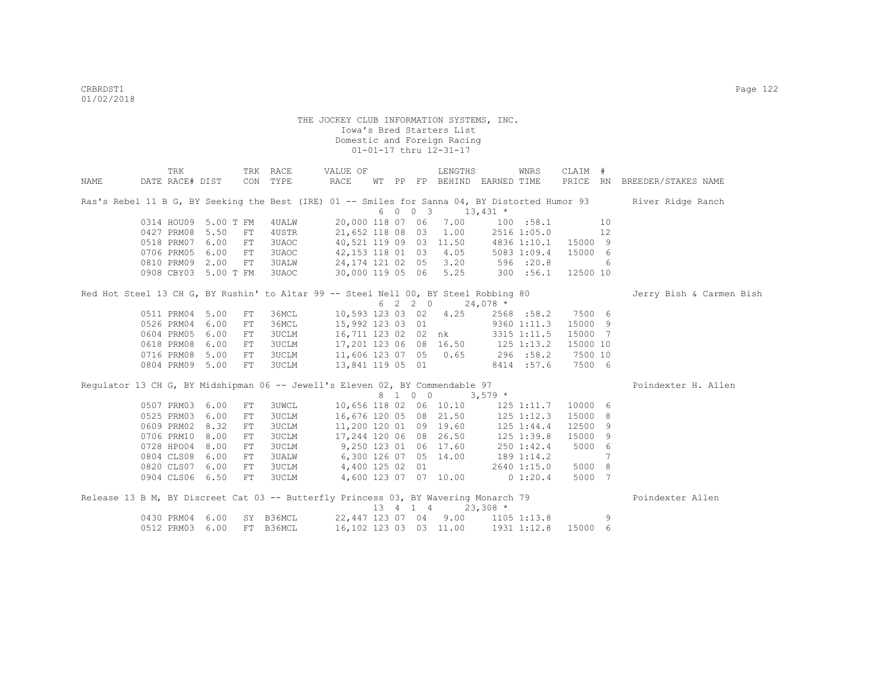|      | TRK                                                                                 |      |            | TRK RACE                             | VALUE OF                           |  |         | LENGTHS                                    |                     | WNRS        | CLAIM #  |    |                                                                                                                  |
|------|-------------------------------------------------------------------------------------|------|------------|--------------------------------------|------------------------------------|--|---------|--------------------------------------------|---------------------|-------------|----------|----|------------------------------------------------------------------------------------------------------------------|
| NAME | DATE RACE# DIST                                                                     |      |            | CON TYPE                             | RACE                               |  |         | WT PP FP BEHIND EARNED TIME                |                     |             |          |    | PRICE RN BREEDER/STAKES NAME                                                                                     |
|      |                                                                                     |      |            |                                      |                                    |  |         |                                            |                     |             |          |    | Ras's Rebel 11 B G, BY Seeking the Best (IRE) 01 -- Smiles for Sanna 04, BY Distorted Humor 93 River Ridge Ranch |
|      |                                                                                     |      |            |                                      |                                    |  | 6 0 0 3 | $13,431$ *                                 |                     |             |          |    |                                                                                                                  |
|      | 0314 HOU09 5.00 T FM                                                                |      |            | 4 UALW                               | 20,000 118 07 06                   |  |         |                                            | 7.00 100 :58.1      |             |          | 10 |                                                                                                                  |
|      | 0427 PRM08                                                                          | 5.50 | FT         | 4USTR                                |                                    |  |         | 21,652 118 08 03 1.00 2516 1:05.0          |                     |             |          | 12 |                                                                                                                  |
|      | 0518 PRM07                                                                          | 6.00 | FT         | 3UAOC                                |                                    |  |         | 40,521 119 09 03 11.50 4836 1:10.1 15000 9 |                     |             |          |    |                                                                                                                  |
|      | 0706 PRM05                                                                          | 6.00 | FT         | <b>3UAOC</b>                         |                                    |  |         | 42,153 118 01 03 4.05                      | 5083 1:09.4 15000 6 |             |          |    |                                                                                                                  |
|      | 0810 PRM09 2.00                                                                     |      | FT         | 3UALW                                |                                    |  |         | 24, 174 121 02 05 3.20 596 :20.8           |                     |             |          | 6  |                                                                                                                  |
|      | 0908 CBY03 5.00 T FM                                                                |      |            | 3UAOC                                |                                    |  |         | 30,000 119 05 06 5.25 300 :56.1 12500 10   |                     |             |          |    |                                                                                                                  |
|      | Red Hot Steel 13 CH G, BY Rushin' to Altar 99 -- Steel Nell 00, BY Steel Robbing 80 |      |            |                                      |                                    |  |         |                                            |                     |             |          |    | Jerry Bish & Carmen Bish                                                                                         |
|      |                                                                                     |      |            |                                      |                                    |  | 6 2 2 0 | $24,078$ *                                 |                     |             |          |    |                                                                                                                  |
|      | 0511 PRM04 5.00                                                                     |      | FT         | 36MCL                                |                                    |  |         | 10,593 123 03 02 4.25                      |                     | 2568 :58.2  | 7500 6   |    |                                                                                                                  |
|      | 0526 PRM04                                                                          | 6.00 | FT         | 36MCL                                |                                    |  |         | 15,992 123 03 01 9360 1:11.3               |                     |             | 15000 9  |    |                                                                                                                  |
|      | 0604 PRM05                                                                          | 6.00 | FT         | 3UCLM                                |                                    |  |         | 16,711 123 02 02 nk                        |                     | 3315 1:11.5 | 15000 7  |    |                                                                                                                  |
|      | 0618 PRM08                                                                          | 6.00 | FT         | 3UCLM                                |                                    |  |         | 17,201 123 06 08 16.50 125 1:13.2          |                     |             | 15000 10 |    |                                                                                                                  |
|      | 0716 PRM08                                                                          | 5.00 | FT         | 3UCLM                                |                                    |  |         | 11,606 123 07 05 0.65 296 :58.2            |                     |             | 7500 10  |    |                                                                                                                  |
|      | 0804 PRM09 5.00                                                                     |      | FT         | 3UCLM                                |                                    |  |         | 13,841 119 05 01 8414 :57.6                |                     |             | 7500 6   |    |                                                                                                                  |
|      | Requlator 13 CH G, BY Midshipman 06 -- Jewell's Eleven 02, BY Commendable 97        |      |            |                                      |                                    |  |         |                                            |                     |             |          |    | Poindexter H. Allen                                                                                              |
|      |                                                                                     |      |            |                                      |                                    |  | 8 1 0 0 |                                            | $3,579$ *           |             |          |    |                                                                                                                  |
|      | 0507 PRM03 6.00                                                                     |      | FT         | <b>3UWCL</b>                         |                                    |  |         | 10,656 118 02 06 10.10                     |                     | 125 1:11.7  | 10000 6  |    |                                                                                                                  |
|      | 0525 PRM03                                                                          | 6.00 | ${\rm FT}$ | 3UCLM                                |                                    |  |         | 16,676 120 05 08 21.50                     | 125 1:12.3          |             | 15000 8  |    |                                                                                                                  |
|      | 0609 PRM02                                                                          | 8.32 | FT         | <b>3UCLM</b>                         |                                    |  |         | 11,200 120 01 09 19.60                     | 125 1:44.4          |             | 12500    | 9  |                                                                                                                  |
|      | 0706 PRM10                                                                          | 8.00 | FT         | 3UCLM                                |                                    |  |         | 17,244 120 06 08 26.50 125 1:39.8          |                     |             | 15000 9  |    |                                                                                                                  |
|      | 0728 HPO04 8.00                                                                     |      | FT         | 3UCLM                                | $9,250$ 123 01 06 17.60 250 1:42.4 |  |         |                                            |                     |             | 5000 6   |    |                                                                                                                  |
|      | 0804 CLS08                                                                          | 6.00 | FT         | 3UALW                                | $6,300$ 126 07 05 14.00 189 1:14.2 |  |         |                                            |                     |             |          | 7  |                                                                                                                  |
|      | 0820 CLS07 6.00                                                                     |      | FT         | 3UCLM                                | 4,400 125 02 01 2640 1:15.0        |  |         |                                            |                     |             | 5000 8   |    |                                                                                                                  |
|      | 0904 CLS06 6.50                                                                     |      | FT         | 3UCLM 4,600 123 07 07 10.00 0 1:20.4 |                                    |  |         |                                            |                     |             | 5000 7   |    |                                                                                                                  |
|      | Release 13 B M, BY Discreet Cat 03 -- Butterfly Princess 03, BY Wavering Monarch 79 |      |            |                                      |                                    |  |         |                                            |                     |             |          |    | Poindexter Allen                                                                                                 |
|      |                                                                                     |      |            |                                      |                                    |  |         | 13 4 1 4 23,308 *                          |                     |             |          |    |                                                                                                                  |
|      | 0430 PRM04 6.00                                                                     |      |            | SY B36MCL                            |                                    |  |         | 22,447 123 07 04 9.00 1105 1:13.8          |                     |             |          | 9  |                                                                                                                  |
|      | 0512 PRM03 6.00                                                                     |      |            | FT B36MCL                            |                                    |  |         | 16,102 123 03 03 11.00                     |                     | 1931 1:12.8 | 15000 6  |    |                                                                                                                  |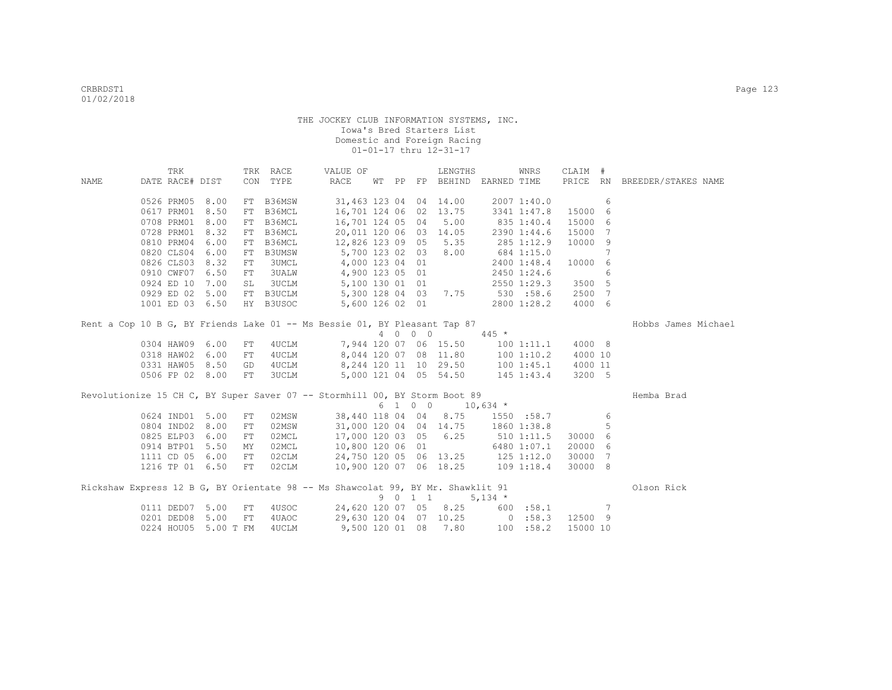|      | TRK             |                      |            | TRK RACE            | VALUE OF                                                                        |  |         | LENGTHS                                          |            | WNRS        | CLAIM #  |     |                              |  |
|------|-----------------|----------------------|------------|---------------------|---------------------------------------------------------------------------------|--|---------|--------------------------------------------------|------------|-------------|----------|-----|------------------------------|--|
| NAME | DATE RACE# DIST |                      |            | CON TYPE            | RACE                                                                            |  |         | WT PP FP BEHIND EARNED TIME                      |            |             |          |     | PRICE RN BREEDER/STAKES NAME |  |
|      |                 | 0526 PRM05 8.00      |            |                     |                                                                                 |  |         |                                                  |            |             |          |     |                              |  |
|      |                 | 0617 PRM01 8.50      | FT         | FT B36MSW<br>B36MCL |                                                                                 |  |         | 31,463 123 04 04 14.00<br>16,701 124 06 02 13.75 |            | 2007 1:40.0 | 15000    | 6   |                              |  |
|      |                 | 0708 PRM01 8.00      |            | B36MCL              | 16,701 124 05 04                                                                |  |         | 5.00                                             |            | 3341 1:47.8 | 15000    | - 6 |                              |  |
|      |                 | 0728 PRM01 8.32      | FT         | B36MCL              |                                                                                 |  |         |                                                  | 835 1:40.4 |             |          | 6   |                              |  |
|      |                 | 0810 PRM04 6.00      | FT         |                     |                                                                                 |  |         | 20,011 120 06 03 14.05                           |            | 2390 1:44.6 | 15000    | 7   |                              |  |
|      |                 |                      | ${\rm FT}$ | B36MCL              | 12,826 123 09 05                                                                |  |         | 5.35                                             | 285 1:12.9 |             | 10000    | 9   |                              |  |
|      |                 | 0820 CLS04 6.00      | FT         | B3UMSW              |                                                                                 |  |         | 5,700 123 02 03 8.00                             | 684 1:15.0 |             |          | 7   |                              |  |
|      |                 | 0826 CLS03 8.32      | FT         | 3UMCL               | 4,000 123 04 01                                                                 |  |         |                                                  |            | 2400 1:48.4 | 10000    | - 6 |                              |  |
|      |                 | 0910 CWF07 6.50      | FT         | 3UALW               | 4,900 123 05 01                                                                 |  |         |                                                  |            | 2450 1:24.6 |          | 6   |                              |  |
|      | 0924 ED 10      | 7.00                 | SL         | 3UCLM               | 5,100 130 01 01                                                                 |  |         |                                                  |            | 2550 1:29.3 | 3500 5   |     |                              |  |
|      |                 | 0929 ED 02 5.00      | FT         | B3UCLM              |                                                                                 |  |         | 5,300 128 04 03 7.75 530 :58.6                   |            |             | 2500     | - 7 |                              |  |
|      |                 | 1001 ED 03 6.50      |            | HY B3USOC           | 5,600 126 02 01                                                                 |  |         |                                                  |            | 2800 1:28.2 | 4000 6   |     |                              |  |
|      |                 |                      |            |                     | Rent a Cop 10 B G, BY Friends Lake 01 -- Ms Bessie 01, BY Pleasant Tap 87       |  |         |                                                  |            |             |          |     | Hobbs James Michael          |  |
|      |                 |                      |            |                     |                                                                                 |  | 4 0 0 0 |                                                  | $445 *$    |             |          |     |                              |  |
|      |                 | 0304 HAW09 6.00      | FT         |                     | 4 UCLM                                                                          |  |         | 7,944 120 07 06 15.50 100 1:11.1                 |            |             | 4000 8   |     |                              |  |
|      |                 | 0318 HAW02 6.00      | FT         | 4UCLM               |                                                                                 |  |         | 8,044 120 07 08 11.80                            |            | 100 1:10.2  | 4000 10  |     |                              |  |
|      |                 | 0331 HAW05 8.50      | GD         | 4UCLM               |                                                                                 |  |         | 8,244 120 11 10 29.50                            |            | 1001:45.1   | 4000 11  |     |                              |  |
|      |                 | 0506 FP 02 8.00      | FT         | 3UCLM               |                                                                                 |  |         | 5,000 121 04 05 54.50 145 1:43.4                 |            |             | 3200 5   |     |                              |  |
|      |                 |                      |            |                     |                                                                                 |  |         |                                                  |            |             |          |     |                              |  |
|      |                 |                      |            |                     | Revolutionize 15 CH C, BY Super Saver 07 -- Stormhill 00, BY Storm Boot 89      |  |         |                                                  |            |             |          |     | Hemba Brad                   |  |
|      |                 |                      |            |                     |                                                                                 |  | 6 1 0 0 | $10,634$ *                                       |            |             |          |     |                              |  |
|      |                 | 0624 IND01 5.00      | FT         | 02MSW               |                                                                                 |  |         | 38,440 118 04 04 8.75                            |            | 1550 :58.7  |          | 6   |                              |  |
|      |                 | 0804 IND02 8.00      | ${\rm FT}$ | 02MSW               |                                                                                 |  |         | 31,000 120 04 04 14.75 1860 1:38.8               |            |             |          | 5   |                              |  |
|      | 0825 ELP03      | 6.00                 | FT         | 02MCL               | 17,000 120 03 05                                                                |  |         | 6.25                                             | 510 1:11.5 |             | 30000    | 6   |                              |  |
|      | 0914 BTP01      | 5.50                 | MΥ         | 02MCL               | 10,800 120 06 01                                                                |  |         |                                                  |            | 6480 1:07.1 | 20000    | 6   |                              |  |
|      |                 | 1111 CD 05 6.00      | ${\rm FT}$ | 02CLM               | 24,750 120 05 06 13.25 125 1:12.0                                               |  |         |                                                  |            |             | 30000    | 7   |                              |  |
|      |                 | 1216 TP 01 6.50      | FT         | 02CLM               | 10,900 120 07 06 18.25 109 1:18.4                                               |  |         |                                                  |            |             | 30000 8  |     |                              |  |
|      |                 |                      |            |                     | Rickshaw Express 12 B G, BY Orientate 98 -- Ms Shawcolat 99, BY Mr. Shawklit 91 |  |         |                                                  |            |             |          |     | Olson Rick                   |  |
|      |                 |                      |            |                     |                                                                                 |  | 9 0 1 1 |                                                  | $5,134$ *  |             |          |     |                              |  |
|      |                 | 0111 DED07 5.00      | FT         | 4USOC               | 24,620 120 07 05 8.25                                                           |  |         |                                                  |            | 600 : 58.1  |          | 7   |                              |  |
|      |                 | 0201 DED08 5.00      | ${\rm FT}$ | 4UAOC               |                                                                                 |  |         | 29,630 120 04 07 10.25 0 :58.3                   |            |             | 12500 9  |     |                              |  |
|      |                 | 0224 HOU05 5.00 T FM |            | 4UCLM               | 9,500 120 01 08                                                                 |  |         | 7.80                                             |            | 100 : 58.2  | 15000 10 |     |                              |  |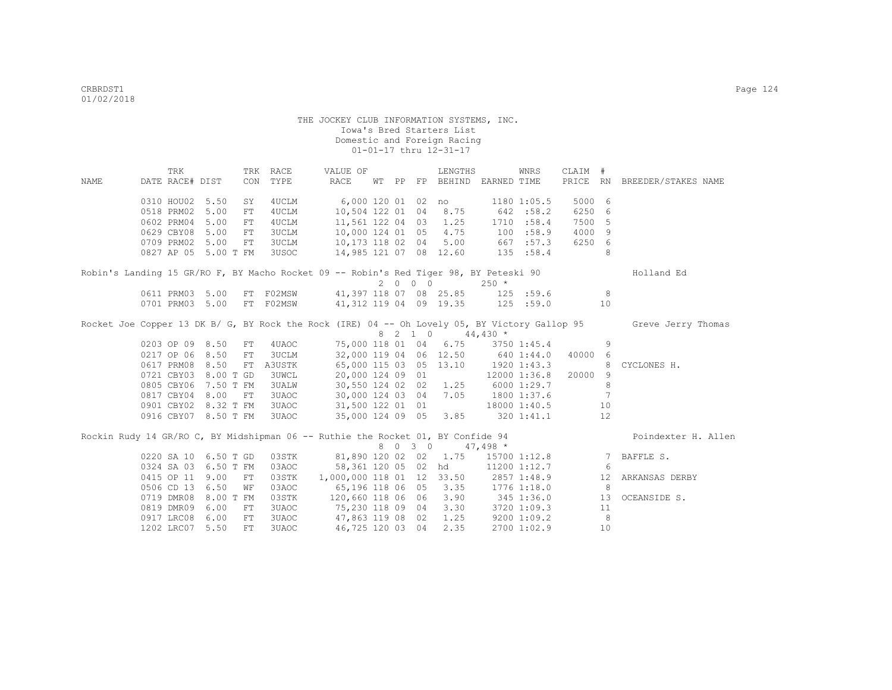|      | TRK             |                      | TRK RACE     | VALUE OF                                                                              |  |         | LENGTHS               |                                   | WNRS            | CLAIM #  |             |                                                                                                                  |
|------|-----------------|----------------------|--------------|---------------------------------------------------------------------------------------|--|---------|-----------------------|-----------------------------------|-----------------|----------|-------------|------------------------------------------------------------------------------------------------------------------|
| NAME | DATE RACE# DIST |                      | CON TYPE     | RACE                                                                                  |  |         |                       | WT PP FP BEHIND EARNED TIME       |                 | PRICE RN |             | BREEDER/STAKES NAME                                                                                              |
|      | 0310 HOU02 5.50 | SY                   | 4UCLM        | 6,000 120 01 02                                                                       |  |         | no                    | 1180 1:05.5                       |                 | 5000 6   |             |                                                                                                                  |
|      | 0518 PRM02 5.00 | FT                   | 4UCLM        | 10,504 122 01 04                                                                      |  |         | 8.75                  |                                   | 642 :58.2       | 6250 6   |             |                                                                                                                  |
|      | 0602 PRM04 5.00 | FT                   | 4UCLM        | 11,561 122 04 03 1.25                                                                 |  |         |                       |                                   | 1710 :58.4      | 7500 5   |             |                                                                                                                  |
|      | 0629 CBY08 5.00 | FT                   | 3UCLM        | 10,000 124 01 05 4.75                                                                 |  |         |                       | 100 : 58.9                        |                 | 4000 9   |             |                                                                                                                  |
|      | 0709 PRM02 5.00 | FT                   | 3UCLM        | 10,173 118 02 04                                                                      |  |         |                       | $5.00$ 667 :57.3                  |                 | 6250 6   |             |                                                                                                                  |
|      |                 | 0827 AP 05 5.00 T FM | 3USOC        | 14,985 121 07 08 12.60                                                                |  |         |                       |                                   | 135 : 58.4      |          | 8           |                                                                                                                  |
|      |                 |                      |              |                                                                                       |  |         |                       |                                   |                 |          |             |                                                                                                                  |
|      |                 |                      |              | Robin's Landing 15 GR/RO F, BY Macho Rocket 09 -- Robin's Red Tiger 98, BY Peteski 90 |  |         |                       |                                   |                 |          |             | Holland Ed                                                                                                       |
|      |                 |                      |              |                                                                                       |  | 2000    |                       | $250 *$                           |                 |          |             |                                                                                                                  |
|      | 0611 PRM03 5.00 |                      |              | FT F02MSW 41,397 118 07 08 25.85 125 :59.6                                            |  |         |                       |                                   |                 |          | 8           |                                                                                                                  |
|      | 0701 PRM03 5.00 | FT                   | F02MSW       | 41,312 119 04 09 19.35 125 :59.0                                                      |  |         |                       |                                   |                 |          | 10          |                                                                                                                  |
|      |                 |                      |              |                                                                                       |  |         |                       |                                   |                 |          |             | Rocket Joe Copper 13 DK B/ G, BY Rock the Rock (IRE) 04 -- Oh Lovely 05, BY Victory Gallop 95 Greve Jerry Thomas |
|      |                 |                      |              |                                                                                       |  | 8 2 1 0 |                       | $44,430*$                         |                 |          |             |                                                                                                                  |
|      | 0203 OP 09 8.50 | ${\rm FT}$           | 4UAOC        |                                                                                       |  |         | 75,000 118 01 04 6.75 |                                   | 3750 1:45.4     |          | 9           |                                                                                                                  |
|      | 0217 OP 06 8.50 | FT                   | 3UCLM        |                                                                                       |  |         |                       | 32,000 119 04 06 12.50 640 1:44.0 |                 | 40000    | -6          |                                                                                                                  |
|      | 0617 PRM08 8.50 | FT                   | A3USTK       | 65,000 115 03 05 13.10                                                                |  |         |                       | 1920 1:43.3                       |                 |          | 8           | CYCLONES H.                                                                                                      |
|      |                 | 0721 CBY03 8.00 T GD | <b>3UWCL</b> | 20,000 124 09 01                                                                      |  |         |                       |                                   | 12000 1:36.8    | 20000    | 9           |                                                                                                                  |
|      |                 | 0805 CBY06 7.50 T FM | <b>3UALW</b> | 30,550 124 02 02 1.25                                                                 |  |         |                       | 6000 1:29.7                       |                 |          | 8           |                                                                                                                  |
|      | 0817 CBY04 8.00 | FT                   | 3UAOC        | 30,000 124 03 04 7.05                                                                 |  |         |                       | 1800 1:37.6                       |                 |          | 7           |                                                                                                                  |
|      |                 | 0901 CBY02 8.32 T FM | 3UAOC        | 31,500 122 01 01                                                                      |  |         |                       |                                   | 18000 1:40.5    |          | 10          |                                                                                                                  |
|      |                 | 0916 CBY07 8.50 T FM | 3UAOC        | 35,000 124 09 05 3.85                                                                 |  |         |                       |                                   | 320 1:41.1      |          | 12          |                                                                                                                  |
|      |                 |                      |              | Rockin Rudy 14 GR/RO C, BY Midshipman 06 -- Ruthie the Rocket 01, BY Confide 94       |  |         |                       |                                   |                 |          |             | Poindexter H. Allen                                                                                              |
|      |                 |                      |              |                                                                                       |  | 8 0 3 0 |                       | $47,498$ *                        |                 |          |             |                                                                                                                  |
|      |                 | 0220 SA 10 6.50 T GD | 03STK        |                                                                                       |  |         | 81,890 120 02 02 1.75 |                                   | 15700 1:12.8    |          | $7^{\circ}$ | BAFFLE S.                                                                                                        |
|      |                 | 0324 SA 03 6.50 T FM | 03AOC        | 58,361 120 05 02 hd                                                                   |  |         |                       |                                   | 11200 1:12.7    |          | -6          |                                                                                                                  |
|      | 0415 OP 11 9.00 | FT                   | 03STK        | 1,000,000 118 01 12 33.50                                                             |  |         |                       | 2857 1:48.9                       |                 |          | 12          | ARKANSAS DERBY                                                                                                   |
|      | 0506 CD 13 6.50 | WF                   | 03AOC        | 65,196 118 06 05 3.35                                                                 |  |         |                       | 1776 1:18.0                       |                 |          | 8           |                                                                                                                  |
|      |                 | 0719 DMR08 8.00 T FM | 03STK        | 120,660 118 06 06 3.90                                                                |  |         |                       | 345 1:36.0                        |                 |          | 13          | OCEANSIDE S.                                                                                                     |
|      | 0819 DMR09 6.00 | FT                   | 3UAOC        | 75,230 118 09 04 3.30 3720 1:09.3                                                     |  |         |                       |                                   |                 |          | 11          |                                                                                                                  |
|      | 0917 LRC08 6.00 | FT                   | 3UAOC        | 47,863 119 08 02                                                                      |  |         | 1.25                  |                                   | $9200$ $1:09.2$ |          | 8           |                                                                                                                  |
|      | 1202 LRC07 5.50 | FT.                  | 3UAOC        | 46,725 120 03 04                                                                      |  |         | 2.35                  |                                   | 2700 1:02.9     |          | 10          |                                                                                                                  |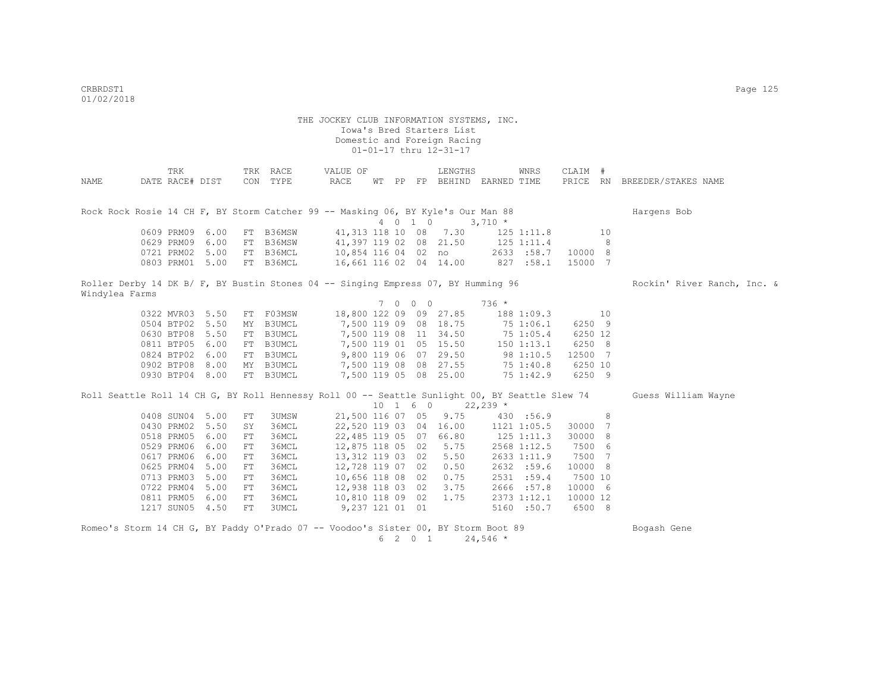|                                                                                                | TRK             |      |    | TRK RACE      | VALUE OF               |       |     |            | LENGTHS                |            | WNRS           | CLAIM #  |    |                              |
|------------------------------------------------------------------------------------------------|-----------------|------|----|---------------|------------------------|-------|-----|------------|------------------------|------------|----------------|----------|----|------------------------------|
| NAME                                                                                           | DATE RACE# DIST |      |    | CON TYPE      | RACE                   | WT PP |     |            | FP BEHIND EARNED TIME  |            |                |          |    | PRICE RN BREEDER/STAKES NAME |
|                                                                                                |                 |      |    |               |                        |       |     |            |                        |            |                |          |    |                              |
| Rock Rock Rosie 14 CH F, BY Storm Catcher 99 -- Masking 06, BY Kyle's Our Man 88               |                 |      |    |               |                        |       |     |            |                        |            |                |          |    | Hargens Bob                  |
|                                                                                                |                 |      |    |               |                        |       |     | 4 0 1 0    |                        | $3,710 *$  |                |          |    |                              |
|                                                                                                | 0609 PRM09 6.00 |      |    | FT B36MSW     |                        |       |     |            | 41, 313 118 10 08 7.30 |            | $125$ $1:11.8$ |          | 10 |                              |
|                                                                                                | 0629 PRM09      | 6.00 | FT | B36MSW        | 41,397 119 02 08 21.50 |       |     |            |                        |            | 125 1:11.4     |          | 8  |                              |
|                                                                                                | 0721 PRM02      | 5.00 | FT | B36MCL        | 10,854 116 04 02 no    |       |     |            |                        |            | 2633 :58.7     | 10000 8  |    |                              |
|                                                                                                | 0803 PRM01 5.00 |      |    | FT B36MCL     | 16,661 116 02 04 14.00 |       |     |            |                        |            | 827 : 58.1     | 15000 7  |    |                              |
|                                                                                                |                 |      |    |               |                        |       |     |            |                        |            |                |          |    |                              |
| Roller Derby 14 DK B/ F, BY Bustin Stones 04 -- Singing Empress 07, BY Humming 96              |                 |      |    |               |                        |       |     |            |                        |            |                |          |    | Rockin' River Ranch, Inc. &  |
| Windylea Farms                                                                                 |                 |      |    |               |                        |       |     |            |                        |            |                |          |    |                              |
|                                                                                                |                 |      |    |               |                        |       | 7 0 | $0\quad 0$ |                        | $736 *$    |                |          |    |                              |
|                                                                                                | 0322 MVR03 5.50 |      |    | FT F03MSW     | 18,800 122 09 09 27.85 |       |     |            |                        |            | 188 1:09.3     |          | 10 |                              |
|                                                                                                | 0504 BTP02      | 5.50 | MY | B3UMCL        | 7,500 119 09 08 18.75  |       |     |            |                        |            | 75 1:06.1      | 6250 9   |    |                              |
|                                                                                                | 0630 BTP08      | 5.50 | FT | <b>B3UMCL</b> |                        |       |     |            | 7,500 119 08 11 34.50  |            | 751:05.4       | 6250 12  |    |                              |
|                                                                                                | 0811 BTP05 6.00 |      | FT | B3UMCL        |                        |       |     |            | 7,500 119 01 05 15.50  | 150 1:13.1 |                | 6250 8   |    |                              |
|                                                                                                | 0824 BTP02 6.00 |      | FT | B3UMCL        |                        |       |     |            | 9,800 119 06 07 29.50  | 981:10.5   |                | 12500 7  |    |                              |
|                                                                                                | 0902 BTP08 8.00 |      |    | MY B3UMCL     |                        |       |     |            | 7,500 119 08 08 27.55  | 75 1:40.8  |                | 6250 10  |    |                              |
|                                                                                                | 0930 BTP04 8.00 |      |    | FT B3UMCL     |                        |       |     |            | 7,500 119 05 08 25.00  |            | 75 1:42.9      | 6250 9   |    |                              |
| Roll Seattle Roll 14 CH G, BY Roll Hennessy Roll 00 -- Seattle Sunlight 00, BY Seattle Slew 74 |                 |      |    |               |                        |       |     |            |                        |            |                |          |    | Guess William Wayne          |
|                                                                                                |                 |      |    |               |                        |       |     | 10 1 6 0   |                        | $22,239$ * |                |          |    |                              |
|                                                                                                | 0408 SUN04 5.00 |      | FT | 3UMSW         | 21,500 116 07 05       |       |     |            | 9.75                   |            | 430 :56.9      |          | 8  |                              |
|                                                                                                | 0430 PRM02 5.50 |      | SY | 36MCL         | 22,520 119 03 04 16.00 |       |     |            |                        |            | 1121 1:05.5    | 30000    | 7  |                              |
|                                                                                                | 0518 PRM05 6.00 |      | FT | 36MCL         | 22,485 119 05 07 66.80 |       |     |            |                        |            | 125 1:11.3     | 30000    | 8  |                              |
|                                                                                                | 0529 PRM06      | 6.00 | FT | 36MCL         | 12,875 118 05 02 5.75  |       |     |            |                        |            | 2568 1:12.5    | 7500 6   |    |                              |
|                                                                                                | 0617 PRM06      | 6.00 | FT | 36MCL         | 13,312 119 03 02       |       |     |            | 5.50                   |            | 2633 1:11.9    | 7500     | 7  |                              |
|                                                                                                | 0625 PRM04      | 5.00 | FT | 36MCL         | 12,728 119 07 02 0.50  |       |     |            |                        |            | 2632 :59.6     | 10000 8  |    |                              |
|                                                                                                | 0713 PRM03      | 5.00 | FT | 36MCL         | 10,656 118 08 02 0.75  |       |     |            |                        |            | 2531 :59.4     | 7500 10  |    |                              |
|                                                                                                | 0722 PRM04 5.00 |      | FT | 36MCL         | 12,938 118 03 02       |       |     |            | 3.75                   |            | 2666 :57.8     | 10000 6  |    |                              |
|                                                                                                | 0811 PRM05 6.00 |      | FT | 36MCL         | 10,810 118 09 02       |       |     |            | 1.75                   |            | 2373 1:12.1    | 10000 12 |    |                              |
|                                                                                                | 1217 SUN05 4.50 |      | FT | 3UMCL         | 9,237 121 01 01        |       |     |            |                        |            | 5160 :50.7     | 6500 8   |    |                              |
|                                                                                                |                 |      |    |               |                        |       |     |            |                        |            |                |          |    |                              |
| Romeo's Storm 14 CH G, BY Paddy O'Prado 07 -- Voodoo's Sister 00, BY Storm Boot 89             |                 |      |    |               |                        |       |     |            |                        |            |                |          |    | Bogash Gene                  |
|                                                                                                |                 |      |    |               |                        |       |     | 6 2 0 1    |                        | $24,546$ * |                |          |    |                              |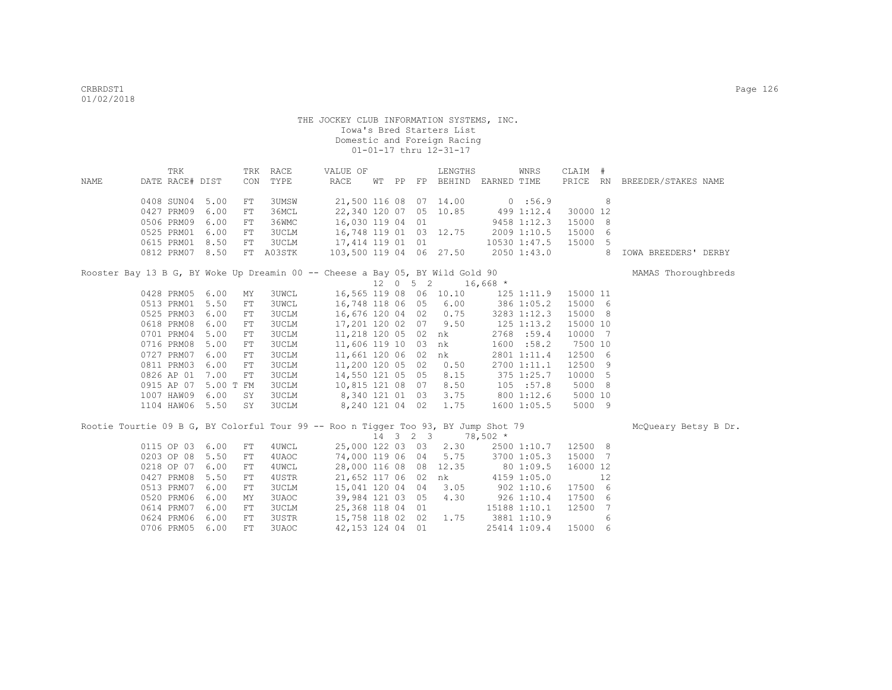|      | TRK                                                                                |           |            | TRK RACE     | VALUE OF                                       |  | LENGTHS                                |                  | WNRS               | CLAIM #  |            |                              |
|------|------------------------------------------------------------------------------------|-----------|------------|--------------|------------------------------------------------|--|----------------------------------------|------------------|--------------------|----------|------------|------------------------------|
| NAME | DATE RACE# DIST                                                                    |           |            | CON TYPE     | RACE                                           |  | WT PP FP BEHIND EARNED TIME            |                  |                    |          |            | PRICE RN BREEDER/STAKES NAME |
|      |                                                                                    |           |            |              |                                                |  |                                        |                  |                    |          |            |                              |
|      | 0408 SUN04 5.00                                                                    |           | ${\rm FT}$ | 3UMSW        | 21,500 116 08 07 14.00                         |  |                                        | 0:56.9           |                    |          | 8          |                              |
|      | 0427 PRM09                                                                         | 6.00      | ${\rm FT}$ | 36MCL        | 22,340 120 07 05 10.85 499 1:12.4              |  |                                        |                  |                    | 30000 12 |            |                              |
|      | 0506 PRM09                                                                         | 6.00      | ${\rm FT}$ | 36WMC        | 16,030 119 04 01                               |  |                                        |                  | 9458 1:12.3        | 15000    | $_{\rm 8}$ |                              |
|      | 0525 PRM01                                                                         | 6.00      | FT         | 3UCLM        | 16,748 119 01 03 12.75                         |  |                                        | 2009 1:10.5      |                    | 15000    | - 6        |                              |
|      | 0615 PRM01 8.50                                                                    |           | FT         | 3UCLM        | 17,414 119 01 01                               |  |                                        |                  | 10530 1:47.5 15000 |          | - 5        |                              |
|      | 0812 PRM07 8.50                                                                    |           |            | FT A03STK    | 103,500 119 04 06 27.50 2050 1:43.0            |  |                                        |                  |                    |          | 8          | IOWA BREEDERS' DERBY         |
|      | Rooster Bay 13 B G, BY Woke Up Dreamin 00 -- Cheese a Bay 05, BY Wild Gold 90      |           |            |              |                                                |  |                                        |                  |                    |          |            | MAMAS Thoroughbreds          |
|      |                                                                                    |           |            |              |                                                |  | $12 \t 0 \t 5 \t 2 \t 16,668 \t \star$ |                  |                    |          |            |                              |
|      | 0428 PRM05 6.00                                                                    |           | MY         | <b>3UWCL</b> | 16,565 119 08 06 10.10 125 1:11.9              |  |                                        |                  |                    | 15000 11 |            |                              |
|      | 0513 PRM01                                                                         | 5.50      | FT         | <b>3UWCL</b> | 16,748 118 06 05 6.00 386 1:05.2               |  |                                        |                  |                    | 15000 6  |            |                              |
|      | 0525 PRM03                                                                         | 6.00      | FT         | 3UCLM        | 16,676 120 04 02 0.75                          |  |                                        | 3283 1:12.3      |                    | 15000 8  |            |                              |
|      | 0618 PRM08                                                                         | 6.00      | FT         | 3UCLM        | 17,201 120 02 07 9.50                          |  |                                        |                  | $125$ $1:13.2$     | 15000 10 |            |                              |
|      | 0701 PRM04                                                                         | 5.00      | FT         | <b>3UCLM</b> | 11,218 120 05 02 nk                            |  |                                        |                  | 2768 :59.4         | 10000 7  |            |                              |
|      | 0716 PRM08                                                                         | 5.00      | ${\rm FT}$ | 3UCLM        | 11,606 119 10 03 nk                            |  |                                        |                  | 1600 : 58.2        | 7500 10  |            |                              |
|      | 0727 PRM07                                                                         | 6.00      | ${\rm FT}$ | 3UCLM        | 11,661 120 06 02 nk                            |  |                                        |                  | 2801 1:11.4        | 12500 6  |            |                              |
|      | 0811 PRM03                                                                         | 6.00      | FT         | <b>3UCLM</b> | 11,200 120 05 02 0.50                          |  |                                        |                  | 2700 1:11.1        | 12500 9  |            |                              |
|      | 0826 AP 01                                                                         | 7.00      | ${\rm FT}$ | 3UCLM        | 14,550 121 05 05 8.15                          |  |                                        |                  | 375 1:25.7         | 10000 5  |            |                              |
|      | 0915 AP 07                                                                         | 5.00 T FM |            | 3UCLM        | 10,815 121 08 07 8.50                          |  |                                        |                  | 105 : 57.8         | 5000 8   |            |                              |
|      | 1007 HAW09                                                                         | 6.00      | SY         | 3UCLM        | $8,340$ 121 01 03 3.75<br>0.010 101 04 02 1.75 |  |                                        |                  | 800 1:12.6         | 5000 10  |            |                              |
|      | 1104 HAW06 5.50                                                                    |           | SY         | 3UCLM        | 8,240 121 04 02 1.75                           |  |                                        |                  | 1600 1:05.5        | 5000 9   |            |                              |
|      | Rootie Tourtie 09 B G, BY Colorful Tour 99 -- Roo n Tigger Too 93, BY Jump Shot 79 |           |            |              |                                                |  |                                        |                  |                    |          |            | McOueary Betsy B Dr.         |
|      |                                                                                    |           |            |              |                                                |  | 14 3 2 3 78,502 *                      |                  |                    |          |            |                              |
|      | 0115 OP 03 6.00                                                                    |           | FT         | 4UWCL        | 25,000 122 03 03 2.30                          |  |                                        |                  | 2500 1:10.7        | 12500 8  |            |                              |
|      | 0203 OP 08                                                                         | 5.50      | FT         | 4UAOC        | 74,000 119 06 04                               |  |                                        | 5.75 3700 1:05.3 |                    | 15000    | 7          |                              |
|      | 0218 OP 07                                                                         | 6.00      | FT         | 4UWCL        | 28,000 116 08 08 12.35                         |  |                                        | 80 1:09.5        |                    | 16000 12 |            |                              |
|      | 0427 PRM08                                                                         | 5.50      | FT         | 4USTR        | 21,652 117 06 02 nk                            |  |                                        |                  | 4159 1:05.0        |          | 12         |                              |
|      | 0513 PRM07                                                                         | 6.00      | FT         | 3UCLM        | 15,041 120 04 04 3.05                          |  |                                        | $902$ 1:10.6     |                    | 17500 6  |            |                              |
|      | 0520 PRM06                                                                         | 6.00      | MY         | 3UAOC        | 39,984 121 03 05 4.30                          |  |                                        |                  | $926$ 1:10.4       | 17500    | - 6        |                              |
|      | 0614 PRM07                                                                         | 6.00      | FT         | 3UCLM        | 25,368 118 04 01                               |  |                                        |                  | 15188 1:10.1       | 12500    | 7          |                              |
|      | 0624 PRM06                                                                         | 6.00      | FT         | 3USTR        | 15,758 118 02 02 1.75                          |  |                                        | 3881 1:10.9      |                    |          | 6          |                              |
|      | 0706 PRM05                                                                         | 6.00      | FT         | 3UAOC        | 42,153 124 04 01                               |  |                                        |                  | 25414 1:09.4       | 15000 6  |            |                              |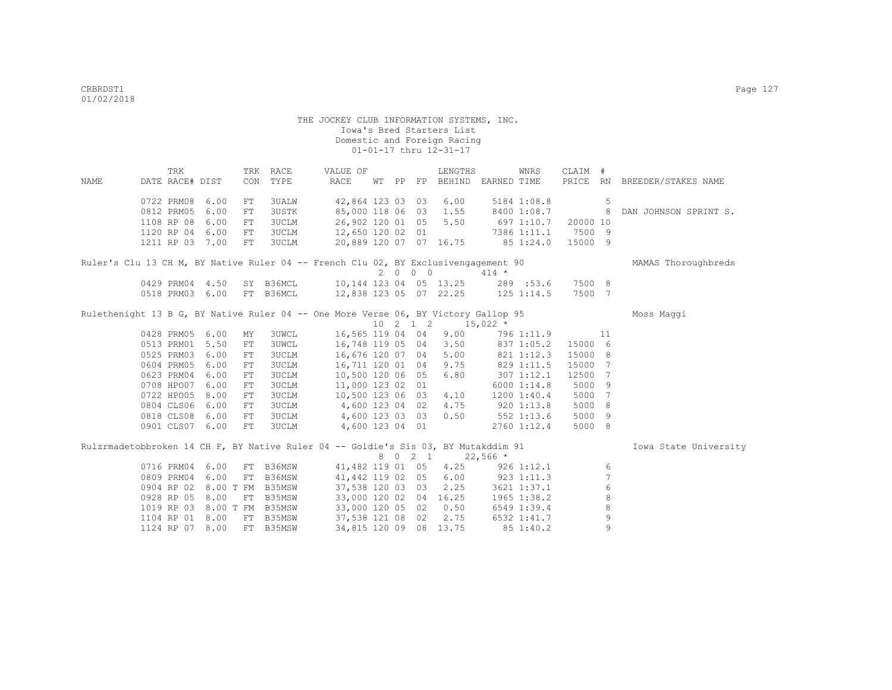|      | TRK                                                                                |      |            | TRK RACE     | VALUE OF                                   |  |         | LENGTHS                                           |              | WNRS                | CLAIM # |                 |                              |
|------|------------------------------------------------------------------------------------|------|------------|--------------|--------------------------------------------|--|---------|---------------------------------------------------|--------------|---------------------|---------|-----------------|------------------------------|
| NAME | DATE RACE# DIST                                                                    |      | CON        | TYPE         | RACE                                       |  |         | WT PP FP BEHIND EARNED TIME                       |              |                     |         |                 | PRICE RN BREEDER/STAKES NAME |
|      | 0722 PRM08 6.00                                                                    |      | ${\rm FT}$ | 3UALW        | 42,864 123 03 03 6.00                      |  |         |                                                   |              | 5184 1:08.8         |         | 5               |                              |
|      | 0812 PRM05                                                                         | 6.00 | FT         | <b>3USTK</b> | 85,000 118 06 03 1.55                      |  |         |                                                   |              | 8400 1:08.7 8       |         |                 | DAN JOHNSON SPRINT S.        |
|      | 1108 RP 08                                                                         | 6.00 | FT         | 3UCLM        | 26,902 120 01 05 5.50                      |  |         |                                                   |              | 697 1:10.7 20000 10 |         |                 |                              |
|      | 1120 RP 04 6.00                                                                    |      | ${\rm FT}$ | 3UCLM        | 12,650 120 02 01                           |  |         |                                                   |              | 7386 1:11.1 7500 9  |         |                 |                              |
|      | 1211 RP 03 7.00                                                                    |      | FT         | 3UCLM        | 20,889 120 07 07 16.75                     |  |         |                                                   |              | 851:24.0            | 15000 9 |                 |                              |
|      | Ruler's Clu 13 CH M, BY Native Ruler 04 -- French Clu 02, BY Exclusivengagement 90 |      |            |              |                                            |  |         |                                                   |              |                     |         |                 | MAMAS Thoroughbreds          |
|      |                                                                                    |      |            |              |                                            |  | 2000    |                                                   | $414 *$      |                     |         |                 |                              |
|      | 0429 PRM04 4.50                                                                    |      |            |              | SY B36MCL 10,144 123 04 05 13.25 289 :53.6 |  |         |                                                   |              |                     | 7500 8  |                 |                              |
|      | 0518 PRM03 6.00                                                                    |      |            | FT B36MCL    | 12,838 123 05 07 22.25 125 1:14.5          |  |         |                                                   |              |                     | 7500 7  |                 |                              |
|      |                                                                                    |      |            |              |                                            |  |         |                                                   |              |                     |         |                 |                              |
|      | Rulethenight 13 B G, BY Native Ruler 04 -- One More Verse 06, BY Victory Gallop 95 |      |            |              |                                            |  |         |                                                   |              |                     |         |                 | Moss Maggi                   |
|      |                                                                                    |      |            |              |                                            |  |         | $10 \quad 2 \quad 1 \quad 2 \quad 15,022 \quad *$ |              |                     |         |                 |                              |
|      | 0428 PRM05 6.00                                                                    |      | MY         | <b>3UWCL</b> | 16,565 119 04 04                           |  |         | 9.00                                              |              | 796 1:11.9          |         | 11              |                              |
|      | 0513 PRM01 5.50                                                                    |      | FT         | <b>3UWCL</b> | 16,748 119 05 04 3.50                      |  |         |                                                   |              | 837 1:05.2          | 15000 6 |                 |                              |
|      | 0525 PRM03 6.00                                                                    |      | FT         | 3UCLM        | 16,676 120 07 04 5.00                      |  |         |                                                   |              | 821 1:12.3          | 15000 8 |                 |                              |
|      | 0604 PRM05 6.00                                                                    |      | FT         | <b>3UCLM</b> | 16,711 120 01 04 9.75                      |  |         |                                                   | 829 1:11.5   |                     | 15000   | 7               |                              |
|      | 0623 PRM04 6.00                                                                    |      | FT         | 3UCLM        | 10,500 120 06 05 6.80                      |  |         |                                                   |              | $307$ $1:12.1$      | 12500   | $7\phantom{.0}$ |                              |
|      | 0708 HPO07 6.00                                                                    |      | FT         | 3UCLM        | 11,000 123 02 01                           |  |         |                                                   |              | 6000 1:14.8         | 5000    | 9               |                              |
|      | 0722 HPO05 8.00                                                                    |      | FT         | 3UCLM        | 10,500 123 06 03 4.10                      |  |         |                                                   |              | 1200 1:40.4         | 5000    | 7               |                              |
|      | 0804 CLS06 6.00                                                                    |      | FT         | 3UCLM        | 4,600 123 04 02 4.75                       |  |         |                                                   | 9201:13.8    |                     | 5000    | 8               |                              |
|      | 0818 CLS08                                                                         | 6.00 | FT         | 3UCLM        | 4,600 123 03 03 0.50                       |  |         |                                                   | $552$ 1:13.6 |                     | 5000    | 9               |                              |
|      | 0901 CLS07 6.00                                                                    |      | ${\rm FT}$ | 3UCLM        | 4,600 123 04 01                            |  |         |                                                   |              | 2760 1:12.4         | 5000 8  |                 |                              |
|      | Rulzrmadetobbroken 14 CH F, BY Native Ruler 04 -- Goldie's Sis 03, BY Mutakddim 91 |      |            |              |                                            |  |         |                                                   |              |                     |         |                 | Iowa State University        |
|      |                                                                                    |      |            |              |                                            |  | 8 0 2 1 |                                                   | $22,566$ *   |                     |         |                 |                              |
|      | 0716 PRM04 6.00                                                                    |      |            | FT B36MSW    |                                            |  |         | 41,482 119 01 05 4.25 926 1:12.1                  |              |                     |         | 6               |                              |
|      | 0809 PRM04 6.00                                                                    |      | FT         | B36MSW       | 41,442 119 02 05 6.00 923 1:11.3           |  |         |                                                   |              |                     |         | $\overline{7}$  |                              |
|      | 0904 RP 02 8.00 T FM B35MSW                                                        |      |            |              | 37,538 120 03 03 2.25 3621 1:37.1          |  |         |                                                   |              |                     |         | $\,$ 6 $\,$     |                              |
|      | 0928 RP 05 8.00                                                                    |      |            | FT B35MSW    | 33,000 120 02 04 16.25                     |  |         |                                                   |              | 1965 1:38.2         |         | 8               |                              |
|      | 1019 RP 03 8.00 T FM B35MSW                                                        |      |            |              | 33,000 120 05 02 0.50                      |  |         |                                                   |              | 6549 1:39.4         |         | 8               |                              |
|      | 1104 RP 01 8.00                                                                    |      | FT         | B35MSW       | 37,538 121 08 02 2.75 6532 1:41.7          |  |         |                                                   |              |                     |         | 9               |                              |
|      | 1124 RP 07 8.00                                                                    |      |            | FT B35MSW    |                                            |  |         | 34,815 120 09 08 13.75                            |              | 85 1:40.2           |         | 9               |                              |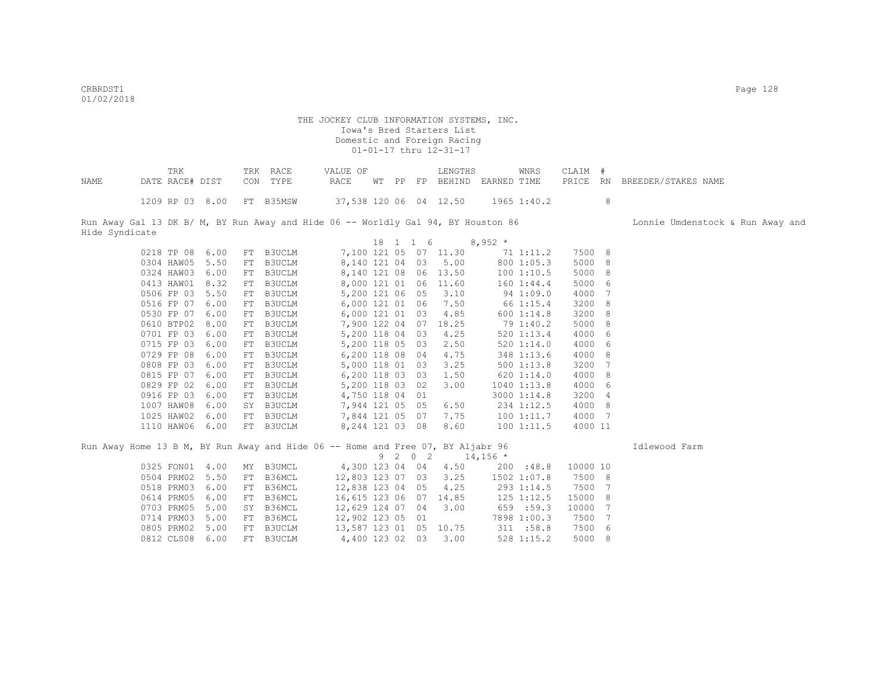Hide Syndicate

#### THE JOCKEY CLUB INFORMATION SYSTEMS, INC. Iowa's Bred Starters List Domestic and Foreign Racing 01-01-17 thru 12-31-17

|      | TRK                       | TRK RACE | VALUE OF                                                                          | LENGTHS                            | WNRS | CLAIM # |                                  |
|------|---------------------------|----------|-----------------------------------------------------------------------------------|------------------------------------|------|---------|----------------------------------|
| NAME | DATE RACE# DIST           | CON TYPE | RACE                                                                              | WT PP FP BEHIND EARNED TIME        |      |         | PRICE RN BREEDER/STAKES NAME     |
|      | 1209 RP 03 8.00 FT B35MSW |          |                                                                                   | 37,538 120 06 04 12.50 1965 1:40.2 |      | 8       |                                  |
|      |                           |          | Run Away Gal 13 DK B/ M, BY Run Away and Hide 06 -- Worldly Gal 94, BY Houston 86 |                                    |      |         | Lonnie Umdenstock & Run Away and |

|         |            |      |    |               |               | 18 | 1 | $1\quad 6$ |       | $8,952*$ |                |         |                |
|---------|------------|------|----|---------------|---------------|----|---|------------|-------|----------|----------------|---------|----------------|
|         | 0218 TP 08 | 6.00 | FT | B3UCLM        | 7,100 121 05  |    |   | 07         | 11.30 |          | 71 1:11.2      | 7500 8  |                |
|         | 0304 HAW05 | 5.50 | FT | <b>B3UCLM</b> | 8,140 121 04  |    |   | 03         | 5.00  |          | 8001:05.3      | 5000    | - 8            |
|         | 0324 HAW03 | 6.00 | FT | <b>B3UCLM</b> | 8,140 121 08  |    |   | 06         | 13.50 |          | 1001:10.5      | 5000    | $_{\circ}$ 8   |
|         | 0413 HAW01 | 8.32 | FT | B3UCLM        | 8,000 121 01  |    |   | 06         | 11.60 |          | 160 1:44.4     | 5000    | - 6            |
|         | 0506 FP 03 | 5.50 | FT | <b>B3UCLM</b> | 5,200 121 06  |    |   | 05         | 3.10  |          | 941:09.0       | 4000 7  |                |
|         | 0516 FP 07 | 6.00 | FT | B3UCLM        | 6,000 121 01  |    |   | 06         | 7.50  |          | 66 1:15.4      | 3200 8  |                |
|         | 0530 FP 07 | 6.00 | FT | B3UCLM        | 6,000 121 01  |    |   | 03         | 4.85  |          | 6001:14.8      | 3200    | $_{\circ}$ 8   |
|         | 0610 BTP02 | 8.00 | FT | B3UCLM        | 7,900 122 04  |    |   | 07         | 18.25 |          | 79 1:40.2      | 5000    | 8 <sup>8</sup> |
|         | 0701 FP 03 | 6.00 | FT | B3UCLM        | 5,200 118 04  |    |   | 03         | 4.25  |          | $520$ $1:13.4$ | 4000    | - 6            |
|         | 0715 FP 03 | 6.00 | FT | B3UCLM        | 5,200 118 05  |    |   | 03         | 2.50  |          | 5201:14.0      | 4000    | - 6            |
| 0729 FP | 08         | 6.00 | FT | <b>B3UCLM</b> | 6,200 118 08  |    |   | 04         | 4.75  |          | 348 1:13.6     | 4000    | $_{-8}$        |
|         | 0808 FP 03 | 6.00 | FT | <b>B3UCLM</b> | 5,000 118 01  |    |   | 03         | 3.25  |          | 5001:13.8      | 3200    | 7              |
| 0815 FP | 07         | 6.00 | FT | B3UCLM        | 6,200 118 03  |    |   | 03         | 1.50  |          | 6201:14.0      | 4000    | $_{\circ}$ 8   |
|         | 0829 FP 02 | 6.00 | FT | B3UCLM        | 5,200 118 03  |    |   | 02         | 3.00  |          | 1040 1:13.8    | 4000    | - 6            |
|         | 0916 FP 03 | 6.00 | FT | B3UCLM        | 4,750 118 04  |    |   | 01         |       |          | 3000 1:14.8    | 3200    | $\frac{4}{3}$  |
|         | 1007 HAW08 | 6.00 | SY | <b>B3UCLM</b> | 7,944 121 05  |    |   | 05         | 6.50  |          | 234 1:12.5     | 4000    | - 8            |
|         | 1025 HAW02 | 6.00 | FT | B3UCLM        | 7,844 121 05  |    |   | 07         | 7.75  |          | 1001:11.7      | 4000    | 7              |
|         | 1110 HAW06 | 6.00 | FT | <b>B3UCLM</b> | 8, 244 121 03 |    |   | 08         | 8.60  |          | 1001:11.5      | 4000 11 |                |
|         |            |      |    |               |               |    |   |            |       |          |                |         |                |

Run Away Home 13 B M, BY Run Away and Hide 06 -- Home and Free 07, BY Aljabr 96 Idlewood Farm

9 2 0 2 14,156 \* 0325 FON01 4.00 MY B3UMCL 4,300 123 04 04 4.50 200 :48.8 10000 10 0504 PRM02 5.50 FT B36MCL 12,803 123 07 03 3.25 1502 1:07.8 7500 8 0518 PRM03 6.00 FT B36MCL 12,838 123 04 05 4.25 293 1:14.5 7500 7<br>0614 PRM05 6.00 FT B36MCL 16,615 123 06 07 14.85 125 1:12.5 15000 8 0614 PRM05 6.00 FT B36MCL 16,615 123 06 07 14.85 125 1:12.5 15000 8<br>0703 PRM05 5.00 SY B36MCL 12,629 124 07 04 3.00 659 :59.3 10000 7 0703 PRM05 5.00 SY B36MCL 12,629 124 07 04 3.00 659 :59.3<br>0714 PRM03 5.00 FT B36MCL 12,902 123 05 01 7898 1:00.3 0714 PRM03 5.00 FT B36MCL 12,902 123 05 01 7898 1:00.3 7500 7<br>0805 PRM02 5.00 FT B3UCLM 13,587 123 01 05 10.75 311 :58.8 7500 6 0805 PRM02 5.00 FT B3UCLM 13,587 123 01 05 10.75 311 :58.8 7500 6 0812 CLS08 6.00 FT B3UCLM 4,400 123 02 03 3.00 528 1:15.2 5000 8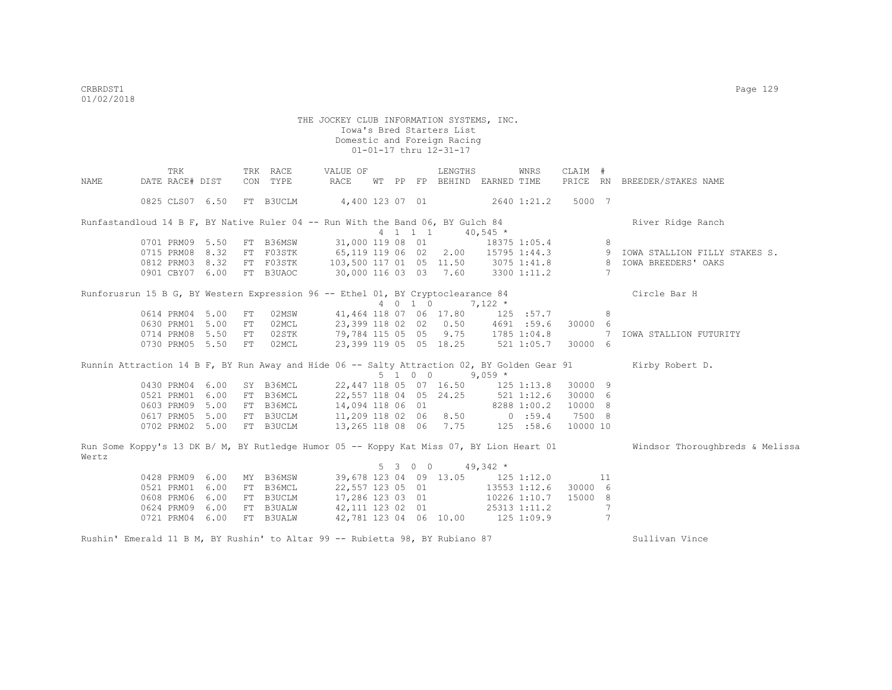|       | TRK                                                                             |    | TRK RACE                                    | VALUE OF                              |    |    |                 | LENGTHS                          |            | WNRS         | CLAIM #  |                 |                                                                                                                          |
|-------|---------------------------------------------------------------------------------|----|---------------------------------------------|---------------------------------------|----|----|-----------------|----------------------------------|------------|--------------|----------|-----------------|--------------------------------------------------------------------------------------------------------------------------|
| NAME  | DATE RACE# DIST                                                                 |    | CON TYPE                                    | RACE                                  | WТ | PP |                 | FP BEHIND EARNED TIME            |            |              | PRICE RN |                 | BREEDER/STAKES NAME                                                                                                      |
|       |                                                                                 |    |                                             |                                       |    |    |                 |                                  |            |              |          |                 |                                                                                                                          |
|       | 0825 CLS07 6.50                                                                 |    | FT B3UCLM                                   | 4,400 123 07 01 2640 1:21.2           |    |    |                 |                                  |            |              | 5000 7   |                 |                                                                                                                          |
|       | Runfastandloud 14 B F, BY Native Ruler 04 -- Run With the Band 06, BY Gulch 84  |    |                                             |                                       |    |    |                 |                                  |            |              |          |                 | River Ridge Ranch                                                                                                        |
|       |                                                                                 |    |                                             |                                       |    |    | $4$ 1 1 1       |                                  | $40,545$ * |              |          |                 |                                                                                                                          |
|       | 0701 PRM09 5.50                                                                 |    | FT B36MSW                                   | 31,000 119 08 01                      |    |    |                 |                                  |            | 18375 1:05.4 |          | 8               |                                                                                                                          |
|       | 0715 PRM08 8.32                                                                 |    | FT F03STK                                   | 65,119 119 06 02 2.00 15795 1:44.3    |    |    |                 |                                  |            |              |          |                 | 9 IOWA STALLION FILLY STAKES S.                                                                                          |
|       | 0812 PRM03 8.32 FT F03STK                                                       |    |                                             | 103,500 117 01 05 11.50 3075 1:41.8 8 |    |    |                 |                                  |            |              |          |                 | IOWA BREEDERS' OAKS                                                                                                      |
|       | 0901 CBY07 6.00 FT B3UAOC                                                       |    |                                             | 30,000 116 03 03 7.60 3300 1:11.2     |    |    |                 |                                  |            |              |          | 7               |                                                                                                                          |
|       | Runforusrun 15 B G, BY Western Expression 96 -- Ethel 01, BY Cryptoclearance 84 |    |                                             |                                       |    |    |                 |                                  |            |              |          |                 | Circle Bar H                                                                                                             |
|       |                                                                                 |    |                                             |                                       |    |    | 4 0 1 0         |                                  | $7,122*$   |              |          |                 |                                                                                                                          |
|       | 0614 PRM04 5.00                                                                 | FT | 02MSW                                       | 41,464 118 07 06 17.80 125 :57.7      |    |    |                 |                                  |            |              |          | 8               |                                                                                                                          |
|       | 0630 PRM01 5.00                                                                 | FT | 02MCL                                       | 23,399 118 02 02 0.50 4691 :59.6      |    |    |                 |                                  |            |              | 30000 6  |                 |                                                                                                                          |
|       | 0714 PRM08 5.50                                                                 | FT | 02STK                                       | 79,784 115 05 05 9.75 1785 1:04.8     |    |    |                 |                                  |            |              |          | $\overline{7}$  | IOWA STALLION FUTURITY                                                                                                   |
|       | 0730 PRM05 5.50                                                                 | FT | 02MCL                                       | 23,399 119 05 05 18.25 521 1:05.7     |    |    |                 |                                  |            |              | 30000 6  |                 |                                                                                                                          |
|       |                                                                                 |    |                                             |                                       |    |    |                 |                                  |            |              |          |                 | Runnin Attraction 14 B F, BY Run Away and Hide 06 -- Salty Attraction 02, BY Golden Gear 91 Kirby Robert D.              |
|       |                                                                                 |    |                                             |                                       |    |    | $5 \t1 \t0 \t0$ |                                  | $9,059$ *  |              |          |                 |                                                                                                                          |
|       | 0430 PRM04 6.00                                                                 |    | SY B36MCL                                   | 22,447 118 05 07 16.50 125 1:13.8     |    |    |                 |                                  |            |              | 30000 9  |                 |                                                                                                                          |
|       | 0521 PRM01 6.00                                                                 |    | FT B36MCL                                   | 22,557 118 04 05 24.25 521 1:12.6     |    |    |                 |                                  |            |              | 30000 6  |                 |                                                                                                                          |
|       | 0603 PRM09 5.00                                                                 |    | FT B36MCL                                   | 14,094 118 06 01 8288 1:00.2          |    |    |                 |                                  |            |              | 10000 8  |                 |                                                                                                                          |
|       | 0617 PRM05 5.00 FT B3UCLM                                                       |    |                                             | 11,209 118 02 06 8.50 0 :59.4         |    |    |                 |                                  |            |              | 7500 8   |                 |                                                                                                                          |
|       | 0702 PRM02 5.00 FT B3UCLM                                                       |    |                                             |                                       |    |    |                 | 13, 265 118 08 06 7.75 125 :58.6 |            |              | 10000 10 |                 |                                                                                                                          |
|       |                                                                                 |    |                                             |                                       |    |    |                 |                                  |            |              |          |                 | Run Some Koppy's 13 DK B/ M, BY Rutledge Humor 05 -- Koppy Kat Miss 07, BY Lion Heart 01 Windsor Thoroughbreds & Melissa |
| Wertz |                                                                                 |    |                                             |                                       |    |    |                 |                                  |            |              |          |                 |                                                                                                                          |
|       |                                                                                 |    |                                             |                                       |    |    | 5 3 0 0         |                                  | $49,342$ * |              |          |                 |                                                                                                                          |
|       | 0428 PRM09 6.00                                                                 |    | MY B36MSW 39,678 123 04 09 13.05 125 1:12.0 |                                       |    |    |                 |                                  |            |              |          | 11              |                                                                                                                          |
|       | 0521 PRM01 6.00                                                                 |    | FT B36MCL                                   | 22,557 123 05 01                      |    |    |                 |                                  |            | 13553 1:12.6 | 30000 6  |                 |                                                                                                                          |
|       | 0608 PRM06 6.00                                                                 |    | FT B3UCLM                                   | 17,286 123 03 01                      |    |    |                 |                                  |            | 10226 1:10.7 | 15000 8  |                 |                                                                                                                          |
|       | 0624 PRM09 6.00                                                                 |    | FT B3UALW                                   | 42,111 123 02 01 25313 1:11.2         |    |    |                 |                                  |            |              |          | $7\phantom{.0}$ |                                                                                                                          |
|       | 0721 PRM04 6.00                                                                 |    | FT B3UALW                                   | 42,781 123 04 06 10.00 125 1:09.9     |    |    |                 |                                  |            |              |          | 7               |                                                                                                                          |
|       | Rushin' Emerald 11 B M, BY Rushin' to Altar 99 -- Rubietta 98, BY Rubiano 87    |    |                                             |                                       |    |    |                 |                                  |            |              |          |                 | Sullivan Vince                                                                                                           |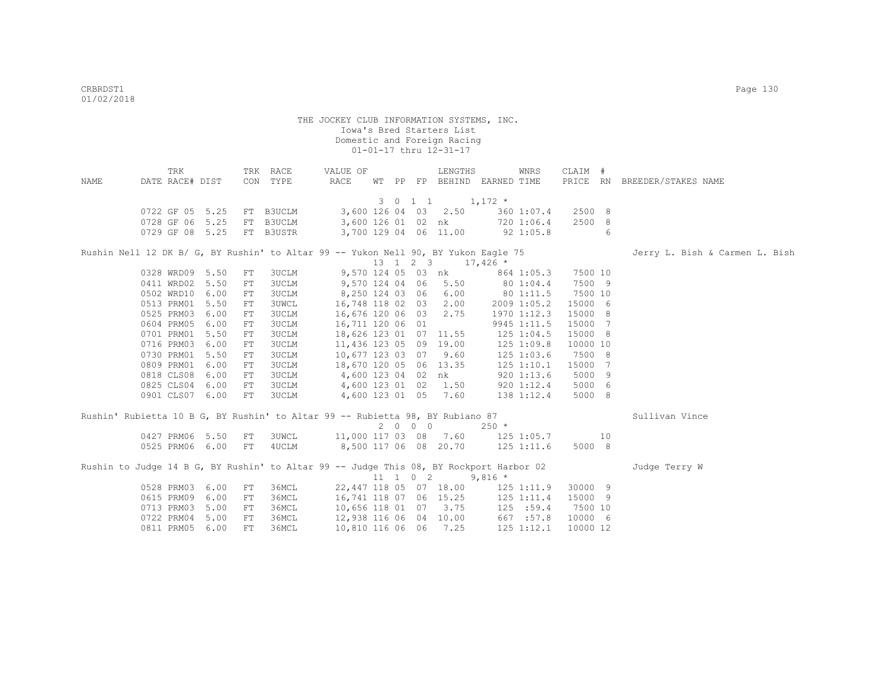| NAME | TRK<br>DATE RACE# DIST                                                                 |    | TRK RACE<br>CON TYPE   | VALUE OF<br>RACE                                                 |  |                          | LENGTHS<br>WT PP FP BEHIND EARNED TIME          |             | WNRS           | CLAIM #          |    | PRICE RN BREEDER/STAKES NAME   |
|------|----------------------------------------------------------------------------------------|----|------------------------|------------------------------------------------------------------|--|--------------------------|-------------------------------------------------|-------------|----------------|------------------|----|--------------------------------|
|      |                                                                                        |    |                        |                                                                  |  |                          |                                                 |             |                |                  |    |                                |
|      |                                                                                        |    |                        |                                                                  |  |                          | $3 \t0 \t1 \t1 \t1, 172 \t*$                    |             |                |                  |    |                                |
|      | 0722 GF 05 5.25 FT B3UCLM                                                              |    |                        |                                                                  |  |                          | 3,600 126 04 03 2.50                            |             | 360 1:07.4     | 2500 8<br>2500 8 |    |                                |
|      | 0728 GF 06 5.25<br>0729 GF 08 5.25                                                     |    | FT B3UCLM<br>FT B3USTR | 3,600 126 01 02 nk 720 1:06.4<br>3,700 129 04 06 11.00 92 1:05.8 |  |                          |                                                 |             |                |                  | -6 |                                |
|      |                                                                                        |    |                        |                                                                  |  |                          |                                                 |             |                |                  |    |                                |
|      | Rushin Nell 12 DK B/ G, BY Rushin' to Altar 99 -- Yukon Nell 90, BY Yukon Eagle 75     |    |                        |                                                                  |  |                          |                                                 |             |                |                  |    | Jerry L. Bish & Carmen L. Bish |
|      |                                                                                        |    |                        |                                                                  |  |                          | $13 \quad 1 \quad 2 \quad 3 \quad 17,426 \star$ |             |                |                  |    |                                |
|      | 0328 WRD09 5.50                                                                        | FT | 3UCLM                  |                                                                  |  |                          | 9,570 124 05 03 nk 864 1:05.3                   |             |                | 7500 10          |    |                                |
|      | 0411 WRD02 5.50                                                                        | FT | 3UCLM                  | $9,570$ 124 04 06 5.50 80 1:04.4                                 |  |                          |                                                 |             |                | 7500 9           |    |                                |
|      | 0502 WRD10 6.00                                                                        | FT | <b>3UCLM</b>           | 8,250 124 03 06 6.00                                             |  |                          |                                                 |             | 80 1:11.5      | 7500 10          |    |                                |
|      | 0513 PRM01 5.50                                                                        | FT | <b>3UWCL</b>           | 16,748 118 02 03                                                 |  |                          | 2.00                                            | 2009 1:05.2 |                | 15000 6          |    |                                |
|      | 0525 PRM03 6.00                                                                        | FT | <b>3UCLM</b>           | 16,676 120 06 03                                                 |  |                          | 2.75                                            |             | 1970 1:12.3    | 15000 8          |    |                                |
|      | 0604 PRM05 6.00                                                                        | FT | 3UCLM                  | 16,711 120 06 01                                                 |  |                          |                                                 |             | 9945 1:11.5    | 15000 7          |    |                                |
|      | 0701 PRM01 5.50                                                                        | FT | 3UCLM                  | 18,626 123 01 07 11.55                                           |  |                          |                                                 | 125 1:04.5  |                | 15000 8          |    |                                |
|      | 0716 PRM03 6.00                                                                        | FT | 3UCLM                  |                                                                  |  |                          | 11,436 123 05 09 19.00                          | 125 1:09.8  |                | 10000 10         |    |                                |
|      | 0730 PRM01 5.50                                                                        | FT | 3UCLM                  | 10,677 123 03 07 9.60                                            |  |                          |                                                 |             | $125$ $1:03.6$ | 7500 8           |    |                                |
|      | 0809 PRM01 6.00                                                                        | FT | <b>3UCLM</b>           | 18,670 120 05 06 13.35                                           |  |                          |                                                 |             | $125$ $1:10.1$ | 15000 7          |    |                                |
|      | 0818 CLS08 6.00                                                                        | FT | <b>3UCLM</b>           | 4,600 123 04 02 nk                                               |  |                          |                                                 |             | 9201:13.6      | 5000 9           |    |                                |
|      | 0825 CLS04 6.00                                                                        | FT | 3UCLM                  |                                                                  |  |                          |                                                 |             | 920 1:12.4     | 5000 6           |    |                                |
|      | 0901 CLS07 6.00                                                                        | FT | 3UCLM                  | 4,600 123 01 02 1.50<br>4,600 123 01 05 7.60                     |  |                          |                                                 |             | 138 1:12.4     | 5000 8           |    |                                |
|      | Rushin' Rubietta 10 B G, BY Rushin' to Altar 99 -- Rubietta 98, BY Rubiano 87          |    |                        |                                                                  |  |                          |                                                 |             |                |                  |    | Sullivan Vince                 |
|      |                                                                                        |    |                        |                                                                  |  | $2\quad 0\quad 0\quad 0$ |                                                 | $250 *$     |                |                  |    |                                |
|      | 0427 PRM06 5.50                                                                        | FT | 3UWCL                  | 11,000 117 03 08 7.60 125 1:05.7 10                              |  |                          |                                                 |             |                |                  |    |                                |
|      | 0525 PRM06 6.00 FT                                                                     |    | 4UCLM                  | 8,500 117 06 08 20.70 125 1:11.6                                 |  |                          |                                                 |             |                | 5000 8           |    |                                |
|      | Rushin to Judge 14 B G, BY Rushin' to Altar 99 -- Judge This 08, BY Rockport Harbor 02 |    |                        |                                                                  |  |                          |                                                 |             |                |                  |    | Judge Terry W                  |
|      |                                                                                        |    |                        |                                                                  |  |                          | $11 \quad 1 \quad 0 \quad 2 \quad 9,816 \star$  |             |                |                  |    |                                |
|      | 0528 PRM03 6.00                                                                        | FT | 36MCL                  | 22,447 118 05 07 18.00 125 1:11.9                                |  |                          |                                                 |             |                | 30000 9          |    |                                |
|      | 0615 PRM09 6.00                                                                        | FT | 36MCL                  | 16,741 118 07 06 15.25 125 1:11.4                                |  |                          |                                                 |             |                | 15000 9          |    |                                |
|      | 0713 PRM03 5.00                                                                        | FT | 36MCL                  | 10,656 118 01 07 3.75                                            |  |                          |                                                 |             | 125 : 59.4     | 7500 10          |    |                                |
|      | 0722 PRM04 5.00                                                                        | FT | 36MCL                  | 12,938 116 06 04 10.00                                           |  |                          |                                                 | 667 :57.8   |                | 10000 6          |    |                                |
|      | 0811 PRM05 6.00                                                                        | FT | 36MCL                  | 10,810 116 06 06 7.25                                            |  |                          |                                                 |             | $125$ $1:12.1$ | 10000 12         |    |                                |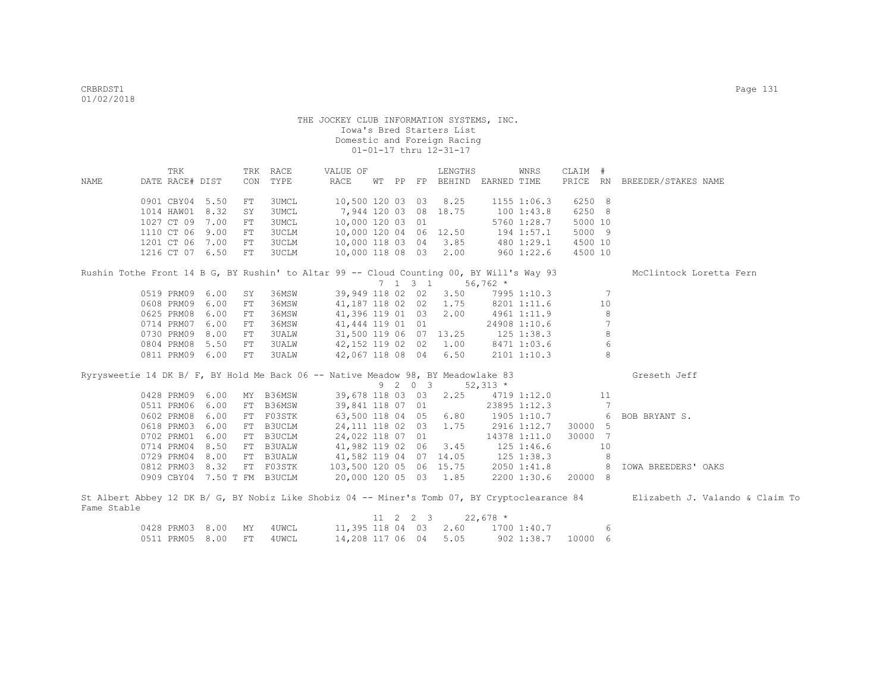|             | TRK                                                                                      |      |            | TRK RACE     | VALUE OF                            |  |                  | LENGTHS               |             | WNRS             | CLAIM #  |            |                                                                                                                               |
|-------------|------------------------------------------------------------------------------------------|------|------------|--------------|-------------------------------------|--|------------------|-----------------------|-------------|------------------|----------|------------|-------------------------------------------------------------------------------------------------------------------------------|
| NAME        | DATE RACE# DIST                                                                          |      | CON        | TYPE         | RACE                                |  |                  | WT PP FP BEHIND       | EARNED TIME |                  | PRICE RN |            | BREEDER/STAKES NAME                                                                                                           |
|             |                                                                                          |      |            |              |                                     |  |                  |                       |             |                  |          |            |                                                                                                                               |
|             | 0901 CBY04                                                                               | 5.50 | FT         | 3UMCL        | 10,500 120 03 03                    |  |                  | 8.25                  |             | 1155 1:06.3      | 6250 8   |            |                                                                                                                               |
|             | 1014 HAW01                                                                               | 8.32 | SY         | 3UMCL        | 7,944 120 03 08                     |  |                  | 18.75                 |             | 1001:43.8        | 6250 8   |            |                                                                                                                               |
|             | 1027 CT 09 7.00                                                                          |      | ${\rm FT}$ | 3UMCL        | 10,000 120 03 01                    |  |                  |                       |             | 5760 1:28.7      | 5000 10  |            |                                                                                                                               |
|             | 1110 CT 06                                                                               | 9.00 | FT         | 3UCLM        | 10,000 120 04 06 12.50              |  |                  |                       |             | 194 1:57.1       | 5000 9   |            |                                                                                                                               |
|             | 1201 CT 06 7.00                                                                          |      | FT         | 3UCLM        | 10,000 118 03 04                    |  |                  | 3.85                  |             | 480 1:29.1       | 4500 10  |            |                                                                                                                               |
|             | 1216 CT 07 6.50                                                                          |      | FT         | 3UCLM        | 10,000 118 08 03                    |  |                  | 2.00                  |             | 960 1:22.6       | 4500 10  |            |                                                                                                                               |
|             | Rushin Tothe Front 14 B G, BY Rushin' to Altar 99 -- Cloud Counting 00, BY Will's Way 93 |      |            |              |                                     |  |                  |                       |             |                  |          |            | McClintock Loretta Fern                                                                                                       |
|             |                                                                                          |      |            |              |                                     |  | $7 \t1 \t3 \t1$  |                       | $56,762$ *  |                  |          |            |                                                                                                                               |
|             | 0519 PRM09 6.00                                                                          |      | SY         | 36MSW        | 39,949 118 02 02                    |  |                  | 3.50                  |             | 7995 1:10.3      |          | 7          |                                                                                                                               |
|             | 0608 PRM09 6.00                                                                          |      | FT         | 36MSW        | 41,187 118 02 02 1.75               |  |                  |                       |             | 8201 1:11.6      |          | 10         |                                                                                                                               |
|             | 0625 PRM08                                                                               | 6.00 | FT         | 36MSW        | 41,396 119 01 03                    |  |                  | 2.00                  |             | 4961 1:11.9      |          | 8          |                                                                                                                               |
|             | 0714 PRM07                                                                               | 6.00 | FT         | 36MSW        | 41,444 119 01 01                    |  |                  |                       |             | 24908 1:10.6     |          | 7          |                                                                                                                               |
|             | 0730 PRM09 8.00                                                                          |      | FT         | <b>3UALW</b> | 31,500 119 06 07 13.25              |  |                  |                       |             | $125$ $1:38.3$   |          | 8          |                                                                                                                               |
|             | 0804 PRM08 5.50                                                                          |      | FT         | <b>3UALW</b> | 42,152 119 02 02 1.00               |  |                  |                       |             | 8471 1:03.6      |          | $\sqrt{6}$ |                                                                                                                               |
|             | 0811 PRM09 6.00                                                                          |      | FT         | 3UALW        | 42,067 118 08 04 6.50               |  |                  |                       |             | 2101 1:10.3      |          | 8          |                                                                                                                               |
|             |                                                                                          |      |            |              |                                     |  |                  |                       |             |                  |          |            |                                                                                                                               |
|             | Ryrysweetie 14 DK B/ F, BY Hold Me Back 06 -- Native Meadow 98, BY Meadowlake 83         |      |            |              |                                     |  |                  |                       |             |                  |          |            | Greseth Jeff                                                                                                                  |
|             |                                                                                          |      |            |              |                                     |  | 9 2 0 3          |                       | $52,313$ *  |                  |          |            |                                                                                                                               |
|             | 0428 PRM09 6.00                                                                          |      |            | MY B36MSW    |                                     |  |                  | 39,678 118 03 03 2.25 |             | 4719 1:12.0      |          | 11         |                                                                                                                               |
|             | 0511 PRM06 6.00                                                                          |      |            | FT B36MSW    | 39,841 118 07 01                    |  |                  |                       |             | 23895 1:12.3     |          | 7          |                                                                                                                               |
|             | 0602 PRM08                                                                               | 6.00 |            | FT F03STK    | 63,500 118 04 05                    |  |                  | 6.80                  |             | 1905 1:10.7      |          | 6          | BOB BRYANT S.                                                                                                                 |
|             | 0618 PRM03 6.00                                                                          |      |            | FT B3UCLM    | 24,111 118 02 03 1.75               |  |                  |                       |             | 2916 1:12.7      | 30000 5  |            |                                                                                                                               |
|             | 0702 PRM01 6.00                                                                          |      |            | FT B3UCLM    | 24,022 118 07 01                    |  |                  |                       |             | 14378 1:11.0     | 30000 7  |            |                                                                                                                               |
|             | 0714 PRM04 8.50                                                                          |      |            | FT B3UALW    | 41,982 119 02 06                    |  |                  | 3.45                  |             | $125$ $1:46.6$   |          | 10         |                                                                                                                               |
|             | 0729 PRM04 8.00                                                                          |      |            | FT B3UALW    | 41,582 119 04 07 14.05              |  |                  |                       |             | 125 1:38.3       |          | -8         |                                                                                                                               |
|             | 0812 PRM03 8.32                                                                          |      |            | FT F03STK    | 103,500 120 05 06 15.75 2050 1:41.8 |  |                  |                       |             |                  |          | - 8        | IOWA BREEDERS' OAKS                                                                                                           |
|             | 0909 CBY04 7.50 T FM B3UCLM                                                              |      |            |              | 20,000 120 05 03 1.85               |  |                  |                       |             | 2200 1:30.6      | 20000 8  |            |                                                                                                                               |
|             |                                                                                          |      |            |              |                                     |  |                  |                       |             |                  |          |            |                                                                                                                               |
|             |                                                                                          |      |            |              |                                     |  |                  |                       |             |                  |          |            | St Albert Abbey 12 DK B/ G, BY Nobiz Like Shobiz 04 -- Miner's Tomb 07, BY Cryptoclearance 84 Elizabeth J. Valando & Claim To |
| Fame Stable |                                                                                          |      |            |              |                                     |  |                  |                       |             |                  |          |            |                                                                                                                               |
|             |                                                                                          |      |            |              |                                     |  | $11 \t2 \t2 \t3$ |                       | $22,678$ *  |                  |          |            |                                                                                                                               |
|             | 0428 PRM03 8.00                                                                          |      | MY         | 4UWCL        | 11,395 118 04 03                    |  |                  |                       |             | 2.60 1700 1:40.7 |          | 6          |                                                                                                                               |
|             | 0511 PRM05                                                                               | 8.00 | FT.        | 4UWCL        | 14,208 117 06 04                    |  |                  | 5.05                  |             | 902 1:38.7       | 10000 6  |            |                                                                                                                               |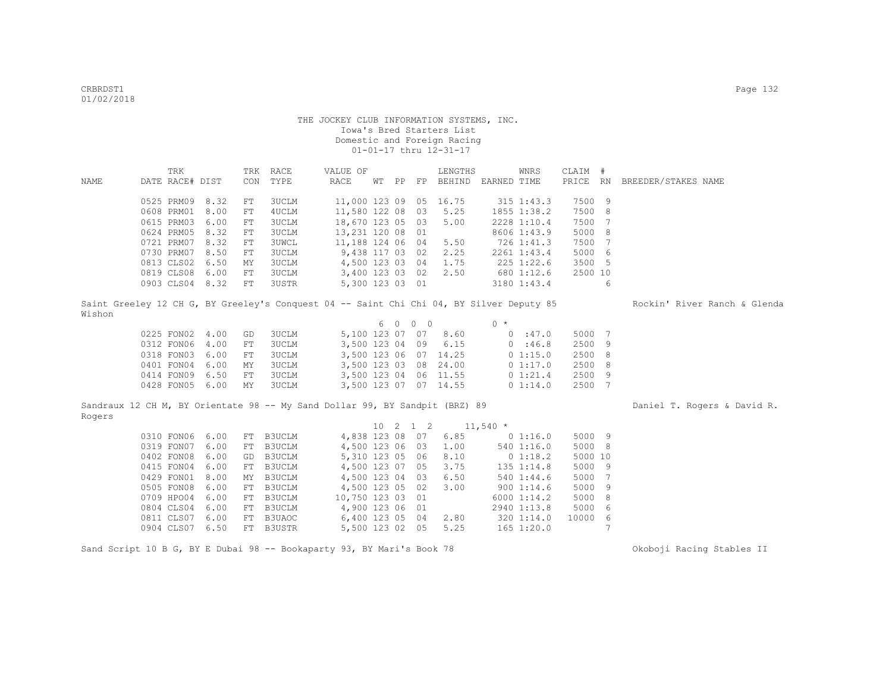|             | TRK                                                                                      |      |            | TRK RACE     | VALUE OF         |       |                              | LENGTHS               |            | WNRS           | CLAIM # |                |                              |  |
|-------------|------------------------------------------------------------------------------------------|------|------------|--------------|------------------|-------|------------------------------|-----------------------|------------|----------------|---------|----------------|------------------------------|--|
| <b>NAME</b> | DATE RACE# DIST                                                                          |      | CON        | TYPE         | RACE             | WT PP |                              | FP BEHIND EARNED TIME |            |                |         |                | PRICE RN BREEDER/STAKES NAME |  |
|             |                                                                                          |      |            |              |                  |       |                              |                       |            |                |         |                |                              |  |
|             | 0525 PRM09 8.32                                                                          |      | FT         | <b>3UCLM</b> | 11,000 123 09    |       | 05                           | 16.75                 |            | $315$ $1:43.3$ | 7500 9  |                |                              |  |
|             | 0608 PRM01                                                                               | 8.00 | FT         | 4UCLM        | 11,580 122 08    |       | 03                           | 5.25                  |            | 1855 1:38.2    | 7500 8  |                |                              |  |
|             | 0615 PRM03                                                                               | 6.00 | FT         | 3UCLM        | 18,670 123 05    |       | 03                           | 5.00                  |            | 2228 1:10.4    | 7500 7  |                |                              |  |
|             | 0624 PRM05                                                                               | 8.32 | FT         | 3UCLM        | 13,231 120 08    |       | 01                           |                       |            | 8606 1:43.9    | 5000 8  |                |                              |  |
|             | 0721 PRM07                                                                               | 8.32 | FT         | 3UWCL        | 11,188 124 06 04 |       |                              | 5.50                  |            | 726 1:41.3     | 7500    | $\overline{7}$ |                              |  |
|             | 0730 PRM07                                                                               | 8.50 | FT         | <b>3UCLM</b> | 9,438 117 03 02  |       |                              | 2.25                  |            | 2261 1:43.4    | 5000 6  |                |                              |  |
|             | 0813 CLS02                                                                               | 6.50 | MY         | 3UCLM        | 4,500 123 03 04  |       |                              | 1.75                  |            | 225 1:22.6     | 3500 5  |                |                              |  |
|             | 0819 CLS08 6.00                                                                          |      | FT         | 3UCLM        | 3,400 123 03 02  |       |                              | 2.50                  |            | 680 1:12.6     | 2500 10 |                |                              |  |
|             | 0903 CLS04 8.32                                                                          |      | ${\rm FT}$ | 3USTR        | 5,300 123 03 01  |       |                              |                       |            | 3180 1:43.4    |         | 6              |                              |  |
| Wishon      | Saint Greeley 12 CH G, BY Greeley's Conquest 04 -- Saint Chi Chi 04, BY Silver Deputy 85 |      |            |              |                  |       |                              |                       |            |                |         |                | Rockin' River Ranch & Glenda |  |
|             |                                                                                          |      |            |              |                  |       | 6 0 0 0                      |                       | $0 *$      |                |         |                |                              |  |
|             | 0225 FON02 4.00                                                                          |      | GD         | 3UCLM        |                  |       |                              | 5,100 123 07 07 8.60  |            | 0.147.0        | 5000 7  |                |                              |  |
|             | 0312 FON06                                                                               | 4.00 | ${\rm FT}$ | 3UCLM        | 3,500 123 04 09  |       |                              | 6.15                  |            | 0.146.8        | 2500 9  |                |                              |  |
|             | 0318 FON03                                                                               | 6.00 | FT         | 3UCLM        | 3,500 123 06 07  |       |                              | 14.25                 |            | 0 1:15.0       | 2500 8  |                |                              |  |
|             | 0401 FON04                                                                               | 6.00 | MY         | 3UCLM        | 3,500 123 03     |       | 08                           | 24.00                 |            | 0 1:17.0       | 2500 8  |                |                              |  |
|             | 0414 FON09                                                                               | 6.50 | ${\rm FT}$ | 3UCLM        | 3,500 123 04     |       |                              | 06 11.55              |            | 0 1:21.4       | 2500 9  |                |                              |  |
|             | 0428 FON05 6.00                                                                          |      | MY         | 3UCLM        |                  |       |                              | 3,500 123 07 07 14.55 |            | 0 1:14.0       | 2500 7  |                |                              |  |
|             |                                                                                          |      |            |              |                  |       |                              |                       |            |                |         |                |                              |  |
|             | Sandraux 12 CH M, BY Orientate 98 -- My Sand Dollar 99, BY Sandpit (BRZ) 89              |      |            |              |                  |       |                              |                       |            |                |         |                | Daniel T. Rogers & David R.  |  |
| Rogers      |                                                                                          |      |            |              |                  |       |                              |                       |            |                |         |                |                              |  |
|             |                                                                                          |      |            |              |                  |       | $10 \quad 2 \quad 1 \quad 2$ |                       | $11,540$ * |                |         |                |                              |  |
|             | 0310 FON06 6.00                                                                          |      | FT         | B3UCLM       | 4,838 123 08 07  |       |                              | 6.85                  |            | 0 1:16.0       | 5000 9  |                |                              |  |
|             | 0319 FON07                                                                               | 6.00 | FT         | B3UCLM       | 4,500 123 06 03  |       |                              | 1.00                  |            | 540 1:16.0     | 5000 8  |                |                              |  |
|             | 0402 FON08                                                                               | 6.00 | GD         | B3UCLM       | 5,310 123 05 06  |       |                              | 8.10                  |            | 0 1:18.2       | 5000 10 |                |                              |  |
|             | 0415 FON04                                                                               | 6.00 | FT         | B3UCLM       | 4,500 123 07 05  |       |                              | 3.75                  |            | 135 1:14.8     | 5000 9  |                |                              |  |
|             | 0429 FON01                                                                               | 8.00 | MY         | B3UCLM       | 4,500 123 04 03  |       |                              | 6.50                  |            | 5401:34.6      | 5000 7  |                |                              |  |
|             | 0505 FON08                                                                               | 6.00 | FT         | B3UCLM       | 4,500 123 05 02  |       |                              | 3.00                  |            | 9001:14.6      | 5000 9  |                |                              |  |
|             | 0709 HPO04 6.00                                                                          |      | FT         | B3UCLM       | 10,750 123 03 01 |       |                              |                       |            | 6000 1:14.2    | 5000 8  |                |                              |  |
|             | 0804 CLS04 6.00                                                                          |      | FT         | B3UCLM       | 4,900 123 06 01  |       |                              |                       |            | 2940 1:13.8    | 5000 6  |                |                              |  |
|             | 0811 CLS07                                                                               | 6.00 | FT         | B3UAOC       | 6,400 123 05 04  |       |                              | 2.80                  |            | 320 1:14.0     | 10000 6 |                |                              |  |
|             | 0904 CLS07 6.50                                                                          |      |            | FT B3USTR    | 5,500 123 02 05  |       |                              | 5.25                  |            | $165$ $1:20.0$ |         | 7              |                              |  |

Sand Script 10 B G, BY E Dubai 98 -- Bookaparty 93, BY Mari's Book 78 Okoboji Racing Stables II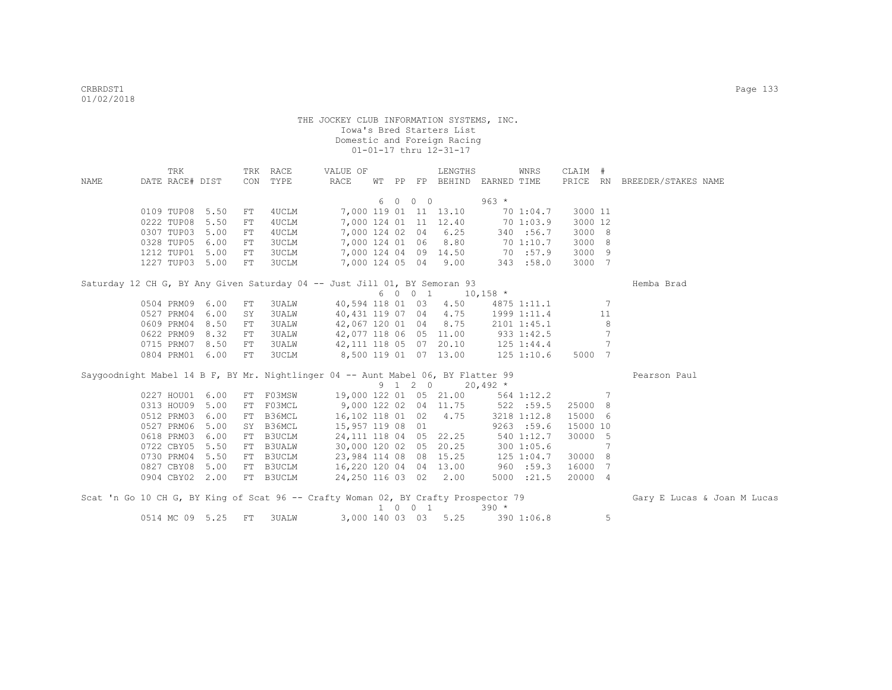|      | TRK             |      |            | TRK RACE      | VALUE OF                                                                           |     |                             | LENGTHS                     |            | WNRS           | CLAIM #  |        |                              |
|------|-----------------|------|------------|---------------|------------------------------------------------------------------------------------|-----|-----------------------------|-----------------------------|------------|----------------|----------|--------|------------------------------|
| NAME | DATE RACE# DIST |      |            | CON TYPE      | RACE                                                                               |     |                             | WT PP FP BEHIND EARNED TIME |            |                |          |        | PRICE RN BREEDER/STAKES NAME |
|      |                 |      |            |               |                                                                                    |     |                             |                             |            |                |          |        |                              |
|      |                 |      |            |               |                                                                                    | 6 0 | $0\quad 0$                  |                             | $963 *$    |                |          |        |                              |
|      | 0109 TUP08      | 5.50 | FT         | 4UCLM         |                                                                                    |     |                             | 7,000 119 01 11 13.10       |            | 70 1:04.7      | 3000 11  |        |                              |
|      | 0222 TUP08      | 5.50 | ${\rm FT}$ | 4UCLM         |                                                                                    |     |                             | 7,000 124 01 11 12.40       |            | 70 1:03.9      | 3000 12  |        |                              |
|      | 0307 TUP03      | 5.00 | FT         | 4UCLM         |                                                                                    |     |                             | 7,000 124 02 04 6.25        |            | 340 :56.7      | 3000 8   |        |                              |
|      | 0328 TUP05      | 6.00 | FT.        | 3UCLM         |                                                                                    |     |                             | 7,000 124 01 06 8.80        |            | 70 1:10.7      | 3000 8   |        |                              |
|      | 1212 TUP01      | 5.00 | FT         | 3UCLM         |                                                                                    |     |                             | 7,000 124 04 09 14.50       |            | 70 :57.9       | 3000 9   |        |                              |
|      | 1227 TUP03 5.00 |      | ${\rm FT}$ | 3UCLM         |                                                                                    |     |                             | 7,000 124 05 04 9.00        |            | 343 :58.0      | 3000 7   |        |                              |
|      |                 |      |            |               | Saturday 12 CH G, BY Any Given Saturday 04 -- Just Jill 01, BY Semoran 93          |     |                             |                             |            |                |          |        | Hemba Brad                   |
|      |                 |      |            |               |                                                                                    |     | 6 0 0 1                     | $10,158$ *                  |            |                |          |        |                              |
|      | 0504 PRM09      | 6.00 | FT         | 3UALW         |                                                                                    |     |                             | 40,594 118 01 03 4.50       |            | 4875 1:11.1    |          | -7     |                              |
|      | 0527 PRM04      | 6.00 | SY         | 3UALW         | 40,431 119 07 04 4.75                                                              |     |                             |                             |            | 1999 1:11.4    |          | 11     |                              |
|      | 0609 PRM04      | 8.50 | FT         | 3UALW         | 42,067 120 01 04 8.75                                                              |     |                             |                             |            |                |          |        |                              |
|      | 0622 PRM09      | 8.32 | FT         |               |                                                                                    |     |                             |                             |            | 2101 1:45.1    |          | 8<br>7 |                              |
|      |                 |      |            | 3UALW         | 42,077 118 06 05 11.00                                                             |     |                             |                             |            | 933 1:42.5     |          | 7      |                              |
|      | 0715 PRM07      | 8.50 | FT<br>FT   | 3UALW         | 42, 111 118 05 07 20.10                                                            |     |                             |                             |            | 125 1:44.4     |          |        |                              |
|      | 0804 PRM01      | 6.00 |            | 3UCLM         | 8,500 119 01 07 13.00                                                              |     |                             |                             |            | $125$ $1:10.6$ | 5000 7   |        |                              |
|      |                 |      |            |               | Saygoodnight Mabel 14 B F, BY Mr. Nightlinger 04 -- Aunt Mabel 06, BY Flatter 99   |     |                             |                             |            |                |          |        | Pearson Paul                 |
|      |                 |      |            |               |                                                                                    |     | 9 1 2 0                     |                             | $20,492$ * |                |          |        |                              |
|      | 0227 HOU01      | 6.00 |            | FT F03MSW     |                                                                                    |     |                             | 19,000 122 01 05 21.00      |            | 564 1:12.2     |          | -7     |                              |
|      | 0313 HOU09      | 5.00 | FT         | F03MCL        | 9,000 122 02 04 11.75                                                              |     |                             |                             |            | 522 : 59.5     | 25000 8  |        |                              |
|      | 0512 PRM03      | 6.00 | FT         | B36MCL        | 16,102 118 01 02 4.75                                                              |     |                             |                             |            | 3218 1:12.8    | 15000 6  |        |                              |
|      | 0527 PRM06      | 5.00 | SY         | B36MCL        | 15,957 119 08 01                                                                   |     |                             |                             |            | 9263 : 59.6    | 15000 10 |        |                              |
|      | 0618 PRM03      | 6.00 | FT         | B3UCLM        | 24, 111 118 04 05 22.25                                                            |     |                             |                             |            | 540 1:12.7     | 30000 5  |        |                              |
|      | 0722 CBY05      | 5.50 | FT         | <b>B3UALW</b> | 30,000 120 02 05 20.25                                                             |     |                             |                             |            | 300 1:05.6     |          | 7      |                              |
|      | 0730 PRM04      | 5.50 | FT         | B3UCLM        | 23,984 114 08 08 15.25                                                             |     |                             |                             |            | $125$ $1:04.7$ | 30000 8  |        |                              |
|      | 0827 CBY08      | 5.00 | FT         | B3UCLM        | 16,220 120 04 04 13.00                                                             |     |                             |                             |            | 960 : 59.3     | 16000 7  |        |                              |
|      | 0904 CBY02 2.00 |      |            | FT B3UCLM     | 24,250 116 03 02 2.00                                                              |     |                             |                             |            | 5000 : 21.5    | 20000 4  |        |                              |
|      |                 |      |            |               | Scat 'n Go 10 CH G, BY King of Scat 96 -- Crafty Woman 02, BY Crafty Prospector 79 |     |                             |                             |            |                |          |        |                              |
|      |                 |      |            |               |                                                                                    |     | $1 \quad 0 \quad 0 \quad 1$ |                             | $390 *$    |                |          |        | Gary E Lucas & Joan M Lucas  |
|      | 0514 MC 09 5.25 |      | FT         |               |                                                                                    |     |                             | 3,000 140 03 03 5.25        |            |                |          |        |                              |
|      |                 |      |            | 3UALW         |                                                                                    |     |                             |                             |            | 390 1:06.8     |          | 5      |                              |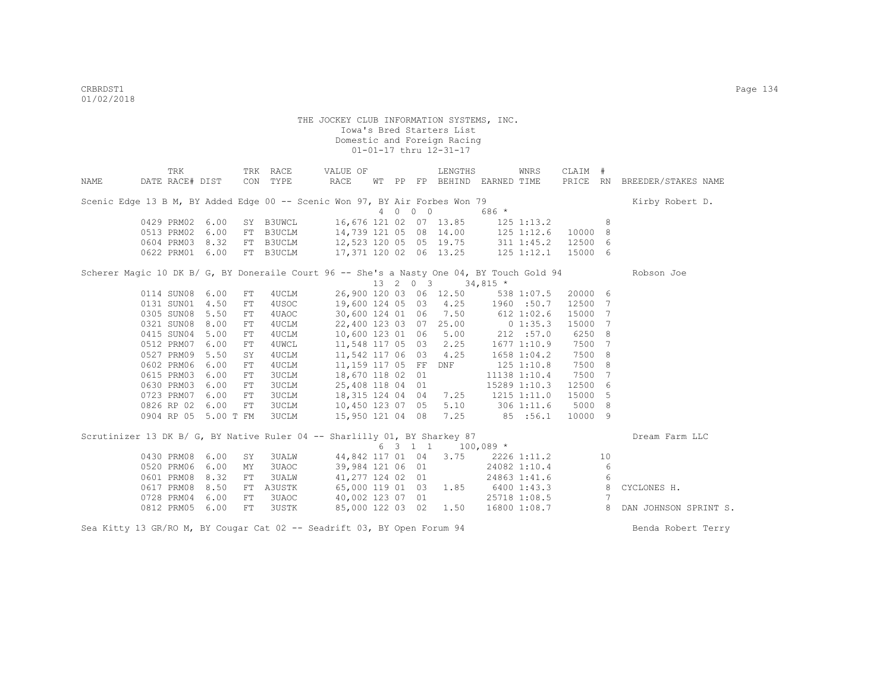|      | TRK                                                                                       |      |            | TRK RACE     | VALUE OF                          |  |         | LENGTHS                                         |                  | WNRS           | CLAIM #  |     |                       |
|------|-------------------------------------------------------------------------------------------|------|------------|--------------|-----------------------------------|--|---------|-------------------------------------------------|------------------|----------------|----------|-----|-----------------------|
| NAME | DATE RACE# DIST                                                                           |      |            | CON TYPE     | RACE                              |  |         | WT PP FP BEHIND EARNED TIME                     |                  |                | PRICE RN |     | BREEDER/STAKES NAME   |
|      | Scenic Edge 13 B M, BY Added Edge 00 -- Scenic Won 97, BY Air Forbes Won 79               |      |            |              |                                   |  |         |                                                 |                  |                |          |     | Kirby Robert D.       |
|      |                                                                                           |      |            |              |                                   |  | 4 0 0 0 |                                                 | 686 *            |                |          |     |                       |
|      | 0429 PRM02 6.00                                                                           |      |            | SY B3UWCL    |                                   |  |         | 16,676 121 02 07 13.85 125 1:13.2               |                  |                |          | 8   |                       |
|      | 0513 PRM02 6.00                                                                           |      |            | FT B3UCLM    |                                   |  |         | 14,739 121 05 08 14.00 125 1:12.6               |                  |                | 10000 8  |     |                       |
|      | 0604 PRM03 8.32                                                                           |      |            | FT B3UCLM    | 12,523 120 05 05 19.75 311 1:45.2 |  |         |                                                 |                  |                | 12500    | - 6 |                       |
|      | 0622 PRM01 6.00                                                                           |      |            | FT B3UCLM    | 17,371 120 02 06 13.25 125 1:12.1 |  |         |                                                 |                  |                | 15000 6  |     |                       |
|      | Scherer Magic 10 DK B/ G, BY Doneraile Court 96 -- She's a Nasty One 04, BY Touch Gold 94 |      |            |              |                                   |  |         |                                                 |                  |                |          |     | Robson Joe            |
|      |                                                                                           |      |            |              |                                   |  |         | $13 \quad 2 \quad 0 \quad 3 \quad 34,815 \star$ |                  |                |          |     |                       |
|      | 0114 SUN08 6.00                                                                           |      | FT         | 4 UCLM       |                                   |  |         | 26,900 120 03 06 12.50 538 1:07.5               |                  |                | 20000 6  |     |                       |
|      | 0131 SUN01 4.50                                                                           |      | FT         | 4USOC        |                                   |  |         | 19,600 124 05 03 4.25 1960 :50.7                |                  |                | 12500    | 7   |                       |
|      | 0305 SUN08 5.50                                                                           |      | FT         | 4UAOC        | 30,600 124 01 06                  |  |         | 7.50                                            | $612$ 1:02.6     |                | 15000    | 7   |                       |
|      | 0321 SUN08 8.00                                                                           |      | FT         | 4UCLM        |                                   |  |         | 22,400 123 03 07 25.00 0 1:35.3                 |                  |                | 15000    | 7   |                       |
|      | 0415 SUN04 5.00                                                                           |      | FT         | 4UCLM        | 10,600 123 01 06                  |  |         |                                                 | $5.00$ 212 :57.0 |                | 6250     | - 8 |                       |
|      | 0512 PRM07 6.00                                                                           |      | FT         | 4UWCL        |                                   |  |         | 11,548 117 05 03 2.25 1677 1:10.9               |                  |                | 7500     | 7   |                       |
|      | 0527 PRM09 5.50                                                                           |      | SY         | 4UCLM        |                                   |  |         | 11,542 117 06 03 4.25                           | 1658 1:04.2      |                | 7500     | - 8 |                       |
|      | 0602 PRM06 6.00                                                                           |      | FT         | 4UCLM        |                                   |  |         | 11,159 117 05 FF DNF                            |                  | $125$ $1:10.8$ | 7500     | - 8 |                       |
|      | 0615 PRM03 6.00                                                                           |      | FT         | 3UCLM        | 18,670 118 02 01                  |  |         |                                                 |                  | 11138 1:10.4   | 7500     | 7   |                       |
|      | 0630 PRM03                                                                                | 6.00 | ${\rm FT}$ | <b>3UCLM</b> | 25,408 118 04 01                  |  |         |                                                 |                  | 15289 1:10.3   | 12500    | -6  |                       |
|      | 0723 PRM07 6.00                                                                           |      | FT         | <b>3UCLM</b> | 18,315 124 04 04                  |  |         | 7.25                                            | 1215 1:11.0      |                | 15000    | - 5 |                       |
|      | 0826 RP 02 6.00                                                                           |      | FT         | <b>3UCLM</b> | 10,450 123 07 05                  |  |         |                                                 | 5.10 306 1:11.6  |                | 5000     | - 8 |                       |
|      | 0904 RP 05 5.00 T FM                                                                      |      |            | 3UCLM        |                                   |  |         | 15,950 121 04 08 7.25 85 :56.1                  |                  |                | 10000 9  |     |                       |
|      | Scrutinizer 13 DK B/ G, BY Native Ruler 04 -- Sharlilly 01, BY Sharkey 87                 |      |            |              |                                   |  |         |                                                 |                  |                |          |     | Dream Farm LLC        |
|      |                                                                                           |      |            |              |                                   |  |         | 6 3 1 1 1 100,089 *                             |                  |                |          |     |                       |
|      | 0430 PRM08 6.00                                                                           |      | SY         | 3UALW        | 44,842 117 01 04 3.75             |  |         |                                                 |                  | 2226 1:11.2    |          | 10  |                       |
|      | 0520 PRM06 6.00                                                                           |      | MΥ         | 3UAOC        | 39,984 121 06 01                  |  |         |                                                 |                  | 24082 1:10.4   |          | 6   |                       |
|      | 0601 PRM08                                                                                | 8.32 | FT         | 3UALW        |                                   |  |         | 41,277 124 02 01                                |                  | 24863 1:41.6   |          | 6   |                       |
|      | 0617 PRM08                                                                                | 8.50 | FT         | A3USTK       |                                   |  |         | 65,000 119 01 03 1.85                           | 6400 1:43.3      |                |          | 8   | CYCLONES H.           |
|      | 0728 PRM04 6.00                                                                           |      | FT         | 3UAOC        |                                   |  |         | 40,002 123 07 01                                |                  | 25718 1:08.5   |          | 7   |                       |
|      | 0812 PRM05                                                                                | 6.00 | FT         | 3USTK        |                                   |  |         | 85,000 122 03 02 1.50                           |                  | 16800 1:08.7   |          | 8   | DAN JOHNSON SPRINT S. |

Sea Kitty 13 GR/RO M, BY Cougar Cat 02 -- Seadrift 03, BY Open Forum 94 Benda Robert Terry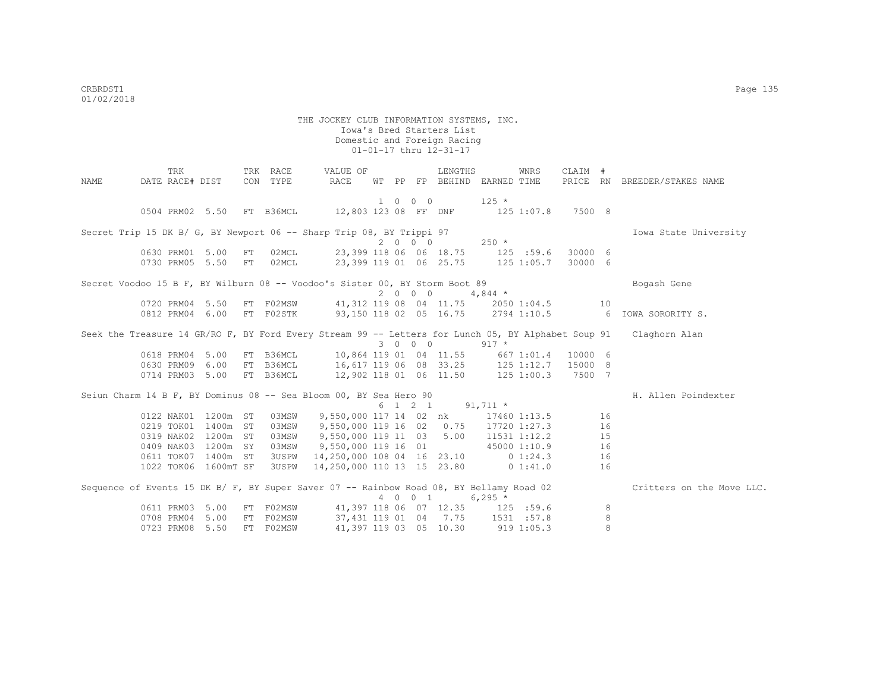| TRK<br>TRK RACE<br>VALUE OF<br>LENGTHS<br>WNRS<br>CLAIM #                                                        |                           |
|------------------------------------------------------------------------------------------------------------------|---------------------------|
| RACE<br>PRICE RN BREEDER/STAKES NAME<br>DATE RACE# DIST<br>CON TYPE<br>WT PP FP BEHIND EARNED TIME<br>NAME       |                           |
| 1 0 0 0<br>$125 *$                                                                                               |                           |
| 0504 PRM02 5.50 FT B36MCL<br>12,803 123 08 FF DNF<br>7500 8<br>$125$ $1:07.8$                                    |                           |
|                                                                                                                  |                           |
| Secret Trip 15 DK B/ G, BY Newport 06 -- Sharp Trip 08, BY Trippi 97                                             | Iowa State University     |
| 2000<br>$250 *$                                                                                                  |                           |
| 23,399 118 06 06 18.75 125 :59.6<br>0630 PRM01 5.00<br>02MCL<br>30000 6<br>FT                                    |                           |
| 30000 6<br>0730 PRM05 5.50<br>02MCL<br>23,399 119 01 06 25.75<br>$125$ $1:05.7$<br>FT                            |                           |
| Secret Voodoo 15 B F, BY Wilburn 08 -- Voodoo's Sister 00, BY Storm Boot 89<br>Bogash Gene                       |                           |
| 2000<br>$4,844$ *                                                                                                |                           |
| FT FO2MSW<br>41,312 119 08 04 11.75 2050 1:04.5<br>0720 PRM04 5.50<br>10                                         |                           |
| FT F02STK 93,150 118 02 05 16.75 2794 1:10.5 6 IOWA SORORITY S.<br>0812 PRM04 6.00                               |                           |
|                                                                                                                  |                           |
| Seek the Treasure 14 GR/RO F, BY Ford Every Stream 99 -- Letters for Lunch 05, BY Alphabet Soup 91 Claghorn Alan |                           |
| 3 0 0 0<br>$917 *$                                                                                               |                           |
| 0618 PRM04 5.00<br>FT B36MCL<br>10,864 119 01 04 11.55<br>10000 6<br>667 1:01.4                                  |                           |
| 16,617 119 06 08 33.25 125 1:12.7<br>0630 PRM09 6.00<br>FT B36MCL<br>15000 8                                     |                           |
| 12,902 118 01 06 11.50 125 1:00.3<br>0714 PRM03 5.00<br>FT B36MCL<br>7500 7                                      |                           |
| Seiun Charm 14 B F, BY Dominus 08 -- Sea Bloom 00, BY Sea Hero 90                                                | H. Allen Poindexter       |
| 6 1 2 1 91,711 *                                                                                                 |                           |
| 9,550,000 117 14 02 nk<br>0122 NAK01 1200m ST<br>16<br>03MSW<br>17460 1:13.5                                     |                           |
| 1400m<br>9,550,000 119 16 02 0.75<br>16<br>0219 TOK01<br>ST<br>03MSW<br>17720 1:27.3                             |                           |
| 5.00<br>0319 NAK02<br>1200m<br>ST<br>03MSW<br>9,550,000 119 11 03<br>11531 1:12.2<br>15                          |                           |
| 1200m<br>03MSW<br>0409 NAK03<br>SY<br>9,550,000 119 16 01<br>45000 1:10.9<br>16                                  |                           |
| 1400m ST<br><b>3USPW</b><br>14,250,000 108 04 16 23.10 0 1:24.3<br>0611 TOK07<br>16                              |                           |
| 1022 TOK06 1600mT SF<br><b>3USPW</b><br>14,250,000 110 13 15 23.80 0 1:41.0<br>16                                |                           |
| Sequence of Events 15 DK B/ F, BY Super Saver 07 -- Rainbow Road 08, BY Bellamy Road 02                          | Critters on the Move LLC. |
| 4 0 0 1<br>$6,295*$                                                                                              |                           |
| FT FO2MSW<br>0611 PRM03 5.00<br>41,397 118 06 07 12.35 125 :59.6<br>8                                            |                           |
| 37,431 119 01 04 7.75 1531 :57.8<br>8<br>0708 PRM04<br>5.00<br>FT F02MSW                                         |                           |
| 8<br>0723 PRM08<br>5.50<br>FT F02MSW<br>41,397 119 03 05 10.30<br>9191:05.3                                      |                           |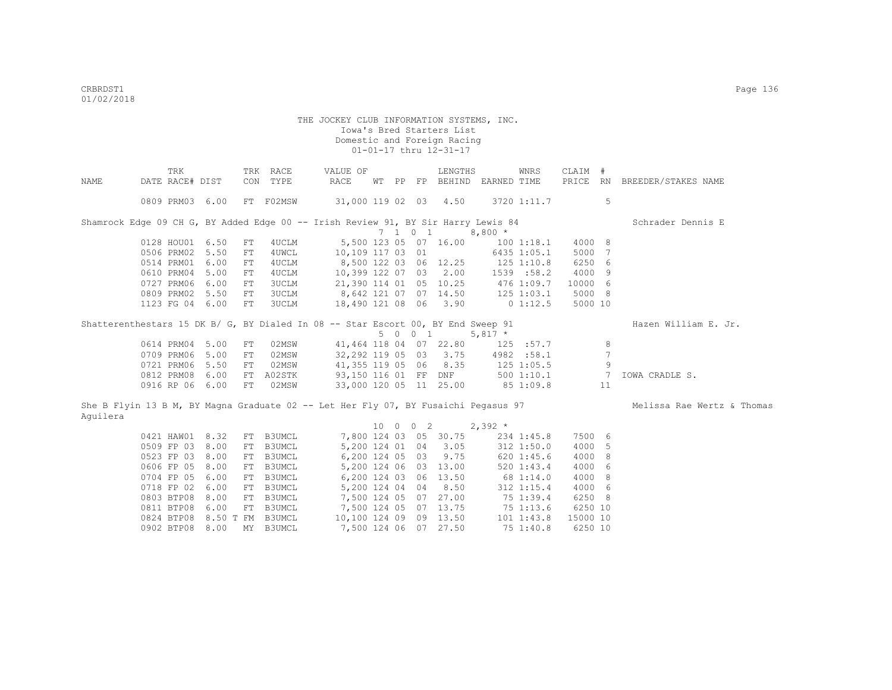|          | TRK                                                                               |      |    | TRK RACE      | VALUE OF                           |  |                 | LENGTHS                          |                                   | WNRS           | CLAIM #  |                |                                                                                                               |
|----------|-----------------------------------------------------------------------------------|------|----|---------------|------------------------------------|--|-----------------|----------------------------------|-----------------------------------|----------------|----------|----------------|---------------------------------------------------------------------------------------------------------------|
| NAME     | DATE RACE# DIST                                                                   |      |    | CON TYPE      | RACE                               |  |                 |                                  | WT PP FP BEHIND EARNED TIME       |                |          |                | PRICE RN BREEDER/STAKES NAME                                                                                  |
|          | 0809 PRM03 6.00                                                                   |      |    | FT F02MSW     | 31,000 119 02 03 4.50              |  |                 |                                  |                                   | 3720 1:11.7    |          | 5              |                                                                                                               |
|          | Shamrock Edge 09 CH G, BY Added Edge 00 -- Irish Review 91, BY Sir Harry Lewis 84 |      |    |               |                                    |  |                 |                                  |                                   |                |          |                | Schrader Dennis E                                                                                             |
|          |                                                                                   |      |    |               |                                    |  | $7 \t1 \t0 \t1$ |                                  | $8,800*$                          |                |          |                |                                                                                                               |
|          | 0128 HOU01 6.50                                                                   |      | FT | 4UCLM         |                                    |  |                 | 5,500 123 05 07 16.00            |                                   | $100$ $1:18.1$ | 4000 8   |                |                                                                                                               |
|          | 0506 PRM02                                                                        | 5.50 | FT | 4UWCL         |                                    |  |                 | 10,109 117 03 01                 |                                   | 6435 1:05.1    | 5000 7   |                |                                                                                                               |
|          | 0514 PRM01                                                                        | 6.00 | FT | 4UCLM         | 8,500 122 03 06 12.25 125 1:10.8   |  |                 |                                  |                                   |                | 6250 6   |                |                                                                                                               |
|          | 0610 PRM04                                                                        | 5.00 | FT | 4UCLM         | 10,399 122 07 03 2.00 1539 :58.2   |  |                 |                                  |                                   |                | 4000 9   |                |                                                                                                               |
|          | 0727 PRM06 6.00                                                                   |      | FT | 3UCLM         |                                    |  |                 |                                  | 21,390 114 01 05 10.25 476 1:09.7 |                | 10000 6  |                |                                                                                                               |
|          | 0809 PRM02 5.50                                                                   |      | FT | 3UCLM         | $8,642$ 121 07 07 14.50 125 1:03.1 |  |                 |                                  |                                   |                | 5000 8   |                |                                                                                                               |
|          | 1123 FG 04 6.00                                                                   |      | FT | 3UCLM         | 18,490 121 08 06 3.90 0 1:12.5     |  |                 |                                  |                                   |                | 5000 10  |                |                                                                                                               |
|          | Shatterenthestars 15 DK B/ G, BY Dialed In 08 -- Star Escort 00, BY End Sweep 91  |      |    |               |                                    |  |                 | 5 0 0 1                          | $5,817$ *                         |                |          |                | Hazen William E. Jr.                                                                                          |
|          | 0614 PRM04 5.00                                                                   |      | FT | 02MSW         |                                    |  |                 |                                  | 41,464 118 04 07 22.80 125 :57.7  |                |          | 8              |                                                                                                               |
|          | 0709 PRM06 5.00                                                                   |      | FT | 02MSW         |                                    |  |                 | 32,292 119 05 03 3.75            |                                   | 4982 :58.1     |          | 7              |                                                                                                               |
|          | 0721 PRM06 5.50                                                                   |      | FT | 02MSW         |                                    |  |                 | 41,355 119 05 06 8.35            | $125$ $1:05.5$                    |                |          | 9              |                                                                                                               |
|          | 0812 PRM08 6.00                                                                   |      | FT | A02STK        | 93,150 116 01 FF DNF 500 1:10.1    |  |                 |                                  |                                   |                |          | $\overline{7}$ | IOWA CRADLE S.                                                                                                |
|          | 0916 RP 06 6.00                                                                   |      |    | FT 02MSW      |                                    |  |                 |                                  | 33,000 120 05 11 25.00 85 1:09.8  |                |          | 11             |                                                                                                               |
| Aquilera |                                                                                   |      |    |               |                                    |  |                 |                                  |                                   |                |          |                | She B Flyin 13 B M, BY Magna Graduate 02 -- Let Her Fly 07, BY Fusaichi Pegasus 97 Melissa Rae Wertz & Thomas |
|          |                                                                                   |      |    |               |                                    |  |                 | $10 \t 0 \t 2 \t 2,392 \t \star$ |                                   |                |          |                |                                                                                                               |
|          | 0421 HAW01 8.32                                                                   |      |    | FT B3UMCL     |                                    |  |                 | 7,800 124 03 05 30.75            |                                   | 234 1:45.8     | 7500 6   |                |                                                                                                               |
|          | 0509 FP 03                                                                        | 8.00 |    | FT B3UMCL     |                                    |  |                 |                                  | 5,200 124 01 04 3.05 312 1:50.0   |                | 4000 5   |                |                                                                                                               |
|          | 0523 FP 03                                                                        | 8.00 | FT | <b>B3UMCL</b> |                                    |  |                 | 6,200 124 05 03 9.75             |                                   | $620$ 1:45.6   | 4000 8   |                |                                                                                                               |
|          | 0606 FP 05 8.00                                                                   |      | FT | B3UMCL        |                                    |  |                 | 5,200 124 06 03 13.00            |                                   | 520 1:43.4     | 4000 6   |                |                                                                                                               |
|          | 0704 FP 05 6.00                                                                   |      | FT | B3UMCL        |                                    |  |                 | 6,200 124 03 06 13.50            | 68 1:14.0                         |                | 4000 8   |                |                                                                                                               |
|          | 0718 FP 02 6.00                                                                   |      |    | FT B3UMCL     |                                    |  |                 | 5,200 124 04 04 8.50             |                                   | 312 1:15.4     | 4000 6   |                |                                                                                                               |
|          | 0803 BTP08 8.00                                                                   |      |    | FT B3UMCL     |                                    |  |                 | 7,500 124 05 07 27.00            |                                   | 75 1:39.4      | 6250 8   |                |                                                                                                               |
|          | 0811 BTP08 6.00                                                                   |      |    | FT B3UMCL     |                                    |  |                 |                                  | 7,500 124 05 07 13.75 75 1:13.6   |                | 6250 10  |                |                                                                                                               |
|          | 0824 BTP08 8.50 T FM B3UMCL                                                       |      |    |               |                                    |  |                 | 10,100 124 09 09 13.50           |                                   | $101$ $1:43.8$ | 15000 10 |                |                                                                                                               |
|          | 0902 BTP08 8.00                                                                   |      |    | MY B3UMCL     |                                    |  |                 | 7,500 124 06 07 27.50            |                                   | 751:40.8       | 6250 10  |                |                                                                                                               |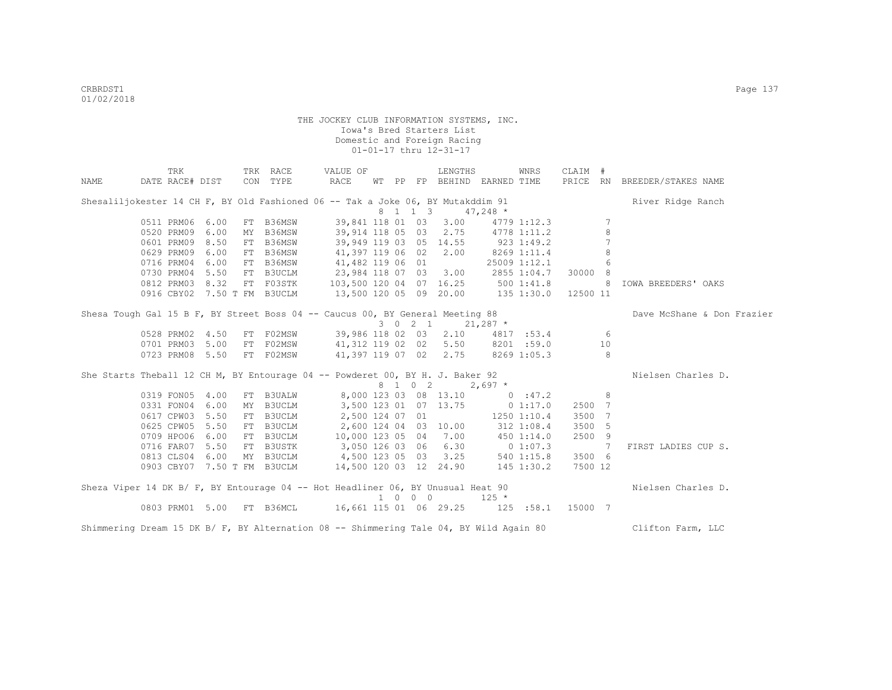|      | TRK                                                                                                                                                                                              |      | TRK RACE  | VALUE OF                                                      |  |                             | LENGTHS |                                    | WNRS | CLAIM #        |                |                              |
|------|--------------------------------------------------------------------------------------------------------------------------------------------------------------------------------------------------|------|-----------|---------------------------------------------------------------|--|-----------------------------|---------|------------------------------------|------|----------------|----------------|------------------------------|
| NAME | DATE RACE# DIST                                                                                                                                                                                  |      | CON TYPE  | RACE                                                          |  |                             |         | WT PP FP BEHIND EARNED TIME        |      |                |                | PRICE RN BREEDER/STAKES NAME |
|      | Shesaliljokester 14 CH F, BY Old Fashioned 06 -- Tak a Joke 06, BY Mutakddim 91                                                                                                                  |      |           |                                                               |  |                             |         |                                    |      |                |                | River Ridge Ranch            |
|      |                                                                                                                                                                                                  |      |           |                                                               |  | 8 1 1 3                     |         | $47,248$ *                         |      |                |                |                              |
|      | 0511 PRM06 6.00                                                                                                                                                                                  |      | FT B36MSW |                                                               |  |                             |         | 39,841 118 01 03 3.00 4779 1:12.3  |      |                | 7              |                              |
|      | 0520 PRM09 6.00                                                                                                                                                                                  |      |           | MY B36MSW 39,914 118 05 03 2.75 4778 1:11.2                   |  |                             |         |                                    |      |                | 8              |                              |
|      | 0601 PRM09 8.50                                                                                                                                                                                  |      | FT B36MSW |                                                               |  |                             |         | 39,949 119 03 05 14.55 923 1:49.2  |      |                | 7              |                              |
|      | 0629 PRM09 6.00                                                                                                                                                                                  |      |           | FT B36MSW 41,397 119 06 02 2.00                               |  |                             |         | 8269 1:11.4                        |      |                | 8              |                              |
|      |                                                                                                                                                                                                  |      |           |                                                               |  |                             |         |                                    |      |                |                |                              |
|      | 0716 PRM04 6.00 FT B36MSW 41,482 119 06 01 25009 1:12.1 6<br>0730 PRM04 5.50 FT B30CLM 23,984 118 07 03 3.00 2855 1:04.7 30000 8<br>0812 PRM03 8.32 FT F03STK 103,500 120 04 07 16.25 500 1:41.8 |      |           |                                                               |  |                             |         |                                    |      |                |                |                              |
|      |                                                                                                                                                                                                  |      |           |                                                               |  |                             |         |                                    |      |                | 8 <sup>1</sup> | IOWA BREEDERS' OAKS          |
|      | 0916 CBY02 7.50 T FM B3UCLM                                                                                                                                                                      |      |           | 13,500 120 05 09 20.00 135 1:30.0 12500 11                    |  |                             |         |                                    |      |                |                |                              |
|      | Shesa Tough Gal 15 B F, BY Street Boss 04 -- Caucus 00, BY General Meeting 88                                                                                                                    |      |           |                                                               |  |                             |         |                                    |      |                |                | Dave McShane & Don Frazier   |
|      |                                                                                                                                                                                                  |      |           |                                                               |  |                             |         | 3 0 2 1 21,287 $*$                 |      |                |                |                              |
|      | 0528 PRM02 4.50                                                                                                                                                                                  |      | FT FO2MSW |                                                               |  |                             |         | 39,986 118 02 03 2.10 4817 :53.4 6 |      |                |                |                              |
|      | 0701 PRM03 5.00                                                                                                                                                                                  |      |           | FT F02MSW 41,312 119 02 02 5.50 8201 :59.0                    |  |                             |         |                                    |      |                | 10             |                              |
|      |                                                                                                                                                                                                  |      |           | 0723 PRM08 5.50 FT F02MSW 41,397 119 07 02 2.75 8269 1:05.3 8 |  |                             |         |                                    |      |                |                |                              |
|      | She Starts Theball 12 CH M, BY Entourage 04 -- Powderet 00, BY H. J. Baker 92                                                                                                                    |      |           |                                                               |  |                             |         |                                    |      |                |                | Nielsen Charles D.           |
|      |                                                                                                                                                                                                  |      |           |                                                               |  |                             |         | 8 1 0 2 2,697 *                    |      |                |                |                              |
|      | 0319 FON05 4.00 FT B3UALW                                                                                                                                                                        |      |           |                                                               |  |                             |         | 8,000 123 03 08 13.10 0 :47.2      |      |                | 8              |                              |
|      | 0331 FON04 6.00                                                                                                                                                                                  |      | MY B3UCLM |                                                               |  |                             |         | 3,500 123 01 07 13.75 0 1:17.0     |      | 2500 7         |                |                              |
|      | 0617 CPW03 5.50                                                                                                                                                                                  |      | FT B3UCLM | 2,500 124 07 01                                               |  |                             |         | 1250 1:10.4                        |      | 3500 7         |                |                              |
|      | 0625 CPW05 5.50                                                                                                                                                                                  |      | FT B3UCLM | 2,600 124 04 03 10.00 312 1:08.4                              |  |                             |         |                                    |      | 3500 5         |                |                              |
|      | 0709 HPO06 6.00                                                                                                                                                                                  |      | FT B3UCLM | 10,000 123 05 04 7.00 450 1:14.0                              |  |                             |         |                                    |      | 2500 9         |                |                              |
|      | 0716 FAR07                                                                                                                                                                                       | 5.50 | FT B3USTK | 3,050 126 03 06 6.30 0 1:07.3                                 |  |                             |         |                                    |      | $\overline{7}$ |                | FIRST LADIES CUP S.          |
|      | 0813 CLS04 6.00                                                                                                                                                                                  |      |           | MY B3UCLM 4,500 123 05 03 3.25 540 1:15.8                     |  |                             |         |                                    |      | 3500 6         |                |                              |
|      |                                                                                                                                                                                                  |      |           | 0903 CBY07 7.50 T FM B3UCLM 14,500 120 03 12 24.90 145 1:30.2 |  |                             |         |                                    |      | 7500 12        |                |                              |
|      | Sheza Viper 14 DK B/ F, BY Entourage 04 -- Hot Headliner 06, BY Unusual Heat 90                                                                                                                  |      |           |                                                               |  |                             |         |                                    |      |                |                | Nielsen Charles D.           |
|      |                                                                                                                                                                                                  |      |           |                                                               |  | $1 \quad 0 \quad 0 \quad 0$ |         | $125 *$                            |      |                |                |                              |
|      |                                                                                                                                                                                                  |      |           |                                                               |  |                             |         |                                    |      |                |                |                              |
|      | Shimmering Dream 15 DK B/ F, BY Alternation 08 -- Shimmering Tale 04, BY Wild Again 80                                                                                                           |      |           |                                                               |  |                             |         |                                    |      |                |                | Clifton Farm, LLC            |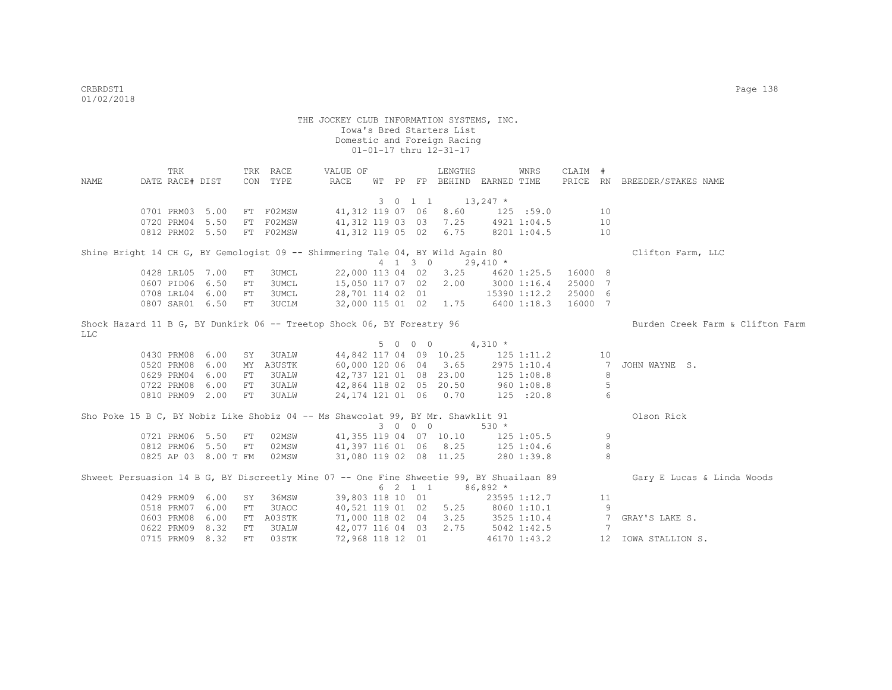|      | <b>TRK</b>      |                      |     | TRK RACE     | VALUE OF                                                                                 |  |           | LENGTHS                           |             | WNRS         | CLAIM # |    |                                  |
|------|-----------------|----------------------|-----|--------------|------------------------------------------------------------------------------------------|--|-----------|-----------------------------------|-------------|--------------|---------|----|----------------------------------|
| NAME | DATE RACE# DIST |                      |     | CON TYPE     | RACE                                                                                     |  |           | WT PP FP BEHIND EARNED TIME       |             |              |         |    | PRICE RN BREEDER/STAKES NAME     |
|      |                 |                      |     |              |                                                                                          |  |           |                                   |             |              |         |    |                                  |
|      |                 |                      |     |              |                                                                                          |  | 3 0 1 1   | $13,247$ *                        |             |              |         |    |                                  |
|      |                 | 0701 PRM03 5.00      |     | FT F02MSW    |                                                                                          |  |           | 41,312 119 07 06 8.60             |             | 125 : 59.0   |         | 10 |                                  |
|      |                 | 0720 PRM04 5.50      |     | FT F02MSW    |                                                                                          |  |           | 41,312 119 03 03 7.25             |             | 4921 1:04.5  |         | 10 |                                  |
|      |                 | 0812 PRM02 5.50      |     | FT F02MSW    |                                                                                          |  |           | 41,312 119 05 02 6.75             |             | 8201 1:04.5  |         | 10 |                                  |
|      |                 |                      |     |              | Shine Bright 14 CH G, BY Gemologist 09 -- Shimmering Tale 04, BY Wild Again 80           |  |           |                                   |             |              |         |    | Clifton Farm, LLC                |
|      |                 |                      |     |              |                                                                                          |  | $4$ 1 3 0 |                                   | $29,410 *$  |              |         |    |                                  |
|      | 0428 LRL05 7.00 |                      | FT  | 3UMCL        |                                                                                          |  |           | 22,000 113 04 02 3.25             |             | 4620 1:25.5  | 16000 8 |    |                                  |
|      |                 | 0607 PID06 6.50      | FT  | <b>3UMCL</b> | 15,050 117 07 02 2.00                                                                    |  |           |                                   |             | 3000 1:16.4  | 25000 7 |    |                                  |
|      |                 | 0708 LRL04 6.00      | FT  | 3UMCL        |                                                                                          |  |           | 28,701 114 02 01 15390 1:12.2     |             |              | 25000 6 |    |                                  |
|      |                 | 0807 SAR01 6.50      | FT  | <b>3UCLM</b> |                                                                                          |  |           | 32,000 115 01 02 1.75 6400 1:18.3 |             |              | 16000 7 |    |                                  |
|      |                 |                      |     |              |                                                                                          |  |           |                                   |             |              |         |    |                                  |
|      |                 |                      |     |              | Shock Hazard 11 B G, BY Dunkirk 06 -- Treetop Shock 06, BY Forestry 96                   |  |           |                                   |             |              |         |    | Burden Creek Farm & Clifton Farm |
| LLC  |                 |                      |     |              |                                                                                          |  |           |                                   |             |              |         |    |                                  |
|      |                 |                      |     |              |                                                                                          |  | 5 0 0 0   |                                   | $4,310 *$   |              |         |    |                                  |
|      | 0430 PRM08 6.00 |                      | SY  | 3UALW        |                                                                                          |  |           | 44,842 117 04 09 10.25 125 1:11.2 |             |              |         | 10 |                                  |
|      | 0520 PRM08      | 6.00                 | MY  | A3USTK       |                                                                                          |  |           | 60,000 120 06 04 3.65             |             | 2975 1:10.4  |         | 7  | JOHN WAYNE S.                    |
|      | 0629 PRM04      | 6.00                 | FT  | 3UALW        | 42,737 121 01 08 23.00                                                                   |  |           |                                   |             | 125 1:08.8   |         | 8  |                                  |
|      | 0722 PRM08      | 6.00                 | FT  | 3UALW        | 42,864 118 02 05 20.50                                                                   |  |           |                                   |             | 960 1:08.8   |         | 5  |                                  |
|      |                 | 0810 PRM09 2.00      | FT  | 3UALW        |                                                                                          |  |           | 24,174 121 01 06 0.70             |             | 125 :20.8    |         | 6  |                                  |
|      |                 |                      |     |              |                                                                                          |  |           |                                   |             |              |         |    | Olson Rick                       |
|      |                 |                      |     |              | Sho Poke 15 B C, BY Nobiz Like Shobiz 04 -- Ms Shawcolat 99, BY Mr. Shawklit 91          |  | 3 0 0 0   |                                   | $530 *$     |              |         |    |                                  |
|      |                 | 0721 PRM06 5.50      | FT  | 02MSW        |                                                                                          |  |           | 41,355 119 04 07 10.10 125 1:05.5 |             |              |         | 9  |                                  |
|      |                 | 0812 PRM06 5.50      | FT  | 02MSW        |                                                                                          |  |           | 41, 397 116 01 06 8.25 125 1:04.6 |             |              |         | 8  |                                  |
|      |                 | 0825 AP 03 8.00 T FM |     | 02MSW        | 31,080 119 02 08 11.25                                                                   |  |           |                                   | 280 1:39.8  |              |         | 8  |                                  |
|      |                 |                      |     |              |                                                                                          |  |           |                                   |             |              |         |    |                                  |
|      |                 |                      |     |              | Shweet Persuasion 14 B G, BY Discreetly Mine 07 -- One Fine Shweetie 99, BY Shuailaan 89 |  |           |                                   |             |              |         |    | Gary E Lucas & Linda Woods       |
|      |                 |                      |     |              |                                                                                          |  |           | 6 2 1 1                           | $86,892*$   |              |         |    |                                  |
|      | 0429 PRM09      | 6.00                 | SY  | 36MSW        | 39,803 118 10 01                                                                         |  |           |                                   |             | 23595 1:12.7 |         | 11 |                                  |
|      | 0518 PRM07      | 6.00                 | FT  | 3UAOC        |                                                                                          |  |           | 40,521 119 01 02 5.25             |             | 8060 1:10.1  |         | 9  |                                  |
|      | 0603 PRM08      | 6.00                 | FT  | A03STK       |                                                                                          |  |           | 71,000 118 02 04 3.25             |             | 3525 1:10.4  |         | 7  | GRAY'S LAKE S.                   |
|      | 0622 PRM09      | 8.32                 | FT  | 3UALW        | 42,077 116 04 03                                                                         |  |           | 2.75                              | 5042 1:42.5 |              |         | 7  |                                  |
|      | 0715 PRM09      | 8.32                 | FT. | 03STK        | 72,968 118 12 01                                                                         |  |           |                                   |             | 46170 1:43.2 |         |    | 12 IOWA STALLION S.              |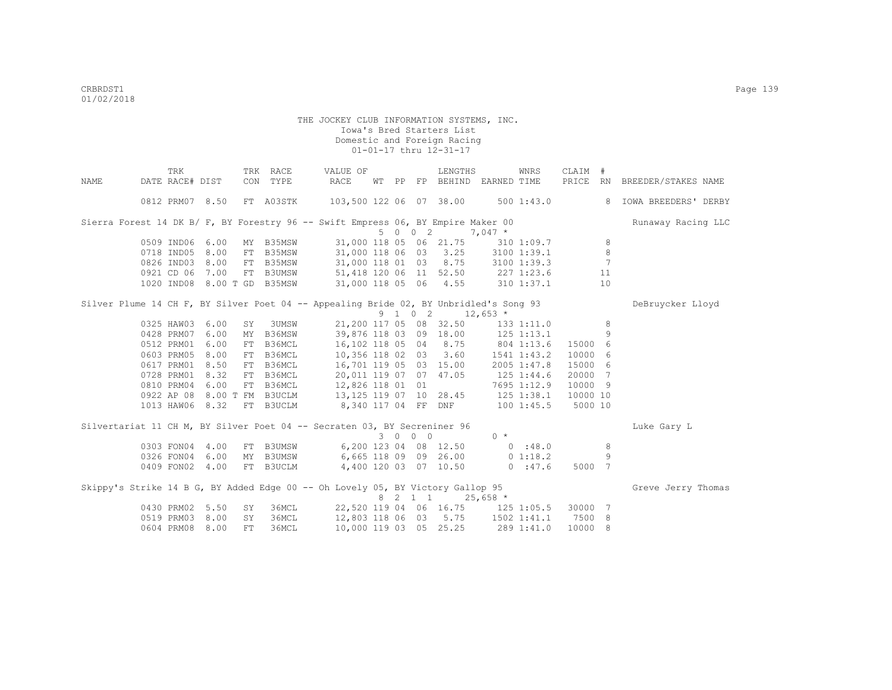|                                                                                       | TRK             |                             |            | TRK RACE  | VALUE OF                   |       |         | LENGTHS                                        | <b>WNRS</b>                                                    | CLAIM #  |         |                              |
|---------------------------------------------------------------------------------------|-----------------|-----------------------------|------------|-----------|----------------------------|-------|---------|------------------------------------------------|----------------------------------------------------------------|----------|---------|------------------------------|
| NAME                                                                                  | DATE RACE# DIST |                             |            | CON TYPE  | RACE                       | WT PP |         |                                                | FP BEHIND EARNED TIME                                          |          |         | PRICE RN BREEDER/STAKES NAME |
|                                                                                       | 0812 PRM07 8.50 |                             |            | FT A03STK | 103,500 122 06 07 38.00    |       |         |                                                | 500 1:43.0                                                     |          |         | 8 IOWA BREEDERS' DERBY       |
| Sierra Forest 14 DK B/ F, BY Forestry 96 -- Swift Empress 06, BY Empire Maker 00      |                 |                             |            |           |                            |       |         |                                                |                                                                |          |         | Runaway Racing LLC           |
|                                                                                       |                 |                             |            |           |                            |       | 5 0 0 2 |                                                | $7,047$ *                                                      |          |         |                              |
|                                                                                       | 0509 IND06 6.00 |                             |            | MY B35MSW |                            |       |         | 31,000 118 05 06 21.75                         | 310 1:09.7                                                     |          | 8       |                              |
|                                                                                       | 0718 IND05 8.00 |                             |            | FT B35MSW |                            |       |         |                                                | 31,000 118 06 03 3.25 3100 1:39.1                              |          | $\,8\,$ |                              |
|                                                                                       | 0826 IND03 8.00 |                             |            | FT B35MSW |                            |       |         |                                                | 31,000 118 01 03 8.75 3100 1:39.3                              |          | 7       |                              |
|                                                                                       | 0921 CD 06 7.00 |                             |            |           |                            |       |         |                                                | FT B3UMSW 51,418 120 06 11 52.50 227 1:23.6                    |          | 11      |                              |
|                                                                                       |                 | 1020 IND08 8.00 T GD B35MSW |            |           |                            |       |         |                                                | 31,000 118 05 06 4.55 310 1:37.1                               |          | 10      |                              |
| Silver Plume 14 CH F, BY Silver Poet 04 -- Appealing Bride 02, BY Unbridled's Song 93 |                 |                             |            |           |                            |       |         |                                                |                                                                |          |         | DeBruycker Lloyd             |
|                                                                                       |                 |                             |            |           |                            |       |         | $9 \quad 1 \quad 0 \quad 2 \quad 12,653 \atop$ |                                                                |          |         |                              |
|                                                                                       | 0325 HAW03      | 6.00                        | SY         | 3UMSW     | 21,200 117 05 08 32.50     |       |         |                                                | 1331:11.0                                                      |          | 8       |                              |
|                                                                                       | 0428 PRM07      | 6.00                        |            | MY B36MSW | 39,876 118 03 09 18.00     |       |         |                                                | $125$ $1:13.1$                                                 |          | 9       |                              |
|                                                                                       | 0512 PRM01      | 6.00                        |            | FT B36MCL | 16,102 118 05 04 8.75      |       |         |                                                | 804 1:13.6                                                     | 15000 6  |         |                              |
|                                                                                       | 0603 PRM05      | 8.00                        |            | FT B36MCL | 10,356 118 02 03 3.60      |       |         |                                                | 1541 1:43.2                                                    | 10000 6  |         |                              |
|                                                                                       | 0617 PRM01 8.50 |                             | ${\rm FT}$ | B36MCL    | 16,701 119 05 03 15.00     |       |         |                                                | 2005 1:47.8                                                    | 15000 6  |         |                              |
|                                                                                       | 0728 PRM01 8.32 |                             |            | FT B36MCL |                            |       |         |                                                | 20,011 119 07 07 47.05 125 1:44.6                              | 20000 7  |         |                              |
|                                                                                       | 0810 PRM04      | 6.00                        |            |           | FT B36MCL 12,826 118 01 01 |       |         |                                                | 7695 1:12.9                                                    | 10000 9  |         |                              |
|                                                                                       |                 |                             |            |           |                            |       |         |                                                | 0922 AP 08 8.00 T FM B3UCLM 13, 125 119 07 10 28.45 125 1:38.1 | 10000 10 |         |                              |
|                                                                                       | 1013 HAW06 8.32 |                             |            | FT B3UCLM |                            |       |         |                                                | 8,340 117 04 FF DNF 100 1:45.5                                 | 5000 10  |         |                              |
| Silvertariat 11 CH M, BY Silver Poet 04 -- Secraten 03, BY Secreniner 96              |                 |                             |            |           |                            |       |         |                                                |                                                                |          |         | Luke Gary L                  |
|                                                                                       |                 |                             |            |           |                            |       | 3 0 0 0 |                                                | $0 *$                                                          |          |         |                              |
|                                                                                       | 0303 FON04 4.00 |                             |            | FT B3UMSW |                            |       |         | 6,200 123 04 08 12.50                          | 0.38.0                                                         |          | 8       |                              |
|                                                                                       | 0326 FON04      | 6.00                        |            | MY B3UMSW |                            |       |         | 6,665 118 09 09 26.00                          | 0 1:18.2                                                       |          | 9       |                              |
|                                                                                       | 0409 FON02 4.00 |                             |            | FT B3UCLM |                            |       |         | 4,400 120 03 07 10.50                          | 0:47.6                                                         | 5000 7   |         |                              |
| Skippy's Strike 14 B G, BY Added Edge 00 -- Oh Lovely 05, BY Victory Gallop 95        |                 |                             |            |           |                            |       |         |                                                |                                                                |          |         | Greve Jerry Thomas           |
|                                                                                       |                 |                             |            |           |                            |       | 8 2 1 1 |                                                | $25,658$ *                                                     |          |         |                              |
|                                                                                       | 0430 PRM02      | 5.50                        | SY         | 36MCL     |                            |       |         |                                                | 22,520 119 04 06 16.75 125 1:05.5                              | 30000 7  |         |                              |
|                                                                                       | 0519 PRM03 8.00 |                             | SY         | 36MCL     |                            |       |         |                                                | 12,803 118 06 03 5.75 1502 1:41.1                              | 7500 8   |         |                              |
|                                                                                       | 0604 PRM08      | 8.00                        | FT         | 36MCL     |                            |       |         | 10,000 119 03 05 25.25                         | 289 1:41.0                                                     | 10000 8  |         |                              |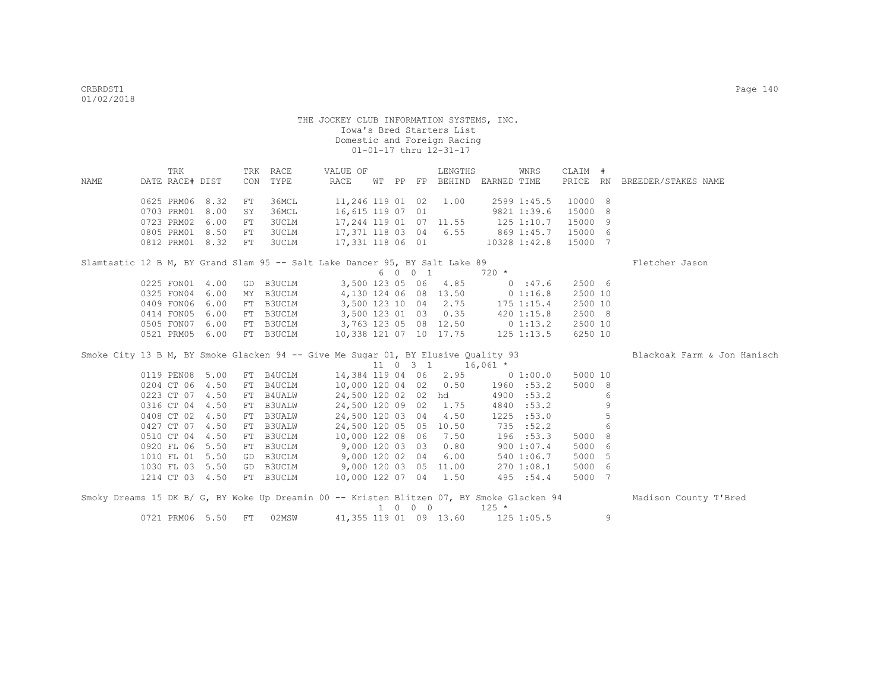| NAME | TRK<br>DATE RACE# DIST        |      |          | TRK RACE<br>CON TYPE | VALUE OF<br>RACE                                                                  |                             | LENGTHS                                | WT PP FP BEHIND EARNED TIME      | WNRS         | CLAIM #            |   | PRICE RN BREEDER/STAKES NAME                                                                                    |
|------|-------------------------------|------|----------|----------------------|-----------------------------------------------------------------------------------|-----------------------------|----------------------------------------|----------------------------------|--------------|--------------------|---|-----------------------------------------------------------------------------------------------------------------|
|      | 0625 PRM06 8.32<br>0703 PRM01 | 8.00 | FT<br>SY | 36MCL<br>36MCL       | 16,615 119 07 01                                                                  |                             | 11,246 119 01 02 1.00                  | 2599 1:45.5<br>9821 1:39.6       |              | 10000 8<br>15000 8 |   |                                                                                                                 |
|      | 0723 PRM02                    | 6.00 | FT       | 3UCLM                |                                                                                   |                             | 17,244 119 01 07 11.55                 | $125$ $1:10.7$                   |              | 15000 9            |   |                                                                                                                 |
|      | 0805 PRM01                    | 8.50 | FT       | 3UCLM                |                                                                                   |                             |                                        | 17,371 118 03 04 6.55 869 1:45.7 |              | 15000 6            |   |                                                                                                                 |
|      | 0812 PRM01 8.32               |      | FT       | 3UCLM                | 17,331 118 06 01 10328 1:42.8                                                     |                             |                                        |                                  |              | 15000 7            |   |                                                                                                                 |
|      |                               |      |          |                      | Slamtastic 12 B M, BY Grand Slam 95 -- Salt Lake Dancer 95, BY Salt Lake 89       |                             |                                        |                                  |              |                    |   | Fletcher Jason                                                                                                  |
|      |                               |      |          |                      |                                                                                   | 6 0 0 1                     |                                        | 720 *                            |              |                    |   |                                                                                                                 |
|      | 0225 FON01 4.00               |      |          | GD B3UCLM            |                                                                                   |                             | 3,500 123 05 06 4.85                   |                                  | 0:47.6       | 2500 6             |   |                                                                                                                 |
|      | 0325 FON04                    | 6.00 |          | MY B3UCLM            |                                                                                   |                             |                                        | 4,130 124 06 08 13.50 0 1:16.8   |              | 2500 10            |   |                                                                                                                 |
|      | 0409 FON06                    | 6.00 |          | FT B3UCLM            |                                                                                   |                             | 3,500 123 10 04 2.75                   | 175 1:15.4                       |              | 2500 10            |   |                                                                                                                 |
|      | 0414 FON05                    | 6.00 |          | FT B3UCLM            |                                                                                   |                             | 3,500 123 01 03 0.35                   |                                  | $420$ 1:15.8 | 2500 8             |   |                                                                                                                 |
|      | 0505 FON07                    | 6.00 |          | FT B3UCLM            | 3,763 123 05 08 12.50 0 1:13.2                                                    |                             |                                        |                                  |              | 2500 10            |   |                                                                                                                 |
|      | 0521 PRM05 6.00               |      |          | FT B3UCLM            | 10,338 121 07 10 17.75 125 1:13.5                                                 |                             |                                        |                                  |              | 6250 10            |   |                                                                                                                 |
|      |                               |      |          |                      |                                                                                   |                             |                                        |                                  |              |                    |   |                                                                                                                 |
|      |                               |      |          |                      | Smoke City 13 B M, BY Smoke Glacken 94 -- Give Me Sugar 01, BY Elusive Quality 93 |                             |                                        |                                  |              |                    |   | Blackoak Farm & Jon Hanisch                                                                                     |
|      |                               |      |          |                      |                                                                                   |                             | $11 \t 0 \t 3 \t 1 \t 16,061 \t \star$ |                                  |              |                    |   |                                                                                                                 |
|      | 0119 PEN08 5.00               |      |          | FT B4UCLM            |                                                                                   |                             |                                        | 14,384 119 04 06 2.95 0 1:00.0   |              | 5000 10            |   |                                                                                                                 |
|      | 0204 CT 06 4.50               |      |          | FT B4UCLM            |                                                                                   |                             | 10,000 120 04 02 0.50                  | 1960 :53.2                       |              | 5000 8             |   |                                                                                                                 |
|      | 0223 CT 07 4.50               |      |          | FT B4UALW            |                                                                                   |                             | 24,500 120 02 02 hd                    | 4900 :53.2                       |              |                    | 6 |                                                                                                                 |
|      | 0316 CT 04 4.50               |      |          | FT B3UALW            |                                                                                   |                             | 24,500 120 09 02 1.75                  | 4840 :53.2                       |              |                    | 9 |                                                                                                                 |
|      | 0408 CT 02 4.50               |      | FT       | <b>B3UALW</b>        | 24,500 120 03 04                                                                  |                             | 4.50                                   | 1225 : 53.0                      |              |                    | 5 |                                                                                                                 |
|      | 0427 CT 07 4.50               |      | FT       | <b>B3UALW</b>        |                                                                                   |                             | 24,500 120 05 05 10.50                 | 735 : 52.2                       |              |                    | 6 |                                                                                                                 |
|      | 0510 CT 04 4.50               |      |          | FT B3UCLM            |                                                                                   |                             | 10,000 122 08 06 7.50                  | 196 :53.3                        |              | 5000 8             |   |                                                                                                                 |
|      | 0920 FL 06 5.50               |      |          | FT B3UCLM            | $9,000$ 120 03 03                                                                 |                             | 0.80                                   |                                  | 900 1:07.4   | 5000 6             |   |                                                                                                                 |
|      | 1010 FL 01 5.50               |      | GD       | <b>B3UCLM</b>        | 9,000 120 02 04                                                                   |                             | 6.00                                   |                                  | 540 1:06.7   | 5000 5             |   |                                                                                                                 |
|      | 1030 FL 03 5.50               |      |          |                      | GD B3UCLM 9,000 120 03 05 11.00                                                   |                             |                                        |                                  | 270 1:08.1   | 5000 6             |   |                                                                                                                 |
|      | 1214 CT 03 4.50               |      |          | FT B3UCLM            | 10,000 122 07 04 1.50                                                             |                             |                                        | 495 :54.4                        |              | 5000 7             |   |                                                                                                                 |
|      |                               |      |          |                      |                                                                                   | $1 \quad 0 \quad 0 \quad 0$ |                                        | $125 *$                          |              |                    |   | Smoky Dreams 15 DK B/ G, BY Woke Up Dreamin 00 -- Kristen Blitzen 07, BY Smoke Glacken 94 Madison County T'Bred |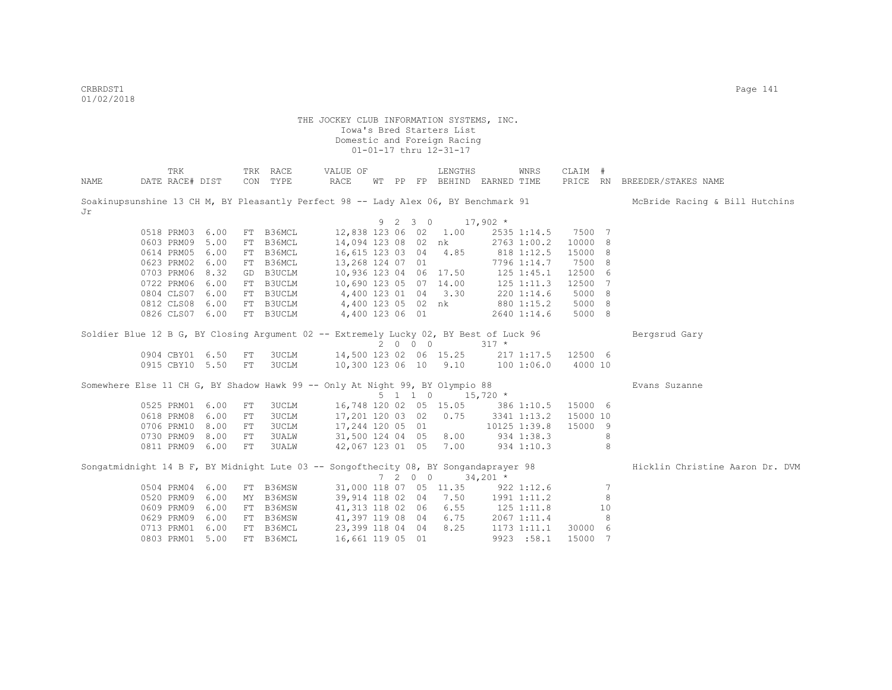CRBRDST1 Page 141 01/02/2018

|      | TRK             |                 |            | TRK RACE  | VALUE OF                                                                              |            |             | LENGTHS                                    |                | WNRS         | CLAIM # |    |                                 |
|------|-----------------|-----------------|------------|-----------|---------------------------------------------------------------------------------------|------------|-------------|--------------------------------------------|----------------|--------------|---------|----|---------------------------------|
| NAME | DATE RACE# DIST |                 |            | CON TYPE  | RACE                                                                                  |            |             | WT PP FP BEHIND EARNED TIME                |                |              |         |    | PRICE RN BREEDER/STAKES NAME    |
| Jr   |                 |                 |            |           | Soakinupsunshine 13 CH M, BY Pleasantly Perfect 98 -- Lady Alex 06, BY Benchmark 91   |            |             |                                            |                |              |         |    | McBride Racing & Bill Hutchins  |
|      |                 |                 |            |           |                                                                                       | $9\quad 2$ | $3 \quad 0$ |                                            | $17,902$ *     |              |         |    |                                 |
|      | 0518 PRM03 6.00 |                 |            | FT B36MCL | 12,838 123 06 02 1.00                                                                 |            |             |                                            |                | 2535 1:14.5  | 7500 7  |    |                                 |
|      |                 | 0603 PRM09 5.00 |            | FT B36MCL |                                                                                       |            |             | 14,094 123 08 02 nk                        |                | 2763 1:00.2  | 10000 8 |    |                                 |
|      | 0614 PRM05      | 6.00            |            | FT B36MCL | 16,615 123 03 04 4.85                                                                 |            |             |                                            | 818 1:12.5     |              | 15000 8 |    |                                 |
|      |                 | 0623 PRM02 6.00 |            | FT B36MCL | 13,268 124 07 01                                                                      |            |             |                                            |                | 7796 1:14.7  | 7500 8  |    |                                 |
|      | 0703 PRM06      | 8.32            |            | GD B3UCLM | 10,936 123 04 06 17.50 125 1:45.1                                                     |            |             |                                            |                |              | 12500 6 |    |                                 |
|      | 0722 PRM06      | 6.00            |            | FT B3UCLM | 10,690 123 05 07 14.00 125 1:11.3                                                     |            |             |                                            |                |              | 12500 7 |    |                                 |
|      |                 | 0804 CLS07 6.00 |            | FT B3UCLM | 4,400 123 01 04 3.30                                                                  |            |             |                                            | 220 1:14.6     |              | 5000 8  |    |                                 |
|      |                 | 0812 CLS08 6.00 |            | FT B3UCLM | 4,400 123 05 02 nk 880 1:15.2                                                         |            |             |                                            |                |              | 5000 8  |    |                                 |
|      |                 | 0826 CLS07 6.00 |            | FT B3UCLM | 4,400 123 06 01                                                                       |            |             | 2640 1:14.6                                |                |              | 5000 8  |    |                                 |
|      |                 |                 |            |           | Soldier Blue 12 B G, BY Closing Argument 02 -- Extremely Lucky 02, BY Best of Luck 96 |            | 2000        |                                            | $317 *$        |              |         |    | Bergsrud Gary                   |
|      |                 | 0904 CBY01 6.50 | FT         | 3UCLM     | 14,500 123 02 06 15.25 217 1:17.5                                                     |            |             |                                            |                |              | 12500 6 |    |                                 |
|      |                 | 0915 CBY10 5.50 | FT         | 3UCLM     | 10,300 123 06 10 9.10 100 1:06.0                                                      |            |             |                                            |                |              | 4000 10 |    |                                 |
|      |                 |                 |            |           | Somewhere Else 11 CH G, BY Shadow Hawk 99 -- Only At Night 99, BY Olympio 88          |            |             |                                            |                |              |         |    | Evans Suzanne                   |
|      |                 |                 |            |           |                                                                                       |            |             | $5 \t1 \t1 \t0 \t15,720 \t*$               |                |              |         |    |                                 |
|      | 0525 PRM01 6.00 |                 | FT         | 3UCLM     |                                                                                       |            |             | 16,748 120 02 05 15.05 386 1:10.5          |                |              | 15000 6 |    |                                 |
|      | 0618 PRM08      | 6.00            | ${\rm FT}$ | 3UCLM     |                                                                                       |            |             | 17,201 120 03 02 0.75 3341 1:13.2 15000 10 |                |              |         |    |                                 |
|      |                 | 0706 PRM10 8.00 | FT         | 3UCLM     | 17,244 120 05 01                                                                      |            |             |                                            |                | 10125 1:39.8 | 15000 9 |    |                                 |
|      |                 | 0730 PRM09 8.00 | FT         | 3UALW     | 31,500 124 04 05 8.00                                                                 |            |             |                                            | 934 1:38.3     |              |         | 8  |                                 |
|      |                 | 0811 PRM09 6.00 | FT         | 3UALW     | 42,067 123 01 05 7.00                                                                 |            |             |                                            |                | 934 1:10.3   |         | 8  |                                 |
|      |                 |                 |            |           | Songatmidnight 14 B F, BY Midnight Lute 03 -- Songofthecity 08, BY Songandaprayer 98  |            | 7200        | $34,201$ *                                 |                |              |         |    | Hicklin Christine Aaron Dr. DVM |
|      | 0504 PRM04 6.00 |                 |            | FT B36MSW | 31,000 118 07 05 11.35                                                                |            |             |                                            |                | $922$ 1:12.6 |         | 7  |                                 |
|      |                 | 0520 PRM09 6.00 |            | MY B36MSW | 39,914 118 02 04 7.50                                                                 |            |             |                                            | 1991 1:11.2    |              |         | 8  |                                 |
|      |                 | 0609 PRM09 6.00 |            | FT B36MSW | 41,313 118 02 06 6.55                                                                 |            |             |                                            | $125$ $1:11.8$ |              |         | 10 |                                 |
|      | 0629 PRM09      | 6.00            |            | FT B36MSW | 41,397 119 08 04 6.75                                                                 |            |             |                                            |                | 2067 1:11.4  |         | 8  |                                 |
|      | 0713 PRM01      | 6.00            |            | FT B36MCL | 23,399 118 04 04                                                                      |            |             | 8.25                                       |                | 1173 1:11.1  | 30000 6 |    |                                 |
|      | 0803 PRM01      | 5.00            | FT         | B36MCL    | 16,661 119 05 01                                                                      |            |             |                                            |                | 9923 :58.1   | 15000 7 |    |                                 |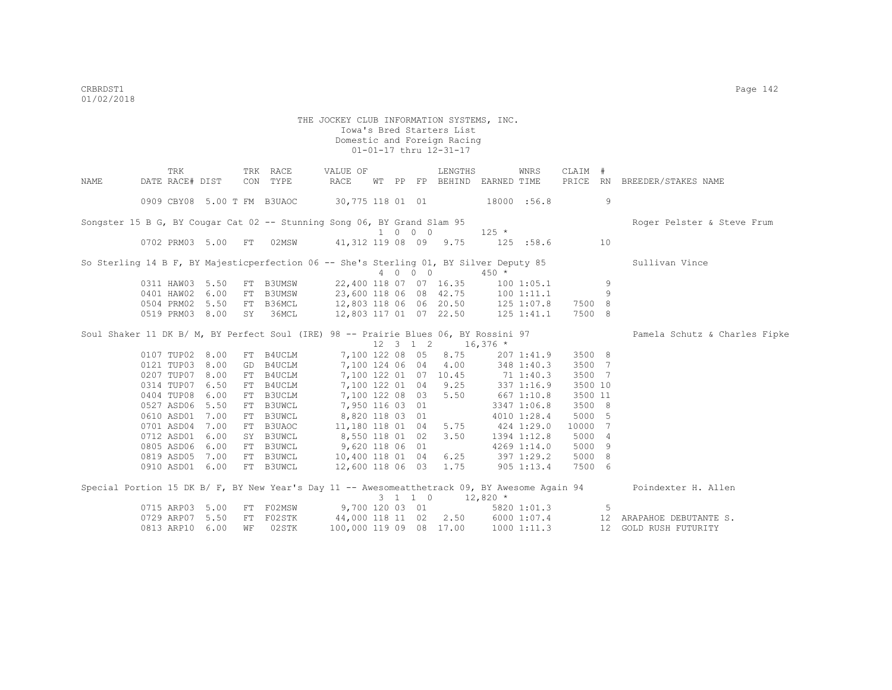|      | TRK                                                                                    |    | TRK RACE  | VALUE OF                                    |  |                             | LENGTHS                                           |         | WNRS            | CLAIM # |     |                                                                                                                   |
|------|----------------------------------------------------------------------------------------|----|-----------|---------------------------------------------|--|-----------------------------|---------------------------------------------------|---------|-----------------|---------|-----|-------------------------------------------------------------------------------------------------------------------|
| NAME | DATE RACE# DIST                                                                        |    | CON TYPE  | RACE                                        |  |                             | WT PP FP BEHIND EARNED TIME                       |         |                 |         |     | PRICE RN BREEDER/STAKES NAME                                                                                      |
|      | 0909 CBY08 5.00 T FM B3UAOC                                                            |    |           | 30,775 118 01 01 18000 :56.8                |  |                             |                                                   |         |                 |         | 9   |                                                                                                                   |
|      | Songster 15 B G, BY Cougar Cat 02 -- Stunning Song 06, BY Grand Slam 95                |    |           |                                             |  |                             |                                                   |         |                 |         |     | Roger Pelster & Steve Frum                                                                                        |
|      |                                                                                        |    |           |                                             |  | $1 \quad 0 \quad 0 \quad 0$ |                                                   | $125 *$ |                 |         |     |                                                                                                                   |
|      | 0702 PRM03 5.00 FT 02MSW                                                               |    |           | 41,312 119 08 09 9.75 125 :58.6 10          |  |                             |                                                   |         |                 |         |     |                                                                                                                   |
|      | So Sterling 14 B F, BY Majesticperfection 06 -- She's Sterling 01, BY Silver Deputy 85 |    |           |                                             |  |                             |                                                   |         |                 |         |     | Sullivan Vince                                                                                                    |
|      |                                                                                        |    |           |                                             |  | 4 0 0 0                     |                                                   | $450 *$ |                 |         |     |                                                                                                                   |
|      | 0311 HAW03 5.50                                                                        |    |           | FT B3UMSW 22,400 118 07 07 16.35            |  |                             |                                                   |         | 1001:05.1       |         | 9   |                                                                                                                   |
|      | 0401 HAW02 6.00                                                                        |    |           | FT B3UMSW 23,600 118 06 08 42.75 100 1:11.1 |  |                             |                                                   |         |                 |         | 9   |                                                                                                                   |
|      | 0504 PRM02 5.50                                                                        |    | FT B36MCL | 12,803 118 06 06 20.50 125 1:07.8           |  |                             |                                                   |         |                 | 7500 8  |     |                                                                                                                   |
|      | 0519 PRM03 8.00                                                                        | SY | 36MCL     | 12,803 117 01 07 22.50                      |  |                             |                                                   |         | 125 1:41.1      | 7500 8  |     |                                                                                                                   |
|      | Soul Shaker 11 DK B/ M, BY Perfect Soul (IRE) 98 -- Prairie Blues 06, BY Rossini 97    |    |           |                                             |  |                             |                                                   |         |                 |         |     | Pamela Schutz & Charles Fipke                                                                                     |
|      |                                                                                        |    |           |                                             |  |                             | $12 \quad 3 \quad 1 \quad 2 \quad 16,376 \quad *$ |         |                 |         |     |                                                                                                                   |
|      | 0107 TUP02 8.00                                                                        |    | FT B4UCLM |                                             |  |                             | 7,100 122 08 05 8.75                              |         | 207 1:41.9      | 3500 8  |     |                                                                                                                   |
|      | 0121 TUP03 8.00                                                                        | GD |           | B4UCLM 7,100 124 06 04 4.00 348 1:40.3      |  |                             |                                                   |         |                 | 3500 7  |     |                                                                                                                   |
|      | 0207 TUP07 8.00                                                                        |    | FT B4UCLM | 7,100 122 01 07 10.45 71 1:40.3             |  |                             |                                                   |         |                 | 3500 7  |     |                                                                                                                   |
|      | 0314 TUP07 6.50                                                                        |    | FT B4UCLM | 7,100 122 01 04 9.25                        |  |                             |                                                   |         | 337 1:16.9      | 3500 10 |     |                                                                                                                   |
|      | 0404 TUP08 6.00                                                                        |    | FT B3UCLM | 7,100 122 08 03 5.50                        |  |                             |                                                   |         | $667$ 1:10.8    | 3500 11 |     |                                                                                                                   |
|      | 0527 ASD06 5.50                                                                        |    | FT B3UWCL | 7,950 116 03 01                             |  |                             |                                                   |         | 3347 1:06.8     | 3500 8  |     |                                                                                                                   |
|      | 0610 ASD01 7.00                                                                        |    | FT B3UWCL | 8,820 118 03 01                             |  |                             |                                                   |         | 4010 1:28.4     | 5000 5  |     |                                                                                                                   |
|      | 0701 ASD04 7.00                                                                        |    | FT B3UAOC | 11,180 118 01 04 5.75                       |  |                             |                                                   |         | 424 1:29.0      | 10000 7 |     |                                                                                                                   |
|      | 0712 ASD01 6.00                                                                        |    | SY B3UWCL | 8,550 118 01 02 3.50                        |  |                             |                                                   |         | 1394 1:12.8     | 5000 4  |     |                                                                                                                   |
|      | 0805 ASD06 6.00                                                                        |    | FT B3UWCL | 9,620 118 06 01                             |  |                             |                                                   |         | 4269 1:14.0     | 5000 9  |     |                                                                                                                   |
|      | 0819 ASD05 7.00                                                                        |    | FT B3UWCL | 10,400 118 01 04 6.25 397 1:29.2            |  |                             |                                                   |         |                 | 5000 8  |     |                                                                                                                   |
|      | 0910 ASD01 6.00                                                                        |    | FT B3UWCL | 12,600 118 06 03 1.75                       |  |                             |                                                   |         | $905$ 1:13.4    | 7500 6  |     |                                                                                                                   |
|      |                                                                                        |    |           |                                             |  |                             |                                                   |         |                 |         |     | Special Portion 15 DK B/ F, BY New Year's Day 11 -- Awesomeatthetrack 09, BY Awesome Again 94 Poindexter H. Allen |
|      |                                                                                        |    |           |                                             |  |                             | $3 \quad 1 \quad 1 \quad 0 \quad 12,820 \neq$     |         |                 |         |     |                                                                                                                   |
|      | 0715 ARP03 5.00                                                                        |    |           | FT F02MSW 9,700 120 03 01 5820 1:01.3       |  |                             |                                                   |         |                 |         | - 5 |                                                                                                                   |
|      | 0729 ARP07 5.50                                                                        | FT |           |                                             |  |                             |                                                   |         |                 |         |     | FO2STK 44,000 118 11 02 2.50 6000 1:07.4 12 ARAPAHOE DEBUTANTE S.                                                 |
|      | 0813 ARP10 6.00                                                                        | WF | 02STK     | 100,000 119 09 08 17.00                     |  |                             |                                                   |         | $1000$ $1:11.3$ |         |     | 12 GOLD RUSH FUTURITY                                                                                             |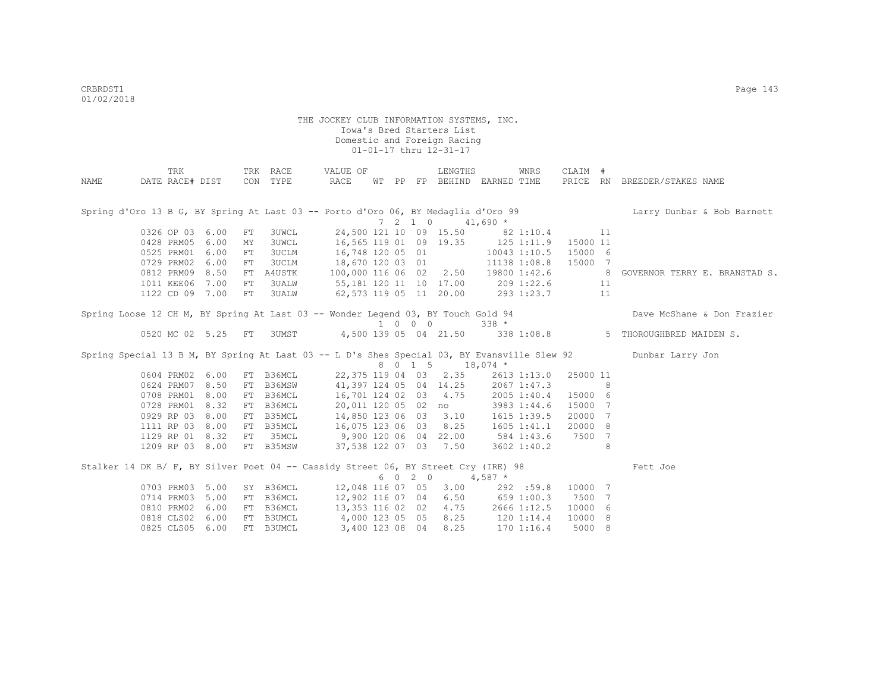|                                                                                    | TRK             |                    |            | TRK RACE     | VALUE OF                            |  |                          | LENGTHS               |                                       | WNRS            | CLAIM #        |    |                                                                                                                  |
|------------------------------------------------------------------------------------|-----------------|--------------------|------------|--------------|-------------------------------------|--|--------------------------|-----------------------|---------------------------------------|-----------------|----------------|----|------------------------------------------------------------------------------------------------------------------|
| NAME                                                                               | DATE RACE# DIST |                    |            | CON TYPE     | RACE                                |  |                          |                       | WT PP FP BEHIND EARNED TIME           |                 |                |    | PRICE RN BREEDER/STAKES NAME                                                                                     |
|                                                                                    |                 |                    |            |              |                                     |  |                          |                       |                                       |                 |                |    |                                                                                                                  |
|                                                                                    |                 |                    |            |              |                                     |  |                          |                       |                                       |                 |                |    | Spring d'Oro 13 B G, BY Spring At Last 03 -- Porto d'Oro 06, BY Medaglia d'Oro 99 [1] Larry Dunbar & Bob Barnett |
|                                                                                    |                 |                    |            |              |                                     |  | $7\quad 2\quad 1\quad 0$ |                       | $41,690$ *                            |                 |                |    |                                                                                                                  |
|                                                                                    | 0326 OP 03 6.00 |                    | FT         | 3UWCL        |                                     |  |                          |                       | 24,500 121 10 09 15.50 82 1:10.4      |                 |                | 11 |                                                                                                                  |
|                                                                                    | 0428 PRM05      | 6.00               | MY         | 3UWCL        | 16,565 119 01 09 19.35 125 1:11.9   |  |                          |                       |                                       |                 | 15000 11       |    |                                                                                                                  |
|                                                                                    | 0525 PRM01      | 6.00               | ${\rm FT}$ | <b>3UCLM</b> |                                     |  |                          | 16,748 120 05 01      |                                       | 10043 1:10.5    | 15000 6        |    |                                                                                                                  |
|                                                                                    | 0729 PRM02      | 6.00               | FT         | 3UCLM        |                                     |  |                          | 18,670 120 03 01      |                                       | 11138 1:08.8    | 15000 7        |    |                                                                                                                  |
|                                                                                    | 0812 PRM09 8.50 |                    |            | FT A4USTK    | 100,000 116 06 02 2.50 19800 1:42.6 |  |                          |                       |                                       |                 | 8 <sup>1</sup> |    | GOVERNOR TERRY E. BRANSTAD S.                                                                                    |
|                                                                                    | 1011 KEE06 7.00 |                    | FT         | 3UALW        |                                     |  |                          |                       | 55, 181 120 11 10 17.00 209 1:22.6 11 |                 |                |    |                                                                                                                  |
|                                                                                    | 1122 CD 09 7.00 |                    | FT         | 3UALW        | $62,573$ 119 05 11 20.00 293 1:23.7 |  |                          |                       |                                       |                 |                | 11 |                                                                                                                  |
|                                                                                    |                 |                    |            |              |                                     |  |                          |                       |                                       |                 |                |    |                                                                                                                  |
| Spring Loose 12 CH M, BY Spring At Last 03 -- Wonder Legend 03, BY Touch Gold 94   |                 |                    |            |              |                                     |  | 1 0 0 0                  |                       | $338 *$                               |                 |                |    | Dave McShane & Don Frazier                                                                                       |
|                                                                                    |                 | 0520 MC 02 5.25 FT |            |              |                                     |  |                          |                       |                                       |                 |                |    | 3UMST 4,500 139 05 04 21.50 338 1:08.8 5 THOROUGHBRED MAIDEN S.                                                  |
|                                                                                    |                 |                    |            |              |                                     |  |                          |                       |                                       |                 |                |    |                                                                                                                  |
|                                                                                    |                 |                    |            |              |                                     |  |                          |                       |                                       |                 |                |    | Spring Special 13 B M, BY Spring At Last 03 -- L D's Shes Special 03, BY Evansville Slew 92 Dunbar Larry Jon     |
|                                                                                    |                 |                    |            |              |                                     |  |                          | 8 0 1 5 18,074 *      |                                       |                 |                |    |                                                                                                                  |
|                                                                                    | 0604 PRM02 6.00 |                    |            | FT B36MCL    |                                     |  |                          | 22,375 119 04 03 2.35 |                                       | 2613 1:13.0     | 25000 11       |    |                                                                                                                  |
|                                                                                    | 0624 PRM07      | 8.50               | FT         | B36MSW       | 41,397 124 05 04 14.25              |  |                          |                       |                                       | 2067 1:47.3     |                | 8  |                                                                                                                  |
|                                                                                    | 0708 PRM01      | 8.00               | FT         | B36MCL       | 16,701 124 02 03 4.75               |  |                          |                       |                                       | 2005 1:40.4     | 15000 6        |    |                                                                                                                  |
|                                                                                    | 0728 PRM01      | 8.32               |            | FT B36MCL    | 20,011 120 05 02 no                 |  |                          |                       |                                       | 3983 1:44.6     | 15000 7        |    |                                                                                                                  |
|                                                                                    | 0929 RP 03      | 8.00               | FT         | B35MCL       | 14,850 123 06 03 3.10               |  |                          |                       |                                       | 1615 1:39.5     | 20000 7        |    |                                                                                                                  |
|                                                                                    | 1111 RP 03 8.00 |                    |            | FT B35MCL    |                                     |  |                          | 16,075 123 06 03 8.25 |                                       | $1605$ $1:41.1$ | 20000 8        |    |                                                                                                                  |
|                                                                                    | 1129 RP 01 8.32 |                    | FT         | 35MCL        |                                     |  |                          | 9,900 120 06 04 22.00 |                                       | 584 1:43.6      | 7500 7         |    |                                                                                                                  |
|                                                                                    | 1209 RP 03 8.00 |                    |            | FT B35MSW    |                                     |  |                          | 37,538 122 07 03 7.50 |                                       | 3602 1:40.2     |                | 8  |                                                                                                                  |
| Stalker 14 DK B/ F, BY Silver Poet 04 -- Cassidy Street 06, BY Street Cry (IRE) 98 |                 |                    |            |              |                                     |  |                          |                       |                                       |                 |                |    | Fett Joe                                                                                                         |
|                                                                                    |                 |                    |            |              |                                     |  | 6 0 2 0                  |                       | $4,587$ *                             |                 |                |    |                                                                                                                  |
|                                                                                    | 0703 PRM03      | 5.00               |            | SY B36MCL    |                                     |  |                          | 12,048 116 07 05 3.00 |                                       | 292 :59.8       | 10000 7        |    |                                                                                                                  |
|                                                                                    | 0714 PRM03      | 5.00               | FT         | B36MCL       | 12,902 116 07 04 6.50 659 1:00.3    |  |                          |                       |                                       |                 | 7500 7         |    |                                                                                                                  |
|                                                                                    | 0810 PRM02      | 6.00               |            | FT B36MCL    | 13,353 116 02 02 4.75 2666 1:12.5   |  |                          |                       |                                       |                 | 10000 6        |    |                                                                                                                  |
|                                                                                    | 0818 CLS02      | 6.00               |            | FT B3UMCL    | 4,000 123 05 05 8.25 120 1:14.4     |  |                          |                       |                                       |                 | 10000 8        |    |                                                                                                                  |
|                                                                                    | 0825 CLS05 6.00 |                    |            | FT B3UMCL    |                                     |  |                          | 3,400 123 08 04 8.25  | $170$ $1:16.4$                        |                 | 5000 8         |    |                                                                                                                  |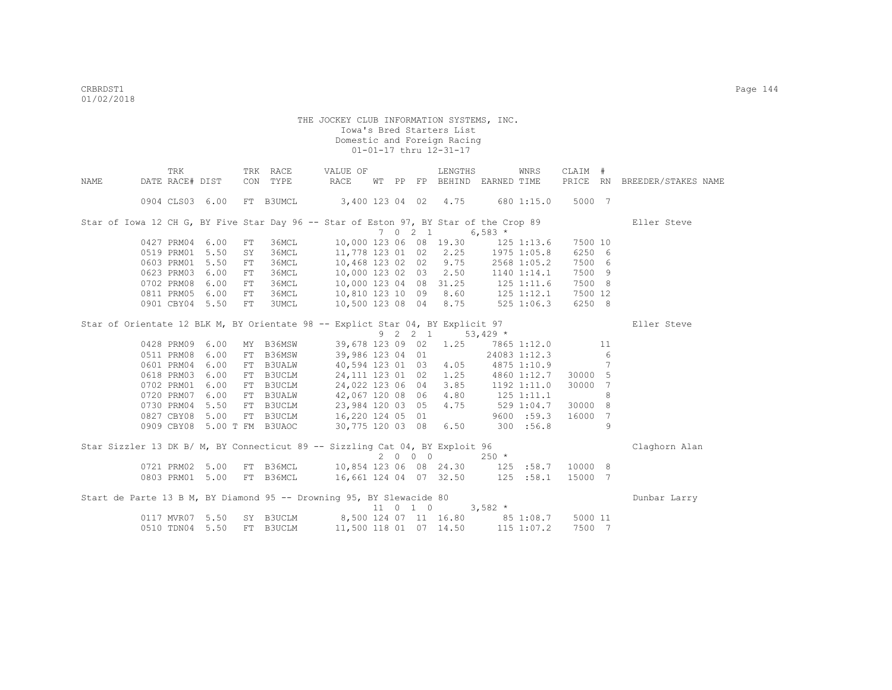|      | TRK             |                 |            | TRK RACE                             | VALUE OF                                                                                                                          |    |    |                 | LENGTHS                |                    | WNRS            | CLAIM #             |    |                     |
|------|-----------------|-----------------|------------|--------------------------------------|-----------------------------------------------------------------------------------------------------------------------------------|----|----|-----------------|------------------------|--------------------|-----------------|---------------------|----|---------------------|
| NAME | DATE RACE# DIST |                 |            | CON TYPE                             | RACE                                                                                                                              | WТ | PP | FP              |                        | BEHIND EARNED TIME |                 | PRICE RN            |    | BREEDER/STAKES NAME |
|      |                 | 0904 CLS03 6.00 |            | FT B3UMCL                            | 3,400 123 04 02 4.75 680 1:15.0                                                                                                   |    |    |                 |                        |                    |                 | 5000 7              |    |                     |
|      |                 |                 |            |                                      | Star of Iowa 12 CH G, BY Five Star Day 96 -- Star of Eston 97, BY Star of the Crop 89                                             |    |    |                 |                        |                    |                 |                     |    | Eller Steve         |
|      |                 |                 |            |                                      |                                                                                                                                   |    |    | $7 \t0 \t2 \t1$ |                        | 6,583 $*$          |                 |                     |    |                     |
|      | 0427 PRM04      | 6.00            | FT         | 36MCL                                |                                                                                                                                   |    |    |                 | 10,000 123 06 08 19.30 |                    | $125$ $1:13.6$  | 7500 10             |    |                     |
|      |                 | 0519 PRM01 5.50 | SY         | 36MCL                                |                                                                                                                                   |    |    |                 | 11,778 123 01 02 2.25  |                    | 1975 1:05.8     | 6250 6              |    |                     |
|      |                 | 0603 PRM01 5.50 | FT         |                                      |                                                                                                                                   |    |    |                 | 10,468 123 02 02 9.75  |                    | 2568 1:05.2     | 7500 6              |    |                     |
|      |                 | 0623 PRM03 6.00 | ${\rm FT}$ |                                      |                                                                                                                                   |    |    |                 | 10,000 123 02 03 2.50  |                    | 1140 1:14.1     | 7500 9              |    |                     |
|      | 0702 PRM08      | 6.00            | FT         |                                      |                                                                                                                                   |    |    |                 | 10,000 123 04 08 31.25 | 125 1:11.6         |                 | 7500 8              |    |                     |
|      |                 | 0811 PRM05 6.00 | FT         |                                      |                                                                                                                                   |    |    |                 | 8.60                   | $125$ $1:12.1$     |                 | 7500 12             |    |                     |
|      |                 | 0901 CBY04 5.50 | FT         |                                      | ACL<br>SMCL<br>36MCL<br>36MCL<br>10,000 123 04<br>26MCL<br>26MCL<br>10,810 123 10 09<br>10,500 123 08 04<br>10,500 123 08 04 8.75 |    |    |                 |                        | $525$ 1:06.3       |                 | 6250 8              |    |                     |
|      |                 |                 |            |                                      | Star of Orientate 12 BLK M, BY Orientate 98 -- Explict Star 04, BY Explicit 97                                                    |    |    |                 |                        |                    |                 |                     |    | Eller Steve         |
|      |                 |                 |            |                                      |                                                                                                                                   |    |    |                 | 9 2 2 1 53,429 *       |                    |                 |                     |    |                     |
|      | 0428 PRM09      | 6.00            |            | MY B36MSW                            | 39,678 123 09 02                                                                                                                  |    |    |                 | 1.25                   |                    | 7865 1:12.0     |                     | 11 |                     |
|      | 0511 PRM08      | 6.00            | FT         | B36MSW                               | 39,986 123 04 01                                                                                                                  |    |    |                 |                        | 24083 1:12.3       |                 |                     | 6  |                     |
|      | 0601 PRM04      | 6.00            | FT         | <b>B3UALW</b>                        | 40,594 123 01 03                                                                                                                  |    |    |                 | 4.05                   |                    | 4875 1:10.9     |                     | 7  |                     |
|      | 0618 PRM03      | 6.00            |            | FT B3UCLM                            | 24, 111 123 01 02                                                                                                                 |    |    |                 | 1.25                   |                    |                 | 4860 1:12.7 30000 5 |    |                     |
|      | 0702 PRM01      | 6.00            |            | FT B3UCLM                            | 24,022 123 06 04                                                                                                                  |    |    |                 | 3.85                   |                    | $1192$ $1:11.0$ | 30000 7             |    |                     |
|      |                 | 0720 PRM07 6.00 |            |                                      | 42,067 120 08 06                                                                                                                  |    |    |                 | 4.80                   | $125$ $1:11.1$     |                 |                     | 8  |                     |
|      |                 | 0730 PRM04 5.50 |            | FT BSUCLET<br>FT B3UALW<br>FT B3UCLM | 23,984 120 03 05                                                                                                                  |    |    |                 | 4.75                   | 5291:04.7          |                 | 30000 8             |    |                     |
|      |                 | 0827 CBY08 5.00 |            |                                      | FT B3UCLM 16,220 124 05 01                                                                                                        |    |    |                 |                        |                    | 9600 : 59.3     | 16000               | 7  |                     |
|      |                 |                 |            | 0909 CBY08 5.00 T FM B3UAOC          | 30,775 120 03 08                                                                                                                  |    |    |                 | 6.50                   | 300 : 56.8         |                 |                     | 9  |                     |
|      |                 |                 |            |                                      | Star Sizzler 13 DK B/ M, BY Connecticut 89 -- Sizzling Cat 04, BY Exploit 96                                                      |    |    |                 |                        |                    |                 |                     |    | Claghorn Alan       |
|      |                 |                 |            |                                      |                                                                                                                                   |    |    | 2000            |                        | $250 *$            |                 |                     |    |                     |
|      |                 | 0721 PRM02 5.00 |            |                                      |                                                                                                                                   |    |    |                 |                        |                    |                 |                     |    |                     |
|      |                 | 0803 PRM01 5.00 |            |                                      | FT B36MCL 16,661 124 04 07 32.50                                                                                                  |    |    |                 |                        |                    | 125 : 58.1      | 15000 7             |    |                     |
|      |                 |                 |            |                                      | Start de Parte 13 B M, BY Diamond 95 -- Drowning 95, BY Slewacide 80                                                              |    |    |                 |                        |                    |                 |                     |    | Dunbar Larry        |
|      |                 |                 |            |                                      |                                                                                                                                   |    |    |                 | 11 0 1 0               | $3,582$ *          |                 |                     |    |                     |
|      |                 | 0117 MVR07 5.50 |            | SY B3UCLM                            | 8,500 124 07 11 16.80 85 1:08.7                                                                                                   |    |    |                 |                        |                    |                 | 5000 11             |    |                     |
|      | 0510 TDN04      | 5.50            |            | FT B3UCLM                            |                                                                                                                                   |    |    |                 | 11,500 118 01 07 14.50 | $115$ $1:07.2$     |                 | 7500 7              |    |                     |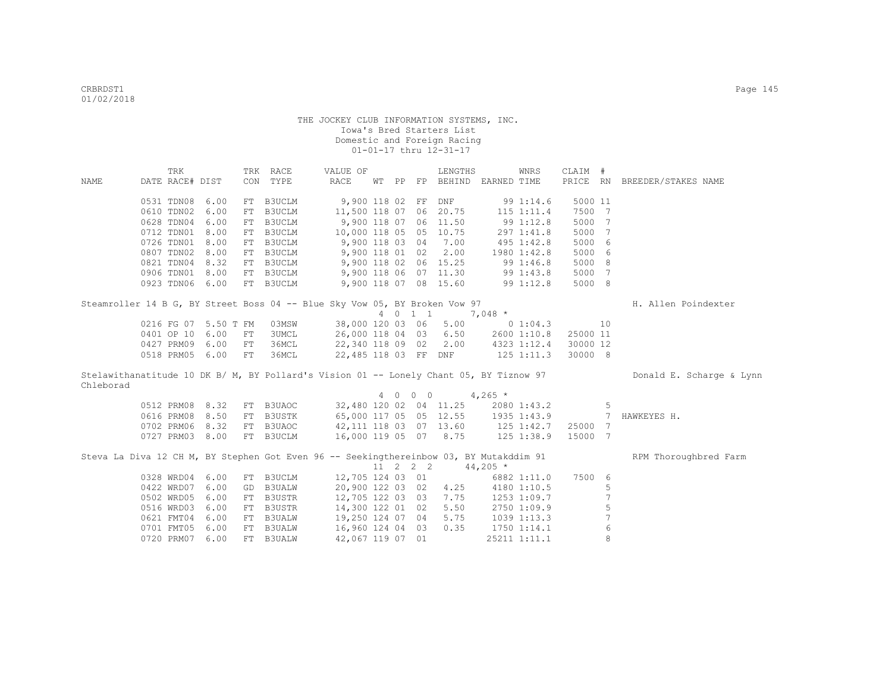|             | TRK                                                                                    |      |    | TRK RACE                                  | VALUE OF              |       |          | LENGTHS                            |                  | WNRS             | CLAIM #  |                |                          |
|-------------|----------------------------------------------------------------------------------------|------|----|-------------------------------------------|-----------------------|-------|----------|------------------------------------|------------------|------------------|----------|----------------|--------------------------|
| <b>NAME</b> | DATE RACE# DIST                                                                        |      |    | CON TYPE                                  | RACE                  | WT PP |          | FP BEHIND EARNED TIME              |                  |                  | PRICE RN |                | BREEDER/STAKES NAME      |
|             |                                                                                        |      |    |                                           |                       |       |          |                                    |                  |                  |          |                |                          |
|             | 0531 TDN08                                                                             | 6.00 |    | FT B3UCLM                                 | 9,900 118 02 FF       |       |          | <b>DNF</b>                         |                  | 99 1:14.6        | 5000 11  |                |                          |
|             | 0610 TDN02                                                                             | 6.00 | FT | <b>B3UCLM</b>                             | 11,500 118 07 06      |       |          | 20.75                              |                  | $115$ $1:11.4$   | 7500 7   |                |                          |
|             | 0628 TDN04                                                                             | 6.00 |    | FT B3UCLM                                 | 9,900 118 07 06       |       |          | 11.50                              | 991:12.8         |                  | 5000     | - 7            |                          |
|             | 0712 TDN01                                                                             | 8.00 |    | FT B3UCLM                                 | 10,000 118 05 05      |       |          | 10.75                              |                  | 297 1:41.8       | 5000     | 7              |                          |
|             | 0726 TDN01                                                                             | 8.00 |    | FT B3UCLM                                 | 9,900 118 03 04       |       |          | 7.00                               |                  | 495 1:42.8       | 5000     | - 6            |                          |
|             | 0807 TDN02                                                                             | 8.00 |    | FT B3UCLM                                 | $9,900$ 118 01 02     |       |          | 2.00                               | 1980 1:42.8      |                  | 5000     | 6              |                          |
|             | 0821 TDN04                                                                             | 8.32 |    | FT B3UCLM                                 | 9,900 118 02 06 15.25 |       |          |                                    |                  | 991:46.8         | 5000 8   |                |                          |
|             | 0906 TDN01                                                                             | 8.00 |    | FT B3UCLM 9,900 118 06 07 11.30 99 1:43.8 |                       |       |          |                                    |                  |                  | 5000 7   |                |                          |
|             | 0923 TDN06 6.00                                                                        |      |    | FT B3UCLM                                 | 9,900 118 07 08 15.60 |       |          |                                    |                  | 99 1:12.8        | 5000 8   |                |                          |
|             |                                                                                        |      |    |                                           |                       |       |          |                                    |                  |                  |          |                |                          |
|             | Steamroller 14 B G, BY Street Boss 04 -- Blue Sky Vow 05, BY Broken Vow 97             |      |    |                                           |                       |       |          |                                    |                  |                  |          |                | H. Allen Poindexter      |
|             |                                                                                        |      |    |                                           |                       |       | 4 0 1 1  |                                    | $7,048$ *        |                  |          |                |                          |
|             | 0216 FG 07 5.50 T FM                                                                   |      |    | 03MSW                                     | 38,000 120 03 06      |       |          | 5.00                               |                  | $0\;1:04.3$      |          | 10             |                          |
|             | 0401 OP 10                                                                             | 6.00 | FT | 3UMCL                                     | 26,000 118 04 03      |       |          | 6.50                               |                  | 2600 1:10.8      | 25000 11 |                |                          |
|             | 0427 PRM09                                                                             | 6.00 | FT | 36MCL                                     | 22,340 118 09 02      |       |          |                                    |                  | 2.00 4323 1:12.4 | 30000 12 |                |                          |
|             | 0518 PRM05 6.00                                                                        |      | FT | 36MCL                                     |                       |       |          | 22,485 118 03 FF DNF 125 1:11.3    |                  |                  | 30000 8  |                |                          |
|             | Stelawithanatitude 10 DK B/ M, BY Pollard's Vision 01 -- Lonely Chant 05, BY Tiznow 97 |      |    |                                           |                       |       |          |                                    |                  |                  |          |                | Donald E. Scharge & Lynn |
| Chleborad   |                                                                                        |      |    |                                           |                       |       |          |                                    |                  |                  |          |                |                          |
|             |                                                                                        |      |    |                                           |                       |       | 4 0 0 0  |                                    | $4,265$ *        |                  |          |                |                          |
|             | 0512 PRM08 8.32                                                                        |      |    | FT B3UAOC                                 |                       |       |          | 32,480 120 02 04 11.25 2080 1:43.2 |                  |                  |          | 5              |                          |
|             | 0616 PRM08                                                                             | 8.50 |    | FT B3USTK                                 |                       |       |          | 65,000 117 05 05 12.55 1935 1:43.9 |                  |                  |          | 7              | HAWKEYES H.              |
|             | 0702 PRM06 8.32                                                                        |      |    | FT B3UAOC                                 |                       |       |          | 42,111 118 03 07 13.60 125 1:42.7  |                  |                  | 25000 7  |                |                          |
|             | 0727 PRM03 8.00                                                                        |      |    | FT B3UCLM                                 |                       |       |          | 16,000 119 05 07 8.75 125 1:38.9   |                  |                  | 15000 7  |                |                          |
|             |                                                                                        |      |    |                                           |                       |       |          |                                    |                  |                  |          |                |                          |
|             | Steva La Diva 12 CH M, BY Stephen Got Even 96 -- Seekingthereinbow 03, BY Mutakddim 91 |      |    |                                           |                       |       |          |                                    |                  |                  |          |                | RPM Thoroughbred Farm    |
|             |                                                                                        |      |    |                                           |                       |       | 11 2 2 2 |                                    | $44,205$ *       |                  |          |                |                          |
|             | 0328 WRD04                                                                             | 6.00 |    | FT B3UCLM                                 | 12,705 124 03 01      |       |          |                                    |                  | 6882 1:11.0      | 7500 6   |                |                          |
|             | 0422 WRD07                                                                             | 6.00 |    | GD B3UALW                                 | 20,900 122 03 02      |       |          |                                    | 4.25 4180 1:10.5 |                  |          | 5              |                          |
|             | 0502 WRD05                                                                             | 6.00 |    | FT B3USTR                                 | 12,705 122 03 03      |       |          | 7.75                               |                  | 1253 1:09.7      |          | 7              |                          |
|             | 0516 WRD03                                                                             | 6.00 |    | FT B3USTR                                 | 14,300 122 01 02      |       |          | 5.50                               |                  | 2750 1:09.9      |          | 5              |                          |
|             | 0621 FMT04                                                                             | 6.00 |    | FT B3UALW                                 | 19,250 124 07 04      |       |          | 5.75                               |                  | 1039 1:13.3      |          | $\overline{7}$ |                          |
|             | 0701 FMT05                                                                             | 6.00 |    | FT B3UALW                                 | 16,960 124 04 03      |       |          | 0.35                               |                  | 1750 1:14.1      |          | $\epsilon$     |                          |
|             | 0720 PRM07                                                                             | 6.00 |    | FT B3UALW                                 | 42,067 119 07 01      |       |          |                                    |                  | 25211 1:11.1     |          | 8              |                          |
|             |                                                                                        |      |    |                                           |                       |       |          |                                    |                  |                  |          |                |                          |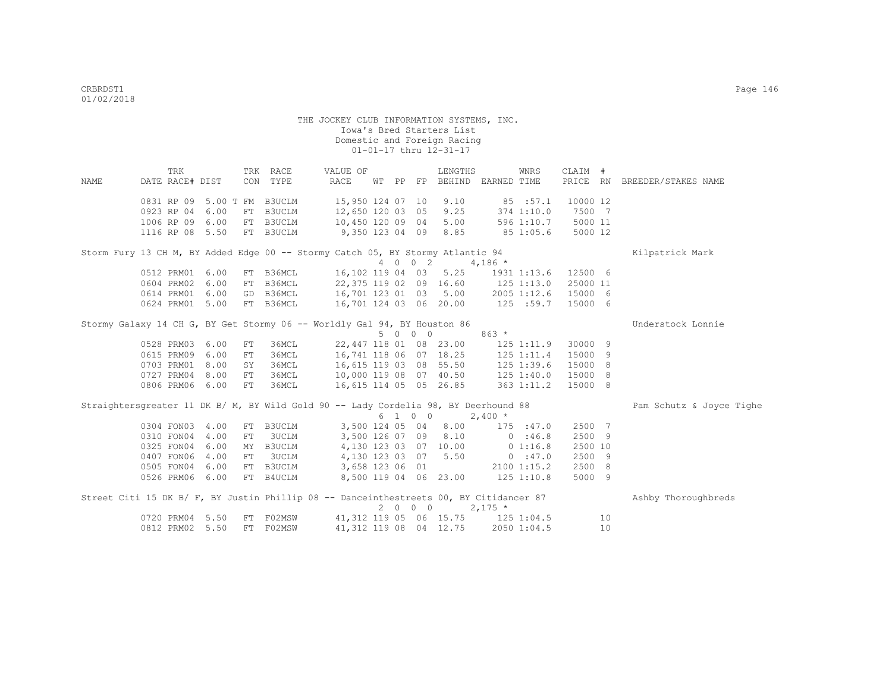|      | TRK                                                                                    |      |    | TRK RACE  | VALUE OF               |  |         | LENGTHS                            |                | WNRS           | CLAIM #  |    |                              |
|------|----------------------------------------------------------------------------------------|------|----|-----------|------------------------|--|---------|------------------------------------|----------------|----------------|----------|----|------------------------------|
| NAME | DATE RACE# DIST                                                                        |      |    | CON TYPE  | RACE                   |  |         | WT PP FP BEHIND EARNED TIME        |                |                |          |    | PRICE RN BREEDER/STAKES NAME |
|      | 0831 RP 09 5.00 T FM B3UCLM                                                            |      |    |           | 15,950 124 07 10       |  |         | 9.10                               |                | 85 : 57.1      | 10000 12 |    |                              |
|      | 0923 RP 04                                                                             | 6.00 |    | FT B3UCLM | 12,650 120 03 05       |  |         | 9.25                               |                | 374 1:10.0     | 7500 7   |    |                              |
|      | 1006 RP 09 6.00                                                                        |      |    | FT B3UCLM | 10,450 120 09 04       |  |         | 5.00                               |                | 596 1:10.7     | 5000 11  |    |                              |
|      | 1116 RP 08 5.50                                                                        |      |    | FT B3UCLM | 9,350 123 04 09 8.85   |  |         |                                    | 851:05.6       |                | 5000 12  |    |                              |
|      | Storm Fury 13 CH M, BY Added Edge 00 -- Stormy Catch 05, BY Stormy Atlantic 94         |      |    |           |                        |  |         |                                    |                |                |          |    | Kilpatrick Mark              |
|      |                                                                                        |      |    |           |                        |  | 4 0 0 2 |                                    | $4,186$ *      |                |          |    |                              |
|      | 0512 PRM01                                                                             | 6.00 |    | FT B36MCL | 16,102 119 04 03 5.25  |  |         |                                    |                | 1931 1:13.6    | 12500 6  |    |                              |
|      | 0604 PRM02                                                                             | 6.00 |    | FT B36MCL | 22,375 119 02 09 16.60 |  |         |                                    |                | 125 1:13.0     | 25000 11 |    |                              |
|      | 0614 PRM01                                                                             | 6.00 |    | GD B36MCL | 16,701 123 01 03 5.00  |  |         |                                    | 2005 1:12.6    |                | 15000 6  |    |                              |
|      | 0624 PRM01                                                                             | 5.00 |    | FT B36MCL |                        |  |         | 16,701 124 03 06 20.00 125 :59.7   |                |                | 15000 6  |    |                              |
|      | Stormy Galaxy 14 CH G, BY Get Stormy 06 -- Worldly Gal 94, BY Houston 86               |      |    |           |                        |  |         |                                    |                |                |          |    | Understock Lonnie            |
|      |                                                                                        |      |    |           |                        |  | 5 0 0 0 |                                    | $863 *$        |                |          |    |                              |
|      | 0528 PRM03                                                                             | 6.00 | FT | 36MCL     |                        |  |         | 22,447 118 01 08 23.00             |                | $125$ $1:11.9$ | 30000 9  |    |                              |
|      | 0615 PRM09                                                                             | 6.00 | FT | 36MCL     |                        |  |         | 16,741 118 06 07 18.25             | $125$ $1:11.4$ |                | 15000    | -9 |                              |
|      | 0703 PRM01                                                                             | 8.00 | SY | 36MCL     |                        |  |         | 16,615 119 03 08 55.50             | 125 1:39.6     |                | 15000 8  |    |                              |
|      | 0727 PRM04                                                                             | 8.00 | FT | 36MCL     |                        |  |         | 10,000 119 08 07 40.50             |                | 125 1:40.0     | 15000 8  |    |                              |
|      | 0806 PRM06 6.00                                                                        |      | FT | 36MCL     | 16,615 114 05 05 26.85 |  |         |                                    |                | 363 1:11.2     | 15000 8  |    |                              |
|      | Straightersgreater 11 DK B/ M, BY Wild Gold 90 -- Lady Cordelia 98, BY Deerhound 88    |      |    |           |                        |  |         |                                    |                |                |          |    | Pam Schutz & Joyce Tighe     |
|      |                                                                                        |      |    |           |                        |  | 6 1 0 0 |                                    | $2,400*$       |                |          |    |                              |
|      | 0304 FON03                                                                             | 4.00 |    | FT B3UCLM | 3,500 124 05 04        |  |         | 8.00                               |                | 175 : 47.0     | 2500 7   |    |                              |
|      | 0310 FON04                                                                             | 4.00 | FT | 3UCLM     | 3,500 126 07 09        |  |         | 8.10                               |                | 0:46.8         | 2500 9   |    |                              |
|      | 0325 FON04                                                                             | 6.00 |    | MY B3UCLM | 4,130 123 03 07 10.00  |  |         |                                    |                | $0\;1:16.8$    | 2500 10  |    |                              |
|      | 0407 FON06                                                                             | 4.00 |    | FT 3UCLM  | 4,130 123 03 07 5.50   |  |         |                                    |                | 0:47.0         | 2500 9   |    |                              |
|      | 0505 FON04                                                                             | 6.00 |    | FT B3UCLM | 3,658 123 06 01        |  |         |                                    |                | 2100 1:15.2    | 2500 8   |    |                              |
|      | 0526 PRM06 6.00                                                                        |      |    | FT B4UCLM | 8,500 119 04 06 23.00  |  |         |                                    | $125$ $1:10.8$ |                | 5000 9   |    |                              |
|      | Street Citi 15 DK B/ F, BY Justin Phillip 08 -- Danceinthestreets 00, BY Citidancer 87 |      |    |           |                        |  |         |                                    |                |                |          |    | Ashby Thoroughbreds          |
|      |                                                                                        |      |    |           |                        |  | 2000    |                                    | $2,175$ *      |                |          |    |                              |
|      | 0720 PRM04 5.50                                                                        |      |    | FT F02MSW |                        |  |         | 41, 312 119 05 06 15.75 125 1:04.5 |                |                |          | 10 |                              |
|      | 0812 PRM02                                                                             | 5.50 |    | FT F02MSW |                        |  |         | 41, 312 119 08 04 12.75            |                | 2050 1:04.5    |          | 10 |                              |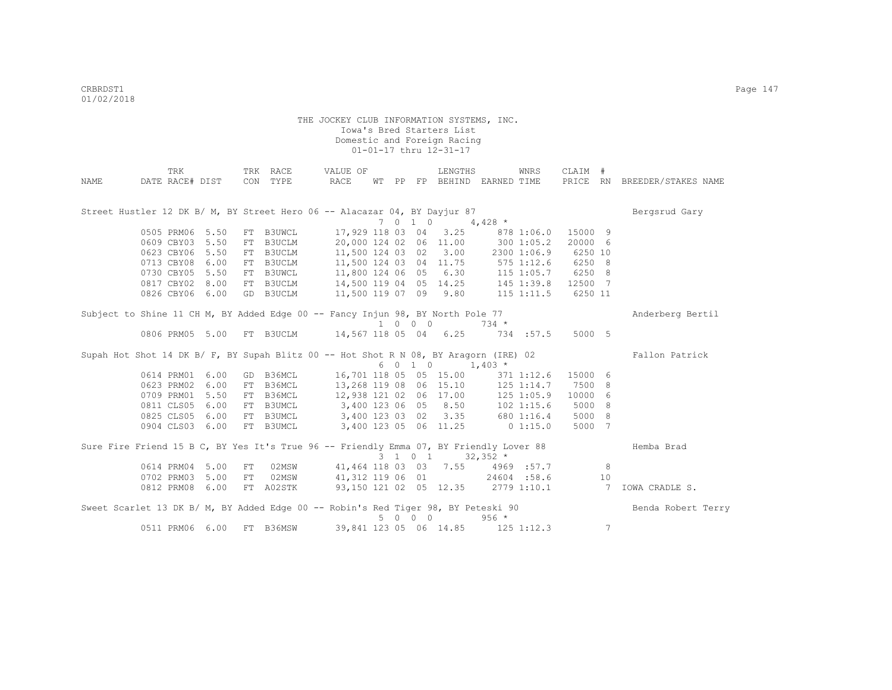|      | TRK                                                                                    |      |    | TRK RACE  | VALUE OF                                                                            |  |         | LENGTHS                           |            | WNRS           | CLAIM #  |                 |                     |
|------|----------------------------------------------------------------------------------------|------|----|-----------|-------------------------------------------------------------------------------------|--|---------|-----------------------------------|------------|----------------|----------|-----------------|---------------------|
| NAME | DATE RACE# DIST                                                                        |      |    | CON TYPE  | RACE                                                                                |  |         | WT PP FP BEHIND EARNED TIME       |            |                | PRICE RN |                 | BREEDER/STAKES NAME |
|      |                                                                                        |      |    |           |                                                                                     |  |         |                                   |            |                |          |                 |                     |
|      |                                                                                        |      |    |           |                                                                                     |  |         |                                   |            |                |          |                 |                     |
|      | Street Hustler 12 DK B/ M, BY Street Hero 06 -- Alacazar 04, BY Dayjur 87              |      |    |           |                                                                                     |  |         |                                   |            |                |          |                 | Bergsrud Gary       |
|      |                                                                                        |      |    |           |                                                                                     |  | 7010    |                                   | $4,428$ *  |                |          |                 |                     |
|      | 0505 PRM06 5.50                                                                        |      |    | FT B3UWCL |                                                                                     |  |         | 17,929 118 03 04 3.25             |            | 878 1:06.0     | 15000 9  |                 |                     |
|      | 0609 CBY03 5.50                                                                        |      | FT | B3UCLM    |                                                                                     |  |         | 20,000 124 02 06 11.00            |            | 300 1:05.2     | 20000 6  |                 |                     |
|      | 0623 CBY06 5.50                                                                        |      |    | FT B3UCLM |                                                                                     |  |         | 11,500 124 03 02 3.00             |            | 2300 1:06.9    | 6250 10  |                 |                     |
|      | 0713 CBY08 6.00                                                                        |      |    | FT B3UCLM | 11,500 124 03 04 11.75 575 1:12.6 6250 8<br>11,800 124 06 05 6.30 115 1:05.7 6250 8 |  |         |                                   |            |                |          |                 |                     |
|      | 0730 CBY05 5.50                                                                        |      |    | FT B3UWCL |                                                                                     |  |         |                                   |            |                |          |                 |                     |
|      | 0817 CBY02 8.00                                                                        |      |    | FT B3UCLM | 14,500 119 04 05 14.25 145 1:39.8 12500 7                                           |  |         |                                   |            |                |          |                 |                     |
|      | 0826 CBY06 6.00                                                                        |      |    | GD B3UCLM | 11,500 119 07 09 9.80                                                               |  |         |                                   |            | $115$ $1:11.5$ | 6250 11  |                 |                     |
|      | Subject to Shine 11 CH M, BY Added Edge 00 -- Fancy Injun 98, BY North Pole 77         |      |    |           |                                                                                     |  |         |                                   |            |                |          |                 | Anderberg Bertil    |
|      |                                                                                        |      |    |           |                                                                                     |  | 1 0 0 0 |                                   | $734 *$    |                |          |                 |                     |
|      | 0806 PRM05 5.00                                                                        |      |    |           | FT B3UCLM 14,567 118 05 04 6.25                                                     |  |         |                                   |            | 734:57.5       | 5000 5   |                 |                     |
|      |                                                                                        |      |    |           |                                                                                     |  |         |                                   |            |                |          |                 |                     |
|      | Supah Hot Shot 14 DK B/ F, BY Supah Blitz 00 -- Hot Shot R N 08, BY Aragorn (IRE) 02   |      |    |           |                                                                                     |  |         |                                   |            |                |          |                 | Fallon Patrick      |
|      |                                                                                        |      |    |           |                                                                                     |  |         | $6 \t0 \t1 \t0 \t1,403 \t*$       |            |                |          |                 |                     |
|      | 0614 PRM01                                                                             | 6.00 |    | GD B36MCL |                                                                                     |  |         | 16,701 118 05 05 15.00            |            | 371 1:12.6     | 15000 6  |                 |                     |
|      | 0623 PRM02 6.00                                                                        |      |    | FT B36MCL | 13,268 119 08 06 15.10                                                              |  |         |                                   |            | 125 1:14.7     | 7500 8   |                 |                     |
|      | 0709 PRM01 5.50                                                                        |      |    | FT B36MCL | 12,938 121 02 06 17.00                                                              |  |         |                                   |            | $125$ $1:05.9$ | 10000 6  |                 |                     |
|      | 0811 CLS05 6.00                                                                        |      |    | FT B3UMCL | $3,400$ 123 06 05 8.50                                                              |  |         |                                   |            | $102$ $1:15.6$ | 5000 8   |                 |                     |
|      | 0825 CLS05 6.00                                                                        |      |    | FT B3UMCL | 3,400 123 03 02 3.35                                                                |  |         |                                   |            | 680 1:16.4     | 5000 8   |                 |                     |
|      | 0904 CLS03 6.00                                                                        |      |    | FT B3UMCL | 3,400 123 05 06 11.25                                                               |  |         |                                   | $0$ 1:15.0 |                | 5000 7   |                 |                     |
|      |                                                                                        |      |    |           |                                                                                     |  |         |                                   |            |                |          |                 |                     |
|      | Sure Fire Friend 15 B C, BY Yes It's True 96 -- Friendly Emma 07, BY Friendly Lover 88 |      |    |           |                                                                                     |  |         |                                   |            |                |          |                 | Hemba Brad          |
|      |                                                                                        |      |    |           |                                                                                     |  | 3 1 0 1 |                                   | $32,352$ * |                |          |                 |                     |
|      | 0614 PRM04 5.00                                                                        |      | FT | 02MSW     | 41,464 118 03 03 7.55 4969 :57.7                                                    |  |         |                                   |            |                |          | 8               |                     |
|      | 0702 PRM03 5.00                                                                        |      | FT | 02MSW     | 41,312 119 06 01                                                                    |  |         |                                   |            | 24604 :58.6    |          | 10              |                     |
|      | 0812 PRM08 6.00                                                                        |      |    | FT A02STK | 93,150 121 02 05 12.35 2779 1:10.1                                                  |  |         |                                   |            |                |          |                 | 7 IOWA CRADLE S.    |
|      |                                                                                        |      |    |           |                                                                                     |  |         |                                   |            |                |          |                 |                     |
|      | Sweet Scarlet 13 DK B/ M, BY Added Edge 00 -- Robin's Red Tiger 98, BY Peteski 90      |      |    |           |                                                                                     |  | 5 0 0 0 |                                   | $956 *$    |                |          |                 | Benda Robert Terry  |
|      | 0511 PRM06 6.00                                                                        |      |    | FT B36MSW |                                                                                     |  |         | 39,841 123 05 06 14.85 125 1:12.3 |            |                |          | $7\phantom{.0}$ |                     |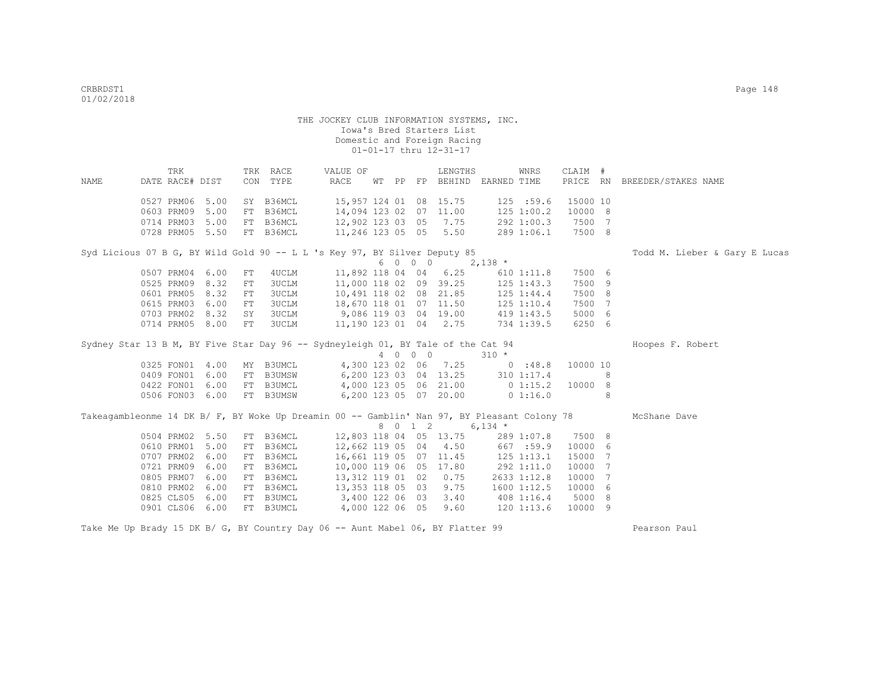| NAME                                                                                        | TRK<br>DATE RACE# DIST                      |                      | CON            | TRK RACE<br>TYPE                      | VALUE OF<br>RACE                                                          | WT PP |         | LENGTHS<br>FP BEHIND EARNED TIME               |             | WNRS                                        | CLAIM #                       |   | PRICE RN BREEDER/STAKES NAME  |
|---------------------------------------------------------------------------------------------|---------------------------------------------|----------------------|----------------|---------------------------------------|---------------------------------------------------------------------------|-------|---------|------------------------------------------------|-------------|---------------------------------------------|-------------------------------|---|-------------------------------|
|                                                                                             | 0527 PRM06<br>0603 PRM09                    | 5.00<br>5.00         | FT             | SY B36MCL<br>B36MCL                   | 15,957 124 01 08 15.75<br>14,094 123 02 07 11.00                          |       |         |                                                |             | 125 :59.6<br>125 1:00.2                     | 15000 10<br>10000 8           |   |                               |
|                                                                                             | 0714 PRM03<br>0728 PRM05 5.50               | 5.00                 | FT             | B36MCL<br>FT B36MCL                   | 12,902 123 03 05<br>11,246 123 05 05 5.50                                 |       |         | 7.75                                           |             | 292 1:00.3<br>289 1:06.1                    | 7500 7<br>7500 8              |   |                               |
| Syd Licious 07 B G, BY Wild Gold 90 -- L L 's Key 97, BY Silver Deputy 85                   |                                             |                      |                |                                       |                                                                           |       | 6 0 0 0 |                                                | $2,138$ *   |                                             |                               |   | Todd M. Lieber & Gary E Lucas |
|                                                                                             | 0507 PRM04<br>0525 PRM09                    | 6.00<br>8.32         | FT<br>FT       | 4UCLM<br>3UCLM                        | 11,892 118 04 04<br>11,000 118 02 09 39.25                                |       |         | 6.25                                           |             | $610$ $1:11.8$<br>$125$ $1:43.3$            | 7500 6<br>7500 9              |   |                               |
|                                                                                             | 0601 PRM05<br>0615 PRM03<br>0703 PRM02 8.32 | 8.32<br>6.00         | FT<br>FT<br>SY | 3UCLM<br><b>3UCLM</b><br><b>3UCLM</b> | 10,491 118 02 08 21.85<br>18,670 118 01 07 11.50<br>9,086 119 03 04 19.00 |       |         |                                                |             | 125 1:44.4<br>$125$ $1:10.4$<br>419 1:43.5  | 7500 8<br>7500 7<br>5000 6    |   |                               |
|                                                                                             | 0714 PRM05 8.00                             |                      | FT             | <b>3UCLM</b>                          | 11,190 123 01 04 2.75                                                     |       |         |                                                |             | 734 1:39.5                                  | 6250 6                        |   |                               |
| Sydney Star 13 B M, BY Five Star Day 96 -- Sydneyleigh 01, BY Tale of the Cat 94            |                                             |                      |                |                                       |                                                                           |       | 4 0 0 0 |                                                | $310 *$     |                                             |                               |   | Hoopes F. Robert              |
|                                                                                             | 0325 FON01 4.00<br>0409 FON01 6.00          |                      |                | MY B3UMCL<br>FT B3UMSW                |                                                                           |       |         | 4,300 123 02 06 7.25<br>6,200 123 03 04 13.25  |             | 0:48.8<br>310 1:17.4                        | 10000 10                      | 8 |                               |
|                                                                                             | 0422 FON01 6.00<br>0506 FON03 6.00          |                      |                | FT B3UMCL<br>FT B3UMSW                |                                                                           |       |         | 4,000 123 05 06 21.00<br>6,200 123 05 07 20.00 | $0\;1:15.2$ | 0 1:16.0                                    | 10000 8                       | 8 |                               |
| Takeagambleonme 14 DK B/ F, BY Woke Up Dreamin 00 -- Gamblin' Nan 97, BY Pleasant Colony 78 |                                             |                      |                |                                       |                                                                           |       | 8 0 1 2 | $6,134$ *                                      |             |                                             |                               |   | McShane Dave                  |
|                                                                                             | 0504 PRM02 5.50<br>0610 PRM01               | 5.00                 | FT             | FT B36MCL<br>B36MCL                   | 12,803 118 04 05 13.75<br>12,662 119 05 04                                |       |         | 4.50                                           |             | 289 1:07.8<br>667 :59.9                     | 7500 8<br>10000 6             |   |                               |
|                                                                                             | 0707 PRM02<br>0721 PRM09<br>0805 PRM07      | 6.00<br>6.00<br>6.00 | FT<br>FT<br>FT | B36MCL<br>B36MCL<br>B36MCL            | 16,661 119 05 07 11.45<br>10,000 119 06 05 17.80<br>13,312 119 01 02      |       |         | 0.75                                           |             | $125$ $1:13.1$<br>292 1:11.0<br>2633 1:12.8 | 15000 7<br>10000 7<br>10000 7 |   |                               |
|                                                                                             | 0810 PRM02 6.00<br>0825 CLS05               | 6.00                 |                | FT B36MCL<br>FT B3UMCL                | 13,353 118 05 03<br>3,400 122 06 03                                       |       |         | 9.75<br>3.40                                   |             | 1600 1:12.5<br>408 1:16.4                   | 10000 6<br>5000 8             |   |                               |
|                                                                                             | 0901 CLS06 6.00                             |                      |                | FT B3UMCL                             | 4,000 122 06 05                                                           |       |         | 9.60                                           |             | $120$ $1:13.6$                              | 10000 9                       |   |                               |

Take Me Up Brady 15 DK B/ G, BY Country Day 06 -- Aunt Mabel 06, BY Flatter 99 Pearson Paul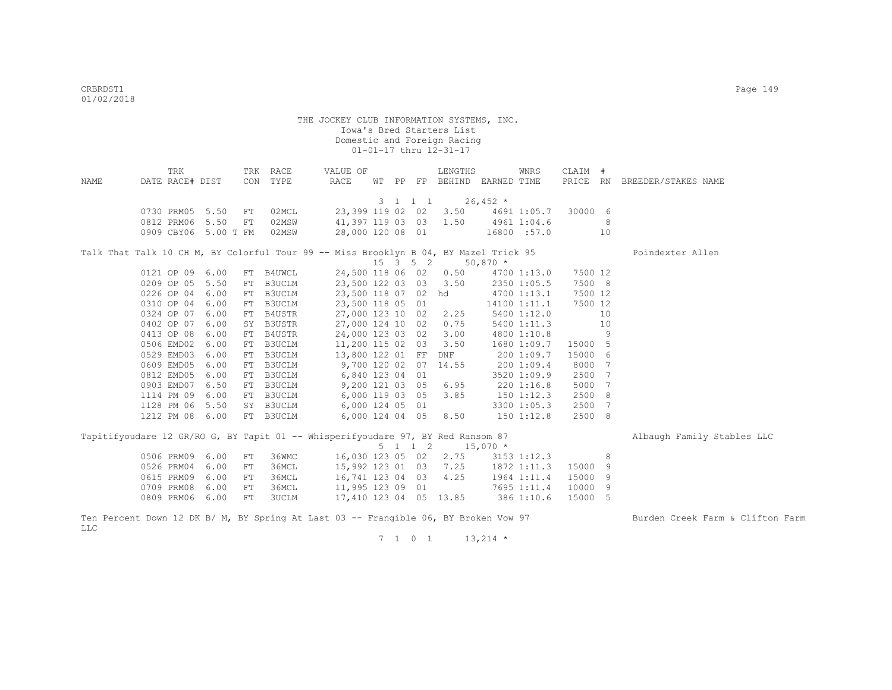|            | TRK             |                      |            | TRK RACE  | VALUE OF                                                                             |  |         | LENGTHS                                        |            | WNRS         | CLAIM # |                              |                                  |
|------------|-----------------|----------------------|------------|-----------|--------------------------------------------------------------------------------------|--|---------|------------------------------------------------|------------|--------------|---------|------------------------------|----------------------------------|
| NAME       | DATE RACE# DIST |                      |            | CON TYPE  | RACE                                                                                 |  |         | WT PP FP BEHIND EARNED TIME                    |            |              |         |                              | PRICE RN BREEDER/STAKES NAME     |
|            |                 |                      |            |           |                                                                                      |  |         | $3 \quad 1 \quad 1 \quad 1 \quad 26,452 \star$ |            |              |         |                              |                                  |
|            |                 | 0730 PRM05 5.50      | FT         | 02MCL     |                                                                                      |  |         | 23,399 119 02 02 3.50 4691 1:05.7              |            |              | 30000 6 |                              |                                  |
|            |                 | 0812 PRM06 5.50      | FT         | 02MSW     |                                                                                      |  |         | 41,397 119 03 03 1.50 4961 1:04.6              |            |              |         | 8                            |                                  |
|            |                 | 0909 CBY06 5.00 T FM |            | 02MSW     | 28,000 120 08 01                                                                     |  |         | $16800$ :57.0                                  |            |              | 10      |                              |                                  |
|            |                 |                      |            |           |                                                                                      |  |         |                                                |            |              |         |                              |                                  |
|            |                 |                      |            |           | Talk That Talk 10 CH M, BY Colorful Tour 99 -- Miss Brooklyn B 04, BY Mazel Trick 95 |  |         |                                                |            |              |         |                              | Poindexter Allen                 |
|            |                 |                      |            |           |                                                                                      |  |         | $15 \quad 3 \quad 5 \quad 2$                   | $50,870$ * |              |         |                              |                                  |
|            | 0121 OP 09 6.00 |                      |            | FT B4UWCL |                                                                                      |  |         | 24,500 118 06 02 0.50                          |            | 4700 1:13.0  | 7500 12 |                              |                                  |
|            | 0209 OP 05 5.50 |                      | FT         | B3UCLM    |                                                                                      |  |         | 23,500 122 03 03 3.50                          |            | 2350 1:05.5  | 7500 8  |                              |                                  |
|            | 0226 OP 04 6.00 |                      |            | FT B3UCLM |                                                                                      |  |         | 23,500 118 07 02 hd                            |            | 4700 1:13.1  | 7500 12 |                              |                                  |
|            | 0310 OP 04 6.00 |                      |            | FT B3UCLM | 23,500 118 05 01                                                                     |  |         |                                                |            | 14100 1:11.1 | 7500 12 |                              |                                  |
|            | 0324 OP 07 6.00 |                      |            | FT B4USTR | 27,000 123 10 02 2.25                                                                |  |         |                                                |            | 5400 1:12.0  | 10      |                              |                                  |
|            | 0402 OP 07      | 6.00                 |            | SY B3USTR | 27,000 124 10 02                                                                     |  |         | 0.75                                           |            | 5400 1:11.3  | 10      |                              |                                  |
|            | 0413 OP 08      | 6.00                 | FT         | B4USTR    | 24,000 123 03 02 3.00                                                                |  |         |                                                |            | 4800 1:10.8  |         | $\overline{9}$               |                                  |
|            | 0506 EMD02      | 6.00                 | FT         | B3UCLM    | 11,200 115 02 03                                                                     |  |         | 3.50                                           |            | 1680 1:09.7  | 15000 5 |                              |                                  |
|            | 0529 EMD03      | 6.00                 |            | FT B3UCLM | 13,800 122 01 FF                                                                     |  |         | DNF                                            |            | 200 1:09.7   | 15000 6 |                              |                                  |
|            | 0609 EMD05      | 6.00                 |            | FT B3UCLM | 9,700 120 02 07 14.55                                                                |  |         |                                                |            | 200 1:09.4   | 8000 7  |                              |                                  |
|            | 0812 EMD05      | 6.00                 |            | FT B3UCLM | 6,840 123 04 01                                                                      |  |         |                                                |            | 3520 1:09.9  | 2500    | $7\phantom{.0}\phantom{.0}7$ |                                  |
|            | 0903 EMD07      | 6.50                 |            | FT B3UCLM | 9,200 121 03 05 6.95                                                                 |  |         |                                                |            | 220 1:16.8   | 5000    | 7                            |                                  |
|            | 1114 PM 09      | 6.00                 |            | FT B3UCLM | 6,000 119 03 05 3.85                                                                 |  |         |                                                |            | 1501:12.3    | 2500 8  |                              |                                  |
|            | 1128 PM 06 5.50 |                      |            | SY B3UCLM | 6,000 124 05 01                                                                      |  |         |                                                |            | 3300 1:05.3  | 2500    | 7                            |                                  |
|            |                 | 1212 PM 08 6.00      |            | FT B3UCLM | 6,000 124 04 05 8.50                                                                 |  |         |                                                |            | 1501:12.8    | 2500 8  |                              |                                  |
|            |                 |                      |            |           | Tapitifyoudare 12 GR/RO G, BY Tapit 01 -- Whisperifyoudare 97, BY Red Ransom 87      |  |         |                                                |            |              |         |                              | Albaugh Family Stables LLC       |
|            |                 |                      |            |           |                                                                                      |  | 5 1 1 2 |                                                | $15,070$ * |              |         |                              |                                  |
|            | 0506 PRM09 6.00 |                      | ${\rm FT}$ | 36WMC     |                                                                                      |  |         | 16,030 123 05 02 2.75                          |            | 3153 1:12.3  |         | 8                            |                                  |
|            | 0526 PRM04      | 6.00                 | FT         | 36MCL     |                                                                                      |  |         | 15,992 123 01 03 7.25                          |            | 1872 1:11.3  | 15000   | 9                            |                                  |
|            | 0615 PRM09      | 6.00                 | FT         | 36MCL     | 16,741 123 04 03 4.25                                                                |  |         |                                                |            | 1964 1:11.4  | 15000   | 9                            |                                  |
|            | 0709 PRM08      | 6.00                 | FT         | 36MCL     | 11,995 123 09 01                                                                     |  |         |                                                |            | 7695 1:11.4  | 10000 9 |                              |                                  |
|            | 0809 PRM06 6.00 |                      | FT         | 3UCLM     |                                                                                      |  |         | 17,410 123 04 05 13.85 386 1:10.6              |            |              | 15000 5 |                              |                                  |
| <b>LLC</b> |                 |                      |            |           | Ten Percent Down 12 DK B/ M, BY Spring At Last 03 -- Frangible 06, BY Broken Vow 97  |  |         |                                                |            |              |         |                              | Burden Creek Farm & Clifton Farm |

 $7 \quad 1 \quad 0 \quad 1 \quad 13,214 \star$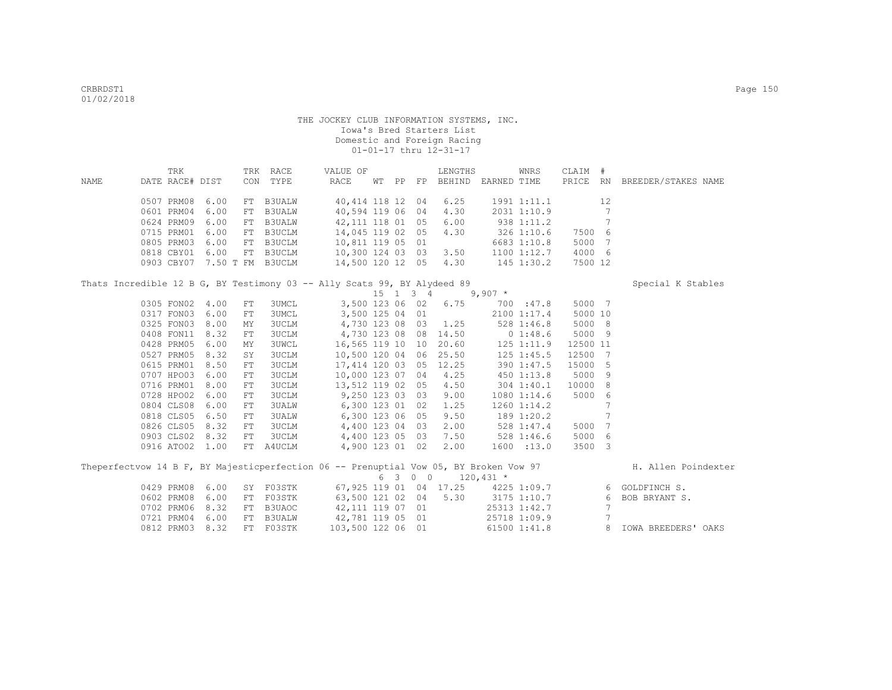|      | TRK             |                 |            | TRK RACE                    | VALUE OF                                                                              |  |         | LENGTHS                         |                    | WNRS           | CLAIM #  |                 |                                                             |
|------|-----------------|-----------------|------------|-----------------------------|---------------------------------------------------------------------------------------|--|---------|---------------------------------|--------------------|----------------|----------|-----------------|-------------------------------------------------------------|
| NAME | DATE RACE# DIST |                 |            | CON TYPE                    | RACE                                                                                  |  |         | WT PP FP BEHIND EARNED TIME     |                    |                |          |                 | PRICE RN BREEDER/STAKES NAME                                |
|      |                 | 0507 PRM08 6.00 |            | FT B3UALW                   | 40,414 118 12 04                                                                      |  |         | 6.25                            |                    | 1991 1:11.1    |          | 12              |                                                             |
|      |                 | 0601 PRM04 6.00 | FT         | <b>B3UALW</b>               | 40,594 119 06 04                                                                      |  |         | 4.30                            |                    | 2031 1:10.9    |          | 7               |                                                             |
|      |                 | 0624 PRM09 6.00 |            | FT B3UALW                   | 42,111 118 01 05                                                                      |  |         | 6.00                            | 938 1:11.2         |                |          | 7               |                                                             |
|      |                 | 0715 PRM01 6.00 |            | FT B3UCLM                   | 14,045 119 02 05                                                                      |  |         | 4.30                            | 326 1:10.6         |                | 7500 6   |                 |                                                             |
|      |                 | 0805 PRM03 6.00 |            | FT B3UCLM                   | 10,811 119 05 01                                                                      |  |         |                                 |                    | 6683 1:10.8    | 5000 7   |                 |                                                             |
|      |                 | 0818 CBY01 6.00 |            | FT B3UCLM                   |                                                                                       |  |         |                                 |                    | 1100 1:12.7    | 4000 6   |                 |                                                             |
|      |                 |                 |            | 0903 CBY07 7.50 T FM B3UCLM | 10,300 124 03 03 3.50 1100 1:12.7<br>14,500 120 12 05 4.30 145 1:30.2                 |  |         |                                 |                    |                | 7500 12  |                 |                                                             |
|      |                 |                 |            |                             | Thats Incredible 12 B G, BY Testimony 03 -- Ally Scats 99, BY Alydeed 89              |  |         |                                 |                    |                |          |                 | Special K Stables                                           |
|      |                 |                 |            |                             |                                                                                       |  |         | $15$ 1 3 4 9,907 *              |                    |                |          |                 |                                                             |
|      |                 | 0305 FON02 4.00 | FT         | 3UMCL                       | 3,500 123 06 02                                                                       |  |         |                                 | $6.75$ $700$ :47.8 |                | 5000 7   |                 |                                                             |
|      |                 | 0317 FON03 6.00 | FT         | 3UMCL                       | 3,500 125 04 01                                                                       |  |         |                                 |                    | 2100 1:17.4    | 5000 10  |                 |                                                             |
|      |                 | 0325 FON03 8.00 | MY         | 3UCLM                       |                                                                                       |  |         | 4,730 123 08 03 1.25 528 1:46.8 |                    |                | 5000 8   |                 |                                                             |
|      |                 | 0408 FON11 8.32 | FT         | <b>3UCLM</b>                | 4,730 123 08 08 14.50 0 1:48.6                                                        |  |         |                                 |                    |                | 5000 9   |                 |                                                             |
|      |                 | 0428 PRM05 6.00 | MΥ         | <b>3UWCL</b>                |                                                                                       |  |         | 16,565 119 10 10 20.60          |                    | $125$ $1:11.9$ | 12500 11 |                 |                                                             |
|      |                 | 0527 PRM05 8.32 | SY         | 3UCLM                       |                                                                                       |  |         | 10,500 120 04 06 25.50          |                    | $125$ $1:45.5$ | 12500    | 7               |                                                             |
|      | 0615 PRM01      | 8.50            | FT         | <b>3UCLM</b>                |                                                                                       |  |         | 17,414 120 03 05 12.25          |                    | 390 1:47.5     | 15000 5  |                 |                                                             |
|      |                 | 0707 HPO03 6.00 | ${\rm FT}$ | 3UCLM                       |                                                                                       |  |         | 10,000 123 07 04 4.25           |                    | 450 1:13.8     | 5000     | 9               |                                                             |
|      |                 | 0716 PRM01 8.00 | ${\rm FT}$ | 3UCLM                       | 13,512 119 02 05 4.50                                                                 |  |         |                                 |                    | $304$ 1:40.1   | 10000    | 8               |                                                             |
|      |                 | 0728 HPO02 6.00 | FT         | 3UCLM                       | 9,250 123 03 03                                                                       |  |         | 9.00                            |                    | 1080 1:14.6    | 5000     | 6               |                                                             |
|      | 0804 CLS08      | 6.00            | FT         | <b>3UALW</b>                | 6,300 123 01 02                                                                       |  |         | 1.25                            |                    | 1260 1:14.2    |          | 7               |                                                             |
|      |                 | 0818 CLS05 6.50 | FT         | <b>3UALW</b>                | 6,300 123 06 05                                                                       |  |         | 9.50                            | 189 1:20.2         |                |          | 7               |                                                             |
|      |                 | 0826 CLS05 8.32 | ${\rm FT}$ | 3UCLM                       | 4,400 123 04 03                                                                       |  |         | 2.00                            | 528 1:47.4         |                | 5000     | 7               |                                                             |
|      |                 | 0903 CLS02 8.32 | FT         | 3UCLM                       | 4,400 123 05 03                                                                       |  |         | 7.50                            | 528 1:46.6         |                | 5000     | - 6             |                                                             |
|      |                 | 0916 ATO02 1.00 |            | FT A4UCLM                   | 4,900 123 01 02                                                                       |  |         | 2.00                            |                    | 1600 :13.0     | 3500 3   |                 |                                                             |
|      |                 |                 |            |                             | Theperfectvow 14 B F, BY Majesticperfection 06 -- Prenuptial Vow 05, BY Broken Vow 97 |  |         |                                 |                    |                |          |                 | H. Allen Poindexter                                         |
|      |                 |                 |            |                             |                                                                                       |  | 6 3 0 0 |                                 | $120,431$ *        |                |          |                 |                                                             |
|      |                 | 0429 PRM08 6.00 |            |                             |                                                                                       |  |         |                                 |                    |                |          |                 | SY F03STK 67,925 119 01 04 17.25 4225 1:09.7 6 GOLDFINCH S. |
|      |                 | 0602 PRM08 6.00 | FT         |                             | F03STK 63,500 121 02 04 5.30 3175 1:10.7                                              |  |         |                                 |                    |                |          | - 6             | BOB BRYANT S.                                               |
|      |                 | 0702 PRM06 8.32 |            | FT B3UAOC                   | 42, 111 119 07 01                                                                     |  |         |                                 | 25313 1:42.7       |                |          | 7               |                                                             |
|      |                 | 0721 PRM04 6.00 |            | FT B3UALW                   | 42,781 119 05 01                                                                      |  |         |                                 | 25718 1:09.9       |                |          | $7\overline{ }$ |                                                             |
|      |                 | 0812 PRM03 8.32 |            | FT F03STK                   | 103,500 122 06 01                                                                     |  |         | 61500 1:41.8                    |                    |                |          |                 | 8 IOWA BREEDERS' OAKS                                       |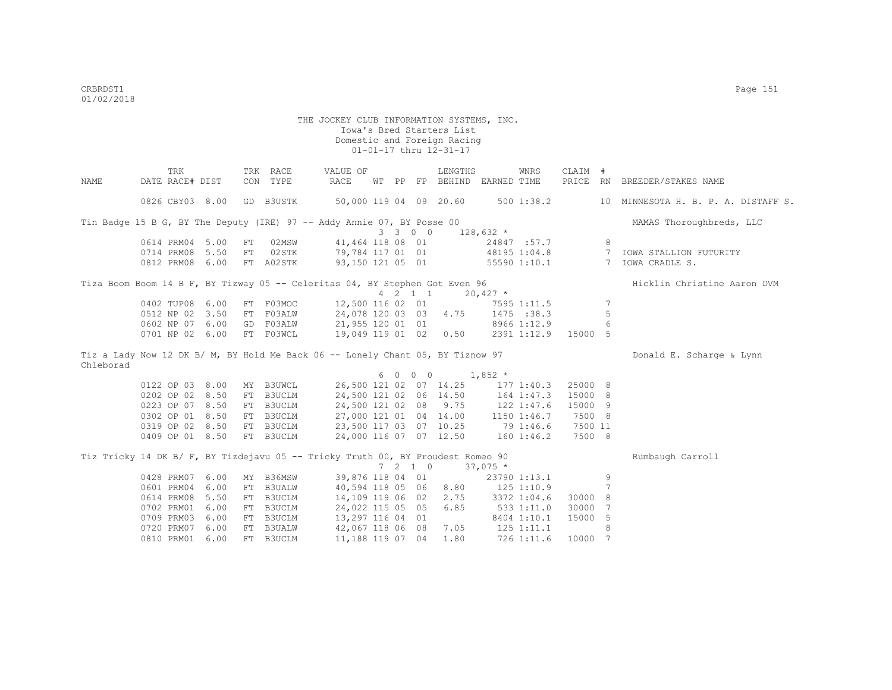TRK TRK RACE VALUE OF LENGTHS WNRS CLAIM # NAME DATE RACE# DIST CON TYPE RACE WT PP FP BEHIND EARNED TIME PRICE RN BREEDER/STAKES NAME 0826 CBY03 8.00 GD B3USTK 50,000 119 04 09 20.60 500 1:38.2 10 MINNESOTA H. B. P. A. DISTAFF S. Tin Badge 15 B G, BY The Deputy (IRE) 97 -- Addy Annie 07, BY Posse 00 MAMAS Thoroughbreds, LLC  $3 \quad 3 \quad 0 \quad 0 \quad 128,632 \atop 41,464 \quad 118 \quad 08 \quad 01 \quad 24847$ 0614 PRM04 5.00 FT 02MSW 41,464 118 08 01 24847 :57.7 8<br>0714 PRM08 5.50 FT 02STK 79,784 117 01 01 48195 1:04.8 7 7 IOWA STALLION FUTURITY<br>7 TOWA CRADLE S. 0812 PRM08 6.00 FT A02STK 93,150 121 05 01 55590 1:10.1 Tiza Boom Boom 14 B F, BY Tizway 05 -- Celeritas 04, BY Stephen Got Even 96 Hicklin Christine Aaron DVM 4 2 1 1 20,427 \* 0402 TUP08 6.00 FT F03MOC 12,500 116 02 01 7595 1:11.5 7 0512 NP 02 3.50 FT F03ALW 24,078 120 03 03 4.75 1475 :38.3 5 0602 NP 07 6.00 GD F03ALW 21,955 120 01 01 8966 1:12.9 6 0701 NP 02 6.00 FT F03WCL 19,049 119 01 02 0.50 2391 1:12.9 15000 5 Tiz a Lady Now 12 DK B/ M, BY Hold Me Back 06 -- Lonely Chant 05, BY Tiznow 97 Donald E. Scharge & Lynn Chleborad 0122 OP 03 8.00 MY B3UWCL  $\begin{array}{cccc} 6 & 0 & 0 & 0 & 1,852 \times 0 & 0 & 0 & 0 & 1,852 \end{array}$  0122 OP 03 8.00 MY B3UWCL 26,500 121 02 07 14.25 177 1:40.3 25000 8 0202 OP 02 8.50 FT B3UCLM 24,500 121 02 06 14.50 164 1:47.3 15000 8 0223 OP 07 8.50 FT B3UCLM 24,500 121 02 08 9.75 122 1:47.6 15000 9 0302 OP 01 8.50 FT B3UCLM 27,000 121 01 04 14.00 1150 1:46.7 7500 8 0319 OP 02 8.50 FT B3UCLM 23,500 117 03 07 10.25 79 1:46.6 7500 11 0409 OP 01 8.50 FT B3UCLM 24,000 116 07 07 12.50 160 1:46.2 7500 8 Tiz Tricky 14 DK B/ F, BY Tizdejavu 05 -- Tricky Truth 00, BY Proudest Romeo 90 Rumbaugh Carroll  $7$  2 1 0  $37,075$  \*<br>39,876 118 04 01 23790 1:13.1 0428 PRM07 6.00 MY B36MSW 39,876 118 04 01 23790 1:13.1 9<br>0601 PRM04 6.00 FT B3UALW 40,594 118 05 06 8.80 125 1:10.9 7 0601 PRM04 6.00 FT B3UALW 40,594 118 05 06 8.80 125 1:10.9 7<br>0614 PRM08 5.50 FT B3UCLM 14,109 119 06 02 2.75 3372 1:04.6 30000 8 0614 PRM08 5.50 FT B3UCLM 14,109 119 06 02 2.75 0702 PRM01 6.00 FT B3UCLM 24,022 115 05 05 6.85 533 1:11.0 30000 7 0709 PRM03 6.00 FT B3UCLM 13,297 116 04 01 8404 1:10.1 15000 5<br>0720 PRM07 6.00 FT B3UALW 42,067 118 06 08 7.05 125 1:11.1 8 0720 PRM07 6.00 FT B3UALW 42,067 118 06 08 7.05 125 1:11.1 8 0810 PRM01 6.00 FT B3UCLM 11,188 119 07 04 1.80 726 1:11.6 10000 7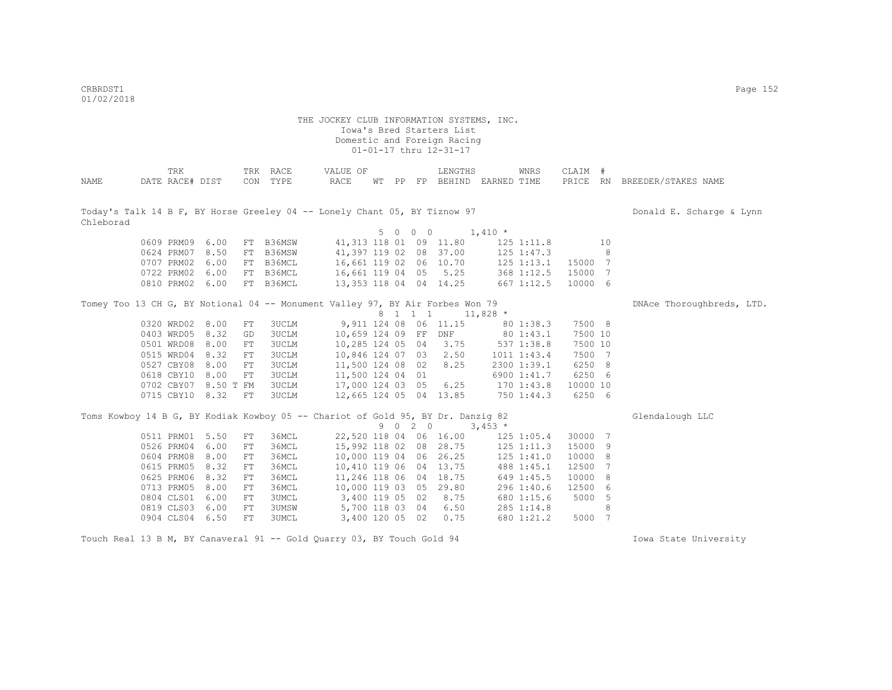CRBRDST1 Page 152 01/02/2018

### THE JOCKEY CLUB INFORMATION SYSTEMS, INC. Iowa's Bred Starters List Domestic and Foreign Racing 01-01-17 thru 12-31-17

| NAME                                                                                   |            | TRK<br>DATE RACE# DIST |                      |            | TRK RACE<br>CON TYPE | VALUE OF<br>RACE |  |         | LENGTHS                 | WT PP FP BEHIND EARNED TIME | WNRS            | CLAIM #  |                | PRICE RN BREEDER/STAKES NAME |
|----------------------------------------------------------------------------------------|------------|------------------------|----------------------|------------|----------------------|------------------|--|---------|-------------------------|-----------------------------|-----------------|----------|----------------|------------------------------|
| Today's Talk 14 B F, BY Horse Greeley 04 -- Lonely Chant 05, BY Tiznow 97<br>Chleborad |            |                        |                      |            |                      |                  |  |         |                         |                             |                 |          |                | Donald E. Scharge & Lynn     |
|                                                                                        |            |                        |                      |            |                      |                  |  | 5 0 0 0 |                         | $1,410$ *                   |                 |          |                |                              |
|                                                                                        |            | 0609 PRM09 6.00        |                      |            | FT B36MSW            |                  |  |         | 41, 313 118 01 09 11.80 |                             | 125 1:11.8      |          | 10             |                              |
|                                                                                        | 0624 PRM07 |                        | 8.50                 | FT         | B36MSW               |                  |  |         | 41,397 119 02 08 37.00  |                             | 125 1:47.3      |          | 8              |                              |
|                                                                                        | 0707 PRM02 |                        | 6.00                 | FT         | B36MCL               |                  |  |         | 16,661 119 02 06 10.70  |                             | 125 1:13.1      | 15000 7  |                |                              |
|                                                                                        | 0722 PRM02 |                        | 6.00                 |            | FT B36MCL            | 16,661 119 04 05 |  |         | 5.25                    |                             | 368 1:12.5      | 15000    | -7             |                              |
|                                                                                        | 0810 PRM02 |                        | 6.00                 |            | FT B36MCL            |                  |  |         | 13,353 118 04 04 14.25  |                             | 667 1:12.5      | 10000 6  |                |                              |
| Tomey Too 13 CH G, BY Notional 04 -- Monument Valley 97, BY Air Forbes Won 79          |            |                        |                      |            |                      |                  |  |         |                         |                             |                 |          |                | DNAce Thoroughbreds, LTD.    |
|                                                                                        |            |                        |                      |            |                      |                  |  | 8 1 1 1 |                         | $11,828$ *                  |                 |          |                |                              |
|                                                                                        | 0320 WRD02 |                        | 8.00                 | ${\rm FT}$ | 3UCLM                |                  |  |         | 9,911 124 08 06 11.15   |                             | 80 1:38.3       | 7500 8   |                |                              |
|                                                                                        | 0403 WRD05 |                        | 8.32                 | GD         | 3UCLM                |                  |  |         | 10,659 124 09 FF DNF    |                             | 80 1:43.1       | 7500 10  |                |                              |
|                                                                                        | 0501 WRD08 |                        | 8.00                 | FT         | 3UCLM                | 10,285 124 05 04 |  |         | 3.75                    |                             | 537 1:38.8      | 7500 10  |                |                              |
|                                                                                        | 0515 WRD04 |                        | 8.32                 | FT         | 3UCLM                | 10,846 124 07 03 |  |         | 2,50                    |                             | $1011$ $1:43.4$ | 7500 7   |                |                              |
|                                                                                        | 0527 CBY08 |                        | 8.00                 | FT         | <b>3UCLM</b>         | 11,500 124 08 02 |  |         | 8.25                    |                             | 2300 1:39.1     | 6250 8   |                |                              |
|                                                                                        | 0618 CBY10 |                        | 8.00                 | FT         | 3UCLM                | 11,500 124 04 01 |  |         |                         |                             | 6900 1:41.7     | 6250 6   |                |                              |
|                                                                                        |            |                        | 0702 CBY07 8.50 T FM |            | 3UCLM                | 17,000 124 03 05 |  |         |                         | 6.25 170 1:43.8             |                 | 10000 10 |                |                              |
|                                                                                        |            | 0715 CBY10 8.32        |                      | FT         | 3UCLM                |                  |  |         | 12,665 124 05 04 13.85  |                             | 750 1:44.3      | 6250 6   |                |                              |
| Toms Kowboy 14 B G, BY Kodiak Kowboy 05 -- Chariot of Gold 95, BY Dr. Danzig 82        |            |                        |                      |            |                      |                  |  |         |                         |                             |                 |          |                | Glendalough LLC              |
|                                                                                        |            |                        |                      |            |                      |                  |  | 9 0 2 0 |                         | $3,453*$                    |                 |          |                |                              |
|                                                                                        |            | 0511 PRM01             | 5.50                 | FT         | 36MCL                |                  |  |         | 22,520 118 04 06 16.00  |                             | $125$ $1:05.4$  | 30000 7  |                |                              |
|                                                                                        | 0526 PRM04 |                        | 6.00                 | FT         | 36MCL                |                  |  |         | 15,992 118 02 08 28.75  |                             | 125 1:11.3      | 15000    | 9              |                              |
|                                                                                        | 0604 PRM08 |                        | 8.00                 | FT         | 36MCL                |                  |  |         | 10,000 119 04 06 26.25  |                             | 125 1:41.0      | 10000    | 8              |                              |
|                                                                                        | 0615 PRM05 |                        | 8.32                 | FT         | 36MCL                |                  |  |         | 10,410 119 06 04 13.75  |                             | 488 1:45.1      | 12500    | 7              |                              |
|                                                                                        | 0625 PRM06 |                        | 8.32                 | ${\rm FT}$ | 36MCL                |                  |  |         | 11,246 118 06 04 18.75  |                             | 649 1:45.5      | 10000    | 8              |                              |
|                                                                                        | 0713 PRM05 |                        | 8.00                 | ${\rm FT}$ | 36MCL                |                  |  |         | 10,000 119 03 05 29.80  |                             | 296 1:40.6      | 12500    | 6              |                              |
|                                                                                        | 0804 CLS01 |                        | 6.00                 | FT         | 3UMCL                | 3,400 119 05 02  |  |         | 8.75                    |                             | 680 1:15.6      | 5000     | - 5            |                              |
|                                                                                        | 0819 CLS03 |                        | 6.00                 | ${\rm FT}$ | 3UMSW                | 5,700 118 03 04  |  |         | 6.50                    |                             | 285 1:14.8      |          | 8              |                              |
|                                                                                        | 0904 CLS04 |                        | 6.50                 | FT         | <b>3UMCL</b>         | 3,400 120 05 02  |  |         | 0.75                    |                             | 680 1:21.2      | 5000     | $\overline{7}$ |                              |

Touch Real 13 B M, BY Canaveral 91 -- Gold Quarry 03, BY Touch Gold 94 Iowa State University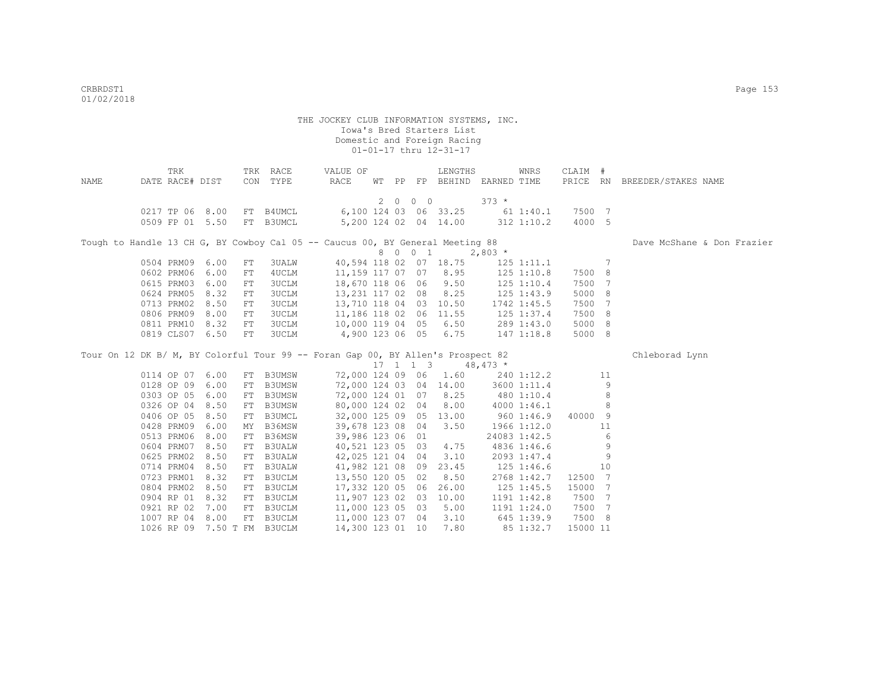| NAME | TRK<br>DATE RACE# DIST |      |    | TRK RACE<br>CON TYPE | VALUE OF<br>RACE                                                                |  |         | LENGTHS                                           | WT PP FP BEHIND EARNED TIME            | WNRS            | CLAIM # |                 | PRICE RN BREEDER/STAKES NAME |
|------|------------------------|------|----|----------------------|---------------------------------------------------------------------------------|--|---------|---------------------------------------------------|----------------------------------------|-----------------|---------|-----------------|------------------------------|
|      |                        |      |    |                      |                                                                                 |  | 2 0 0 0 |                                                   | $373 *$                                |                 |         |                 |                              |
|      | 0217 TP 06 8.00        |      |    | FT B4UMCL            |                                                                                 |  |         |                                                   | 6,100 124 03 06 33.25 61 1:40.1 7500 7 |                 |         |                 |                              |
|      | 0509 FP 01 5.50        |      |    | FT B3UMCL            |                                                                                 |  |         |                                                   | 5,200 124 02 04 14.00 312 1:10.2       |                 | 4000 5  |                 |                              |
|      |                        |      |    |                      |                                                                                 |  |         |                                                   |                                        |                 |         |                 |                              |
|      |                        |      |    |                      | Tough to Handle 13 CH G, BY Cowboy Cal 05 -- Caucus 00, BY General Meeting 88   |  |         |                                                   |                                        |                 |         |                 | Dave McShane & Don Frazier   |
|      |                        |      |    |                      |                                                                                 |  | 8 0 0 1 |                                                   | $2,803*$                               |                 |         |                 |                              |
|      | 0504 PRM09             | 6.00 | FT | 3UALW                |                                                                                 |  |         | 40,594 118 02 07 18.75                            |                                        | 125 1:11.1      |         | $7\phantom{.0}$ |                              |
|      | 0602 PRM06             | 6.00 | FT | 4UCLM                |                                                                                 |  |         | 11,159 117 07 07 8.95                             |                                        | 125 1:10.8      | 7500 8  |                 |                              |
|      | 0615 PRM03             | 6.00 | FT | 3UCLM                | 18,670 118 06 06 9.50                                                           |  |         |                                                   |                                        | $125$ $1:10.4$  | 7500 7  |                 |                              |
|      | 0624 PRM05             | 8.32 | FT | 3UCLM                | 13,231 117 02 08 8.25                                                           |  |         |                                                   |                                        | 125 1:43.9      | 5000 8  |                 |                              |
|      | 0713 PRM02             | 8.50 | FT | 3UCLM                | 13,710 118 04 03 10.50                                                          |  |         |                                                   |                                        | 1742 1:45.5     | 7500 7  |                 |                              |
|      | 0806 PRM09             | 8.00 | FT | 3UCLM                | 11,186 118 02 06                                                                |  |         | 11.55                                             |                                        | 125 1:37.4      | 7500 8  |                 |                              |
|      | 0811 PRM10             | 8.32 | FT | 3UCLM                | 10,000 119 04 05 6.50                                                           |  |         |                                                   |                                        | 289 1:43.0      | 5000 8  |                 |                              |
|      | 0819 CLS07 6.50        |      | FT | 3UCLM                | 4,900 123 06 05 6.75                                                            |  |         |                                                   |                                        | 147 1:18.8      | 5000 8  |                 |                              |
|      |                        |      |    |                      | Tour On 12 DK B/ M, BY Colorful Tour 99 -- Foran Gap 00, BY Allen's Prospect 82 |  |         |                                                   |                                        |                 |         |                 | Chleborad Lynn               |
|      |                        |      |    |                      |                                                                                 |  |         | $17 \quad 1 \quad 1 \quad 3 \quad 48,473 \quad *$ |                                        |                 |         |                 |                              |
|      | 0114 OP 07 6.00        |      |    | FT B3UMSW            |                                                                                 |  |         | 72,000 124 09 06 1.60                             |                                        | 240 1:12.2      |         | 11              |                              |
|      | 0128 OP 09             | 6.00 |    | FT B3UMSW            |                                                                                 |  |         | 72,000 124 03 04 14.00                            |                                        | 3600 1:11.4     |         | 9               |                              |
|      | 0303 OP 05             | 6.00 |    | FT B3UMSW            | 72,000 124 01 07 8.25                                                           |  |         |                                                   | 480 1:10.4                             |                 |         | 8               |                              |
|      | 0326 OP 04             | 8.50 |    | FT B3UMSW            | 80,000 124 02 04                                                                |  |         | 8.00                                              |                                        | 4000 1:46.1     |         | 8               |                              |
|      | 0406 OP 05             | 8.50 |    | FT B3UMCL            | 32,000 125 09 05 13.00                                                          |  |         |                                                   |                                        | 960 1:46.9      | 40000 9 |                 |                              |
|      | 0428 PRM09             | 6.00 |    | MY B36MSW            | 39,678 123 08 04                                                                |  |         | 3.50                                              |                                        | 1966 1:12.0     |         | 11              |                              |
|      | 0513 PRM06             | 8.00 |    | FT B36MSW            | 39,986 123 06 01                                                                |  |         |                                                   |                                        | 24083 1:42.5    |         | 6               |                              |
|      | 0604 PRM07             | 8.50 |    | FT B3UALW            | 40,521 123 05 03                                                                |  |         | 4.75                                              |                                        | 4836 1:46.6     |         | 9               |                              |
|      | 0625 PRM02             | 8.50 |    | FT B3UALW            | 42,025 121 04 04                                                                |  |         | 3.10                                              |                                        | 2093 1:47.4     |         | 9               |                              |
|      | 0714 PRM04             | 8.50 |    | FT B3UALW            | 41,982 121 08 09                                                                |  |         | 23.45                                             |                                        | 125 1:46.6      |         | 10              |                              |
|      | 0723 PRM01             | 8.32 |    | FT B3UCLM            | 13,550 120 05 02                                                                |  |         | 8.50                                              |                                        | 2768 1:42.7     | 12500 7 |                 |                              |
|      | 0804 PRM02             | 8.50 |    | FT B3UCLM            | 17,332 120 05 06                                                                |  |         | 26.00                                             |                                        | 125 1:45.5      | 15000 7 |                 |                              |
|      | 0904 RP 01             | 8.32 |    | FT B3UCLM            | 11,907 123 02 03                                                                |  |         | 10.00                                             |                                        | $1191$ $1:42.8$ | 7500 7  |                 |                              |
|      | 0921 RP 02             | 7.00 |    | FT B3UCLM            | 11,000 123 05 03                                                                |  |         | 5.00                                              |                                        | 1191 1:24.0     | 7500 7  |                 |                              |
|      |                        |      |    |                      |                                                                                 |  |         |                                                   |                                        |                 |         |                 |                              |
|      | 1007 RP 04 8.00        |      |    | FT B3UCLM            | 11,000 123 07 04 3.10                                                           |  |         |                                                   | 645 1:39.9                             |                 | 7500 8  |                 |                              |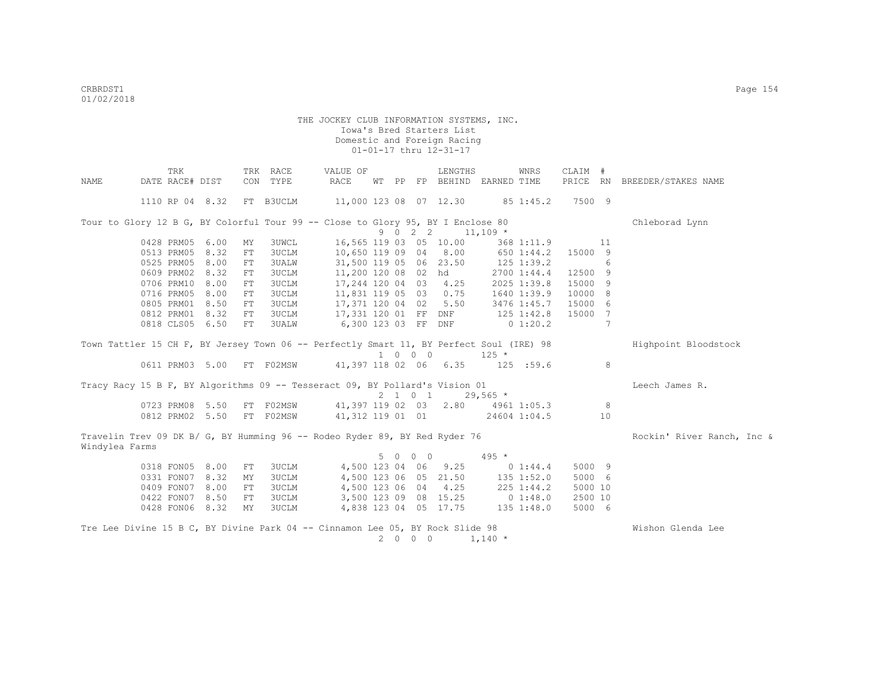|                                                                                              | TRK             |    | TRK RACE                                    | VALUE OF                         |     |    |                             | LENGTHS               |              | WNRS           | CLAIM #  |    |                            |
|----------------------------------------------------------------------------------------------|-----------------|----|---------------------------------------------|----------------------------------|-----|----|-----------------------------|-----------------------|--------------|----------------|----------|----|----------------------------|
| NAME                                                                                         | DATE RACE# DIST |    | CON TYPE                                    | RACE                             | WТ  | PP |                             | FP BEHIND EARNED TIME |              |                | PRICE RN |    | BREEDER/STAKES NAME        |
|                                                                                              | 1110 RP 04 8.32 |    | FT B3UCLM                                   | 11,000 123 08 07 12.30 85 1:45.2 |     |    |                             |                       |              |                | 7500 9   |    |                            |
| Tour to Glory 12 B G, BY Colorful Tour 99 -- Close to Glory 95, BY I Enclose 80              |                 |    |                                             |                                  |     |    |                             |                       |              |                |          |    | Chleborad Lynn             |
|                                                                                              |                 |    |                                             |                                  | 9 0 |    | $2 \quad 2$                 | $11,109$ *            |              |                |          |    |                            |
|                                                                                              | 0428 PRM05 6.00 | MY | 3UWCL                                       | 16,565 119 03 05 10.00           |     |    |                             |                       |              | 368 1:11.9     |          | 11 |                            |
|                                                                                              | 0513 PRM05 8.32 | FT | <b>3UCLM</b>                                | 10,650 119 09 04 8.00            |     |    |                             |                       |              | 650 1:44.2     | 15000 9  |    |                            |
|                                                                                              | 0525 PRM05 8.00 | FT | <b>3UALW</b>                                | 31,500 119 05 06 23.50           |     |    |                             |                       |              | $125$ 1:39.2   |          | 6  |                            |
|                                                                                              | 0609 PRM02 8.32 | FT | <b>3UCLM</b>                                | 11,200 120 08 02 hd              |     |    |                             |                       |              | 2700 1:44.4    | 12500 9  |    |                            |
|                                                                                              | 0706 PRM10 8.00 | FT | <b>3UCLM</b>                                | 17,244 120 04 03 4.25            |     |    |                             |                       |              | 2025 1:39.8    | 15000 9  |    |                            |
|                                                                                              | 0716 PRM05 8.00 | FT | 3UCLM                                       | 11,831 119 05 03 0.75            |     |    |                             |                       |              | 1640 1:39.9    | 10000 8  |    |                            |
|                                                                                              | 0805 PRM01 8.50 | FT | <b>3UCLM</b>                                | 17,371 120 04 02 5.50            |     |    |                             |                       |              | 3476 1:45.7    | 15000 6  |    |                            |
|                                                                                              | 0812 PRM01 8.32 | FT | 3UCLM                                       | 17,331 120 01 FF DNF             |     |    |                             |                       |              | $125$ $1:42.8$ | 15000 7  |    |                            |
|                                                                                              | 0818 CLS05 6.50 | FT | 3UALW                                       | 6,300 123 03 FF DNF              |     |    |                             |                       |              | $0\;1:20.2$    |          | -7 |                            |
| Town Tattler 15 CH F, BY Jersey Town 06 -- Perfectly Smart 11, BY Perfect Soul (IRE) 98      |                 |    |                                             |                                  |     |    | $1 \quad 0 \quad 0 \quad 0$ |                       | $125 *$      |                |          |    | Highpoint Bloodstock       |
|                                                                                              |                 |    | 0611 PRM03 5.00 FT F02MSW                   | 41,397 118 02 06 6.35            |     |    |                             |                       | $125$ :59.6  |                |          | 8  |                            |
| Tracy Racy 15 B F, BY Algorithms 09 -- Tesseract 09, BY Pollard's Vision 01                  |                 |    |                                             |                                  |     |    |                             |                       |              |                |          |    | Leech James R.             |
|                                                                                              |                 |    |                                             |                                  |     |    |                             | 2 1 0 1               | $29,565$ *   |                |          |    |                            |
|                                                                                              | 0723 PRM08 5.50 |    | FT F02MSW 41,397 119 02 03 2.80 4961 1:05.3 |                                  |     |    |                             |                       |              |                |          | 8  |                            |
|                                                                                              | 0812 PRM02 5.50 |    | FT F02MSW                                   | 41,312 119 01 01 24604 1:04.5    |     |    |                             |                       |              |                |          | 10 |                            |
| Travelin Trev 09 DK B/ G, BY Humming 96 -- Rodeo Ryder 89, BY Red Ryder 76<br>Windylea Farms |                 |    |                                             |                                  |     |    |                             |                       |              |                |          |    | Rockin' River Ranch, Inc & |
|                                                                                              |                 |    |                                             |                                  |     |    |                             | 5 0 0 0               | $495 *$      |                |          |    |                            |
|                                                                                              | 0318 FON05 8.00 | FT | 3UCLM                                       |                                  |     |    |                             | 4,500 123 04 06 9.25  |              | $0\;1:44.4$    | 5000 9   |    |                            |
|                                                                                              | 0331 FON07 8.32 | MY | 3UCLM                                       |                                  |     |    |                             | 4,500 123 06 05 21.50 | $135$ 1:52.0 |                | 5000 6   |    |                            |
|                                                                                              | 0409 FON07 8.00 | FT | 3UCLM                                       |                                  |     |    |                             | 4,500 123 06 04 4.25  |              | 225 1:44.2     | 5000 10  |    |                            |
|                                                                                              | 0422 FON07 8.50 | FT | 3UCLM                                       |                                  |     |    |                             | 3,500 123 09 08 15.25 | 0 1:48.0     |                | 2500 10  |    |                            |
|                                                                                              | 0428 FON06 8.32 | MY | 3UCLM                                       |                                  |     |    |                             | 4,838 123 04 05 17.75 | 135 1:48.0   |                | 5000 6   |    |                            |
| Tre Lee Divine 15 B C, BY Divine Park 04 -- Cinnamon Lee 05, BY Rock Slide 98                |                 |    |                                             |                                  |     |    | 2000                        |                       | $1,140$ *    |                |          |    | Wishon Glenda Lee          |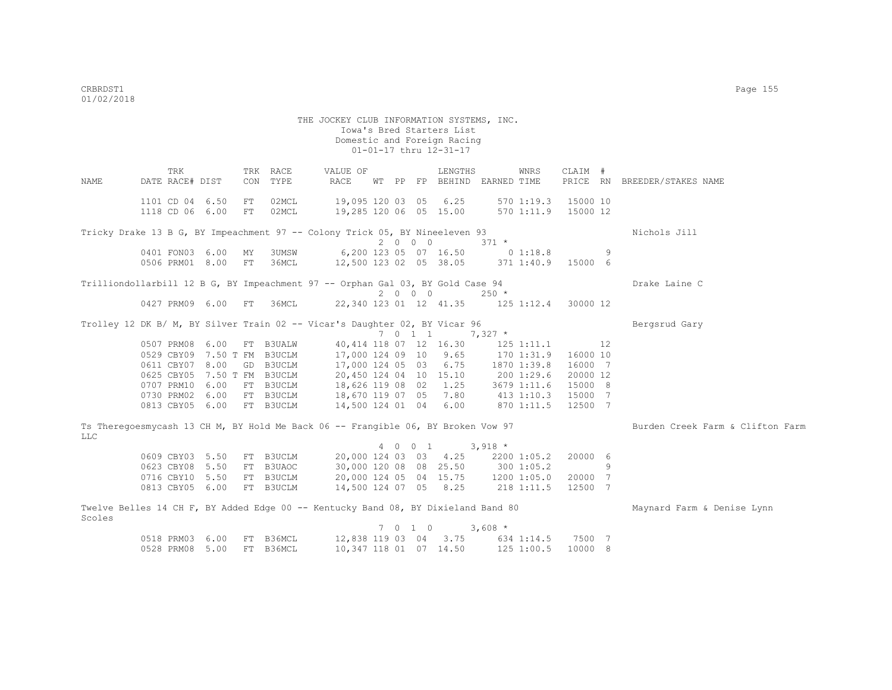THE JOCKEY CLUB INFORMATION SYSTEMS, INC. Iowa's Bred Starters List Domestic and Foreign Racing 01-01-17 thru 12-31-17 TRK TRK RACE VALUE OF LENGTHS WNRS CLAIM # NAME DATE RACE# DIST CON TYPE RACE WT PP FP BEHIND EARNED TIME PRICE RN BREEDER/STAKES NAME 1101 CD 04 6.50 FT 02MCL 19,095 120 03 05 6.25 570 1:19.3 15000 10 1118 CD 06 6.00 FT 02MCL 19,285 120 06 05 15.00 570 1:11.9 15000 12 Tricky Drake 13 B G, BY Impeachment 97 -- Colony Trick 05, BY Nineeleven 93 Nichols Jill  $2 \t0 \t0 \t3 \t3 \t1 \t*$ <br>6, 200 123 05 07 16.50 0 1:18.8 0401 FON03 6.00 MY 3UMSW 6,200 123 05 07 16.50 0 1:18.8 9 0506 PRM01 8.00 FT 36MCL 12,500 123 02 05 38.05 371 1:40.9 15000 6 Trilliondollarbill 12 B G, BY Impeachment 97 -- Orphan Gal 03, BY Gold Case 94 Drake Laine C 2 0 0 0 250 \* 0427 PRM09 6.00 FT 36MCL 22,340 123 01 12 41.35 125 1:12.4 30000 12 Trolley 12 DK B/ M, BY Silver Train 02 -- Vicar's Daughter 02, BY Vicar 96 Bergsrud Gary 7 0 1 1 7,327 \* 0507 PRM08 6.00 FT B3UALW 40,414 118 07 12 16.30 125 1:11.1 12<br>0529 CBY09 7.50 T FM B3UCLM 17,000 124 09 10 9.65 170 1:31.9 16000 10 0529 CBY09 7.50 T FM B3UCLM 17,000 124 09 10 9.65 0611 CBY07 8.00 GD B3UCLM 17,000 124 05 03 6.75 1870 1:39.8 16000 7 0625 CBY05 7.50 T FM B3UCLM 20,450 124 04 10 15.10 200 1:29.6 20000 12<br>0707 PRM10 6.00 FT B3UCLM 18,626 119 08 02 1.25 3679 1:11.6 15000 8 18,626 119 08 02 1.25 3679 1:11.6 15000 8 0730 PRM02 6.00 FT B3UCLM 18,670 119 07 05 7.80 413 1:10.3 15000 7 0813 CBY05 6.00 FT B3UCLM 14,500 124 01 04 6.00 870 1:11.5 12500 7 Ts Theregoesmycash 13 CH M, BY Hold Me Back 06 -- Frangible 06, BY Broken Vow 97 Burden Creek Farm & Clifton Farm LLC 4 0 0 1 3,918 \* 0609 CBY03 5.50 FT B3UCLM 20,000 124 03 03 4.25 2200 1:05.2 20000 6 0623 CBY08 5.50 FT B3UAOC 30,000 120 08 08 25.50 300 1:05.2 9<br>0716 CBY10 5.50 FT B3UCLM 20,000 124 05 04 15.75 1200 1:05.0 20000 7 0716 CBY10 5.50 FT B3UCLM 20,000 124 05 04 15.75 1200 1:05.0 20000 7<br>0813 CBY05 6.00 FT B3UCLM 14.500 124 07 05 8.25 218 1:11.5 12500 7 14,500 124 07 05 8.25 218 1:11.5 12500 7 Twelve Belles 14 CH F, BY Added Edge 00 -- Kentucky Band 08, BY Dixieland Band 80 Maynard Farm & Denise Lynn Scoles 7 0 1 0 3,608 \* 0518 PRM03 6.00 FT B36MCL 12,838 119 03 04 3.75 634 1:14.5 7500 7 0528 PRM08 5.00 FT B36MCL 10,347 118 01 07 14.50 125 1:00.5 10000 8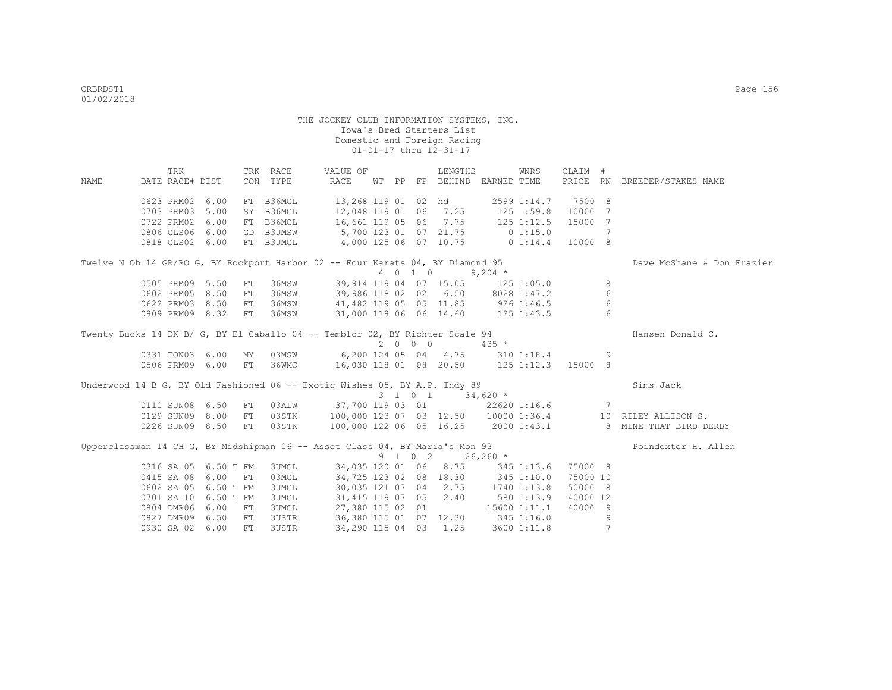TRK TRK RACE VALUE OF LENGTHS WNRS CLAIM # NAME DATE RACE# DIST CON TYPE RACE WT PP FP BEHIND EARNED TIME PRICE RN BREEDER/STAKES NAME 0623 PRM02 6.00 FT B36MCL 13,268 119 01 02 hd 2599 1:14.7 7500 8<br>0703 PRM03 5.00 SY B36MCL 12,048 119 01 06 7.25 125 :59.8 10000 7 0703 PRM03 5.00 SY B36MCL 12,048 119 01 06 7.25 0722 PRM02 6.00 FT B36MCL 16,661 119 05 06 7.75 125 1:12.5 15000 7<br>0806 CLS06 6.00 GD B3UMSW 5,700 123 01 07 21.75 0 1:15.0 7 0806 CLS06 6.00 GD B3UMSW 5,700 123 01 07 21.75 0 1:15.0 7<br>0818 CLS02 6.00 FT B3UMCL 4,000 125 06 07 10.75 0 1:14.4 10000 8 0818 CLS02 6.00 FT B3UMCL Twelve N Oh 14 GR/RO G, BY Rockport Harbor 02 -- Four Karats 04, BY Diamond 95 Dave McShane & Don Frazier 4 0 1 0 9,204 \* 0505 PRM09 5.50 FT 36MSW 39,914 119 04 07 15.05 125 1:05.0 8<br>0602 PRM05 8.50 FT 36MSW 39,986 118 02 02 6.50 8028 1:47.2 6<br>0622 PRM03 8.50 FT 36MSW 41,482 119 05 05 11.85 926 1:46.5 6 0602 PRM05 8.50 FT 36MSW 39,986 118 02 02 6.50 8028 1:47.2 6 0622 PRM03 8.50 FT 36MSW 41,482 119 05 05 11.85 926 1:46.5 6 0809 PRM09 8.32 FT 36MSW 31,000 118 06 06 14.60 125 1:43.5 6 Twenty Bucks 14 DK B/ G, BY El Caballo 04 -- Temblor 02, BY Richter Scale 94 Hansen Donald C.  $2 \t 0 \t 0 \t 435 \t \star$ <br>
6, 200 124 05 04 4.75 310 1:18.4 0331 FON03 6.00 MY 03MSW 6,200 124 05 04 4.75 310 1:18.4 9<br>0506 PRM09 6.00 FT 36WMC 16.030 118 01 08 20.50 125 1:12.3 15000 8 16.030 118 01 08 20.50 125 1:12.3 15000 8 Underwood 14 B G, BY Old Fashioned 06 -- Exotic Wishes 05, BY A.P. Indy 89 Sims Jack 3 1 0 1 34,620 \* 0110 SUN08 6.50 FT 03ALW 37,700 119 03 01 22620 1:16.6 7 0129 SUN09 8.00 FT 03STK 100,000 123 07 03 12.50 10000 1:36.4 10 RILEY ALLISON S. 0226 SUN09 8.50 FT 03STK 100,000 122 06 05 16.25 2000 1:43.1 8 MINE THAT BIRD DERBY Upperclassman 14 CH G, BY Midshipman 06 -- Asset Class 04, BY Maria's Mon 93 Poindexter H. Allen  $9 \quad 1 \quad 0 \quad 2 \quad 26.260 \star$ 0316 SA 05 6.50 T FM 3UMCL 34,035 120 01 06 8.75 345 1:13.6 75000 8<br>0415 SA 08 6.00 FT 03MCL 34,725 123 02 08 18.30 345 1:10.0 75000 10 0415 SA 08 6.00 FT 03MCL 34,725 123 02 08 18.30 345 1:10.0 75000 10<br>0602 SA 05 6.50 T FM 3UMCL 30,035 121 07 04 2.75 1740 1:13.8 50000 8 06,035 121 07 04 2.75 0701 SA 10 6.50 T FM 3UMCL 31,415 119 07 05 2.40 580 1:13.9 40000 12 0804 DMR06 6.00 FT 3UMCL 27,380 115 02 01 15600 1:11.1 40000 9 0827 DMR09 6.50 FT 3USTR 36,380 115 01 07 12.30 345 1:16.0 9 0930 SA 02 6.00 FT 3USTR 34,290 115 04 03 1.25 3600 1:11.8 7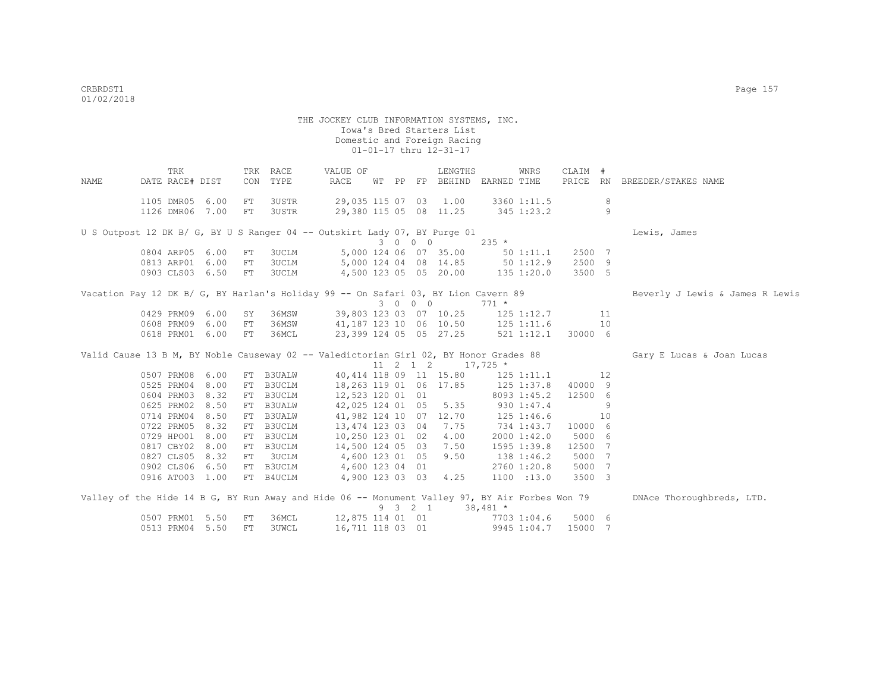THE JOCKEY CLUB INFORMATION SYSTEMS, INC. Iowa's Bred Starters List Domestic and Foreign Racing 01-01-17 thru 12-31-17 TRK TRK RACE VALUE OF LENGTHS WNRS CLAIM # NAME DATE RACE# DIST CON TYPE RACE WT PP FP BEHIND EARNED TIME PRICE RN BREEDER/STAKES NAME 1105 DMR05 6.00 FT 3USTR 29,035 115 07 03 1.00 3360 1:11.5 8 1126 DMR06 7.00 FT 3USTR 29,380 115 05 08 11.25 345 1:23.2 9 U S Outpost 12 DK B/ G, BY U S Ranger 04 -- Outskirt Lady 07, BY Purge 01 Lewis, James 3 0 0 0 235 \* 0804 ARP05 6.00 FT 3UCLM 5,000 124 06 07 35.00 50 1:11.1 2500 7<br>0813 ARP01 6.00 FT 3UCLM 5,000 124 04 08 14.85 50 1:12.9 2500 9 0813 ARP01 6.00 FT 3UCLM 5,000 124 04 08 14.85 50 1:12.9 2500 9 4,500 123 05 05 20.00 135 1:20.0 3500 5 Vacation Pay 12 DK B/ G, BY Harlan's Holiday 99 -- On Safari 03, BY Lion Cavern 89 Beverly J Lewis & James R Lewis 3 0 0 0 771 \* 0429 PRM09 6.00 SY 36MSW 39,803 123 03 07 10.25 125 1:12.7 11 0608 PRM09 6.00 FT 36MSW 41,187 123 10 06 10.50 125 1:11.6 10 0618 PRM01 6.00 FT 36MCL 23,399 124 05 05 27.25 521 1:12.1 30000 6 Valid Cause 13 B M, BY Noble Causeway 02 -- Valedictorian Girl 02, BY Honor Grades 88 Gary E Lucas & Joan Lucas  $11 \t2 \t1 \t2 \t17.725 \t*$ 0507 PRM08 6.00 FT B3UALW 40,414 118 09 11 15.80 125 1:11.1 12<br>0525 PRM04 8.00 FT B3UCLM 18,263 119 01 06 17.85 125 1:37.8 40000 9 0525 PRM04 8.00 FT B3UCLM 18,263 119 01 06 17.85 0604 PRM03 8.32 FT B3UCLM 12,523 120 01 01 8093 1:45.2 12500 6 0625 PRM02 8.50 FT B3UALW 42,025 124 01 05 5.35 930 1:47.4 9 0714 PRM04 8.50 FT B3UALW 41,982 124 10 07 12.70 125 1:46.6 10 0722 PRM05 8.32 FT B3UCLM 13,474 123 03 04 7.75 734 1:43.7 10000 6 0729 HPO01 8.00 FT B3UCLM 10,250 123 01 02 4.00 2000 1:42.0 5000 6 0817 CBY02 8.00 FT B3UCLM 14,500 124 05 03 7.50 1595 1:39.8 12500 7 0827 CLS05 8.32 FT 3UCLM 4,600 123 01 05 9.50 138 1:46.2 5000 7 0902 CLS06 6.50 FT B3UCLM 4,600 123 04 01 2760 1:20.8 5000 7<br>0916 ATO03 1.00 FT B4UCLM 4,900 123 03 03 4.25 1100 :13.0 3500 3 4,900 123 03 03 4.25 1100 :13.0 3500 3 Valley of the Hide 14 B G, BY Run Away and Hide 06 -- Monument Valley 97, BY Air Forbes Won 79 DNAce Thoroughbreds, LTD.  $9 \t3 \t2 \t1 \t38,481 \t*$  0507 PRM01 5.50 FT 36MCL 12,875 114 01 01 7703 1:04.6 5000 6 0513 PRM04 5.50 FT 3UWCL 16,711 118 03 01 9945 1:04.7 15000 7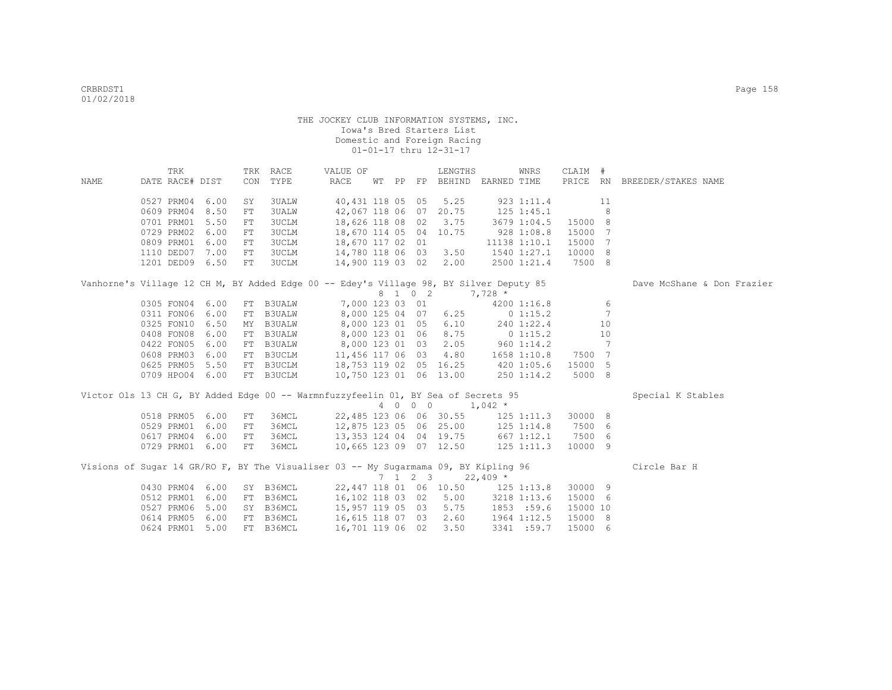|      | TRK             |      |     | TRK RACE               | VALUE OF                                                                               |  |                 | LENGTHS                            |                | WNRS         | CLAIM #            |    |                              |  |
|------|-----------------|------|-----|------------------------|----------------------------------------------------------------------------------------|--|-----------------|------------------------------------|----------------|--------------|--------------------|----|------------------------------|--|
| NAME | DATE RACE# DIST |      | CON | TYPE                   | RACE                                                                                   |  |                 | WT PP FP BEHIND EARNED TIME        |                |              |                    |    | PRICE RN BREEDER/STAKES NAME |  |
|      |                 |      |     |                        |                                                                                        |  |                 |                                    |                |              |                    |    |                              |  |
|      | 0527 PRM04      | 6.00 | SY  | <b>3UALW</b>           |                                                                                        |  |                 | 40,431 118 05 05 5.25              |                | 923 1:11.4   |                    | 11 |                              |  |
|      | 0609 PRM04      | 8.50 | FT  | <b>3UALW</b>           | 42,067 118 06 07                                                                       |  |                 | 20.75                              | $125$ $1:45.1$ |              |                    | 8  |                              |  |
|      | 0701 PRM01      | 5.50 | FT  | 3UCLM                  | 18,626 118 08 02                                                                       |  |                 | 3.75                               | 3679 1:04.5    |              | 15000 8            |    |                              |  |
|      | 0729 PRM02      | 6.00 | FT  | 3UCLM                  | 18,670 114 05 04 10.75                                                                 |  |                 |                                    | 9281:08.8      |              | 15000 7            |    |                              |  |
|      | 0809 PRM01      | 6.00 | FT  | 3UCLM                  | 18,670 117 02 01                                                                       |  |                 |                                    |                | 11138 1:10.1 | 15000 7            |    |                              |  |
|      | 1110 DED07 7.00 |      | FT  | 3UCLM                  | 14,780 118 06 03 3.50                                                                  |  |                 |                                    | 1540 1:27.1    |              | 10000 8            |    |                              |  |
|      | 1201 DED09 6.50 |      | FT  | 3UCLM                  | 14,900 119 03 02 2.00                                                                  |  |                 |                                    | 2500 1:21.4    |              | 7500 8             |    |                              |  |
|      |                 |      |     |                        | Vanhorne's Village 12 CH M, BY Added Edge 00 -- Edey's Village 98, BY Silver Deputy 85 |  |                 |                                    |                |              |                    |    | Dave McShane & Don Frazier   |  |
|      |                 |      |     |                        |                                                                                        |  | 8 1 0 2         |                                    | $7,728$ *      |              |                    |    |                              |  |
|      | 0305 FON04 6.00 |      |     | FT B3UALW              |                                                                                        |  |                 | 7,000 123 03 01                    |                | 4200 1:16.8  |                    | 6  |                              |  |
|      | 0311 FON06      | 6.00 | FT  | <b>B3UALW</b>          |                                                                                        |  |                 | 8,000 125 04 07 6.25 0 1:15.2      |                |              |                    | 7  |                              |  |
|      | 0325 FON10      | 6.50 | MY  | <b>B3UALW</b>          |                                                                                        |  |                 | 8,000 123 01 05 6.10               |                | 240 1:22.4   |                    | 10 |                              |  |
|      | 0408 FON08      | 6.00 | FT  | <b>B3UALW</b>          |                                                                                        |  |                 | 8,000 123 01 06 8.75 0 1:15.2      |                |              |                    | 10 |                              |  |
|      | 0422 FON05      | 6.00 |     |                        | FT B3UALW 8,000 123 01 03 2.05 960 1:14.2                                              |  |                 |                                    |                |              |                    | -7 |                              |  |
|      | 0608 PRM03      | 6.00 |     | FT B3UCLM              | 11,456 117 06 03                                                                       |  |                 | 4.80                               |                |              | 1658 1:10.8 7500 7 |    |                              |  |
|      | 0625 PRM05 5.50 |      |     |                        | FT B3UCLM 18,753 119 02 05 16.25 420 1:05.6                                            |  |                 |                                    |                |              | 15000 5            |    |                              |  |
|      | 0709 HPO04 6.00 |      |     | FT B3UCLM              | 10,750 123 01 06 13.00                                                                 |  |                 |                                    |                | 250 1:14.2   | 5000 8             |    |                              |  |
|      |                 |      |     |                        | Victor Ols 13 CH G, BY Added Edge 00 -- Warmnfuzzyfeelin 01, BY Sea of Secrets 95      |  |                 |                                    |                |              |                    |    | Special K Stables            |  |
|      |                 |      |     |                        |                                                                                        |  |                 | 4 0 0 0 1,042 *                    |                |              |                    |    |                              |  |
|      | 0518 PRM05 6.00 |      | FT  | 36MCL                  |                                                                                        |  |                 | 22,485 123 06 06 30.55             |                | 125 1:11.3   | 30000 8            |    |                              |  |
|      | 0529 PRM01      | 6.00 | FT  | 36MCL                  | 12,875 123 05 06 25.00 125 1:14.8                                                      |  |                 |                                    |                |              | 7500 6             |    |                              |  |
|      | 0617 PRM04      | 6.00 | FT  | 36MCL                  |                                                                                        |  |                 | 13, 353 124 04 04 19.75 667 1:12.1 |                |              | 7500 6             |    |                              |  |
|      | 0729 PRM01 6.00 |      | FT  | 36MCL                  | 10,665 123 09 07 12.50 125 1:11.3                                                      |  |                 |                                    |                |              | 10000 9            |    |                              |  |
|      |                 |      |     |                        |                                                                                        |  |                 |                                    |                |              |                    |    |                              |  |
|      |                 |      |     |                        | Visions of Sugar 14 GR/RO F, BY The Visualiser 03 -- My Sugarmama 09, BY Kipling 96    |  | $7 \t1 \t2 \t3$ |                                    |                |              |                    |    | Circle Bar H                 |  |
|      |                 |      |     |                        |                                                                                        |  |                 |                                    | $22,409$ *     |              |                    |    |                              |  |
|      | 0430 PRM04 6.00 |      |     | SY B36MCL<br>FT B36MCL |                                                                                        |  |                 | 22,447 118 01 06 10.50 125 1:13.8  |                |              | 30000 9            |    |                              |  |
|      | 0512 PRM01      | 6.00 |     |                        | 16,102 118 03 02 5.00 3218 1:13.6<br>15,957 119 05 03 5.75                             |  |                 |                                    |                |              | 15000 6            |    |                              |  |
|      | 0527 PRM06      | 5.00 |     | SY B36MCL              |                                                                                        |  |                 |                                    |                | 1853 :59.6   | 15000 10           |    |                              |  |
|      | 0614 PRM05      | 6.00 |     | FT B36MCL              | 16,615 118 07 03 2.60                                                                  |  |                 |                                    |                | 1964 1:12.5  | 15000 8            |    |                              |  |
|      | 0624 PRM01 5.00 |      |     | FT B36MCL              | 16,701 119 06 02                                                                       |  |                 | 3.50                               |                | 3341 :59.7   | 15000 6            |    |                              |  |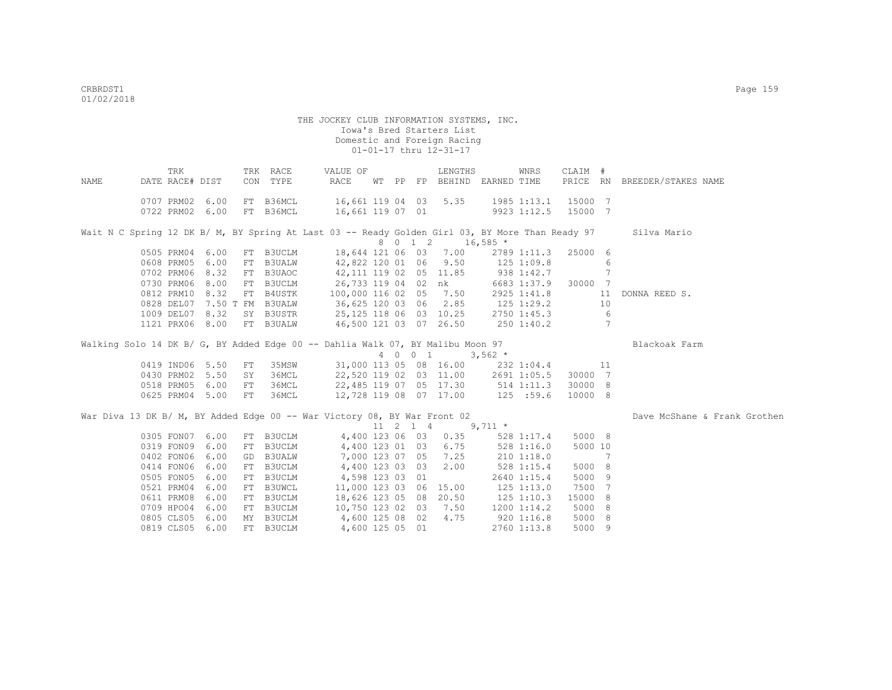|                                                                                | TRK             |      |    | TRK RACE                    | VALUE OF             |  | LENGTHS                                                                 |                | WNRS            | CLAIM # |                 |                                                                                                             |
|--------------------------------------------------------------------------------|-----------------|------|----|-----------------------------|----------------------|--|-------------------------------------------------------------------------|----------------|-----------------|---------|-----------------|-------------------------------------------------------------------------------------------------------------|
| NAME                                                                           | DATE RACE# DIST |      |    | CON TYPE                    | RACE                 |  | WT PP FP BEHIND EARNED TIME                                             |                |                 |         |                 | PRICE RN BREEDER/STAKES NAME                                                                                |
|                                                                                | 0707 PRM02 6.00 |      |    | FT B36MCL                   |                      |  | 16,661 119 04 03 5.35                                                   |                | 1985 1:13.1     | 15000 7 |                 |                                                                                                             |
|                                                                                | 0722 PRM02 6.00 |      |    | FT B36MCL                   | 16,661 119 07 01     |  |                                                                         |                | 9923 1:12.5     | 15000 7 |                 |                                                                                                             |
|                                                                                |                 |      |    |                             |                      |  |                                                                         |                |                 |         |                 |                                                                                                             |
|                                                                                |                 |      |    |                             |                      |  |                                                                         |                |                 |         |                 | Wait N C Spring 12 DK B/ M, BY Spring At Last 03 -- Ready Golden Girl 03, BY More Than Ready 97 Silva Mario |
|                                                                                |                 |      |    |                             |                      |  | 8 0 1 2 16,585 *                                                        |                |                 |         |                 |                                                                                                             |
|                                                                                | 0505 PRM04 6.00 |      |    | FT B3UCLM                   |                      |  | 18,644 121 06 03 7.00                                                   |                | 2789 1:11.3     | 25000 6 |                 |                                                                                                             |
|                                                                                | 0608 PRM05 6.00 |      |    | FT B3UALW                   |                      |  | 42,822 120 01 06 9.50                                                   | $125$ $1:09.8$ |                 |         | 6               |                                                                                                             |
|                                                                                | 0702 PRM06 8.32 |      |    | FT B3UAOC                   |                      |  | 42,111 119 02 05 11.85                                                  | $938$ 1:42.7   |                 |         | 7               |                                                                                                             |
|                                                                                | 0730 PRM06 8.00 |      |    | FT B3UCLM                   |                      |  | 26,733 119 04 02 nk                                                     |                | 6683 1:37.9     | 30000 7 |                 |                                                                                                             |
|                                                                                | 0812 PRM10 8.32 |      |    | FT B4USTK                   |                      |  | 100,000 116 02 05 7.50                                                  |                | 2925 1:41.8     |         | 11              | DONNA REED S.                                                                                               |
|                                                                                |                 |      |    | 0828 DEL07 7.50 T FM B3UALW |                      |  | 36,625 120 03 06 2.85 125 1:29.2                                        |                |                 |         | 10              |                                                                                                             |
|                                                                                | 1009 DEL07 8.32 |      |    | SY B3USTR                   |                      |  | 25,125 118 06 03 10.25                                                  |                | 2750 1:45.3     |         | 6               |                                                                                                             |
|                                                                                | 1121 PRX06 8.00 |      |    | FT B3UALW                   |                      |  | 46,500 121 03 07 26.50 250 1:40.2                                       |                |                 |         | $7\phantom{.0}$ |                                                                                                             |
|                                                                                |                 |      |    |                             |                      |  |                                                                         |                |                 |         |                 |                                                                                                             |
| Walking Solo 14 DK B/ G, BY Added Edge 00 -- Dahlia Walk 07, BY Malibu Moon 97 |                 |      |    |                             |                      |  |                                                                         |                |                 |         |                 | Blackoak Farm                                                                                               |
|                                                                                |                 |      |    |                             |                      |  | 4 0 0 1 3,562 *                                                         |                |                 |         |                 |                                                                                                             |
|                                                                                | 0419 IND06 5.50 |      | FT |                             |                      |  | 35MSW 31,000 113 05 08 16.00 232 1:04.4                                 |                |                 | 11      |                 |                                                                                                             |
|                                                                                | 0430 PRM02 5.50 |      | SY | 36MCL                       |                      |  | 22,520 119 02 03 11.00 2691 1:05.5<br>22,485 119 07 05 17.30 514 1:11.3 |                |                 | 30000 7 |                 |                                                                                                             |
|                                                                                | 0518 PRM05 6.00 |      | FT | 36MCL                       |                      |  |                                                                         | 125 :59.6      |                 | 30000 8 |                 |                                                                                                             |
|                                                                                | 0625 PRM04 5.00 |      | FT | 36MCL                       |                      |  | 12,728 119 08 07 17.00                                                  |                |                 | 10000 8 |                 |                                                                                                             |
| War Diva 13 DK B/ M, BY Added Edge 00 -- War Victory 08, BY War Front 02       |                 |      |    |                             |                      |  |                                                                         |                |                 |         |                 | Dave McShane & Frank Grothen                                                                                |
|                                                                                |                 |      |    |                             |                      |  | $11 \quad 2 \quad 1 \quad 4 \quad 9,711 \quad *$                        |                |                 |         |                 |                                                                                                             |
|                                                                                | 0305 FON07 6.00 |      |    | FT B3UCLM                   |                      |  | 4,400 123 06 03 0.35                                                    |                | 528 1:17.4      | 5000 8  |                 |                                                                                                             |
|                                                                                | 0319 FON09 6.00 |      |    | FT B3UCLM                   |                      |  | 4,400 123 01 03 6.75                                                    | $528$ 1:16.0   |                 | 5000 10 |                 |                                                                                                             |
|                                                                                | 0402 FON06      | 6.00 |    | GD B3UALW                   |                      |  | 7,000 123 07 05 7.25                                                    | 210 1:18.0     |                 |         | 7               |                                                                                                             |
|                                                                                | 0414 FON06      | 6.00 | FT | B3UCLM                      | 4,400 123 03 03      |  | 2.00                                                                    |                | 528 1:15.4      | 5000 8  |                 |                                                                                                             |
|                                                                                | 0505 FON05      | 6.00 | FT | B3UCLM                      | 4,598 123 03 01      |  |                                                                         |                | 2640 1:15.4     | 5000 9  |                 |                                                                                                             |
|                                                                                | 0521 PRM04      | 6.00 | FT | B3UWCL                      |                      |  | 11,000 123 03 06 15.00                                                  | $125$ $1:13.0$ |                 | 7500    | 7               |                                                                                                             |
|                                                                                | 0611 PRM08 6.00 |      |    | FT B3UCLM                   |                      |  | 18,626 123 05 08 20.50                                                  |                | $125$ $1:10.3$  | 15000   | 8               |                                                                                                             |
|                                                                                | 0709 HPO04 6.00 |      |    | FT B3UCLM                   |                      |  | 10,750 123 02 03 7.50                                                   |                | $1200$ $1:14.2$ | 5000    | 8               |                                                                                                             |
|                                                                                | 0805 CLS05 6.00 |      |    | MY B3UCLM                   | 4,600 125 08 02 4.75 |  |                                                                         |                | $920$ 1:16.8    | 5000    | 8               |                                                                                                             |
|                                                                                | 0819 CLS05 6.00 |      |    | FT B3UCLM                   | 4,600 125 05 01      |  |                                                                         |                | 2760 1:13.8     | 5000 9  |                 |                                                                                                             |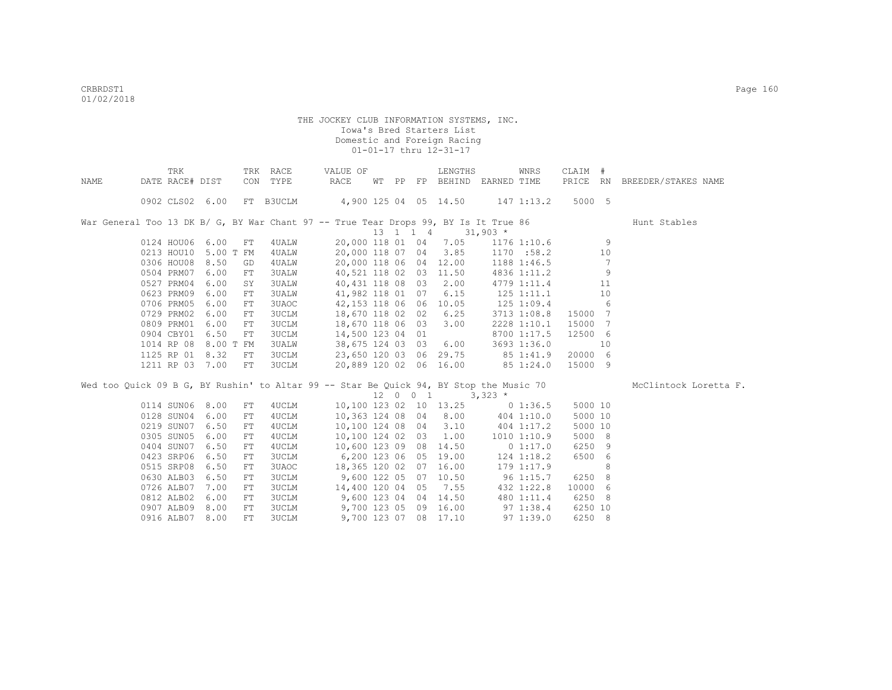|      | TRK             |                      |            | TRK RACE     | VALUE OF                                                                               |  | LENGTHS                                                  |                | WNRS          | CLAIM #          |                 |                              |
|------|-----------------|----------------------|------------|--------------|----------------------------------------------------------------------------------------|--|----------------------------------------------------------|----------------|---------------|------------------|-----------------|------------------------------|
| NAME | DATE RACE# DIST |                      |            | CON TYPE     | RACE                                                                                   |  | WT PP FP BEHIND EARNED TIME                              |                |               |                  |                 | PRICE RN BREEDER/STAKES NAME |
|      |                 | 0902 CLS02 6.00      |            |              | FT B3UCLM 4,900 125 04 05 14.50 147 1:13.2                                             |  |                                                          |                |               | 5000 5           |                 |                              |
|      |                 |                      |            |              | War General Too 13 DK B/ G, BY War Chant 97 -- True Tear Drops 99, BY Is It True 86    |  | $13 \quad 1 \quad 1 \quad 4 \quad 31,903 \quad ^{\star}$ |                |               |                  |                 | Hunt Stables                 |
|      |                 | 0124 HOU06 6.00      | FT         | 4 UALW       |                                                                                        |  |                                                          |                |               |                  |                 |                              |
|      |                 | 0213 HOU10 5.00 T FM |            | 4UALW        | 20,000 118 07 04 3.85                                                                  |  | 20,000 118 01 04 7.05 1176 1:10.6 9                      |                | 1170 :58.2 10 |                  |                 |                              |
|      | 0306 HOU08      | 8.50                 | GD         | 4 UALW       | 20,000 118 06 04 12.00                                                                 |  |                                                          |                | 1188 1:46.5   |                  | 7               |                              |
|      | 0504 PRM07      | 6.00                 | FT         | 3UALW        | 40,521 118 02 03 11.50                                                                 |  |                                                          |                | 4836 1:11.2   |                  | 9               |                              |
|      | 0527 PRM04      | 6.00                 | SY         | <b>3UALW</b> |                                                                                        |  | 40,431 118 08 03 2.00                                    |                | 4779 1:11.4   |                  | - 11            |                              |
|      | 0623 PRM09      | 6.00                 | FT         | <b>3UALW</b> |                                                                                        |  | 41,982 118 01 07 6.15                                    |                | 125 1:11.1    |                  | 10              |                              |
|      | 0706 PRM05 6.00 |                      |            |              | 42,153 118 06 06 10.05                                                                 |  |                                                          |                |               |                  | 6               |                              |
|      |                 | 0729 PRM02 6.00      | FT         | 3UAOC        | 18,670 118 02 02 6.25                                                                  |  |                                                          |                | 125 1:09.4    |                  |                 |                              |
|      |                 |                      | FT         | <b>3UCLM</b> |                                                                                        |  |                                                          |                | 3713 1:08.8   | 15000 7<br>15000 | $7\phantom{.0}$ |                              |
|      | 0809 PRM01      | 6.00                 | FT         | 3UCLM        | 18,670 118 06 03                                                                       |  | 3.00                                                     |                | 2228 1:10.1   |                  |                 |                              |
|      | 0904 CBY01      | 6.50                 | FT         | 3UCLM        | 14,500 123 04 01                                                                       |  |                                                          |                | 8700 1:17.5   | 12500 6          |                 |                              |
|      | 1014 RP 08      | 8.00 T FM            |            | <b>3UALW</b> | 38,675 124 03 03 6.00 3693 1:36.0                                                      |  |                                                          |                |               |                  | 10              |                              |
|      |                 | 1125 RP 01 8.32      | FT.        | <b>3UCLM</b> | 23,650 120 03 06 29.75 85 1:41.9                                                       |  |                                                          |                |               | 20000 6          |                 |                              |
|      |                 | 1211 RP 03 7.00      | FT         | 3UCLM        | 20,889 120 02 06 16.00 85 1:24.0                                                       |  |                                                          |                |               | 15000 9          |                 |                              |
|      |                 |                      |            |              | Wed too Quick 09 B G, BY Rushin' to Altar 99 -- Star Be Quick 94, BY Stop the Music 70 |  |                                                          |                |               |                  |                 | McClintock Loretta F.        |
|      |                 |                      |            |              |                                                                                        |  | $12 \t 0 \t 1 \t 3,323 \t \star$                         |                |               |                  |                 |                              |
|      |                 | 0114 SUN06 8.00      | FT         | 4UCLM        | 10,100 123 02 10 13.25 0 1:36.5                                                        |  |                                                          |                |               | 5000 10          |                 |                              |
|      | 0128 SUN04 6.00 |                      | FT         | 4UCLM        | 10,363 124 08 04 8.00 404 1:10.0                                                       |  |                                                          |                |               | 5000 10          |                 |                              |
|      | 0219 SUN07 6.50 |                      | FT         | 4UCLM        | 10,100 124 08 04 3.10 404 1:17.2                                                       |  |                                                          |                |               | 5000 10          |                 |                              |
|      | 0305 SUN05 6.00 |                      | FT         | 4UCLM        |                                                                                        |  | 10,100 124 02 03 1.00                                    |                | 1010 1:10.9   | 5000 8           |                 |                              |
|      | 0404 SUN07 6.50 |                      | FT         | 4UCLM        | 10,600 123 09 08 14.50                                                                 |  |                                                          |                | 0 1:17.0      | 6250 9           |                 |                              |
|      | 0423 SRP06 6.50 |                      | FT         | 3UCLM        | 6,200 123 06 05 19.00                                                                  |  |                                                          | $124$ $1:18.2$ |               | 6500             | 6               |                              |
|      | 0515 SRP08      | 6.50                 | ${\rm FT}$ | 3UAOC        | 18,365 120 02 07 16.00                                                                 |  |                                                          |                | 179 1:17.9    |                  | 8               |                              |
|      | 0630 ALB03      | 6.50                 | FT         | <b>3UCLM</b> | 9,600 122 05 07 10.50                                                                  |  |                                                          | $96\ 1:15.7$   |               | 6250 8           |                 |                              |
|      | 0726 ALB07      | 7.00                 | FT         | <b>3UCLM</b> | 14,400 120 04 05 7.55                                                                  |  |                                                          |                | 432 1:22.8    | 10000 6          |                 |                              |
|      | 0812 ALB02      | 6.00                 | FT         | 3UCLM        | 9,600 123 04 04 14.50 480 1:11.4                                                       |  |                                                          |                |               | 6250 8           |                 |                              |
|      | 0907 ALB09 8.00 |                      | FT         | <b>3UCLM</b> | 9,700 123 05 09 16.00 97 1:38.4 6250 10                                                |  |                                                          |                |               |                  |                 |                              |
|      |                 | 0916 ALB07 8.00      | FT.        | <b>3UCLM</b> |                                                                                        |  | 9,700 123 07 08 17.10                                    |                | 971:39.0      | 6250 8           |                 |                              |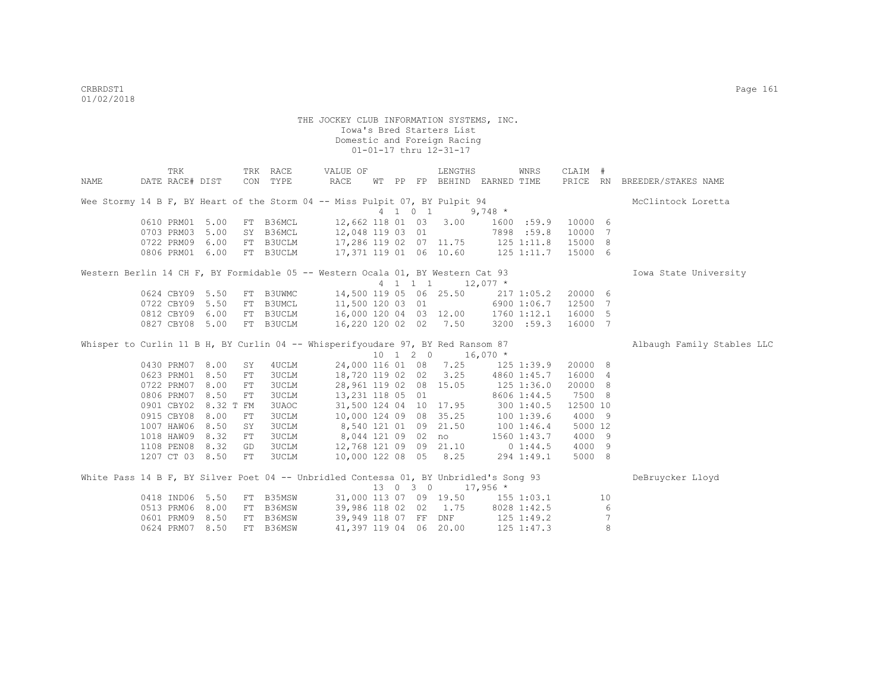|      | TRK             |           |            | TRK RACE  | VALUE OF                                                                              |  |          | LENGTHS                |                                                | WNRS           | CLAIM #  |                 |                              |
|------|-----------------|-----------|------------|-----------|---------------------------------------------------------------------------------------|--|----------|------------------------|------------------------------------------------|----------------|----------|-----------------|------------------------------|
| NAME | DATE RACE# DIST |           |            | CON TYPE  | RACE                                                                                  |  |          |                        | WT PP FP BEHIND EARNED TIME                    |                |          |                 | PRICE RN BREEDER/STAKES NAME |
|      |                 |           |            |           | Wee Stormy 14 B F, BY Heart of the Storm 04 -- Miss Pulpit 07, BY Pulpit 94           |  |          |                        |                                                |                |          |                 | McClintock Loretta           |
|      |                 |           |            |           |                                                                                       |  | 4 1 0 1  |                        | 9,748 $*$                                      |                |          |                 |                              |
|      | 0610 PRM01 5.00 |           |            | FT B36MCL |                                                                                       |  |          | 12,662 118 01 03 3.00  |                                                | 1600 :59.9     | 10000 6  |                 |                              |
|      | 0703 PRM03      | 5.00      |            | SY B36MCL | 12,048 119 03 01                                                                      |  |          |                        |                                                | 7898 :59.8     | 10000 7  |                 |                              |
|      | 0722 PRM09 6.00 |           |            |           | FT B3UCLM 17,286 119 02 07 11.75 125 1:11.8                                           |  |          |                        |                                                |                | 15000 8  |                 |                              |
|      | 0806 PRM01 6.00 |           |            | FT B3UCLM | $17,371$ 119 01 06 10.60 125 1:11.7                                                   |  |          |                        |                                                |                | 15000 6  |                 |                              |
|      |                 |           |            |           | Western Berlin 14 CH F, BY Formidable 05 -- Western Ocala 01, BY Western Cat 93       |  |          |                        |                                                |                |          |                 | Iowa State University        |
|      |                 |           |            |           |                                                                                       |  |          |                        | $4 \quad 1 \quad 1 \quad 1 \quad 12,077 \star$ |                |          |                 |                              |
|      | 0624 CBY09 5.50 |           |            | FT B3UWMC |                                                                                       |  |          |                        | 14,500 119 05 06 25.50 217 1:05.2              |                | 20000 6  |                 |                              |
|      | 0722 CBY09      | 5.50      | FT         | B3UMCL    | 11,500 120 03 01                                                                      |  |          |                        | 6900 1:06.7                                    |                | 12500 7  |                 |                              |
|      | 0812 CBY09      | 6.00      |            | FT B3UCLM | 16,000 120 04 03 12.00 1760 1:12.1                                                    |  |          |                        |                                                |                | 16000 5  |                 |                              |
|      | 0827 CBY08 5.00 |           |            | FT B3UCLM | 16,220 120 02 02 7.50                                                                 |  |          |                        |                                                | 3200 : 59.3    | 16000 7  |                 |                              |
|      |                 |           |            |           | Whisper to Curlin 11 B H, BY Curlin 04 -- Whisperifyoudare 97, BY Red Ransom 87       |  |          |                        |                                                |                |          |                 | Albaugh Family Stables LLC   |
|      |                 |           |            |           |                                                                                       |  |          | 10 1 2 0               | $16,070$ *                                     |                |          |                 |                              |
|      | 0430 PRM07      | 8.00      | SY         | 4 UCLM    |                                                                                       |  |          | 24,000 116 01 08 7.25  |                                                | $125$ $1:39.9$ | 20000 8  |                 |                              |
|      | 0623 PRM01      | 8.50      | FT         | 3UCLM     | 18,720 119 02 02                                                                      |  |          |                        | $3.25$ $4860$ $1:45.7$                         |                | 16000 4  |                 |                              |
|      | 0722 PRM07      | 8.00      | ${\rm FT}$ | 3UCLM     |                                                                                       |  |          | 28,961 119 02 08 15.05 |                                                | $125$ $1:36.0$ | 20000 8  |                 |                              |
|      | 0806 PRM07      | 8.50      | FT         | 3UCLM     | 13,231 118 05 01                                                                      |  |          |                        |                                                | 8606 1:44.5    | 7500 8   |                 |                              |
|      | 0901 CBY02      | 8.32 T FM |            | 3UAOC     |                                                                                       |  |          | 31,500 124 04 10 17.95 |                                                | 3001:40.5      | 12500 10 |                 |                              |
|      | 0915 CBY08      | 8.00      | ${\rm FT}$ | 3UCLM     |                                                                                       |  |          | 10,000 124 09 08 35.25 | 100 1:39.6                                     |                | 4000 9   |                 |                              |
|      | 1007 HAW06      | 8.50      | SY         | 3UCLM     | 8,540 121 01 09 21.50                                                                 |  |          |                        |                                                | 1001:46.4      | 5000 12  |                 |                              |
|      | 1018 HAW09      | 8.32      | ${\rm FT}$ | 3UCLM     | 8,044 121 09 02                                                                       |  |          | no                     |                                                | 1560 1:43.7    | 4000 9   |                 |                              |
|      | 1108 PEN08      | 8.32      | GD         | 3UCLM     | 12,768 121 09 09 21.10                                                                |  |          |                        |                                                | $0\;1:44.5$    | 4000 9   |                 |                              |
|      | 1207 CT 03 8.50 |           | FT         | 3UCLM     | 10,000 122 08 05 8.25                                                                 |  |          |                        |                                                | 294 1:49.1     | 5000 8   |                 |                              |
|      |                 |           |            |           | White Pass 14 B F, BY Silver Poet 04 -- Unbridled Contessa 01, BY Unbridled's Song 93 |  |          |                        |                                                |                |          |                 | DeBruycker Lloyd             |
|      |                 |           |            |           |                                                                                       |  | 13 0 3 0 |                        | $17,956$ *                                     |                |          |                 |                              |
|      | 0418 IND06 5.50 |           |            | FT B35MSW |                                                                                       |  |          |                        | 31,000 113 07 09 19.50 155 1:03.1              |                |          | 10              |                              |
|      | 0513 PRM06 8.00 |           |            | FT B36MSW |                                                                                       |  |          |                        | 39,986 118 02 02 1.75 8028 1:42.5              |                |          | 6               |                              |
|      | 0601 PRM09 8.50 |           |            | FT B36MSW |                                                                                       |  |          |                        | 39,949 118 07 FF DNF 125 1:49.2                |                |          | $7\phantom{.0}$ |                              |
|      | 0624 PRM07      | 8.50      |            | FT B36MSW |                                                                                       |  |          | 41,397 119 04 06 20.00 |                                                | $125$ $1:47.3$ |          | 8               |                              |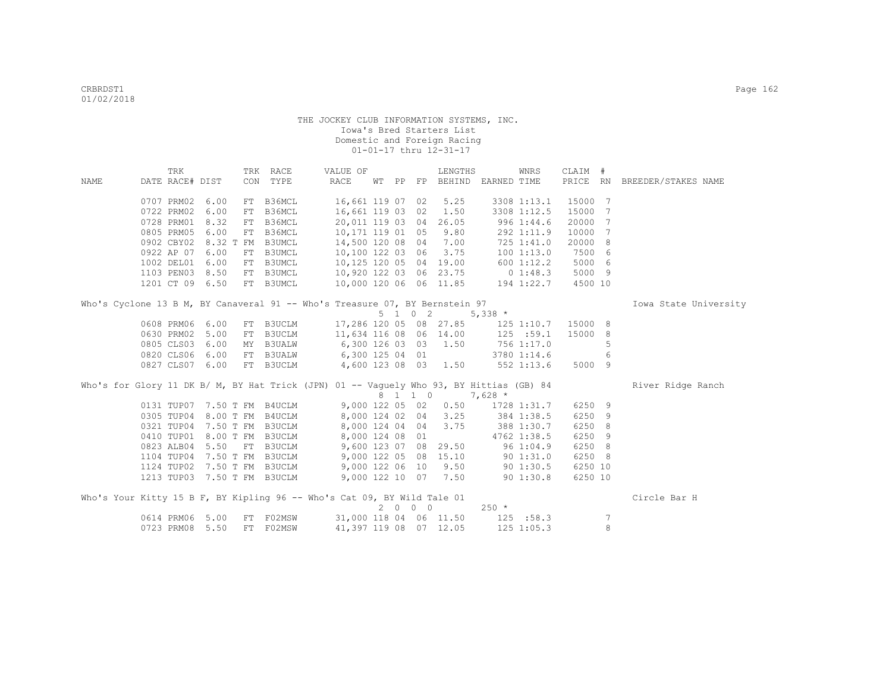|                                                                                         |                 | TRK |      |    | TRK RACE                    | VALUE OF         |  |      | LENGTHS                |                                                                       | WNRS           | CLAIM # |                 |                              |  |
|-----------------------------------------------------------------------------------------|-----------------|-----|------|----|-----------------------------|------------------|--|------|------------------------|-----------------------------------------------------------------------|----------------|---------|-----------------|------------------------------|--|
| NAME                                                                                    | DATE RACE# DIST |     |      |    | CON TYPE                    | RACE             |  |      |                        | WT PP FP BEHIND EARNED TIME                                           |                |         |                 | PRICE RN BREEDER/STAKES NAME |  |
|                                                                                         |                 |     |      |    |                             |                  |  |      |                        |                                                                       |                |         |                 |                              |  |
|                                                                                         | 0707 PRM02 6.00 |     |      |    | FT B36MCL                   | 16,661 119 07 02 |  |      | 5.25                   |                                                                       | 3308 1:13.1    | 15000 7 |                 |                              |  |
|                                                                                         | 0722 PRM02      |     | 6.00 | FT | B36MCL                      |                  |  |      | 16,661 119 03 02 1.50  |                                                                       | 3308 1:12.5    | 15000   | 7               |                              |  |
|                                                                                         | 0728 PRM01 8.32 |     |      | FT | B36MCL                      |                  |  |      | 20,011 119 03 04 26.05 |                                                                       | 996 1:44.6     | 20000   | 7               |                              |  |
|                                                                                         | 0805 PRM05 6.00 |     |      |    | FT B36MCL                   |                  |  |      | 10,171 119 01 05 9.80  |                                                                       | 292 1:11.9     | 10000   | $7\phantom{.0}$ |                              |  |
|                                                                                         |                 |     |      |    | 0902 CBY02 8.32 T FM B3UMCL |                  |  |      | 14,500 120 08 04 7.00  |                                                                       | 725 1:41.0     | 20000 8 |                 |                              |  |
|                                                                                         | 0922 AP 07 6.00 |     |      |    | FT B3UMCL                   |                  |  |      |                        | 10,100 122 03 06 3.75 100 1:13.0<br>10,125 120 05 04 19.00 600 1:12.2 |                | 7500 6  |                 |                              |  |
|                                                                                         | 1002 DEL01 6.00 |     |      |    | FT B3UMCL                   |                  |  |      |                        |                                                                       |                | 5000 6  |                 |                              |  |
|                                                                                         | 1103 PEN03 8.50 |     |      |    | FT B3UMCL                   |                  |  |      |                        | 10,920 122 03 06 23.75 0 1:48.3                                       |                | 5000 9  |                 |                              |  |
|                                                                                         | 1201 CT 09 6.50 |     |      |    | FT B3UMCL                   |                  |  |      |                        | 10,000 120 06 06 11.85 194 1:22.7                                     |                | 4500 10 |                 |                              |  |
|                                                                                         |                 |     |      |    |                             |                  |  |      |                        |                                                                       |                |         |                 |                              |  |
| Who's Cyclone 13 B M, BY Canaveral 91 -- Who's Treasure 07, BY Bernstein 97             |                 |     |      |    |                             |                  |  |      | 5 1 0 2                | $5,338$ *                                                             |                |         |                 | Iowa State University        |  |
|                                                                                         |                 |     |      |    |                             |                  |  |      |                        |                                                                       |                |         |                 |                              |  |
|                                                                                         | 0608 PRM06 6.00 |     |      |    |                             |                  |  |      |                        | FT B3UCLM 17,286 120 05 08 27.85 125 1:10.7                           |                | 15000 8 |                 |                              |  |
|                                                                                         | 0630 PRM02 5.00 |     |      | FT | <b>B3UCLM</b>               |                  |  |      |                        | 11,634 116 08 06 14.00 125 :59.1                                      |                | 15000 8 |                 |                              |  |
|                                                                                         | 0805 CLS03 6.00 |     |      |    | MY B3UALW                   |                  |  |      |                        | 6,300 126 03 03 1.50 756 1:17.0                                       |                |         | 5               |                              |  |
|                                                                                         | 0820 CLS06 6.00 |     |      |    | FT B3UALW                   |                  |  |      |                        | 6,300 125 04 01 3780 1:14.6                                           |                |         | 6               |                              |  |
|                                                                                         | 0827 CLS07 6.00 |     |      |    | FT B3UCLM                   |                  |  |      |                        | 4,600 123 08 03 1.50 552 1:13.6                                       |                | 5000 9  |                 |                              |  |
| Who's for Glory 11 DK B/ M, BY Hat Trick (JPN) 01 -- Vaguely Who 93, BY Hittias (GB) 84 |                 |     |      |    |                             |                  |  |      |                        |                                                                       |                |         |                 | River Ridge Ranch            |  |
|                                                                                         |                 |     |      |    |                             |                  |  |      |                        | 8 1 1 0 7,628 *                                                       |                |         |                 |                              |  |
|                                                                                         |                 |     |      |    |                             |                  |  |      |                        | 0131 TUP07 7.50 T FM B4UCLM 9,000 122 05 02 0.50 1728 1:31.7          |                | 6250 9  |                 |                              |  |
|                                                                                         | 0305 TUP04      |     |      |    | 8.00 T FM B4UCLM            |                  |  |      |                        | 8,000 124 02 04 3.25 384 1:38.5                                       |                | 6250 9  |                 |                              |  |
|                                                                                         |                 |     |      |    | 0321 TUP04 7.50 T FM B3UCLM |                  |  |      | 8,000 124 04 04 3.75   |                                                                       | 388 1:30.7     | 6250 8  |                 |                              |  |
|                                                                                         |                 |     |      |    | 0410 TUP01 8.00 T FM B3UCLM | 8,000 124 08 01  |  |      |                        | 4762 1:38.5                                                           |                | 6250 9  |                 |                              |  |
|                                                                                         | 0823 ALB04 5.50 |     |      |    | FT B3UCLM                   |                  |  |      |                        | 9,600 123 07 08 29.50 96 1:04.9                                       |                | 6250 8  |                 |                              |  |
|                                                                                         |                 |     |      |    | 1104 TUP04 7.50 T FM B3UCLM |                  |  |      |                        | 9,000 122 05 08 15.10 90 1:31.0                                       |                | 6250 8  |                 |                              |  |
|                                                                                         |                 |     |      |    | 1124 TUP02 7.50 T FM B3UCLM |                  |  |      |                        | 9,000 122 06 10 9.50 90 1:30.5                                        |                | 6250 10 |                 |                              |  |
|                                                                                         |                 |     |      |    | 1213 TUP03 7.50 T FM B3UCLM |                  |  |      |                        | 9,000 122 10 07 7.50 90 1:30.8                                        |                | 6250 10 |                 |                              |  |
|                                                                                         |                 |     |      |    |                             |                  |  |      |                        |                                                                       |                |         |                 |                              |  |
| Who's Your Kitty 15 B F, BY Kipling 96 -- Who's Cat 09, BY Wild Tale 01                 |                 |     |      |    |                             |                  |  | 2000 |                        | $250 *$                                                               |                |         |                 | Circle Bar H                 |  |
|                                                                                         | 0614 PRM06 5.00 |     |      | FT | F02MSW                      |                  |  |      |                        | 31,000 118 04 06 11.50 125 :58.3                                      |                |         | 7               |                              |  |
|                                                                                         | 0723 PRM08 5.50 |     |      |    | FT F02MSW                   |                  |  |      | 41,397 119 08 07 12.05 |                                                                       | $125$ $1:05.3$ |         | 8               |                              |  |
|                                                                                         |                 |     |      |    |                             |                  |  |      |                        |                                                                       |                |         |                 |                              |  |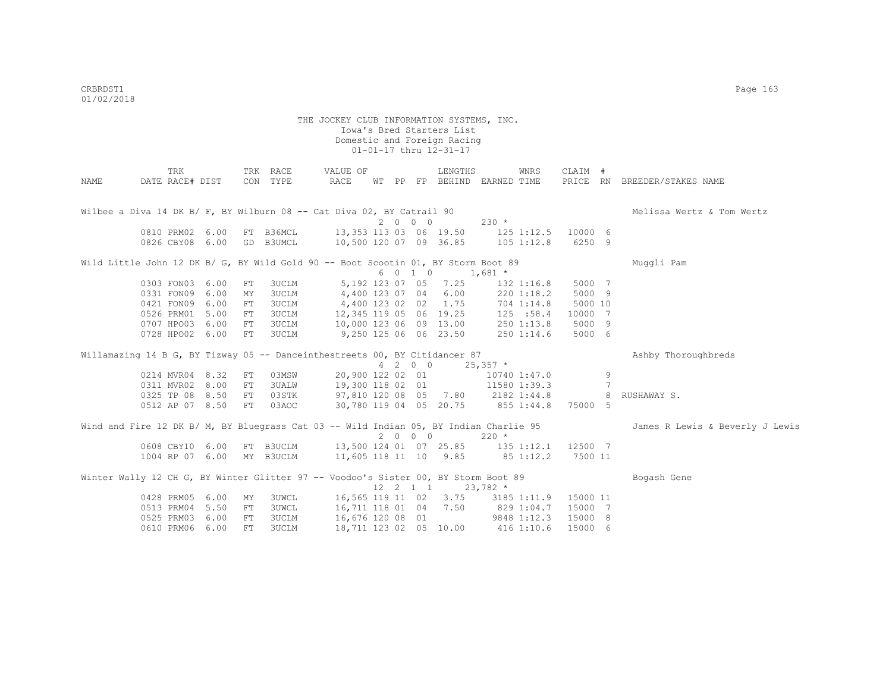|      | TRK                                                                                   |      |            | TRK RACE  | VALUE OF                                  |             |         | LENGTHS               |                                   | WNRS           | CLAIM #  |   |                                 |
|------|---------------------------------------------------------------------------------------|------|------------|-----------|-------------------------------------------|-------------|---------|-----------------------|-----------------------------------|----------------|----------|---|---------------------------------|
| NAME | DATE RACE# DIST                                                                       |      |            | CON TYPE  | RACE                                      |             |         |                       | WT PP FP BEHIND EARNED TIME       |                |          |   | PRICE RN BREEDER/STAKES NAME    |
|      |                                                                                       |      |            |           |                                           |             |         |                       |                                   |                |          |   |                                 |
|      | Wilbee a Diva 14 DK B/ F, BY Wilburn 08 -- Cat Diva 02, BY Catrail 90                 |      |            |           |                                           |             |         |                       |                                   |                |          |   | Melissa Wertz & Tom Wertz       |
|      |                                                                                       |      |            |           |                                           |             | 2000    |                       | $230 *$                           |                |          |   |                                 |
|      | 0810 PRM02 6.00                                                                       |      |            | FT B36MCL | 13,353 113 03 06 19.50 125 1:12.5 10000 6 |             |         |                       |                                   |                |          |   |                                 |
|      | 0826 CBY08 6.00                                                                       |      |            | GD B3UMCL | 10,500 120 07 09 36.85 105 1:12.8         |             |         |                       |                                   |                | 6250 9   |   |                                 |
|      | Wild Little John 12 DK B/ G, BY Wild Gold 90 -- Boot Scootin 01, BY Storm Boot 89     |      |            |           |                                           |             |         |                       |                                   |                |          |   | Muggli Pam                      |
|      |                                                                                       |      |            |           |                                           |             |         | 6 0 1 0 1,681 *       |                                   |                |          |   |                                 |
|      | 0303 FON03 6.00                                                                       |      | ${\rm FT}$ | 3UCLM     |                                           |             |         | 5, 192 123 07 05 7.25 |                                   | $132$ $1:16.8$ | 5000 7   |   |                                 |
|      | 0331 FON09 6.00                                                                       |      | MY         | 3UCLM     | 4,400 123 07 04 6.00                      |             |         |                       |                                   | 220 1:18.2     | 5000 9   |   |                                 |
|      | 0421 FON09                                                                            | 6.00 | ${\rm FT}$ | 3UCLM     | 4,400 123 02 02 1.75 704 1:14.8           |             |         |                       |                                   |                | 5000 10  |   |                                 |
|      | 0526 PRM01                                                                            | 5.00 | ${\rm FT}$ | 3UCLM     | 12,345 119 05 06 19.25 125 :58.4          |             |         |                       |                                   |                | 10000 7  |   |                                 |
|      | 0707 HPO03                                                                            | 6.00 | FT         | 3UCLM     | 10,000 123 06 09 13.00 250 1:13.8         |             |         |                       |                                   |                | 5000 9   |   |                                 |
|      | 0728 HPO02 6.00                                                                       |      | FT         | 3UCLM     | 9,250 125 06 06 23.50                     |             |         |                       |                                   | $250$ $1:14.6$ | 5000 6   |   |                                 |
|      | Willamazing 14 B G, BY Tizway 05 -- Danceinthestreets 00, BY Citidancer 87            |      |            |           |                                           |             |         |                       |                                   |                |          |   | Ashby Thoroughbreds             |
|      |                                                                                       |      |            |           |                                           |             | 4 2 0 0 |                       | $25,357$ *                        |                |          |   |                                 |
|      | 0214 MVR04 8.32                                                                       |      | FT         | 03MSW     | 20,900 122 02 01                          |             |         |                       | 10740 1:47.0                      |                |          | 9 |                                 |
|      | 0311 MVR02 8.00                                                                       |      | FT         | 3UALW     | 19,300 118 02 01                          |             |         |                       | 11580 1:39.3                      |                |          | 7 |                                 |
|      | 0325 TP 08 8.50                                                                       |      | FT         | 03STK     | 97,810 120 08 05 7.80 2182 1:44.8         |             |         |                       |                                   |                |          | 8 | RUSHAWAY S.                     |
|      | 0512 AP 07 8.50                                                                       |      | FT         | 03AOC     | 30,780 119 04 05 20.75 855 1:44.8         |             |         |                       |                                   |                | 75000 5  |   |                                 |
|      | Wind and Fire 12 DK B/ M, BY Bluegrass Cat 03 -- Wild Indian 05, BY Indian Charlie 95 |      |            |           |                                           |             |         |                       |                                   |                |          |   | James R Lewis & Beverly J Lewis |
|      |                                                                                       |      |            |           |                                           |             | 2 0 0 0 |                       | $220 *$                           |                |          |   |                                 |
|      | 0608 CBY10 6.00 FT B3UCLM                                                             |      |            |           | 13,500 124 01 07 25.85 135 1:12.1 12500 7 |             |         |                       |                                   |                |          |   |                                 |
|      | 1004 RP 07 6.00 MY B3UCLM                                                             |      |            |           | 11,605 118 11 10 9.85 85 1:12.2           |             |         |                       |                                   |                | 7500 11  |   |                                 |
|      | Winter Wally 12 CH G, BY Winter Glitter 97 -- Voodoo's Sister 00, BY Storm Boot 89    |      |            |           |                                           |             |         |                       |                                   |                |          |   | Bogash Gene                     |
|      |                                                                                       |      |            |           |                                           | 12  2  1  1 |         |                       | $23,782$ *                        |                |          |   |                                 |
|      | 0428 PRM05 6.00                                                                       |      | MY         | 3UWCL     | 16,565 119 11 02 3.75 3185 1:11.9         |             |         |                       |                                   |                | 15000 11 |   |                                 |
|      | 0513 PRM04                                                                            | 5.50 | FT         | 3UWCL     | 16,711 118 01 04 7.50 829 1:04.7          |             |         |                       |                                   |                | 15000 7  |   |                                 |
|      | 0525 PRM03                                                                            | 6.00 | FT         | 3UCLM     | 16,676 120 08 01                          |             |         |                       | 9848 1:12.3                       |                | 15000 8  |   |                                 |
|      | 0610 PRM06                                                                            | 6.00 | FT         | 3UCLM     |                                           |             |         |                       | 18,711 123 02 05 10.00 416 1:10.6 |                | 15000 6  |   |                                 |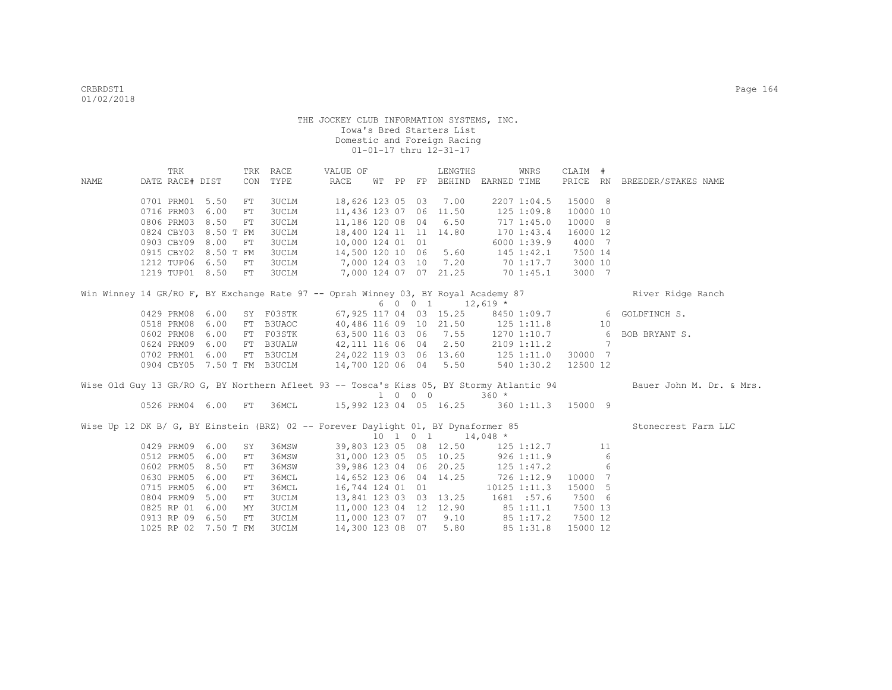|                                                                                    | TRK             |                      |    | TRK RACE                                                           | VALUE OF                        |  |         | LENGTHS                                      |                | WNRS             | CLAIM #  |   |                                                                                                                   |
|------------------------------------------------------------------------------------|-----------------|----------------------|----|--------------------------------------------------------------------|---------------------------------|--|---------|----------------------------------------------|----------------|------------------|----------|---|-------------------------------------------------------------------------------------------------------------------|
| NAME                                                                               | DATE RACE# DIST |                      |    | CON TYPE                                                           | RACE                            |  |         | WT PP FP BEHIND EARNED TIME                  |                |                  |          |   | PRICE RN BREEDER/STAKES NAME                                                                                      |
|                                                                                    |                 | 0701 PRM01 5.50      | FT | <b>3UCLM</b>                                                       | 18,626 123 05 03 7.00           |  |         |                                              |                | 2207 1:04.5      | 15000 8  |   |                                                                                                                   |
|                                                                                    | 0716 PRM03      | 6.00                 | FT | <b>3UCLM</b>                                                       | 11,436 123 07 06 11.50          |  |         |                                              | 125 1:09.8     |                  | 10000 10 |   |                                                                                                                   |
|                                                                                    |                 | 0806 PRM03 8.50      | FT | 3UCLM                                                              | 11,186 120 08 04 6.50           |  |         |                                              |                | 717 1:45.0       | 10000 8  |   |                                                                                                                   |
|                                                                                    |                 | 0824 CBY03 8.50 T FM |    | 3UCLM                                                              | 18,400 124 11 11 14.80          |  |         |                                              |                | 170 1:43.4       | 16000 12 |   |                                                                                                                   |
|                                                                                    |                 | 0903 CBY09 8.00      | FT | <b>3UCLM</b>                                                       | 10,000 124 01 01                |  |         |                                              |                | 6000 1:39.9      | 4000 7   |   |                                                                                                                   |
|                                                                                    |                 | 0915 CBY02 8.50 T FM |    | <b>3UCLM</b>                                                       | 14,500 120 10 06 5.60           |  |         |                                              |                | $145$ $1:42.1$   | 7500 14  |   |                                                                                                                   |
|                                                                                    |                 | 1212 TUP06 6.50      | FT | 3UCLM                                                              | 7,000 124 03 10 7.20            |  |         |                                              |                | 70 1:17.7        | 3000 10  |   |                                                                                                                   |
|                                                                                    |                 | 1219 TUP01 8.50 FT   |    | 3UCLM                                                              | 7,000 124 07 07 21.25 70 1:45.1 |  |         |                                              |                |                  | 3000 7   |   |                                                                                                                   |
| Win Winney 14 GR/RO F, BY Exchange Rate 97 -- Oprah Winney 03, BY Royal Academy 87 |                 |                      |    |                                                                    |                                 |  |         |                                              |                |                  |          |   | River Ridge Ranch                                                                                                 |
|                                                                                    |                 |                      |    |                                                                    |                                 |  |         | $6 \t 0 \t 0 \t 1 \t 12,619$ *               |                |                  |          |   |                                                                                                                   |
|                                                                                    |                 | 0429 PRM08 6.00      |    |                                                                    |                                 |  |         |                                              |                |                  |          |   | SY F03STK 67,925 117 04 03 15.25 8450 1:09.7 6 GOLDFINCH S.                                                       |
|                                                                                    | 0518 PRM08      | 6.00                 |    | FT B3UAOC                                                          |                                 |  |         | 40,486 116 09 10 21.50 125 1:11.8 10         |                |                  |          |   |                                                                                                                   |
|                                                                                    | 0602 PRM08      | 6.00                 |    | FT FO3STK                                                          |                                 |  |         |                                              |                |                  |          |   | 63,500 116 03 06 7.55 1270 1:10.7 6 BOB BRYANT S.                                                                 |
|                                                                                    | 0624 PRM09      | 6.00                 |    | FT B3UALW                                                          |                                 |  |         | 42, 111 116 06 04 2.50 2109 1:11.2 7         |                |                  |          |   |                                                                                                                   |
|                                                                                    |                 | 0702 PRM01 6.00      |    | FT B3UCLM                                                          |                                 |  |         | 24,022 119 03 06 13.60 125 1:11.0            |                |                  | 30000 7  |   |                                                                                                                   |
|                                                                                    |                 |                      |    | 0904 CBY05 7.50 T FM B3UCLM                                        |                                 |  |         | 14,700 120 06 04 5.50 540 1:30.2 12500 12    |                |                  |          |   |                                                                                                                   |
|                                                                                    |                 |                      |    |                                                                    |                                 |  |         |                                              |                |                  |          |   | Wise Old Guy 13 GR/RO G, BY Northern Afleet 93 -- Tosca's Kiss 05, BY Stormy Atlantic 94 Bauer John M. Dr. & Mrs. |
|                                                                                    |                 |                      |    |                                                                    |                                 |  | 1 0 0 0 |                                              | $360 *$        |                  |          |   |                                                                                                                   |
|                                                                                    |                 |                      |    | 0526 PRM04 6.00 FT 36MCL 15,992 123 04 05 16.25 360 1:11.3 15000 9 |                                 |  |         |                                              |                |                  |          |   |                                                                                                                   |
| Wise Up 12 DK B/ G, BY Einstein (BRZ) 02 -- Forever Daylight 01, BY Dynaformer 85  |                 |                      |    |                                                                    |                                 |  |         |                                              |                |                  |          |   | Stonecrest Farm LLC                                                                                               |
|                                                                                    |                 |                      |    |                                                                    |                                 |  |         | $10 \quad 1 \quad 0 \quad 1 \qquad 14,048$ * |                |                  |          |   |                                                                                                                   |
|                                                                                    |                 | 0429 PRM09 6.00      | SY | 36MSW                                                              |                                 |  |         | 39,803 123 05 08 12.50 125 1:12.7 11         |                |                  |          |   |                                                                                                                   |
|                                                                                    | 0512 PRM05      | 6.00                 | FT | 36MSW                                                              |                                 |  |         | 31,000 123 05 05 10.25                       |                | 926 1:11.9       |          | 6 |                                                                                                                   |
|                                                                                    | 0602 PRM05      | 8.50                 | FT | 36MSW                                                              |                                 |  |         | 39,986 123 04 06 20.25                       | $125$ $1:47.2$ |                  |          | 6 |                                                                                                                   |
|                                                                                    | 0630 PRM05      | 6.00                 | FT | 36MCL                                                              | 14,652 123 06 04 14.25          |  |         |                                              |                | 726 1:12.9       | 10000 7  |   |                                                                                                                   |
|                                                                                    | 0715 PRM05      | 6.00                 | FT | 36MCL                                                              | 16,744 124 01 01                |  |         |                                              |                | $10125$ $1:11.3$ | 15000 5  |   |                                                                                                                   |
|                                                                                    | 0804 PRM09      | 5.00                 | FT | <b>3UCLM</b>                                                       |                                 |  |         | 13,841 123 03 03 13.25 1681 :57.6            |                |                  | 7500 6   |   |                                                                                                                   |
|                                                                                    |                 | 0825 RP 01 6.00      | MY | 3UCLM                                                              |                                 |  |         | 11,000 123 04 12 12.90                       |                | 851:11.1         | 7500 13  |   |                                                                                                                   |
|                                                                                    |                 | 0913 RP 09 6.50      | FT | <b>3UCLM</b>                                                       | 11,000 123 07 07 9.10           |  |         |                                              |                | 85 1:17.2        | 7500 12  |   |                                                                                                                   |
|                                                                                    |                 | 1025 RP 02 7.50 T FM |    | 3UCLM                                                              | 14,300 123 08 07 5.80           |  |         |                                              |                | 85 1:31.8        | 15000 12 |   |                                                                                                                   |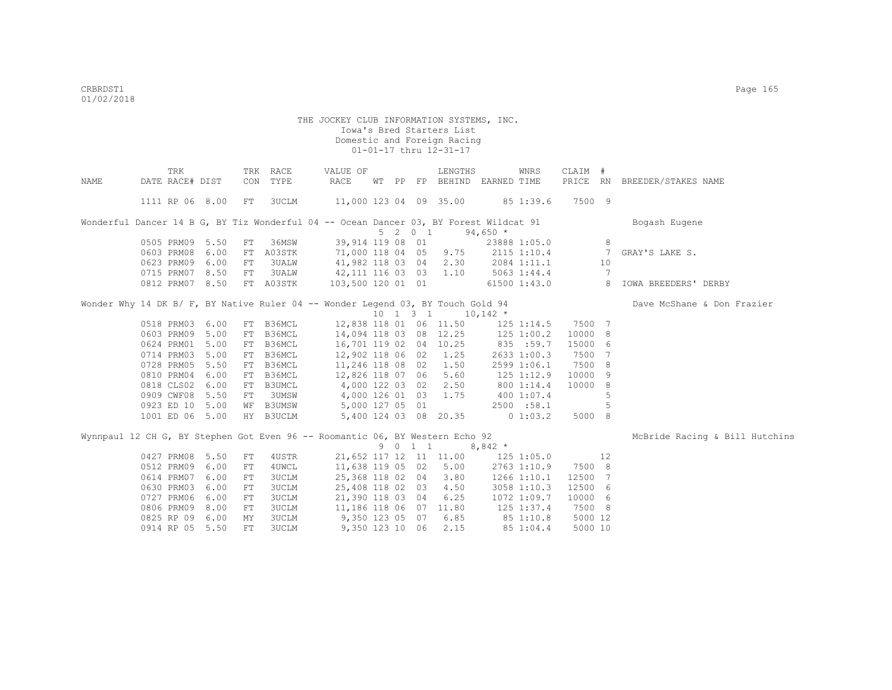|      | TRK                                                                                   |      | TRK | RACE         | VALUE OF                           |  |         | LENGTHS                                          |                | WNRS            | CLAIM #      |                |                                |
|------|---------------------------------------------------------------------------------------|------|-----|--------------|------------------------------------|--|---------|--------------------------------------------------|----------------|-----------------|--------------|----------------|--------------------------------|
| NAME | DATE RACE# DIST                                                                       |      | CON | TYPE         | RACE                               |  |         | WT PP FP BEHIND EARNED TIME                      |                |                 | PRICE RN     |                | BREEDER/STAKES NAME            |
|      | 1111 RP 06 8.00                                                                       |      | FT  | 3UCLM        | 11,000 123 04 09 35.00 85 1:39.6   |  |         |                                                  |                |                 | 7500 9       |                |                                |
|      | Wonderful Dancer 14 B G, BY Tiz Wonderful 04 -- Ocean Dancer 03, BY Forest Wildcat 91 |      |     |              |                                    |  |         |                                                  |                |                 |              |                | Bogash Eugene                  |
|      |                                                                                       |      |     |              |                                    |  | 5 2 0 1 |                                                  | $94,650$ *     |                 |              |                |                                |
|      | 0505 PRM09 5.50                                                                       |      | FT  | 36MSW        | 39,914 119 08 01                   |  |         |                                                  |                |                 | 23888 1:05.0 | 8              |                                |
|      | 0603 PRM08                                                                            | 6.00 | FT  | A03STK       | 71,000 118 04 05 9.75 2115 1:10.4  |  |         |                                                  |                |                 |              | $\overline{7}$ | GRAY'S LAKE S.                 |
|      | 0623 PRM09 6.00                                                                       |      | FT  | 3UALW        | 41,982 118 03 04                   |  |         | 2.30                                             | 2084 1:11.1 10 |                 |              |                |                                |
|      | 0715 PRM07 8.50                                                                       |      | FT  | 3UALW        | 42, 111 116 03 03 1.10 5063 1:44.4 |  |         |                                                  |                |                 |              | 7              |                                |
|      | 0812 PRM07 8.50                                                                       |      |     | FT A03STK    | 103,500 120 01 01 61500 1:43.0 8   |  |         |                                                  |                |                 |              |                | IOWA BREEDERS' DERBY           |
|      | Wonder Why 14 DK B/ F, BY Native Ruler 04 -- Wonder Legend 03, BY Touch Gold 94       |      |     |              |                                    |  |         |                                                  |                |                 |              |                | Dave McShane & Don Frazier     |
|      |                                                                                       |      |     |              |                                    |  |         | $10 \quad 1 \quad 3 \quad 1 \quad 10,142 \times$ |                |                 |              |                |                                |
|      | 0518 PRM03 6.00                                                                       |      |     | FT B36MCL    | 12,838 118 01 06 11.50 125 1:14.5  |  |         |                                                  |                |                 | 7500 7       |                |                                |
|      | 0603 PRM09 5.00                                                                       |      |     | FT B36MCL    | 14,094 118 03 08 12.25             |  |         |                                                  | $125$ $1:00.2$ |                 | 10000 8      |                |                                |
|      | 0624 PRM01 5.00                                                                       |      |     | FT B36MCL    | 16,701 119 02 04 10.25             |  |         |                                                  | 835 :59.7      |                 | 15000 6      |                |                                |
|      | 0714 PRM03 5.00                                                                       |      | FT  | B36MCL       | 12,902 118 06 02                   |  |         | 1.25                                             |                | 2633 1:00.3     | 7500 7       |                |                                |
|      | 0728 PRM05 5.50                                                                       |      | FT  | B36MCL       | 11,246 118 08 02                   |  |         | 1.50                                             |                | 2599 1:06.1     | 7500 8       |                |                                |
|      | 0810 PRM04 6.00                                                                       |      | FT  | B36MCL       | 12,826 118 07 06                   |  |         | 5.60                                             | $125$ $1:12.9$ |                 | 10000        | - 9            |                                |
|      | 0818 CLS02 6.00                                                                       |      |     | FT B3UMCL    | 4,000 122 03 02                    |  |         | 2.50                                             | 800 1:14.4     |                 | 10000 8      |                |                                |
|      | 0909 CWF08 5.50                                                                       |      | FT  | 3UMSW        | 4,000 126 01 03<br>5,000 127 05 01 |  |         | 1.75                                             | 400 1:07.4     |                 |              | 5              |                                |
|      | 0923 ED 10 5.00                                                                       |      |     | WF B3UMSW    |                                    |  |         |                                                  |                | 2500 :58.1      |              | 5              |                                |
|      | 1001 ED 06 5.00                                                                       |      |     | HY B3UCLM    | 5,400 124 03 08 20.35              |  |         |                                                  | $0\;1:03.2$    |                 | 5000 8       |                |                                |
|      | Wynnpaul 12 CH G, BY Stephen Got Even 96 -- Roomantic 06, BY Western Echo 92          |      |     |              |                                    |  |         |                                                  |                |                 |              |                | McBride Racing & Bill Hutchins |
|      |                                                                                       |      |     |              |                                    |  | 9 0 1 1 |                                                  | $8,842$ *      |                 |              |                |                                |
|      | 0427 PRM08 5.50                                                                       |      | FT  | 4USTR        |                                    |  |         | 21,652 117 12 11 11.00 125 1:05.0                |                |                 | 12           |                |                                |
|      | 0512 PRM09                                                                            | 6.00 | FT  | 4UWCL        | 11,638 119 05 02                   |  |         | 5.00                                             |                | 2763 1:10.9     | 7500 8       |                |                                |
|      | 0614 PRM07                                                                            | 6.00 | FT  | 3UCLM        | 25,368 118 02 04                   |  |         | 3.80                                             |                | $1266$ $1:10.1$ | 12500 7      |                |                                |
|      | 0630 PRM03 6.00                                                                       |      | FT  | 3UCLM        | 25,408 118 02 03                   |  |         | 4.50                                             |                | 3058 1:10.3     | 12500 6      |                |                                |
|      | 0727 PRM06 6.00                                                                       |      | FT  | 3UCLM        | 21,390 118 03 04                   |  |         | 6.25                                             |                | 1072 1:09.7     | 10000 6      |                |                                |
|      | 0806 PRM09 8.00                                                                       |      | FT  | 3UCLM        | 11,186 118 06 07 11.80             |  |         |                                                  | 125 1:37.4     |                 | 7500 8       |                |                                |
|      | 0825 RP 09 6.00                                                                       |      | МY  | 3UCLM        | 9,350 123 05 07 6.85               |  |         |                                                  |                | 851:10.8        | 5000 12      |                |                                |
|      | 0914 RP 05 5.50                                                                       |      | FT. | <b>3UCLM</b> | 9,350 123 10 06                    |  |         | 2.15                                             |                | 85 1:04.4       | 5000 10      |                |                                |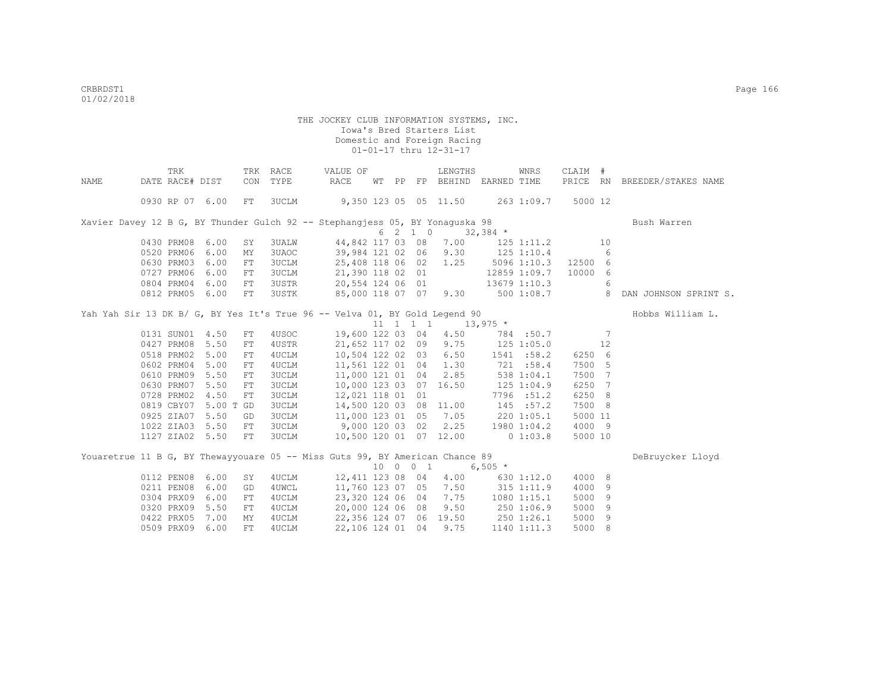|      | TRK                  |      |            | TRK RACE     | VALUE OF                                                                          |    |          | LENGTHS                                          |                     | WNRS                 | CLAIM # |     |                              |
|------|----------------------|------|------------|--------------|-----------------------------------------------------------------------------------|----|----------|--------------------------------------------------|---------------------|----------------------|---------|-----|------------------------------|
| NAME | DATE RACE# DIST      |      | CON        | TYPE         | RACE                                                                              | WТ |          | PP FP BEHIND EARNED TIME                         |                     |                      |         |     | PRICE RN BREEDER/STAKES NAME |
|      |                      |      |            |              |                                                                                   |    |          |                                                  |                     |                      |         |     |                              |
|      | 0930 RP 07 6.00      |      | FT         | 3UCLM        | 9,350 123 05 05 11.50 263 1:09.7                                                  |    |          |                                                  |                     |                      | 5000 12 |     |                              |
|      |                      |      |            |              | Xavier Davey 12 B G, BY Thunder Gulch 92 -- Stephangjess 05, BY Yonaguska 98      |    |          |                                                  |                     |                      |         |     | Bush Warren                  |
|      |                      |      |            |              |                                                                                   |    | 6 2 1 0  |                                                  | $32,384$ *          |                      |         |     |                              |
|      | 0430 PRM08 6.00      |      | SY         |              | 3UALW 44,842 117 03 08 7.00 125 1:11.2                                            |    |          |                                                  |                     |                      |         | 10  |                              |
|      | 0520 PRM06           | 6.00 | MY         | 3UAOC        | 39,984 121 02 06 9.30 125 1:10.4                                                  |    |          |                                                  |                     |                      |         | 6   |                              |
|      | 0630 PRM03           | 6.00 | FT         | 3UCLM        | 25,408 118 06 02 1.25 5096 1:10.3 12500 6                                         |    |          |                                                  |                     |                      |         |     |                              |
|      | 0727 PRM06 6.00      |      | FT         | 3UCLM        | 21,390 118 02 01                                                                  |    |          |                                                  |                     | 12859 1:09.7 10000 6 |         |     |                              |
|      | 0804 PRM04 6.00      |      | FT         |              |                                                                                   |    |          |                                                  |                     |                      |         |     |                              |
|      | 0812 PRM05 6.00      |      | FT         |              | 3USTR 20,554 124 06 01 13679 1:10.3 6<br>3USTR 85,000 118 07 07 9.30 500 1:08.7 8 |    |          |                                                  |                     |                      |         |     | DAN JOHNSON SPRINT S.        |
|      |                      |      |            |              | Yah Yah Sir 13 DK B/ G, BY Yes It's True 96 -- Velva 01, BY Gold Legend 90        |    |          |                                                  |                     |                      |         |     | Hobbs William L.             |
|      |                      |      |            |              |                                                                                   |    |          | $11 \quad 1 \quad 1 \quad 1 \qquad 13,975 \star$ |                     |                      |         |     |                              |
|      | 0131 SUN01 4.50      |      | ${\rm FT}$ |              | 4USOC 19,600 122 03 04 4.50 784 :50.7                                             |    |          |                                                  |                     |                      |         | 7   |                              |
|      | 0427 PRM08 5.50      |      | FT         | 4USTR        | 21,652 117 02 09 9.75 125 1:05.0                                                  |    |          |                                                  |                     |                      |         | 12  |                              |
|      | 0518 PRM02 5.00      |      | FT         | 4UCLM        | 10,504 122 02 03                                                                  |    |          |                                                  | $6.50$ $1541$ :58.2 |                      | 6250 6  |     |                              |
|      | 0602 PRM04           | 5.00 | FT         | 4UCLM        |                                                                                   |    |          | 11,561 122 01 04 1.30 721 :58.4                  |                     |                      | 7500 5  |     |                              |
|      | 0610 PRM09 5.50      |      | ${\rm FT}$ | <b>3UCLM</b> |                                                                                   |    |          | 11,000 121 01 04 2.85 538 1:04.1                 |                     |                      | 7500 7  |     |                              |
|      | 0630 PRM07 5.50      |      | ${\rm FT}$ | <b>3UCLM</b> | 10,000 123 03 07 16.50                                                            |    |          |                                                  | 125 1:04.9          |                      | 6250 7  |     |                              |
|      | 0728 PRM02 4.50      |      | ${\rm FT}$ | <b>3UCLM</b> | 12,021 118 01 01                                                                  |    |          |                                                  |                     | 7796 :51.2           | 6250 8  |     |                              |
|      | 0819 CBY07 5.00 T GD |      |            | <b>3UCLM</b> | 14,500 120 03 08 11.00                                                            |    |          |                                                  | 145 :57.2           |                      | 7500 8  |     |                              |
|      | 0925 ZIA07 5.50      |      | GD         | <b>3UCLM</b> | 11,000 123 01 05 7.05 220 1:05.1                                                  |    |          |                                                  |                     |                      | 5000 11 |     |                              |
|      | 1022 ZIA03 5.50      |      | FT         | 3UCLM        | 9,000 120 03 02 2.25 1980 1:04.2                                                  |    |          |                                                  |                     |                      | 4000 9  |     |                              |
|      | 1127 ZIA02 5.50      |      | FT         | 3UCLM        | 10,500 120 01 07 12.00 0 1:03.8                                                   |    |          |                                                  |                     |                      | 5000 10 |     |                              |
|      |                      |      |            |              |                                                                                   |    |          |                                                  |                     |                      |         |     |                              |
|      |                      |      |            |              | Youaretrue 11 B G, BY Thewayyouare 05 -- Miss Guts 99, BY American Chance 89      |    |          |                                                  |                     |                      |         |     | DeBruycker Lloyd             |
|      |                      |      |            |              |                                                                                   |    | 10 0 0 1 |                                                  | $6,505*$            |                      |         |     |                              |
|      | 0112 PEN08           | 6.00 | SY         | 4 UCLM       |                                                                                   |    |          | 12,411 123 08 04 4.00 630 1:12.0                 |                     |                      | 4000 8  |     |                              |
|      | 0211 PEN08           | 6.00 | GD         | 4UWCL        |                                                                                   |    |          | 11,760 123 07 05 7.50 315 1:11.9                 |                     |                      | 4000 9  |     |                              |
|      | 0304 PRX09           | 6.00 | FT         | 4UCLM        | 23,320 124 06 04 7.75 1080 1:15.1                                                 |    |          |                                                  |                     |                      | 5000    | 9   |                              |
|      | 0320 PRX09           | 5.50 | ${\rm FT}$ | 4UCLM        | 20,000 124 06 08                                                                  |    |          |                                                  | $9.50$ 250 1:06.9   |                      | 5000    | 9   |                              |
|      | 0422 PRX05           | 7.00 | MΥ         | 4UCLM        | 22,356 124 07 06 19.50 250 1:26.1                                                 |    |          |                                                  |                     |                      | 5000    | - 9 |                              |
|      | 0509 PRX09 6.00      |      | FT         | 4UCLM        | 22,106 124 01 04                                                                  |    |          | 9.75                                             |                     | 1140 1:11.3          | 5000 8  |     |                              |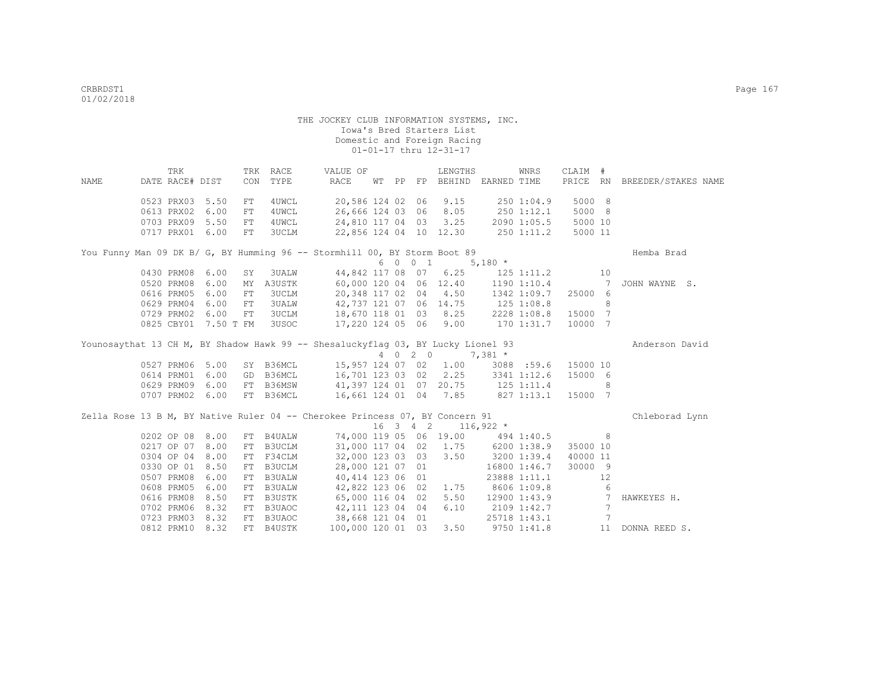|      | TRK                  |      | TRK        | RACE          | VALUE OF                                                                         |       |            | LENGTHS                |                                    | <b>WNRS</b>  | CLAIM #             |                 |                              |
|------|----------------------|------|------------|---------------|----------------------------------------------------------------------------------|-------|------------|------------------------|------------------------------------|--------------|---------------------|-----------------|------------------------------|
| NAME | DATE RACE# DIST      |      | CON        | TYPE          | <b>RACE</b>                                                                      | WT PP |            |                        | FP BEHIND EARNED TIME              |              |                     |                 | PRICE RN BREEDER/STAKES NAME |
|      | 0523 PRX03 5.50      |      | FT         | 4UWCL         | 20,586 124 02 06                                                                 |       |            | 9.15                   |                                    | 250 1:04.9   | 5000 8              |                 |                              |
|      | 0613 PRX02           | 6.00 | FT         | 4UWCL         | 26,666 124 03 06                                                                 |       |            | 8.05                   | $250$ $1:12.1$                     |              | 5000 8              |                 |                              |
|      | 0703 PRX09 5.50      |      | ${\rm FT}$ | 4UWCL         | 24,810 117 04 03                                                                 |       |            | 3.25                   |                                    | 2090 1:05.5  | 5000 10             |                 |                              |
|      | 0717 PRX01 6.00      |      | FT         | <b>3UCLM</b>  |                                                                                  |       |            |                        | 22,856 124 04 10 12.30 250 1:11.2  |              | 5000 11             |                 |                              |
|      |                      |      |            |               | You Funny Man 09 DK B/ G, BY Humming 96 -- Stormhill 00, BY Storm Boot 89        |       |            |                        |                                    |              |                     |                 | Hemba Brad                   |
|      |                      |      |            |               |                                                                                  |       | 6 0 0 1    |                        | $5,180 *$                          |              |                     |                 |                              |
|      | 0430 PRM08 6.00      |      | SY         | <b>3UALW</b>  |                                                                                  |       |            | 44,842 117 08 07 6.25  |                                    | 125 1:11.2   |                     | 10              |                              |
|      | 0520 PRM08           | 6.00 | MΥ         | A3USTK        |                                                                                  |       |            | 60,000 120 04 06 12.40 |                                    | 1190 1:10.4  |                     | 7               | JOHN WAYNE S.                |
|      | 0616 PRM05           | 6.00 | FT         | 3UCLM         | 20,348 117 02 04                                                                 |       |            | 4.50                   |                                    | 1342 1:09.7  | 25000 6             |                 |                              |
|      | 0629 PRM04           | 6.00 | FT         | <b>3UALW</b>  | 42,737 121 07 06 14.75                                                           |       |            |                        | $125$ $1:08.8$                     |              |                     | 8               |                              |
|      | 0729 PRM02           | 6.00 | FT         | 3UCLM         | 18,670 118 01 03                                                                 |       |            | 8.25                   |                                    | 2228 1:08.8  | 15000 7             |                 |                              |
|      | 0825 CBY01 7.50 T FM |      |            | 3USOC         | 17,220 124 05 06                                                                 |       |            | 9.00                   |                                    | 170 1:31.7   | 10000 7             |                 |                              |
|      |                      |      |            |               | Younosaythat 13 CH M, BY Shadow Hawk 99 -- Shesaluckyflag 03, BY Lucky Lionel 93 |       |            |                        |                                    |              |                     |                 | Anderson David               |
|      |                      |      |            |               |                                                                                  |       | 4 0 2 0    |                        | $7,381$ *                          |              |                     |                 |                              |
|      | 0527 PRM06 5.00      |      |            | SY B36MCL     |                                                                                  |       |            | 15,957 124 07 02 1.00  |                                    |              | 3088 :59.6 15000 10 |                 |                              |
|      | 0614 PRM01 6.00      |      |            | GD B36MCL     |                                                                                  |       |            | 16,701 123 03 02 2.25  |                                    | 3341 1:12.6  | 15000 6             |                 |                              |
|      | 0629 PRM09 6.00      |      |            | FT B36MSW     |                                                                                  |       |            |                        | 41, 397 124 01 07 20.75 125 1:11.4 |              |                     | 8               |                              |
|      | 0707 PRM02 6.00      |      |            | FT B36MCL     | 16,661 124 01 04 7.85                                                            |       |            |                        | 827 1:13.1                         |              | 15000 7             |                 |                              |
|      |                      |      |            |               | Zella Rose 13 B M, BY Native Ruler 04 -- Cherokee Princess 07, BY Concern 91     |       |            |                        |                                    |              |                     |                 | Chleborad Lynn               |
|      |                      |      |            |               |                                                                                  |       | $16$ 3 4 2 |                        | $116,922$ *                        |              |                     |                 |                              |
|      | 0202 OP 08 8.00      |      | FT         | B4UALW        |                                                                                  |       |            |                        | 74,000 119 05 06 19.00 494 1:40.5  |              |                     | 8               |                              |
|      | 0217 OP 07 8.00      |      | FT         | B3UCLM        |                                                                                  |       |            | 31,000 117 04 02 1.75  |                                    | 6200 1:38.9  | 35000 10            |                 |                              |
|      | 0304 OP 04 8.00      |      | FT         | F34CLM        | 32,000 123 03 03                                                                 |       |            | 3.50                   |                                    | 3200 1:39.4  | 40000 11            |                 |                              |
|      | 0330 OP 01 8.50      |      | FT         | B3UCLM        | 28,000 121 07 01                                                                 |       |            |                        |                                    | 16800 1:46.7 | 30000 9             |                 |                              |
|      | 0507 PRM08           | 6.00 | FT         | <b>B3UALW</b> | 40,414 123 06 01                                                                 |       |            |                        |                                    | 23888 1:11.1 |                     | 12              |                              |
|      | 0608 PRM05           | 6.00 | FT         | <b>B3UALW</b> | 42,822 123 06 02                                                                 |       |            | 1.75                   | 8606 1:09.8                        |              |                     | 6               |                              |
|      | 0616 PRM08           | 8.50 | FT         | B3USTK        | 65,000 116 04 02                                                                 |       |            | 5.50                   |                                    |              | $12900$ 1:43.9      | $\overline{7}$  | HAWKEYES H.                  |
|      | 0702 PRM06           | 8.32 | FT         | B3UAOC        | 42, 111 123 04 04                                                                |       |            | 6.10                   | 2109 1:42.7                        |              |                     | $7\phantom{.0}$ |                              |
|      | 0723 PRM03 8.32      |      |            | FT B3UAOC     | 38,668 121 04 01                                                                 |       |            |                        |                                    | 25718 1:43.1 |                     | $7\phantom{.0}$ |                              |
|      | 0812 PRM10           | 8.32 |            | FT B4USTK     | 100,000 120 01 03                                                                |       |            | 3.50                   |                                    | 9750 1:41.8  |                     | 11              | DONNA REED S.                |